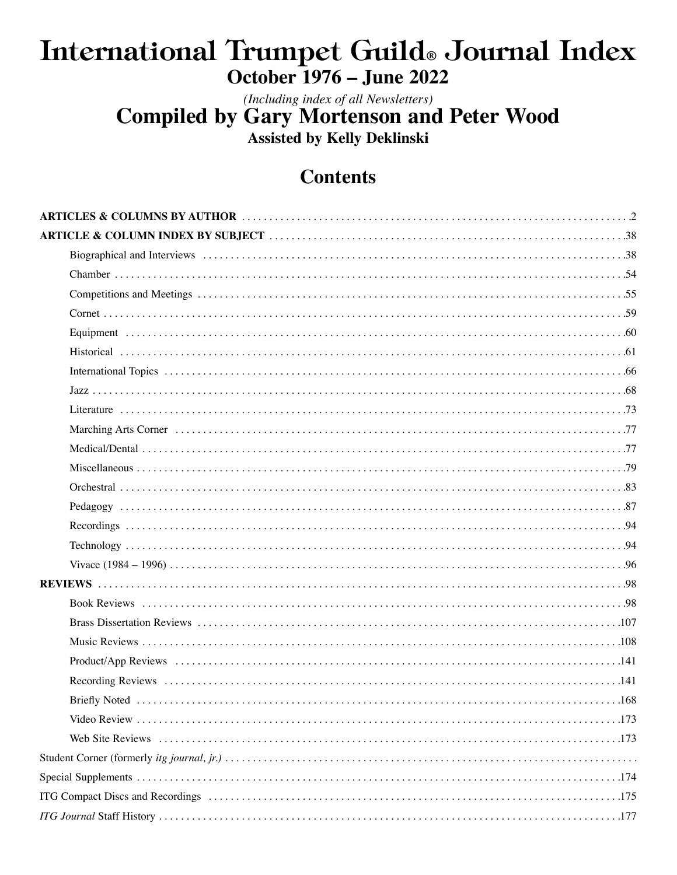# International Trumpet Guild® Journal Index **October 1976 - June 2022**

(Including index of all Newsletters) **Compiled by Gary Mortenson and Peter Wood Assisted by Kelly Deklinski** 

# **Contents**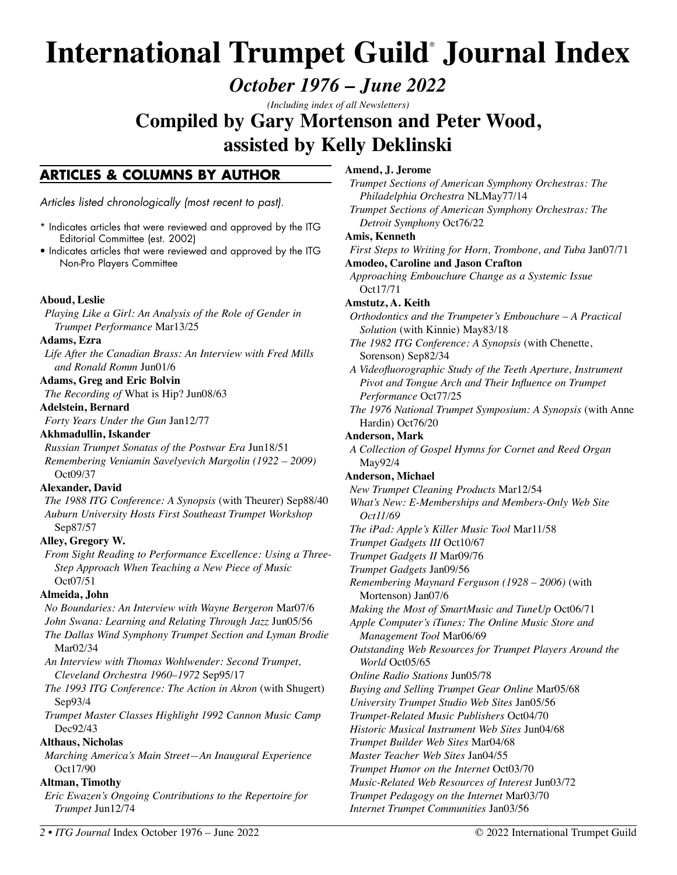# **International Trumpet Guild**®  **Journal Index**

*October 1976 – June 2022* 

*(Including index of all Newsletters)* 

**Compiled by Gary Mortenson and Peter Wood, assisted by Kelly Deklinski**

# **ARTICLES & COLUMNS BY AUTHOR**

Articles listed chronologically (most recent to past).

- \* Indicates articles that were reviewed and approved by the ITG Editorial Committee (est. 2002)
- Indicates articles that were reviewed and approved by the ITG Non-Pro Players Committee

# **Aboud, Leslie**

*Playing Like a Girl: An Analysis of the Role of Gender in Trumpet Performance* Mar13/25

#### **Adams, Ezra**

*Life After the Canadian Brass: An Interview with Fred Mills and Ronald Romm* Jun01/6

#### **Adams, Greg and Eric Bolvin**

*The Recording of* What is Hip? Jun08/63

#### **Adelstein, Bernard**

*Forty Years Under the Gun* Jan12/77

#### **Akhmadullin, Iskander**

*Russian Trumpet Sonatas of the Postwar Era* Jun18/51 *Remembering Veniamin Savelyevich Margolin (1922 – 2009)*  Oct09/37

#### **Alexander, David**

*The 1988 ITG Conference: A Synopsis* (with Theurer) Sep88/40 *Auburn University Hosts First Southeast Trumpet Workshop*  Sep87/57

# **Alley, Gregory W.**

*From Sight Reading to Performance Excellence: Using a Three-Step Approach When Teaching a New Piece of Music* Oct07/51

# **Almeida, John**

*No Boundaries: An Interview with Wayne Bergeron* Mar07/6

*John Swana: Learning and Relating Through Jazz* Jun05/56

*The Dallas Wind Symphony Trumpet Section and Lyman Brodie* Mar02/34

*An Interview with Thomas Wohlwender: Second Trumpet, Cleveland Orchestra 1960–1972* Sep95/17

*The 1993 ITG Conference: The Action in Akron (with Shugert)* Sep93/4

*Trumpet Master Classes Highlight 1992 Cannon Music Camp*  Dec92/43

# **Althaus, Nicholas**

*Marching America's Main Street—An Inaugural Experience*  Oct17/90

# **Altman, Timothy**

*Eric Ewazen's Ongoing Contributions to the Repertoire for Trumpet* Jun12/74

# <span id="page-1-0"></span>**Amend, J. Jerome**

*Trumpet Sections of American Symphony Orchestras: The Philadelphia Orchestra* NLMay77/14 *Trumpet Sections of American Symphony Orchestras: The Detroit Symphony* Oct76/22 **Amis, Kenneth**  *First Steps to Writing for Horn, Trombone, and Tuba* Jan07/71 **Amodeo, Caroline and Jason Crafton**  *Approaching Embouchure Change as a Systemic Issue*  Oct17/71 **Amstutz, A. Keith**  *Orthodontics and the Trumpeter's Embouchure – A Practical Solution* (with Kinnie) May83/18 *The 1982 ITG Conference: A Synopsis* (with Chenette, Sorenson) Sep82/34 *A Videofluorographic Study of the Teeth Aperture, Instrument Pivot and Tongue Arch and Their Influence on Trumpet Performance* Oct77/25 *The 1976 National Trumpet Symposium: A Synopsis* (with Anne Hardin) Oct76/20 **Anderson, Mark**  *A Collection of Gospel Hymns for Cornet and Reed Organ*  May92/4 **Anderson, Michael** *New Trumpet Cleaning Products* Mar12/54 *What's New: E-Memberships and Members-Only Web Site Oct11/69 The iPad: Apple's Killer Music Tool* Mar11/58 *Trumpet Gadgets III* Oct10/67 *Trumpet Gadgets II* Mar09/76 *Trumpet Gadgets* Jan09/56 *Remembering Maynard Ferguson (1928 – 2006)* (with Mortenson) Jan07/6 *Making the Most of SmartMusic and TuneUp* Oct06/71 *Apple Computer's iTunes: The Online Music Store and Management Tool* Mar06/69 *Outstanding Web Resources for Trumpet Players Around the World* Oct05/65 *Online Radio Stations* Jun05/78 *Buying and Selling Trumpet Gear Online* Mar05/68 *University Trumpet Studio Web Sites* Jan05/56 *Trumpet-Related Music Publishers* Oct04/70 *Historic Musical Instrument Web Sites* Jun04/68 *Trumpet Builder Web Sites* Mar04/68 *Master Teacher Web Sites* Jan04/55 *Trumpet Humor on the Internet* Oct03/70 *Music-Related Web Resources of Interest* Jun03/72 *Trumpet Pedagogy on the Internet* Mar03/70

*Internet Trumpet Communities* Jan03/56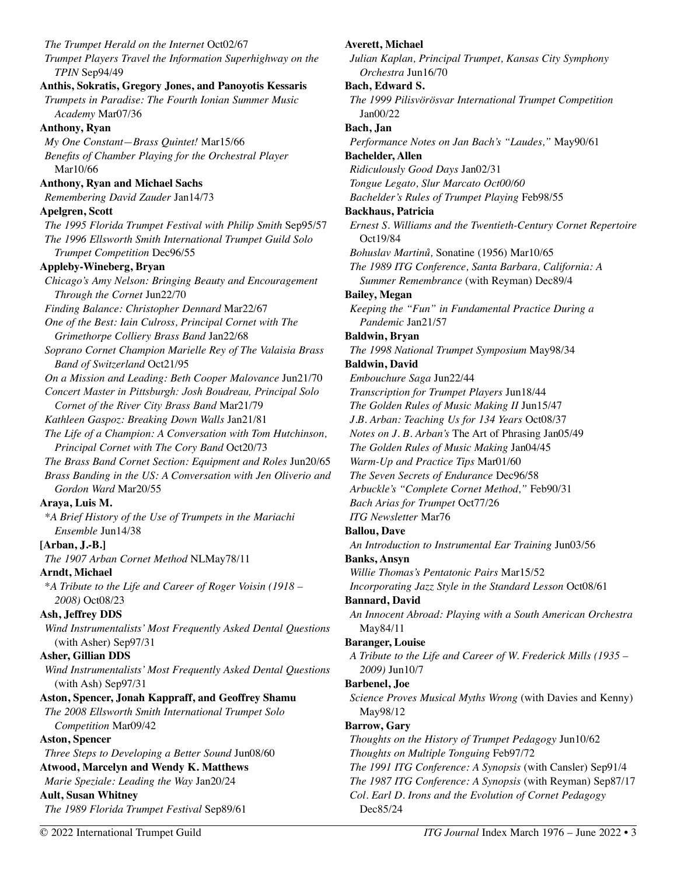*The Trumpet Herald on the Internet* Oct02/67 *Trumpet Players Travel the Information Superhighway on the TPIN* Sep94/49 **Anthis, Sokratis, Gregory Jones, and Panoyotis Kessaris**  *Trumpets in Paradise: The Fourth Ionian Summer Music Academy* Mar07/36 **Anthony, Ryan**  *My One Constant—Brass Quintet!* Mar15/66 *Benefits of Chamber Playing for the Orchestral Player*  Mar10/66 **Anthony, Ryan and Michael Sachs**  *Remembering David Zauder* Jan14/73 **Apelgren, Scott**  *The 1995 Florida Trumpet Festival with Philip Smith* Sep95/57 *The 1996 Ellsworth Smith International Trumpet Guild Solo Trumpet Competition* Dec96/55 **Appleby-Wineberg, Bryan**  *Chicago's Amy Nelson: Bringing Beauty and Encouragement Through the Cornet* Jun22/70 *Finding Balance: Christopher Dennard* Mar22/67 *One of the Best: Iain Culross, Principal Cornet with The Grimethorpe Colliery Brass Band* Jan22/68 *Soprano Cornet Champion Marielle Rey of The Valaisia Brass Band of Switzerland* Oct21/95 *On a Mission and Leading: Beth Cooper Malovance* Jun21/70 *Concert Master in Pittsburgh: Josh Boudreau, Principal Solo Cornet of the River City Brass Band* Mar21/79 *Kathleen Gaspoz: Breaking Down Walls* Jan21/81 *The Life of a Champion: A Conversation with Tom Hutchinson, Principal Cornet with The Cory Band* Oct20/73 *The Brass Band Cornet Section: Equipment and Roles* Jun20/65 *Brass Banding in the US: A Conversation with Jen Oliverio and Gordon Ward* Mar20/55 **Araya, Luis M.**  *\*A Brief History of the Use of Trumpets in the Mariachi Ensemble* Jun14/38 **[Arban, J.-B.]**  *The 1907 Arban Cornet Method* NLMay78/11 **Arndt, Michael**  \**A Tribute to the Life and Career of Roger Voisin (1918 – 2008)* Oct08/23 **Ash, Jeffrey DDS**  *Wind Instrumentalists' Most Frequently Asked Dental Questions*  (with Asher) Sep97/31 **Asher, Gillian DDS**  *Wind Instrumentalists' Most Frequently Asked Dental Questions*  (with Ash) Sep97/31 **Aston, Spencer, Jonah Kappraff, and Geoffrey Shamu**  *The 2008 Ellsworth Smith International Trumpet Solo Competition* Mar09/42 **Aston, Spencer**  *Three Steps to Developing a Better Sound* Jun08/60 **Atwood, Marcelyn and Wendy K. Matthews**  *Marie Speziale: Leading the Way* Jan20/24 **Ault, Susan Whitney**  *The 1989 Florida Trumpet Festival* Sep89/61

**Averett, Michael**  *Julian Kaplan, Principal Trumpet, Kansas City Symphony Orchestra* Jun16/70 **Bach, Edward S.**  *The 1999 Pilisvörösvar International Trumpet Competition*  Jan00/22 **Bach, Jan**  *Performance Notes on Jan Bach's "Laudes,"* May90/61 **Bachelder, Allen**  *Ridiculously Good Days* Jan02/31 *Tongue Legato, Slur Marcato Oct00/60 Bachelder's Rules of Trumpet Playing* Feb98/55 **Backhaus, Patricia**  *Ernest S. Williams and the Twentieth-Century Cornet Repertoire*  Oct19/84 *Bohuslav Martinů,* Sonatine (1956) Mar10/65 *The 1989 ITG Conference, Santa Barbara, California: A Summer Remembrance* (with Reyman) Dec89/4 **Bailey, Megan**  *Keeping the "Fun" in Fundamental Practice During a Pandemic* Jan21/57 **Baldwin, Bryan**  *The 1998 National Trumpet Symposium* May98/34 **Baldwin, David**  *Embouchure Saga* Jun22/44 *Transcription for Trumpet Players* Jun18/44 *The Golden Rules of Music Making II* Jun15/47 *J.B. Arban: Teaching Us for 134 Years* Oct08/37 *Notes on J. B. Arban's* The Art of Phrasing Jan05/49 *The Golden Rules of Music Making* Jan04/45 *Warm-Up and Practice Tips* Mar01/60 *The Seven Secrets of Endurance* Dec96/58 *Arbuckle's "Complete Cornet Method,"* Feb90/31 *Bach Arias for Trumpet* Oct77/26 *ITG Newsletter* Mar76 **Ballou, Dave**  *An Introduction to Instrumental Ear Training* Jun03/56 **Banks, Ansyn**  *Willie Thomas's Pentatonic Pairs* Mar15/52 *Incorporating Jazz Style in the Standard Lesson* Oct08/61 **Bannard, David**  *An Innocent Abroad: Playing with a South American Orchestra*  May84/11 **Baranger, Louise**  *A Tribute to the Life and Career of W. Frederick Mills (1935 – 2009)* Jun10/7 **Barbenel, Joe**  *Science Proves Musical Myths Wrong* (with Davies and Kenny) May98/12 **Barrow, Gary**  *Thoughts on the History of Trumpet Pedagogy* Jun10/62 *Thoughts on Multiple Tonguing* Feb97/72 *The 1991 ITG Conference: A Synopsis* (with Cansler) Sep91/4 *The 1987 ITG Conference: A Synopsis* (with Reyman) Sep87/17 *Col. Earl D. Irons and the Evolution of Cornet Pedagogy* 

Dec85/24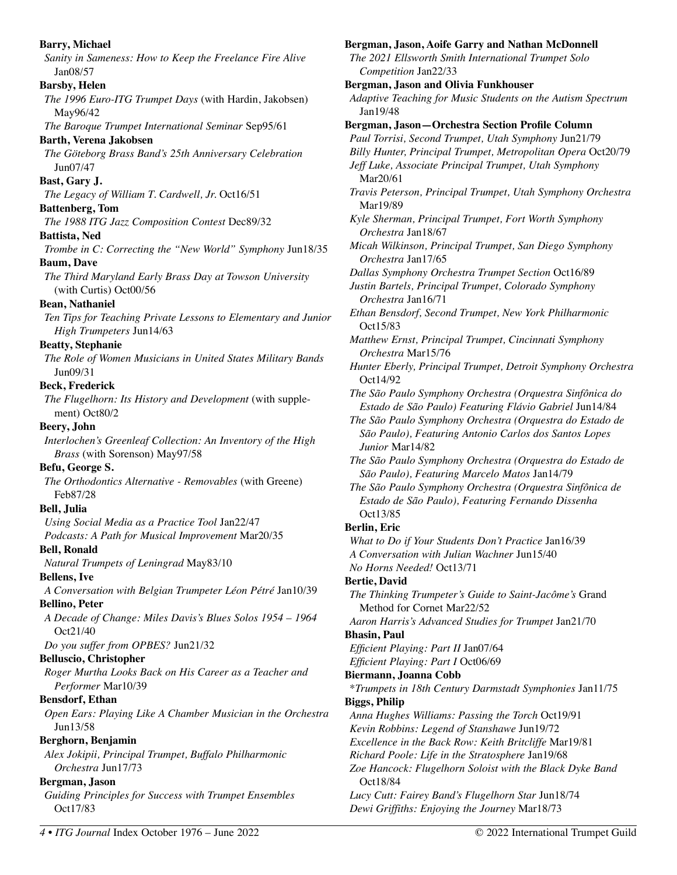**Barry, Michael**  *Sanity in Sameness: How to Keep the Freelance Fire Alive* Jan08/57 **Barsby, Helen**  *The 1996 Euro-ITG Trumpet Days* (with Hardin, Jakobsen) May96/42 *The Baroque Trumpet International Seminar* Sep95/61 **Barth, Verena Jakobsen**  *The Göteborg Brass Band's 25th Anniversary Celebration* Jun07/47 **Bast, Gary J.**  *The Legacy of William T. Cardwell, Jr.* Oct16/51 **Battenberg, Tom**  *The 1988 ITG Jazz Composition Contest* Dec89/32 **Battista, Ned**  *Trombe in C: Correcting the "New World" Symphony* Jun18/35 **Baum, Dave**  *The Third Maryland Early Brass Day at Towson University*  (with Curtis) Oct00/56 **Bean, Nathaniel**  *Ten Tips for Teaching Private Lessons to Elementary and Junior High Trumpeters* Jun14/63 **Beatty, Stephanie**  *The Role of Women Musicians in United States Military Bands*  Jun09/31 **Beck, Frederick**  *The Flugelhorn: Its History and Development* (with supplement) Oct80/2 **Beery, John**  *Interlochen's Greenleaf Collection: An Inventory of the High Brass* (with Sorenson) May97/58 **Befu, George S.**  *The Orthodontics Alternative - Removables* (with Greene) Feb87/28 **Bell, Julia**  *Using Social Media as a Practice Tool* Jan22/47 *Podcasts: A Path for Musical Improvement* Mar20/35 **Bell, Ronald**  *Natural Trumpets of Leningrad* May83/10 **Bellens, Ive**  *A Conversation with Belgian Trumpeter Léon Pétré* Jan10/39 **Bellino, Peter**  *A Decade of Change: Miles Davis's Blues Solos 1954 – 1964*  Oct21/40 *Do you suffer from OPBES?* Jun21/32 **Belluscio, Christopher**  *Roger Murtha Looks Back on His Career as a Teacher and Performer* Mar10/39 **Bensdorf, Ethan**  *Open Ears: Playing Like A Chamber Musician in the Orchestra*  Jun13/58 **Berghorn, Benjamin**  *Alex Jokipii, Principal Trumpet, Buffalo Philharmonic Orchestra* Jun17/73 **Bergman, Jason**  *Guiding Principles for Success with Trumpet Ensembles*  Oct17/83 **Bergman, Jason, Aoife Garry and Nathan McDonnell**  *The 2021 Ellsworth Smith International Trumpet Solo Competition* Jan22/33 **Bergman, Jason and Olivia Funkhouser**  *Adaptive Teaching for Music Students on the Autism Spectrum*  Jan19/48 Mar20/61 Mar19/89 Oct15/83 Oct14/92 Oct13/85 **Berlin, Eric Bertie, David Bhasin, Paul Biggs, Philip**  Oct18/84

**Bergman, Jason—Orchestra Section Profile Column**  *Paul Torrisi, Second Trumpet, Utah Symphony* Jun21/79 *Billy Hunter, Principal Trumpet, Metropolitan Opera* Oct20/79 *Jeff Luke, Associate Principal Trumpet, Utah Symphony Travis Peterson, Principal Trumpet, Utah Symphony Orchestra Kyle Sherman, Principal Trumpet, Fort Worth Symphony Orchestra* Jan18/67 *Micah Wilkinson, Principal Trumpet, San Diego Symphony Orchestra* Jan17/65 *Dallas Symphony Orchestra Trumpet Section* Oct16/89 *Justin Bartels, Principal Trumpet, Colorado Symphony Orchestra* Jan16/71 *Ethan Bensdorf, Second Trumpet, New York Philharmonic Matthew Ernst, Principal Trumpet, Cincinnati Symphony Orchestra* Mar15/76 *Hunter Eberly, Principal Trumpet, Detroit Symphony Orchestra The São Paulo Symphony Orchestra (Orquestra Sinfônica do Estado de São Paulo) Featuring Flávio Gabriel* Jun14/84 *The São Paulo Symphony Orchestra (Orquestra do Estado de São Paulo), Featuring Antonio Carlos dos Santos Lopes Junior* Mar14/82 *The São Paulo Symphony Orchestra (Orquestra do Estado de São Paulo), Featuring Marcelo Matos* Jan14/79 *The São Paulo Symphony Orchestra (Orquestra Sinfônica de Estado de São Paulo), Featuring Fernando Dissenha What to Do if Your Students Don't Practice* Jan16/39 *A Conversation with Julian Wachner* Jun15/40 *No Horns Needed!* Oct13/71 *The Thinking Trumpeter's Guide to Saint-Jacôme's* Grand Method for Cornet Mar22/52 *Aaron Harris's Advanced Studies for Trumpet* Jan21/70 *Efficient Playing: Part II* Jan07/64 *Efficient Playing: Part I* Oct06/69 **Biermann, Joanna Cobb**  \**Trumpets in 18th Century Darmstadt Symphonies* Jan11/75 *Anna Hughes Williams: Passing the Torch* Oct19/91 *Kevin Robbins: Legend of Stanshawe* Jun19/72 *Excellence in the Back Row: Keith Britcliffe* Mar19/81 *Richard Poole: Life in the Stratosphere* Jan19/68 *Zoe Hancock: Flugelhorn Soloist with the Black Dyke Band Lucy Cutt: Fairey Band's Flugelhorn Star* Jun18/74 *Dewi Griffiths: Enjoying the Journey* Mar18/73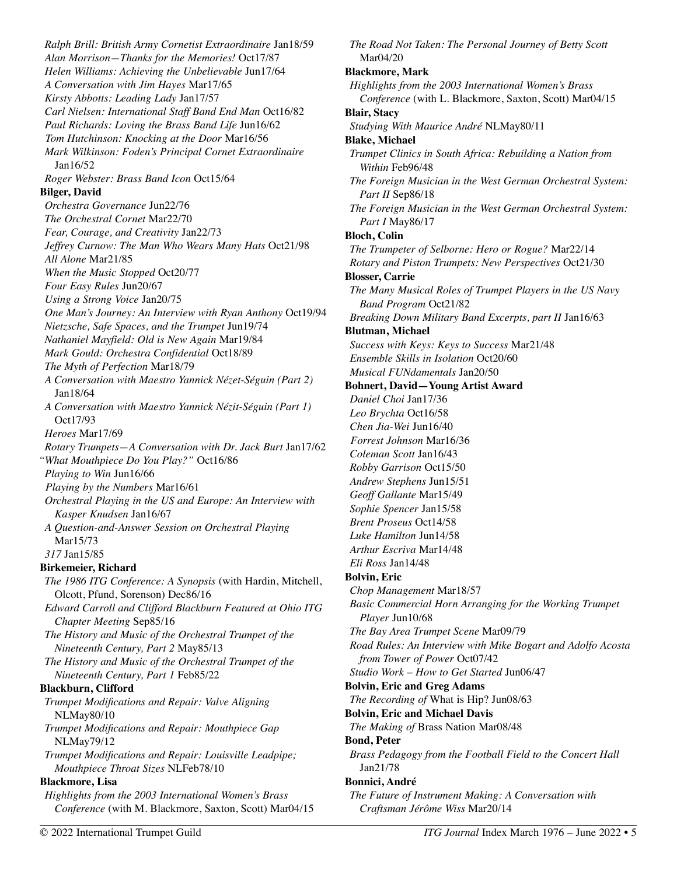*Ralph Brill: British Army Cornetist Extraordinaire* Jan18/59 *Alan Morrison—Thanks for the Memories!* Oct17/87 *Helen Williams: Achieving the Unbelievable* Jun17/64 *A Conversation with Jim Hayes* Mar17/65 *Kirsty Abbotts: Leading Lady* Jan17/57 *Carl Nielsen: International Staff Band End Man* Oct16/82 *Paul Richards: Loving the Brass Band Life* Jun16/62 *Tom Hutchinson: Knocking at the Door* Mar16/56 *Mark Wilkinson: Foden's Principal Cornet Extraordinaire*  Jan16/52 *Roger Webster: Brass Band Icon* Oct15/64 **Bilger, David**  *Orchestra Governance* Jun22/76 *The Orchestral Cornet* Mar22/70 *Fear, Courage, and Creativity* Jan22/73 *Jeffrey Curnow: The Man Who Wears Many Hats* Oct21/98 *All Alone* Mar21/85 *When the Music Stopped* Oct20/77 *Four Easy Rules* Jun20/67 *Using a Strong Voice* Jan20/75 *One Man's Journey: An Interview with Ryan Anthony* Oct19/94 *Nietzsche, Safe Spaces, and the Trumpet* Jun19/74 *Nathaniel Mayfield: Old is New Again* Mar19/84 *Mark Gould: Orchestra Confidential* Oct18/89 *The Myth of Perfection* Mar18/79 *A Conversation with Maestro Yannick Nézet-Séguin (Part 2)* Jan18/64 *A Conversation with Maestro Yannick Nézit-Séguin (Part 1)*  Oct17/93 *Heroes* Mar17/69 *Rotary Trumpets—A Conversation with Dr. Jack Burt* Jan17/62 *"What Mouthpiece Do You Play?"* Oct16/86 *Playing to Win* Jun16/66 *Playing by the Numbers* Mar16/61 *Orchestral Playing in the US and Europe: An Interview with Kasper Knudsen* Jan16/67 *A Question-and-Answer Session on Orchestral Playing*  Mar15/73 *317* Jan15/85 **Birkemeier, Richard**  *The 1986 ITG Conference: A Synopsis* (with Hardin, Mitchell, Olcott, Pfund, Sorenson) Dec86/16 *Edward Carroll and Clifford Blackburn Featured at Ohio ITG Chapter Meeting* Sep85/16 *The History and Music of the Orchestral Trumpet of the Nineteenth Century, Part 2* May85/13 *The History and Music of the Orchestral Trumpet of the Nineteenth Century, Part 1* Feb85/22 **Blackburn, Clifford**  *Trumpet Modifications and Repair: Valve Aligning*  NLMay80/10 *Trumpet Modifications and Repair: Mouthpiece Gap*  NLMay79/12 *Trumpet Modifications and Repair: Louisville Leadpipe; Mouthpiece Throat Sizes* NLFeb78/10 **Blackmore, Lisa**  *Highlights from the 2003 International Women's Brass Conference* (with M. Blackmore, Saxton, Scott) Mar04/15

*The Road Not Taken: The Personal Journey of Betty Scott* Mar04/20 **Blackmore, Mark**  *Highlights from the 2003 International Women's Brass Conference* (with L. Blackmore, Saxton, Scott) Mar04/15 **Blair, Stacy**  *Studying With Maurice André* NLMay80/11 **Blake, Michael**  *Trumpet Clinics in South Africa: Rebuilding a Nation from Within* Feb96/48 *The Foreign Musician in the West German Orchestral System: Part II* Sep86/18 *The Foreign Musician in the West German Orchestral System: Part I* May86/17 **Bloch, Colin**  *The Trumpeter of Selborne: Hero or Rogue?* Mar22/14 *Rotary and Piston Trumpets: New Perspectives* Oct21/30 **Blosser, Carrie**  *The Many Musical Roles of Trumpet Players in the US Navy Band Program* Oct21/82 *Breaking Down Military Band Excerpts, part II* Jan16/63 **Blutman, Michael**  *Success with Keys: Keys to Success* Mar21/48 *Ensemble Skills in Isolation* Oct20/60 *Musical FUNdamentals* Jan20/50 **Bohnert, David—Young Artist Award**  *Daniel Choi* Jan17/36 *Leo Brychta* Oct16/58 *Chen Jia-Wei* Jun16/40 *Forrest Johnson* Mar16/36 *Coleman Scott* Jan16/43 *Robby Garrison* Oct15/50 *Andrew Stephens* Jun15/51 *Geoff Gallante* Mar15/49 *Sophie Spencer* Jan15/58 *Brent Proseus* Oct14/58 *Luke Hamilton* Jun14/58 *Arthur Escriva* Mar14/48 *Eli Ross* Jan14/48 **Bolvin, Eric**  *Chop Management* Mar18/57 *Basic Commercial Horn Arranging for the Working Trumpet Player* Jun10/68 *The Bay Area Trumpet Scene* Mar09/79 *Road Rules: An Interview with Mike Bogart and Adolfo Acosta from Tower of Power* Oct07/42 *Studio Work – How to Get Started* Jun06/47 **Bolvin, Eric and Greg Adams**  *The Recording of* What is Hip? Jun08/63 **Bolvin, Eric and Michael Davis**  *The Making of* Brass Nation Mar08/48 **Bond, Peter**  *Brass Pedagogy from the Football Field to the Concert Hall*  Jan21/78 **Bonnici, André**  *The Future of Instrument Making: A Conversation with Craftsman Jérôme Wiss* Mar20/14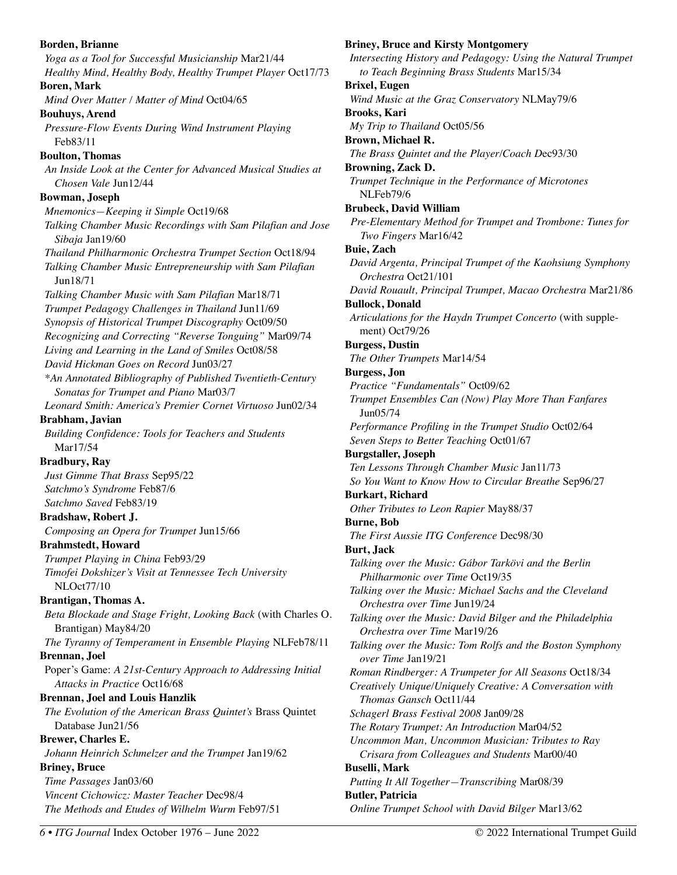**Borden, Brianne**  *Yoga as a Tool for Successful Musicianship* Mar21/44 *Healthy Mind, Healthy Body, Healthy Trumpet Player* Oct17/73 **Boren, Mark**  *Mind Over Matter / Matter of Mind* Oct04/65 **Bouhuys, Arend**  *Pressure-Flow Events During Wind Instrument Playing*  Feb83/11 **Boulton, Thomas**  *An Inside Look at the Center for Advanced Musical Studies at Chosen Vale* Jun12/44 **Bowman, Joseph**  *Mnemonics—Keeping it Simple* Oct19/68 *Talking Chamber Music Recordings with Sam Pilafian and Jose Sibaja* Jan19/60 *Thailand Philharmonic Orchestra Trumpet Section* Oct18/94 *Talking Chamber Music Entrepreneurship with Sam Pilafian*  Jun18/71 *Talking Chamber Music with Sam Pilafian* Mar18/71 *Trumpet Pedagogy Challenges in Thailand* Jun11/69 *Synopsis of Historical Trumpet Discography* Oct09/50 *Recognizing and Correcting "Reverse Tonguing"* Mar09/74 *Living and Learning in the Land of Smiles* Oct08/58 *David Hickman Goes on Record* Jun03/27 *\*An Annotated Bibliography of Published Twentieth-Century Sonatas for Trumpet and Piano* Mar03/7 *Leonard Smith: America's Premier Cornet Virtuoso* Jun02/34 **Brabham, Javian**  *Building Confidence: Tools for Teachers and Students*  Mar17/54 **Bradbury, Ray**  *Just Gimme That Brass* Sep95/22 *Satchmo's Syndrome* Feb87/6 *Satchmo Saved* Feb83/19 **Bradshaw, Robert J.**  *Composing an Opera for Trumpet* Jun15/66 **Brahmstedt, Howard**  *Trumpet Playing in China* Feb93/29 *Timofei Dokshizer's Visit at Tennessee Tech University*  NLOct77/10 **Brantigan, Thomas A.**  *Beta Blockade and Stage Fright, Looking Back* (with Charles O. Brantigan) May84/20 *The Tyranny of Temperament in Ensemble Playing* NLFeb78/11 **Brennan, Joel**  Poper's Game: *A 21st-Century Approach to Addressing Initial Attacks in Practice* Oct16/68 **Brennan, Joel and Louis Hanzlik**  *The Evolution of the American Brass Quintet's* Brass Quintet Database Jun21/56 **Brewer, Charles E.**  *Johann Heinrich Schmelzer and the Trumpet* Jan19/62 **Briney, Bruce**  *Time Passages* Jan03/60 *Vincent Cichowicz: Master Teacher* Dec98/4 *The Methods and Etudes of Wilhelm Wurm* Feb97/51

**Briney, Bruce and Kirsty Montgomery**  *Intersecting History and Pedagogy: Using the Natural Trumpet to Teach Beginning Brass Students* Mar15/34 **Brixel, Eugen**  *Wind Music at the Graz Conservatory* NLMay79/6 **Brooks, Kari**  *My Trip to Thailand* Oct05/56 **Brown, Michael R.**  *The Brass Quintet and the Player/Coach D*ec93/30 **Browning, Zack D.**  *Trumpet Technique in the Performance of Microtones*  NLFeb79/6 **Brubeck, David William**  *Pre-Elementary Method for Trumpet and Trombone: Tunes for Two Fingers* Mar16/42 **Buie, Zach**  *David Argenta, Principal Trumpet of the Kaohsiung Symphony Orchestra* Oct21/101 *David Rouault, Principal Trumpet, Macao Orchestra* Mar21/86 **Bullock, Donald**  *Articulations for the Haydn Trumpet Concerto* (with supplement) Oct79/26 **Burgess, Dustin**  *The Other Trumpets* Mar14/54 **Burgess, Jon**  *Practice "Fundamentals"* Oct09/62 *Trumpet Ensembles Can (Now) Play More Than Fanfares* Jun05/74 *Performance Profiling in the Trumpet Studio* Oct02/64 *Seven Steps to Better Teaching* Oct01/67 **Burgstaller, Joseph**  *Ten Lessons Through Chamber Music* Jan11/73 *So You Want to Know How to Circular Breathe* Sep96/27 **Burkart, Richard**  *Other Tributes to Leon Rapier* May88/37 **Burne, Bob**  *The First Aussie ITG Conference* Dec98/30 **Burt, Jack**  *Talking over the Music: Gábor Tarkövi and the Berlin Philharmonic over Time* Oct19/35 *Talking over the Music: Michael Sachs and the Cleveland Orchestra over Time* Jun19/24 *Talking over the Music: David Bilger and the Philadelphia Orchestra over Time* Mar19/26 *Talking over the Music: Tom Rolfs and the Boston Symphony over Time* Jan19/21 *Roman Rindberger: A Trumpeter for All Seasons* Oct18/34 *Creatively Unique/Uniquely Creative: A Conversation with Thomas Gansch* Oct11/44 *Schagerl Brass Festival 2008* Jan09/28 *The Rotary Trumpet: An Introduction* Mar04/52 *Uncommon Man, Uncommon Musician: Tributes to Ray Crisara from Colleagues and Students* Mar00/40 **Buselli, Mark**  *Putting It All Together—Transcribing* Mar08/39 **Butler, Patricia**  *Online Trumpet School with David Bilger* Mar13/62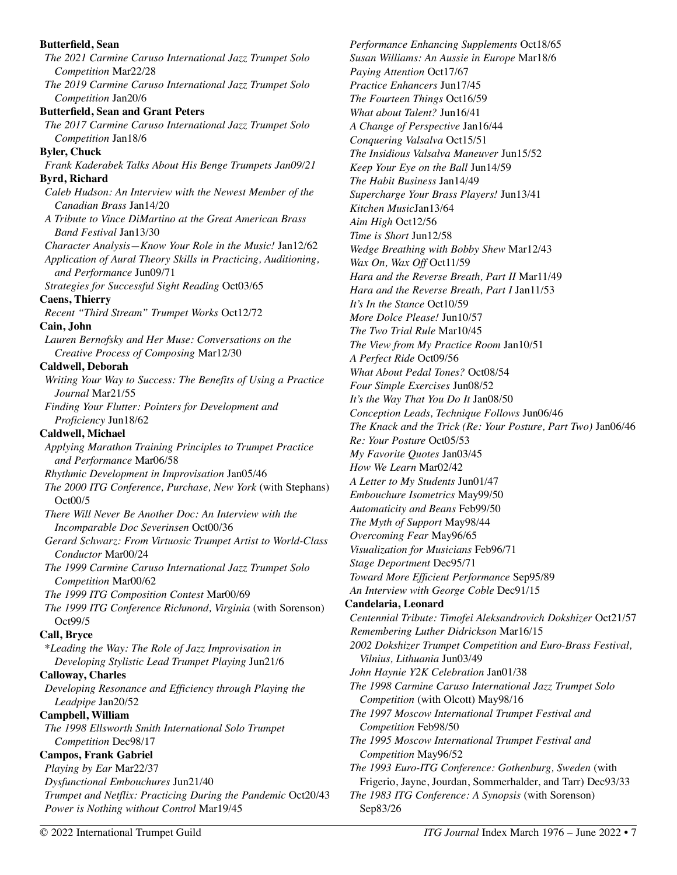## **Butterfield, Sean**  *The 2021 Carmine Caruso International Jazz Trumpet Solo Competition* Mar22/28 *The 2019 Carmine Caruso International Jazz Trumpet Solo Competition* Jan20/6 **Butterfield, Sean and Grant Peters**  *The 2017 Carmine Caruso International Jazz Trumpet Solo Competition* Jan18/6 **Byler, Chuck**  *Frank Kaderabek Talks About His Benge Trumpets Jan09/21*  **Byrd, Richard**  *Caleb Hudson: An Interview with the Newest Member of the Canadian Brass* Jan14/20 *A Tribute to Vince DiMartino at the Great American Brass Band Festival* Jan13/30 *Character Analysis—Know Your Role in the Music!* Jan12/62 *Application of Aural Theory Skills in Practicing, Auditioning, and Performance* Jun09/71 *Strategies for Successful Sight Reading* Oct03/65 **Caens, Thierry**  *Recent "Third Stream" Trumpet Works* Oct12/72 **Cain, John**  *Lauren Bernofsky and Her Muse: Conversations on the Creative Process of Composing* Mar12/30 **Caldwell, Deborah**  *Writing Your Way to Success: The Benefits of Using a Practice Journal* Mar21/55 *Finding Your Flutter: Pointers for Development and Proficiency* Jun18/62 **Caldwell, Michael**  *Applying Marathon Training Principles to Trumpet Practice and Performance* Mar06/58 *Rhythmic Development in Improvisation* Jan05/46 *The 2000 ITG Conference, Purchase, New York* (with Stephans) Oct00/5 *There Will Never Be Another Doc: An Interview with the Incomparable Doc Severinsen* Oct00/36 *Gerard Schwarz: From Virtuosic Trumpet Artist to World-Class Conductor* Mar00/24 *The 1999 Carmine Caruso International Jazz Trumpet Solo Competition* Mar00/62 *The 1999 ITG Composition Contest* Mar00/69 *The 1999 ITG Conference Richmond, Virginia* (with Sorenson) Oct99/5 **Call, Bryce**  \**Leading the Way: The Role of Jazz Improvisation in Developing Stylistic Lead Trumpet Playing* Jun21/6 **Calloway, Charles**  *Developing Resonance and Efficiency through Playing the Leadpipe* Jan20/52 **Campbell, William**  *The 1998 Ellsworth Smith International Solo Trumpet Competition* Dec98/17 **Campos, Frank Gabriel**  *Playing by Ear* Mar22/37 *Dysfunctional Embouchures* Jun21/40 *Trumpet and Netflix: Practicing During the Pandemic* Oct20/43 *Power is Nothing without Control* Mar19/45

*Performance Enhancing Supplements* Oct18/65 *Susan Williams: An Aussie in Europe* Mar18/6 *Paying Attention* Oct17/67 *Practice Enhancers* Jun17/45 *The Fourteen Things* Oct16/59 *What about Talent?* Jun16/41 *A Change of Perspective* Jan16/44 *Conquering Valsalva* Oct15/51 *The Insidious Valsalva Maneuver* Jun15/52 *Keep Your Eye on the Ball* Jun14/59 *The Habit Business* Jan14/49 *Supercharge Your Brass Players!* Jun13/41 *Kitchen Music*Jan13/64 *Aim High* Oct12/56 *Time is Short* Jun12/58 *Wedge Breathing with Bobby Shew* Mar12/43 *Wax On, Wax Off Oct11/59 Hara and the Reverse Breath, Part II* Mar11/49 *Hara and the Reverse Breath, Part I* Jan11/53 *It's In the Stance* Oct10/59 *More Dolce Please!* Jun10/57 *The Two Trial Rule* Mar10/45 *The View from My Practice Room* Jan10/51 *A Perfect Ride* Oct09/56 *What About Pedal Tones?* Oct08/54 *Four Simple Exercises* Jun08/52 *It's the Way That You Do It* Jan08/50 *Conception Leads, Technique Follows* Jun06/46 *The Knack and the Trick (Re: Your Posture, Part Two)* Jan06/46 *Re: Your Posture* Oct05/53 *My Favorite Quotes* Jan03/45 *How We Learn* Mar02/42 *A Letter to My Students* Jun01/47 *Embouchure Isometrics* May99/50 *Automaticity and Beans* Feb99/50 *The Myth of Support* May98/44 *Overcoming Fear* May96/65 *Visualization for Musicians* Feb96/71 *Stage Deportment* Dec95/71 *Toward More Efficient Performance* Sep95/89 *An Interview with George Coble* Dec91/15 **Candelaria, Leonard**  *Centennial Tribute: Timofei Aleksandrovich Dokshizer* Oct21/57 *Remembering Luther Didrickson* Mar16/15 *2002 Dokshizer Trumpet Competition and Euro-Brass Festival, Vilnius, Lithuania* Jun03/49 *John Haynie Y2K Celebration* Jan01/38 *The 1998 Carmine Caruso International Jazz Trumpet Solo Competition* (with Olcott) May98/16 *The 1997 Moscow International Trumpet Festival and Competition* Feb98/50 *The 1995 Moscow International Trumpet Festival and Competition* May96/52 *The 1993 Euro-ITG Conference: Gothenburg, Sweden* (with Frigerio, Jayne, Jourdan, Sommerhalder, and Tarr) Dec93/33 *The 1983 ITG Conference: A Synopsis* (with Sorenson) Sep83/26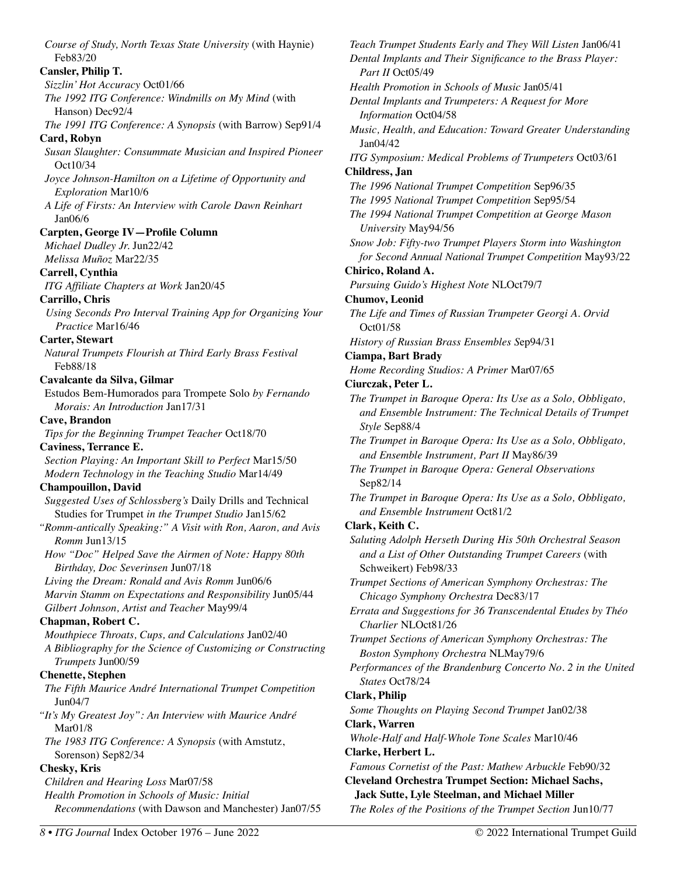*Course of Study, North Texas State University* (with Haynie) Feb83/20 **Cansler, Philip T.**  *Sizzlin' Hot Accuracy* Oct01/66 *The 1992 ITG Conference: Windmills on My Mind* (with Hanson) Dec92/4 *The 1991 ITG Conference: A Synopsis* (with Barrow) Sep91/4 **Card, Robyn**  *Susan Slaughter: Consummate Musician and Inspired Pioneer*  Oct10/34 *Joyce Johnson-Hamilton on a Lifetime of Opportunity and Exploration* Mar10/6 *A Life of Firsts: An Interview with Carole Dawn Reinhart*  Jan06/6 **Carpten, George IV—Profile Column**  *Michael Dudley Jr.* Jun22/42 *Melissa Muñoz* Mar22/35 **Carrell, Cynthia**  *ITG Affiliate Chapters at Work* Jan20/45 **Carrillo, Chris**  *Using Seconds Pro Interval Training App for Organizing Your Practice* Mar16/46 **Carter, Stewart**  *Natural Trumpets Flourish at Third Early Brass Festival*  Feb88/18 **Cavalcante da Silva, Gilmar**  Estudos Bem-Humorados para Trompete Solo *by Fernando Morais: An Introduction* Jan17/31 **Cave, Brandon**  *Tips for the Beginning Trumpet Teacher* Oct18/70 **Caviness, Terrance E.**  *Section Playing: An Important Skill to Perfect* Mar15/50 *Modern Technology in the Teaching Studio* Mar14/49 **Champouillon, David**  *Suggested Uses of Schlossberg's* Daily Drills and Technical Studies for Trumpet *in the Trumpet Studio* Jan15/62 *"Romm-antically Speaking:" A Visit with Ron, Aaron, and Avis Romm* Jun13/15 *How "Doc" Helped Save the Airmen of Note: Happy 80th Birthday, Doc Severinsen* Jun07/18 *Living the Dream: Ronald and Avis Romm* Jun06/6 *Marvin Stamm on Expectations and Responsibility* Jun05/44 *Gilbert Johnson, Artist and Teacher* May99/4 **Chapman, Robert C.**  *Mouthpiece Throats, Cups, and Calculations* Jan02/40 *A Bibliography for the Science of Customizing or Constructing Trumpets* Jun00/59 **Chenette, Stephen**  *The Fifth Maurice André International Trumpet Competition*  Jun04/7 *"It's My Greatest Joy": An Interview with Maurice André*  Mar01/8 *The 1983 ITG Conference: A Synopsis* (with Amstutz, Sorenson) Sep82/34 **Chesky, Kris**  *Children and Hearing Loss* Mar07/58 *Health Promotion in Schools of Music: Initial Recommendations* (with Dawson and Manchester) Jan07/55

*Teach Trumpet Students Early and They Will Listen* Jan06/41 *Dental Implants and Their Significance to the Brass Player: Part II* Oct05/49 *Health Promotion in Schools of Music* Jan05/41 *Dental Implants and Trumpeters: A Request for More Information* Oct04/58 *Music, Health, and Education: Toward Greater Understanding*  Jan04/42 *ITG Symposium: Medical Problems of Trumpeters* Oct03/61 **Childress, Jan**  *The 1996 National Trumpet Competition* Sep96/35 *The 1995 National Trumpet Competition* Sep95/54 *The 1994 National Trumpet Competition at George Mason University* May94/56 *Snow Job: Fifty-two Trumpet Players Storm into Washington for Second Annual National Trumpet Competition* May93/22 **Chirico, Roland A.**  *Pursuing Guido's Highest Note* NLOct79/7 **Chumov, Leonid**  *The Life and Times of Russian Trumpeter Georgi A. Orvid* Oct01/58 *History of Russian Brass Ensembles S*ep94/31 **Ciampa, Bart Brady**  *Home Recording Studios: A Primer* Mar07/65 **Ciurczak, Peter L.**  *The Trumpet in Baroque Opera: Its Use as a Solo, Obbligato, and Ensemble Instrument: The Technical Details of Trumpet Style* Sep88/4 *The Trumpet in Baroque Opera: Its Use as a Solo, Obbligato, and Ensemble Instrument, Part II* May86/39 *The Trumpet in Baroque Opera: General Observations*  Sep82/14 *The Trumpet in Baroque Opera: Its Use as a Solo, Obbligato, and Ensemble Instrument* Oct81/2 **Clark, Keith C.**  *Saluting Adolph Herseth During His 50th Orchestral Season and a List of Other Outstanding Trumpet Careers* (with Schweikert) Feb98/33 *Trumpet Sections of American Symphony Orchestras: The Chicago Symphony Orchestra* Dec83/17 *Errata and Suggestions for 36 Transcendental Etudes by Théo Charlier* NLOct81/26 *Trumpet Sections of American Symphony Orchestras: The Boston Symphony Orchestra* NLMay79/6 *Performances of the Brandenburg Concerto No. 2 in the United States* Oct78/24 **Clark, Philip**  *Some Thoughts on Playing Second Trumpet* Jan02/38 **Clark, Warren**  *Whole-Half and Half-Whole Tone Scales* Mar10/46 **Clarke, Herbert L.**  *Famous Cornetist of the Past: Mathew Arbuckle* Feb90/32 **Cleveland Orchestra Trumpet Section: Michael Sachs, Jack Sutte, Lyle Steelman, and Michael Miller**  *The Roles of the Positions of the Trumpet Section* Jun10/77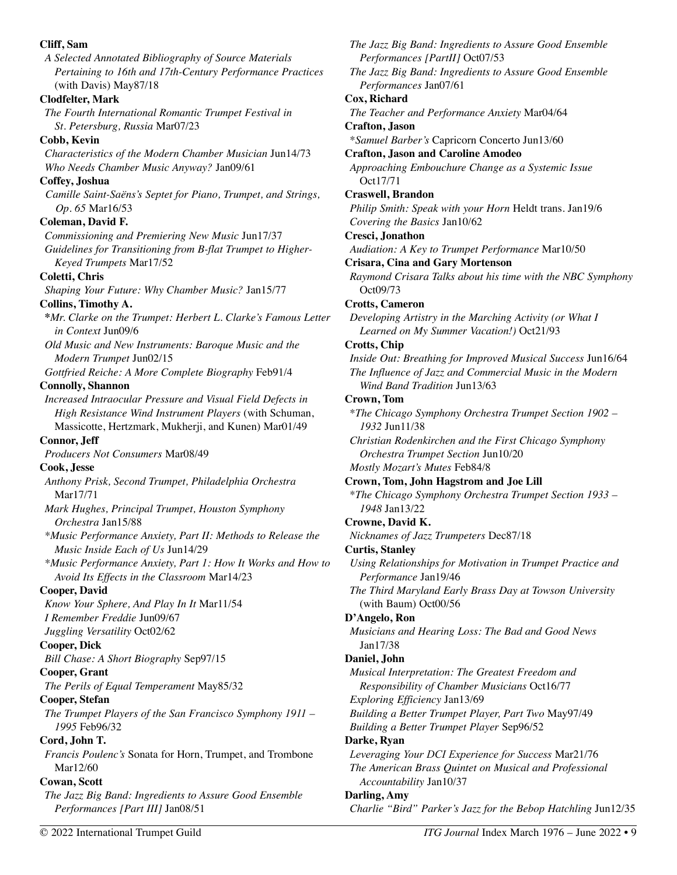| Cliff, Sam<br>A Selected Annotated Bibliography of Source Materials<br>Pertaining to 16th and 17th-Century Performance Practices | The Jazz Big Band: Ingredients to Assure Good Ensemble<br>Performances [PartII] Oct07/53<br>The Jazz Big Band: Ingredients to Assure Good Ensemble |
|----------------------------------------------------------------------------------------------------------------------------------|----------------------------------------------------------------------------------------------------------------------------------------------------|
| (with Davis) May87/18                                                                                                            | Performances Jan07/61                                                                                                                              |
| <b>Clodfelter, Mark</b>                                                                                                          | Cox, Richard                                                                                                                                       |
| The Fourth International Romantic Trumpet Festival in                                                                            | The Teacher and Performance Anxiety Mar04/64                                                                                                       |
| St. Petersburg, Russia Mar07/23                                                                                                  | Crafton, Jason                                                                                                                                     |
| Cobb, Kevin                                                                                                                      | *Samuel Barber's Capricorn Concerto Jun13/60                                                                                                       |
| Characteristics of the Modern Chamber Musician Jun14/73                                                                          | <b>Crafton, Jason and Caroline Amodeo</b>                                                                                                          |
| Who Needs Chamber Music Anyway? Jan09/61                                                                                         | Approaching Embouchure Change as a Systemic Issue                                                                                                  |
| Coffey, Joshua                                                                                                                   | Oct17/71                                                                                                                                           |
| Camille Saint-Saëns's Septet for Piano, Trumpet, and Strings,                                                                    | <b>Craswell</b> , Brandon                                                                                                                          |
| Op. 65 Mar16/53                                                                                                                  | Philip Smith: Speak with your Horn Heldt trans. Jan19/6                                                                                            |
| Coleman, David F.                                                                                                                | Covering the Basics Jan10/62                                                                                                                       |
| Commissioning and Premiering New Music Jun17/37                                                                                  | Cresci, Jonathon                                                                                                                                   |
| Guidelines for Transitioning from B-flat Trumpet to Higher-                                                                      | Audiation: A Key to Trumpet Performance Mar10/50                                                                                                   |
| Keyed Trumpets Mar17/52                                                                                                          | <b>Crisara, Cina and Gary Mortenson</b>                                                                                                            |
| Coletti, Chris                                                                                                                   | Raymond Crisara Talks about his time with the NBC Symphony<br>Oct09/73                                                                             |
| Shaping Your Future: Why Chamber Music? Jan15/77<br>Collins, Timothy A.                                                          | <b>Crotts, Cameron</b>                                                                                                                             |
| *Mr. Clarke on the Trumpet: Herbert L. Clarke's Famous Letter                                                                    | Developing Artistry in the Marching Activity (or What I                                                                                            |
| in Context Jun09/6                                                                                                               | Learned on My Summer Vacation!) Oct21/93                                                                                                           |
| Old Music and New Instruments: Baroque Music and the                                                                             | <b>Crotts</b> , Chip                                                                                                                               |
| Modern Trumpet Jun02/15                                                                                                          | Inside Out: Breathing for Improved Musical Success Jun16/64                                                                                        |
| Gottfried Reiche: A More Complete Biography Feb91/4                                                                              | The Influence of Jazz and Commercial Music in the Modern                                                                                           |
| <b>Connolly, Shannon</b>                                                                                                         | Wind Band Tradition Jun13/63                                                                                                                       |
| Increased Intraocular Pressure and Visual Field Defects in                                                                       | Crown, Tom                                                                                                                                         |
| High Resistance Wind Instrument Players (with Schuman,                                                                           | *The Chicago Symphony Orchestra Trumpet Section 1902 -                                                                                             |
| Massicotte, Hertzmark, Mukherji, and Kunen) Mar01/49                                                                             | 1932 Jun11/38                                                                                                                                      |
| Connor, Jeff                                                                                                                     | Christian Rodenkirchen and the First Chicago Symphony                                                                                              |
| Producers Not Consumers Mar08/49                                                                                                 | Orchestra Trumpet Section Jun10/20                                                                                                                 |
| Cook, Jesse                                                                                                                      | Mostly Mozart's Mutes Feb84/8                                                                                                                      |
| Anthony Prisk, Second Trumpet, Philadelphia Orchestra                                                                            | Crown, Tom, John Hagstrom and Joe Lill                                                                                                             |
| Mar17/71                                                                                                                         | *The Chicago Symphony Orchestra Trumpet Section 1933 -                                                                                             |
| Mark Hughes, Principal Trumpet, Houston Symphony                                                                                 | 1948 Jan13/22                                                                                                                                      |
| Orchestra Jan15/88                                                                                                               | Crowne, David K.                                                                                                                                   |
| *Music Performance Anxiety, Part II: Methods to Release the                                                                      | Nicknames of Jazz Trumpeters Dec87/18                                                                                                              |
| Music Inside Each of Us Jun14/29                                                                                                 | <b>Curtis, Stanley</b>                                                                                                                             |
| *Music Performance Anxiety, Part 1: How It Works and How to<br>Avoid Its Effects in the Classroom Mar14/23                       | Using Relationships for Motivation in Trumpet Practice and<br>Performance Jan19/46                                                                 |
| <b>Cooper, David</b>                                                                                                             | The Third Maryland Early Brass Day at Towson University                                                                                            |
| Know Your Sphere, And Play In It Mar11/54                                                                                        | (with Baum) Oct00/56                                                                                                                               |
| I Remember Freddie Jun09/67                                                                                                      | D'Angelo, Ron                                                                                                                                      |
| Juggling Versatility Oct02/62                                                                                                    | Musicians and Hearing Loss: The Bad and Good News                                                                                                  |
| <b>Cooper, Dick</b>                                                                                                              | Jan17/38                                                                                                                                           |
| Bill Chase: A Short Biography Sep97/15                                                                                           | Daniel, John                                                                                                                                       |
| Cooper, Grant                                                                                                                    | Musical Interpretation: The Greatest Freedom and                                                                                                   |
| The Perils of Equal Temperament May85/32                                                                                         | Responsibility of Chamber Musicians Oct16/77                                                                                                       |
| Cooper, Stefan                                                                                                                   | Exploring Efficiency Jan13/69                                                                                                                      |
| The Trumpet Players of the San Francisco Symphony 1911 –<br>1995 Feb96/32                                                        | Building a Better Trumpet Player, Part Two May97/49                                                                                                |
|                                                                                                                                  | Building a Better Trumpet Player Sep96/52                                                                                                          |
| Cord, John T.<br>Francis Poulenc's Sonata for Horn, Trumpet, and Trombone                                                        | Darke, Ryan<br>Leveraging Your DCI Experience for Success Mar21/76                                                                                 |
| Mar12/60                                                                                                                         | The American Brass Quintet on Musical and Professional                                                                                             |
| Cowan, Scott                                                                                                                     | Accountability Jan10/37                                                                                                                            |
| The Jazz Big Band: Ingredients to Assure Good Ensemble                                                                           | Darling, Amy                                                                                                                                       |
| Performances [Part III] Jan08/51                                                                                                 | Charlie "Bird" Parker's Jazz for the Bebop Hatchling Jun12/35                                                                                      |
|                                                                                                                                  |                                                                                                                                                    |
| © 2022 International Trumpet Guild                                                                                               | ITG Journal Index March 1976 - June 2022 . 9                                                                                                       |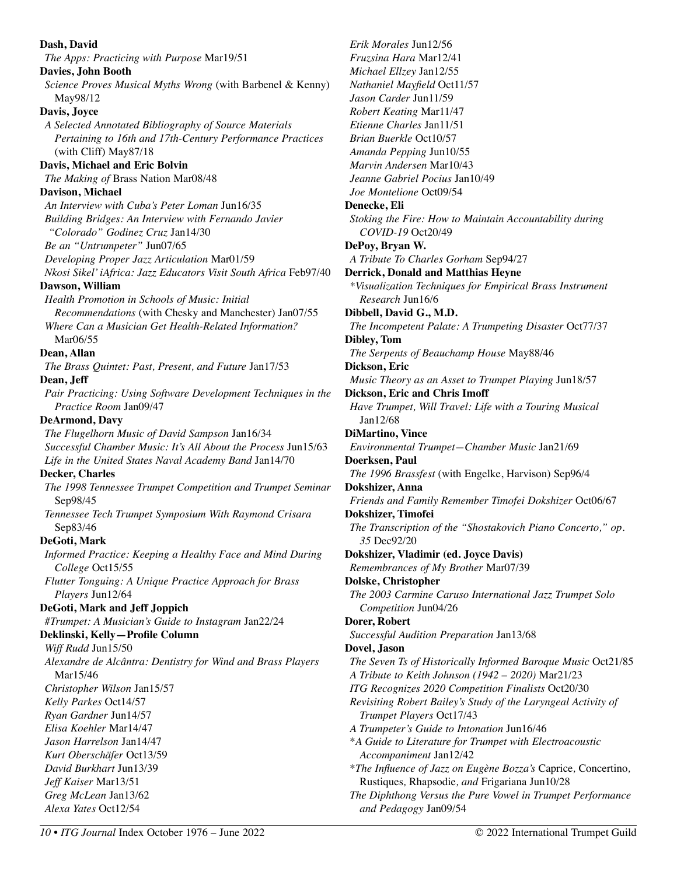**Dash, David**  *The Apps: Practicing with Purpose* Mar19/51 **Davies, John Booth**  *Science Proves Musical Myths Wrong* (with Barbenel & Kenny) May98/12 **Davis, Joyce**  *A Selected Annotated Bibliography of Source Materials Pertaining to 16th and 17th-Century Performance Practices*  (with Cliff) May87/18 **Davis, Michael and Eric Bolvin**  *The Making of* Brass Nation Mar08/48 **Davison, Michael**  *An Interview with Cuba's Peter Loman* Jun16/35 *Building Bridges: An Interview with Fernando Javier "Colorado" Godinez Cruz* Jan14/30 *Be an "Untrumpeter"* Jun07/65 *Developing Proper Jazz Articulation* Mar01/59 *Nkosi Sikel' iAfrica: Jazz Educators Visit South Africa* Feb97/40 **Dawson, William**  *Health Promotion in Schools of Music: Initial Recommendations* (with Chesky and Manchester) Jan07/55 *Where Can a Musician Get Health-Related Information?*  Mar06/55 **Dean, Allan**  *The Brass Quintet: Past, Present, and Future* Jan17/53 **Dean, Jeff**  *Pair Practicing: Using Software Development Techniques in the Practice Room* Jan09/47 **DeArmond, Davy**  *The Flugelhorn Music of David Sampson* Jan16/34 *Successful Chamber Music: It's All About the Process* Jun15/63 *Life in the United States Naval Academy Band* Jan14/70 **Decker, Charles**  *The 1998 Tennessee Trumpet Competition and Trumpet Seminar*  Sep98/45 *Tennessee Tech Trumpet Symposium With Raymond Crisara*  Sep83/46 **DeGoti, Mark**  *Informed Practice: Keeping a Healthy Face and Mind During College* Oct15/55 *Flutter Tonguing: A Unique Practice Approach for Brass Players* Jun12/64 **DeGoti, Mark and Jeff Joppich**  *#Trumpet: A Musician's Guide to Instagram* Jan22/24 **Deklinski, Kelly—Profile Column**  *Wiff Rudd* Jun15/50 *Alexandre de Alcântra: Dentistry for Wind and Brass Players*  Mar15/46 *Christopher Wilson* Jan15/57 *Kelly Parkes* Oct14/57 *Ryan Gardner* Jun14/57 *Elisa Koehler* Mar14/47 *Jason Harrelson* Jan14/47 *Kurt Oberschäfer* Oct13/59 *David Burkhart* Jun13/39 *Jeff Kaiser* Mar13/51 *Greg McLean* Jan13/62 *Alexa Yates* Oct12/54 *Erik Morales* Jun12/56 *Fruzsina Hara* Mar12/41 *Michael Ellzey* Jan12/55 *Nathaniel Mayfield* Oct11/57 *Jason Carder* Jun11/59 *Robert Keating* Mar11/47 *Etienne Charles* Jan11/51 *Brian Buerkle* Oct10/57 *Amanda Pepping* Jun10/55 *Marvin Andersen* Mar10/43 *Jeanne Gabriel Pocius* Jan10/49 *Joe Montelione* Oct09/54 **Denecke, Eli**  *Stoking the Fire: How to Maintain Accountability during*  **DePoy, Bryan W.**  *A Tribute To Charles Gorham* Sep94/27 **Derrick, Donald and Matthias Heyne Dibbell, David G., M.D.**  *The Incompetent Palate: A Trumpeting Disaster* Oct77/37 **Dibley, Tom**  *The Serpents of Beauchamp House* May88/46 **Dickson, Eric**  *Music Theory as an Asset to Trumpet Playing* Jun18/57 **Dickson, Eric and Chris Imoff**  *Have Trumpet, Will Travel: Life with a Touring Musical*  **DiMartino, Vince**  *Environmental Trumpet—Chamber Music* Jan21/69 **Doerksen, Paul**  *The 1996 Brassfest* (with Engelke, Harvison) Sep96/4 **Dokshizer, Anna**  *Friends and Family Remember Timofei Dokshizer* Oct06/67 **Dokshizer, Timofei**  *The Transcription of the "Shostakovich Piano Concerto," op.*  **Dokshizer, Vladimir (ed. Joyce Davis)**  *Remembrances of My Brother* Mar07/39 **Dolske, Christopher**  *The 2003 Carmine Caruso International Jazz Trumpet Solo*  **Dorer, Robert**  *Successful Audition Preparation* Jan13/68 **Dovel, Jason**  *The Seven Ts of Historically Informed Baroque Music* Oct21/85 *A Tribute to Keith Johnson (1942 – 2020)* Mar21/23 *ITG Recognizes 2020 Competition Finalists* Oct20/30 *Revisiting Robert Bailey's Study of the Laryngeal Activity of A Trumpeter's Guide to Intonation* Jun16/46 \**A Guide to Literature for Trumpet with Electroacoustic*  \**The Influence of Jazz on Eugène Bozza's* Caprice*,* Concertino*, The Diphthong Versus the Pure Vowel in Trumpet Performance* 

*COVID-19* Oct20/49

*Research* Jun16/6

Jan12/68

*35* Dec92/20

*Competition* Jun04/26

*Trumpet Players* Oct17/43

*Accompaniment* Jan12/42

*and Pedagogy* Jan09/54

Rustiques*,* Rhapsodie*, and* Frigariana Jun10/28

*\*Visualization Techniques for Empirical Brass Instrument*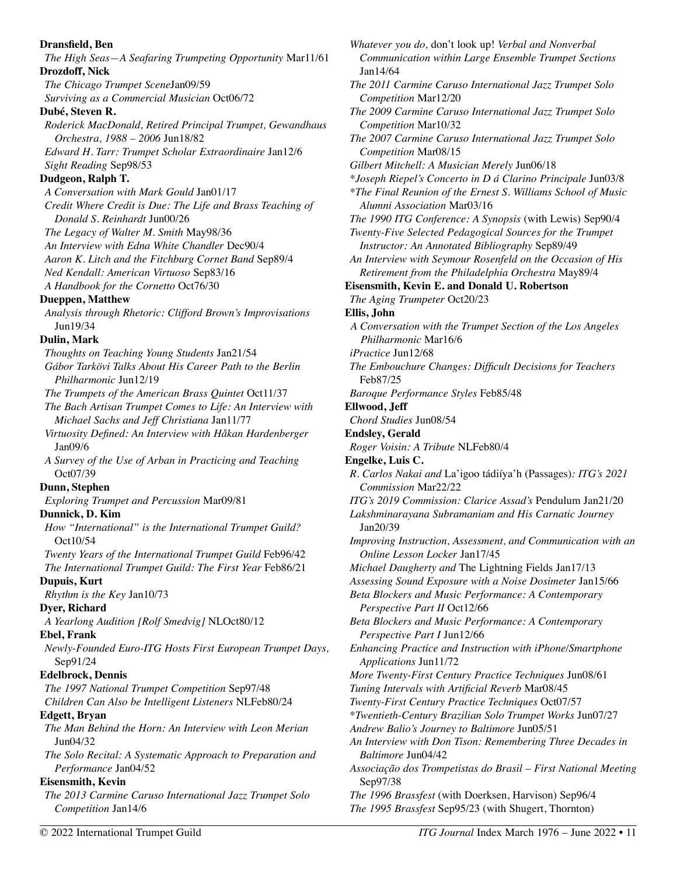**Dransfield, Ben**  *The High Seas—A Seafaring Trumpeting Opportunity* Mar11/61 **Drozdoff, Nick**  *The Chicago Trumpet Scene*Jan09/59 *Surviving as a Commercial Musician* Oct06/72 **Dubé, Steven R.**  *Roderick MacDonald, Retired Principal Trumpet, Gewandhaus Orchestra, 1988 – 2006* Jun18/82 *Edward H. Tarr: Trumpet Scholar Extraordinaire* Jan12/6 *Sight Reading* Sep98/53 **Dudgeon, Ralph T.**  *A Conversation with Mark Gould* Jan01/17 *Credit Where Credit is Due: The Life and Brass Teaching of Donald S. Reinhardt* Jun00/26 *The Legacy of Walter M. Smith* May98/36 *An Interview with Edna White Chandler* Dec90/4 *Aaron K. Litch and the Fitchburg Cornet Band* Sep89/4 *Ned Kendall: American Virtuoso* Sep83/16 *A Handbook for the Cornetto* Oct76/30 **Dueppen, Matthew**  *Analysis through Rhetoric: Clifford Brown's Improvisations*  Jun19/34 **Dulin, Mark**  *Thoughts on Teaching Young Students* Jan21/54 *Gábor Tarkövi Talks About His Career Path to the Berlin Philharmonic* Jun12/19 *The Trumpets of the American Brass Quintet* Oct11/37 *The Bach Artisan Trumpet Comes to Life: An Interview with Michael Sachs and Jeff Christiana* Jan11/77 *Virtuosity Defined: An Interview with Håkan Hardenberger*  Jan09/6 *A Survey of the Use of Arban in Practicing and Teaching*  Oct07/39 **Dunn, Stephen**  *Exploring Trumpet and Percussion* Mar09/81 **Dunnick, D. Kim**  *How "International" is the International Trumpet Guild?*  Oct10/54 *Twenty Years of the International Trumpet Guild* Feb96/42 *The International Trumpet Guild: The First Year* Feb86/21 **Dupuis, Kurt**  *Rhythm is the Key* Jan10/73 **Dyer, Richard**  *A Yearlong Audition [Rolf Smedvig]* NLOct80/12 **Ebel, Frank**  *Newly-Founded Euro-ITG Hosts First European Trumpet Days,*  Sep91/24 **Edelbrock, Dennis**  *The 1997 National Trumpet Competition* Sep97/48 *Children Can Also be Intelligent Listeners* NLFeb80/24 **Edgett, Bryan**  *The Man Behind the Horn: An Interview with Leon Merian*  Jun04/32 *The Solo Recital: A Systematic Approach to Preparation and Performance* Jan04/52 **Eisensmith, Kevin**  *The 2013 Carmine Caruso International Jazz Trumpet Solo Competition* Jan14/6 *The 1995 Brassfest* Sep95/23 (with Shugert, Thornton)

*Whatever you do,* don't look up! *Verbal and Nonverbal Communication within Large Ensemble Trumpet Sections*  Jan14/64 *The 2011 Carmine Caruso International Jazz Trumpet Solo Competition* Mar12/20 *The 2009 Carmine Caruso International Jazz Trumpet Solo Competition* Mar10/32 *The 2007 Carmine Caruso International Jazz Trumpet Solo Competition* Mar08/15 *Gilbert Mitchell: A Musician Merely* Jun06/18 *\*Joseph Riepel's Concerto in D á Clarino Principale* Jun03/8 *\*The Final Reunion of the Ernest S. Williams School of Music Alumni Association* Mar03/16 *The 1990 ITG Conference: A Synopsis* (with Lewis) Sep90/4 *Twenty-Five Selected Pedagogical Sources for the Trumpet Instructor: An Annotated Bibliography* Sep89/49 *An Interview with Seymour Rosenfeld on the Occasion of His Retirement from the Philadelphia Orchestra* May89/4 **Eisensmith, Kevin E. and Donald U. Robertson**  *The Aging Trumpeter* Oct20/23 **Ellis, John**  *A Conversation with the Trumpet Section of the Los Angeles Philharmonic* Mar16/6 *iPractice* Jun12/68 *The Embouchure Changes: Difficult Decisions for Teachers*  Feb87/25 *Baroque Performance Styles* Feb85/48 **Ellwood, Jeff**  *Chord Studies* Jun08/54 **Endsley, Gerald**  *Roger Voisin: A Tribute* NLFeb80/4 **Engelke, Luis C.**  *R. Carlos Nakai and* La'igoo tádiíya'h (Passages)*: ITG's 2021 Commission* Mar22/22 *ITG's 2019 Commission: Clarice Assad's* Pendulum Jan21/20 *Lakshminarayana Subramaniam and His Carnatic Journey*  Jan20/39 *Improving Instruction, Assessment, and Communication with an Online Lesson Locker* Jan17/45 *Michael Daugherty and* The Lightning Fields Jan17/13 *Assessing Sound Exposure with a Noise Dosimeter* Jan15/66 *Beta Blockers and Music Performance: A Contemporary Perspective Part II* Oct12/66 *Beta Blockers and Music Performance: A Contemporary Perspective Part I* Jun12/66 *Enhancing Practice and Instruction with iPhone/Smartphone Applications* Jun11/72 *More Twenty-First Century Practice Techniques* Jun08/61 *Tuning Intervals with Artificial Reverb* Mar08/45 *Twenty-First Century Practice Techniques* Oct07/57 \**Twentieth-Century Brazilian Solo Trumpet Works* Jun07/27 *Andrew Balio's Journey to Baltimore* Jun05/51 *An Interview with Don Tison: Remembering Three Decades in Baltimore* Jun04/42 *Associação dos Trompetistas do Brasil – First National Meeting*  Sep97/38 *The 1996 Brassfest* (with Doerksen, Harvison) Sep96/4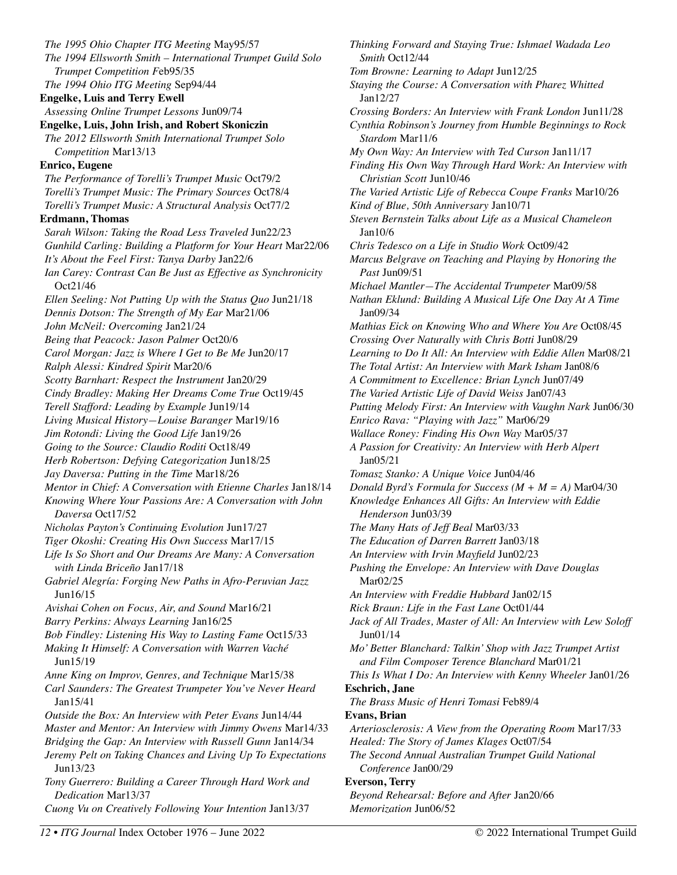*The 1995 Ohio Chapter ITG Meeting* May95/57 *The 1994 Ellsworth Smith – International Trumpet Guild Solo Trumpet Competition F*eb95/35 *The 1994 Ohio ITG Meeting* Sep94/44 **Engelke, Luis and Terry Ewell**  *Assessing Online Trumpet Lessons* Jun09/74 **Engelke, Luis, John Irish, and Robert Skoniczin**  *The 2012 Ellsworth Smith International Trumpet Solo Competition* Mar13/13 **Enrico, Eugene**  *The Performance of Torelli's Trumpet Music* Oct79/2 *Torelli's Trumpet Music: The Primary Sources* Oct78/4 *Torelli's Trumpet Music: A Structural Analysis* Oct77/2 **Erdmann, Thomas**  *Sarah Wilson: Taking the Road Less Traveled* Jun22/23 *Gunhild Carling: Building a Platform for Your Heart* Mar22/06 *It's About the Feel First: Tanya Darby* Jan22/6 *Ian Carey: Contrast Can Be Just as Effective as Synchronicity*  Oct21/46 *Ellen Seeling: Not Putting Up with the Status Quo* Jun21/18 *Dennis Dotson: The Strength of My Ear* Mar21/06 *John McNeil: Overcoming* Jan21/24 *Being that Peacock: Jason Palmer* Oct20/6 *Carol Morgan: Jazz is Where I Get to Be Me* Jun20/17 *Ralph Alessi: Kindred Spirit* Mar20/6 *Scotty Barnhart: Respect the Instrument* Jan20/29 *Cindy Bradley: Making Her Dreams Come True* Oct19/45 *Terell Stafford: Leading by Example* Jun19/14 *Living Musical History—Louise Baranger* Mar19/16 *Jim Rotondi: Living the Good Life* Jan19/26 *Going to the Source: Claudio Roditi* Oct18/49 *Herb Robertson: Defying Categorization* Jun18/25 *Jay Daversa: Putting in the Time* Mar18/26 *Mentor in Chief: A Conversation with Etienne Charles* Jan18/14 *Knowing Where Your Passions Are: A Conversation with John Daversa* Oct17/52 *Nicholas Payton's Continuing Evolution* Jun17/27 *Tiger Okoshi: Creating His Own Success* Mar17/15 *Life Is So Short and Our Dreams Are Many: A Conversation with Linda Briceño* Jan17/18 *Gabriel Alegría: Forging New Paths in Afro-Peruvian Jazz*  Jun16/15 *Avishai Cohen on Focus, Air, and Sound* Mar16/21 *Barry Perkins: Always Learning* Jan16/25 *Bob Findley: Listening His Way to Lasting Fame* Oct15/33 *Making It Himself: A Conversation with Warren Vaché*  Jun15/19 *Anne King on Improv, Genres, and Technique* Mar15/38 *Carl Saunders: The Greatest Trumpeter You've Never Heard*  Jan15/41 *Outside the Box: An Interview with Peter Evans* Jun14/44 *Master and Mentor: An Interview with Jimmy Owens* Mar14/33 *Bridging the Gap: An Interview with Russell Gunn* Jan14/34 *Jeremy Pelt on Taking Chances and Living Up To Expectations*  Jun13/23 *Tony Guerrero: Building a Career Through Hard Work and Dedication* Mar13/37 *Cuong Vu on Creatively Following Your Intention* Jan13/37

*Thinking Forward and Staying True: Ishmael Wadada Leo Smith* Oct12/44 *Tom Browne: Learning to Adapt* Jun12/25 *Staying the Course: A Conversation with Pharez Whitted*  Jan12/27 *Crossing Borders: An Interview with Frank London* Jun11/28 *Cynthia Robinson's Journey from Humble Beginnings to Rock Stardom* Mar11/6 *My Own Way: An Interview with Ted Curson* Jan11/17 *Finding His Own Way Through Hard Work: An Interview with Christian Scott* Jun10/46 *The Varied Artistic Life of Rebecca Coupe Franks* Mar10/26 *Kind of Blue, 50th Anniversary* Jan10/71 *Steven Bernstein Talks about Life as a Musical Chameleon*  Jan10/6 *Chris Tedesco on a Life in Studio Work* Oct09/42 *Marcus Belgrave on Teaching and Playing by Honoring the Past* Jun09/51 *Michael Mantler—The Accidental Trumpeter* Mar09/58 *Nathan Eklund: Building A Musical Life One Day At A Time*  Jan09/34 *Mathias Eick on Knowing Who and Where You Are* Oct08/45 *Crossing Over Naturally with Chris Botti* Jun08/29 *Learning to Do It All: An Interview with Eddie Allen* Mar08/21 *The Total Artist: An Interview with Mark Isham* Jan08/6 *A Commitment to Excellence: Brian Lynch* Jun07/49 *The Varied Artistic Life of David Weiss* Jan07/43 *Putting Melody First: An Interview with Vaughn Nark* Jun06/30 *Enrico Rava: "Playing with Jazz"* Mar06/29 *Wallace Roney: Finding His Own Way* Mar05/37 *A Passion for Creativity: An Interview with Herb Alpert*  Jan05/21 *Tomasz Stanko: A Unique Voice* Jun04/46 *Donald Byrd's Formula for Success (M + M = A)* Mar04/30 *Knowledge Enhances All Gifts: An Interview with Eddie Henderson* Jun03/39 *The Many Hats of Jeff Beal* Mar03/33 *The Education of Darren Barrett* Jan03/18 *An Interview with Irvin Mayfield* Jun02/23 *Pushing the Envelope: An Interview with Dave Douglas* Mar02/25 *An Interview with Freddie Hubbard* Jan02/15 *Rick Braun: Life in the Fast Lane* Oct01/44 *Jack of All Trades, Master of All: An Interview with Lew Soloff*  Jun01/14 *Mo' Better Blanchard: Talkin' Shop with Jazz Trumpet Artist and Film Composer Terence Blanchard* Mar01/21 *This Is What I Do: An Interview with Kenny Wheeler* Jan01/26 **Eschrich, Jane**  *The Brass Music of Henri Tomasi* Feb89/4 **Evans, Brian**  *Arteriosclerosis: A View from the Operating Room* Mar17/33 *Healed: The Story of James Klages* Oct07/54 *The Second Annual Australian Trumpet Guild National Conference* Jan00/29 **Everson, Terry**  *Beyond Rehearsal: Before and After* Jan20/66 *Memorization* Jun06/52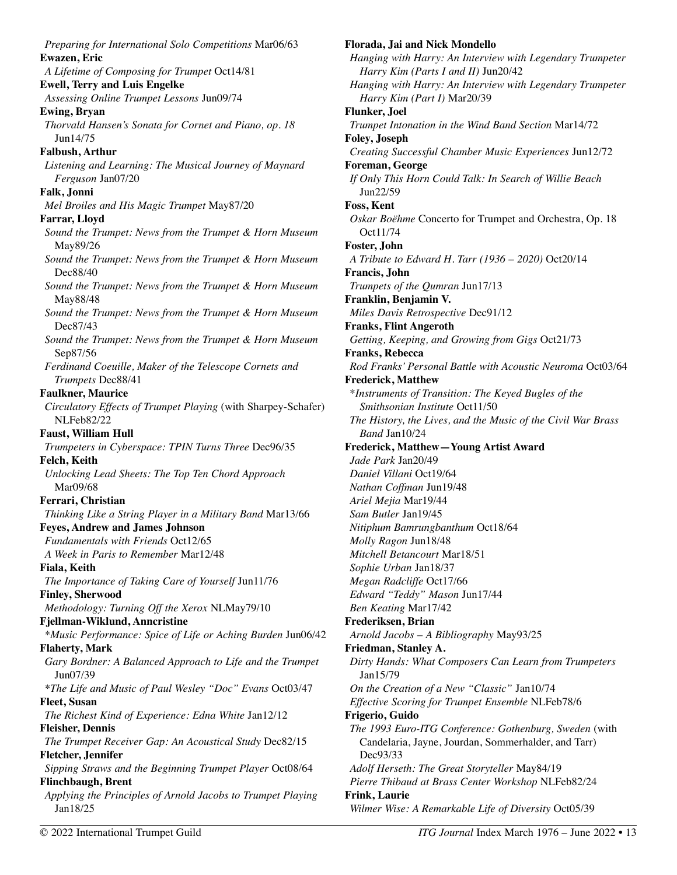*Preparing for International Solo Competitions* Mar06/63 **Ewazen, Eric**  *A Lifetime of Composing for Trumpet* Oct14/81 **Ewell, Terry and Luis Engelke**  *Assessing Online Trumpet Lessons* Jun09/74 **Ewing, Bryan**  *Thorvald Hansen's Sonata for Cornet and Piano, op. 18*  Jun14/75 **Falbush, Arthur**  *Listening and Learning: The Musical Journey of Maynard Ferguson* Jan07/20 **Falk, Jonni**  *Mel Broiles and His Magic Trumpet* May87/20 **Farrar, Lloyd**  *Sound the Trumpet: News from the Trumpet & Horn Museum*  May89/26 *Sound the Trumpet: News from the Trumpet & Horn Museum*  Dec88/40 *Sound the Trumpet: News from the Trumpet & Horn Museum*  May88/48 *Sound the Trumpet: News from the Trumpet & Horn Museum*  Dec87/43 *Sound the Trumpet: News from the Trumpet & Horn Museum*  Sep87/56 *Ferdinand Coeuille, Maker of the Telescope Cornets and Trumpets* Dec88/41 **Faulkner, Maurice**  *Circulatory Effects of Trumpet Playing* (with Sharpey-Schafer) NLFeb82/22 **Faust, William Hull**  *Trumpeters in Cyberspace: TPIN Turns Three* Dec96/35 **Felch, Keith**  *Unlocking Lead Sheets: The Top Ten Chord Approach*  Mar09/68 **Ferrari, Christian**  *Thinking Like a String Player in a Military Band* Mar13/66 **Feyes, Andrew and James Johnson**  *Fundamentals with Friends* Oct12/65 *A Week in Paris to Remember* Mar12/48 **Fiala, Keith**  *The Importance of Taking Care of Yourself* Jun11/76 **Finley, Sherwood**  *Methodology: Turning Off the Xerox* NLMay79/10 **Fjellman-Wiklund, Anncristine**  *\*Music Performance: Spice of Life or Aching Burden* Jun06/42 **Flaherty, Mark**  *Gary Bordner: A Balanced Approach to Life and the Trumpet* Jun07/39 *\*The Life and Music of Paul Wesley "Doc" Evans* Oct03/47 **Fleet, Susan**  *The Richest Kind of Experience: Edna White* Jan12/12 **Fleisher, Dennis**  *The Trumpet Receiver Gap: An Acoustical Study* Dec82/15 **Fletcher, Jennifer**  *Sipping Straws and the Beginning Trumpet Player* Oct08/64 **Flinchbaugh, Brent**  *Applying the Principles of Arnold Jacobs to Trumpet Playing*  Jan18/25

**Florada, Jai and Nick Mondello**  *Hanging with Harry: An Interview with Legendary Trumpeter Harry Kim (Parts I and II)* Jun20/42 *Hanging with Harry: An Interview with Legendary Trumpeter Harry Kim (Part I)* Mar20/39 **Flunker, Joel**  *Trumpet Intonation in the Wind Band Section* Mar14/72 **Foley, Joseph**  *Creating Successful Chamber Music Experiences* Jun12/72 **Foreman, George**  *If Only This Horn Could Talk: In Search of Willie Beach*  Jun22/59 **Foss, Kent**  *Oskar Boëhme* Concerto for Trumpet and Orchestra, Op. 18 Oct11/74 **Foster, John**  *A Tribute to Edward H. Tarr (1936 – 2020)* Oct20/14 **Francis, John**  *Trumpets of the Qumran* Jun17/13 **Franklin, Benjamin V.**  *Miles Davis Retrospective* Dec91/12 **Franks, Flint Angeroth**  *Getting, Keeping, and Growing from Gigs* Oct21/73 **Franks, Rebecca**  *Rod Franks' Personal Battle with Acoustic Neuroma* Oct03/64 **Frederick, Matthew**  \**Instruments of Transition: The Keyed Bugles of the Smithsonian Institute* Oct11/50 *The History, the Lives, and the Music of the Civil War Brass Band* Jan10/24 **Frederick, Matthew—Young Artist Award**  *Jade Park* Jan20/49 *Daniel Villani* Oct19/64 *Nathan Coffman* Jun19/48 *Ariel Mejia* Mar19/44 *Sam Butler* Jan19/45 *Nitiphum Bamrungbanthum* Oct18/64 *Molly Ragon* Jun18/48 *Mitchell Betancourt* Mar18/51 *Sophie Urban* Jan18/37 *Megan Radcliffe* Oct17/66 *Edward "Teddy" Mason* Jun17/44 *Ben Keating* Mar17/42 **Frederiksen, Brian**  *Arnold Jacobs – A Bibliography* May93/25 **Friedman, Stanley A.**  *Dirty Hands: What Composers Can Learn from Trumpeters*  Jan15/79 *On the Creation of a New "Classic"* Jan10/74 *Effective Scoring for Trumpet Ensemble* NLFeb78/6 **Frigerio, Guido**  *The 1993 Euro-ITG Conference: Gothenburg, Sweden* (with Candelaria, Jayne, Jourdan, Sommerhalder, and Tarr) Dec93/33 *Adolf Herseth: The Great Storyteller* May84/19 *Pierre Thibaud at Brass Center Workshop* NLFeb82/24 **Frink, Laurie** *Wilmer Wise: A Remarkable Life of Diversity* Oct05/39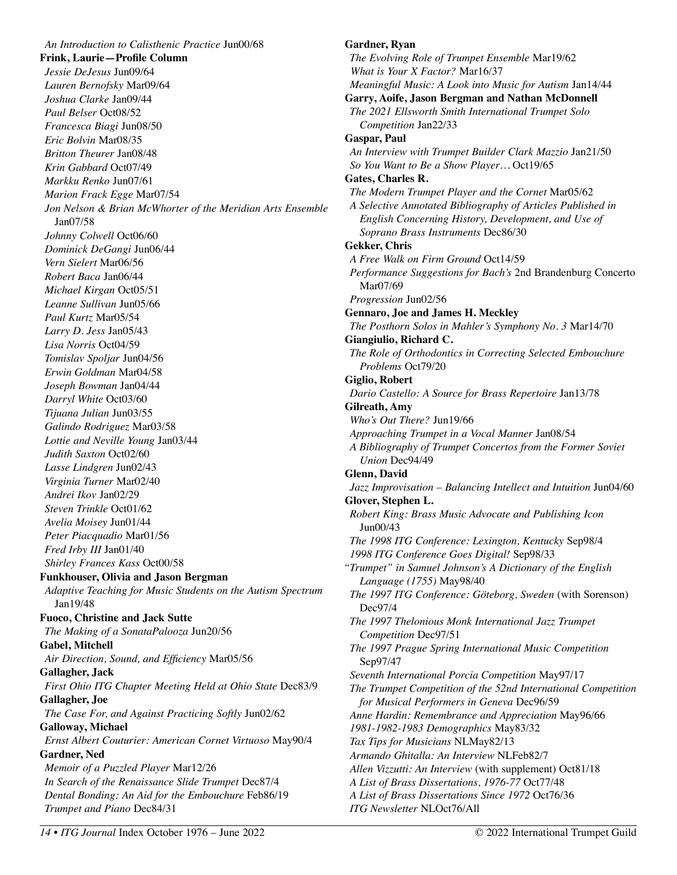*An Introduction to Calisthenic Practice* Jun00/68 **Frink, Laurie—Profile Column**  *Jessie DeJesus* Jun09/64 *Lauren Bernofsky* Mar09/64 *Joshua Clarke* Jan09/44 *Paul Belser* Oct08/52 *Francesca Biagi* Jun08/50 *Eric Bolvin* Mar08/35 *Britton Theurer* Jan08/48 *Krin Gabbard* Oct07/49 *Markku Renko* Jun07/61 *Marion Frack Egge* Mar07/54 *Jon Nelson & Brian McWhorter of the Meridian Arts Ensemble*  Jan07/58 *Johnny Colwell* Oct06/60 *Dominick DeGangi* Jun06/44 *Vern Sielert* Mar06/56 *Robert Baca* Jan06/44 *Michael Kirgan* Oct05/51 *Leanne Sullivan* Jun05/66 *Paul Kurtz* Mar05/54 *Larry D. Jess* Jan05/43 *Lisa Norris* Oct04/59 *Tomislav Spoljar* Jun04/56 *Erwin Goldman* Mar04/58 *Joseph Bowman* Jan04/44 *Darryl White* Oct03/60 *Tijuana Julian* Jun03/55 *Galindo Rodriguez* Mar03/58 *Lottie and Neville Young* Jan03/44 *Judith Saxton* Oct02/60 *Lasse Lindgren* Jun02/43 *Virginia Turner* Mar02/40 *Andrei Ikov* Jan02/29 *Steven Trinkle* Oct01/62 *Avelia Moisey* Jun01/44 *Peter Piacquadio* Mar01/56 *Fred Irby III* Jan01/40 *Shirley Frances Kass* Oct00/58 **Funkhouser, Olivia and Jason Bergman**  *Adaptive Teaching for Music Students on the Autism Spectrum*  Jan19/48 **Fuoco, Christine and Jack Sutte**  *The Making of a SonataPalooza* Jun20/56 **Gabel, Mitchell**  *Air Direction, Sound, and Efficiency* Mar05/56 **Gallagher, Jack**  *First Ohio ITG Chapter Meeting Held at Ohio State* Dec83/9 **Gallagher, Joe**  *The Case For, and Against Practicing Softly* Jun02/62 **Galloway, Michael**  *Ernst Albert Couturier: American Cornet Virtuoso* May90/4 **Gardner, Ned**  *Memoir of a Puzzled Player* Mar12/26 *In Search of the Renaissance Slide Trumpet* Dec87/4 *Dental Bonding: An Aid for the Embouchure* Feb86/19 *Trumpet and Piano* Dec84/31

## **Gardner, Ryan**  *The Evolving Role of Trumpet Ensemble* Mar19/62 *What is Your X Factor?* Mar16/37 *Meaningful Music: A Look into Music for Autism* Jan14/44 **Garry, Aoife, Jason Bergman and Nathan McDonnell**  *The 2021 Ellsworth Smith International Trumpet Solo Competition* Jan22/33 **Gaspar, Paul**  *An Interview with Trumpet Builder Clark Mazzio* Jan21/50 *So You Want to Be a Show Player…* Oct19/65 **Gates, Charles R.**  *The Modern Trumpet Player and the Cornet* Mar05/62 *A Selective Annotated Bibliography of Articles Published in English Concerning History, Development, and Use of Soprano Brass Instruments* Dec86/30 **Gekker, Chris**  *A Free Walk on Firm Ground* Oct14/59 *Performance Suggestions for Bach's* 2nd Brandenburg Concerto Mar07/69 *Progression* Jun02/56 **Gennaro, Joe and James H. Meckley**  *The Posthorn Solos in Mahler's Symphony No. 3* Mar14/70 **Giangiulio, Richard C.**  *The Role of Orthodontics in Correcting Selected Embouchure Problems* Oct79/20 **Giglio, Robert**  *Dario Castello: A Source for Brass Repertoire* Jan13/78 **Gilreath, Amy**  *Who's Out There?* Jun19/66 *Approaching Trumpet in a Vocal Manner* Jan08/54 *A Bibliography of Trumpet Concertos from the Former Soviet Union* Dec94/49 **Glenn, David**  *Jazz Improvisation – Balancing Intellect and Intuition* Jun04/60 **Glover, Stephen L.**  *Robert King: Brass Music Advocate and Publishing Icon*  Jun00/43 *The 1998 ITG Conference: Lexington, Kentucky* Sep98/4 *1998 ITG Conference Goes Digital!* Sep98/33 *"Trumpet" in Samuel Johnson's A Dictionary of the English Language (1755)* May98/40 *The 1997 ITG Conference: Göteborg, Sweden* (with Sorenson) Dec97/4 *The 1997 Thelonious Monk International Jazz Trumpet Competition* Dec97/51 *The 1997 Prague Spring International Music Competition*  Sep97/47 *Seventh International Porcia Competition* May97/17 *The Trumpet Competition of the 52nd International Competition for Musical Performers in Geneva* Dec96/59 *Anne Hardin: Remembrance and Appreciation* May96/66 *1981-1982-1983 Demographics* May83/32 *Tax Tips for Musicians* NLMay82/13 *Armando Ghitalla: An Interview* NLFeb82/7 *Allen Vizzutti: An Interview* (with supplement) Oct81/18 *A List of Brass Dissertations, 1976-77* Oct77/48 *A List of Brass Dissertations Since 1972* Oct76/36 *ITG Newsletter* NLOct76/All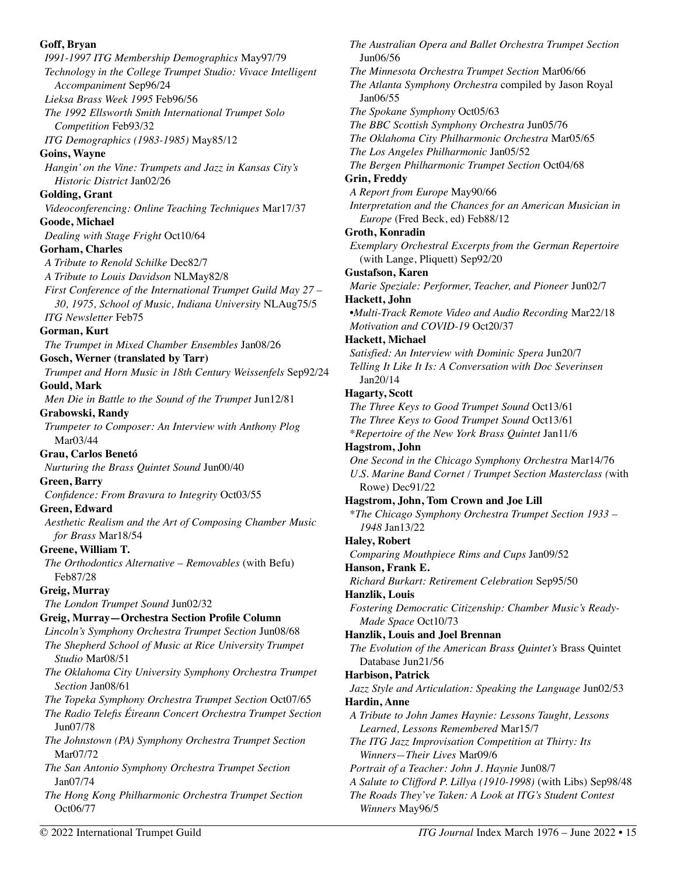#### **Goff, Bryan**

*I991-1997 ITG Membership Demographics* May97/79 *Technology in the College Trumpet Studio: Vivace Intelligent Accompaniment* Sep96/24 *Lieksa Brass Week 1995* Feb96/56 *The 1992 Ellsworth Smith International Trumpet Solo Competition* Feb93/32 *ITG Demographics (1983-1985)* May85/12 **Goins, Wayne**  *Hangin' on the Vine: Trumpets and Jazz in Kansas City's Historic District* Jan02/26 **Golding, Grant**  *Videoconferencing: Online Teaching Techniques* Mar17/37 **Goode, Michael**  *Dealing with Stage Fright* Oct10/64 **Gorham, Charles**  *A Tribute to Renold Schilke* Dec82/7 *A Tribute to Louis Davidson* NLMay82/8 *First Conference of the International Trumpet Guild May 27 – 30, 1975, School of Music, Indiana University* NLAug75/5 *ITG Newsletter* Feb75 **Gorman, Kurt**  *The Trumpet in Mixed Chamber Ensembles* Jan08/26 **Gosch, Werner (translated by Tarr)**  *Trumpet and Horn Music in 18th Century Weissenfels* Sep92/24 **Gould, Mark**  *Men Die in Battle to the Sound of the Trumpet* Jun12/81 **Grabowski, Randy**  *Trumpeter to Composer: An Interview with Anthony Plog*  Mar03/44 **Grau, Carlos Benetó**  *Nurturing the Brass Quintet Sound* Jun00/40 **Green, Barry**  *Confidence: From Bravura to Integrity* Oct03/55 **Green, Edward**  *Aesthetic Realism and the Art of Composing Chamber Music for Brass* Mar18/54 **Greene, William T.**  *The Orthodontics Alternative – Removables* (with Befu) Feb87/28 **Greig, Murray** *The London Trumpet Sound* Jun02/32 **Greig, Murray—Orchestra Section Profile Column**  *Lincoln's Symphony Orchestra Trumpet Section* Jun08/68 *The Shepherd School of Music at Rice University Trumpet Studio* Mar08/51 *The Oklahoma City University Symphony Orchestra Trumpet Section* Jan08/61 *The Topeka Symphony Orchestra Trumpet Section* Oct07/65 *The Radio Telefis Éireann Concert Orchestra Trumpet Section*  Jun07/78 *The Johnstown (PA) Symphony Orchestra Trumpet Section* Mar07/72 *The San Antonio Symphony Orchestra Trumpet Section*  Jan07/74 *The Hong Kong Philharmonic Orchestra Trumpet Section*  Oct06/77

*The Australian Opera and Ballet Orchestra Trumpet Section*  Jun06/56 *The Minnesota Orchestra Trumpet Section* Mar06/66 *The Atlanta Symphony Orchestra* compiled by Jason Royal Jan06/55 *The Spokane Symphony* Oct05/63 *The BBC Scottish Symphony Orchestra* Jun05/76 *The Oklahoma City Philharmonic Orchestra* Mar05/65 *The Los Angeles Philharmonic* Jan05/52 *The Bergen Philharmonic Trumpet Section* Oct04/68 **Grin, Freddy**  *A Report from Europe* May90/66 *Interpretation and the Chances for an American Musician in Europe* (Fred Beck, ed) Feb88/12 **Groth, Konradin**  *Exemplary Orchestral Excerpts from the German Repertoire*  (with Lange, Pliquett) Sep92/20 **Gustafson, Karen**  *Marie Speziale: Performer, Teacher, and Pioneer* Jun02/7 **Hackett, John**  •*Multi-Track Remote Video and Audio Recording* Mar22/18 *Motivation and COVID-19* Oct20/37 **Hackett, Michael**  *Satisfied: An Interview with Dominic Spera* Jun20/7 *Telling It Like It Is: A Conversation with Doc Severinsen*  Jan20/14 **Hagarty, Scott**  *The Three Keys to Good Trumpet Sound* Oct13/61 *The Three Keys to Good Trumpet Sound* Oct13/61 \**Repertoire of the New York Brass Quintet* Jan11/6 **Hagstrom, John**  *One Second in the Chicago Symphony Orchestra* Mar14/76 *U.S. Marine Band Cornet / Trumpet Section Masterclass (*with Rowe) Dec91/22 **Hagstrom, John, Tom Crown and Joe Lill**  \**The Chicago Symphony Orchestra Trumpet Section 1933 – 1948* Jan13/22 **Haley, Robert**  *Comparing Mouthpiece Rims and Cups* Jan09/52 **Hanson, Frank E.**  *Richard Burkart: Retirement Celebration* Sep95/50 **Hanzlik, Louis**  *Fostering Democratic Citizenship: Chamber Music's Ready-Made Space* Oct10/73 **Hanzlik, Louis and Joel Brennan**  *The Evolution of the American Brass Quintet's* Brass Quintet Database Jun21/56 **Harbison, Patrick**  *Jazz Style and Articulation: Speaking the Language* Jun02/53 **Hardin, Anne**  *A Tribute to John James Haynie: Lessons Taught, Lessons Learned, Lessons Remembered* Mar15/7 *The ITG Jazz Improvisation Competition at Thirty: Its Winners—Their Lives* Mar09/6 *Portrait of a Teacher: John J. Haynie* Jun08/7 *A Salute to Clifford P. Lillya (1910-1998)* (with Libs) Sep98/48 *The Roads They've Taken: A Look at ITG's Student Contest Winners* May96/5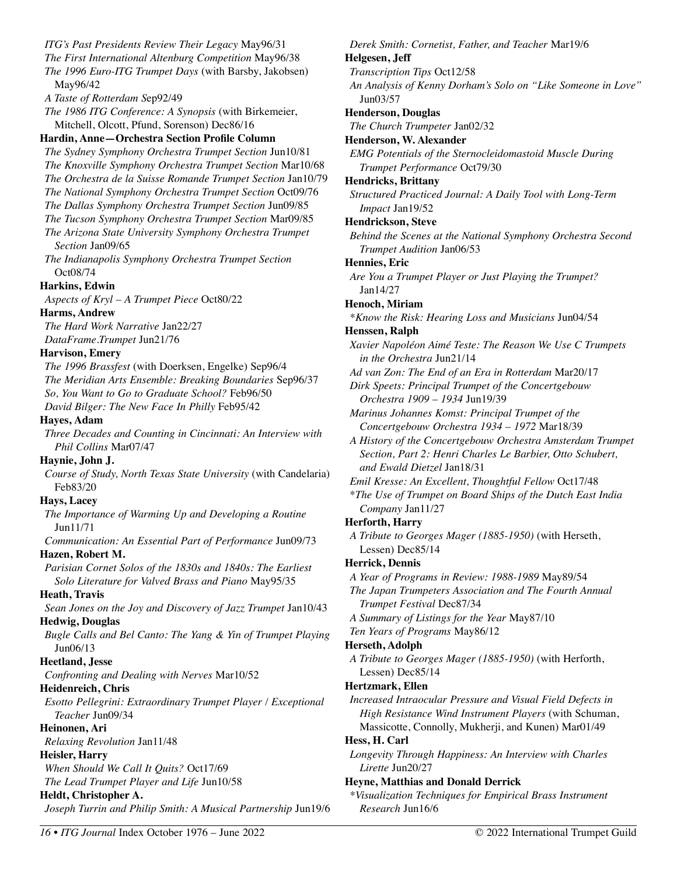*ITG's Past Presidents Review Their Legacy* May96/31 *The First International Altenburg Competition* May96/38 *The 1996 Euro-ITG Trumpet Days* (with Barsby, Jakobsen) May96/42 *A Taste of Rotterdam S*ep92/49 *The 1986 ITG Conference: A Synopsis* (with Birkemeier, Mitchell, Olcott, Pfund, Sorenson) Dec86/16 **Hardin, Anne—Orchestra Section Profile Column**  *The Sydney Symphony Orchestra Trumpet Section* Jun10/81 *The Knoxville Symphony Orchestra Trumpet Section* Mar10/68 *The Orchestra de la Suisse Romande Trumpet Section* Jan10/79 *The National Symphony Orchestra Trumpet Section* Oct09/76 *The Dallas Symphony Orchestra Trumpet Section* Jun09/85 *The Tucson Symphony Orchestra Trumpet Section* Mar09/85 *The Arizona State University Symphony Orchestra Trumpet Section* Jan09/65 *The Indianapolis Symphony Orchestra Trumpet Section*  Oct08/74 **Harkins, Edwin**  *Aspects of Kryl – A Trumpet Piece* Oct80/22 **Harms, Andrew**  *The Hard Work Narrative* Jan22/27 *DataFrame.Trumpet* Jun21/76 **Harvison, Emery**  *The 1996 Brassfest* (with Doerksen, Engelke) Sep96/4 *The Meridian Arts Ensemble: Breaking Boundaries* Sep96/37 *So, You Want to Go to Graduate School?* Feb96/50 *David Bilger: The New Face In Philly* Feb95/42 **Hayes, Adam**  *Three Decades and Counting in Cincinnati: An Interview with Phil Collins* Mar07/47 **Haynie, John J.**  *Course of Study, North Texas State University* (with Candelaria) Feb83/20 **Hays, Lacey**  *The Importance of Warming Up and Developing a Routine*  Jun11/71 *Communication: An Essential Part of Performance* Jun09/73 **Hazen, Robert M.**  *Parisian Cornet Solos of the 1830s and 1840s: The Earliest Solo Literature for Valved Brass and Piano* May95/35 **Heath, Travis**  *Sean Jones on the Joy and Discovery of Jazz Trumpet* Jan10/43 **Hedwig, Douglas**  *Bugle Calls and Bel Canto: The Yang & Yin of Trumpet Playing* Jun06/13 **Heetland, Jesse**  *Confronting and Dealing with Nerves* Mar10/52 **Heidenreich, Chris**  *Esotto Pellegrini: Extraordinary Trumpet Player / Exceptional Teacher* Jun09/34 **Heinonen, Ari**  *Relaxing Revolution* Jan11/48 **Heisler, Harry**  *When Should We Call It Quits?* Oct17/69 *The Lead Trumpet Player and Life* Jun10/58 **Heldt, Christopher A.**  *Joseph Turrin and Philip Smith: A Musical Partnership* Jun19/6

*Derek Smith: Cornetist, Father, and Teacher* Mar19/6 **Helgesen, Jeff**  *Transcription Tips* Oct12/58 *An Analysis of Kenny Dorham's Solo on "Like Someone in Love"*  Jun03/57 **Henderson, Douglas**  *The Church Trumpeter* Jan02/32 **Henderson, W. Alexander**  *EMG Potentials of the Sternocleidomastoid Muscle During Trumpet Performance* Oct79/30 **Hendricks, Brittany**  *Structured Practiced Journal: A Daily Tool with Long-Term Impact* Jan19/52 **Hendrickson, Steve**  *Behind the Scenes at the National Symphony Orchestra Second Trumpet Audition* Jan06/53 **Hennies, Eric**  *Are You a Trumpet Player or Just Playing the Trumpet?*  Jan14/27 **Henoch, Miriam**  *\*Know the Risk: Hearing Loss and Musicians* Jun04/54 **Henssen, Ralph**  *Xavier Napoléon Aimé Teste: The Reason We Use C Trumpets in the Orchestra* Jun21/14 *Ad van Zon: The End of an Era in Rotterdam* Mar20/17 *Dirk Speets: Principal Trumpet of the Concertgebouw Orchestra 1909 – 1934* Jun19/39 *Marinus Johannes Komst: Principal Trumpet of the Concertgebouw Orchestra 1934 – 1972* Mar18/39 *A History of the Concertgebouw Orchestra Amsterdam Trumpet Section, Part 2: Henri Charles Le Barbier, Otto Schubert, and Ewald Dietzel* Jan18/31 *Emil Kresse: An Excellent, Thoughtful Fellow* Oct17/48 \**The Use of Trumpet on Board Ships of the Dutch East India Company* Jan11/27 **Herforth, Harry**  *A Tribute to Georges Mager (1885-1950)* (with Herseth, Lessen) Dec85/14 **Herrick, Dennis**  *A Year of Programs in Review: 1988-1989* May89/54 *The Japan Trumpeters Association and The Fourth Annual Trumpet Festival* Dec87/34 *A Summary of Listings for the Year* May87/10 *Ten Years of Programs* May86/12 **Herseth, Adolph**  *A Tribute to Georges Mager (1885-1950)* (with Herforth, Lessen) Dec85/14 **Hertzmark, Ellen**  *Increased Intraocular Pressure and Visual Field Defects in High Resistance Wind Instrument Players* (with Schuman, Massicotte, Connolly, Mukherji, and Kunen) Mar01/49 **Hess, H. Carl**  *Longevity Through Happiness: An Interview with Charles Lirette* Jun20/27 **Heyne, Matthias and Donald Derrick**  *\*Visualization Techniques for Empirical Brass Instrument* 

*Research* Jun16/6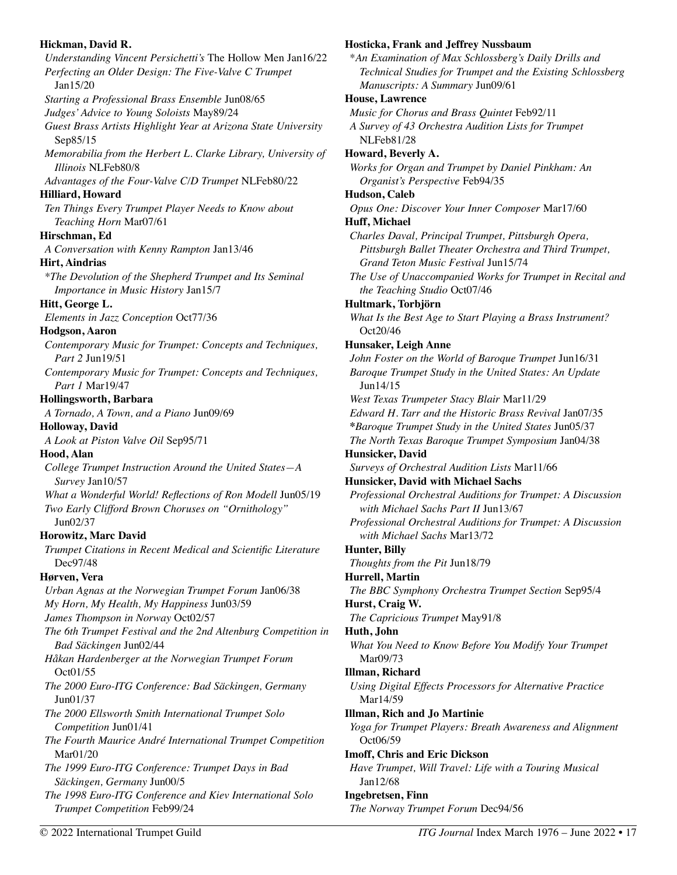# **Hickman, David R.**  *Understanding Vincent Persichetti's* The Hollow Men Jan16/22 *Perfecting an Older Design: The Five-Valve C Trumpet*  Jan15/20 *Starting a Professional Brass Ensemble* Jun08/65 *Judges' Advice to Young Soloists* May89/24 *Guest Brass Artists Highlight Year at Arizona State University*  Sep85/15 *Memorabilia from the Herbert L. Clarke Library, University of Illinois* NLFeb80/8 *Advantages of the Four-Valve C/D Trumpet* NLFeb80/22 **Hilliard, Howard**  *Ten Things Every Trumpet Player Needs to Know about Teaching Horn* Mar07/61 **Hirschman, Ed**  *A Conversation with Kenny Rampton* Jan13/46 **Hirt, Aindrias**  *\*The Devolution of the Shepherd Trumpet and Its Seminal Importance in Music History* Jan15/7 **Hitt, George L.**  *Elements in Jazz Conception* Oct77/36 **Hodgson, Aaron**  *Contemporary Music for Trumpet: Concepts and Techniques, Part 2* Jun19/51 *Contemporary Music for Trumpet: Concepts and Techniques, Part 1* Mar19/47 **Hollingsworth, Barbara**  *A Tornado, A Town, and a Piano* Jun09/69 **Holloway, David**  *A Look at Piston Valve Oil* Sep95/71 **Hood, Alan**  *College Trumpet Instruction Around the United States—A Survey* Jan10/57 *What a Wonderful World! Reflections of Ron Modell* Jun05/19 *Two Early Clifford Brown Choruses on "Ornithology"* Jun02/37 **Horowitz, Marc David**  *Trumpet Citations in Recent Medical and Scientific Literature*  Dec97/48 **Hørven, Vera**  *Urban Agnas at the Norwegian Trumpet Forum* Jan06/38 *My Horn, My Health, My Happiness* Jun03/59 *James Thompson in Norway* Oct02/57 *The 6th Trumpet Festival and the 2nd Altenburg Competition in Bad Säckingen* Jun02/44 *Håkan Hardenberger at the Norwegian Trumpet Forum* Oct01/55 *The 2000 Euro-ITG Conference: Bad Säckingen, Germany*  Jun01/37 *The 2000 Ellsworth Smith International Trumpet Solo Competition* Jun01/41 *The Fourth Maurice André International Trumpet Competition*  Mar01/20 *The 1999 Euro-ITG Conference: Trumpet Days in Bad Säckingen, Germany* Jun00/5 *The 1998 Euro-ITG Conference and Kiev International Solo Trumpet Competition* Feb99/24

# \**An Examination of Max Schlossberg's Daily Drills and Technical Studies for Trumpet and the Existing Schlossberg Manuscripts: A Summary* Jun09/61 **House, Lawrence**  *Music for Chorus and Brass Quintet* Feb92/11 *A Survey of 43 Orchestra Audition Lists for Trumpet*  NLFeb81/28 **Howard, Beverly A.**  *Works for Organ and Trumpet by Daniel Pinkham: An Organist's Perspective* Feb94/35 **Hudson, Caleb**  *Opus One: Discover Your Inner Composer* Mar17/60 **Huff, Michael**  *Charles Daval, Principal Trumpet, Pittsburgh Opera, Pittsburgh Ballet Theater Orchestra and Third Trumpet, Grand Teton Music Festival* Jun15/74 *The Use of Unaccompanied Works for Trumpet in Recital and the Teaching Studio* Oct07/46 **Hultmark, Torbjörn**  *What Is the Best Age to Start Playing a Brass Instrument?*  Oct20/46 **Hunsaker, Leigh Anne**  *John Foster on the World of Baroque Trumpet* Jun16/31 *Baroque Trumpet Study in the United States: An Update*  Jun14/15 *West Texas Trumpeter Stacy Blair* Mar11/29 *Edward H. Tarr and the Historic Brass Revival* Jan07/35 **\****Baroque Trumpet Study in the United States* Jun05/37 *The North Texas Baroque Trumpet Symposium* Jan04/38 **Hunsicker, David**  *Surveys of Orchestral Audition Lists* Mar11/66 **Hunsicker, David with Michael Sachs**  *Professional Orchestral Auditions for Trumpet: A Discussion with Michael Sachs Part II* Jun13/67 *Professional Orchestral Auditions for Trumpet: A Discussion with Michael Sachs* Mar13/72 **Hunter, Billy**  *Thoughts from the Pit* Jun18/79 **Hurrell, Martin**  *The BBC Symphony Orchestra Trumpet Section* Sep95/4 **Hurst, Craig W.**  *The Capricious Trumpet* May91/8 **Huth, John**  *What You Need to Know Before You Modify Your Trumpet*  Mar09/73 **Illman, Richard**  *Using Digital Effects Processors for Alternative Practice*  Mar14/59 **Illman, Rich and Jo Martinie**  *Yoga for Trumpet Players: Breath Awareness and Alignment* Oct06/59 **Imoff, Chris and Eric Dickson**  *Have Trumpet, Will Travel: Life with a Touring Musical*  Jan12/68 **Ingebretsen, Finn**  *The Norway Trumpet Forum* Dec94/56

**Hosticka, Frank and Jeffrey Nussbaum**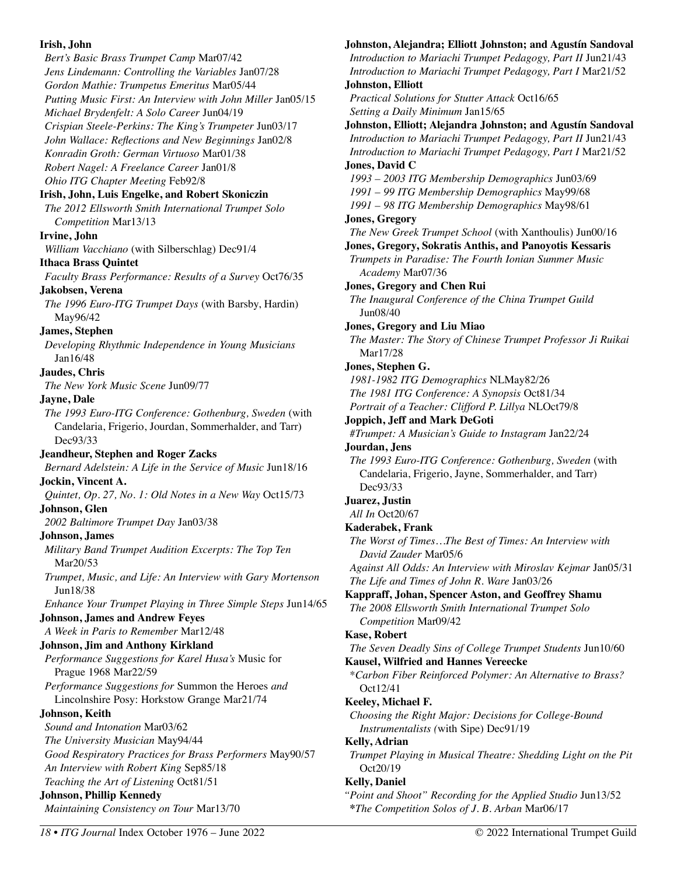# **Irish, John**  *Bert's Basic Brass Trumpet Camp* Mar07/42 *Jens Lindemann: Controlling the Variables* Jan07/28 *Gordon Mathie: Trumpetus Emeritus* Mar05/44 *Putting Music First: An Interview with John Miller* Jan05/15 *Michael Brydenfelt: A Solo Career* Jun04/19 *Crispian Steele-Perkins: The King's Trumpeter* Jun03/17 *John Wallace: Reflections and New Beginnings* Jan02/8 *Konradin Groth: German Virtuoso* Mar01/38 *Robert Nagel: A Freelance Career* Jan01/8 *Ohio ITG Chapter Meeting* Feb92/8 **Irish, John, Luis Engelke, and Robert Skoniczin**  *The 2012 Ellsworth Smith International Trumpet Solo Competition* Mar13/13 **Irvine, John**  *William Vacchiano* (with Silberschlag) Dec91/4 **Ithaca Brass Quintet**  *Faculty Brass Performance: Results of a Survey* Oct76/35 **Jakobsen, Verena**  *The 1996 Euro-ITG Trumpet Days* (with Barsby, Hardin) May96/42 **James, Stephen**  *Developing Rhythmic Independence in Young Musicians*  Jan16/48 **Jaudes, Chris**  *The New York Music Scene* Jun09/77 **Jayne, Dale**  *The 1993 Euro-ITG Conference: Gothenburg, Sweden* (with Candelaria, Frigerio, Jourdan, Sommerhalder, and Tarr) Dec93/33 **Jeandheur, Stephen and Roger Zacks**  *Bernard Adelstein: A Life in the Service of Music* Jun18/16 **Jockin, Vincent A.**  *Quintet, Op. 27, No. 1: Old Notes in a New Way* Oct15/73 **Johnson, Glen**  *2002 Baltimore Trumpet Day* Jan03/38 **Johnson, James**  *Military Band Trumpet Audition Excerpts: The Top Ten*  Mar20/53 *Trumpet, Music, and Life: An Interview with Gary Mortenson*  Jun18/38 *Enhance Your Trumpet Playing in Three Simple Steps* Jun14/65 **Johnson, James and Andrew Feyes**  *A Week in Paris to Remember* Mar12/48 **Johnson, Jim and Anthony Kirkland**  *Performance Suggestions for Karel Husa's* Music for Prague 1968 Mar22/59 *Performance Suggestions for* Summon the Heroes *and*  Lincolnshire Posy: Horkstow Grange Mar21/74 **Johnson, Keith**  *Sound and Intonation* Mar03/62 *The University Musician* May94/44 *Good Respiratory Practices for Brass Performers* May90/57 *An Interview with Robert King* Sep85/18 *Teaching the Art of Listening* Oct81/51 **Johnson, Phillip Kennedy**  *Maintaining Consistency on Tour* Mar13/70

# **Johnston, Alejandra; Elliott Johnston; and Agustín Sandoval**  *Introduction to Mariachi Trumpet Pedagogy, Part II* Jun21/43 *Introduction to Mariachi Trumpet Pedagogy, Part I* Mar21/52 **Johnston, Elliott**  *Practical Solutions for Stutter Attack* Oct16/65 *Setting a Daily Minimum* Jan15/65 **Johnston, Elliott; Alejandra Johnston; and Agustín Sandoval**  *Introduction to Mariachi Trumpet Pedagogy, Part II* Jun21/43 *Introduction to Mariachi Trumpet Pedagogy, Part I* Mar21/52 **Jones, David C**  *1993 – 2003 ITG Membership Demographics* Jun03/69

- *1991 99 ITG Membership Demographics* May99/68
- *1991 98 ITG Membership Demographics* May98/61

#### **Jones, Gregory**

*The New Greek Trumpet School* (with Xanthoulis) Jun00/16

#### **Jones, Gregory, Sokratis Anthis, and Panoyotis Kessaris**

*Trumpets in Paradise: The Fourth Ionian Summer Music Academy* Mar07/36

**Jones, Gregory and Chen Rui** 

*The Inaugural Conference of the China Trumpet Guild*  Jun08/40

**Jones, Gregory and Liu Miao** 

*The Master: The Story of Chinese Trumpet Professor Ji Ruikai*  Mar17/28

# **Jones, Stephen G.**

```
1981-1982 ITG Demographics NLMay82/26
```
*The 1981 ITG Conference: A Synopsis* Oct81/34

*Portrait of a Teacher: Clifford P. Lillya* NLOct79/8

**Joppich, Jeff and Mark DeGoti** 

*#Trumpet: A Musician's Guide to Instagram* Jan22/24

**Jourdan, Jens** 

*The 1993 Euro-ITG Conference: Gothenburg, Sweden* (with Candelaria, Frigerio, Jayne, Sommerhalder, and Tarr) Dec93/33

**Juarez, Justin** 

*All In* Oct20/67

**Kaderabek, Frank** 

*The Worst of Times…The Best of Times: An Interview with David Zauder* Mar05/6

*Against All Odds: An Interview with Miroslav Kejmar* Jan05/31 *The Life and Times of John R. Ware* Jan03/26

**Kappraff, Johan, Spencer Aston, and Geoffrey Shamu** 

*The 2008 Ellsworth Smith International Trumpet Solo Competition* Mar09/42

# **Kase, Robert**

*The Seven Deadly Sins of College Trumpet Students* Jun10/60 **Kausel, Wilfried and Hannes Vereecke** 

\**Carbon Fiber Reinforced Polymer: An Alternative to Brass?*  Oct12/41

# **Keeley, Michael F.**

*Choosing the Right Major: Decisions for College-Bound Instrumentalists (*with Sipe) Dec91/19

**Kelly, Adrian** 

*Trumpet Playing in Musical Theatre: Shedding Light on the Pit*  Oct20/19

# **Kelly, Daniel**

*"Point and Shoot" Recording for the Applied Studio* Jun13/52 **\****The Competition Solos of J. B. Arban* Mar06/17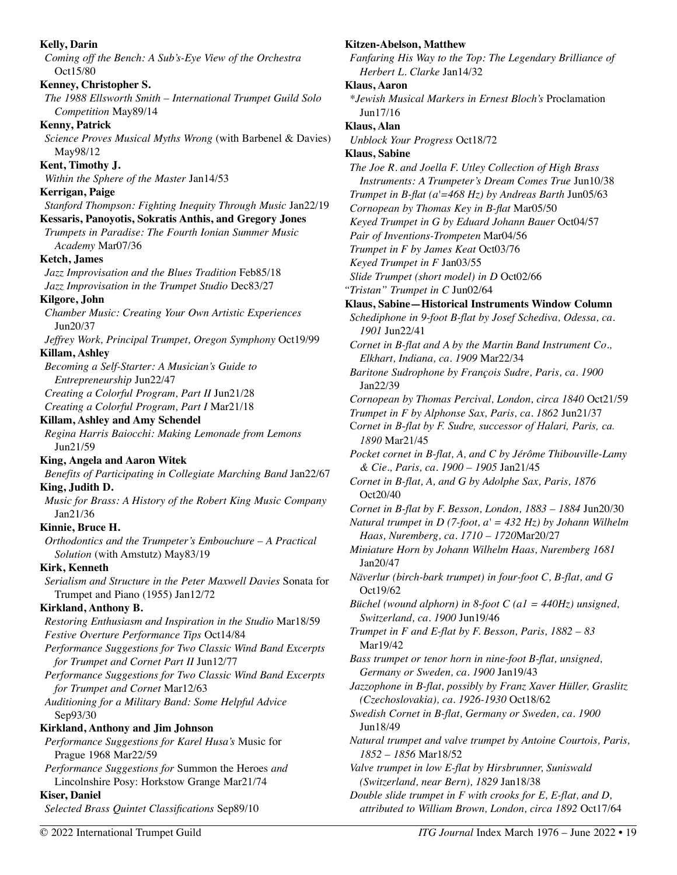**Kelly, Darin**  *Coming off the Bench: A Sub's-Eye View of the Orchestra*  Oct15/80 **Kenney, Christopher S.**  *The 1988 Ellsworth Smith – International Trumpet Guild Solo Competition* May89/14 **Kenny, Patrick**  *Science Proves Musical Myths Wrong* (with Barbenel & Davies) May98/12 **Kent, Timothy J.**  *Within the Sphere of the Master* Jan14/53 **Kerrigan, Paige**  *Stanford Thompson: Fighting Inequity Through Music* Jan22/19 **Kessaris, Panoyotis, Sokratis Anthis, and Gregory Jones**  *Trumpets in Paradise: The Fourth Ionian Summer Music Academy* Mar07/36 **Ketch, James**  *Jazz Improvisation and the Blues Tradition* Feb85/18 *Jazz Improvisation in the Trumpet Studio* Dec83/27 **Kilgore, John**  *Chamber Music: Creating Your Own Artistic Experiences*  Jun20/37 *Jeffrey Work, Principal Trumpet, Oregon Symphony* Oct19/99 **Killam, Ashley**  *Becoming a Self-Starter: A Musician's Guide to Entrepreneurship* Jun22/47 *Creating a Colorful Program, Part II* Jun21/28 *Creating a Colorful Program, Part I* Mar21/18 **Killam, Ashley and Amy Schendel**  *Regina Harris Baiocchi: Making Lemonade from Lemons*  Jun21/59 **King, Angela and Aaron Witek**  *Benefits of Participating in Collegiate Marching Band* Jan22/67 **King, Judith D.**  *Music for Brass: A History of the Robert King Music Company*  Jan21/36 **Kinnie, Bruce H.**  *Orthodontics and the Trumpeter's Embouchure – A Practical Solution* (with Amstutz) May83/19 **Kirk, Kenneth**  *Serialism and Structure in the Peter Maxwell Davies* Sonata for Trumpet and Piano (1955) Jan12/72 **Kirkland, Anthony B.**  *Restoring Enthusiasm and Inspiration in the Studio* Mar18/59 *Festive Overture Performance Tips* Oct14/84 *Performance Suggestions for Two Classic Wind Band Excerpts for Trumpet and Cornet Part II* Jun12/77 *Performance Suggestions for Two Classic Wind Band Excerpts for Trumpet and Cornet* Mar12/63 *Auditioning for a Military Band: Some Helpful Advice*  Sep93/30 **Kirkland, Anthony and Jim Johnson**  *Performance Suggestions for Karel Husa's* Music for Prague 1968 Mar22/59 *Performance Suggestions for* Summon the Heroes *and*  Lincolnshire Posy: Horkstow Grange Mar21/74 **Kiser, Daniel**  *Selected Brass Quintet Classifications* Sep89/10 **Kitzen-Abelson, Matthew**  *Fanfaring His Way to the Top: The Legendary Brilliance of Herbert L. Clarke* Jan14/32 **Klaus, Aaron**  *\*Jewish Musical Markers in Ernest Bloch's* Proclamation Jun17/16 **Klaus, Alan**  *Unblock Your Progress* Oct18/72 **Klaus, Sabine**  *The Joe R. and Joella F. Utley Collection of High Brass Instruments: A Trumpeter's Dream Comes True* Jun10/38 *Trumpet in B-flat (a'=468 Hz) by Andreas Barth* Jun05/63 *Cornopean by Thomas Key in B-flat* Mar05/50 *Keyed Trumpet in G by Eduard Johann Bauer* Oct04/57 *Pair of Inventions-Trompeten* Mar04/56 *Trumpet in F by James Keat* Oct03/76 *Keyed Trumpet in F* Jan03/55 *Slide Trumpet (short model) in D* Oct02/66 *"Tristan" Trumpet in C* Jun02/64 **Klaus, Sabine—Historical Instruments Window Column**  *Schediphone in 9-foot B-flat by Josef Schediva, Odessa, ca. 1901* Jun22/41 *Cornet in B-flat and A by the Martin Band Instrument Co., Elkhart, Indiana, ca. 1909* Mar22/34 *Baritone Sudrophone by François Sudre, Paris, ca. 1900*  Jan22/39 *Cornopean by Thomas Percival, London, circa 1840* Oct21/59 *Trumpet in F by Alphonse Sax, Paris, ca. 1862* Jun21/37 C*ornet in B-flat by F. Sudre, successor of Halari, Paris, ca. 1890* Mar21/45 *Pocket cornet in B-flat, A, and C by Jérôme Thibouville-Lamy & Cie., Paris, ca. 1900 – 1905* Jan21/45 *Cornet in B-flat, A, and G by Adolphe Sax, Paris, 1876*  Oct20/40 *Cornet in B-flat by F. Besson, London, 1883 – 1884* Jun20/30 *Natural trumpet in D (7-foot, a' = 432 Hz) by Johann Wilhelm Haas, Nuremberg, ca. 1710 – 1720*Mar20/27 *Miniature Horn by Johann Wilhelm Haas, Nuremberg 1681*  Jan20/47 *Näverlur (birch-bark trumpet) in four-foot C, B-flat, and G*  Oct19/62 *Büchel (wound alphorn) in 8-foot C (a1 = 440Hz) unsigned, Switzerland, ca. 1900* Jun19/46 *Trumpet in F and E-flat by F. Besson, Paris, 1882 – 83*  Mar19/42 *Bass trumpet or tenor horn in nine-foot B-flat, unsigned, Germany or Sweden, ca. 1900* Jan19/43 *Jazzophone in B-flat, possibly by Franz Xaver Hüller, Graslitz (Czechoslovakia), ca. 1926-1930* Oct18/62 *Swedish Cornet in B-flat, Germany or Sweden, ca. 1900*  Jun18/49 *Natural trumpet and valve trumpet by Antoine Courtois, Paris, 1852 – 1856* Mar18/52 *Valve trumpet in low E-flat by Hirsbrunner, Suniswald (Switzerland, near Bern), 1829* Jan18/38 *Double slide trumpet in F with crooks for E, E-flat, and D, attributed to William Brown, London, circa 1892* Oct17/64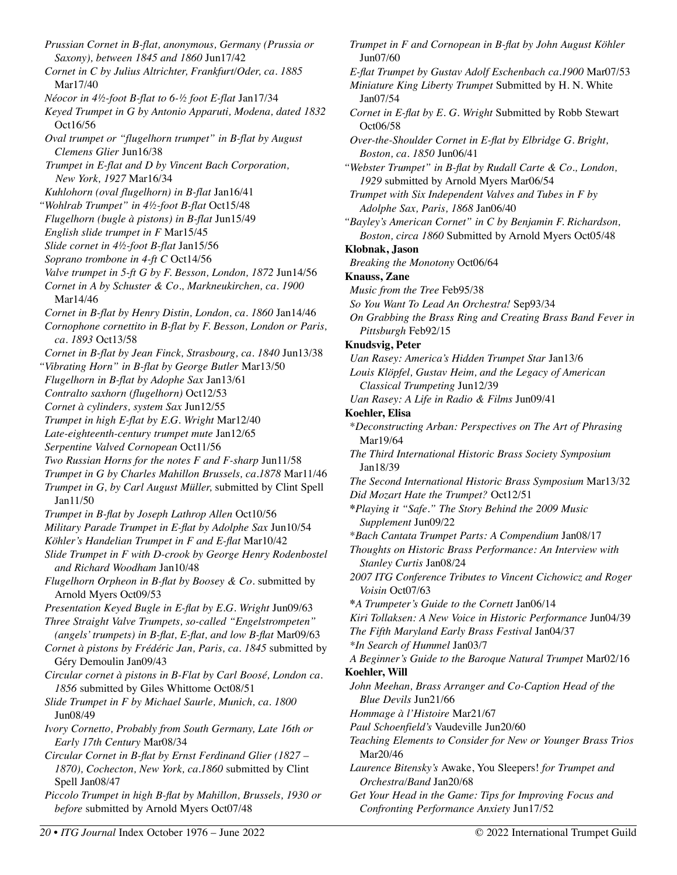*Prussian Cornet in B-flat, anonymous, Germany (Prussia or Saxony), between 1845 and 1860* Jun17/42 *Cornet in C by Julius Altrichter, Frankfurt/Oder, ca. 1885*  Mar17/40 *Néocor in 4½-foot B-flat to 6-½ foot E-flat* Jan17/34 *Keyed Trumpet in G by Antonio Apparuti, Modena, dated 1832*  Oct16/56 *Oval trumpet or "flugelhorn trumpet" in B-flat by August Clemens Glier* Jun16/38 *Trumpet in E-flat and D by Vincent Bach Corporation, New York, 1927* Mar16/34 *Kuhlohorn (oval flugelhorn) in B-flat* Jan16/41 *"Wohlrab Trumpet" in 4½-foot B-flat* Oct15/48 *Flugelhorn (bugle à pistons) in B-flat* Jun15/49 *English slide trumpet in F* Mar15/45 *Slide cornet in 4½-foot B-flat* Jan15/56 *Soprano trombone in 4-ft C* Oct14/56 *Valve trumpet in 5-ft G by F. Besson, London, 1872* Jun14/56 *Cornet in A by Schuster & Co., Markneukirchen, ca. 1900* Mar14/46 *Cornet in B-flat by Henry Distin, London, ca. 1860* Jan14/46 *Cornophone cornettito in B-flat by F. Besson, London or Paris, ca. 1893* Oct13/58 *Cornet in B-flat by Jean Finck, Strasbourg, ca. 1840* Jun13/38 *"Vibrating Horn" in B-flat by George Butler* Mar13/50 *Flugelhorn in B-flat by Adophe Sax* Jan13/61 *Contralto saxhorn (flugelhorn)* Oct12/53 *Cornet à cylinders, system Sax* Jun12/55 *Trumpet in high E-flat by E.G. Wright* Mar12/40 *Late-eighteenth-century trumpet mute* Jan12/65 *Serpentine Valved Cornopean* Oct11/56 *Two Russian Horns for the notes F and F-sharp* Jun11/58 *Trumpet in G by Charles Mahillon Brussels, ca.1878* Mar11/46 *Trumpet in G, by Carl August Müller,* submitted by Clint Spell Jan11/50 *Trumpet in B-flat by Joseph Lathrop Allen* Oct10/56 *Military Parade Trumpet in E-flat by Adolphe Sax* Jun10/54 *Köhler's Handelian Trumpet in F and E-flat* Mar10/42 *Slide Trumpet in F with D-crook by George Henry Rodenbostel and Richard Woodham* Jan10/48 *Flugelhorn Orpheon in B-flat by Boosey & Co.* submitted by Arnold Myers Oct09/53 *Presentation Keyed Bugle in E-flat by E.G. Wright* Jun09/63 *Three Straight Valve Trumpets, so-called "Engelstrompeten" (angels' trumpets) in B-flat, E-flat, and low B-flat* Mar09/63 *Cornet à pistons by Frédéric Jan, Paris, ca. 1845* submitted by Géry Demoulin Jan09/43 *Circular cornet à pistons in B-Flat by Carl Boosé, London ca. 1856* submitted by Giles Whittome Oct08/51 *Slide Trumpet in F by Michael Saurle, Munich, ca. 1800*  Jun08/49 *Ivory Cornetto, Probably from South Germany, Late 16th or Early 17th Century* Mar08/34 *Circular Cornet in B-flat by Ernst Ferdinand Glier (1827 – 1870), Cochecton, New York, ca.1860* submitted by Clint Spell Jan08/47 *Piccolo Trumpet in high B-flat by Mahillon, Brussels, 1930 or before* submitted by Arnold Myers Oct07/48

*Trumpet in F and Cornopean in B-flat by John August Köhler*  Jun07/60 *E-flat Trumpet by Gustav Adolf Eschenbach ca.1900* Mar07/53 *Miniature King Liberty Trumpet* Submitted by H. N. White Jan07/54 *Cornet in E-flat by E. G. Wright* Submitted by Robb Stewart Oct06/58 *Over-the-Shoulder Cornet in E-flat by Elbridge G. Bright, Boston, ca. 1850* Jun06/41 *"Webster Trumpet" in B-flat by Rudall Carte & Co., London, 1929* submitted by Arnold Myers Mar06/54 *Trumpet with Six Independent Valves and Tubes in F by Adolphe Sax, Paris, 1868* Jan06/40 *"Bayley's American Cornet" in C by Benjamin F. Richardson, Boston, circa 1860* Submitted by Arnold Myers Oct05/48 **Klobnak, Jason**  *Breaking the Monotony* Oct06/64 **Knauss, Zane**  *Music from the Tree* Feb95/38 *So You Want To Lead An Orchestra!* Sep93/34 *On Grabbing the Brass Ring and Creating Brass Band Fever in Pittsburgh* Feb92/15 **Knudsvig, Peter**  *Uan Rasey: America's Hidden Trumpet Star* Jan13/6 *Louis Klöpfel, Gustav Heim, and the Legacy of American Classical Trumpeting* Jun12/39 *Uan Rasey: A Life in Radio & Films* Jun09/41 **Koehler, Elisa**  \**Deconstructing Arban: Perspectives on The Art of Phrasing*  Mar19/64 *The Third International Historic Brass Society Symposium*  Jan18/39 *The Second International Historic Brass Symposium* Mar13/32 *Did Mozart Hate the Trumpet?* Oct12/51 **\****Playing it "Safe." The Story Behind the 2009 Music Supplement* Jun09/22 \**Bach Cantata Trumpet Parts: A Compendium* Jan08/17 *Thoughts on Historic Brass Performance: An Interview with Stanley Curtis* Jan08/24 *2007 ITG Conference Tributes to Vincent Cichowicz and Roger Voisin* Oct07/63 **\****A Trumpeter's Guide to the Cornett* Jan06/14 *Kiri Tollaksen: A New Voice in Historic Performance* Jun04/39 *The Fifth Maryland Early Brass Festival* Jan04/37 *\*In Search of Hummel* Jan03/7 *A Beginner's Guide to the Baroque Natural Trumpet* Mar02/16 **Koehler, Will**  *John Meehan, Brass Arranger and Co-Caption Head of the Blue Devils* Jun21/66 *Hommage à l'Histoire* Mar21/67 *Paul Schoenfield's* Vaudeville Jun20/60 *Teaching Elements to Consider for New or Younger Brass Trios*  Mar20/46 *Laurence Bitensky's* Awake, You Sleepers! *for Trumpet and Orchestra/Band* Jan20/68 *Get Your Head in the Game: Tips for Improving Focus and* 

*Confronting Performance Anxiety* Jun17/52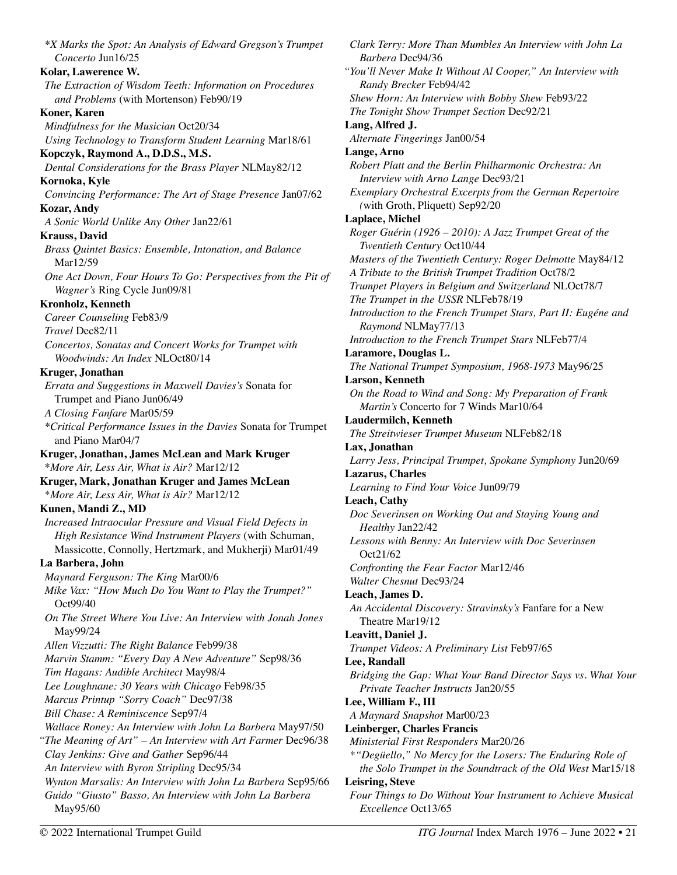*\*X Marks the Spot: An Analysis of Edward Gregson's Trumpet Concerto* Jun16/25 **Kolar, Lawerence W.**  *The Extraction of Wisdom Teeth: Information on Procedures and Problems* (with Mortenson) Feb90/19 **Koner, Karen**  *Mindfulness for the Musician* Oct20/34 *Using Technology to Transform Student Learning* Mar18/61 **Kopczyk, Raymond A., D.D.S., M.S.**  *Dental Considerations for the Brass Player* NLMay82/12 **Kornoka, Kyle**  *Convincing Performance: The Art of Stage Presence* Jan07/62 **Kozar, Andy**  *A Sonic World Unlike Any Other* Jan22/61 **Krauss, David**  *Brass Quintet Basics: Ensemble, Intonation, and Balance*  Mar12/59 *One Act Down, Four Hours To Go: Perspectives from the Pit of Wagner's* Ring Cycle Jun09/81 **Kronholz, Kenneth**  *Career Counseling* Feb83/9 *Travel* Dec82/11 *Concertos, Sonatas and Concert Works for Trumpet with Woodwinds: An Index* NLOct80/14 **Kruger, Jonathan**  *Errata and Suggestions in Maxwell Davies's* Sonata for Trumpet and Piano Jun06/49 *A Closing Fanfare* Mar05/59 *\*Critical Performance Issues in the Davies* Sonata for Trumpet and Piano Mar04/7 **Kruger, Jonathan, James McLean and Mark Kruger**  \**More Air, Less Air, What is Air?* Mar12/12 **Kruger, Mark, Jonathan Kruger and James McLean**  \**More Air, Less Air, What is Air?* Mar12/12 **Kunen, Mandi Z., MD**  *Increased Intraocular Pressure and Visual Field Defects in High Resistance Wind Instrument Players* (with Schuman, Massicotte, Connolly, Hertzmark, and Mukherji) Mar01/49 **La Barbera, John**  *Maynard Ferguson: The King* Mar00/6 *Mike Vax: "How Much Do You Want to Play the Trumpet?"*  Oct99/40 *On The Street Where You Live: An Interview with Jonah Jones*  May99/24 *Allen Vizzutti: The Right Balance* Feb99/38 *Marvin Stamm: "Every Day A New Adventure"* Sep98/36 *Tim Hagans: Audible Architect* May98/4 *Lee Loughnane: 30 Years with Chicago* Feb98/35 *Marcus Printup "Sorry Coach"* Dec97/38 *Bill Chase: A Reminiscence* Sep97/4 *Wallace Roney: An Interview with John La Barbera* May97/50 *"The Meaning of Art" – An Interview with Art Farmer* Dec96/38 *Clay Jenkins: Give and Gather* Sep96/44 *An Interview with Byron Stripling* Dec95/34 *Wynton Marsalis: An Interview with John La Barbera* Sep95/66 *Guido "Giusto" Basso, An Interview with John La Barbera*  May95/60

*Clark Terry: More Than Mumbles An Interview with John La Barbera* Dec94/36 *"You'll Never Make It Without Al Cooper," An Interview with Randy Brecker* Feb94/42 *Shew Horn: An Interview with Bobby Shew* Feb93/22 *The Tonight Show Trumpet Section* Dec92/21 **Lang, Alfred J.**  *Alternate Fingerings* Jan00/54 **Lange, Arno**  *Robert Platt and the Berlin Philharmonic Orchestra: An Interview with Arno Lange* Dec93/21 *Exemplary Orchestral Excerpts from the German Repertoire (*with Groth, Pliquett) Sep92/20 **Laplace, Michel**  *Roger Guérin (1926 – 2010): A Jazz Trumpet Great of the Twentieth Century* Oct10/44 *Masters of the Twentieth Century: Roger Delmotte* May84/12 *A Tribute to the British Trumpet Tradition* Oct78/2 *Trumpet Players in Belgium and Switzerland* NLOct78/7 *The Trumpet in the USSR* NLFeb78/19 *Introduction to the French Trumpet Stars, Part II: Eugéne and Raymond* NLMay77/13 *Introduction to the French Trumpet Stars* NLFeb77/4 **Laramore, Douglas L.**  *The National Trumpet Symposium, 1968-1973* May96/25 **Larson, Kenneth**  *On the Road to Wind and Song: My Preparation of Frank Martin's* Concerto for 7 Winds Mar10/64 **Laudermilch, Kenneth**  *The Streitwieser Trumpet Museum* NLFeb82/18 **Lax, Jonathan**  *Larry Jess, Principal Trumpet, Spokane Symphony* Jun20/69 **Lazarus, Charles**  *Learning to Find Your Voice* Jun09/79 **Leach, Cathy**  *Doc Severinsen on Working Out and Staying Young and Healthy* Jan22/42 *Lessons with Benny: An Interview with Doc Severinsen*  Oct21/62 *Confronting the Fear Factor* Mar12/46 *Walter Chesnut* Dec93/24 **Leach, James D.**  *An Accidental Discovery: Stravinsky's* Fanfare for a New Theatre Mar19/12 **Leavitt, Daniel J.**  *Trumpet Videos: A Preliminary List* Feb97/65 **Lee, Randall**  *Bridging the Gap: What Your Band Director Says vs. What Your Private Teacher Instructs* Jan20/55 **Lee, William F., III**  *A Maynard Snapshot* Mar00/23 **Leinberger, Charles Francis**  *Ministerial First Responders* Mar20/26 *\*"Degüello," No Mercy for the Losers: The Enduring Role of the Solo Trumpet in the Soundtrack of the Old West* Mar15/18 **Leisring, Steve**  *Four Things to Do Without Your Instrument to Achieve Musical Excellence* Oct13/65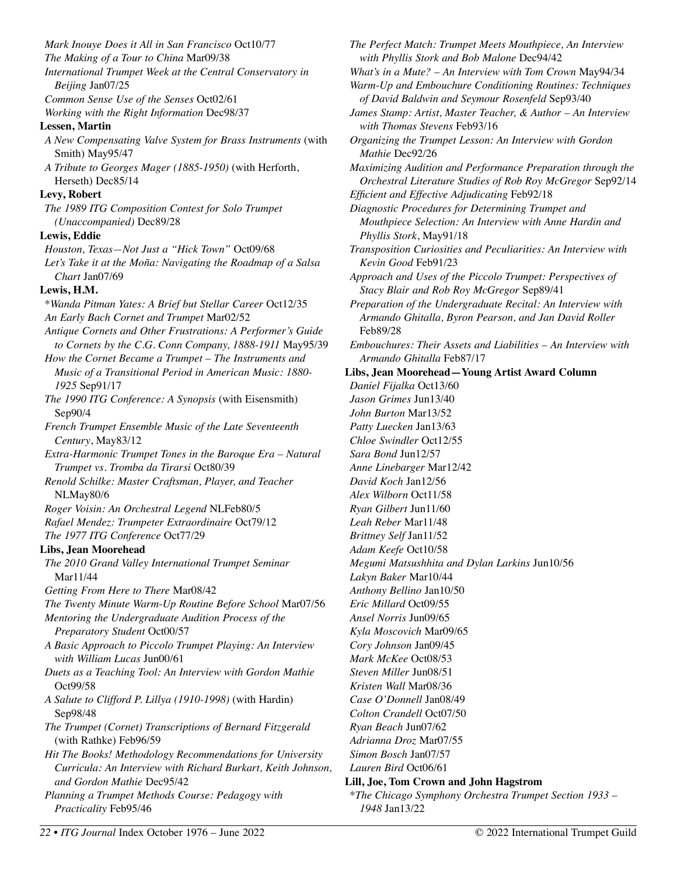*Mark Inouye Does it All in San Francisco* Oct10/77 *The Making of a Tour to China* Mar09/38 *International Trumpet Week at the Central Conservatory in Beijing* Jan07/25 *Common Sense Use of the Senses* Oct02/61 *Working with the Right Information* Dec98/37 **Lessen, Martin**  *A New Compensating Valve System for Brass Instruments* (with Smith) May95/47 *A Tribute to Georges Mager (1885-1950)* (with Herforth, Herseth) Dec85/14 **Levy, Robert**  *The 1989 ITG Composition Contest for Solo Trumpet (Unaccompanied)* Dec89/28 **Lewis, Eddie**  *Houston, Texas—Not Just a "Hick Town"* Oct09/68 *Let's Take it at the Moña: Navigating the Roadmap of a Salsa Chart* Jan07/69 **Lewis, H.M.**  \**Wanda Pitman Yates: A Brief but Stellar Career* Oct12/35 *An Early Bach Cornet and Trumpet* Mar02/52 *Antique Cornets and Other Frustrations: A Performer's Guide to Cornets by the C.G. Conn Company, 1888-1911* May95/39 *How the Cornet Became a Trumpet – The Instruments and Music of a Transitional Period in American Music: 1880- 1925* Sep91/17 *The 1990 ITG Conference: A Synopsis* (with Eisensmith) Sep90/4 *French Trumpet Ensemble Music of the Late Seventeenth Century*, May83/12 *Extra-Harmonic Trumpet Tones in the Baroque Era – Natural Trumpet vs. Tromba da Tirarsi* Oct80/39 *Renold Schilke: Master Craftsman, Player, and Teacher*  NLMay80/6 *Roger Voisin: An Orchestral Legend* NLFeb80/5 *Rafael Mendez: Trumpeter Extraordinaire* Oct79/12 *The 1977 ITG Conference* Oct77/29 **Libs, Jean Moorehead**  *The 2010 Grand Valley International Trumpet Seminar*  Mar11/44 *Getting From Here to There* Mar08/42 *The Twenty Minute Warm-Up Routine Before School* Mar07/56 *Mentoring the Undergraduate Audition Process of the Preparatory Student* Oct00/57 *A Basic Approach to Piccolo Trumpet Playing: An Interview with William Lucas* Jun00/61 *Duets as a Teaching Tool: An Interview with Gordon Mathie*  Oct99/58 *A Salute to Clifford P. Lillya (1910-1998)* (with Hardin) Sep98/48 *The Trumpet (Cornet) Transcriptions of Bernard Fitzgerald*  (with Rathke) Feb96/59 *Hit The Books! Methodology Recommendations for University Curricula: An Interview with Richard Burkart, Keith Johnson, and Gordon Mathie* Dec95/42 *Planning a Trumpet Methods Course: Pedagogy with Practicality* Feb95/46

*22 • ITG Journal* Index October 1976 – June 2022 © 2022 International Trumpet Guild

*The Perfect Match: Trumpet Meets Mouthpiece, An Interview with Phyllis Stork and Bob Malone* Dec94/42 *What's in a Mute? – An Interview with Tom Crown* May94/34 *Warm-Up and Embouchure Conditioning Routines: Techniques of David Baldwin and Seymour Rosenfeld* Sep93/40 *James Stamp: Artist, Master Teacher, & Author – An Interview with Thomas Stevens* Feb93/16 *Organizing the Trumpet Lesson: An Interview with Gordon Mathie* Dec92/26 *Maximizing Audition and Performance Preparation through the Orchestral Literature Studies of Rob Roy McGregor* Sep92/14 *Efficient and Effective Adjudicating* Feb92/18 *Diagnostic Procedures for Determining Trumpet and Mouthpiece Selection: An Interview with Anne Hardin and Phyllis Stork*, May91/18 *Transposition Curiosities and Peculiarities: An Interview with Kevin Good* Feb91/23 *Approach and Uses of the Piccolo Trumpet: Perspectives of Stacy Blair and Rob Roy McGregor* Sep89/41 *Preparation of the Undergraduate Recital: An Interview with Armando Ghitalla, Byron Pearson, and Jan David Roller*  Feb89/28 *Embouchures: Their Assets and Liabilities – An Interview with Armando Ghitalla* Feb87/17 **Libs, Jean Moorehead—Young Artist Award Column**  *Daniel Fijalka* Oct13/60 *Jason Grimes* Jun13/40 *John Burton* Mar13/52 *Patty Luecken* Jan13/63 *Chloe Swindler* Oct12/55 *Sara Bond* Jun12/57 *Anne Linebarger* Mar12/42 *David Koch* Jan12/56 *Alex Wilborn* Oct11/58 *Ryan Gilbert* Jun11/60 *Leah Reber* Mar11/48 *Brittney Self* Jan11/52 *Adam Keefe* Oct10/58 *Megumi Matsushhita and Dylan Larkins* Jun10/56 *Lakyn Baker* Mar10/44 *Anthony Bellino* Jan10/50 *Eric Millard* Oct09/55 *Ansel Norris* Jun09/65 *Kyla Moscovich* Mar09/65 *Cory Johnson* Jan09/45 *Mark McKee* Oct08/53 *Steven Miller* Jun08/51 *Kristen Wall* Mar08/36 *Case O'Donnell* Jan08/49 *Colton Crandell* Oct07/50 *Ryan Beach* Jun07/62 *Adrianna Droz* Mar07/55 *Simon Bosch* Jan07/57 *Lauren Bird* Oct06/61 **Lill, Joe, Tom Crown and John Hagstrom**  \**The Chicago Symphony Orchestra Trumpet Section 1933 –* 

*1948* Jan13/22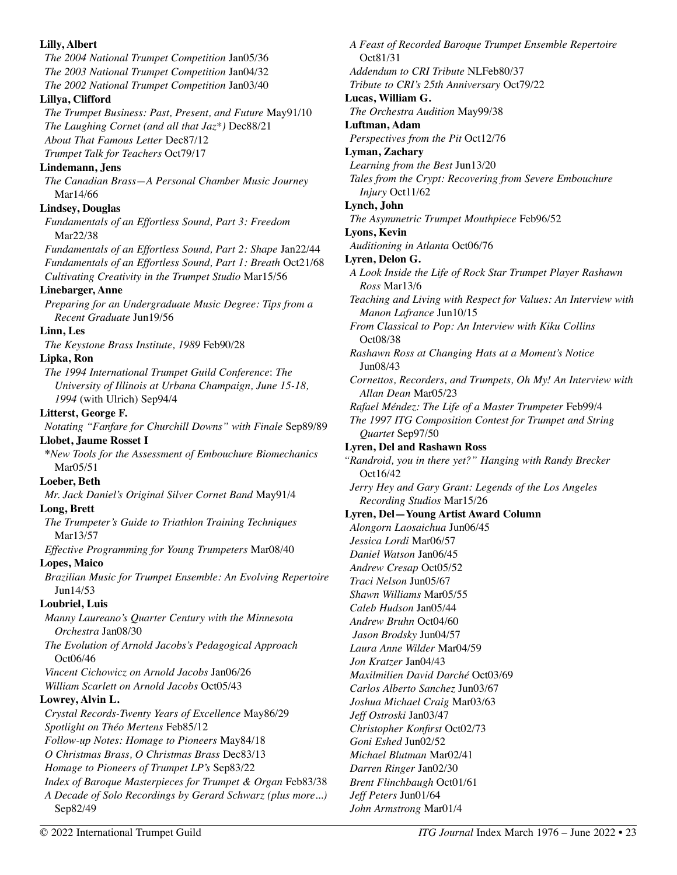**Lilly, Albert**  *The 2004 National Trumpet Competition* Jan05/36 *The 2003 National Trumpet Competition* Jan04/32 *The 2002 National Trumpet Competition* Jan03/40 **Lillya, Clifford**  *The Trumpet Business: Past, Present, and Future* May91/10 *The Laughing Cornet (and all that Jaz\*)* Dec88/21 *About That Famous Letter* Dec87/12 *Trumpet Talk for Teachers* Oct79/17 **Lindemann, Jens**  *The Canadian Brass—A Personal Chamber Music Journey*  Mar14/66 **Lindsey, Douglas**  *Fundamentals of an Effortless Sound, Part 3: Freedom*  Mar22/38 *Fundamentals of an Effortless Sound, Part 2: Shape* Jan22/44 *Fundamentals of an Effortless Sound, Part 1: Breath* Oct21/68 *Cultivating Creativity in the Trumpet Studio* Mar15/56 **Linebarger, Anne**  *Preparing for an Undergraduate Music Degree: Tips from a Recent Graduate* Jun19/56 **Linn, Les**  *The Keystone Brass Institute, 1989* Feb90/28 **Lipka, Ron**  *The 1994 International Trumpet Guild Conference*: *The University of Illinois at Urbana Champaign, June 15-18, 1994* (with Ulrich) Sep94/4 **Litterst, George F.**  *Notating "Fanfare for Churchill Downs" with Finale* Sep89/89 **Llobet, Jaume Rosset I \****New Tools for the Assessment of Embouchure Biomechanics* Mar05/51 **Loeber, Beth**  *Mr. Jack Daniel's Original Silver Cornet Band* May91/4 **Long, Brett**  *The Trumpeter's Guide to Triathlon Training Techniques*  Mar13/57 *Effective Programming for Young Trumpeters* Mar08/40 **Lopes, Maico**  *Brazilian Music for Trumpet Ensemble: An Evolving Repertoire*  Jun14/53 **Loubriel, Luis**  *Manny Laureano's Quarter Century with the Minnesota Orchestra* Jan08/30 *The Evolution of Arnold Jacobs's Pedagogical Approach* Oct06/46 *Vincent Cichowicz on Arnold Jacobs* Jan06/26 *William Scarlett on Arnold Jacobs* Oct05/43 **Lowrey, Alvin L.**  *Crystal Records-Twenty Years of Excellence* May86/29 *Spotlight on Théo Mertens* Feb85/12 *Follow-up Notes: Homage to Pioneers* May84/18 *O Christmas Brass, O Christmas Brass* Dec83/13 *Homage to Pioneers of Trumpet LP's* Sep83/22 *Index of Baroque Masterpieces for Trumpet & Organ Feb83/38 A Decade of Solo Recordings by Gerard Schwarz (plus more...)*  Sep82/49 *John Armstrong* Mar01/4

*A Feast of Recorded Baroque Trumpet Ensemble Repertoire*  Oct81/31 *Addendum to CRI Tribute* NLFeb80/37 *Tribute to CRI's 25th Anniversary* Oct79/22 **Lucas, William G.**  *The Orchestra Audition* May99/38 **Luftman, Adam**  *Perspectives from the Pit* Oct12/76 **Lyman, Zachary**  *Learning from the Best* Jun13/20 *Tales from the Crypt: Recovering from Severe Embouchure Injury* Oct11/62 **Lynch, John**  *The Asymmetric Trumpet Mouthpiece* Feb96/52 **Lyons, Kevin**  *Auditioning in Atlanta* Oct06/76 **Lyren, Delon G.** *A Look Inside the Life of Rock Star Trumpet Player Rashawn Ross* Mar13/6 *Teaching and Living with Respect for Values: An Interview with Manon Lafrance* Jun10/15 *From Classical to Pop: An Interview with Kiku Collins*  Oct08/38 *Rashawn Ross at Changing Hats at a Moment's Notice*  Jun08/43 *Cornettos, Recorders, and Trumpets, Oh My! An Interview with Allan Dean* Mar05/23 *Rafael Méndez: The Life of a Master Trumpeter* Feb99/4 *The 1997 ITG Composition Contest for Trumpet and String Quartet* Sep97/50 **Lyren, Del and Rashawn Ross** *"Randroid, you in there yet?" Hanging with Randy Brecker*  Oct16/42 *Jerry Hey and Gary Grant: Legends of the Los Angeles Recording Studios* Mar15/26 **Lyren, Del—Young Artist Award Column** *Alongorn Laosaichua* Jun06/45 *Jessica Lordi* Mar06/57 *Daniel Watson* Jan06/45 *Andrew Cresap* Oct05/52 *Traci Nelson* Jun05/67 *Shawn Williams* Mar05/55 *Caleb Hudson* Jan05/44 *Andrew Bruhn* Oct04/60  *Jason Brodsky* Jun04/57 *Laura Anne Wilder* Mar04/59 *Jon Kratzer* Jan04/43 *Maxilmilien David Darché* Oct03/69 *Carlos Alberto Sanchez* Jun03/67 *Joshua Michael Craig* Mar03/63 *Jeff Ostroski* Jan03/47 *Christopher Konfirst* Oct02/73 *Goni Eshed* Jun02/52 *Michael Blutman* Mar02/41 *Darren Ringer* Jan02/30 *Brent Flinchbaugh* Oct01/61 *Jeff Peters* Jun01/64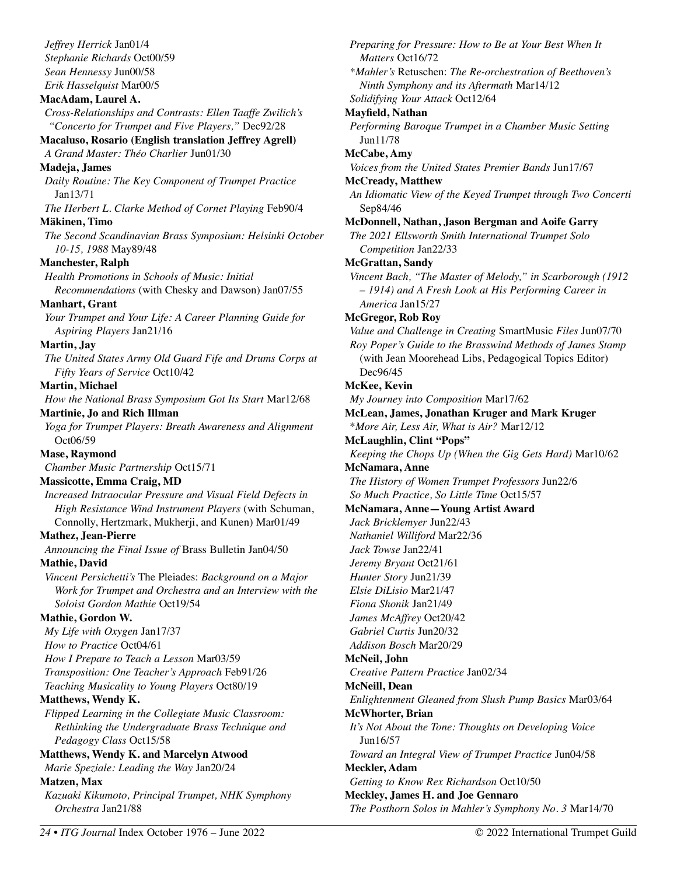*Jeffrey Herrick* Jan01/4 *Stephanie Richards* Oct00/59 *Sean Hennessy* Jun00/58 *Erik Hasselquist* Mar00/5

#### **MacAdam, Laurel A.**

*Cross-Relationships and Contrasts: Ellen Taaffe Zwilich's "Concerto for Trumpet and Five Players,"* Dec92/28

#### **Macaluso, Rosario (English translation Jeffrey Agrell)**

*A Grand Master: Théo Charlier* Jun01/30

#### **Madeja, James**

*Daily Routine: The Key Component of Trumpet Practice*  Jan13/71

*The Herbert L. Clarke Method of Cornet Playing* Feb90/4 **Mäkinen, Timo** 

*The Second Scandinavian Brass Symposium: Helsinki October 10-15, 1988* May89/48

#### **Manchester, Ralph**

*Health Promotions in Schools of Music: Initial* 

*Recommendations* (with Chesky and Dawson) Jan07/55 **Manhart, Grant** 

*Your Trumpet and Your Life: A Career Planning Guide for Aspiring Players* Jan21/16

#### **Martin, Jay**

*The United States Army Old Guard Fife and Drums Corps at Fifty Years of Service* Oct10/42

#### **Martin, Michael**

*How the National Brass Symposium Got Its Start* Mar12/68

#### **Martinie, Jo and Rich Illman**

*Yoga for Trumpet Players: Breath Awareness and Alignment* Oct06/59

**Mase, Raymond** 

*Chamber Music Partnership* Oct15/71

# **Massicotte, Emma Craig, MD**

*Increased Intraocular Pressure and Visual Field Defects in High Resistance Wind Instrument Players* (with Schuman, Connolly, Hertzmark, Mukherji, and Kunen) Mar01/49

#### **Mathez, Jean-Pierre**

*Announcing the Final Issue of* Brass Bulletin Jan04/50 **Mathie, David** 

*Vincent Persichetti's* The Pleiades: *Background on a Major Work for Trumpet and Orchestra and an Interview with the Soloist Gordon Mathie* Oct19/54

#### **Mathie, Gordon W.**

*My Life with Oxygen* Jan17/37

*How to Practice* Oct04/61

*How I Prepare to Teach a Lesson* Mar03/59 *Transposition: One Teacher's Approach* Feb91/26

*Teaching Musicality to Young Players* Oct80/19

#### **Matthews, Wendy K.**

*Flipped Learning in the Collegiate Music Classroom: Rethinking the Undergraduate Brass Technique and Pedagogy Class* Oct15/58

# **Matthews, Wendy K. and Marcelyn Atwood**

*Marie Speziale: Leading the Way* Jan20/24

# **Matzen, Max**

*Kazuaki Kikumoto, Principal Trumpet, NHK Symphony Orchestra* Jan21/88

*Preparing for Pressure: How to Be at Your Best When It Matters* Oct16/72 *\*Mahler's* Retuschen: *The Re-orchestration of Beethoven's Ninth Symphony and its Aftermath* Mar14/12 *Solidifying Your Attack* Oct12/64 **Mayfield, Nathan**  *Performing Baroque Trumpet in a Chamber Music Setting*  Jun11/78 **McCabe, Amy**  *Voices from the United States Premier Bands* Jun17/67 **McCready, Matthew**  *An Idiomatic View of the Keyed Trumpet through Two Concerti*  Sep84/46 **McDonnell, Nathan, Jason Bergman and Aoife Garry**  *The 2021 Ellsworth Smith International Trumpet Solo Competition* Jan22/33 **McGrattan, Sandy**  *Vincent Bach, "The Master of Melody," in Scarborough (1912 – 1914) and A Fresh Look at His Performing Career in America* Jan15/27 **McGregor, Rob Roy**  *Value and Challenge in Creating* SmartMusic *Files* Jun07/70 *Roy Poper's Guide to the Brasswind Methods of James Stamp*  (with Jean Moorehead Libs, Pedagogical Topics Editor) Dec96/45 **McKee, Kevin**  *My Journey into Composition* Mar17/62 **McLean, James, Jonathan Kruger and Mark Kruger**  \**More Air, Less Air, What is Air?* Mar12/12 **McLaughlin, Clint "Pops"**  *Keeping the Chops Up (When the Gig Gets Hard)* Mar10/62 **McNamara, Anne**  *The History of Women Trumpet Professors* Jun22/6 *So Much Practice, So Little Time* Oct15/57 **McNamara, Anne—Young Artist Award**  *Jack Bricklemyer* Jun22/43 *Nathaniel Williford* Mar22/36 *Jack Towse* Jan22/41 *Jeremy Bryant* Oct21/61 *Hunter Story* Jun21/39 *Elsie DiLisio* Mar21/47 *Fiona Shonik* Jan21/49 *James McAffrey* Oct20/42 *Gabriel Curtis* Jun20/32 *Addison Bosch* Mar20/29 **McNeil, John**  *Creative Pattern Practice* Jan02/34 **McNeill, Dean**  *Enlightenment Gleaned from Slush Pump Basics* Mar03/64 **McWhorter, Brian**  *It's Not About the Tone: Thoughts on Developing Voice*  Jun16/57 *Toward an Integral View of Trumpet Practice* Jun04/58 **Meckler, Adam**  *Getting to Know Rex Richardson* Oct10/50 **Meckley, James H. and Joe Gennaro**  *The Posthorn Solos in Mahler's Symphony No. 3* Mar14/70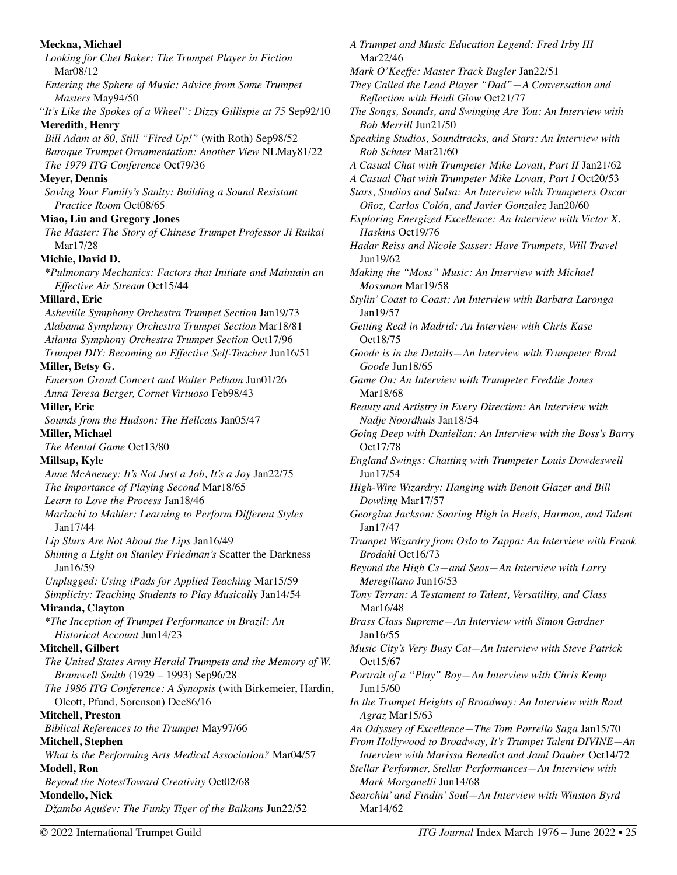**Meckna, Michael**  *Looking for Chet Baker: The Trumpet Player in Fiction* Mar08/12 *Entering the Sphere of Music: Advice from Some Trumpet Masters* May94/50 *"It's Like the Spokes of a Wheel": Dizzy Gillispie at 75* Sep92/10 **Meredith, Henry**  *Bill Adam at 80, Still "Fired Up!"* (with Roth) Sep98/52 *Baroque Trumpet Ornamentation: Another View* NLMay81/22 *The 1979 ITG Conference* Oct79/36 **Meyer, Dennis**  *Saving Your Family's Sanity: Building a Sound Resistant Practice Room* Oct08/65 **Miao, Liu and Gregory Jones**  *The Master: The Story of Chinese Trumpet Professor Ji Ruikai*  Mar17/28 **Michie, David D.**  *\*Pulmonary Mechanics: Factors that Initiate and Maintain an Effective Air Stream* Oct15/44 **Millard, Eric**  *Asheville Symphony Orchestra Trumpet Section* Jan19/73 *Alabama Symphony Orchestra Trumpet Section* Mar18/81 *Atlanta Symphony Orchestra Trumpet Section* Oct17/96 *Trumpet DIY: Becoming an Effective Self-Teacher* Jun16/51 **Miller, Betsy G.**  *Emerson Grand Concert and Walter Pelham* Jun01/26 *Anna Teresa Berger, Cornet Virtuoso* Feb98/43 **Miller, Eric**  *Sounds from the Hudson: The Hellcats* Jan05/47 **Miller, Michael**  *The Mental Game* Oct13/80 **Millsap, Kyle**  *Anne McAneney: It's Not Just a Job, It's a Joy* Jan22/75 *The Importance of Playing Second* Mar18/65 *Learn to Love the Process* Jan18/46 *Mariachi to Mahler: Learning to Perform Different Styles*  Jan17/44 *Lip Slurs Are Not About the Lips* Jan16/49 *Shining a Light on Stanley Friedman's* Scatter the Darkness Jan16/59 *Unplugged: Using iPads for Applied Teaching* Mar15/59 *Simplicity: Teaching Students to Play Musically* Jan14/54 **Miranda, Clayton**  *\*The Inception of Trumpet Performance in Brazil: An Historical Account* Jun14/23 **Mitchell, Gilbert**  *The United States Army Herald Trumpets and the Memory of W. Bramwell Smith* (1929 – 1993) Sep96/28 *The 1986 ITG Conference: A Synopsis* (with Birkemeier, Hardin, Olcott, Pfund, Sorenson) Dec86/16 **Mitchell, Preston**  *Biblical References to the Trumpet* May97/66 **Mitchell, Stephen**  *What is the Performing Arts Medical Association?* Mar04/57 **Modell, Ron**  *Beyond the Notes/Toward Creativity* Oct02/68 **Mondello, Nick**  *Džambo Agušev: The Funky Tiger of the Balkans* Jun22/52 *A Trumpet and Music Education Legend: Fred Irby III*  Mar22/46 *Mark O'Keeffe: Master Track Bugler* Jan22/51 *They Called the Lead Player "Dad"—A Conversation and Reflection with Heidi Glow* Oct21/77 *The Songs, Sounds, and Swinging Are You: An Interview with Bob Merrill* Jun21/50 *Speaking Studios, Soundtracks, and Stars: An Interview with Rob Schaer* Mar21/60 *A Casual Chat with Trumpeter Mike Lovatt, Part II* Jan21/62 *A Casual Chat with Trumpeter Mike Lovatt, Part I* Oct20/53 *Stars, Studios and Salsa: An Interview with Trumpeters Oscar Oñoz, Carlos Colón, and Javier Gonzalez* Jan20/60 *Exploring Energized Excellence: An Interview with Victor X. Haskins* Oct19/76 *Hadar Reiss and Nicole Sasser: Have Trumpets, Will Travel*  Jun19/62 *Making the "Moss" Music: An Interview with Michael Mossman* Mar19/58 *Stylin' Coast to Coast: An Interview with Barbara Laronga*  Jan19/57 *Getting Real in Madrid: An Interview with Chris Kase*  Oct18/75 *Goode is in the Details—An Interview with Trumpeter Brad Goode* Jun18/65 *Game On: An Interview with Trumpeter Freddie Jones*  Mar18/68 *Beauty and Artistry in Every Direction: An Interview with Nadje Noordhuis* Jan18/54 *Going Deep with Danielian: An Interview with the Boss's Barry*  Oct17/78 *England Swings: Chatting with Trumpeter Louis Dowdeswell*  Jun17/54 *High-Wire Wizardry: Hanging with Benoit Glazer and Bill Dowling* Mar17/57 *Georgina Jackson: Soaring High in Heels, Harmon, and Talent*  Jan17/47 *Trumpet Wizardry from Oslo to Zappa: An Interview with Frank Brodahl* Oct16/73 *Beyond the High Cs—and Seas—An Interview with Larry Meregillano* Jun16/53 *Tony Terran: A Testament to Talent, Versatility, and Class*  Mar16/48 *Brass Class Supreme—An Interview with Simon Gardner*  Jan16/55 *Music City's Very Busy Cat—An Interview with Steve Patrick*  Oct15/67 *Portrait of a "Play" Boy—An Interview with Chris Kemp*  Jun15/60 *In the Trumpet Heights of Broadway: An Interview with Raul Agraz* Mar15/63 *An Odyssey of Excellence—The Tom Porrello Saga* Jan15/70 *From Hollywood to Broadway, It's Trumpet Talent DIVINE—An Interview with Marissa Benedict and Jami Dauber* Oct14/72 *Stellar Performer, Stellar Performances—An Interview with Mark Morganelli* Jun14/68 *Searchin' and Findin' Soul—An Interview with Winston Byrd*  Mar14/62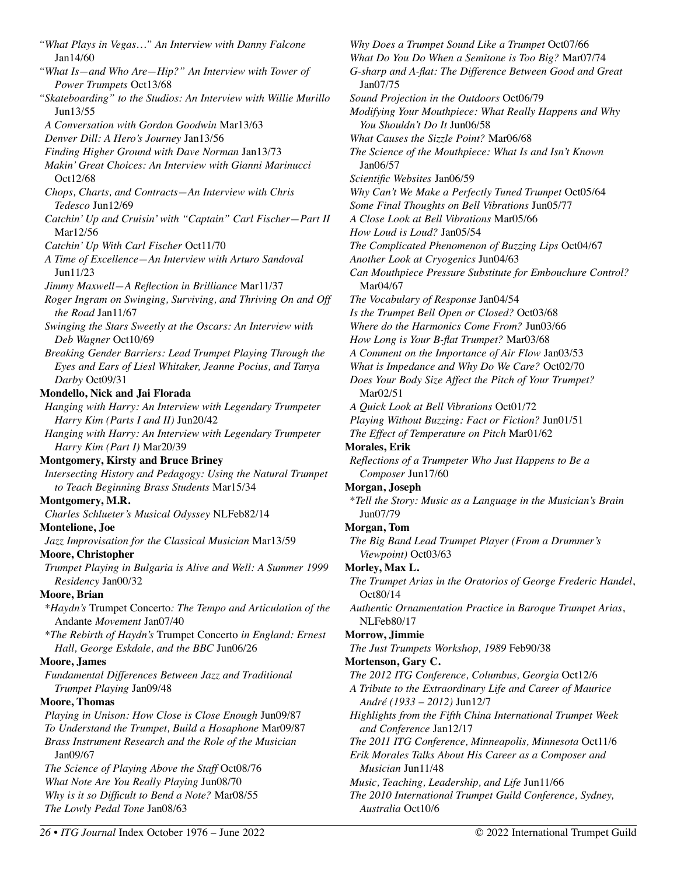*"What Plays in Vegas…" An Interview with Danny Falcone*  Jan14/60 *"What Is—and Who Are—Hip?" An Interview with Tower of Power Trumpets* Oct13/68 *"Skateboarding" to the Studios: An Interview with Willie Murillo*  Jun13/55 *A Conversation with Gordon Goodwin* Mar13/63 *Denver Dill: A Hero's Journey* Jan13/56 *Finding Higher Ground with Dave Norman* Jan13/73 *Makin' Great Choices: An Interview with Gianni Marinucci*  Oct12/68 *Chops, Charts, and Contracts—An Interview with Chris Tedesco* Jun12/69 *Catchin' Up and Cruisin' with "Captain" Carl Fischer—Part II*  Mar12/56 *Catchin' Up With Carl Fischer* Oct11/70 *A Time of Excellence—An Interview with Arturo Sandoval*  Jun11/23 *Jimmy Maxwell—A Reflection in Brilliance* Mar11/37 *Roger Ingram on Swinging, Surviving, and Thriving On and Off the Road* Jan11/67 *Swinging the Stars Sweetly at the Oscars: An Interview with Deb Wagner* Oct10/69 *Breaking Gender Barriers: Lead Trumpet Playing Through the Eyes and Ears of Liesl Whitaker, Jeanne Pocius, and Tanya Darby* Oct09/31 **Mondello, Nick and Jai Florada**  *Hanging with Harry: An Interview with Legendary Trumpeter Harry Kim (Parts I and II)* Jun20/42 *Hanging with Harry: An Interview with Legendary Trumpeter Harry Kim (Part I)* Mar20/39 **Montgomery, Kirsty and Bruce Briney**  *Intersecting History and Pedagogy: Using the Natural Trumpet to Teach Beginning Brass Students* Mar15/34 **Montgomery, M.R.**  *Charles Schlueter's Musical Odyssey* NLFeb82/14 **Montelione, Joe**  *Jazz Improvisation for the Classical Musician* Mar13/59 **Moore, Christopher**  *Trumpet Playing in Bulgaria is Alive and Well: A Summer 1999 Residency* Jan00/32 **Moore, Brian**  *\*Haydn's* Trumpet Concerto*: The Tempo and Articulation of the*  Andante *Movement* Jan07/40 *\*The Rebirth of Haydn's* Trumpet Concerto *in England: Ernest Hall, George Eskdale, and the BBC* Jun06/26 **Moore, James**  *Fundamental Differences Between Jazz and Traditional Trumpet Playing* Jan09/48 **Moore, Thomas**  *Playing in Unison: How Close is Close Enough* Jun09/87 *To Understand the Trumpet, Build a Hosaphone* Mar09/87 *Brass Instrument Research and the Role of the Musician*  Jan09/67 *The Science of Playing Above the Staff* Oct08/76 *What Note Are You Really Playing* Jun08/70 *Why is it so Difficult to Bend a Note?* Mar08/55 *The Lowly Pedal Tone* Jan08/63

*Why Does a Trumpet Sound Like a Trumpet* Oct07/66 *What Do You Do When a Semitone is Too Big?* Mar07/74 *G-sharp and A-flat: The Difference Between Good and Great* Jan07/75 *Sound Projection in the Outdoors* Oct06/79 *Modifying Your Mouthpiece: What Really Happens and Why You Shouldn't Do It* Jun06/58 *What Causes the Sizzle Point?* Mar06/68 *The Science of the Mouthpiece: What Is and Isn't Known*  Jan06/57 *Scientific Websites* Jan06/59 *Why Can't We Make a Perfectly Tuned Trumpet* Oct05/64 *Some Final Thoughts on Bell Vibrations* Jun05/77 *A Close Look at Bell Vibrations* Mar05/66 *How Loud is Loud?* Jan05/54 *The Complicated Phenomenon of Buzzing Lips* Oct04/67 *Another Look at Cryogenics* Jun04/63 *Can Mouthpiece Pressure Substitute for Embouchure Control?* Mar04/67 *The Vocabulary of Response* Jan04/54 *Is the Trumpet Bell Open or Closed?* Oct03/68 *Where do the Harmonics Come From?* Jun03/66 *How Long is Your B-flat Trumpet?* Mar03/68 *A Comment on the Importance of Air Flow* Jan03/53 *What is Impedance and Why Do We Care?* Oct02/70 *Does Your Body Size Affect the Pitch of Your Trumpet?*  Mar02/51 *A Quick Look at Bell Vibrations* Oct01/72 *Playing Without Buzzing: Fact or Fiction?* Jun01/51 *The Effect of Temperature on Pitch* Mar01/62 **Morales, Erik**  *Reflections of a Trumpeter Who Just Happens to Be a Composer* Jun17/60 **Morgan, Joseph**  \**Tell the Story: Music as a Language in the Musician's Brain* Jun07/79 **Morgan, Tom**  *The Big Band Lead Trumpet Player (From a Drummer's Viewpoint)* Oct03/63 **Morley, Max L.**  *The Trumpet Arias in the Oratorios of George Frederic Handel*, Oct80/14 *Authentic Ornamentation Practice in Baroque Trumpet Arias*, NLFeb80/17 **Morrow, Jimmie**  *The Just Trumpets Workshop, 1989* Feb90/38 **Mortenson, Gary C.**  *The 2012 ITG Conference, Columbus, Georgia* Oct12/6 *A Tribute to the Extraordinary Life and Career of Maurice André (1933 – 2012)* Jun12/7 *Highlights from the Fifth China International Trumpet Week and Conference* Jan12/17 *The 2011 ITG Conference, Minneapolis, Minnesota* Oct11/6 *Erik Morales Talks About His Career as a Composer and Musician* Jun11/48 *Music, Teaching, Leadership, and Life* Jun11/66 *The 2010 International Trumpet Guild Conference, Sydney, Australia* Oct10/6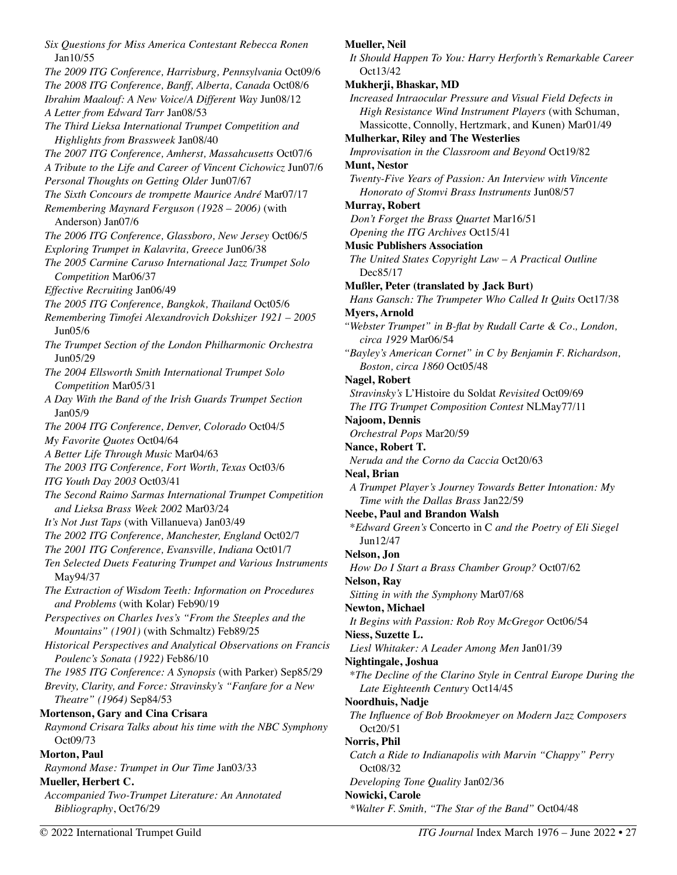*Six Questions for Miss America Contestant Rebecca Ronen*  Jan10/55 *The 2009 ITG Conference, Harrisburg, Pennsylvania* Oct09/6 *The 2008 ITG Conference, Banff, Alberta, Canada* Oct08/6 *Ibrahim Maalouf: A New Voice/A Different Way* Jun08/12 *A Letter from Edward Tarr* Jan08/53 *The Third Lieksa International Trumpet Competition and Highlights from Brassweek* Jan08/40 *The 2007 ITG Conference, Amherst, Massahcusetts* Oct07/6 *A Tribute to the Life and Career of Vincent Cichowicz* Jun07/6 *Personal Thoughts on Getting Older* Jun07/67 *The Sixth Concours de trompette Maurice André* Mar07/17 *Remembering Maynard Ferguson (1928 – 2006)* (with Anderson) Jan07/6 *The 2006 ITG Conference, Glassboro, New Jersey* Oct06/5 *Exploring Trumpet in Kalavrita, Greece* Jun06/38 *The 2005 Carmine Caruso International Jazz Trumpet Solo Competition* Mar06/37 *Effective Recruiting* Jan06/49 *The 2005 ITG Conference, Bangkok, Thailand* Oct05/6 *Remembering Timofei Alexandrovich Dokshizer 1921 – 2005*  Jun05/6 *The Trumpet Section of the London Philharmonic Orchestra* Jun05/29 *The 2004 Ellsworth Smith International Trumpet Solo Competition* Mar05/31 *A Day With the Band of the Irish Guards Trumpet Section*  Jan05/9 *The 2004 ITG Conference, Denver, Colorado* Oct04/5 *My Favorite Quotes* Oct04/64 *A Better Life Through Music* Mar04/63 *The 2003 ITG Conference, Fort Worth, Texas* Oct03/6 *ITG Youth Day 2003* Oct03/41 *The Second Raimo Sarmas International Trumpet Competition and Lieksa Brass Week 2002* Mar03/24 *It's Not Just Taps* (with Villanueva) Jan03/49 *The 2002 ITG Conference, Manchester, England* Oct02/7 *The 2001 ITG Conference, Evansville, Indiana* Oct01/7 *Ten Selected Duets Featuring Trumpet and Various Instruments*  May94/37 *The Extraction of Wisdom Teeth: Information on Procedures and Problems* (with Kolar) Feb90/19 *Perspectives on Charles Ives's "From the Steeples and the Mountains" (1901)* (with Schmaltz) Feb89/25 *Historical Perspectives and Analytical Observations on Francis Poulenc's Sonata (1922)* Feb86/10 *The 1985 ITG Conference: A Synopsis* (with Parker) Sep85/29 *Brevity, Clarity, and Force: Stravinsky's "Fanfare for a New Theatre" (1964)* Sep84/53 **Mortenson, Gary and Cina Crisara**  *Raymond Crisara Talks about his time with the NBC Symphony*  Oct09/73 **Morton, Paul**  *Raymond Mase: Trumpet in Our Time* Jan03/33 **Mueller, Herbert C.**  *Accompanied Two-Trumpet Literature: An Annotated Bibliography*, Oct76/29

#### **Mueller, Neil**

*It Should Happen To You: Harry Herforth's Remarkable Career*  Oct13/42

#### **Mukherji, Bhaskar, MD**

*Increased Intraocular Pressure and Visual Field Defects in High Resistance Wind Instrument Players* (with Schuman, Massicotte, Connolly, Hertzmark, and Kunen) Mar01/49

**Mulherkar, Riley and The Westerlies** 

*Improvisation in the Classroom and Beyond* Oct19/82 **Munt, Nestor** 

*Twenty-Five Years of Passion: An Interview with Vincente Honorato of Stomvi Brass Instruments* Jun08/57

#### **Murray, Robert**

- *Don't Forget the Brass Quartet* Mar16/51
- *Opening the ITG Archives* Oct15/41

#### **Music Publishers Association**

*The United States Copyright Law – A Practical Outline*  Dec85/17

**Mußler, Peter (translated by Jack Burt)** 

*Hans Gansch: The Trumpeter Who Called It Quits* Oct17/38

# **Myers, Arnold**

- *"Webster Trumpet" in B-flat by Rudall Carte & Co., London, circa 1929* Mar06/54
- *"Bayley's American Cornet" in C by Benjamin F. Richardson, Boston, circa 1860* Oct05/48

#### **Nagel, Robert**

- *Stravinsky's* L'Histoire du Soldat *Revisited* Oct09/69 *The ITG Trumpet Composition Contest* NLMay77/11
- **Najoom, Dennis**

*Orchestral Pops* Mar20/59

# **Nance, Robert T.**

*Neruda and the Corno da Caccia* Oct20/63

#### **Neal, Brian**

*A Trumpet Player's Journey Towards Better Intonation: My Time with the Dallas Brass* Jan22/59

# **Neebe, Paul and Brandon Walsh**

\**Edward Green's* Concerto in C *and the Poetry of Eli Siegel*  Jun12/47

# **Nelson, Jon**

*How Do I Start a Brass Chamber Group?* Oct07/62

# **Nelson, Ray**

*Sitting in with the Symphony* Mar07/68

# **Newton, Michael**

*It Begins with Passion: Rob Roy McGregor* Oct06/54

#### **Niess, Suzette L.**

*Liesl Whitaker: A Leader Among Men* Jan01/39

# **Nightingale, Joshua**

\**The Decline of the Clarino Style in Central Europe During the Late Eighteenth Century* Oct14/45

# **Noordhuis, Nadje**

*The Influence of Bob Brookmeyer on Modern Jazz Composers*  Oct20/51

# **Norris, Phil**

- *Catch a Ride to Indianapolis with Marvin "Chappy" Perry*  Oct08/32
- *Developing Tone Quality* Jan02/36

# **Nowicki, Carole**

*\*Walter F. Smith, "The Star of the Band"* Oct04/48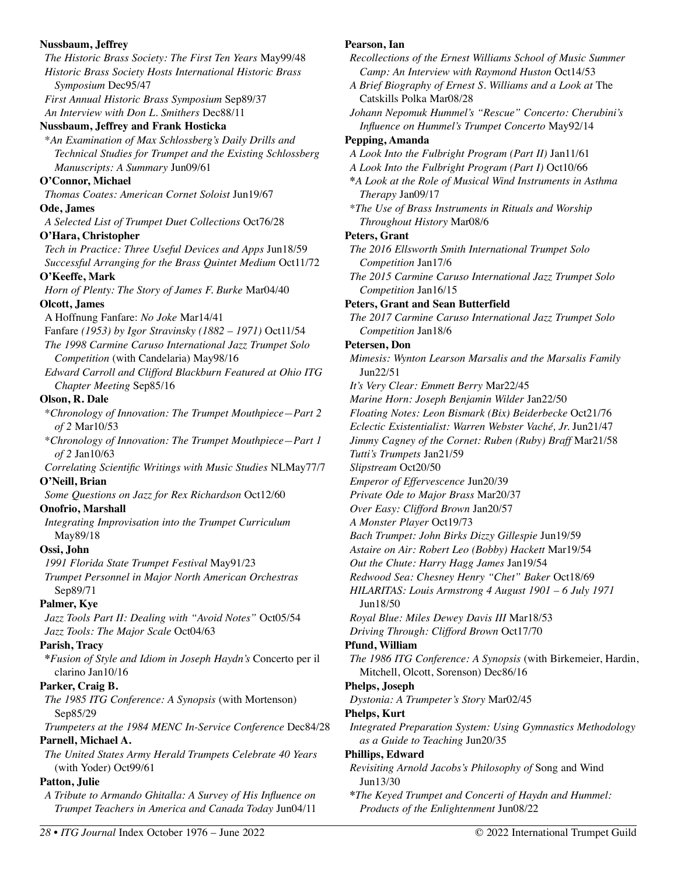# **Nussbaum, Jeffrey**  *The Historic Brass Society: The First Ten Years* May99/48 *Historic Brass Society Hosts International Historic Brass Symposium* Dec95/47 *First Annual Historic Brass Symposium* Sep89/37 *An Interview with Don L. Smithers* Dec88/11 **Nussbaum, Jeffrey and Frank Hosticka**  \**An Examination of Max Schlossberg's Daily Drills and Technical Studies for Trumpet and the Existing Schlossberg Manuscripts: A Summary* Jun09/61 **O'Connor, Michael**  *Thomas Coates: American Cornet Soloist* Jun19/67 **Ode, James**  *A Selected List of Trumpet Duet Collections* Oct76/28 **O'Hara, Christopher**  *Tech in Practice: Three Useful Devices and Apps* Jun18/59 *Successful Arranging for the Brass Quintet Medium* Oct11/72 **O'Keeffe, Mark**  *Horn of Plenty: The Story of James F. Burke* Mar04/40 **Olcott, James**  A Hoffnung Fanfare: *No Joke* Mar14/41 Fanfare *(1953) by Igor Stravinsky (1882 – 1971)* Oct11/54 *The 1998 Carmine Caruso International Jazz Trumpet Solo Competition* (with Candelaria) May98/16 *Edward Carroll and Clifford Blackburn Featured at Ohio ITG Chapter Meeting* Sep85/16 **Olson, R. Dale**  \**Chronology of Innovation: The Trumpet Mouthpiece—Part 2 of 2* Mar10/53 \**Chronology of Innovation: The Trumpet Mouthpiece—Part 1 of 2* Jan10/63 *Correlating Scientific Writings with Music Studies* NLMay77/7 **O'Neill, Brian**  *Some Questions on Jazz for Rex Richardson* Oct12/60 **Onofrio, Marshall**  *Integrating Improvisation into the Trumpet Curriculum*  May89/18 **Ossi, John**  *1991 Florida State Trumpet Festival* May91/23 *Trumpet Personnel in Major North American Orchestras*  Sep89/71 **Palmer, Kye**  *Jazz Tools Part II: Dealing with "Avoid Notes"* Oct05/54 *Jazz Tools: The Major Scale* Oct04/63 **Parish, Tracy \****Fusion of Style and Idiom in Joseph Haydn's* Concerto per il clarino Jan10/16 **Parker, Craig B.**  *The 1985 ITG Conference: A Synopsis* (with Mortenson) Sep85/29 *Trumpeters at the 1984 MENC In-Service Conference* Dec84/28 **Parnell, Michael A.**  *The United States Army Herald Trumpets Celebrate 40 Years*  (with Yoder) Oct99/61 **Patton, Julie**  *A Tribute to Armando Ghitalla: A Survey of His Influence on Trumpet Teachers in America and Canada Today* Jun04/11

# **Pearson, Ian**

*Recollections of the Ernest Williams School of Music Summer Camp: An Interview with Raymond Huston* Oct14/53 *A Brief Biography of Ernest S. Williams and a Look at* The Catskills Polka Mar08/28 *Johann Nepomuk Hummel's "Rescue" Concerto: Cherubini's Influence on Hummel's Trumpet Concerto* May92/14 **Pepping, Amanda**  *A Look Into the Fulbright Program (Part II)* Jan11/61 *A Look Into the Fulbright Program (Part I)* Oct10/66 **\****A Look at the Role of Musical Wind Instruments in Asthma Therapy* Jan09/17 \**The Use of Brass Instruments in Rituals and Worship Throughout History* Mar08/6 **Peters, Grant**  *The 2016 Ellsworth Smith International Trumpet Solo Competition* Jan17/6 *The 2015 Carmine Caruso International Jazz Trumpet Solo Competition* Jan16/15 **Peters, Grant and Sean Butterfield**  *The 2017 Carmine Caruso International Jazz Trumpet Solo Competition* Jan18/6 **Petersen, Don**  *Mimesis: Wynton Learson Marsalis and the Marsalis Family*  Jun22/51 *It's Very Clear: Emmett Berry* Mar22/45 *Marine Horn: Joseph Benjamin Wilder* Jan22/50 *Floating Notes: Leon Bismark (Bix) Beiderbecke* Oct21/76 *Eclectic Existentialist: Warren Webster Vaché, Jr.* Jun21/47 *Jimmy Cagney of the Cornet: Ruben (Ruby) Braff* Mar21/58 *Tutti's Trumpets* Jan21/59 *Slipstream* Oct20/50 *Emperor of Effervescence* Jun20/39 *Private Ode to Major Brass* Mar20/37 *Over Easy: Clifford Brown* Jan20/57 *A Monster Player* Oct19/73 *Bach Trumpet: John Birks Dizzy Gillespie* Jun19/59 *Astaire on Air: Robert Leo (Bobby) Hackett* Mar19/54 *Out the Chute: Harry Hagg James* Jan19/54 *Redwood Sea: Chesney Henry "Chet" Baker* Oct18/69 *HILARITAS: Louis Armstrong 4 August 1901 – 6 July 1971*  Jun18/50 *Royal Blue: Miles Dewey Davis III* Mar18/53 *Driving Through: Clifford Brown* Oct17/70 **Pfund, William**  *The 1986 ITG Conference: A Synopsis* (with Birkemeier, Hardin, Mitchell, Olcott, Sorenson) Dec86/16 **Phelps, Joseph**  *Dystonia: A Trumpeter's Story* Mar02/45 **Phelps, Kurt**  *Integrated Preparation System: Using Gymnastics Methodology as a Guide to Teaching* Jun20/35 **Phillips, Edward**  *Revisiting Arnold Jacobs's Philosophy of* Song and Wind Jun13/30 **\****The Keyed Trumpet and Concerti of Haydn and Hummel:* 

*Products of the Enlightenment* Jun08/22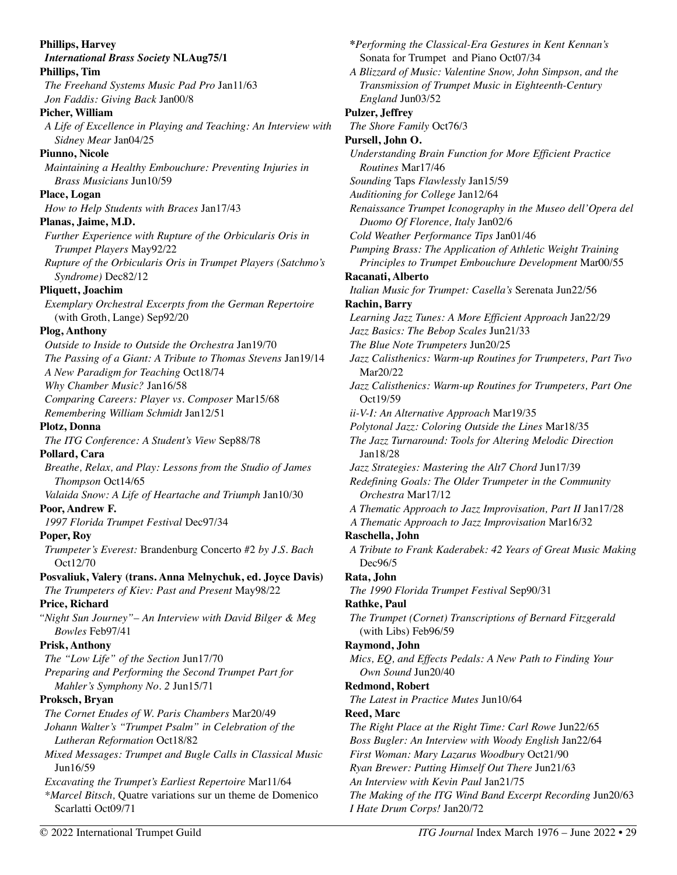**Phillips, Harvey**  *International Brass Society* **NLAug75/1 Phillips, Tim**  *The Freehand Systems Music Pad Pro* Jan11/63 *Jon Faddis: Giving Back* Jan00/8 **Picher, William**  *A Life of Excellence in Playing and Teaching: An Interview with Sidney Mear* Jan04/25 **Piunno, Nicole**  *Maintaining a Healthy Embouchure: Preventing Injuries in Brass Musicians* Jun10/59 **Place, Logan**  *How to Help Students with Braces* Jan17/43 **Planas, Jaime, M.D.**  *Further Experience with Rupture of the Orbicularis Oris in Trumpet Players* May92/22 *Rupture of the Orbicularis Oris in Trumpet Players (Satchmo's Syndrome)* Dec82/12 **Pliquett, Joachim**  *Exemplary Orchestral Excerpts from the German Repertoire*  (with Groth, Lange) Sep92/20 **Plog, Anthony**  *Outside to Inside to Outside the Orchestra* Jan19/70 *The Passing of a Giant: A Tribute to Thomas Stevens* Jan19/14 *A New Paradigm for Teaching* Oct18/74 *Why Chamber Music?* Jan16/58 *Comparing Careers: Player vs. Composer* Mar15/68 *Remembering William Schmidt* Jan12/51 **Plotz, Donna**  *The ITG Conference: A Student's View* Sep88/78 **Pollard, Cara**  *Breathe, Relax, and Play: Lessons from the Studio of James Thompson* Oct14/65 *Valaida Snow: A Life of Heartache and Triumph* Jan10/30 **Poor, Andrew F.**  *1997 Florida Trumpet Festival* Dec97/34 **Poper, Roy**  *Trumpeter's Everest:* Brandenburg Concerto #2 *by J.S. Bach*  Oct12/70 **Posvaliuk, Valery (trans. Anna Melnychuk, ed. Joyce Davis)**  *The Trumpeters of Kiev: Past and Present* May98/22 **Price, Richard**  *"Night Sun Journey"– An Interview with David Bilger & Meg Bowles* Feb97/41 **Prisk, Anthony**  *The "Low Life" of the Section* Jun17/70 *Preparing and Performing the Second Trumpet Part for Mahler's Symphony No. 2* Jun15/71 **Proksch, Bryan**  *The Cornet Etudes of W. Paris Chambers* Mar20/49 *Johann Walter's "Trumpet Psalm" in Celebration of the Lutheran Reformation* Oct18/82 *Mixed Messages: Trumpet and Bugle Calls in Classical Music*  Jun16/59 *Excavating the Trumpet's Earliest Repertoire* Mar11/64 *\*Marcel Bitsch,* Quatre variations sur un theme de Domenico Scarlatti Oct09/71

*The Shore Family* Oct76/3 **Pursell, John O.**  *Understanding Brain Function for More Efficient Practice Routines* Mar17/46 *Sounding* Taps *Flawlessly* Jan15/59 *Auditioning for College* Jan12/64 *Renaissance Trumpet Iconography in the Museo dell'Opera del Duomo Of Florence, Italy* Jan02/6 *Cold Weather Performance Tips* Jan01/46 *Pumping Brass: The Application of Athletic Weight Training Principles to Trumpet Embouchure Development* Mar00/55 **Racanati, Alberto**  *Italian Music for Trumpet: Casella's* Serenata Jun22/56 **Rachin, Barry**  *Learning Jazz Tunes: A More Efficient Approach* Jan22/29 *Jazz Basics: The Bebop Scales* Jun21/33 *The Blue Note Trumpeters* Jun20/25 *Jazz Calisthenics: Warm-up Routines for Trumpeters, Part Two*  Mar20/22 *Jazz Calisthenics: Warm-up Routines for Trumpeters, Part One*  Oct19/59 *ii-V-I: An Alternative Approach* Mar19/35 *Polytonal Jazz: Coloring Outside the Lines* Mar18/35 *The Jazz Turnaround: Tools for Altering Melodic Direction*  Jan18/28 *Jazz Strategies: Mastering the Alt7 Chord* Jun17/39 *Redefining Goals: The Older Trumpeter in the Community Orchestra* Mar17/12 *A Thematic Approach to Jazz Improvisation, Part II* Jan17/28 *A Thematic Approach to Jazz Improvisation* Mar16/32 **Raschella, John**  *A Tribute to Frank Kaderabek: 42 Years of Great Music Making*  Dec96/5 **Rata, John**  *The 1990 Florida Trumpet Festival* Sep90/31 **Rathke, Paul**  *The Trumpet (Cornet) Transcriptions of Bernard Fitzgerald*  (with Libs) Feb96/59 **Raymond, John**  *Mics, EQ, and Effects Pedals: A New Path to Finding Your Own Sound* Jun20/40 **Redmond, Robert**  *The Latest in Practice Mutes* Jun10/64 **Reed, Marc**  *The Right Place at the Right Time: Carl Rowe* Jun22/65 *Boss Bugler: An Interview with Woody English* Jan22/64 *First Woman: Mary Lazarus Woodbury* Oct21/90 *Ryan Brewer: Putting Himself Out There* Jun21/63 *An Interview with Kevin Paul* Jan21/75 *The Making of the ITG Wind Band Excerpt Recording* Jun20/63 *I Hate Drum Corps!* Jan20/72 © 2022 International Trumpet Guild *ITG Journal* Index March 1976 – June 2022 • 29

**\****Performing the Classical-Era Gestures in Kent Kennan's* 

*A Blizzard of Music: Valentine Snow, John Simpson, and the Transmission of Trumpet Music in Eighteenth-Century* 

Sonata for Trumpet and Piano Oct07/34

*England* Jun03/52

**Pulzer, Jeffrey**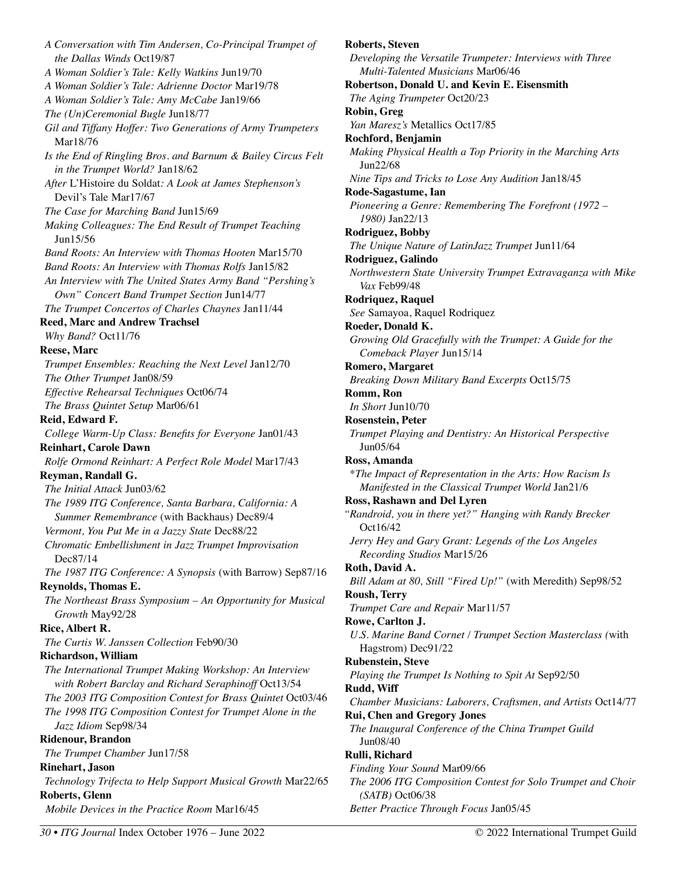*A Conversation with Tim Andersen, Co-Principal Trumpet of the Dallas Winds* Oct19/87 *A Woman Soldier's Tale: Kelly Watkins* Jun19/70 *A Woman Soldier's Tale: Adrienne Doctor* Mar19/78 *A Woman Soldier's Tale: Amy McCabe* Jan19/66 *The (Un)Ceremonial Bugle* Jun18/77 *Gil and Tiffany Hoffer: Two Generations of Army Trumpeters*  Mar18/76 *Is the End of Ringling Bros. and Barnum & Bailey Circus Felt in the Trumpet World?* Jan18/62 *After* L'Histoire du Soldat*: A Look at James Stephenson's*  Devil's Tale Mar17/67 *The Case for Marching Band* Jun15/69 *Making Colleagues: The End Result of Trumpet Teaching*  Jun15/56 *Band Roots: An Interview with Thomas Hooten* Mar15/70 *Band Roots: An Interview with Thomas Rolfs* Jan15/82 *An Interview with The United States Army Band "Pershing's Own" Concert Band Trumpet Section* Jun14/77 *The Trumpet Concertos of Charles Chaynes* Jan11/44 **Reed, Marc and Andrew Trachsel**  *Why Band?* Oct11/76 **Reese, Marc**  *Trumpet Ensembles: Reaching the Next Level* Jan12/70 *The Other Trumpet* Jan08/59 *Effective Rehearsal Techniques* Oct06/74 *The Brass Quintet Setup* Mar06/61 **Reid, Edward F.**  *College Warm-Up Class: Benefits for Everyone* Jan01/43 **Reinhart, Carole Dawn**  *Rolfe Ormond Reinhart: A Perfect Role Model* Mar17/43 **Reyman, Randall G.**  *The Initial Attack* Jun03/62 *The 1989 ITG Conference, Santa Barbara, California: A Summer Remembrance* (with Backhaus) Dec89/4 *Vermont, You Put Me in a Jazzy State* Dec88/22 *Chromatic Embellishment in Jazz Trumpet Improvisation*  Dec87/14 *The 1987 ITG Conference: A Synopsis* (with Barrow) Sep87/16 **Reynolds, Thomas E.**  *The Northeast Brass Symposium – An Opportunity for Musical Growth* May92/28 **Rice, Albert R.**  *The Curtis W. Janssen Collection* Feb90/30 **Richardson, William**  *The International Trumpet Making Workshop: An Interview with Robert Barclay and Richard Seraphinoff* Oct13/54 *The 2003 ITG Composition Contest for Brass Quintet* Oct03/46 *The 1998 ITG Composition Contest for Trumpet Alone in the Jazz Idiom* Sep98/34 **Ridenour, Brandon**  *The Trumpet Chamber* Jun17/58 **Rinehart, Jason**  *Technology Trifecta to Help Support Musical Growth* Mar22/65 **Roberts, Glenn**  *Mobile Devices in the Practice Room* Mar16/45

**Roberts, Steven**  *Developing the Versatile Trumpeter: Interviews with Three Multi-Talented Musicians* Mar06/46 **Robertson, Donald U. and Kevin E. Eisensmith**  *The Aging Trumpeter* Oct20/23 **Robin, Greg**  *Yan Maresz's* Metallics Oct17/85 **Rochford, Benjamin**  *Making Physical Health a Top Priority in the Marching Arts*  Jun22/68 *Nine Tips and Tricks to Lose Any Audition* Jan18/45 **Rode-Sagastume, Ian**  *Pioneering a Genre: Remembering The Forefront (1972 – 1980)* Jan22/13 **Rodriguez, Bobby**  *The Unique Nature of LatinJazz Trumpet* Jun11/64 **Rodriguez, Galindo**  *Northwestern State University Trumpet Extravaganza with Mike Vax* Feb99/48 **Rodriquez, Raquel**  *See* Samayoa, Raquel Rodriquez **Roeder, Donald K.**  *Growing Old Gracefully with the Trumpet: A Guide for the Comeback Player* Jun15/14 **Romero, Margaret**  *Breaking Down Military Band Excerpts* Oct15/75 **Romm, Ron**  *In Short* Jun10/70 **Rosenstein, Peter**  *Trumpet Playing and Dentistry: An Historical Perspective* Jun05/64 **Ross, Amanda**  \**The Impact of Representation in the Arts: How Racism Is Manifested in the Classical Trumpet World* Jan21/6 **Ross, Rashawn and Del Lyren**  *"Randroid, you in there yet?" Hanging with Randy Brecker*  Oct16/42 *Jerry Hey and Gary Grant: Legends of the Los Angeles Recording Studios* Mar15/26 **Roth, David A.**  *Bill Adam at 80, Still "Fired Up!"* (with Meredith) Sep98/52 **Roush, Terry**  *Trumpet Care and Repair* Mar11/57 **Rowe, Carlton J.**  *U.S. Marine Band Cornet / Trumpet Section Masterclass (*with Hagstrom) Dec91/22 **Rubenstein, Steve**  *Playing the Trumpet Is Nothing to Spit At* Sep92/50 **Rudd, Wiff**  *Chamber Musicians: Laborers, Craftsmen, and Artists* Oct14/77 **Rui, Chen and Gregory Jones**  *The Inaugural Conference of the China Trumpet Guild*  Jun08/40 **Rulli, Richard**  *Finding Your Sound* Mar09/66 *The 2006 ITG Composition Contest for Solo Trumpet and Choir (SATB)* Oct06/38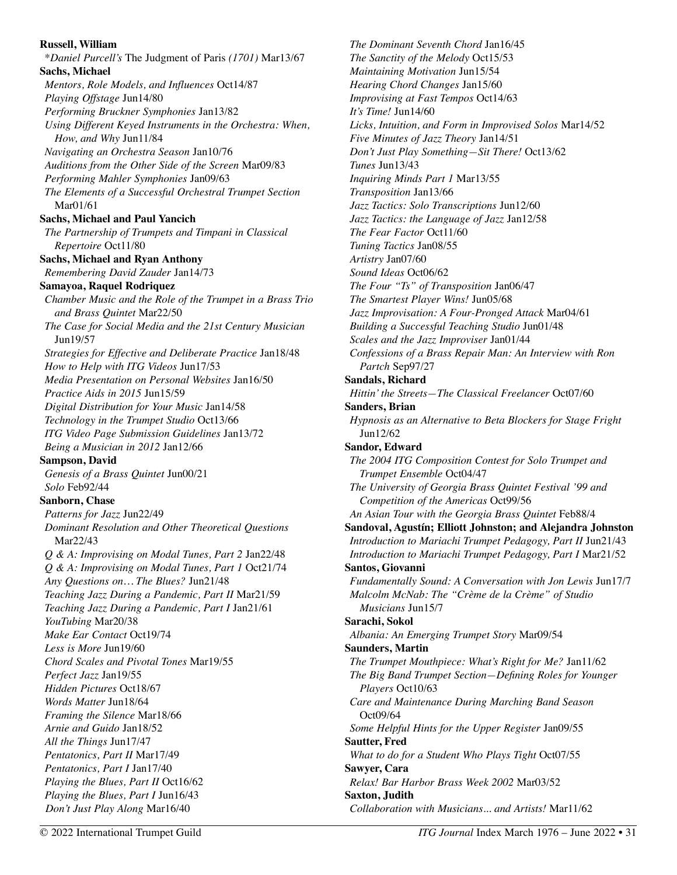## **Russell, William**  \**Daniel Purcell's* The Judgment of Paris *(1701)* Mar13/67 **Sachs, Michael**  *Mentors, Role Models, and Influences* Oct14/87 *Playing Offstage* Jun14/80 *Performing Bruckner Symphonies* Jan13/82 *Using Different Keyed Instruments in the Orchestra: When, How, and Why* Jun11/84 *Navigating an Orchestra Season* Jan10/76 *Auditions from the Other Side of the Screen* Mar09/83 *Performing Mahler Symphonies* Jan09/63 *The Elements of a Successful Orchestral Trumpet Section*  Mar01/61 **Sachs, Michael and Paul Yancich**  *The Partnership of Trumpets and Timpani in Classical Repertoire* Oct11/80 **Sachs, Michael and Ryan Anthony**  *Remembering David Zauder* Jan14/73 **Samayoa, Raquel Rodriquez**  *Chamber Music and the Role of the Trumpet in a Brass Trio and Brass Quintet* Mar22/50 *The Case for Social Media and the 21st Century Musician*  Jun19/57 *Strategies for Effective and Deliberate Practice* Jan18/48 *How to Help with ITG Videos* Jun17/53 *Media Presentation on Personal Websites* Jan16/50 *Practice Aids in 2015* Jun15/59 *Digital Distribution for Your Music* Jan14/58 *Technology in the Trumpet Studio* Oct13/66 *ITG Video Page Submission Guidelines* Jan13/72 *Being a Musician in 2012* Jan12/66 **Sampson, David**  *Genesis of a Brass Quintet* Jun00/21 *Solo* Feb92/44 **Sanborn, Chase**  *Patterns for Jazz* Jun22/49 *Dominant Resolution and Other Theoretical Questions*  Mar22/43 *Q & A: Improvising on Modal Tunes, Part 2* Jan22/48 *Q & A: Improvising on Modal Tunes, Part 1* Oct21/74 *Any Questions on… The Blues?* Jun21/48 *Teaching Jazz During a Pandemic, Part II* Mar21/59 *Teaching Jazz During a Pandemic, Part I* Jan21/61 *YouTubing* Mar20/38 *Make Ear Contact* Oct19/74 *Less is More* Jun19/60 *Chord Scales and Pivotal Tones* Mar19/55 *Perfect Jazz* Jan19/55 *Hidden Pictures* Oct18/67 *Words Matter* Jun18/64 *Framing the Silence* Mar18/66 *Arnie and Guido* Jan18/52 *All the Things* Jun17/47 *Pentatonics, Part II* Mar17/49 *Pentatonics, Part I* Jan17/40 *Playing the Blues, Part II* Oct16/62 *Playing the Blues, Part I* Jun16/43 *Don't Just Play Along* Mar16/40

*The Dominant Seventh Chord* Jan16/45 *The Sanctity of the Melody* Oct15/53 *Maintaining Motivation* Jun15/54 *Hearing Chord Changes* Jan15/60 *Improvising at Fast Tempos* Oct14/63 *It's Time!* Jun14/60 *Licks, Intuition, and Form in Improvised Solos* Mar14/52 *Five Minutes of Jazz Theory* Jan14/51 *Don't Just Play Something—Sit There!* Oct13/62 *Tunes* Jun13/43 *Inquiring Minds Part 1* Mar13/55 *Transposition* Jan13/66 *Jazz Tactics: Solo Transcriptions* Jun12/60 *Jazz Tactics: the Language of Jazz* Jan12/58 *The Fear Factor* Oct11/60 *Tuning Tactics* Jan08/55 *Artistry* Jan07/60 *Sound Ideas* Oct06/62 *The Four "Ts" of Transposition* Jan06/47 *The Smartest Player Wins!* Jun05/68 *Jazz Improvisation: A Four-Pronged Attack* Mar04/61 *Building a Successful Teaching Studio* Jun01/48 *Scales and the Jazz Improviser* Jan01/44 *Confessions of a Brass Repair Man: An Interview with Ron Partch* Sep97/27 **Sandals, Richard**  *Hittin' the Streets—The Classical Freelancer* Oct07/60 **Sanders, Brian**  *Hypnosis as an Alternative to Beta Blockers for Stage Fright*  Jun12/62 **Sandor, Edward**  *The 2004 ITG Composition Contest for Solo Trumpet and Trumpet Ensemble* Oct04/47 *The University of Georgia Brass Quintet Festival '99 and Competition of the Americas* Oct99/56 *An Asian Tour with the Georgia Brass Quintet* Feb88/4 **Sandoval, Agustín; Elliott Johnston; and Alejandra Johnston**  *Introduction to Mariachi Trumpet Pedagogy, Part II* Jun21/43 *Introduction to Mariachi Trumpet Pedagogy, Part I* Mar21/52 **Santos, Giovanni**  *Fundamentally Sound: A Conversation with Jon Lewis* Jun17/7 *Malcolm McNab: The "Crème de la Crème" of Studio Musicians* Jun15/7 **Sarachi, Sokol**  *Albania: An Emerging Trumpet Story* Mar09/54 **Saunders, Martin**  *The Trumpet Mouthpiece: What's Right for Me?* Jan11/62 *The Big Band Trumpet Section—Defining Roles for Younger Players* Oct10/63 *Care and Maintenance During Marching Band Season*  Oct09/64 *Some Helpful Hints for the Upper Register* Jan09/55 **Sautter, Fred**  *What to do for a Student Who Plays Tight* Oct07/55 **Sawyer, Cara**  *Relax! Bar Harbor Brass Week 2002* Mar03/52 **Saxton, Judith**  *Collaboration with Musicians... and Artists!* Mar11/62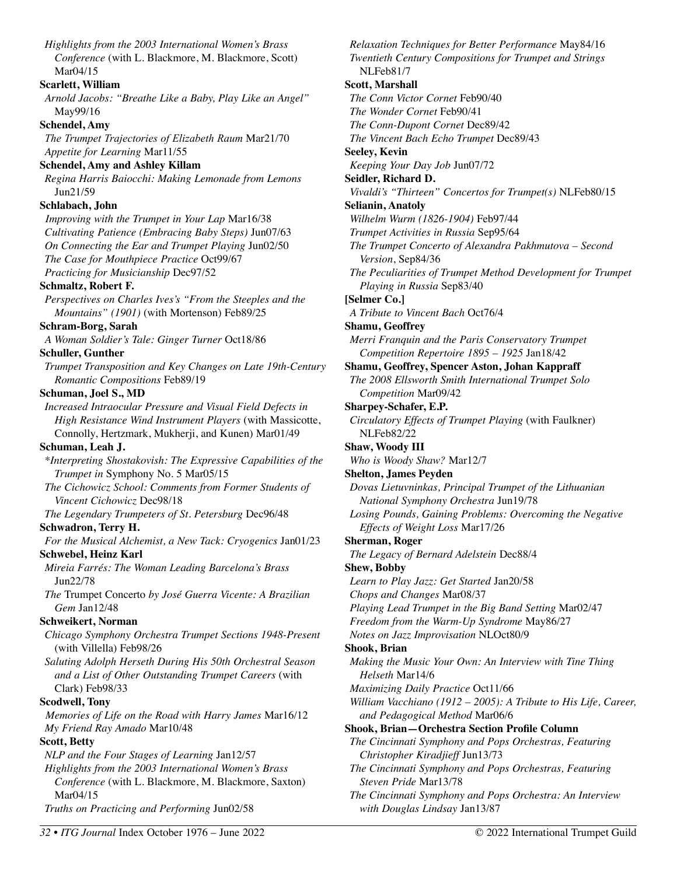*Highlights from the 2003 International Women's Brass Conference* (with L. Blackmore, M. Blackmore, Scott) Mar04/15 **Scarlett, William**  *Arnold Jacobs: "Breathe Like a Baby, Play Like an Angel"*  May99/16 **Schendel, Amy**  *The Trumpet Trajectories of Elizabeth Raum* Mar21/70 *Appetite for Learning* Mar11/55 **Schendel, Amy and Ashley Killam**  *Regina Harris Baiocchi: Making Lemonade from Lemons*  Jun21/59 **Schlabach, John**  *Improving with the Trumpet in Your Lap* Mar16/38 *Cultivating Patience (Embracing Baby Steps)* Jun07/63 *On Connecting the Ear and Trumpet Playing* Jun02/50 *The Case for Mouthpiece Practice* Oct99/67 *Practicing for Musicianship* Dec97/52 **Schmaltz, Robert F.**  *Perspectives on Charles Ives's "From the Steeples and the Mountains" (1901)* (with Mortenson) Feb89/25 **Schram-Borg, Sarah**  *A Woman Soldier's Tale: Ginger Turner* Oct18/86 **Schuller, Gunther**  *Trumpet Transposition and Key Changes on Late 19th-Century Romantic Compositions* Feb89/19 **Schuman, Joel S., MD**  *Increased Intraocular Pressure and Visual Field Defects in High Resistance Wind Instrument Players* (with Massicotte, Connolly, Hertzmark, Mukherji, and Kunen) Mar01/49 **Schuman, Leah J.**  *\*Interpreting Shostakovish: The Expressive Capabilities of the Trumpet in* Symphony No. 5 Mar05/15 *The Cichowicz School: Comments from Former Students of Vincent Cichowicz* Dec98/18 *The Legendary Trumpeters of St. Petersburg* Dec96/48 **Schwadron, Terry H.**  *For the Musical Alchemist, a New Tack: Cryogenics* Jan01/23 **Schwebel, Heinz Karl**  *Mireia Farrés: The Woman Leading Barcelona's Brass*  Jun22/78 *The* Trumpet Concerto *by José Guerra Vicente: A Brazilian Gem* Jan12/48 **Schweikert, Norman**  *Chicago Symphony Orchestra Trumpet Sections 1948-Present*  (with Villella) Feb98/26 *Saluting Adolph Herseth During His 50th Orchestral Season and a List of Other Outstanding Trumpet Careers* (with Clark) Feb98/33 **Scodwell, Tony**  *Memories of Life on the Road with Harry James* Mar16/12 *My Friend Ray Amado* Mar10/48 **Scott, Betty**  *NLP and the Four Stages of Learning* Jan12/57 *Highlights from the 2003 International Women's Brass Conference* (with L. Blackmore, M. Blackmore, Saxton) Mar04/15 *Truths on Practicing and Performing* Jun02/58

*Relaxation Techniques for Better Performance* May84/16 *Twentieth Century Compositions for Trumpet and Strings*  NLFeb81/7 **Scott, Marshall**  *The Conn Victor Cornet* Feb90/40 *The Wonder Cornet* Feb90/41 *The Conn-Dupont Cornet* Dec89/42 *The Vincent Bach Echo Trumpet* Dec89/43 **Seeley, Kevin**  *Keeping Your Day Job* Jun07/72 **Seidler, Richard D.**  *Vivaldi's "Thirteen" Concertos for Trumpet(s)* NLFeb80/15 **Selianin, Anatoly**  *Wilhelm Wurm (1826-1904)* Feb97/44 *Trumpet Activities in Russia* Sep95/64 *The Trumpet Concerto of Alexandra Pakhmutova – Second Version*, Sep84/36 *The Peculiarities of Trumpet Method Development for Trumpet Playing in Russia* Sep83/40 **[Selmer Co.]**  *A Tribute to Vincent Bach* Oct76/4 **Shamu, Geoffrey**  *Merri Franquin and the Paris Conservatory Trumpet Competition Repertoire 1895 – 1925* Jan18/42 **Shamu, Geoffrey, Spencer Aston, Johan Kappraff**  *The 2008 Ellsworth Smith International Trumpet Solo Competition* Mar09/42 **Sharpey-Schafer, E.P.**  *Circulatory Effects of Trumpet Playing* (with Faulkner) NLFeb82/22 **Shaw, Woody III**  *Who is Woody Shaw?* Mar12/7 **Shelton, James Peyden**  *Dovas Lietuvninkas, Principal Trumpet of the Lithuanian National Symphony Orchestra* Jun19/78 *Losing Pounds, Gaining Problems: Overcoming the Negative Effects of Weight Loss* Mar17/26 **Sherman, Roger**  *The Legacy of Bernard Adelstein* Dec88/4 **Shew, Bobby**  *Learn to Play Jazz: Get Started* Jan20/58 *Chops and Changes* Mar08/37 *Playing Lead Trumpet in the Big Band Setting* Mar02/47 *Freedom from the Warm-Up Syndrome* May86/27 *Notes on Jazz Improvisation* NLOct80/9 **Shook, Brian**  *Making the Music Your Own: An Interview with Tine Thing Helseth* Mar14/6 *Maximizing Daily Practice* Oct11/66 *William Vacchiano (1912 – 2005): A Tribute to His Life, Career, and Pedagogical Method* Mar06/6 **Shook, Brian—Orchestra Section Profile Column**  *The Cincinnati Symphony and Pops Orchestras, Featuring Christopher Kiradjieff* Jun13/73 *The Cincinnati Symphony and Pops Orchestras, Featuring Steven Pride* Mar13/78

*The Cincinnati Symphony and Pops Orchestra: An Interview with Douglas Lindsay* Jan13/87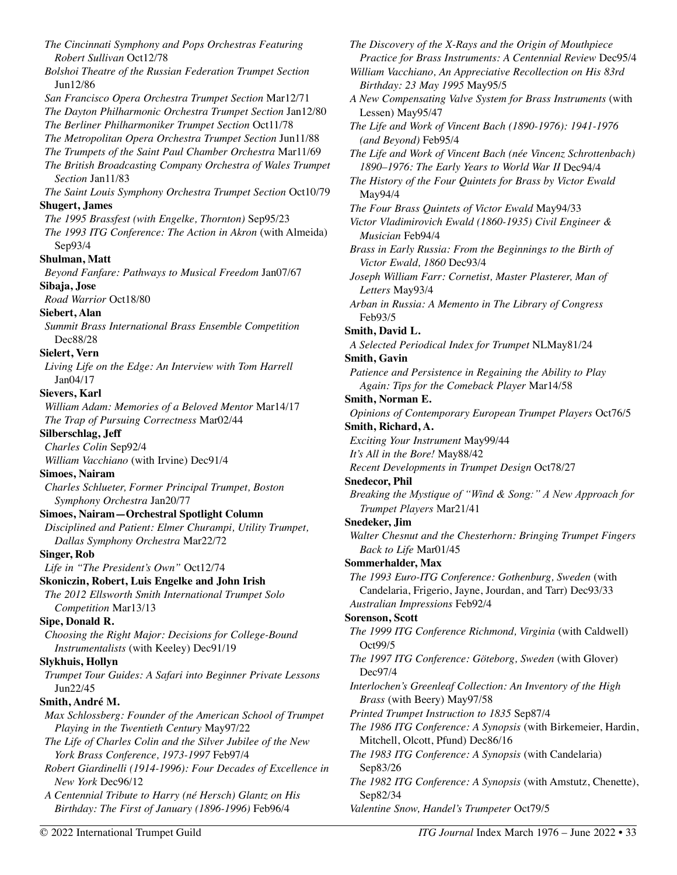*The Cincinnati Symphony and Pops Orchestras Featuring Robert Sullivan* Oct12/78 *Bolshoi Theatre of the Russian Federation Trumpet Section*  Jun12/86 *San Francisco Opera Orchestra Trumpet Section* Mar12/71 *The Dayton Philharmonic Orchestra Trumpet Section* Jan12/80 *The Berliner Philharmoniker Trumpet Section* Oct11/78 *The Metropolitan Opera Orchestra Trumpet Section* Jun11/88 *The Trumpets of the Saint Paul Chamber Orchestra* Mar11/69 *The British Broadcasting Company Orchestra of Wales Trumpet Section* Jan11/83 *The Saint Louis Symphony Orchestra Trumpet Section* Oct10/79 **Shugert, James**  *The 1995 Brassfest (with Engelke, Thornton)* Sep95/23 *The 1993 ITG Conference: The Action in Akron* (with Almeida) Sep93/4 **Shulman, Matt**  *Beyond Fanfare: Pathways to Musical Freedom* Jan07/67 **Sibaja, Jose**  *Road Warrior* Oct18/80 **Siebert, Alan**  *Summit Brass International Brass Ensemble Competition*  Dec88/28 **Sielert, Vern**  *Living Life on the Edge: An Interview with Tom Harrell*  Jan04/17 **Sievers, Karl**  *William Adam: Memories of a Beloved Mentor* Mar14/17 *The Trap of Pursuing Correctness* Mar02/44 **Silberschlag, Jeff**  *Charles Colin* Sep92/4 *William Vacchiano* (with Irvine) Dec91/4 **Simoes, Nairam**  *Charles Schlueter, Former Principal Trumpet, Boston Symphony Orchestra* Jan20/77 **Simoes, Nairam—Orchestral Spotlight Column**  *Disciplined and Patient: Elmer Churampi, Utility Trumpet, Dallas Symphony Orchestra* Mar22/72 **Singer, Rob**  *Life in "The President's Own"* Oct12/74 **Skoniczin, Robert, Luis Engelke and John Irish**  *The 2012 Ellsworth Smith International Trumpet Solo Competition* Mar13/13 **Sipe, Donald R.**  *Choosing the Right Major: Decisions for College-Bound Instrumentalists* (with Keeley) Dec91/19 **Slykhuis, Hollyn**  *Trumpet Tour Guides: A Safari into Beginner Private Lessons*  Jun22/45 **Smith, André M.**  *Max Schlossberg: Founder of the American School of Trumpet Playing in the Twentieth Century* May97/22 *The Life of Charles Colin and the Silver Jubilee of the New York Brass Conference, 1973-1997* Feb97/4 *Robert Giardinelli (1914-1996): Four Decades of Excellence in New York* Dec96/12 *A Centennial Tribute to Harry (né Hersch) Glantz on His Birthday: The First of January (1896-1996)* Feb96/4

*The Discovery of the X-Rays and the Origin of Mouthpiece Practice for Brass Instruments: A Centennial Review* Dec95/4 *William Vacchiano, An Appreciative Recollection on His 83rd Birthday: 23 May 1995* May95/5 *A New Compensating Valve System for Brass Instruments* (with Lessen) May95/47 *The Life and Work of Vincent Bach (1890-1976): 1941-1976 (and Beyond)* Feb95/4 *The Life and Work of Vincent Bach (née Vincenz Schrottenbach) 1890–1976: The Early Years to World War II* Dec94/4 *The History of the Four Quintets for Brass by Victor Ewald*  May94/4 *The Four Brass Quintets of Victor Ewald* May94/33 *Victor Vladimirovich Ewald (1860-1935) Civil Engineer & Musician* Feb94/4 *Brass in Early Russia: From the Beginnings to the Birth of Victor Ewald, 1860* Dec93/4 *Joseph William Farr: Cornetist, Master Plasterer, Man of Letters* May93/4 *Arban in Russia: A Memento in The Library of Congress*  Feb93/5 **Smith, David L.**  *A Selected Periodical Index for Trumpet* NLMay81/24 **Smith, Gavin**  *Patience and Persistence in Regaining the Ability to Play Again: Tips for the Comeback Player* Mar14/58 **Smith, Norman E.**  *Opinions of Contemporary European Trumpet Players* Oct76/5 **Smith, Richard, A.**  *Exciting Your Instrument* May99/44 *It's All in the Bore!* May88/42 *Recent Developments in Trumpet Design* Oct78/27 **Snedecor, Phil**  *Breaking the Mystique of "Wind & Song:" A New Approach for Trumpet Players* Mar21/41 **Snedeker, Jim**  *Walter Chesnut and the Chesterhorn: Bringing Trumpet Fingers Back to Life* Mar01/45 **Sommerhalder, Max**  *The 1993 Euro-ITG Conference: Gothenburg, Sweden* (with Candelaria, Frigerio, Jayne, Jourdan, and Tarr) Dec93/33 *Australian Impressions* Feb92/4 **Sorenson, Scott**  *The 1999 ITG Conference Richmond, Virginia* (with Caldwell) Oct99/5 *The 1997 ITG Conference: Göteborg, Sweden* (with Glover) Dec97/4 *Interlochen's Greenleaf Collection: An Inventory of the High Brass* (with Beery) May97/58 *Printed Trumpet Instruction to 1835* Sep87/4 *The 1986 ITG Conference: A Synopsis* (with Birkemeier, Hardin, Mitchell, Olcott, Pfund) Dec86/16 *The 1983 ITG Conference: A Synopsis* (with Candelaria) Sep83/26 *The 1982 ITG Conference: A Synopsis* (with Amstutz, Chenette), Sep82/34 *Valentine Snow, Handel's Trumpeter* Oct79/5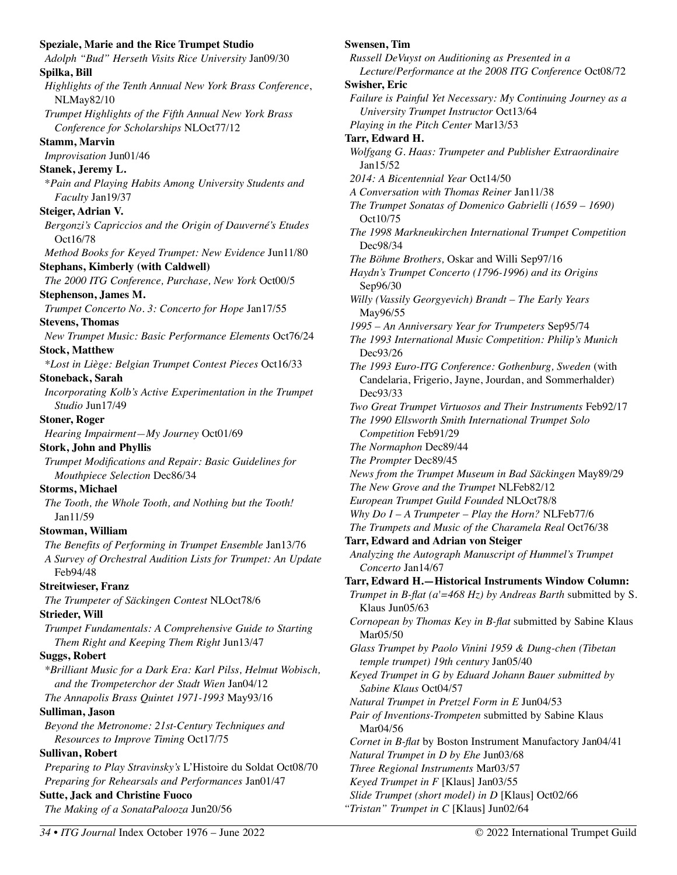**Speziale, Marie and the Rice Trumpet Studio**  *Adolph "Bud" Herseth Visits Rice University* Jan09/30 **Spilka, Bill**  *Highlights of the Tenth Annual New York Brass Conference*, NLMay82/10 *Trumpet Highlights of the Fifth Annual New York Brass Conference for Scholarships* NLOct77/12 **Stamm, Marvin**  *Improvisation* Jun01/46 **Stanek, Jeremy L.**  \**Pain and Playing Habits Among University Students and Faculty* Jan19/37 **Steiger, Adrian V.**  *Bergonzi's Capriccios and the Origin of Dauverné's Etudes*  Oct16/78 *Method Books for Keyed Trumpet: New Evidence* Jun11/80 **Stephans, Kimberly (with Caldwell)**  *The 2000 ITG Conference, Purchase, New York* Oct00/5 **Stephenson, James M.**  *Trumpet Concerto No. 3: Concerto for Hope* Jan17/55 **Stevens, Thomas**  *New Trumpet Music: Basic Performance Elements* Oct76/24 **Stock, Matthew**  *\*Lost in Liège: Belgian Trumpet Contest Pieces* Oct16/33 **Stoneback, Sarah**  *Incorporating Kolb's Active Experimentation in the Trumpet Studio* Jun17/49 **Stoner, Roger**  *Hearing Impairment—My Journey* Oct01/69 **Stork, John and Phyllis**  *Trumpet Modifications and Repair: Basic Guidelines for Mouthpiece Selection* Dec86/34 **Storms, Michael**  *The Tooth, the Whole Tooth, and Nothing but the Tooth!*  Jan11/59 **Stowman, William**  *The Benefits of Performing in Trumpet Ensemble* Jan13/76 *A Survey of Orchestral Audition Lists for Trumpet: An Update*  Feb94/48 **Streitwieser, Franz**  *The Trumpeter of Säckingen Contest* NLOct78/6 **Strieder, Will**  *Trumpet Fundamentals: A Comprehensive Guide to Starting Them Right and Keeping Them Right* Jun13/47 **Suggs, Robert**  *\*Brilliant Music for a Dark Era: Karl Pilss, Helmut Wobisch, and the Trompeterchor der Stadt Wien* Jan04/12 *The Annapolis Brass Quintet 1971-1993* May93/16 **Sulliman, Jason**  *Beyond the Metronome: 21st-Century Techniques and Resources to Improve Timing* Oct17/75 **Sullivan, Robert**  *Preparing to Play Stravinsky's* L'Histoire du Soldat Oct08/70 *Preparing for Rehearsals and Performances* Jan01/47 **Sutte, Jack and Christine Fuoco**  *The Making of a SonataPalooza* Jun20/56 **Swensen, Tim Swisher, Eric** 

*Russell DeVuyst on Auditioning as Presented in a Lecture/Performance at the 2008 ITG Conference* Oct08/72 *Failure is Painful Yet Necessary: My Continuing Journey as a University Trumpet Instructor* Oct13/64 *Playing in the Pitch Center* Mar13/53 **Tarr, Edward H.** *Wolfgang G. Haas: Trumpeter and Publisher Extraordinaire* Jan15/52 *2014: A Bicentennial Year* Oct14/50 *A Conversation with Thomas Reiner* Jan11/38 *The Trumpet Sonatas of Domenico Gabrielli (1659 – 1690)* Oct10/75 *The 1998 Markneukirchen International Trumpet Competition*  Dec98/34 *The Böhme Brothers,* Oskar and Willi Sep97/16 *Haydn's Trumpet Concerto (1796-1996) and its Origins*  Sep96/30 *Willy (Vassily Georgyevich) Brandt – The Early Years*  May96/55 *1995 – An Anniversary Year for Trumpeters* Sep95/74 *The 1993 International Music Competition: Philip's Munich*  Dec93/26 *The 1993 Euro-ITG Conference: Gothenburg, Sweden* (with Candelaria, Frigerio, Jayne, Jourdan, and Sommerhalder) Dec93/33 *Two Great Trumpet Virtuosos and Their Instruments* Feb92/17 *The 1990 Ellsworth Smith International Trumpet Solo Competition* Feb91/29 *The Normaphon* Dec89/44 *The Prompter* Dec89/45 *News from the Trumpet Museum in Bad Säckingen* May89/29 *The New Grove and the Trumpet* NLFeb82/12 *European Trumpet Guild Founded* NLOct78/8 *Why Do I – A Trumpeter – Play the Horn?* NLFeb77/6 *The Trumpets and Music of the Charamela Real* Oct76/38 **Tarr, Edward and Adrian von Steiger**  *Analyzing the Autograph Manuscript of Hummel's Trumpet Concerto* Jan14/67 **Tarr, Edward H.—Historical Instruments Window Column:**  *Trumpet in B-flat (a'=468 Hz) by Andreas Barth* submitted by S. Klaus Jun05/63 *Cornopean by Thomas Key in B-flat* submitted by Sabine Klaus Mar05/50 *Glass Trumpet by Paolo Vinini 1959 & Dung-chen (Tibetan temple trumpet) 19th century* Jan05/40 *Keyed Trumpet in G by Eduard Johann Bauer submitted by Sabine Klaus* Oct04/57 *Natural Trumpet in Pretzel Form in E* Jun04/53 *Pair of Inventions-Trompeten* submitted by Sabine Klaus Mar04/56 *Cornet in B-flat* by Boston Instrument Manufactory Jan04/41 *Natural Trumpet in D by Ehe* Jun03/68 *Three Regional Instruments* Mar03/57 *Keyed Trumpet in F* [Klaus] Jan03/55

- *Slide Trumpet (short model) in D* [Klaus] Oct02/66
- *"Tristan" Trumpet in C* [Klaus] Jun02/64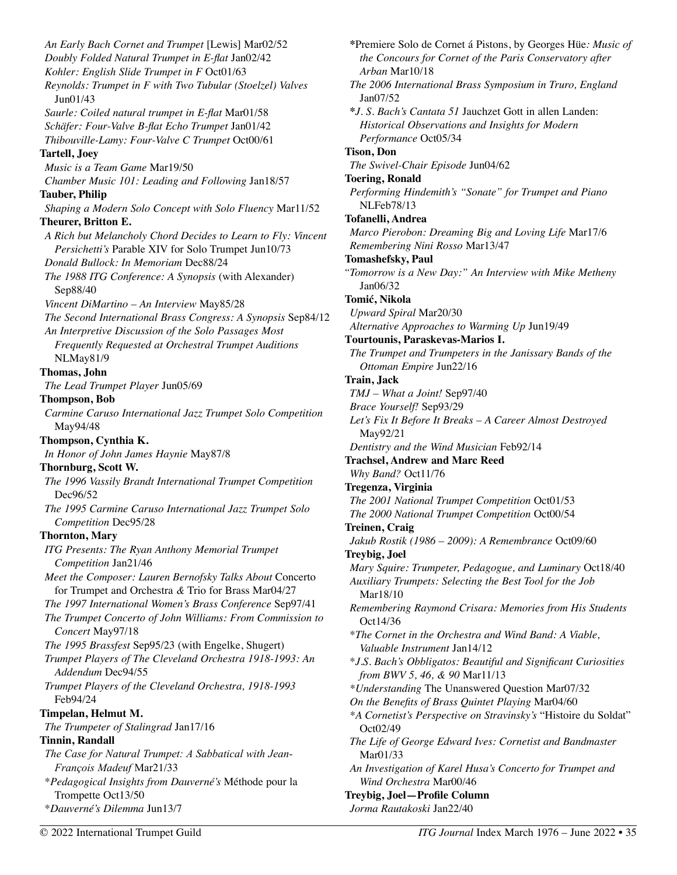*An Early Bach Cornet and Trumpet* [Lewis] Mar02/52 *Doubly Folded Natural Trumpet in E-flat* Jan02/42 *Kohler: English Slide Trumpet in F* Oct01/63 *Reynolds: Trumpet in F with Two Tubular (Stoelzel) Valves*  Jun01/43 *Saurle: Coiled natural trumpet in E-flat* Mar01/58 *Schäfer: Four-Valve B-flat Echo Trumpet* Jan01/42 *Thibouville-Lamy: Four-Valve C Trumpet* Oct00/61 **Tartell, Joey**  *Music is a Team Game* Mar19/50 *Chamber Music 101: Leading and Following* Jan18/57 **Tauber, Philip**  *Shaping a Modern Solo Concept with Solo Fluency* Mar11/52 **Theurer, Britton E.**  *A Rich but Melancholy Chord Decides to Learn to Fly: Vincent Persichetti's* Parable XIV for Solo Trumpet Jun10/73 *Donald Bullock: In Memoriam* Dec88/24 *The 1988 ITG Conference: A Synopsis* (with Alexander) Sep88/40 *Vincent DiMartino – An Interview* May85/28 *The Second International Brass Congress: A Synopsis* Sep84/12 *An Interpretive Discussion of the Solo Passages Most Frequently Requested at Orchestral Trumpet Auditions*  NLMay81/9 **Thomas, John**  *The Lead Trumpet Player* Jun05/69 **Thompson, Bob**  *Carmine Caruso International Jazz Trumpet Solo Competition*  May94/48 **Thompson, Cynthia K.**  *In Honor of John James Haynie* May87/8 **Thornburg, Scott W.**  *The 1996 Vassily Brandt International Trumpet Competition*  Dec96/52 *The 1995 Carmine Caruso International Jazz Trumpet Solo Competition* Dec95/28 **Thornton, Mary**  *ITG Presents: The Ryan Anthony Memorial Trumpet Competition* Jan21/46 *Meet the Composer: Lauren Bernofsky Talks About* Concerto for Trumpet and Orchestra *&* Trio for Brass Mar04/27 *The 1997 International Women's Brass Conference* Sep97/41 *The Trumpet Concerto of John Williams: From Commission to Concert* May97/18 *The 1995 Brassfest* Sep95/23 (with Engelke, Shugert) *Trumpet Players of The Cleveland Orchestra 1918-1993: An Addendum* Dec94/55 *Trumpet Players of the Cleveland Orchestra, 1918-1993*  Feb94/24 **Timpelan, Helmut M.**  *The Trumpeter of Stalingrad* Jan17/16 **Tinnin, Randall**  *The Case for Natural Trumpet: A Sabbatical with Jean-François Madeuf* Mar21/33 \**Pedagogical Insights from Dauverné's* Méthode pour la Trompette Oct13/50 \**Dauverné's Dilemma* Jun13/7

**\***Premiere Solo de Cornet á Pistons, by Georges Hüe*: Music of the Concours for Cornet of the Paris Conservatory after Arban* Mar10/18 *The 2006 International Brass Symposium in Truro, England*  Jan07/52 **\****J. S. Bach's Cantata 51* Jauchzet Gott in allen Landen: *Historical Observations and Insights for Modern Performance* Oct05/34 **Tison, Don**  *The Swivel-Chair Episode* Jun04/62 **Toering, Ronald**  *Performing Hindemith's "Sonate" for Trumpet and Piano*  NLFeb78/13 **Tofanelli, Andrea**  *Marco Pierobon: Dreaming Big and Loving Life* Mar17/6 *Remembering Nini Rosso* Mar13/47 **Tomashefsky, Paul**  *"Tomorrow is a New Day:" An Interview with Mike Metheny*  Jan06/32 **Tomić, Nikola**  *Upward Spiral* Mar20/30 *Alternative Approaches to Warming Up* Jun19/49 **Tourtounis, Paraskevas-Marios I.**  *The Trumpet and Trumpeters in the Janissary Bands of the Ottoman Empire* Jun22/16 **Train, Jack**  *TMJ – What a Joint!* Sep97/40 *Brace Yourself!* Sep93/29 *Let's Fix It Before It Breaks – A Career Almost Destroyed*  May92/21 *Dentistry and the Wind Musician* Feb92/14 **Trachsel, Andrew and Marc Reed**  *Why Band?* Oct11/76 **Tregenza, Virginia**  *The 2001 National Trumpet Competition* Oct01/53 *The 2000 National Trumpet Competition* Oct00/54 **Treinen, Craig**  *Jakub Rostik (1986 – 2009): A Remembrance* Oct09/60 **Treybig, Joel**  *Mary Squire: Trumpeter, Pedagogue, and Luminary* Oct18/40 *Auxiliary Trumpets: Selecting the Best Tool for the Job*  Mar18/10 *Remembering Raymond Crisara: Memories from His Students*  Oct14/36 \**The Cornet in the Orchestra and Wind Band: A Viable, Valuable Instrument* Jan14/12 \**J.S. Bach's Obbligatos: Beautiful and Significant Curiosities from BWV 5, 46, & 90* Mar11/13 *\*Understanding* The Unanswered Question Mar07/32 *On the Benefits of Brass Quintet Playing* Mar04/60 *\*A Cornetist's Perspective on Stravinsky's* "Histoire du Soldat" Oct02/49 *The Life of George Edward Ives: Cornetist and Bandmaster*  Mar01/33 *An Investigation of Karel Husa's Concerto for Trumpet and Wind Orchestra* Mar00/46 **Treybig, Joel—Profile Column**  *Jorma Rautakoski* Jan22/40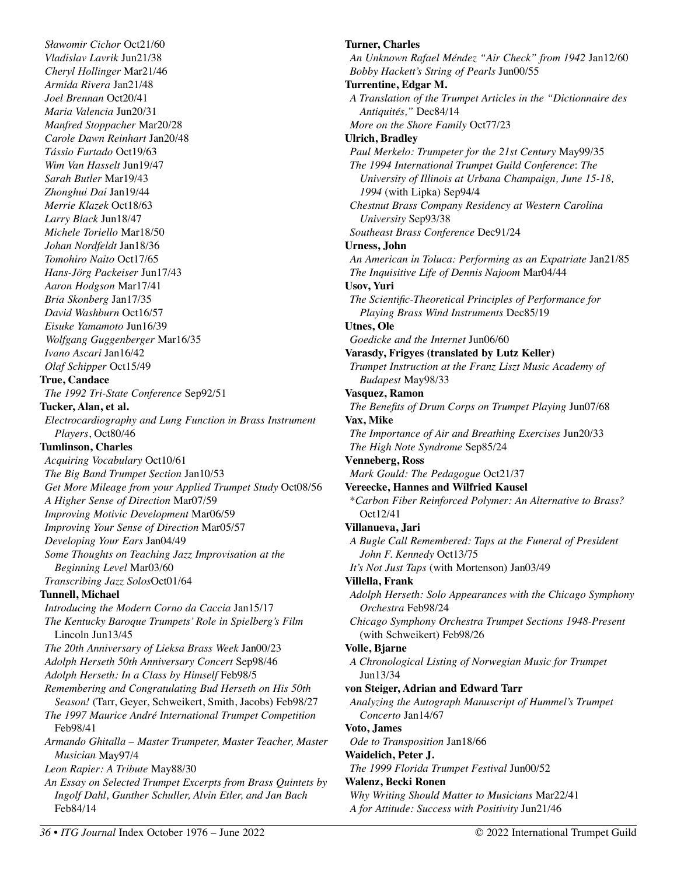*Sławomir Cichor* Oct21/60 *Vladislav Lavrik* Jun21/38 *Cheryl Hollinger* Mar21/46 *Armida Rivera* Jan21/48 *Joel Brennan* Oct20/41 *Maria Valencia* Jun20/31 *Manfred Stoppacher* Mar20/28 *Carole Dawn Reinhart* Jan20/48 *Tássio Furtado* Oct19/63 *Wim Van Hasselt* Jun19/47 *Sarah Butler* Mar19/43 *Zhonghui Dai* Jan19/44 *Merrie Klazek* Oct18/63 *Larry Black* Jun18/47 *Michele Toriello* Mar18/50 *Johan Nordfeldt* Jan18/36 *Tomohiro Naito* Oct17/65 *Hans-Jörg Packeiser* Jun17/43 *Aaron Hodgson* Mar17/41 *Bria Skonberg* Jan17/35 *David Washburn* Oct16/57 *Eisuke Yamamoto* Jun16/39 *Wolfgang Guggenberger* Mar16/35 *Ivano Ascari* Jan16/42 *Olaf Schipper* Oct15/49 **True, Candace**  *The 1992 Tri-State Conference* Sep92/51 **Tucker, Alan, et al.**  *Electrocardiography and Lung Function in Brass Instrument Players*, Oct80/46 **Tumlinson, Charles**  *Acquiring Vocabulary* Oct10/61 *The Big Band Trumpet Section* Jan10/53 *Get More Mileage from your Applied Trumpet Study* Oct08/56 *A Higher Sense of Direction* Mar07/59 *Improving Motivic Development* Mar06/59 *Improving Your Sense of Direction* Mar05/57 *Developing Your Ears* Jan04/49 *Some Thoughts on Teaching Jazz Improvisation at the Beginning Level* Mar03/60 *Transcribing Jazz Solos*Oct01/64 **Tunnell, Michael**  *Introducing the Modern Corno da Caccia* Jan15/17 *The Kentucky Baroque Trumpets' Role in Spielberg's Film*  Lincoln Jun13/45 *The 20th Anniversary of Lieksa Brass Week* Jan00/23 *Adolph Herseth 50th Anniversary Concert* Sep98/46 *Adolph Herseth: In a Class by Himself* Feb98/5 *Remembering and Congratulating Bud Herseth on His 50th Season!* (Tarr, Geyer, Schweikert, Smith, Jacobs) Feb98/27 *The 1997 Maurice André International Trumpet Competition*  Feb98/41 *Armando Ghitalla – Master Trumpeter, Master Teacher, Master Musician* May97/4 *Leon Rapier: A Tribute* May88/30 *An Essay on Selected Trumpet Excerpts from Brass Quintets by Ingolf Dahl, Gunther Schuller, Alvin Etler, and Jan Bach*  Feb84/14

**Turner, Charles**  *An Unknown Rafael Méndez "Air Check" from 1942* Jan12/60 *Bobby Hackett's String of Pearls* Jun00/55 **Turrentine, Edgar M.**  *A Translation of the Trumpet Articles in the "Dictionnaire des Antiquités,"* Dec84/14 *More on the Shore Family* Oct77/23 **Ulrich, Bradley**  *Paul Merkelo: Trumpeter for the 21st Century* May99/35 *The 1994 International Trumpet Guild Conference*: *The University of Illinois at Urbana Champaign, June 15-18, 1994* (with Lipka) Sep94/4 *Chestnut Brass Company Residency at Western Carolina University* Sep93/38 *Southeast Brass Conference* Dec91/24 **Urness, John**  *An American in Toluca: Performing as an Expatriate* Jan21/85 *The Inquisitive Life of Dennis Najoom* Mar04/44 **Usov, Yuri**  *The Scientific-Theoretical Principles of Performance for Playing Brass Wind Instruments* Dec85/19 **Utnes, Ole**  *Goedicke and the Internet* Jun06/60 **Varasdy, Frigyes (translated by Lutz Keller)**  *Trumpet Instruction at the Franz Liszt Music Academy of Budapest* May98/33 **Vasquez, Ramon**  *The Benefits of Drum Corps on Trumpet Playing* Jun07/68 **Vax, Mike**  *The Importance of Air and Breathing Exercises* Jun20/33 *The High Note Syndrome* Sep85/24 **Venneberg, Ross**  *Mark Gould: The Pedagogue* Oct21/37 **Vereecke, Hannes and Wilfried Kausel**  \**Carbon Fiber Reinforced Polymer: An Alternative to Brass?*  Oct12/41 **Villanueva, Jari**  *A Bugle Call Remembered: Taps at the Funeral of President John F. Kennedy* Oct13/75 *It's Not Just Taps* (with Mortenson) Jan03/49 **Villella, Frank**  *Adolph Herseth: Solo Appearances with the Chicago Symphony Orchestra* Feb98/24 *Chicago Symphony Orchestra Trumpet Sections 1948-Present*  (with Schweikert) Feb98/26 **Volle, Bjarne**  *A Chronological Listing of Norwegian Music for Trumpet*  Jun13/34 **von Steiger, Adrian and Edward Tarr**  *Analyzing the Autograph Manuscript of Hummel's Trumpet Concerto* Jan14/67 **Voto, James**  *Ode to Transposition* Jan18/66 **Waidelich, Peter J.**  *The 1999 Florida Trumpet Festival* Jun00/52 **Walenz, Becki Ronen**  *Why Writing Should Matter to Musicians* Mar22/41

*A for Attitude: Success with Positivity* Jun21/46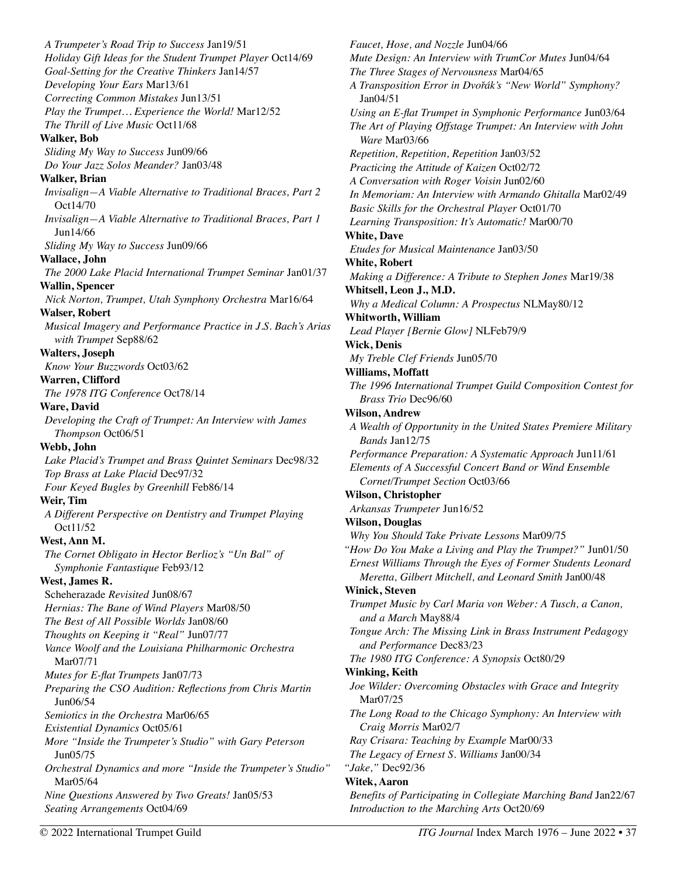*A Trumpeter's Road Trip to Success* Jan19/51 *Holiday Gift Ideas for the Student Trumpet Player* Oct14/69 *Goal-Setting for the Creative Thinkers* Jan14/57 *Developing Your Ears* Mar13/61 *Correcting Common Mistakes* Jun13/51 *Play the Trumpet… Experience the World!* Mar12/52 *The Thrill of Live Music* Oct11/68 **Walker, Bob**  *Sliding My Way to Success* Jun09/66 *Do Your Jazz Solos Meander?* Jan03/48 **Walker, Brian**  *Invisalign—A Viable Alternative to Traditional Braces, Part 2*  Oct14/70 *Invisalign—A Viable Alternative to Traditional Braces, Part 1*  Jun14/66 *Sliding My Way to Success* Jun09/66 **Wallace, John**  *The 2000 Lake Placid International Trumpet Seminar* Jan01/37 **Wallin, Spencer**  *Nick Norton, Trumpet, Utah Symphony Orchestra* Mar16/64 **Walser, Robert**  *Musical Imagery and Performance Practice in J.S. Bach's Arias with Trumpet* Sep88/62 **Walters, Joseph**  *Know Your Buzzwords* Oct03/62 **Warren, Clifford**  *The 1978 ITG Conference* Oct78/14 **Ware, David**  *Developing the Craft of Trumpet: An Interview with James Thompson* Oct06/51 **Webb, John**  *Lake Placid's Trumpet and Brass Quintet Seminars* Dec98/32 *Top Brass at Lake Placid* Dec97/32 *Four Keyed Bugles by Greenhill* Feb86/14 **Weir, Tim**  *A Different Perspective on Dentistry and Trumpet Playing*  Oct11/52 **West, Ann M.**  *The Cornet Obligato in Hector Berlioz's "Un Bal" of Symphonie Fantastique* Feb93/12 **West, James R.**  Scheherazade *Revisited* Jun08/67 *Hernias: The Bane of Wind Players* Mar08/50 *The Best of All Possible Worlds* Jan08/60 *Thoughts on Keeping it "Real"* Jun07/77 *Vance Woolf and the Louisiana Philharmonic Orchestra* Mar07/71 *Mutes for E-flat Trumpets* Jan07/73 *Preparing the CSO Audition: Reflections from Chris Martin* Jun06/54 *Semiotics in the Orchestra* Mar06/65 *Existential Dynamics* Oct05/61 *More "Inside the Trumpeter's Studio" with Gary Peterson* Jun05/75 *Orchestral Dynamics and more "Inside the Trumpeter's Studio"*  Mar05/64 *Nine Questions Answered by Two Greats!* Jan05/53 *Seating Arrangements* Oct04/69

*Faucet, Hose, and Nozzle* Jun04/66 *Mute Design: An Interview with TrumCor Mutes* Jun04/64 *The Three Stages of Nervousness* Mar04/65 A Transposition Error in Dvořák's "New World" Symphony? Jan04/51 *Using an E-flat Trumpet in Symphonic Performance* Jun03/64 *The Art of Playing Offstage Trumpet: An Interview with John Ware* Mar03/66 *Repetition, Repetition, Repetition* Jan03/52 *Practicing the Attitude of Kaizen* Oct02/72 *A Conversation with Roger Voisin* Jun02/60 *In Memoriam: An Interview with Armando Ghitalla* Mar02/49 *Basic Skills for the Orchestral Player* Oct01/70 *Learning Transposition: It's Automatic!* Mar00/70 **White, Dave**  *Etudes for Musical Maintenance* Jan03/50 **White, Robert**  *Making a Difference: A Tribute to Stephen Jones* Mar19/38 **Whitsell, Leon J., M.D.**  *Why a Medical Column: A Prospectus* NLMay80/12 **Whitworth, William**  *Lead Player [Bernie Glow]* NLFeb79/9 **Wick, Denis**  *My Treble Clef Friends* Jun05/70 **Williams, Moffatt**  *The 1996 International Trumpet Guild Composition Contest for Brass Trio* Dec96/60 **Wilson, Andrew**  *A Wealth of Opportunity in the United States Premiere Military Bands* Jan12/75 *Performance Preparation: A Systematic Approach* Jun11/61 *Elements of A Successful Concert Band or Wind Ensemble Cornet/Trumpet Section* Oct03/66 **Wilson, Christopher**  *Arkansas Trumpeter* Jun16/52 **Wilson, Douglas**  *Why You Should Take Private Lessons* Mar09/75 *"How Do You Make a Living and Play the Trumpet?"* Jun01/50 *Ernest Williams Through the Eyes of Former Students Leonard Meretta, Gilbert Mitchell, and Leonard Smith* Jan00/48 **Winick, Steven**  *Trumpet Music by Carl Maria von Weber: A Tusch, a Canon, and a March* May88/4 *Tongue Arch: The Missing Link in Brass Instrument Pedagogy and Performance* Dec83/23 *The 1980 ITG Conference: A Synopsis* Oct80/29 **Winking, Keith**  *Joe Wilder: Overcoming Obstacles with Grace and Integrity* Mar07/25 *The Long Road to the Chicago Symphony: An Interview with Craig Morris* Mar02/7 *Ray Crisara: Teaching by Example* Mar00/33 *The Legacy of Ernest S. Williams* Jan00/34 *"Jake,"* Dec92/36 **Witek, Aaron**  *Benefits of Participating in Collegiate Marching Band* Jan22/67 *Introduction to the Marching Arts* Oct20/69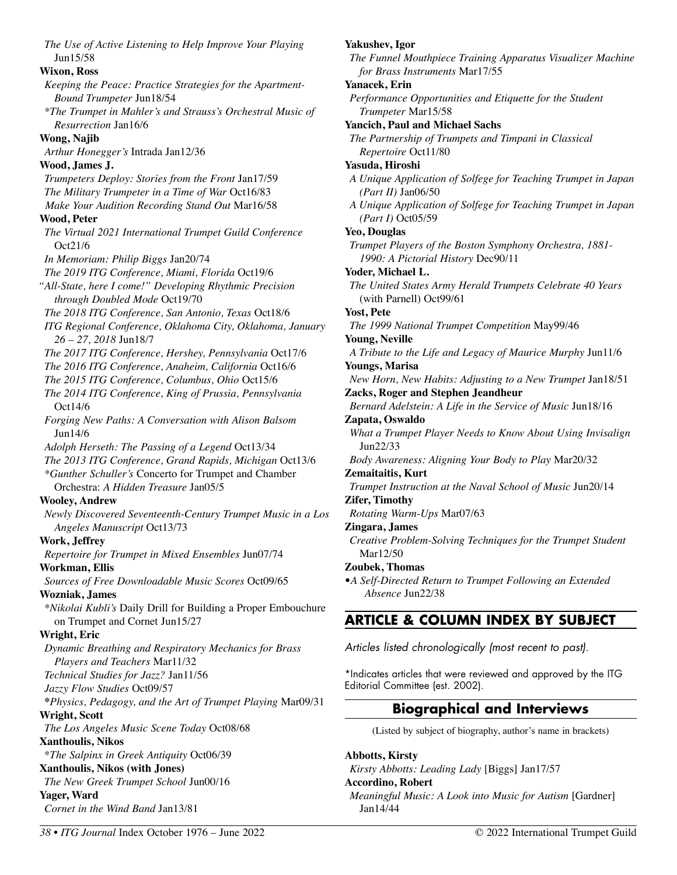*The Use of Active Listening to Help Improve Your Playing*  Jun15/58 **Wixon, Ross**  *Keeping the Peace: Practice Strategies for the Apartment-Bound Trumpeter* Jun18/54 *\*The Trumpet in Mahler's and Strauss's Orchestral Music of Resurrection* Jan16/6 **Wong, Najib**  *Arthur Honegger's* Intrada Jan12/36 **Wood, James J.**  *Trumpeters Deploy: Stories from the Front* Jan17/59 *The Military Trumpeter in a Time of War* Oct16/83 *Make Your Audition Recording Stand Out* Mar16/58 **Wood, Peter**  *The Virtual 2021 International Trumpet Guild Conference*  Oct21/6 *In Memoriam: Philip Biggs* Jan20/74 *The 2019 ITG Conference, Miami, Florida* Oct19/6 *"All-State, here I come!" Developing Rhythmic Precision through Doubled Mode* Oct19/70 *The 2018 ITG Conference, San Antonio, Texas* Oct18/6 *ITG Regional Conference, Oklahoma City, Oklahoma, January 26 – 27, 2018* Jun18/7 *The 2017 ITG Conference, Hershey, Pennsylvania* Oct17/6 *The 2016 ITG Conference, Anaheim, California* Oct16/6 *The 2015 ITG Conference, Columbus, Ohio* Oct15/6 *The 2014 ITG Conference, King of Prussia, Pennsylvania*  Oct14/6 *Forging New Paths: A Conversation with Alison Balsom*  Jun14/6 *Adolph Herseth: The Passing of a Legend* Oct13/34 *The 2013 ITG Conference, Grand Rapids, Michigan* Oct13/6 *\*Gunther Schuller's* Concerto for Trumpet and Chamber Orchestra: *A Hidden Treasure* Jan05/5 **Wooley, Andrew**  *Newly Discovered Seventeenth-Century Trumpet Music in a Los Angeles Manuscript* Oct13/73 **Work, Jeffrey**  *Repertoire for Trumpet in Mixed Ensembles* Jun07/74 **Workman, Ellis**  *Sources of Free Downloadable Music Scores* Oct09/65 **Wozniak, James**  *\*Nikolai Kubli's* Daily Drill for Building a Proper Embouchure on Trumpet and Cornet Jun15/27 **Wright, Eric**  *Dynamic Breathing and Respiratory Mechanics for Brass Players and Teachers* Mar11/32 *Technical Studies for Jazz?* Jan11/56 *Jazzy Flow Studies* Oct09/57 **\****Physics, Pedagogy, and the Art of Trumpet Playing* Mar09/31 **Wright, Scott**  *The Los Angeles Music Scene Today* Oct08/68 **Xanthoulis, Nikos**  \**The Salpinx in Greek Antiquity* Oct06/39 **Xanthoulis, Nikos (with Jones)**  *The New Greek Trumpet School* Jun00/16 **Yager, Ward**  *Cornet in the Wind Band* Jan13/81

*The Funnel Mouthpiece Training Apparatus Visualizer Machine for Brass Instruments* Mar17/55

### **Yanacek, Erin**

*Performance Opportunities and Etiquette for the Student Trumpeter* Mar15/58

**Yancich, Paul and Michael Sachs** 

*The Partnership of Trumpets and Timpani in Classical Repertoire* Oct11/80

## **Yasuda, Hiroshi**

*A Unique Application of Solfege for Teaching Trumpet in Japan (Part II)* Jan06/50

*A Unique Application of Solfege for Teaching Trumpet in Japan (Part I)* Oct05/59

## **Yeo, Douglas**

*Trumpet Players of the Boston Symphony Orchestra, 1881- 1990: A Pictorial History* Dec90/11

**Yoder, Michael L.** 

*The United States Army Herald Trumpets Celebrate 40 Years*  (with Parnell) Oct99/61

## **Yost, Pete**

*The 1999 National Trumpet Competition* May99/46

**Young, Neville** 

*A Tribute to the Life and Legacy of Maurice Murphy* Jun11/6 **Youngs, Marisa** 

*New Horn, New Habits: Adjusting to a New Trumpet* Jan18/51 **Zacks, Roger and Stephen Jeandheur** 

*Bernard Adelstein: A Life in the Service of Music* Jun18/16 **Zapata, Oswaldo** 

*What a Trumpet Player Needs to Know About Using Invisalign*  Jun22/33

*Body Awareness: Aligning Your Body to Play* Mar20/32 **Zemaitaitis, Kurt** 

*Trumpet Instruction at the Naval School of Music* Jun20/14 **Zifer, Timothy** 

*Rotating Warm-Ups* Mar07/63

# **Zingara, James**

*Creative Problem-Solving Techniques for the Trumpet Student*  Mar12/50

# **Zoubek, Thomas**

•*A Self-Directed Return to Trumpet Following an Extended Absence* Jun22/38

# **ARTICLE & COLUMN INDEX BY SUBJECT**

Articles listed chronologically (most recent to past).

\*Indicates articles that were reviewed and approved by the ITG Editorial Committee (est. 2002).

# **Biographical and Interviews**

(Listed by subject of biography, author's name in brackets)

# **Abbotts, Kirsty**

*Kirsty Abbotts: Leading Lady* [Biggs] Jan17/57

**Accordino, Robert** 

*Meaningful Music: A Look into Music for Autism* [Gardner] Jan14/44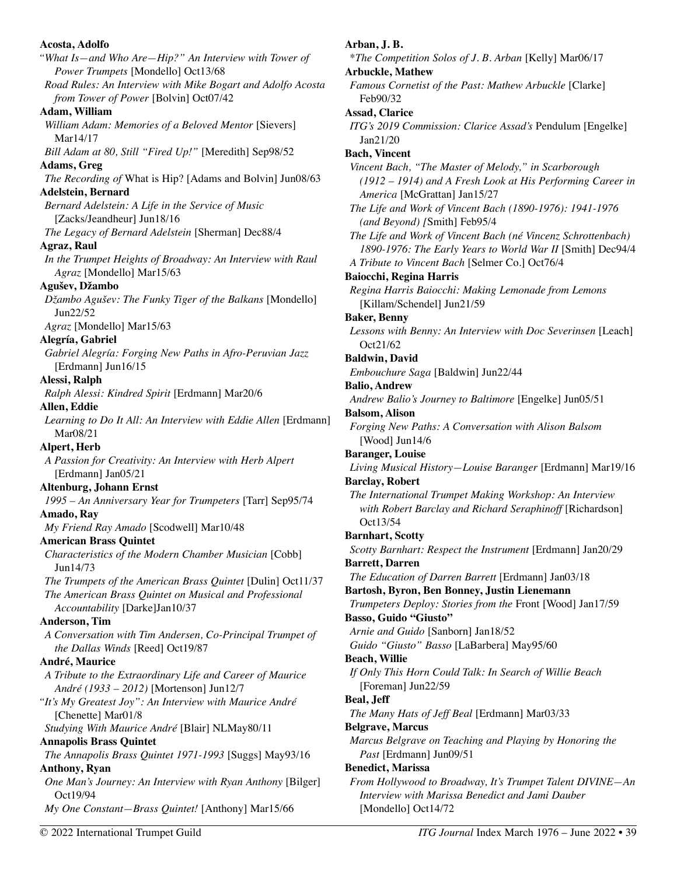| Acosta, Adolfo                                                                                       |
|------------------------------------------------------------------------------------------------------|
| "What Is-and Who Are-Hip?" An Interview with Tower of                                                |
| Power Trumpets [Mondello] Oct13/68                                                                   |
| Road Rules: An Interview with Mike Bogart and Adolfo Acosta                                          |
| from Tower of Power [Bolvin] Oct07/42                                                                |
| Adam, William                                                                                        |
| William Adam: Memories of a Beloved Mentor [Sievers]                                                 |
| Mar14/17                                                                                             |
| Bill Adam at 80, Still "Fired Up!" [Meredith] Sep98/52                                               |
| Adams, Greg                                                                                          |
| The Recording of What is Hip? [Adams and Bolvin] Jun08/63                                            |
| <b>Adelstein, Bernard</b>                                                                            |
| Bernard Adelstein: A Life in the Service of Music                                                    |
| [Zacks/Jeandheur] Jun18/16                                                                           |
| The Legacy of Bernard Adelstein [Sherman] Dec88/4                                                    |
| <b>Agraz, Raul</b>                                                                                   |
| In the Trumpet Heights of Broadway: An Interview with Raul                                           |
| Agraz [Mondello] Mar15/63<br>Agušev, Džambo                                                          |
| Džambo Agušev: The Funky Tiger of the Balkans [Mondello]                                             |
| Jun22/52                                                                                             |
| Agraz [Mondello] Mar15/63                                                                            |
| Alegría, Gabriel                                                                                     |
| Gabriel Alegría: Forging New Paths in Afro-Peruvian Jazz                                             |
| [Erdmann] Jun16/15                                                                                   |
| Alessi, Ralph                                                                                        |
| Ralph Alessi: Kindred Spirit [Erdmann] Mar20/6                                                       |
| Allen, Eddie                                                                                         |
| Learning to Do It All: An Interview with Eddie Allen [Erdmann]                                       |
| Mar08/21                                                                                             |
| Alpert, Herb                                                                                         |
| A Passion for Creativity: An Interview with Herb Alpert                                              |
| [Erdmann] Jan05/21                                                                                   |
| <b>Altenburg, Johann Ernst</b>                                                                       |
| 1995 - An Anniversary Year for Trumpeters [Tarr] Sep95/74                                            |
| Amado, Ray                                                                                           |
| My Friend Ray Amado [Scodwell] Mar10/48                                                              |
| <b>American Brass Quintet</b>                                                                        |
| Characteristics of the Modern Chamber Musician [Cobb]                                                |
| Jun14/73                                                                                             |
| The Trumpets of the American Brass Quintet [Dulin] Oct11/37                                          |
| The American Brass Quintet on Musical and Professional                                               |
| Accountability [Darke]Jan10/37                                                                       |
| <b>Anderson</b> , Tim                                                                                |
| A Conversation with Tim Andersen, Co-Principal Trumpet of                                            |
| the Dallas Winds [Reed] Oct19/87                                                                     |
| André, Maurice                                                                                       |
| A Tribute to the Extraordinary Life and Career of Maurice<br>André (1933 – 2012) [Mortenson] Jun12/7 |
| "It's My Greatest Joy": An Interview with Maurice André                                              |
| [Chenette] Mar01/8                                                                                   |
| Studying With Maurice André [Blair] NLMay80/11                                                       |
| <b>Annapolis Brass Quintet</b>                                                                       |
| The Annapolis Brass Quintet 1971-1993 [Suggs] May93/16                                               |
| <b>Anthony, Ryan</b>                                                                                 |
| One Man's Journey: An Interview with Ryan Anthony [Bilger]                                           |
| Oct19/94                                                                                             |
| My One Constant-Brass Quintet! [Anthony] Mar15/66                                                    |

**Arban, J. B.**  \**The Competition Solos of J. B. Arban* [Kelly] Mar06/17 **Arbuckle, Mathew**  *Famous Cornetist of the Past: Mathew Arbuckle* [Clarke] Feb90/32 **Assad, Clarice**  *ITG's 2019 Commission: Clarice Assad's* Pendulum [Engelke] Jan21/20 **Bach, Vincent**  *Vincent Bach, "The Master of Melody," in Scarborough (1912 – 1914) and A Fresh Look at His Performing Career in America* [McGrattan] Jan15/27 *The Life and Work of Vincent Bach (1890-1976): 1941-1976 (and Beyond) [*Smith] Feb95/4 *The Life and Work of Vincent Bach (né Vincenz Schrottenbach) 1890-1976: The Early Years to World War II* [Smith] Dec94/4 *A Tribute to Vincent Bach* [Selmer Co.] Oct76/4 **Baiocchi, Regina Harris**  *Regina Harris Baiocchi: Making Lemonade from Lemons*  [Killam/Schendel] Jun21/59 **Baker, Benny**  *Lessons with Benny: An Interview with Doc Severinsen* [Leach] Oct21/62 **Baldwin, David**  *Embouchure Saga* [Baldwin] Jun22/44 **Balio, Andrew**  *Andrew Balio's Journey to Baltimore* [Engelke] Jun05/51 **Balsom, Alison**  *Forging New Paths: A Conversation with Alison Balsom*  [Wood] Jun14/6 **Baranger, Louise**  *Living Musical History—Louise Baranger* [Erdmann] Mar19/16 **Barclay, Robert**  *The International Trumpet Making Workshop: An Interview with Robert Barclay and Richard Seraphinoff* [Richardson] Oct13/54 **Barnhart, Scotty**  *Scotty Barnhart: Respect the Instrument* [Erdmann] Jan20/29 **Barrett, Darren**  *The Education of Darren Barrett* [Erdmann] Jan03/18 **Bartosh, Byron, Ben Bonney, Justin Lienemann**  *Trumpeters Deploy: Stories from the* Front [Wood] Jan17/59 **Basso, Guido "Giusto"**  *Arnie and Guido* [Sanborn] Jan18/52 *Guido "Giusto" Basso* [LaBarbera] May95/60 **Beach, Willie**  *If Only This Horn Could Talk: In Search of Willie Beach*  [Foreman] Jun22/59 **Beal, Jeff**  *The Many Hats of Jeff Beal* [Erdmann] Mar03/33 **Belgrave, Marcus**  *Marcus Belgrave on Teaching and Playing by Honoring the Past* [Erdmann] Jun09/51 **Benedict, Marissa**  *From Hollywood to Broadway, It's Trumpet Talent DIVINE—An Interview with Marissa Benedict and Jami Dauber* 

[Mondello] Oct14/72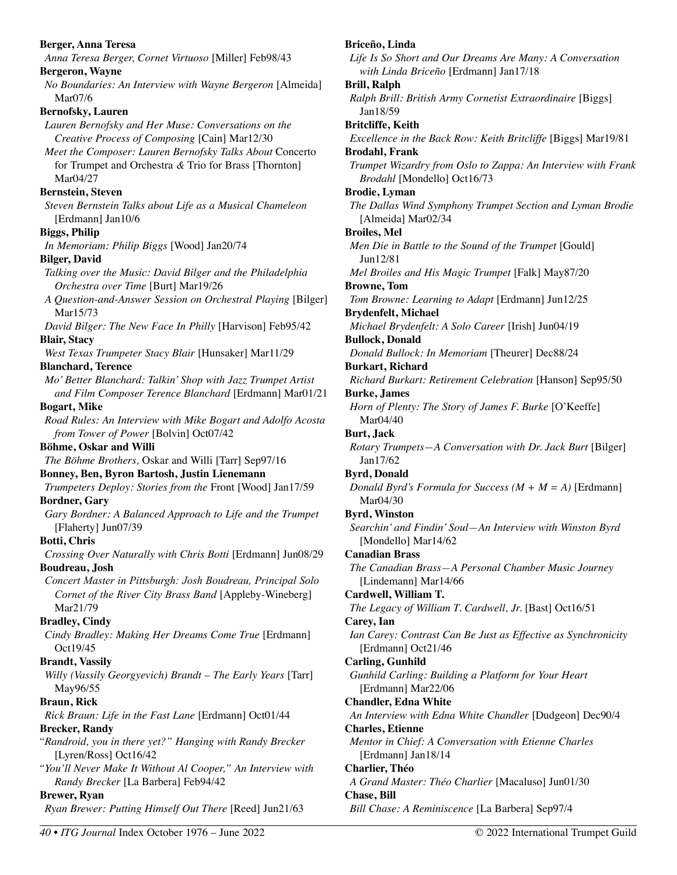| Berger, Anna Teresa                                                                                                   | Briceño, Linda                                                                         |
|-----------------------------------------------------------------------------------------------------------------------|----------------------------------------------------------------------------------------|
| Anna Teresa Berger, Cornet Virtuoso [Miller] Feb98/43                                                                 | Life Is So Short and Our Dreams Are Many: A Conversation                               |
| <b>Bergeron, Wayne</b>                                                                                                | with Linda Briceño [Erdmann] Jan17/18                                                  |
| No Boundaries: An Interview with Wayne Bergeron [Almeida]                                                             | <b>Brill, Ralph</b>                                                                    |
| Mar07/6                                                                                                               | Ralph Brill: British Army Cornetist Extraordinaire [Biggs]                             |
| <b>Bernofsky, Lauren</b>                                                                                              | Jan18/59                                                                               |
| Lauren Bernofsky and Her Muse: Conversations on the                                                                   | <b>Britcliffe</b> , Keith                                                              |
| Creative Process of Composing [Cain] Mar12/30                                                                         | Excellence in the Back Row: Keith Britcliffe [Biggs] Mar19/81                          |
| Meet the Composer: Lauren Bernofsky Talks About Concerto<br>for Trumpet and Orchestra $\&$ Trio for Brass [Thornton]  | <b>Brodahl</b> , Frank<br>Trumpet Wizardry from Oslo to Zappa: An Interview with Frank |
| Mar04/27                                                                                                              | Brodahl [Mondello] Oct16/73                                                            |
| <b>Bernstein, Steven</b>                                                                                              | <b>Brodie</b> , Lyman                                                                  |
| Steven Bernstein Talks about Life as a Musical Chameleon                                                              | The Dallas Wind Symphony Trumpet Section and Lyman Brodie                              |
| [Erdmann] Jan10/6                                                                                                     | [Almeida] Mar02/34                                                                     |
| <b>Biggs, Philip</b>                                                                                                  | <b>Broiles, Mel</b>                                                                    |
| In Memoriam: Philip Biggs [Wood] Jan20/74                                                                             | Men Die in Battle to the Sound of the Trumpet [Gould]                                  |
| <b>Bilger, David</b>                                                                                                  | Jun12/81                                                                               |
| Talking over the Music: David Bilger and the Philadelphia                                                             | Mel Broiles and His Magic Trumpet [Falk] May87/20                                      |
| Orchestra over Time [Burt] Mar19/26                                                                                   | <b>Browne</b> , Tom                                                                    |
| A Question-and-Answer Session on Orchestral Playing [Bilger]                                                          | Tom Browne: Learning to Adapt [Erdmann] Jun12/25                                       |
| Mar15/73                                                                                                              | <b>Brydenfelt, Michael</b>                                                             |
| David Bilger: The New Face In Philly [Harvison] Feb95/42                                                              | Michael Brydenfelt: A Solo Career [Irish] Jun04/19                                     |
| <b>Blair, Stacy</b>                                                                                                   | <b>Bullock, Donald</b>                                                                 |
| West Texas Trumpeter Stacy Blair [Hunsaker] Mar11/29                                                                  | Donald Bullock: In Memoriam [Theurer] Dec88/24                                         |
| <b>Blanchard, Terence</b><br>Mo' Better Blanchard: Talkin' Shop with Jazz Trumpet Artist                              | <b>Burkart, Richard</b><br>Richard Burkart: Retirement Celebration [Hanson] Sep95/50   |
| and Film Composer Terence Blanchard [Erdmann] Mar01/21                                                                | <b>Burke</b> , James                                                                   |
| <b>Bogart, Mike</b>                                                                                                   | Horn of Plenty: The Story of James F. Burke [O'Keeffe]                                 |
| Road Rules: An Interview with Mike Bogart and Adolfo Acosta                                                           | Mar04/40                                                                               |
| from Tower of Power [Bolvin] Oct07/42                                                                                 | <b>Burt, Jack</b>                                                                      |
| Böhme, Oskar and Willi                                                                                                | Rotary Trumpets-A Conversation with Dr. Jack Burt [Bilger]                             |
| The Böhme Brothers, Oskar and Willi [Tarr] Sep97/16                                                                   | Jan17/62                                                                               |
| Bonney, Ben, Byron Bartosh, Justin Lienemann                                                                          | <b>Byrd, Donald</b>                                                                    |
| Trumpeters Deploy: Stories from the Front [Wood] Jan17/59                                                             | Donald Byrd's Formula for Success $(M + M = A)$ [Erdmann]                              |
| <b>Bordner</b> , Gary                                                                                                 | Mar04/30                                                                               |
| Gary Bordner: A Balanced Approach to Life and the Trumpet                                                             | <b>Byrd, Winston</b>                                                                   |
| [Flaherty] Jun07/39                                                                                                   | Searchin' and Findin' Soul-An Interview with Winston Byrd                              |
| <b>Botti, Chris</b>                                                                                                   | [Mondello] Mar14/62                                                                    |
| Crossing Over Naturally with Chris Botti [Erdmann] Jun08/29                                                           | <b>Canadian Brass</b>                                                                  |
| Boudreau, Josh                                                                                                        | The Canadian Brass-A Personal Chamber Music Journey                                    |
| Concert Master in Pittsburgh: Josh Boudreau, Principal Solo<br>Cornet of the River City Brass Band [Appleby-Wineberg] | [Lindemann] Mar14/66<br>Cardwell, William T.                                           |
| Mar21/79                                                                                                              | The Legacy of William T. Cardwell, Jr. [Bast] Oct16/51                                 |
| <b>Bradley, Cindy</b>                                                                                                 | Carey, Ian                                                                             |
| Cindy Bradley: Making Her Dreams Come True [Erdmann]                                                                  | Ian Carey: Contrast Can Be Just as Effective as Synchronicity                          |
| Oct19/45                                                                                                              | [Erdmann] Oct21/46                                                                     |
| <b>Brandt</b> , Vassily                                                                                               | <b>Carling, Gunhild</b>                                                                |
| Willy (Vassily Georgyevich) Brandt - The Early Years [Tarr]                                                           | Gunhild Carling: Building a Platform for Your Heart                                    |
| May96/55                                                                                                              | [Erdmann] Mar22/06                                                                     |
| <b>Braun, Rick</b>                                                                                                    | <b>Chandler, Edna White</b>                                                            |
| Rick Braun: Life in the Fast Lane [Erdmann] Oct01/44                                                                  | An Interview with Edna White Chandler [Dudgeon] Dec90/4                                |
| <b>Brecker, Randy</b>                                                                                                 | <b>Charles, Etienne</b>                                                                |
| "Randroid, you in there yet?" Hanging with Randy Brecker                                                              | Mentor in Chief: A Conversation with Etienne Charles                                   |
| [Lyren/Ross] Oct16/42                                                                                                 | [Erdmann] Jan18/14                                                                     |
| "You'll Never Make It Without Al Cooper," An Interview with<br>Randy Brecker [La Barbera] Feb94/42                    | Charlier, Théo<br>A Grand Master: Théo Charlier [Macaluso] Jun01/30                    |
| <b>Brewer</b> , Ryan                                                                                                  | <b>Chase, Bill</b>                                                                     |
| Ryan Brewer: Putting Himself Out There [Reed] Jun21/63                                                                | Bill Chase: A Reminiscence [La Barbera] Sep97/4                                        |
|                                                                                                                       |                                                                                        |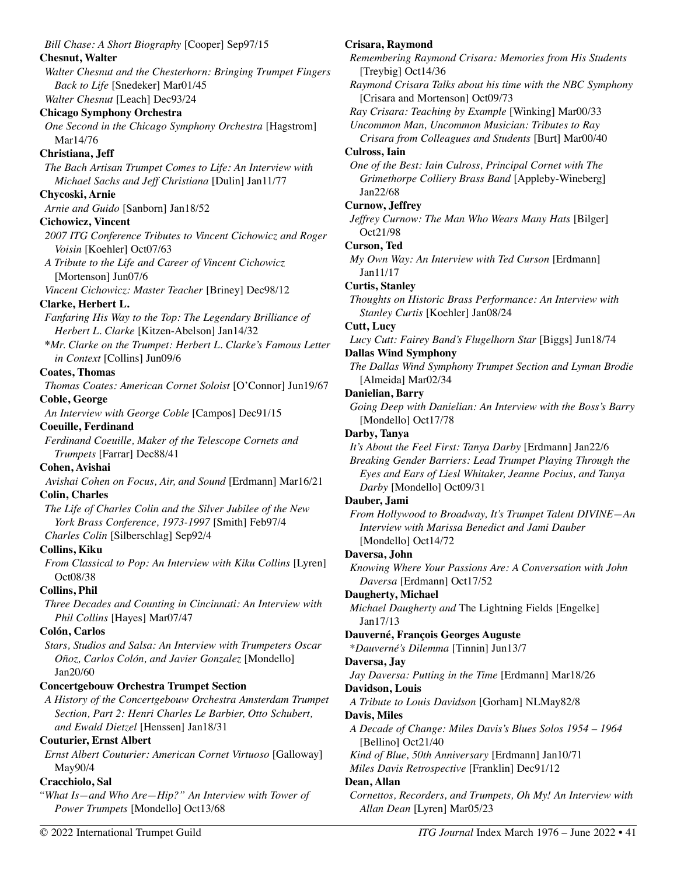*Bill Chase: A Short Biography* [Cooper] Sep97/15 **Chesnut, Walter**  *Walter Chesnut and the Chesterhorn: Bringing Trumpet Fingers Back to Life* [Snedeker] Mar01/45 *Walter Chesnut* [Leach] Dec93/24 **Chicago Symphony Orchestra**  *One Second in the Chicago Symphony Orchestra* [Hagstrom] Mar14/76 **Christiana, Jeff**  *The Bach Artisan Trumpet Comes to Life: An Interview with Michael Sachs and Jeff Christiana* [Dulin] Jan11/77 **Chycoski, Arnie**  *Arnie and Guido* [Sanborn] Jan18/52 **Cichowicz, Vincent**  *2007 ITG Conference Tributes to Vincent Cichowicz and Roger Voisin* [Koehler] Oct07/63 *A Tribute to the Life and Career of Vincent Cichowicz* [Mortenson] Jun07/6 *Vincent Cichowicz: Master Teacher* [Briney] Dec98/12 **Clarke, Herbert L.**  *Fanfaring His Way to the Top: The Legendary Brilliance of Herbert L. Clarke* [Kitzen-Abelson] Jan14/32 **\****Mr. Clarke on the Trumpet: Herbert L. Clarke's Famous Letter in Context* [Collins] Jun09/6 **Coates, Thomas**  *Thomas Coates: American Cornet Soloist* [O'Connor] Jun19/67 **Coble, George**  *An Interview with George Coble* [Campos] Dec91/15 **Coeuille, Ferdinand**  *Ferdinand Coeuille, Maker of the Telescope Cornets and Trumpets* [Farrar] Dec88/41 **Cohen, Avishai**  *Avishai Cohen on Focus, Air, and Sound* [Erdmann] Mar16/21 **Colin, Charles**  *The Life of Charles Colin and the Silver Jubilee of the New York Brass Conference, 1973-1997* [Smith] Feb97/4 *Charles Colin* [Silberschlag] Sep92/4 **Collins, Kiku**  *From Classical to Pop: An Interview with Kiku Collins [Lyren]* Oct08/38 **Collins, Phil**  *Three Decades and Counting in Cincinnati: An Interview with Phil Collins* [Hayes] Mar07/47 **Colón, Carlos**  *Stars, Studios and Salsa: An Interview with Trumpeters Oscar Oñoz, Carlos Colón, and Javier Gonzalez* [Mondello] Jan20/60 **Concertgebouw Orchestra Trumpet Section**  *A History of the Concertgebouw Orchestra Amsterdam Trumpet Section, Part 2: Henri Charles Le Barbier, Otto Schubert, and Ewald Dietzel* [Henssen] Jan18/31 **Couturier, Ernst Albert**  *Ernst Albert Couturier: American Cornet Virtuoso* [Galloway] May90/4 **Cracchiolo, Sal**  *"What Is—and Who Are—Hip?" An Interview with Tower of Power Trumpets* [Mondello] Oct13/68 **Crisara, Raymond**  *Remembering Raymond Crisara: Memories from His Students*  [Treybig] Oct14/36 *Raymond Crisara Talks about his time with the NBC Symphony*  [Crisara and Mortenson] Oct09/73 *Ray Crisara: Teaching by Example* [Winking] Mar00/33 *Uncommon Man, Uncommon Musician: Tributes to Ray Crisara from Colleagues and Students* [Burt] Mar00/40 **Culross, Iain**  *One of the Best: Iain Culross, Principal Cornet with The Grimethorpe Colliery Brass Band* [Appleby-Wineberg] Jan22/68 **Curnow, Jeffrey**  *Jeffrey Curnow: The Man Who Wears Many Hats* [Bilger] Oct21/98 **Curson, Ted**  *My Own Way: An Interview with Ted Curson* [Erdmann] Jan11/17 **Curtis, Stanley**  *Thoughts on Historic Brass Performance: An Interview with Stanley Curtis* [Koehler] Jan08/24 **Cutt, Lucy**  *Lucy Cutt: Fairey Band's Flugelhorn Star* [Biggs] Jun18/74 **Dallas Wind Symphony**  *The Dallas Wind Symphony Trumpet Section and Lyman Brodie* [Almeida] Mar02/34 **Danielian, Barry**  *Going Deep with Danielian: An Interview with the Boss's Barry*  [Mondello] Oct17/78 **Darby, Tanya**  *It's About the Feel First: Tanya Darby* [Erdmann] Jan22/6 *Breaking Gender Barriers: Lead Trumpet Playing Through the Eyes and Ears of Liesl Whitaker, Jeanne Pocius, and Tanya Darby* [Mondello] Oct09/31 **Dauber, Jami**  *From Hollywood to Broadway, It's Trumpet Talent DIVINE—An Interview with Marissa Benedict and Jami Dauber*  [Mondello] Oct14/72 **Daversa, John**  *Knowing Where Your Passions Are: A Conversation with John Daversa* [Erdmann] Oct17/52 **Daugherty, Michael**  *Michael Daugherty and* The Lightning Fields [Engelke] Jan17/13 **Dauverné, François Georges Auguste**  \**Dauverné's Dilemma* [Tinnin] Jun13/7 **Daversa, Jay**  *Jay Daversa: Putting in the Time* [Erdmann] Mar18/26 **Davidson, Louis**  *A Tribute to Louis Davidson* [Gorham] NLMay82/8 **Davis, Miles**  *A Decade of Change: Miles Davis's Blues Solos 1954 – 1964*  [Bellino] Oct21/40 *Kind of Blue, 50th Anniversary* [Erdmann] Jan10/71 *Miles Davis Retrospective* [Franklin] Dec91/12 **Dean, Allan**  *Cornettos, Recorders, and Trumpets, Oh My! An Interview with Allan Dean* [Lyren] Mar05/23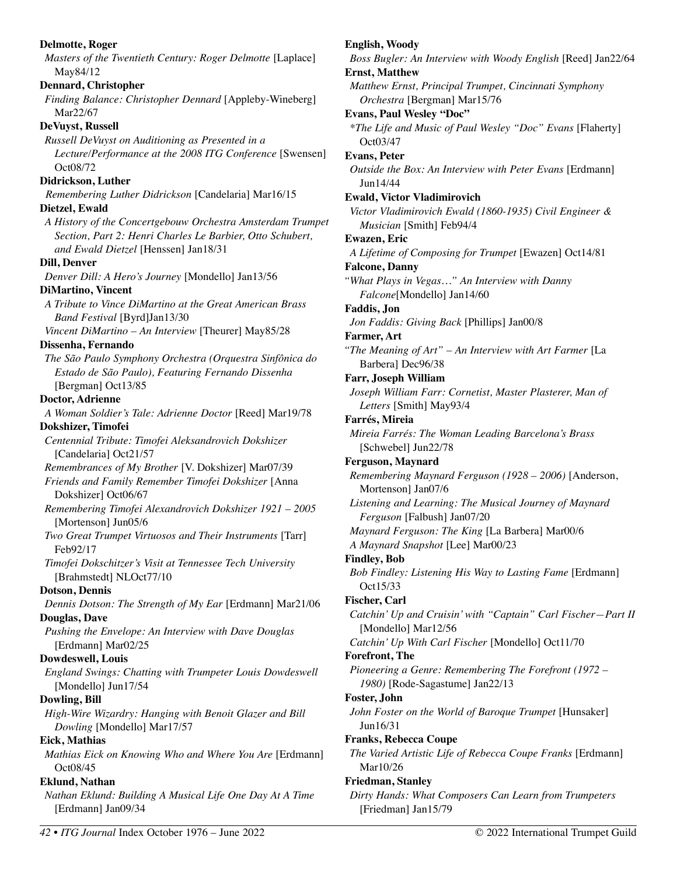**Delmotte, Roger**  *Masters of the Twentieth Century: Roger Delmotte* [Laplace] May84/12 **Dennard, Christopher**  *Finding Balance: Christopher Dennard* [Appleby-Wineberg] Mar22/67 **DeVuyst, Russell**  *Russell DeVuyst on Auditioning as Presented in a Lecture/Performance at the 2008 ITG Conference* [Swensen] Oct08/72 **Didrickson, Luther**  *Remembering Luther Didrickson* [Candelaria] Mar16/15 **Dietzel, Ewald**  *A History of the Concertgebouw Orchestra Amsterdam Trumpet Section, Part 2: Henri Charles Le Barbier, Otto Schubert, and Ewald Dietzel* [Henssen] Jan18/31 **Dill, Denver**  *Denver Dill: A Hero's Journey* [Mondello] Jan13/56 **DiMartino, Vincent**  *A Tribute to Vince DiMartino at the Great American Brass Band Festival* [Byrd]Jan13/30 *Vincent DiMartino – An Interview* [Theurer] May85/28 **Dissenha, Fernando**  *The São Paulo Symphony Orchestra (Orquestra Sinfônica do Estado de São Paulo), Featuring Fernando Dissenha*  [Bergman] Oct13/85 **Doctor, Adrienne**  *A Woman Soldier's Tale: Adrienne Doctor* [Reed] Mar19/78 **Dokshizer, Timofei**  *Centennial Tribute: Timofei Aleksandrovich Dokshizer*  [Candelaria] Oct21/57 *Remembrances of My Brother* [V. Dokshizer] Mar07/39 *Friends and Family Remember Timofei Dokshizer* [Anna Dokshizer] Oct06/67 *Remembering Timofei Alexandrovich Dokshizer 1921 – 2005*  [Mortenson] Jun05/6 *Two Great Trumpet Virtuosos and Their Instruments* [Tarr] Feb92/17 *Timofei Dokschitzer's Visit at Tennessee Tech University*  [Brahmstedt] NLOct77/10 **Dotson, Dennis**  *Dennis Dotson: The Strength of My Ear* [Erdmann] Mar21/06 **Douglas, Dave**  *Pushing the Envelope: An Interview with Dave Douglas* [Erdmann] Mar02/25 **Dowdeswell, Louis**  *England Swings: Chatting with Trumpeter Louis Dowdeswell*  [Mondello] Jun17/54 **Dowling, Bill**  *High-Wire Wizardry: Hanging with Benoit Glazer and Bill Dowling* [Mondello] Mar17/57 **Eick, Mathias**  *Mathias Eick on Knowing Who and Where You Are* [Erdmann] Oct08/45 **Eklund, Nathan**  *Nathan Eklund: Building A Musical Life One Day At A Time*  [Erdmann] Jan09/34 **English, Woody**  *Boss Bugler: An Interview with Woody English* [Reed] Jan22/64 **Ernst, Matthew**  *Matthew Ernst, Principal Trumpet, Cincinnati Symphony Orchestra* [Bergman] Mar15/76 **Evans, Paul Wesley "Doc"**  *\*The Life and Music of Paul Wesley "Doc" Evans* [Flaherty] Oct03/47 **Evans, Peter**  *Outside the Box: An Interview with Peter Evans [Erdmann]* Jun14/44 **Ewald, Victor Vladimirovich**  *Victor Vladimirovich Ewald (1860-1935) Civil Engineer & Musician* [Smith] Feb94/4 **Ewazen, Eric**  *A Lifetime of Composing for Trumpet* [Ewazen] Oct14/81 **Falcone, Danny**  *"What Plays in Vegas…" An Interview with Danny Falcone*[Mondello] Jan14/60 **Faddis, Jon**  *Jon Faddis: Giving Back* [Phillips] Jan00/8 **Farmer, Art**  *"The Meaning of Art" – An Interview with Art Farmer* [La Barbera] Dec96/38 **Farr, Joseph William**  *Joseph William Farr: Cornetist, Master Plasterer, Man of Letters* [Smith] May93/4 **Farrés, Mireia**  *Mireia Farrés: The Woman Leading Barcelona's Brass*  [Schwebel] Jun22/78 **Ferguson, Maynard**  *Remembering Maynard Ferguson (1928 – 2006)* [Anderson, Mortenson] Jan07/6 *Listening and Learning: The Musical Journey of Maynard Ferguson* [Falbush] Jan07/20 *Maynard Ferguson: The King* [La Barbera] Mar00/6 *A Maynard Snapshot* [Lee] Mar00/23 **Findley, Bob**  *Bob Findley: Listening His Way to Lasting Fame* [Erdmann] Oct15/33 **Fischer, Carl**  *Catchin' Up and Cruisin' with "Captain" Carl Fischer—Part II*  [Mondello] Mar12/56 *Catchin' Up With Carl Fischer* [Mondello] Oct11/70 **Forefront, The**  *Pioneering a Genre: Remembering The Forefront (1972 – 1980)* [Rode-Sagastume] Jan22/13 **Foster, John**  *John Foster on the World of Baroque Trumpet* [Hunsaker] Jun16/31 **Franks, Rebecca Coupe**  *The Varied Artistic Life of Rebecca Coupe Franks* [Erdmann] Mar10/26 **Friedman, Stanley**  *Dirty Hands: What Composers Can Learn from Trumpeters*  [Friedman] Jan15/79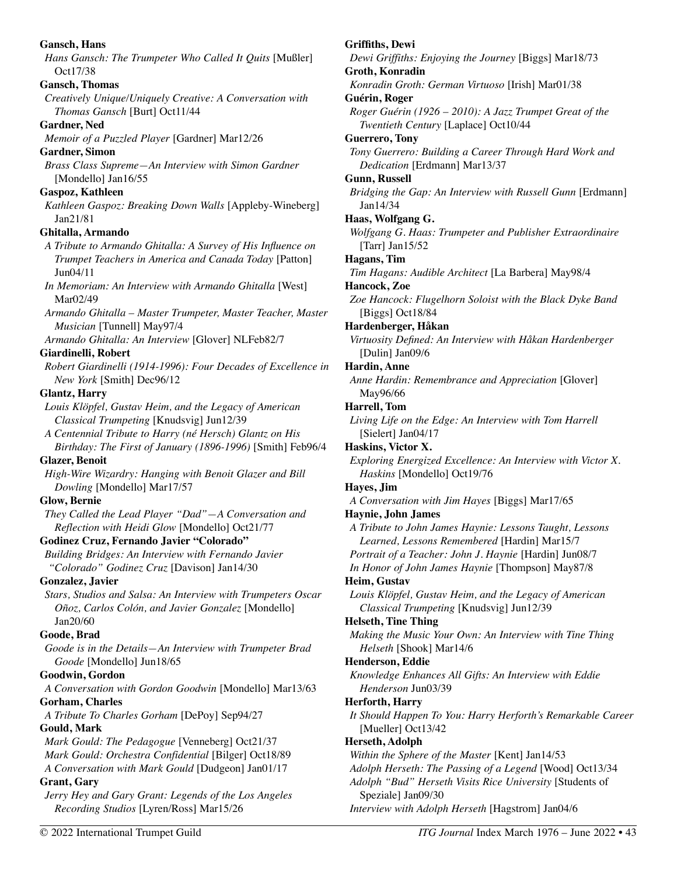**Gansch, Hans**  *Hans Gansch: The Trumpeter Who Called It Quits* [Mußler] Oct17/38 **Gansch, Thomas**  *Creatively Unique/Uniquely Creative: A Conversation with Thomas Gansch* [Burt] Oct11/44 **Gardner, Ned**  *Memoir of a Puzzled Player* [Gardner] Mar12/26 **Gardner, Simon**  *Brass Class Supreme—An Interview with Simon Gardner*  [Mondello] Jan16/55 **Gaspoz, Kathleen**  *Kathleen Gaspoz: Breaking Down Walls* [Appleby-Wineberg] Jan21/81 **Ghitalla, Armando**  *A Tribute to Armando Ghitalla: A Survey of His Influence on Trumpet Teachers in America and Canada Today* [Patton] Jun04/11 *In Memoriam: An Interview with Armando Ghitalla* [West] Mar02/49 *Armando Ghitalla – Master Trumpeter, Master Teacher, Master Musician* [Tunnell] May97/4 *Armando Ghitalla: An Interview* [Glover] NLFeb82/7 **Giardinelli, Robert**  *Robert Giardinelli (1914-1996): Four Decades of Excellence in New York* [Smith] Dec96/12 **Glantz, Harry**  *Louis Klöpfel, Gustav Heim, and the Legacy of American Classical Trumpeting* [Knudsvig] Jun12/39 *A Centennial Tribute to Harry (né Hersch) Glantz on His Birthday: The First of January (1896-1996)* [Smith] Feb96/4 **Glazer, Benoit**  *High-Wire Wizardry: Hanging with Benoit Glazer and Bill Dowling* [Mondello] Mar17/57 **Glow, Bernie**  *They Called the Lead Player "Dad"—A Conversation and Reflection with Heidi Glow* [Mondello] Oct21/77 **Godinez Cruz, Fernando Javier "Colorado"**  *Building Bridges: An Interview with Fernando Javier "Colorado" Godinez Cruz* [Davison] Jan14/30 **Gonzalez, Javier**  *Stars, Studios and Salsa: An Interview with Trumpeters Oscar Oñoz, Carlos Colón, and Javier Gonzalez* [Mondello] Jan20/60 **Goode, Brad**  *Goode is in the Details—An Interview with Trumpeter Brad Goode* [Mondello] Jun18/65 **Goodwin, Gordon**  *A Conversation with Gordon Goodwin* [Mondello] Mar13/63 **Gorham, Charles**  *A Tribute To Charles Gorham* [DePoy] Sep94/27 **Gould, Mark**  *Mark Gould: The Pedagogue* [Venneberg] Oct21/37 *Mark Gould: Orchestra Confidential* [Bilger] Oct18/89 *A Conversation with Mark Gould* [Dudgeon] Jan01/17 **Grant, Gary**  *Jerry Hey and Gary Grant: Legends of the Los Angeles Recording Studios* [Lyren/Ross] Mar15/26 **Griffiths, Dewi**  *Dewi Griffiths: Enjoying the Journey* [Biggs] Mar18/73 **Groth, Konradin**  *Konradin Groth: German Virtuoso* [Irish] Mar01/38 **Guérin, Roger**  *Roger Guérin (1926 – 2010): A Jazz Trumpet Great of the Twentieth Century* [Laplace] Oct10/44 **Guerrero, Tony**  *Tony Guerrero: Building a Career Through Hard Work and Dedication* [Erdmann] Mar13/37 **Gunn, Russell**  *Bridging the Gap: An Interview with Russell Gunn* [Erdmann] Jan14/34 **Haas, Wolfgang G.**  *Wolfgang G. Haas: Trumpeter and Publisher Extraordinaire* [Tarr] Jan15/52 **Hagans, Tim**  *Tim Hagans: Audible Architect* [La Barbera] May98/4 **Hancock, Zoe**  *Zoe Hancock: Flugelhorn Soloist with the Black Dyke Band*  [Biggs] Oct18/84 **Hardenberger, Håkan**  *Virtuosity Defined: An Interview with Håkan Hardenberger*  [Dulin] Jan09/6 **Hardin, Anne**  *Anne Hardin: Remembrance and Appreciation* [Glover] May96/66 **Harrell, Tom**  *Living Life on the Edge: An Interview with Tom Harrell*  [Sielert] Jan04/17 **Haskins, Victor X.**  *Exploring Energized Excellence: An Interview with Victor X. Haskins* [Mondello] Oct19/76 **Hayes, Jim**  *A Conversation with Jim Hayes* [Biggs] Mar17/65 **Haynie, John James**  *A Tribute to John James Haynie: Lessons Taught, Lessons Learned, Lessons Remembered* [Hardin] Mar15/7 *Portrait of a Teacher: John J. Haynie* [Hardin] Jun08/7 *In Honor of John James Haynie* [Thompson] May87/8 **Heim, Gustav**  *Louis Klöpfel, Gustav Heim, and the Legacy of American Classical Trumpeting* [Knudsvig] Jun12/39 **Helseth, Tine Thing**  *Making the Music Your Own: An Interview with Tine Thing Helseth* [Shook] Mar14/6 **Henderson, Eddie**  *Knowledge Enhances All Gifts: An Interview with Eddie Henderson* Jun03/39 **Herforth, Harry**  *It Should Happen To You: Harry Herforth's Remarkable Career*  [Mueller] Oct13/42 **Herseth, Adolph**  *Within the Sphere of the Master* [Kent] Jan14/53 *Adolph Herseth: The Passing of a Legend* [Wood] Oct13/34 *Adolph "Bud" Herseth Visits Rice University* [Students of Speziale] Jan09/30 *Interview with Adolph Herseth* [Hagstrom] Jan04/6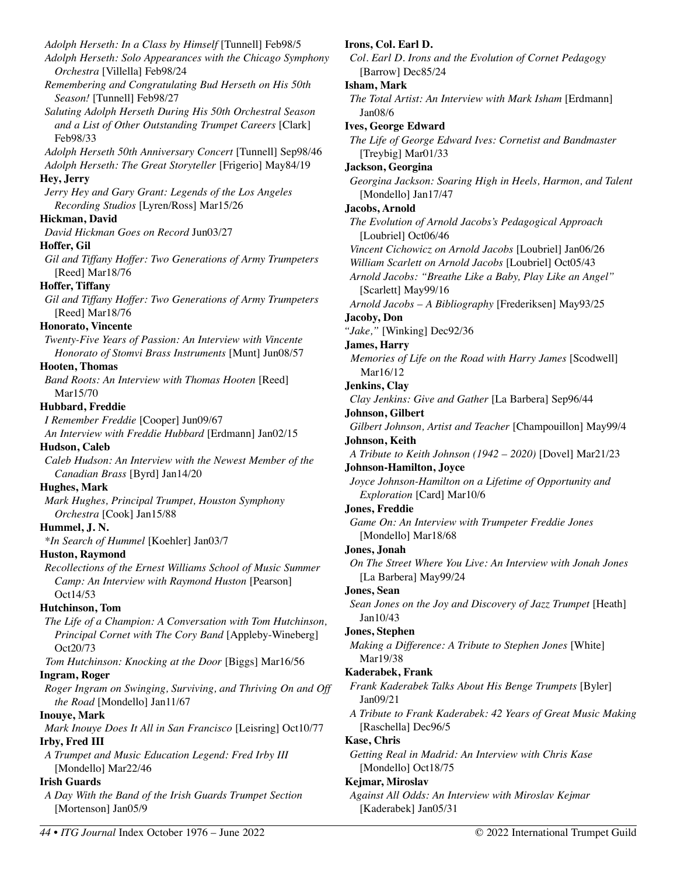*Adolph Herseth: In a Class by Himself* [Tunnell] Feb98/5 *Adolph Herseth: Solo Appearances with the Chicago Symphony Orchestra* [Villella] Feb98/24 *Remembering and Congratulating Bud Herseth on His 50th Season!* [Tunnell] Feb98/27 *Saluting Adolph Herseth During His 50th Orchestral Season and a List of Other Outstanding Trumpet Careers* [Clark] Feb98/33 *Adolph Herseth 50th Anniversary Concert* [Tunnell] Sep98/46 *Adolph Herseth: The Great Storyteller* [Frigerio] May84/19 **Hey, Jerry**  *Jerry Hey and Gary Grant: Legends of the Los Angeles Recording Studios* [Lyren/Ross] Mar15/26 **Hickman, David**  *David Hickman Goes on Record* Jun03/27 **Hoffer, Gil**  *Gil and Tiffany Hoffer: Two Generations of Army Trumpeters*  [Reed] Mar18/76 **Hoffer, Tiffany**  *Gil and Tiffany Hoffer: Two Generations of Army Trumpeters*  [Reed] Mar18/76 **Honorato, Vincente**  *Twenty-Five Years of Passion: An Interview with Vincente Honorato of Stomvi Brass Instruments* [Munt] Jun08/57 **Hooten, Thomas**  *Band Roots: An Interview with Thomas Hooten* [Reed] Mar15/70 **Hubbard, Freddie**  *I Remember Freddie* [Cooper] Jun09/67 *An Interview with Freddie Hubbard* [Erdmann] Jan02/15 **Hudson, Caleb**  *Caleb Hudson: An Interview with the Newest Member of the Canadian Brass* [Byrd] Jan14/20 **Hughes, Mark**  *Mark Hughes, Principal Trumpet, Houston Symphony Orchestra* [Cook] Jan15/88 **Hummel, J. N.**  *\*In Search of Hummel* [Koehler] Jan03/7 **Huston, Raymond**  *Recollections of the Ernest Williams School of Music Summer Camp: An Interview with Raymond Huston* [Pearson] Oct14/53 **Hutchinson, Tom**  *The Life of a Champion: A Conversation with Tom Hutchinson, Principal Cornet with The Cory Band* [Appleby-Wineberg] Oct20/73 *Tom Hutchinson: Knocking at the Door* [Biggs] Mar16/56 **Ingram, Roger**  *Roger Ingram on Swinging, Surviving, and Thriving On and Off the Road* [Mondello] Jan11/67 **Inouye, Mark**  *Mark Inouye Does It All in San Francisco* [Leisring] Oct10/77 **Irby, Fred III**  *A Trumpet and Music Education Legend: Fred Irby III*  [Mondello] Mar22/46 **Irish Guards**  *A Day With the Band of the Irish Guards Trumpet Section*  [Mortenson] Jan05/9

# *Col. Earl D. Irons and the Evolution of Cornet Pedagogy*  [Barrow] Dec85/24 **Isham, Mark**  *The Total Artist: An Interview with Mark Isham* [Erdmann] Jan08/6 **Ives, George Edward**  *The Life of George Edward Ives: Cornetist and Bandmaster*  [Treybig] Mar01/33 **Jackson, Georgina**  *Georgina Jackson: Soaring High in Heels, Harmon, and Talent* [Mondello] Jan17/47 **Jacobs, Arnold**  *The Evolution of Arnold Jacobs's Pedagogical Approach* [Loubriel] Oct06/46 *Vincent Cichowicz on Arnold Jacobs* [Loubriel] Jan06/26 *William Scarlett on Arnold Jacobs* [Loubriel] Oct05/43 *Arnold Jacobs: "Breathe Like a Baby, Play Like an Angel"*  [Scarlett] May99/16 *Arnold Jacobs – A Bibliography* [Frederiksen] May93/25 **Jacoby, Don**  *"Jake,"* [Winking] Dec92/36 **James, Harry**  *Memories of Life on the Road with Harry James* [Scodwell] Mar16/12 **Jenkins, Clay**  *Clay Jenkins: Give and Gather* [La Barbera] Sep96/44 **Johnson, Gilbert**  *Gilbert Johnson, Artist and Teacher* [Champouillon] May99/4 **Johnson, Keith**  *A Tribute to Keith Johnson (1942 – 2020)* [Dovel] Mar21/23 **Johnson-Hamilton, Joyce**  *Joyce Johnson-Hamilton on a Lifetime of Opportunity and Exploration* [Card] Mar10/6 **Jones, Freddie**  *Game On: An Interview with Trumpeter Freddie Jones*  [Mondello] Mar18/68 **Jones, Jonah**  *On The Street Where You Live: An Interview with Jonah Jones*  [La Barbera] May99/24 **Jones, Sean**  *Sean Jones on the Joy and Discovery of Jazz Trumpet* [Heath] Jan10/43 **Jones, Stephen**  *Making a Difference: A Tribute to Stephen Jones* [White] Mar19/38 **Kaderabek, Frank**  *Frank Kaderabek Talks About His Benge Trumpets* [Byler] Jan09/21 *A Tribute to Frank Kaderabek: 42 Years of Great Music Making*  [Raschella] Dec96/5 **Kase, Chris**  *Getting Real in Madrid: An Interview with Chris Kase*  [Mondello] Oct18/75 **Kejmar, Miroslav**

**Irons, Col. Earl D.**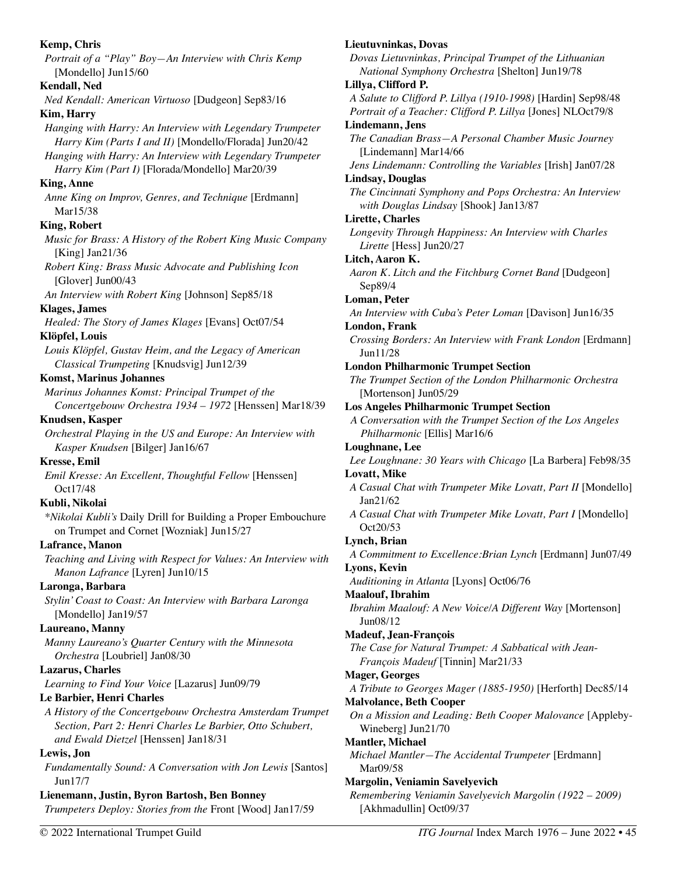**Kemp, Chris**  *Portrait of a "Play" Boy—An Interview with Chris Kemp*  [Mondello] Jun15/60 **Kendall, Ned**  *Ned Kendall: American Virtuoso* [Dudgeon] Sep83/16 **Kim, Harry**  *Hanging with Harry: An Interview with Legendary Trumpeter Harry Kim (Parts I and II)* [Mondello/Florada] Jun20/42 *Hanging with Harry: An Interview with Legendary Trumpeter Harry Kim (Part I)* [Florada/Mondello] Mar20/39 **King, Anne**  *Anne King on Improv, Genres, and Technique* [Erdmann] Mar15/38 **King, Robert**  *Music for Brass: A History of the Robert King Music Company*  [King] Jan21/36 *Robert King: Brass Music Advocate and Publishing Icon*  [Glover] Jun00/43 *An Interview with Robert King* [Johnson] Sep85/18 **Klages, James**  *Healed: The Story of James Klages* [Evans] Oct07/54 **Klöpfel, Louis**  *Louis Klöpfel, Gustav Heim, and the Legacy of American Classical Trumpeting* [Knudsvig] Jun12/39 **Komst, Marinus Johannes**  *Marinus Johannes Komst: Principal Trumpet of the Concertgebouw Orchestra 1934 – 1972* [Henssen] Mar18/39 **Knudsen, Kasper**  *Orchestral Playing in the US and Europe: An Interview with Kasper Knudsen* [Bilger] Jan16/67 **Kresse, Emil**  *Emil Kresse: An Excellent, Thoughtful Fellow* [Henssen] Oct17/48 **Kubli, Nikolai**  *\*Nikolai Kubli's* Daily Drill for Building a Proper Embouchure on Trumpet and Cornet [Wozniak] Jun15/27 **Lafrance, Manon**  *Teaching and Living with Respect for Values: An Interview with Manon Lafrance* [Lyren] Jun10/15 **Laronga, Barbara**  *Stylin' Coast to Coast: An Interview with Barbara Laronga*  [Mondello] Jan19/57 **Laureano, Manny**  *Manny Laureano's Quarter Century with the Minnesota Orchestra* [Loubriel] Jan08/30 **Lazarus, Charles**  *Learning to Find Your Voice* [Lazarus] Jun09/79 **Le Barbier, Henri Charles**  *A History of the Concertgebouw Orchestra Amsterdam Trumpet Section, Part 2: Henri Charles Le Barbier, Otto Schubert, and Ewald Dietzel* [Henssen] Jan18/31 **Lewis, Jon**  *Fundamentally Sound: A Conversation with Jon Lewis* [Santos] Jun17/7 **Lienemann, Justin, Byron Bartosh, Ben Bonney**  *Trumpeters Deploy: Stories from the* Front [Wood] Jan17/59

*Dovas Lietuvninkas, Principal Trumpet of the Lithuanian National Symphony Orchestra* [Shelton] Jun19/78 **Lillya, Clifford P.**  *A Salute to Clifford P. Lillya (1910-1998)* [Hardin] Sep98/48 *Portrait of a Teacher: Clifford P. Lillya* [Jones] NLOct79/8 **Lindemann, Jens**  *The Canadian Brass—A Personal Chamber Music Journey*  [Lindemann] Mar14/66 *Jens Lindemann: Controlling the Variables* [Irish] Jan07/28 **Lindsay, Douglas**  *The Cincinnati Symphony and Pops Orchestra: An Interview with Douglas Lindsay* [Shook] Jan13/87 **Lirette, Charles**  *Longevity Through Happiness: An Interview with Charles Lirette* [Hess] Jun20/27 **Litch, Aaron K.**  *Aaron K. Litch and the Fitchburg Cornet Band* [Dudgeon] Sep89/4 **Loman, Peter**  *An Interview with Cuba's Peter Loman* [Davison] Jun16/35 **London, Frank**  *Crossing Borders: An Interview with Frank London* [Erdmann] Jun11/28 **London Philharmonic Trumpet Section**  *The Trumpet Section of the London Philharmonic Orchestra* [Mortenson] Jun05/29 **Los Angeles Philharmonic Trumpet Section**  *A Conversation with the Trumpet Section of the Los Angeles Philharmonic* [Ellis] Mar16/6 **Loughnane, Lee**  *Lee Loughnane: 30 Years with Chicago* [La Barbera] Feb98/35 **Lovatt, Mike**  *A Casual Chat with Trumpeter Mike Lovatt, Part II* [Mondello] Jan21/62 *A Casual Chat with Trumpeter Mike Lovatt, Part I* [Mondello] Oct20/53 **Lynch, Brian**  *A Commitment to Excellence:Brian Lynch* [Erdmann] Jun07/49 **Lyons, Kevin**  *Auditioning in Atlanta* [Lyons] Oct06/76 **Maalouf, Ibrahim**  *Ibrahim Maalouf: A New Voice/A Different Way* [Mortenson] Jun08/12 **Madeuf, Jean-François**  *The Case for Natural Trumpet: A Sabbatical with Jean-François Madeuf* [Tinnin] Mar21/33 **Mager, Georges**  *A Tribute to Georges Mager (1885-1950)* [Herforth] Dec85/14 **Malvolance, Beth Cooper**  *On a Mission and Leading: Beth Cooper Malovance* [Appleby-Wineberg] Jun21/70 **Mantler, Michael**  *Michael Mantler—The Accidental Trumpeter* [Erdmann] Mar09/58 **Margolin, Veniamin Savelyevich**  *Remembering Veniamin Savelyevich Margolin (1922 – 2009)* 

**Lieutuvninkas, Dovas**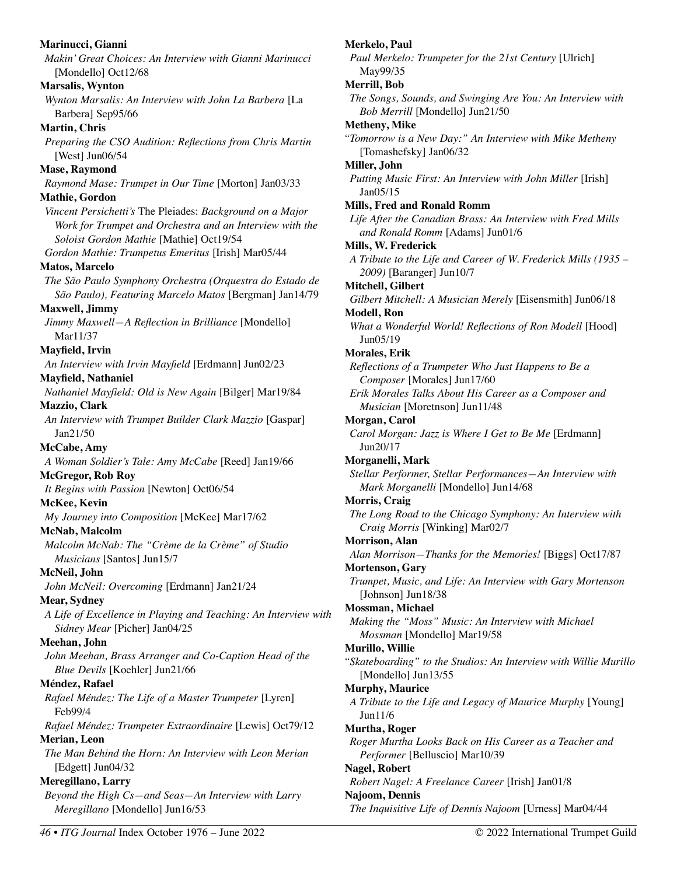**Marinucci, Gianni**  *Makin' Great Choices: An Interview with Gianni Marinucci*  [Mondello] Oct12/68 **Marsalis, Wynton**  *Wynton Marsalis: An Interview with John La Barbera* [La Barbera] Sep95/66 **Martin, Chris**  *Preparing the CSO Audition: Reflections from Chris Martin* [West] Jun06/54 **Mase, Raymond**  *Raymond Mase: Trumpet in Our Time* [Morton] Jan03/33 **Mathie, Gordon**  *Vincent Persichetti's* The Pleiades: *Background on a Major Work for Trumpet and Orchestra and an Interview with the Soloist Gordon Mathie* [Mathie] Oct19/54 *Gordon Mathie: Trumpetus Emeritus* [Irish] Mar05/44 **Matos, Marcelo**  *The São Paulo Symphony Orchestra (Orquestra do Estado de São Paulo), Featuring Marcelo Matos* [Bergman] Jan14/79 **Maxwell, Jimmy**  *Jimmy Maxwell—A Reflection in Brilliance* [Mondello] Mar11/37 **Mayfield, Irvin**  *An Interview with Irvin Mayfield* [Erdmann] Jun02/23 **Mayfield, Nathaniel**  *Nathaniel Mayfield: Old is New Again* [Bilger] Mar19/84 **Mazzio, Clark**  *An Interview with Trumpet Builder Clark Mazzio* [Gaspar] Jan21/50 **McCabe, Amy**  *A Woman Soldier's Tale: Amy McCabe* [Reed] Jan19/66 **McGregor, Rob Roy**  *It Begins with Passion* [Newton] Oct06/54 **McKee, Kevin**  *My Journey into Composition* [McKee] Mar17/62 **McNab, Malcolm**  *Malcolm McNab: The "Crème de la Crème" of Studio Musicians* [Santos] Jun15/7 **McNeil, John**  *John McNeil: Overcoming* [Erdmann] Jan21/24 **Mear, Sydney**  *A Life of Excellence in Playing and Teaching: An Interview with Sidney Mear* [Picher] Jan04/25 **Meehan, John**  *John Meehan, Brass Arranger and Co-Caption Head of the Blue Devils* [Koehler] Jun21/66 **Méndez, Rafael**  *Rafael Méndez: The Life of a Master Trumpeter* [Lyren] Feb99/4 *Rafael Méndez: Trumpeter Extraordinaire* [Lewis] Oct79/12 **Merian, Leon**  *The Man Behind the Horn: An Interview with Leon Merian*  [Edgett] Jun04/32 **Meregillano, Larry**  *Beyond the High Cs—and Seas—An Interview with Larry Meregillano* [Mondello] Jun16/53 **Merkelo, Paul**  *Paul Merkelo: Trumpeter for the 21st Century* [Ulrich] May99/35 **Merrill, Bob**  *The Songs, Sounds, and Swinging Are You: An Interview with Bob Merrill* [Mondello] Jun21/50 **Metheny, Mike**  *"Tomorrow is a New Day:" An Interview with Mike Metheny* [Tomashefsky] Jan06/32 **Miller, John**  *Putting Music First: An Interview with John Miller* [Irish] Jan05/15 **Mills, Fred and Ronald Romm**  *Life After the Canadian Brass: An Interview with Fred Mills and Ronald Romm* [Adams] Jun01/6 **Mills, W. Frederick**  *A Tribute to the Life and Career of W. Frederick Mills (1935 – 2009)* [Baranger] Jun10/7 **Mitchell, Gilbert**  *Gilbert Mitchell: A Musician Merely* [Eisensmith] Jun06/18 **Modell, Ron**  *What a Wonderful World! Reflections of Ron Modell* [Hood] Jun05/19 **Morales, Erik**  *Reflections of a Trumpeter Who Just Happens to Be a Composer* [Morales] Jun17/60 *Erik Morales Talks About His Career as a Composer and Musician* [Moretnson] Jun11/48 **Morgan, Carol**  *Carol Morgan: Jazz is Where I Get to Be Me* [Erdmann] Jun20/17 **Morganelli, Mark**  *Stellar Performer, Stellar Performances—An Interview with Mark Morganelli* [Mondello] Jun14/68 **Morris, Craig**  *The Long Road to the Chicago Symphony: An Interview with Craig Morris* [Winking] Mar02/7 **Morrison, Alan**  *Alan Morrison—Thanks for the Memories!* [Biggs] Oct17/87 **Mortenson, Gary**  *Trumpet, Music, and Life: An Interview with Gary Mortenson*  [Johnson] Jun18/38 **Mossman, Michael**  *Making the "Moss" Music: An Interview with Michael Mossman* [Mondello] Mar19/58 **Murillo, Willie**  *"Skateboarding" to the Studios: An Interview with Willie Murillo*  [Mondello] Jun13/55 **Murphy, Maurice**  *A Tribute to the Life and Legacy of Maurice Murphy* [Young] Jun11/6 **Murtha, Roger**  *Roger Murtha Looks Back on His Career as a Teacher and Performer* [Belluscio] Mar10/39 **Nagel, Robert**  *Robert Nagel: A Freelance Career* [Irish] Jan01/8 **Najoom, Dennis**  *The Inquisitive Life of Dennis Najoom* [Urness] Mar04/44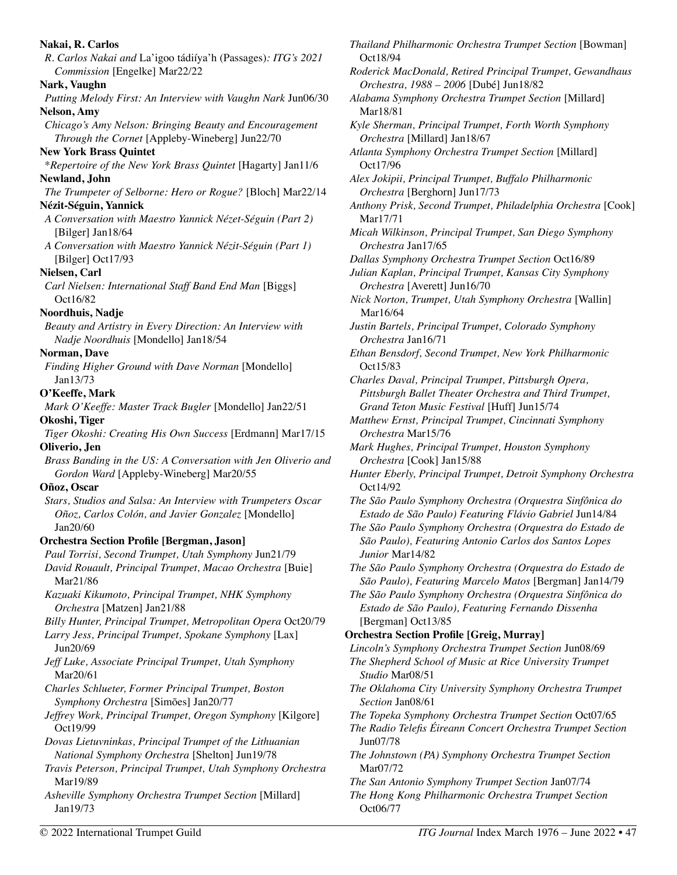| Nakai, R. Carlos                                                                                          | Thailand Philharmonic Orchestra Trumpet Section [Bowman]                                                              |
|-----------------------------------------------------------------------------------------------------------|-----------------------------------------------------------------------------------------------------------------------|
| R. Carlos Nakai and La'igoo tádiíya'h (Passages): ITG's 2021<br>Commission [Engelke] Mar22/22             | Oct18/94                                                                                                              |
| Nark, Vaughn                                                                                              | Roderick MacDonald, Retired Principal Trumpet, Gewandhau<br>Orchestra, 1988 - 2006 [Dubé] Jun18/82                    |
| Putting Melody First: An Interview with Vaughn Nark Jun06/30                                              | Alabama Symphony Orchestra Trumpet Section [Millard]                                                                  |
| Nelson, Amy                                                                                               | Mar18/81                                                                                                              |
| Chicago's Amy Nelson: Bringing Beauty and Encouragement<br>Through the Cornet [Appleby-Wineberg] Jun22/70 | Kyle Sherman, Principal Trumpet, Forth Worth Symphony<br>Orchestra [Millard] Jan18/67                                 |
| <b>New York Brass Quintet</b>                                                                             | Atlanta Symphony Orchestra Trumpet Section [Millard]                                                                  |
| *Repertoire of the New York Brass Quintet [Hagarty] Jan11/6                                               | Oct17/96                                                                                                              |
| Newland, John                                                                                             | Alex Jokipii, Principal Trumpet, Buffalo Philharmonic                                                                 |
| The Trumpeter of Selborne: Hero or Rogue? [Bloch] Mar22/14                                                | Orchestra [Berghorn] Jun17/73                                                                                         |
| Nézit-Séguin, Yannick<br>A Conversation with Maestro Yannick Nézet-Séguin (Part 2)                        | Anthony Prisk, Second Trumpet, Philadelphia Orchestra [Cool<br>Mar17/71                                               |
| [Bilger] Jan18/64                                                                                         | Micah Wilkinson, Principal Trumpet, San Diego Symphony                                                                |
| A Conversation with Maestro Yannick Nézit-Séguin (Part 1)                                                 | Orchestra Jan17/65                                                                                                    |
| [Bilger] Oct17/93                                                                                         | Dallas Symphony Orchestra Trumpet Section Oct16/89                                                                    |
| Nielsen, Carl                                                                                             | Julian Kaplan, Principal Trumpet, Kansas City Symphony                                                                |
| Carl Nielsen: International Staff Band End Man [Biggs]                                                    | Orchestra [Averett] Jun16/70                                                                                          |
| Oct16/82                                                                                                  | Nick Norton, Trumpet, Utah Symphony Orchestra [Wallin]                                                                |
| Noordhuis, Nadje                                                                                          | Mar16/64                                                                                                              |
| Beauty and Artistry in Every Direction: An Interview with                                                 | Justin Bartels, Principal Trumpet, Colorado Symphony<br>Orchestra Jan16/71                                            |
| Nadje Noordhuis [Mondello] Jan18/54<br>Norman, Dave                                                       | Ethan Bensdorf, Second Trumpet, New York Philharmonic                                                                 |
| Finding Higher Ground with Dave Norman [Mondello]                                                         | Oct15/83                                                                                                              |
| Jan13/73                                                                                                  | Charles Daval, Principal Trumpet, Pittsburgh Opera,                                                                   |
| O'Keeffe, Mark                                                                                            | Pittsburgh Ballet Theater Orchestra and Third Trumpet,                                                                |
| Mark O'Keeffe: Master Track Bugler [Mondello] Jan22/51                                                    | Grand Teton Music Festival [Huff] Jun15/74                                                                            |
| Okoshi, Tiger                                                                                             | Matthew Ernst, Principal Trumpet, Cincinnati Symphony                                                                 |
| Tiger Okoshi: Creating His Own Success [Erdmann] Mar17/15                                                 | Orchestra Mar15/76                                                                                                    |
| Oliverio, Jen                                                                                             | Mark Hughes, Principal Trumpet, Houston Symphony                                                                      |
| Brass Banding in the US: A Conversation with Jen Oliverio and                                             | Orchestra [Cook] Jan15/88                                                                                             |
| Gordon Ward [Appleby-Wineberg] Mar20/55<br>Oñoz, Oscar                                                    | Hunter Eberly, Principal Trumpet, Detroit Symphony Orchestr<br>Oct14/92                                               |
| Stars, Studios and Salsa: An Interview with Trumpeters Oscar                                              | The São Paulo Symphony Orchestra (Orquestra Sinfônica do                                                              |
| Oñoz, Carlos Colón, and Javier Gonzalez [Mondello]<br>Jan20/60                                            | Estado de São Paulo) Featuring Flávio Gabriel Jun14/84<br>The São Paulo Symphony Orchestra (Orquestra do Estado de    |
| Orchestra Section Profile [Bergman, Jason]                                                                | São Paulo), Featuring Antonio Carlos dos Santos Lopes                                                                 |
| Paul Torrisi, Second Trumpet, Utah Symphony Jun21/79                                                      | Junior Mar14/82                                                                                                       |
| David Rouault, Principal Trumpet, Macao Orchestra [Buie]<br>Mar21/86                                      | The São Paulo Symphony Orchestra (Orquestra do Estado de<br>São Paulo), Featuring Marcelo Matos [Bergman] Jan14/79    |
| Kazuaki Kikumoto, Principal Trumpet, NHK Symphony                                                         | The São Paulo Symphony Orchestra (Orquestra Sinfônica do                                                              |
| Orchestra [Matzen] Jan21/88                                                                               | Estado de São Paulo), Featuring Fernando Dissenha                                                                     |
| Billy Hunter, Principal Trumpet, Metropolitan Opera Oct20/79                                              | [Bergman] Oct13/85                                                                                                    |
| Larry Jess, Principal Trumpet, Spokane Symphony [Lax]<br>Jun20/69                                         | <b>Orchestra Section Profile [Greig, Murray]</b><br>Lincoln's Symphony Orchestra Trumpet Section Jun08/69             |
| Jeff Luke, Associate Principal Trumpet, Utah Symphony                                                     | The Shepherd School of Music at Rice University Trumpet                                                               |
| Mar20/61                                                                                                  | Studio Mar08/51                                                                                                       |
| Charles Schlueter, Former Principal Trumpet, Boston                                                       | The Oklahoma City University Symphony Orchestra Trumpet                                                               |
| Symphony Orchestra [Simões] Jan20/77                                                                      | Section Jan08/61                                                                                                      |
| Jeffrey Work, Principal Trumpet, Oregon Symphony [Kilgore]<br>Oct19/99                                    | The Topeka Symphony Orchestra Trumpet Section Oct07/65<br>The Radio Telefis Eireann Concert Orchestra Trumpet Section |
| Dovas Lietuvninkas, Principal Trumpet of the Lithuanian                                                   | Jun07/78                                                                                                              |
| National Symphony Orchestra [Shelton] Jun19/78                                                            | The Johnstown (PA) Symphony Orchestra Trumpet Section                                                                 |
| Travis Peterson, Principal Trumpet, Utah Symphony Orchestra                                               | Mar07/72                                                                                                              |
| Mar19/89                                                                                                  | The San Antonio Symphony Trumpet Section Jan07/74                                                                     |
| Asheville Symphony Orchestra Trumpet Section [Millard]<br>Jan19/73                                        | The Hong Kong Philharmonic Orchestra Trumpet Section<br>Oct06/77                                                      |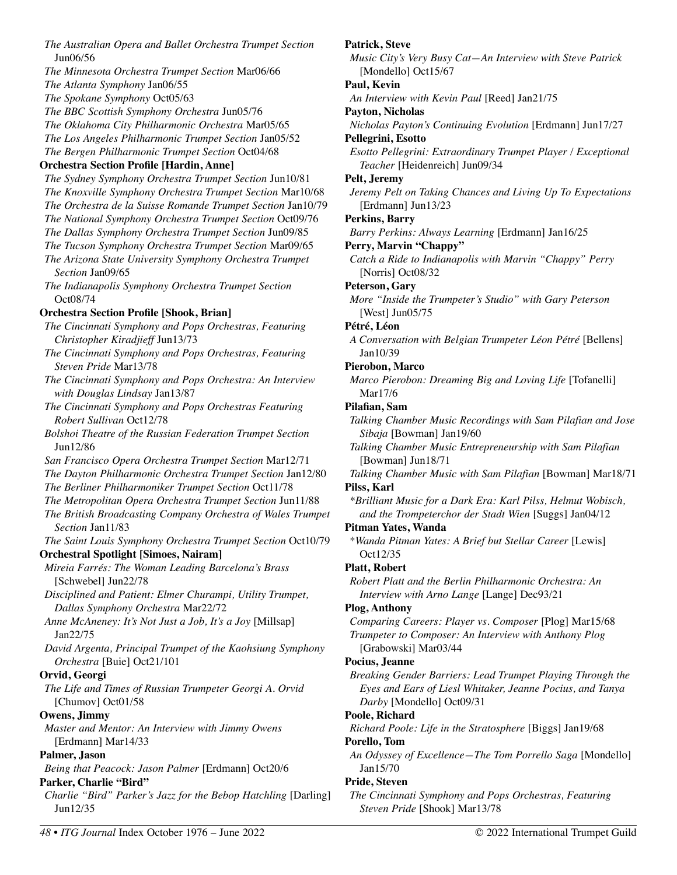*The Australian Opera and Ballet Orchestra Trumpet Section* Jun06/56 *The Minnesota Orchestra Trumpet Section* Mar06/66 *The Atlanta Symphony* Jan06/55 *The Spokane Symphony* Oct05/63 *The BBC Scottish Symphony Orchestra* Jun05/76 *The Oklahoma City Philharmonic Orchestra* Mar05/65 *The Los Angeles Philharmonic Trumpet Section* Jan05/52 *The Bergen Philharmonic Trumpet Section* Oct04/68 **Orchestra Section Profile [Hardin, Anne]**  *The Sydney Symphony Orchestra Trumpet Section* Jun10/81 *The Knoxville Symphony Orchestra Trumpet Section* Mar10/68 *The Orchestra de la Suisse Romande Trumpet Section* Jan10/79 *The National Symphony Orchestra Trumpet Section* Oct09/76 *The Dallas Symphony Orchestra Trumpet Section* Jun09/85 *The Tucson Symphony Orchestra Trumpet Section* Mar09/65 *The Arizona State University Symphony Orchestra Trumpet Section* Jan09/65 *The Indianapolis Symphony Orchestra Trumpet Section*  Oct08/74 **Orchestra Section Profile [Shook, Brian]**  *The Cincinnati Symphony and Pops Orchestras, Featuring Christopher Kiradjieff* Jun13/73 *The Cincinnati Symphony and Pops Orchestras, Featuring Steven Pride* Mar13/78 *The Cincinnati Symphony and Pops Orchestra: An Interview with Douglas Lindsay* Jan13/87 *The Cincinnati Symphony and Pops Orchestras Featuring Robert Sullivan* Oct12/78 *Bolshoi Theatre of the Russian Federation Trumpet Section*  Jun12/86 *San Francisco Opera Orchestra Trumpet Section* Mar12/71 *The Dayton Philharmonic Orchestra Trumpet Section* Jan12/80 *The Berliner Philharmoniker Trumpet Section* Oct11/78 *The Metropolitan Opera Orchestra Trumpet Section* Jun11/88 *The British Broadcasting Company Orchestra of Wales Trumpet Section* Jan11/83 *The Saint Louis Symphony Orchestra Trumpet Section* Oct10/79 **Orchestral Spotlight [Simoes, Nairam]**  *Mireia Farrés: The Woman Leading Barcelona's Brass*  [Schwebel] Jun22/78 *Disciplined and Patient: Elmer Churampi, Utility Trumpet, Dallas Symphony Orchestra* Mar22/72 *Anne McAneney: It's Not Just a Job, It's a Joy* [Millsap] Jan22/75 *David Argenta, Principal Trumpet of the Kaohsiung Symphony Orchestra* [Buie] Oct21/101 **Orvid, Georgi**  *The Life and Times of Russian Trumpeter Georgi A. Orvid* [Chumov] Oct01/58 **Owens, Jimmy**  *Master and Mentor: An Interview with Jimmy Owens*  [Erdmann] Mar14/33 **Palmer, Jason**  *Being that Peacock: Jason Palmer* [Erdmann] Oct20/6 **Parker, Charlie "Bird"**  *Charlie "Bird" Parker's Jazz for the Bebop Hatchling [Darling]* Jun12/35

**Patrick, Steve**  *Music City's Very Busy Cat—An Interview with Steve Patrick*  [Mondello] Oct15/67 **Paul, Kevin**  *An Interview with Kevin Paul* [Reed] Jan21/75 **Payton, Nicholas**  *Nicholas Payton's Continuing Evolution* [Erdmann] Jun17/27 **Pellegrini, Esotto**  *Esotto Pellegrini: Extraordinary Trumpet Player / Exceptional Teacher* [Heidenreich] Jun09/34 **Pelt, Jeremy**  *Jeremy Pelt on Taking Chances and Living Up To Expectations*  [Erdmann] Jun13/23 **Perkins, Barry**  *Barry Perkins: Always Learning* [Erdmann] Jan16/25 **Perry, Marvin "Chappy"**  *Catch a Ride to Indianapolis with Marvin "Chappy" Perry*  [Norris] Oct08/32 **Peterson, Gary**  *More "Inside the Trumpeter's Studio" with Gary Peterson* [West] Jun05/75 **Pétré, Léon**  *A Conversation with Belgian Trumpeter Léon Pétré* [Bellens] Jan10/39 **Pierobon, Marco**  *Marco Pierobon: Dreaming Big and Loving Life* [Tofanelli] Mar17/6 **Pilafian, Sam**  *Talking Chamber Music Recordings with Sam Pilafian and Jose Sibaja* [Bowman] Jan19/60 *Talking Chamber Music Entrepreneurship with Sam Pilafian*  [Bowman] Jun18/71 *Talking Chamber Music with Sam Pilafian* [Bowman] Mar18/71 **Pilss, Karl**  *\*Brilliant Music for a Dark Era: Karl Pilss, Helmut Wobisch, and the Trompeterchor der Stadt Wien* [Suggs] Jan04/12 **Pitman Yates, Wanda**  \**Wanda Pitman Yates: A Brief but Stellar Career* [Lewis] Oct12/35 **Platt, Robert**  *Robert Platt and the Berlin Philharmonic Orchestra: An Interview with Arno Lange* [Lange] Dec93/21 **Plog, Anthony**  *Comparing Careers: Player vs. Composer* [Plog] Mar15/68 *Trumpeter to Composer: An Interview with Anthony Plog* [Grabowski] Mar03/44 **Pocius, Jeanne**  *Breaking Gender Barriers: Lead Trumpet Playing Through the Eyes and Ears of Liesl Whitaker, Jeanne Pocius, and Tanya Darby* [Mondello] Oct09/31 **Poole, Richard**  *Richard Poole: Life in the Stratosphere* [Biggs] Jan19/68 **Porello, Tom**  *An Odyssey of Excellence—The Tom Porrello Saga* [Mondello] Jan15/70 **Pride, Steven**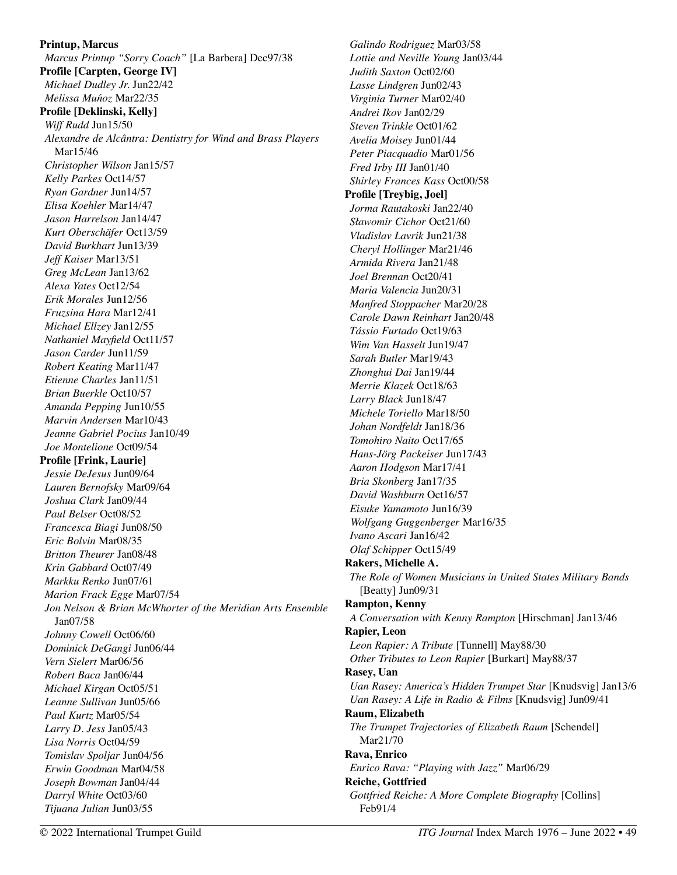**Printup, Marcus**  *Marcus Printup "Sorry Coach"* [La Barbera] Dec97/38 **Profile [Carpten, George IV]**  *Michael Dudley Jr.* Jun22/42 *Melissa Muńoz* Mar22/35 **Profile [Deklinski, Kelly]**  *Wiff Rudd* Jun15/50 *Alexandre de Alcântra: Dentistry for Wind and Brass Players*  Mar15/46 *Christopher Wilson* Jan15/57 *Kelly Parkes* Oct14/57 *Ryan Gardner* Jun14/57 *Elisa Koehler* Mar14/47 *Jason Harrelson* Jan14/47 *Kurt Oberschäfer* Oct13/59 *David Burkhart* Jun13/39 *Jeff Kaiser* Mar13/51 *Greg McLean* Jan13/62 *Alexa Yates* Oct12/54 *Erik Morales* Jun12/56 *Fruzsina Hara* Mar12/41 *Michael Ellzey* Jan12/55 *Nathaniel Mayfield* Oct11/57 *Jason Carder* Jun11/59 *Robert Keating* Mar11/47 *Etienne Charles* Jan11/51 *Brian Buerkle* Oct10/57 *Amanda Pepping* Jun10/55 *Marvin Andersen* Mar10/43 *Jeanne Gabriel Pocius* Jan10/49 *Joe Montelione* Oct09/54 **Profile [Frink, Laurie]**  *Jessie DeJesus* Jun09/64 *Lauren Bernofsky* Mar09/64 *Joshua Clark* Jan09/44 *Paul Belser* Oct08/52 *Francesca Biagi* Jun08/50 *Eric Bolvin* Mar08/35 *Britton Theurer* Jan08/48 *Krin Gabbard* Oct07/49 *Markku Renko* Jun07/61 *Marion Frack Egge* Mar07/54 *Jon Nelson & Brian McWhorter of the Meridian Arts Ensemble* Jan07/58 *Johnny Cowell* Oct06/60 *Dominick DeGangi* Jun06/44 *Vern Sielert* Mar06/56 *Robert Baca* Jan06/44 *Michael Kirgan* Oct05/51 *Leanne Sullivan* Jun05/66 *Paul Kurtz* Mar05/54 *Larry D. Jess* Jan05/43 *Lisa Norris* Oct04/59 *Tomislav Spoljar* Jun04/56 *Erwin Goodman* Mar04/58 *Joseph Bowman* Jan04/44 *Darryl White* Oct03/60 *Tijuana Julian* Jun03/55

*Galindo Rodriguez* Mar03/58 *Lottie and Neville Young* Jan03/44 *Judith Saxton* Oct02/60 *Lasse Lindgren* Jun02/43 *Virginia Turner* Mar02/40 *Andrei Ikov* Jan02/29 *Steven Trinkle* Oct01/62 *Avelia Moisey* Jun01/44 *Peter Piacquadio* Mar01/56 *Fred Irby III* Jan01/40 *Shirley Frances Kass* Oct00/58 **Profile [Treybig, Joel]**  *Jorma Rautakoski* Jan22/40 *Sławomir Cichor* Oct21/60 *Vladislav Lavrik* Jun21/38 *Cheryl Hollinger* Mar21/46 *Armida Rivera* Jan21/48 *Joel Brennan* Oct20/41 *Maria Valencia* Jun20/31 *Manfred Stoppacher* Mar20/28 *Carole Dawn Reinhart* Jan20/48 *Tássio Furtado* Oct19/63 *Wim Van Hasselt* Jun19/47 *Sarah Butler* Mar19/43 *Zhonghui Dai* Jan19/44 *Merrie Klazek* Oct18/63 *Larry Black* Jun18/47 *Michele Toriello* Mar18/50 *Johan Nordfeldt* Jan18/36 *Tomohiro Naito* Oct17/65 *Hans-Jörg Packeiser* Jun17/43 *Aaron Hodgson* Mar17/41 *Bria Skonberg* Jan17/35 *David Washburn* Oct16/57 *Eisuke Yamamoto* Jun16/39 *Wolfgang Guggenberger* Mar16/35 *Ivano Ascari* Jan16/42 *Olaf Schipper* Oct15/49 **Rakers, Michelle A.**  *The Role of Women Musicians in United States Military Bands*  [Beatty] Jun09/31 **Rampton, Kenny**  *A Conversation with Kenny Rampton* [Hirschman] Jan13/46 **Rapier, Leon**  *Leon Rapier: A Tribute* [Tunnell] May88/30 *Other Tributes to Leon Rapier* [Burkart] May88/37 **Rasey, Uan**  *Uan Rasey: America's Hidden Trumpet Star* [Knudsvig] Jan13/6 *Uan Rasey: A Life in Radio & Films* [Knudsvig] Jun09/41 **Raum, Elizabeth**  *The Trumpet Trajectories of Elizabeth Raum* [Schendel] Mar21/70 **Rava, Enrico**  *Enrico Rava: "Playing with Jazz"* Mar06/29 **Reiche, Gottfried**  *Gottfried Reiche: A More Complete Biography* [Collins] Feb91/4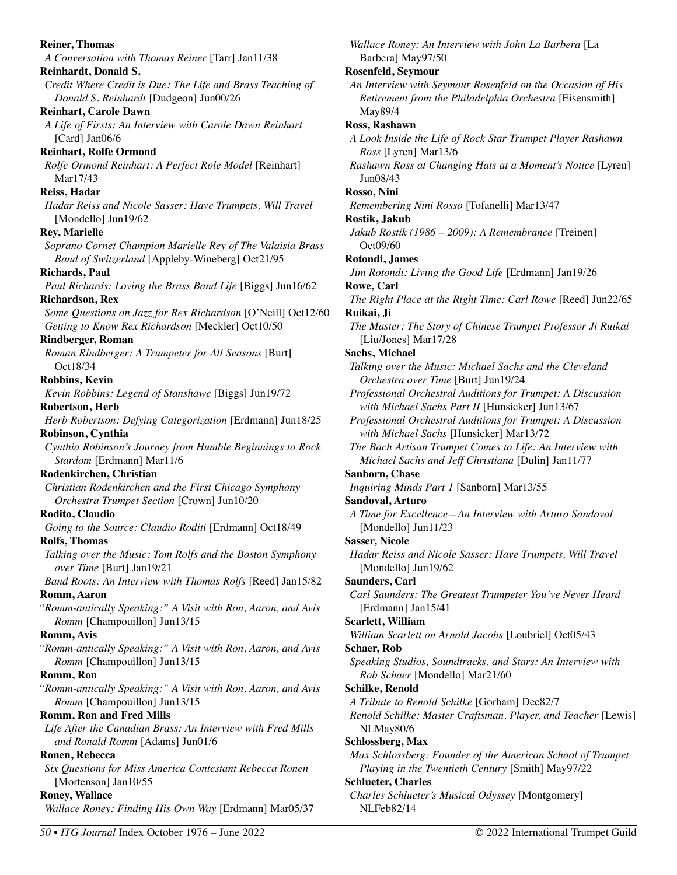| <b>Reiner, Thomas</b>                                                                                | Wallace Roney: An Interview with John La Barbera [La                                                                  |
|------------------------------------------------------------------------------------------------------|-----------------------------------------------------------------------------------------------------------------------|
| A Conversation with Thomas Reiner [Tarr] Jan11/38                                                    | Barbera] May97/50                                                                                                     |
| Reinhardt, Donald S.                                                                                 | <b>Rosenfeld, Seymour</b>                                                                                             |
| Credit Where Credit is Due: The Life and Brass Teaching of<br>Donald S. Reinhardt [Dudgeon] Jun00/26 | An Interview with Seymour Rosenfeld on the Occasion of His<br>Retirement from the Philadelphia Orchestra [Eisensmith] |
| <b>Reinhart, Carole Dawn</b>                                                                         | May89/4                                                                                                               |
| A Life of Firsts: An Interview with Carole Dawn Reinhart                                             | Ross, Rashawn                                                                                                         |
| [Card] Jan06/6                                                                                       | A Look Inside the Life of Rock Star Trumpet Player Rashawn                                                            |
| <b>Reinhart, Rolfe Ormond</b>                                                                        | Ross [Lyren] Mar13/6                                                                                                  |
| Rolfe Ormond Reinhart: A Perfect Role Model [Reinhart]                                               | Rashawn Ross at Changing Hats at a Moment's Notice [Lyren]                                                            |
| Mar17/43                                                                                             | Jun08/43                                                                                                              |
| Reiss, Hadar                                                                                         | Rosso, Nini                                                                                                           |
| Hadar Reiss and Nicole Sasser: Have Trumpets, Will Travel                                            | Remembering Nini Rosso [Tofanelli] Mar13/47                                                                           |
| [Mondello] Jun19/62                                                                                  | Rostik, Jakub                                                                                                         |
| <b>Rey, Marielle</b>                                                                                 | Jakub Rostik (1986 – 2009): A Remembrance [Treinen]                                                                   |
| Soprano Cornet Champion Marielle Rey of The Valaisia Brass                                           | Oct09/60                                                                                                              |
| Band of Switzerland [Appleby-Wineberg] Oct21/95                                                      | Rotondi, James                                                                                                        |
| <b>Richards</b> , Paul                                                                               | Jim Rotondi: Living the Good Life [Erdmann] Jan19/26                                                                  |
| Paul Richards: Loving the Brass Band Life [Biggs] Jun16/62                                           | Rowe, Carl                                                                                                            |
| <b>Richardson, Rex</b>                                                                               | The Right Place at the Right Time: Carl Rowe [Reed] Jun22/65                                                          |
| Some Questions on Jazz for Rex Richardson [O'Neill] Oct12/60                                         | Ruikai, Ji                                                                                                            |
| Getting to Know Rex Richardson [Meckler] Oct10/50                                                    | The Master: The Story of Chinese Trumpet Professor Ji Ruikai                                                          |
| <b>Rindberger, Roman</b>                                                                             | [Liu/Jones] Mar17/28                                                                                                  |
| Roman Rindberger: A Trumpeter for All Seasons [Burt]                                                 | Sachs, Michael                                                                                                        |
| Oct18/34                                                                                             | Talking over the Music: Michael Sachs and the Cleveland                                                               |
| <b>Robbins, Kevin</b>                                                                                | Orchestra over Time [Burt] Jun19/24                                                                                   |
| Kevin Robbins: Legend of Stanshawe [Biggs] Jun19/72                                                  | Professional Orchestral Auditions for Trumpet: A Discussion                                                           |
| Robertson, Herb                                                                                      | with Michael Sachs Part II [Hunsicker] Jun13/67                                                                       |
| Herb Robertson: Defying Categorization [Erdmann] Jun18/25                                            | Professional Orchestral Auditions for Trumpet: A Discussion                                                           |
| Robinson, Cynthia                                                                                    | with Michael Sachs [Hunsicker] Mar13/72                                                                               |
| Cynthia Robinson's Journey from Humble Beginnings to Rock                                            | The Bach Artisan Trumpet Comes to Life: An Interview with                                                             |
| Stardom [Erdmann] Mar11/6                                                                            | Michael Sachs and Jeff Christiana [Dulin] Jan11/77                                                                    |
| Rodenkirchen, Christian                                                                              | Sanborn, Chase                                                                                                        |
| Christian Rodenkirchen and the First Chicago Symphony                                                | Inquiring Minds Part 1 [Sanborn] Mar13/55                                                                             |
| Orchestra Trumpet Section [Crown] Jun10/20                                                           | Sandoval, Arturo                                                                                                      |
| Rodito, Claudio                                                                                      | A Time for Excellence-An Interview with Arturo Sandoval                                                               |
| Going to the Source: Claudio Roditi [Erdmann] Oct18/49                                               | [Mondello] Jun11/23                                                                                                   |
| <b>Rolfs, Thomas</b>                                                                                 | <b>Sasser, Nicole</b>                                                                                                 |
| Talking over the Music: Tom Rolfs and the Boston Symphony<br>over Time [Burt] Jan19/21               | Hadar Reiss and Nicole Sasser: Have Trumpets, Will Travel<br>[Mondello] Jun19/62                                      |
| Band Roots: An Interview with Thomas Rolfs [Reed] Jan15/82                                           | Saunders, Carl                                                                                                        |
| Romm, Aaron                                                                                          | Carl Saunders: The Greatest Trumpeter You've Never Heard                                                              |
| "Romm-antically Speaking:" A Visit with Ron, Aaron, and Avis                                         | [Erdmann] Jan15/41                                                                                                    |
| Romm [Champouillon] Jun13/15                                                                         | Scarlett, William                                                                                                     |
| Romm, Avis                                                                                           | William Scarlett on Arnold Jacobs [Loubriel] Oct05/43                                                                 |
| "Romm-antically Speaking:" A Visit with Ron, Aaron, and Avis                                         | <b>Schaer, Rob</b>                                                                                                    |
| Romm [Champouillon] Jun13/15                                                                         | Speaking Studios, Soundtracks, and Stars: An Interview with                                                           |
| Romm, Ron                                                                                            | Rob Schaer [Mondello] Mar21/60                                                                                        |
| "Romm-antically Speaking:" A Visit with Ron, Aaron, and Avis                                         | Schilke, Renold                                                                                                       |
| Romm [Champouillon] Jun13/15                                                                         | A Tribute to Renold Schilke [Gorham] Dec82/7                                                                          |
| <b>Romm, Ron and Fred Mills</b>                                                                      | Renold Schilke: Master Craftsman, Player, and Teacher [Lewis]                                                         |
| Life After the Canadian Brass: An Interview with Fred Mills                                          | NLMay80/6                                                                                                             |
| and Ronald Romm [Adams] Jun01/6                                                                      | Schlossberg, Max                                                                                                      |
| Ronen, Rebecca                                                                                       | Max Schlossberg: Founder of the American School of Trumpet                                                            |
| Six Questions for Miss America Contestant Rebecca Ronen                                              | Playing in the Twentieth Century [Smith] May97/22                                                                     |
|                                                                                                      |                                                                                                                       |
|                                                                                                      |                                                                                                                       |
| [Mortenson] Jan10/55<br><b>Roney, Wallace</b>                                                        | <b>Schlueter, Charles</b><br>Charles Schlueter's Musical Odyssey [Montgomery]                                         |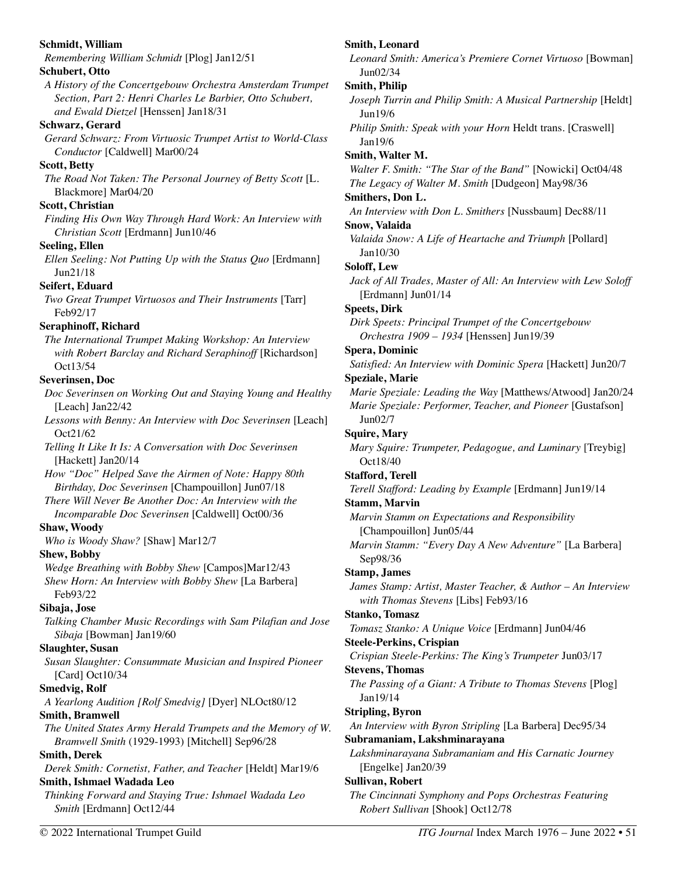| Schmidt, William                                                 | Smith, Leonard                                                  |
|------------------------------------------------------------------|-----------------------------------------------------------------|
| Remembering William Schmidt [Plog] Jan12/51                      | Leonard Smith: America's Premiere Cornet Virtuoso [Bowman]      |
| Schubert, Otto                                                   | Jun02/34                                                        |
| A History of the Concertgebouw Orchestra Amsterdam Trumpet       | <b>Smith, Philip</b>                                            |
| Section, Part 2: Henri Charles Le Barbier, Otto Schubert,        | Joseph Turrin and Philip Smith: A Musical Partnership [Heldt]   |
| and Ewald Dietzel [Henssen] Jan18/31                             | Jun19/6                                                         |
| Schwarz, Gerard                                                  | Philip Smith: Speak with your Horn Heldt trans. [Craswell]      |
| Gerard Schwarz: From Virtuosic Trumpet Artist to World-Class     | Jan19/6                                                         |
| Conductor [Caldwell] Mar00/24                                    | Smith, Walter M.                                                |
| <b>Scott, Betty</b>                                              | Walter F. Smith: "The Star of the Band" [Nowicki] Oct04/48      |
| The Road Not Taken: The Personal Journey of Betty Scott [L.      | The Legacy of Walter M. Smith [Dudgeon] May98/36                |
| Blackmore] Mar04/20<br>Scott, Christian                          | Smithers, Don L.                                                |
| Finding His Own Way Through Hard Work: An Interview with         | An Interview with Don L. Smithers [Nussbaum] Dec88/11           |
| Christian Scott [Erdmann] Jun10/46                               | Snow, Valaida                                                   |
| <b>Seeling, Ellen</b>                                            | Valaida Snow: A Life of Heartache and Triumph [Pollard]         |
| Ellen Seeling: Not Putting Up with the Status Quo [Erdmann]      | Jan10/30                                                        |
| Jun21/18                                                         | Soloff, Lew                                                     |
| Seifert, Eduard                                                  | Jack of All Trades, Master of All: An Interview with Lew Soloff |
| Two Great Trumpet Virtuosos and Their Instruments [Tarr]         | [Erdmann] Jun01/14                                              |
| Feb92/17                                                         | <b>Speets, Dirk</b>                                             |
| Seraphinoff, Richard                                             | Dirk Speets: Principal Trumpet of the Concertgebouw             |
| The International Trumpet Making Workshop: An Interview          | Orchestra 1909 - 1934 [Henssen] Jun19/39                        |
| with Robert Barclay and Richard Seraphinoff [Richardson]         | Spera, Dominic                                                  |
| Oct13/54                                                         | Satisfied: An Interview with Dominic Spera [Hackett] Jun20/7    |
| <b>Severinsen, Doc</b>                                           | <b>Speziale, Marie</b>                                          |
| Doc Severinsen on Working Out and Staying Young and Healthy      | Marie Speziale: Leading the Way [Matthews/Atwood] Jan20/24      |
| [Leach] Jan22/42                                                 | Marie Speziale: Performer, Teacher, and Pioneer [Gustafson]     |
| Lessons with Benny: An Interview with Doc Severinsen [Leach]     | Jun02/7                                                         |
| Oct21/62                                                         | <b>Squire, Mary</b>                                             |
| Telling It Like It Is: A Conversation with Doc Severinsen        | Mary Squire: Trumpeter, Pedagogue, and Luminary [Treybig]       |
| [Hackett] Jan20/14                                               | Oct18/40                                                        |
| How "Doc" Helped Save the Airmen of Note: Happy 80th             | <b>Stafford, Terell</b>                                         |
| Birthday, Doc Severinsen [Champouillon] Jun07/18                 | Terell Stafford: Leading by Example [Erdmann] Jun19/14          |
| There Will Never Be Another Doc: An Interview with the           | <b>Stamm, Marvin</b>                                            |
| Incomparable Doc Severinsen [Caldwell] Oct00/36                  | Marvin Stamm on Expectations and Responsibility                 |
| <b>Shaw, Woody</b>                                               | [Champouillon] Jun05/44                                         |
| Who is Woody Shaw? [Shaw] Mar12/7                                | Marvin Stamm: "Every Day A New Adventure" [La Barbera]          |
| <b>Shew, Bobby</b>                                               | Sep98/36                                                        |
| Wedge Breathing with Bobby Shew [Campos]Mar12/43                 | <b>Stamp</b> , James                                            |
| Shew Horn: An Interview with Bobby Shew [La Barbera]<br>Feb93/22 | James Stamp: Artist, Master Teacher, & Author - An Interview    |
| Sibaja, Jose                                                     | with Thomas Stevens [Libs] Feb93/16                             |
| Talking Chamber Music Recordings with Sam Pilafian and Jose      | Stanko, Tomasz                                                  |
| Sibaja [Bowman] Jan19/60                                         | Tomasz Stanko: A Unique Voice [Erdmann] Jun04/46                |
| Slaughter, Susan                                                 | <b>Steele-Perkins, Crispian</b>                                 |
| Susan Slaughter: Consummate Musician and Inspired Pioneer        | Crispian Steele-Perkins: The King's Trumpeter Jun03/17          |
| [Card] Oct10/34                                                  | <b>Stevens, Thomas</b>                                          |
| <b>Smedvig, Rolf</b>                                             | The Passing of a Giant: A Tribute to Thomas Stevens [Plog]      |
| A Yearlong Audition [Rolf Smedvig] [Dyer] NLOct80/12             | Jan19/14                                                        |
| <b>Smith, Bramwell</b>                                           | <b>Stripling, Byron</b>                                         |
| The United States Army Herald Trumpets and the Memory of W.      | An Interview with Byron Stripling [La Barbera] Dec95/34         |
| Bramwell Smith (1929-1993) [Mitchell] Sep96/28                   | Subramaniam, Lakshminarayana                                    |
| <b>Smith, Derek</b>                                              | Lakshminarayana Subramaniam and His Carnatic Journey            |
| Derek Smith: Cornetist, Father, and Teacher [Heldt] Mar19/6      | [Engelke] Jan20/39                                              |
| Smith, Ishmael Wadada Leo                                        | Sullivan, Robert                                                |
| Thinking Forward and Staying True: Ishmael Wadada Leo            | The Cincinnati Symphony and Pops Orchestras Featuring           |
| Smith [Erdmann] Oct12/44                                         | Robert Sullivan [Shook] Oct12/78                                |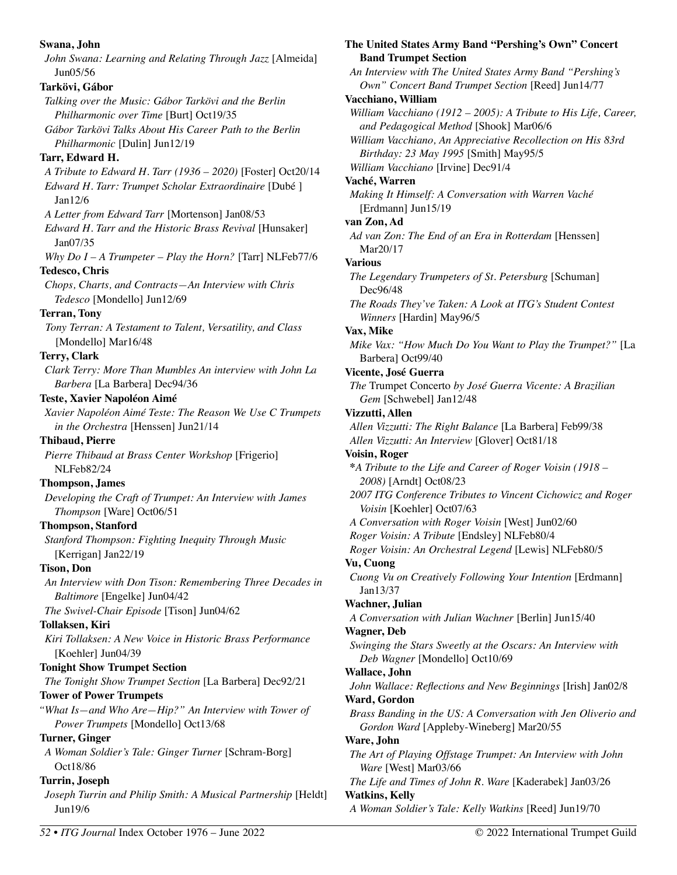**Swana, John**  *John Swana: Learning and Relating Through Jazz* [Almeida] Jun05/56 **Tarkövi, Gábor**  *Talking over the Music: Gábor Tarkövi and the Berlin Philharmonic over Time* [Burt] Oct19/35 *Gábor Tarkövi Talks About His Career Path to the Berlin Philharmonic* [Dulin] Jun12/19 **Tarr, Edward H.**  *A Tribute to Edward H. Tarr (1936 – 2020)* [Foster] Oct20/14 *Edward H. Tarr: Trumpet Scholar Extraordinaire* [Dubé ] Jan12/6 *A Letter from Edward Tarr* [Mortenson] Jan08/53 *Edward H. Tarr and the Historic Brass Revival* [Hunsaker] Jan07/35 *Why Do I – A Trumpeter – Play the Horn?* [Tarr] NLFeb77/6 **Tedesco, Chris**  *Chops, Charts, and Contracts—An Interview with Chris Tedesco* [Mondello] Jun12/69 **Terran, Tony**  *Tony Terran: A Testament to Talent, Versatility, and Class*  [Mondello] Mar16/48 **Terry, Clark**  *Clark Terry: More Than Mumbles An interview with John La Barbera* [La Barbera] Dec94/36 **Teste, Xavier Napoléon Aimé**  *Xavier Napoléon Aimé Teste: The Reason We Use C Trumpets in the Orchestra* [Henssen] Jun21/14 **Thibaud, Pierre**  *Pierre Thibaud at Brass Center Workshop* [Frigerio] NLFeb82/24 **Thompson, James**  *Developing the Craft of Trumpet: An Interview with James Thompson* [Ware] Oct06/51 **Thompson, Stanford**  *Stanford Thompson: Fighting Inequity Through Music* [Kerrigan] Jan22/19 **Tison, Don**  *An Interview with Don Tison: Remembering Three Decades in Baltimore* [Engelke] Jun04/42 *The Swivel-Chair Episode* [Tison] Jun04/62 **Tollaksen, Kiri**  *Kiri Tollaksen: A New Voice in Historic Brass Performance*  [Koehler] Jun04/39 **Tonight Show Trumpet Section**  *The Tonight Show Trumpet Section* [La Barbera] Dec92/21 **Tower of Power Trumpets**  *"What Is—and Who Are—Hip?" An Interview with Tower of Power Trumpets* [Mondello] Oct13/68 **Turner, Ginger**  *A Woman Soldier's Tale: Ginger Turner* [Schram-Borg] Oct18/86 **Turrin, Joseph**  *Joseph Turrin and Philip Smith: A Musical Partnership* [Heldt] Jun19/6

**The United States Army Band "Pershing's Own" Concert Band Trumpet Section**  *An Interview with The United States Army Band "Pershing's Own" Concert Band Trumpet Section* [Reed] Jun14/77 **Vacchiano, William**  *William Vacchiano (1912 – 2005): A Tribute to His Life, Career, and Pedagogical Method* [Shook] Mar06/6 *William Vacchiano, An Appreciative Recollection on His 83rd Birthday: 23 May 1995* [Smith] May95/5 *William Vacchiano* [Irvine] Dec91/4 **Vaché, Warren**  *Making It Himself: A Conversation with Warren Vaché*  [Erdmann] Jun15/19 **van Zon, Ad**  *Ad van Zon: The End of an Era in Rotterdam* [Henssen] Mar20/17 **Various**  *The Legendary Trumpeters of St. Petersburg* [Schuman] Dec96/48 *The Roads They've Taken: A Look at ITG's Student Contest Winners* [Hardin] May96/5 **Vax, Mike**  *Mike Vax: "How Much Do You Want to Play the Trumpet?"* [La Barbera] Oct99/40 **Vicente, José Guerra**  *The* Trumpet Concerto *by José Guerra Vicente: A Brazilian Gem* [Schwebel] Jan12/48 **Vizzutti, Allen**  *Allen Vizzutti: The Right Balance* [La Barbera] Feb99/38 *Allen Vizzutti: An Interview* [Glover] Oct81/18 **Voisin, Roger \****A Tribute to the Life and Career of Roger Voisin (1918 – 2008)* [Arndt] Oct08/23 *2007 ITG Conference Tributes to Vincent Cichowicz and Roger Voisin* [Koehler] Oct07/63 *A Conversation with Roger Voisin* [West] Jun02/60 *Roger Voisin: A Tribute* [Endsley] NLFeb80/4 *Roger Voisin: An Orchestral Legend* [Lewis] NLFeb80/5 **Vu, Cuong**  *Cuong Vu on Creatively Following Your Intention* [Erdmann] Jan13/37 **Wachner, Julian**  *A Conversation with Julian Wachner* [Berlin] Jun15/40 **Wagner, Deb**  *Swinging the Stars Sweetly at the Oscars: An Interview with Deb Wagner* [Mondello] Oct10/69 **Wallace, John**  *John Wallace: Reflections and New Beginnings* [Irish] Jan02/8 **Ward, Gordon**  *Brass Banding in the US: A Conversation with Jen Oliverio and Gordon Ward* [Appleby-Wineberg] Mar20/55 **Ware, John**  *The Art of Playing Offstage Trumpet: An Interview with John Ware* [West] Mar03/66 *The Life and Times of John R. Ware* [Kaderabek] Jan03/26 **Watkins, Kelly** 

*A Woman Soldier's Tale: Kelly Watkins* [Reed] Jun19/70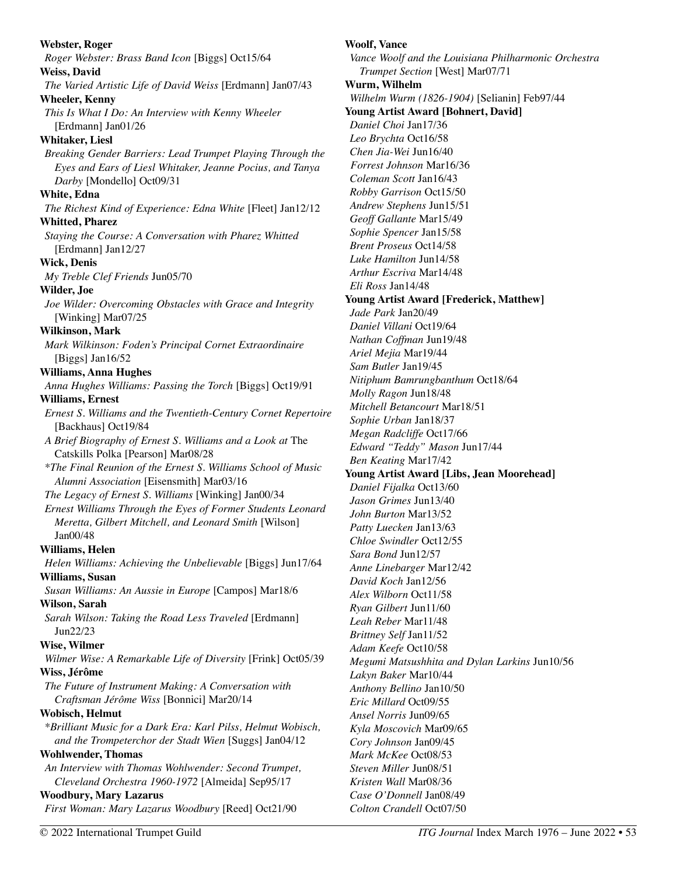| <b>Webster, Roger</b>                                          | <b>Woolf, Vance</b>                                  |
|----------------------------------------------------------------|------------------------------------------------------|
| Roger Webster: Brass Band Icon [Biggs] Oct15/64                | Vance Woolf and the Louisiana Philharmonic Orchestra |
| <b>Weiss, David</b>                                            | Trumpet Section [West] Mar07/71                      |
| The Varied Artistic Life of David Weiss [Erdmann] Jan07/43     | Wurm, Wilhelm                                        |
| <b>Wheeler, Kenny</b>                                          | Wilhelm Wurm (1826-1904) [Selianin] Feb97/44         |
| This Is What I Do: An Interview with Kenny Wheeler             | <b>Young Artist Award [Bohnert, David]</b>           |
| [Erdmann] Jan01/26                                             | Daniel Choi Jan17/36                                 |
| <b>Whitaker, Liesl</b>                                         | Leo Brychta Oct16/58                                 |
| Breaking Gender Barriers: Lead Trumpet Playing Through the     | Chen Jia-Wei Jun16/40                                |
| Eyes and Ears of Liesl Whitaker, Jeanne Pocius, and Tanya      | Forrest Johnson Mar16/36                             |
| Darby [Mondello] Oct09/31                                      | Coleman Scott Jan16/43                               |
| White, Edna                                                    | Robby Garrison Oct15/50                              |
| The Richest Kind of Experience: Edna White [Fleet] Jan12/12    | Andrew Stephens Jun15/51                             |
| <b>Whitted, Pharez</b>                                         | Geoff Gallante Mar15/49                              |
| Staying the Course: A Conversation with Pharez Whitted         | Sophie Spencer Jan15/58                              |
| [Erdmann] Jan12/27                                             | <b>Brent Proseus Oct14/58</b>                        |
| <b>Wick, Denis</b>                                             | Luke Hamilton Jun14/58                               |
| My Treble Clef Friends Jun05/70                                | Arthur Escriva Mar14/48                              |
| Wilder, Joe                                                    | Eli Ross Jan14/48                                    |
| Joe Wilder: Overcoming Obstacles with Grace and Integrity      | <b>Young Artist Award [Frederick, Matthew]</b>       |
| [Winking] Mar07/25                                             | Jade Park Jan20/49                                   |
| <b>Wilkinson, Mark</b>                                         | Daniel Villani Oct19/64                              |
| Mark Wilkinson: Foden's Principal Cornet Extraordinaire        | Nathan Coffman Jun19/48                              |
| [Biggs] Jan16/52                                               | Ariel Mejia Mar19/44                                 |
| <b>Williams, Anna Hughes</b>                                   | Sam Butler Jan19/45                                  |
| Anna Hughes Williams: Passing the Torch [Biggs] Oct19/91       | Nitiphum Bamrungbanthum Oct18/64                     |
| <b>Williams</b> , Ernest                                       | Molly Ragon Jun18/48                                 |
| Ernest S. Williams and the Twentieth-Century Cornet Repertoire | Mitchell Betancourt Mar18/51                         |
| [Backhaus] Oct19/84                                            | Sophie Urban Jan18/37                                |
| A Brief Biography of Ernest S. Williams and a Look at The      | Megan Radcliffe Oct17/66                             |
| Catskills Polka [Pearson] Mar08/28                             | Edward "Teddy" Mason Jun17/44                        |
| *The Final Reunion of the Ernest S. Williams School of Music   | Ben Keating Mar17/42                                 |
| Alumni Association [Eisensmith] Mar03/16                       | <b>Young Artist Award [Libs, Jean Moorehead]</b>     |
| The Legacy of Ernest S. Williams [Winking] Jan00/34            | Daniel Fijalka Oct13/60<br>Jason Grimes Jun13/40     |
| Ernest Williams Through the Eyes of Former Students Leonard    | John Burton Mar13/52                                 |
| Meretta, Gilbert Mitchell, and Leonard Smith [Wilson]          | <i>Patty Luecken Jan13/63</i>                        |
| Jan00/48                                                       | Chloe Swindler Oct12/55                              |
| Williams, Helen                                                | Sara Bond Jun12/57                                   |
| Helen Williams: Achieving the Unbelievable [Biggs] Jun17/64    | Anne Linebarger Mar12/42                             |
| Williams, Susan                                                | David Koch Jan12/56                                  |
| Susan Williams: An Aussie in Europe [Campos] Mar18/6           | Alex Wilborn Oct11/58                                |
| Wilson, Sarah                                                  | Ryan Gilbert Jun11/60                                |
| Sarah Wilson: Taking the Road Less Traveled [Erdmann]          | Leah Reber Mar11/48                                  |
| Jun22/23                                                       | Brittney Self Jan11/52                               |
| Wise, Wilmer                                                   | Adam Keefe Oct10/58                                  |
| Wilmer Wise: A Remarkable Life of Diversity [Frink] Oct05/39   | Megumi Matsushhita and Dylan Larkins Jun10/56        |
| Wiss, Jérôme                                                   | Lakyn Baker Mar10/44                                 |
| The Future of Instrument Making: A Conversation with           | Anthony Bellino Jan10/50                             |
| Craftsman Jérôme Wiss [Bonnici] Mar20/14                       | Eric Millard Oct09/55                                |
| Wobisch, Helmut                                                | Ansel Norris Jun09/65                                |
| *Brilliant Music for a Dark Era: Karl Pilss, Helmut Wobisch,   | Kyla Moscovich Mar09/65                              |
| and the Trompeterchor der Stadt Wien [Suggs] Jan04/12          | Cory Johnson Jan09/45                                |
| <b>Wohlwender, Thomas</b>                                      | Mark McKee Oct08/53                                  |
| An Interview with Thomas Wohlwender: Second Trumpet,           | Steven Miller Jun08/51                               |
| Cleveland Orchestra 1960-1972 [Almeida] Sep95/17               | Kristen Wall Mar08/36                                |
| <b>Woodbury, Mary Lazarus</b>                                  | Case O'Donnell Jan08/49                              |
| First Woman: Mary Lazarus Woodbury [Reed] Oct21/90             | Colton Crandell Oct07/50                             |
|                                                                |                                                      |
| © 2022 International Trumpet Guild                             | ITG Journal Index March 1976 - June 2022 • 53        |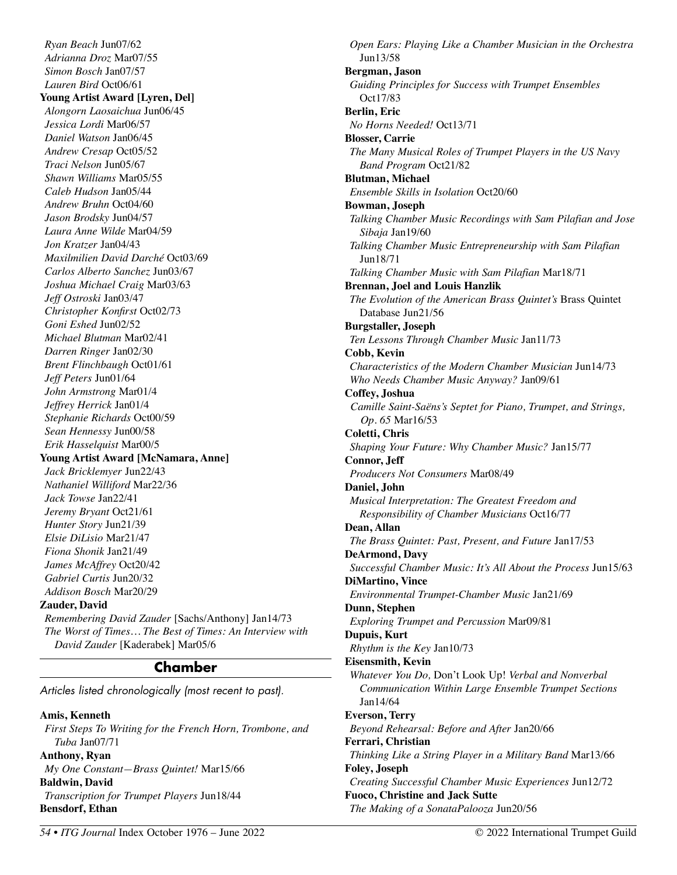*Ryan Beach* Jun07/62 *Adrianna Droz* Mar07/55 *Simon Bosch* Jan07/57 *Lauren Bird* Oct06/61 **Young Artist Award [Lyren, Del]**  *Alongorn Laosaichua* Jun06/45 *Jessica Lordi* Mar06/57 *Daniel Watson* Jan06/45 *Andrew Cresap* Oct05/52 *Traci Nelson* Jun05/67 *Shawn Williams* Mar05/55 *Caleb Hudson* Jan05/44 *Andrew Bruhn* Oct04/60 *Jason Brodsky* Jun04/57 *Laura Anne Wilde* Mar04/59 *Jon Kratzer* Jan04/43 *Maxilmilien David Darché* Oct03/69 *Carlos Alberto Sanchez* Jun03/67 *Joshua Michael Craig* Mar03/63 *Jeff Ostroski* Jan03/47 *Christopher Konfirst* Oct02/73 *Goni Eshed* Jun02/52 *Michael Blutman* Mar02/41 *Darren Ringer* Jan02/30 *Brent Flinchbaugh* Oct01/61 *Jeff Peters* Jun01/64 *John Armstrong* Mar01/4 *Jeffrey Herrick* Jan01/4 *Stephanie Richards* Oct00/59 *Sean Hennessy* Jun00/58 *Erik Hasselquist* Mar00/5 **Young Artist Award [McNamara, Anne]**  *Jack Bricklemyer* Jun22/43 *Nathaniel Williford* Mar22/36 *Jack Towse* Jan22/41 *Jeremy Bryant* Oct21/61 *Hunter Story* Jun21/39 *Elsie DiLisio* Mar21/47 *Fiona Shonik* Jan21/49 *James McAffrey* Oct20/42 *Gabriel Curtis* Jun20/32 *Addison Bosch* Mar20/29 **Zauder, David**  *Remembering David Zauder* [Sachs/Anthony] Jan14/73 *The Worst of Times… The Best of Times: An Interview with* 

*David Zauder* [Kaderabek] Mar05/6

# **Chamber**

Articles listed chronologically (most recent to past).

### **Amis, Kenneth**

*First Steps To Writing for the French Horn, Trombone, and Tuba* Jan07/71 **Anthony, Ryan** 

## *My One Constant—Brass Quintet!* Mar15/66 **Baldwin, David**  *Transcription for Trumpet Players* Jun18/44 **Bensdorf, Ethan**

*Open Ears: Playing Like a Chamber Musician in the Orchestra*  Jun13/58 **Bergman, Jason**  *Guiding Principles for Success with Trumpet Ensembles*  Oct17/83 **Berlin, Eric**  *No Horns Needed!* Oct13/71 **Blosser, Carrie**  *The Many Musical Roles of Trumpet Players in the US Navy Band Program* Oct21/82 **Blutman, Michael**  *Ensemble Skills in Isolation* Oct20/60 **Bowman, Joseph**  *Talking Chamber Music Recordings with Sam Pilafian and Jose Sibaja* Jan19/60 *Talking Chamber Music Entrepreneurship with Sam Pilafian*  Jun18/71 *Talking Chamber Music with Sam Pilafian* Mar18/71 **Brennan, Joel and Louis Hanzlik**  *The Evolution of the American Brass Quintet's* Brass Quintet Database Jun21/56 **Burgstaller, Joseph**  *Ten Lessons Through Chamber Music* Jan11/73 **Cobb, Kevin**  *Characteristics of the Modern Chamber Musician* Jun14/73 *Who Needs Chamber Music Anyway?* Jan09/61 **Coffey, Joshua**  *Camille Saint-Saëns's Septet for Piano, Trumpet, and Strings, Op. 65* Mar16/53 **Coletti, Chris**  *Shaping Your Future: Why Chamber Music?* Jan15/77 **Connor, Jeff**  *Producers Not Consumers* Mar08/49 **Daniel, John**  *Musical Interpretation: The Greatest Freedom and Responsibility of Chamber Musicians* Oct16/77 **Dean, Allan**  *The Brass Quintet: Past, Present, and Future* Jan17/53 **DeArmond, Davy**  *Successful Chamber Music: It's All About the Process* Jun15/63 **DiMartino, Vince**  *Environmental Trumpet-Chamber Music* Jan21/69 **Dunn, Stephen**  *Exploring Trumpet and Percussion* Mar09/81 **Dupuis, Kurt**  *Rhythm is the Key* Jan10/73 **Eisensmith, Kevin**  *Whatever You Do,* Don't Look Up! *Verbal and Nonverbal Communication Within Large Ensemble Trumpet Sections*  Jan14/64 **Everson, Terry**  *Beyond Rehearsal: Before and After* Jan20/66 **Ferrari, Christian**  *Thinking Like a String Player in a Military Band* Mar13/66 **Foley, Joseph**  *Creating Successful Chamber Music Experiences* Jun12/72 **Fuoco, Christine and Jack Sutte** 

*The Making of a SonataPalooza* Jun20/56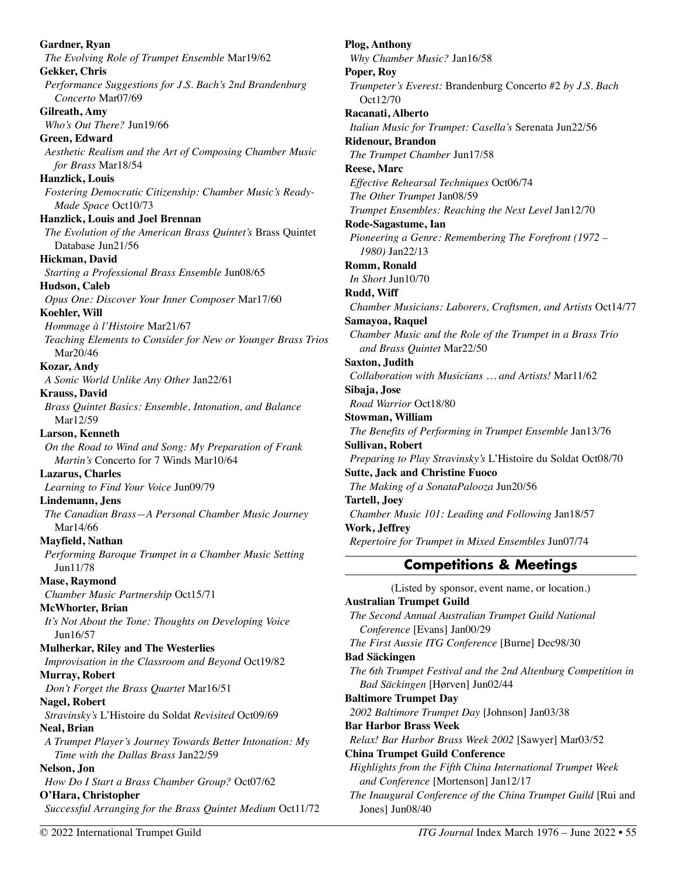**Gardner, Ryan**  *The Evolving Role of Trumpet Ensemble* Mar19/62 **Gekker, Chris**  *Performance Suggestions for J.S. Bach's 2nd Brandenburg Concerto* Mar07/69 **Gilreath, Amy**  *Who's Out There?* Jun19/66 **Green, Edward**  *Aesthetic Realism and the Art of Composing Chamber Music for Brass* Mar18/54 **Hanzlick, Louis**  *Fostering Democratic Citizenship: Chamber Music's Ready-Made Space* Oct10/73 **Hanzlick, Louis and Joel Brennan**  *The Evolution of the American Brass Quintet's* Brass Quintet Database Jun21/56 **Hickman, David**  *Starting a Professional Brass Ensemble* Jun08/65 **Hudson, Caleb**  *Opus One: Discover Your Inner Composer* Mar17/60 **Koehler, Will**  *Hommage à l'Histoire* Mar21/67 *Teaching Elements to Consider for New or Younger Brass Trios*  Mar20/46 **Kozar, Andy**  *A Sonic World Unlike Any Other* Jan22/61 **Krauss, David**  *Brass Quintet Basics: Ensemble, Intonation, and Balance*  Mar12/59 **Larson, Kenneth**  *On the Road to Wind and Song: My Preparation of Frank Martin's* Concerto for 7 Winds Mar10/64 **Lazarus, Charles**  *Learning to Find Your Voice* Jun09/79 **Lindemann, Jens**  *The Canadian Brass—A Personal Chamber Music Journey*  Mar14/66 **Mayfield, Nathan**  *Performing Baroque Trumpet in a Chamber Music Setting*  Jun11/78 **Mase, Raymond**  *Chamber Music Partnership* Oct15/71 **McWhorter, Brian**  *It's Not About the Tone: Thoughts on Developing Voice*  Jun16/57 **Mulherkar, Riley and The Westerlies**  *Improvisation in the Classroom and Beyond* Oct19/82 **Murray, Robert**  *Don't Forget the Brass Quartet* Mar16/51 **Nagel, Robert**  *Stravinsky's* L'Histoire du Soldat *Revisited* Oct09/69 **Neal, Brian**  *A Trumpet Player's Journey Towards Better Intonation: My Time with the Dallas Brass* Jan22/59 **Nelson, Jon**  *How Do I Start a Brass Chamber Group?* Oct07/62 **O'Hara, Christopher**  *Successful Arranging for the Brass Quintet Medium* Oct11/72

**Plog, Anthony**  *Why Chamber Music?* Jan16/58 **Poper, Roy**  *Trumpeter's Everest:* Brandenburg Concerto #2 *by J.S. Bach*  Oct12/70 **Racanati, Alberto**  *Italian Music for Trumpet: Casella's* Serenata Jun22/56 **Ridenour, Brandon**  *The Trumpet Chamber* Jun17/58 **Reese, Marc**  *Effective Rehearsal Techniques* Oct06/74 *The Other Trumpet* Jan08/59 *Trumpet Ensembles: Reaching the Next Level* Jan12/70 **Rode-Sagastume, Ian**  *Pioneering a Genre: Remembering The Forefront (1972 – 1980)* Jan22/13 **Romm, Ronald**  *In Short* Jun10/70 **Rudd, Wiff**  *Chamber Musicians: Laborers, Craftsmen, and Artists* Oct14/77 **Samayoa, Raquel**  *Chamber Music and the Role of the Trumpet in a Brass Trio and Brass Quintet* Mar22/50 **Saxton, Judith**  *Collaboration with Musicians … and Artists!* Mar11/62 **Sibaja, Jose**  *Road Warrior* Oct18/80 **Stowman, William**  *The Benefits of Performing in Trumpet Ensemble* Jan13/76 **Sullivan, Robert**  *Preparing to Play Stravinsky's* L'Histoire du Soldat Oct08/70 **Sutte, Jack and Christine Fuoco**  *The Making of a SonataPalooza* Jun20/56 **Tartell, Joey**  *Chamber Music 101: Leading and Following* Jan18/57 **Work, Jeffrey**  *Repertoire for Trumpet in Mixed Ensembles* Jun07/74 **Competitions & Meetings**  (Listed by sponsor, event name, or location.) **Australian Trumpet Guild**  *The Second Annual Australian Trumpet Guild National Conference* [Evans] Jan00/29 *The First Aussie ITG Conference* [Burne] Dec98/30 **Bad Säckingen**  *The 6th Trumpet Festival and the 2nd Altenburg Competition in Bad Säckingen* [Hørven] Jun02/44

**Baltimore Trumpet Day** 

*2002 Baltimore Trumpet Day* [Johnson] Jan03/38

**Bar Harbor Brass Week**  *Relax! Bar Harbor Brass Week 2002* [Sawyer] Mar03/52

**China Trumpet Guild Conference** 

*Highlights from the Fifth China International Trumpet Week and Conference* [Mortenson] Jan12/17 *The Inaugural Conference of the China Trumpet Guild* [Rui and Jones] Jun08/40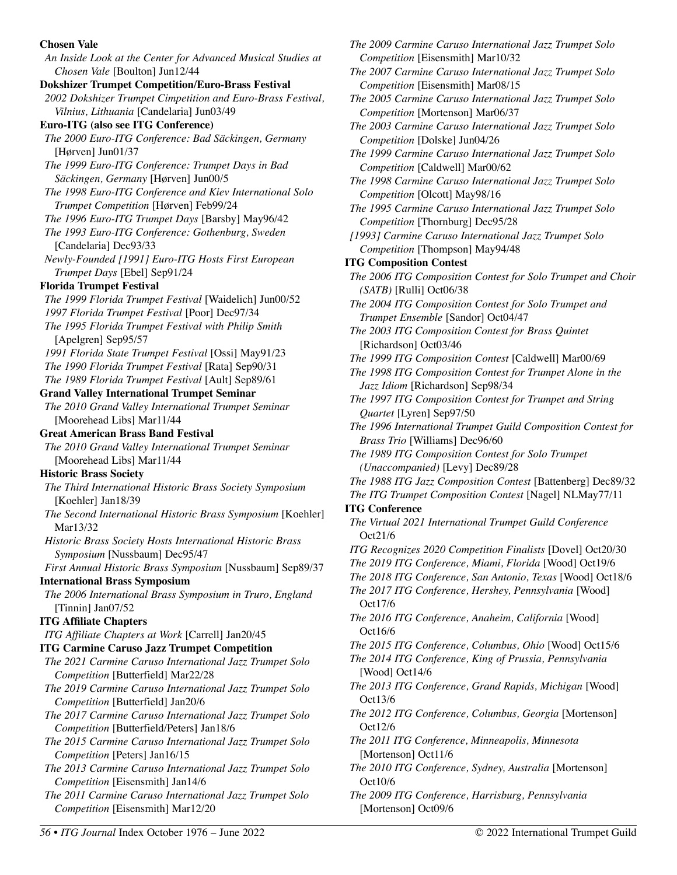## **Chosen Vale**

*An Inside Look at the Center for Advanced Musical Studies at Chosen Vale* [Boulton] Jun12/44 **Dokshizer Trumpet Competition/Euro-Brass Festival**  *2002 Dokshizer Trumpet Cimpetition and Euro-Brass Festival, Vilnius, Lithuania* [Candelaria] Jun03/49 **Euro-ITG (also see ITG Conference)**  *The 2000 Euro-ITG Conference: Bad Säckingen, Germany*  [Hørven] Jun01/37 *The 1999 Euro-ITG Conference: Trumpet Days in Bad Säckingen, Germany* [Hørven] Jun00/5 *The 1998 Euro-ITG Conference and Kiev International Solo Trumpet Competition* [Hørven] Feb99/24 *The 1996 Euro-ITG Trumpet Days* [Barsby] May96/42 *The 1993 Euro-ITG Conference: Gothenburg, Sweden*  [Candelaria] Dec93/33 *Newly-Founded [1991] Euro-ITG Hosts First European Trumpet Days* [Ebel] Sep91/24 **Florida Trumpet Festival**  *The 1999 Florida Trumpet Festival* [Waidelich] Jun00/52 *1997 Florida Trumpet Festival* [Poor] Dec97/34 *The 1995 Florida Trumpet Festival with Philip Smith*  [Apelgren] Sep95/57 *1991 Florida State Trumpet Festival* [Ossi] May91/23 *The 1990 Florida Trumpet Festival* [Rata] Sep90/31 *The 1989 Florida Trumpet Festival* [Ault] Sep89/61 **Grand Valley International Trumpet Seminar**  *The 2010 Grand Valley International Trumpet Seminar*  [Moorehead Libs] Mar11/44 **Great American Brass Band Festival**  *The 2010 Grand Valley International Trumpet Seminar*  [Moorehead Libs] Mar11/44 **Historic Brass Society**  *The Third International Historic Brass Society Symposium*  [Koehler] Jan18/39 *The Second International Historic Brass Symposium* [Koehler] Mar13/32 *Historic Brass Society Hosts International Historic Brass Symposium* [Nussbaum] Dec95/47 *First Annual Historic Brass Symposium* [Nussbaum] Sep89/37 **International Brass Symposium**  *The 2006 International Brass Symposium in Truro, England*  [Tinnin] Jan07/52 **ITG Affiliate Chapters**  *ITG Affiliate Chapters at Work* [Carrell] Jan20/45 **ITG Carmine Caruso Jazz Trumpet Competition**  *The 2021 Carmine Caruso International Jazz Trumpet Solo Competition* [Butterfield] Mar22/28 *The 2019 Carmine Caruso International Jazz Trumpet Solo Competition* [Butterfield] Jan20/6 *The 2017 Carmine Caruso International Jazz Trumpet Solo Competition* [Butterfield/Peters] Jan18/6 *The 2015 Carmine Caruso International Jazz Trumpet Solo Competition* [Peters] Jan16/15 *The 2013 Carmine Caruso International Jazz Trumpet Solo Competition* [Eisensmith] Jan14/6 *The 2011 Carmine Caruso International Jazz Trumpet Solo Competition* [Eisensmith] Mar12/20

*The 1999 Carmine Caruso International Jazz Trumpet Solo Competition* [Caldwell] Mar00/62 *The 1998 Carmine Caruso International Jazz Trumpet Solo Competition* [Olcott] May98/16 *The 1995 Carmine Caruso International Jazz Trumpet Solo Competition* [Thornburg] Dec95/28 *[1993] Carmine Caruso International Jazz Trumpet Solo Competition* [Thompson] May94/48 **ITG Composition Contest**  *The 2006 ITG Composition Contest for Solo Trumpet and Choir (SATB)* [Rulli] Oct06/38 *The 2004 ITG Composition Contest for Solo Trumpet and Trumpet Ensemble* [Sandor] Oct04/47 *The 2003 ITG Composition Contest for Brass Quintet* [Richardson] Oct03/46 *The 1999 ITG Composition Contest* [Caldwell] Mar00/69 *The 1998 ITG Composition Contest for Trumpet Alone in the Jazz Idiom* [Richardson] Sep98/34 *The 1997 ITG Composition Contest for Trumpet and String Quartet* [Lyren] Sep97/50 *The 1996 International Trumpet Guild Composition Contest for Brass Trio* [Williams] Dec96/60 *The 1989 ITG Composition Contest for Solo Trumpet (Unaccompanied)* [Levy] Dec89/28 *The 1988 ITG Jazz Composition Contest* [Battenberg] Dec89/32 *The ITG Trumpet Composition Contest* [Nagel] NLMay77/11 **ITG Conference**  *The Virtual 2021 International Trumpet Guild Conference*  Oct21/6 *ITG Recognizes 2020 Competition Finalists* [Dovel] Oct20/30 *The 2019 ITG Conference, Miami, Florida* [Wood] Oct19/6 *The 2018 ITG Conference, San Antonio, Texas* [Wood] Oct18/6 *The 2017 ITG Conference, Hershey, Pennsylvania* [Wood] Oct17/6 *The 2016 ITG Conference, Anaheim, California* [Wood] Oct16/6 *The 2015 ITG Conference, Columbus, Ohio* [Wood] Oct15/6 *The 2014 ITG Conference, King of Prussia, Pennsylvania*  [Wood] Oct14/6 *The 2013 ITG Conference, Grand Rapids, Michigan* [Wood] Oct13/6 *The 2012 ITG Conference, Columbus, Georgia* [Mortenson] Oct12/6 *The 2011 ITG Conference, Minneapolis, Minnesota*  [Mortenson] Oct11/6 *The 2010 ITG Conference, Sydney, Australia* [Mortenson] Oct10/6 *The 2009 ITG Conference, Harrisburg, Pennsylvania*  [Mortenson] Oct09/6 *56 • ITG Journal* Index October 1976 – June 2022 © 2022 International Trumpet Guild

*The 2009 Carmine Caruso International Jazz Trumpet Solo* 

*The 2007 Carmine Caruso International Jazz Trumpet Solo* 

*The 2005 Carmine Caruso International Jazz Trumpet Solo* 

*The 2003 Carmine Caruso International Jazz Trumpet Solo* 

*Competition* [Eisensmith] Mar10/32

*Competition* [Eisensmith] Mar08/15

*Competition* [Mortenson] Mar06/37

*Competition* [Dolske] Jun04/26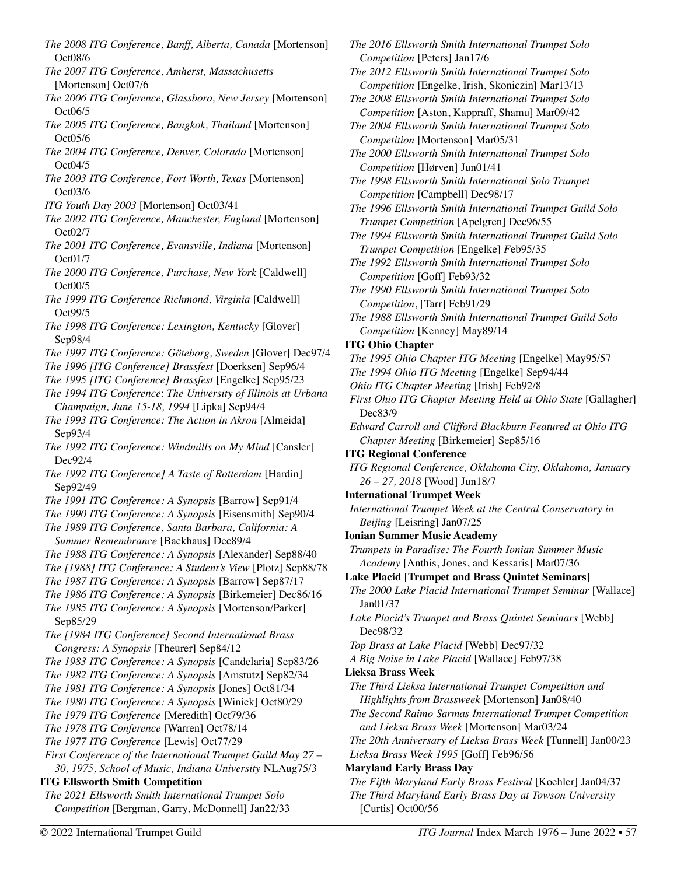- *The 2008 ITG Conference, Banff, Alberta, Canada* [Mortenson] Oct08/6
- *The 2007 ITG Conference, Amherst, Massachusetts*  [Mortenson] Oct07/6
- *The 2006 ITG Conference, Glassboro, New Jersey* [Mortenson] Oct06/5
- *The 2005 ITG Conference, Bangkok, Thailand* [Mortenson] Oct05/6
- *The 2004 ITG Conference, Denver, Colorado* [Mortenson] Oct04/5
- *The 2003 ITG Conference, Fort Worth, Texas* [Mortenson] Oct03/6
- *ITG Youth Day 2003* [Mortenson] Oct03/41
- *The 2002 ITG Conference, Manchester, England* [Mortenson] Oct02/7
- *The 2001 ITG Conference, Evansville, Indiana* [Mortenson] Oct01/7
- *The 2000 ITG Conference, Purchase, New York* [Caldwell] Oct00/5
- *The 1999 ITG Conference Richmond, Virginia* [Caldwell] Oct99/5
- *The 1998 ITG Conference: Lexington, Kentucky* [Glover] Sep98/4
- *The 1997 ITG Conference: Göteborg, Sweden* [Glover] Dec97/4
- *The 1996 [ITG Conference] Brassfest* [Doerksen] Sep96/4
- *The 1995 [ITG Conference] Brassfest* [Engelke] Sep95/23
- *The 1994 ITG Conference*: *The University of Illinois at Urbana Champaign, June 15-18, 1994* [Lipka] Sep94/4
- *The 1993 ITG Conference: The Action in Akron* [Almeida] Sep93/4
- *The 1992 ITG Conference: Windmills on My Mind* [Cansler] Dec92/4
- *The 1992 ITG Conference] A Taste of Rotterdam* [Hardin] Sep92/49
- *The 1991 ITG Conference: A Synopsis* [Barrow] Sep91/4
- *The 1990 ITG Conference: A Synopsis* [Eisensmith] Sep90/4
- *The 1989 ITG Conference, Santa Barbara, California: A Summer Remembrance* [Backhaus] Dec89/4
- *The 1988 ITG Conference: A Synopsis* [Alexander] Sep88/40
- *The [1988] ITG Conference: A Student's View* [Plotz] Sep88/78
- *The 1987 ITG Conference: A Synopsis* [Barrow] Sep87/17
- *The 1986 ITG Conference: A Synopsis* [Birkemeier] Dec86/16 *The 1985 ITG Conference: A Synopsis* [Mortenson/Parker]

Sep85/29

- *The [1984 ITG Conference] Second International Brass Congress: A Synopsis* [Theurer] Sep84/12
- *The 1983 ITG Conference: A Synopsis* [Candelaria] Sep83/26
- *The 1982 ITG Conference: A Synopsis* [Amstutz] Sep82/34
- *The 1981 ITG Conference: A Synopsis* [Jones] Oct81/34
- *The 1980 ITG Conference: A Synopsis* [Winick] Oct80/29
- *The 1979 ITG Conference* [Meredith] Oct79/36
- *The 1978 ITG Conference* [Warren] Oct78/14
- *The 1977 ITG Conference* [Lewis] Oct77/29
- *First Conference of the International Trumpet Guild May 27 30, 1975, School of Music, Indiana University* NLAug75/3

# **ITG Ellsworth Smith Competition**

*The 2021 Ellsworth Smith International Trumpet Solo Competition* [Bergman, Garry, McDonnell] Jan22/33

- *The 2016 Ellsworth Smith International Trumpet Solo Competition* [Peters] Jan17/6
- *The 2012 Ellsworth Smith International Trumpet Solo Competition* [Engelke, Irish, Skoniczin] Mar13/13
- *The 2008 Ellsworth Smith International Trumpet Solo Competition* [Aston, Kappraff, Shamu] Mar09/42
- *The 2004 Ellsworth Smith International Trumpet Solo Competition* [Mortenson] Mar05/31
- *The 2000 Ellsworth Smith International Trumpet Solo Competition* [Hørven] Jun01/41
- *The 1998 Ellsworth Smith International Solo Trumpet Competition* [Campbell] Dec98/17
- *The 1996 Ellsworth Smith International Trumpet Guild Solo Trumpet Competition* [Apelgren] Dec96/55
- *The 1994 Ellsworth Smith International Trumpet Guild Solo Trumpet Competition* [Engelke] *F*eb95/35
- *The 1992 Ellsworth Smith International Trumpet Solo Competition* [Goff] Feb93/32
- *The 1990 Ellsworth Smith International Trumpet Solo Competition*, [Tarr] Feb91/29
- *The 1988 Ellsworth Smith International Trumpet Guild Solo Competition* [Kenney] May89/14

# **ITG Ohio Chapter**

- *The 1995 Ohio Chapter ITG Meeting* [Engelke] May95/57
- *The 1994 Ohio ITG Meeting* [Engelke] Sep94/44
- *Ohio ITG Chapter Meeting* [Irish] Feb92/8
- *First Ohio ITG Chapter Meeting Held at Ohio State* [Gallagher] Dec83/9
- *Edward Carroll and Clifford Blackburn Featured at Ohio ITG Chapter Meeting* [Birkemeier] Sep85/16
- **ITG Regional Conference**
- *ITG Regional Conference, Oklahoma City, Oklahoma, January 26 – 27, 2018* [Wood] Jun18/7
- **International Trumpet Week**
- *International Trumpet Week at the Central Conservatory in Beijing* [Leisring] Jan07/25
- **Ionian Summer Music Academy**
- *Trumpets in Paradise: The Fourth Ionian Summer Music Academy* [Anthis, Jones, and Kessaris] Mar07/36
- **Lake Placid [Trumpet and Brass Quintet Seminars]**
- *The 2000 Lake Placid International Trumpet Seminar* [Wallace] Jan01/37
- *Lake Placid's Trumpet and Brass Quintet Seminars* [Webb] Dec98/32

*Top Brass at Lake Placid* [Webb] Dec97/32

- *A Big Noise in Lake Placid* [Wallace] Feb97/38
- **Lieksa Brass Week**
- *The Third Lieksa International Trumpet Competition and Highlights from Brassweek* [Mortenson] Jan08/40
- *The Second Raimo Sarmas International Trumpet Competition and Lieksa Brass Week* [Mortenson] Mar03/24
- *The 20th Anniversary of Lieksa Brass Week* [Tunnell] Jan00/23 *Lieksa Brass Week 1995* [Goff] Feb96/56
- **Maryland Early Brass Day**
- *The Fifth Maryland Early Brass Festival* [Koehler] Jan04/37 *The Third Maryland Early Brass Day at Towson University*  [Curtis] Oct00/56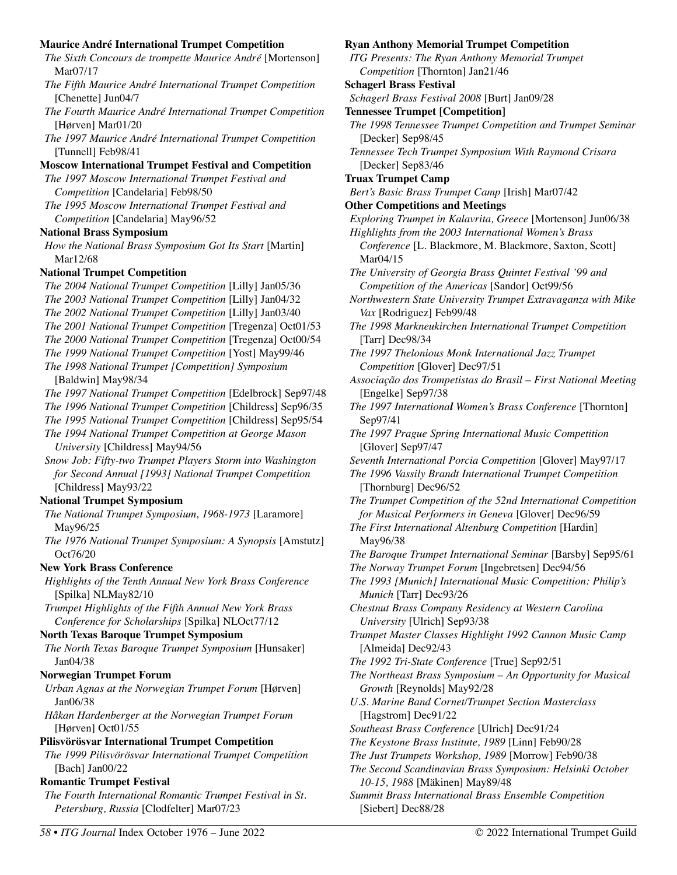### **Maurice André International Trumpet Competition**

| The Sixth Concours de trompette Maurice André [Mortenson] |  |
|-----------------------------------------------------------|--|
| Mar07/17                                                  |  |

- *The Fifth Maurice André International Trumpet Competition*  [Chenette] Jun04/7
- *The Fourth Maurice André International Trumpet Competition*  [Hørven] Mar01/20

*The 1997 Maurice André International Trumpet Competition*  [Tunnell] Feb98/41

### **Moscow International Trumpet Festival and Competition**

*The 1997 Moscow International Trumpet Festival and Competition* [Candelaria] Feb98/50

*The 1995 Moscow International Trumpet Festival and Competition* [Candelaria] May96/52

## **National Brass Symposium**

*How the National Brass Symposium Got Its Start* [Martin] Mar12/68

## **National Trumpet Competition**

*The 2004 National Trumpet Competition* [Lilly] Jan05/36 *The 2003 National Trumpet Competition* [Lilly] Jan04/32 *The 2002 National Trumpet Competition* [Lilly] Jan03/40 *The 2001 National Trumpet Competition* [Tregenza] Oct01/53 *The 2000 National Trumpet Competition* [Tregenza] Oct00/54 *The 1999 National Trumpet Competition* [Yost] May99/46 *The 1998 National Trumpet [Competition] Symposium*  [Baldwin] May98/34 *The 1997 National Trumpet Competition* [Edelbrock] Sep97/48 *The 1996 National Trumpet Competition* [Childress] Sep96/35 *The 1995 National Trumpet Competition* [Childress] Sep95/54 *The 1994 National Trumpet Competition at George Mason University* [Childress] May94/56 *Snow Job: Fifty-two Trumpet Players Storm into Washington for Second Annual [1993] National Trumpet Competition*  [Childress] May93/22 **National Trumpet Symposium**  *The National Trumpet Symposium, 1968-1973* [Laramore] May96/25 *The 1976 National Trumpet Symposium: A Synopsis* [Amstutz] Oct76/20 **New York Brass Conference**  *Highlights of the Tenth Annual New York Brass Conference*  [Spilka] NLMay82/10 *Trumpet Highlights of the Fifth Annual New York Brass Conference for Scholarships* [Spilka] NLOct77/12 **North Texas Baroque Trumpet Symposium**  *The North Texas Baroque Trumpet Symposium* [Hunsaker] Jan04/38 **Norwegian Trumpet Forum**  *Urban Agnas at the Norwegian Trumpet Forum* [Hørven] Jan06/38 *Håkan Hardenberger at the Norwegian Trumpet Forum*  [Hørven] Oct01/55 **Pilisvörösvar International Trumpet Competition**  *The 1999 Pilisvörösvar International Trumpet Competition*  [Bach] Jan00/22 **Romantic Trumpet Festival**  *The Fourth International Romantic Trumpet Festival in St. Petersburg, Russia* [Clodfelter] Mar07/23

### **Ryan Anthony Memorial Trumpet Competition**

*ITG Presents: The Ryan Anthony Memorial Trumpet Competition* [Thornton] Jan21/46 **Schagerl Brass Festival** 

*Schagerl Brass Festival 2008* [Burt] Jan09/28

- **Tennessee Trumpet [Competition]**
- *The 1998 Tennessee Trumpet Competition and Trumpet Seminar*  [Decker] Sep98/45
- *Tennessee Tech Trumpet Symposium With Raymond Crisara*  [Decker] Sep83/46
- **Truax Trumpet Camp**

```
Bert's Basic Brass Trumpet Camp [Irish] Mar07/42
```
**Other Competitions and Meetings** 

- *Exploring Trumpet in Kalavrita, Greece* [Mortenson] Jun06/38 *Highlights from the 2003 International Women's Brass Conference* [L. Blackmore, M. Blackmore, Saxton, Scott] Mar04/15
- *The University of Georgia Brass Quintet Festival '99 and Competition of the Americas* [Sandor] Oct99/56
- *Northwestern State University Trumpet Extravaganza with Mike Vax* [Rodriguez] Feb99/48
- *The 1998 Markneukirchen International Trumpet Competition*  [Tarr] Dec98/34
- *The 1997 Thelonious Monk International Jazz Trumpet Competition* [Glover] Dec97/51
- *Associação dos Trompetistas do Brasil First National Meeting*  [Engelke] Sep97/38
- *The 1997 International Women's Brass Conference* [Thornton] Sep97/41
- *The 1997 Prague Spring International Music Competition*  [Glover] Sep97/47
- *Seventh International Porcia Competition* [Glover] May97/17
- *The 1996 Vassily Brandt International Trumpet Competition*  [Thornburg] Dec96/52
- *The Trumpet Competition of the 52nd International Competition for Musical Performers in Geneva* [Glover] Dec96/59
- *The First International Altenburg Competition* [Hardin] May96/38
- *The Baroque Trumpet International Seminar* [Barsby] Sep95/61
- *The Norway Trumpet Forum* [Ingebretsen] Dec94/56
- *The 1993 [Munich] International Music Competition: Philip's Munich* [Tarr] Dec93/26
- *Chestnut Brass Company Residency at Western Carolina University* [Ulrich] Sep93/38
- *Trumpet Master Classes Highlight 1992 Cannon Music Camp*  [Almeida] Dec92/43
- *The 1992 Tri-State Conference* [True] Sep92/51
- *The Northeast Brass Symposium An Opportunity for Musical Growth* [Reynolds] May92/28
- *U.S. Marine Band Cornet/Trumpet Section Masterclass*  [Hagstrom] Dec91/22
- *Southeast Brass Conference* [Ulrich] Dec91/24
- *The Keystone Brass Institute, 1989* [Linn] Feb90/28
- *The Just Trumpets Workshop, 1989* [Morrow] Feb90/38
- *The Second Scandinavian Brass Symposium: Helsinki October 10-15, 1988* [Mäkinen] May89/48

*Summit Brass International Brass Ensemble Competition*  [Siebert] Dec88/28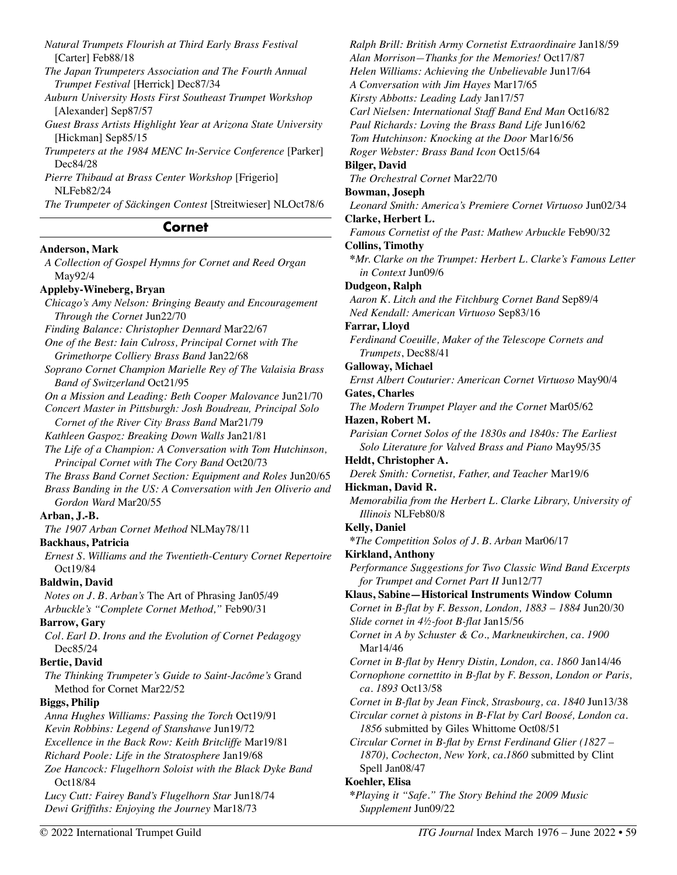*Natural Trumpets Flourish at Third Early Brass Festival*  [Carter] Feb88/18

*The Japan Trumpeters Association and The Fourth Annual Trumpet Festival* [Herrick] Dec87/34

*Auburn University Hosts First Southeast Trumpet Workshop*  [Alexander] Sep87/57

*Guest Brass Artists Highlight Year at Arizona State University*  [Hickman] Sep85/15

*Trumpeters at the 1984 MENC In-Service Conference* [Parker] Dec84/28

*Pierre Thibaud at Brass Center Workshop* [Frigerio] NLFeb82/24

*The Trumpeter of Säckingen Contest* [Streitwieser] NLOct78/6

# **Cornet**

## **Anderson, Mark**

*A Collection of Gospel Hymns for Cornet and Reed Organ*  May92/4 **Appleby-Wineberg, Bryan**  *Chicago's Amy Nelson: Bringing Beauty and Encouragement Through the Cornet* Jun22/70 *Finding Balance: Christopher Dennard* Mar22/67 *One of the Best: Iain Culross, Principal Cornet with The Grimethorpe Colliery Brass Band* Jan22/68 *Soprano Cornet Champion Marielle Rey of The Valaisia Brass Band of Switzerland* Oct21/95 *On a Mission and Leading: Beth Cooper Malovance* Jun21/70 *Concert Master in Pittsburgh: Josh Boudreau, Principal Solo Cornet of the River City Brass Band* Mar21/79 *Kathleen Gaspoz: Breaking Down Walls* Jan21/81 *The Life of a Champion: A Conversation with Tom Hutchinson, Principal Cornet with The Cory Band* Oct20/73 *The Brass Band Cornet Section: Equipment and Roles* Jun20/65 *Brass Banding in the US: A Conversation with Jen Oliverio and Gordon Ward* Mar20/55 **Arban, J.-B.**  *The 1907 Arban Cornet Method* NLMay78/11 **Backhaus, Patricia**  *Ernest S. Williams and the Twentieth-Century Cornet Repertoire*  Oct19/84 **Baldwin, David**  *Notes on J. B. Arban's* The Art of Phrasing Jan05/49 *Arbuckle's "Complete Cornet Method,"* Feb90/31 **Barrow, Gary**  *Col. Earl D. Irons and the Evolution of Cornet Pedagogy*  Dec85/24 **Bertie, David**  *The Thinking Trumpeter's Guide to Saint-Jacôme's* Grand Method for Cornet Mar22/52 **Biggs, Philip**  *Anna Hughes Williams: Passing the Torch* Oct19/91 *Kevin Robbins: Legend of Stanshawe* Jun19/72 *Excellence in the Back Row: Keith Britcliffe* Mar19/81 *Richard Poole: Life in the Stratosphere* Jan19/68 *Zoe Hancock: Flugelhorn Soloist with the Black Dyke Band*  Oct18/84 *Lucy Cutt: Fairey Band's Flugelhorn Star* Jun18/74 *Dewi Griffiths: Enjoying the Journey* Mar18/73

*Ralph Brill: British Army Cornetist Extraordinaire* Jan18/59 *Alan Morrison—Thanks for the Memories!* Oct17/87 *Helen Williams: Achieving the Unbelievable* Jun17/64 *A Conversation with Jim Hayes* Mar17/65 *Kirsty Abbotts: Leading Lady* Jan17/57 *Carl Nielsen: International Staff Band End Man* Oct16/82 *Paul Richards: Loving the Brass Band Life* Jun16/62 *Tom Hutchinson: Knocking at the Door* Mar16/56 *Roger Webster: Brass Band Icon* Oct15/64 **Bilger, David**  *The Orchestral Cornet* Mar22/70 **Bowman, Joseph**  *Leonard Smith: America's Premiere Cornet Virtuoso* Jun02/34 **Clarke, Herbert L.**  *Famous Cornetist of the Past: Mathew Arbuckle* Feb90/32 **Collins, Timothy \****Mr. Clarke on the Trumpet: Herbert L. Clarke's Famous Letter in Context* Jun09/6 **Dudgeon, Ralph**  *Aaron K. Litch and the Fitchburg Cornet Band* Sep89/4 *Ned Kendall: American Virtuoso* Sep83/16 **Farrar, Lloyd**  *Ferdinand Coeuille, Maker of the Telescope Cornets and Trumpets*, Dec88/41 **Galloway, Michael**  *Ernst Albert Couturier: American Cornet Virtuoso* May90/4 **Gates, Charles**  *The Modern Trumpet Player and the Cornet* Mar05/62 **Hazen, Robert M.**  *Parisian Cornet Solos of the 1830s and 1840s: The Earliest Solo Literature for Valved Brass and Piano* May95/35 **Heldt, Christopher A.**  *Derek Smith: Cornetist, Father, and Teacher* Mar19/6 **Hickman, David R.**  *Memorabilia from the Herbert L. Clarke Library, University of Illinois* NLFeb80/8 **Kelly, Daniel \****The Competition Solos of J. B. Arban* Mar06/17 **Kirkland, Anthony**  *Performance Suggestions for Two Classic Wind Band Excerpts for Trumpet and Cornet Part II* Jun12/77 **Klaus, Sabine—Historical Instruments Window Column**  *Cornet in B-flat by F. Besson, London, 1883 – 1884* Jun20/30 *Slide cornet in 4½-foot B-flat* Jan15/56 *Cornet in A by Schuster & Co., Markneukirchen, ca. 1900*  Mar14/46 *Cornet in B-flat by Henry Distin, London, ca. 1860* Jan14/46 *Cornophone cornettito in B-flat by F. Besson, London or Paris, ca. 1893* Oct13/58 *Cornet in B-flat by Jean Finck, Strasbourg, ca. 1840* Jun13/38 *Circular cornet à pistons in B-Flat by Carl Boosé, London ca. 1856* submitted by Giles Whittome Oct08/51 *Circular Cornet in B-flat by Ernst Ferdinand Glier (1827 – 1870), Cochecton, New York, ca.1860* submitted by Clint Spell Jan08/47 **Koehler, Elisa**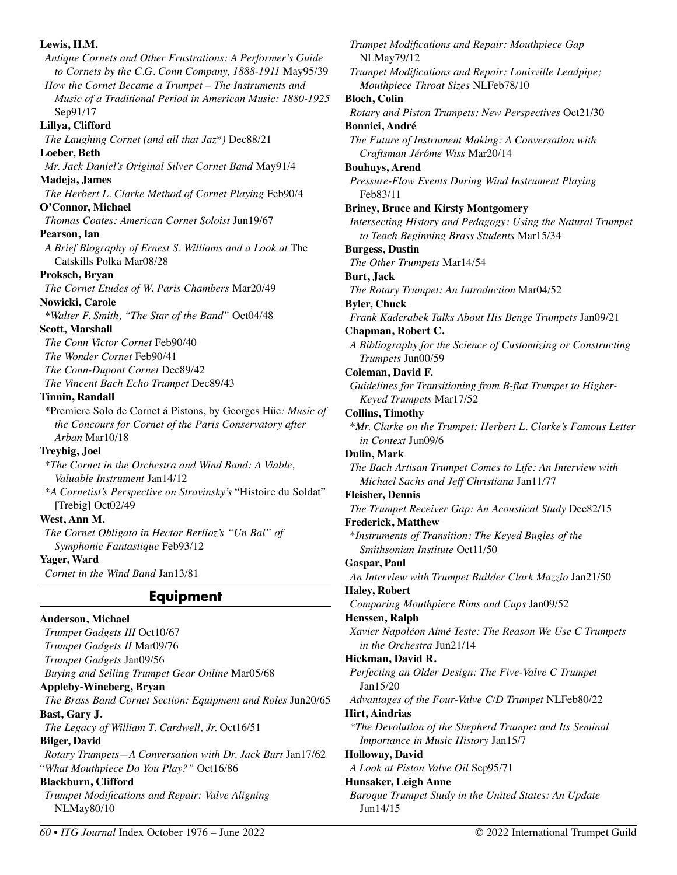# **Lewis, H.M.**  *Antique Cornets and Other Frustrations: A Performer's Guide to Cornets by the C.G. Conn Company, 1888-1911* May95/39 *How the Cornet Became a Trumpet – The Instruments and Music of a Traditional Period in American Music: 1880-1925*  Sep91/17 **Lillya, Clifford**  *The Laughing Cornet (and all that Jaz\*)* Dec88/21 **Loeber, Beth**  *Mr. Jack Daniel's Original Silver Cornet Band* May91/4 **Madeja, James**  *The Herbert L. Clarke Method of Cornet Playing* Feb90/4 **O'Connor, Michael**  *Thomas Coates: American Cornet Soloist* Jun19/67 **Pearson, Ian**  *A Brief Biography of Ernest S. Williams and a Look at* The Catskills Polka Mar08/28 **Proksch, Bryan**  *The Cornet Etudes of W. Paris Chambers* Mar20/49 **Nowicki, Carole**  *\*Walter F. Smith, "The Star of the Band"* Oct04/48 **Scott, Marshall**  *The Conn Victor Cornet* Feb90/40 *The Wonder Cornet* Feb90/41 *The Conn-Dupont Cornet* Dec89/42 *The Vincent Bach Echo Trumpet* Dec89/43 **Tinnin, Randall \***Premiere Solo de Cornet á Pistons, by Georges Hüe*: Music of the Concours for Cornet of the Paris Conservatory after Arban* Mar10/18 **Treybig, Joel**  \**The Cornet in the Orchestra and Wind Band: A Viable, Valuable Instrument* Jan14/12 *\*A Cornetist's Perspective on Stravinsky's* "Histoire du Soldat" [Trebig] Oct02/49 **West, Ann M.**  *The Cornet Obligato in Hector Berlioz's "Un Bal" of Symphonie Fantastique* Feb93/12 **Yager, Ward**  *Cornet in the Wind Band* Jan13/81 **Equipment Anderson, Michael**  *Trumpet Gadgets III* Oct10/67 *Trumpet Gadgets II* Mar09/76 *Trumpet Gadgets* Jan09/56 *Buying and Selling Trumpet Gear Online* Mar05/68 **Appleby-Wineberg, Bryan**  *The Brass Band Cornet Section: Equipment and Roles* Jun20/65 **Bast, Gary J.**

*The Legacy of William T. Cardwell, Jr.* Oct16/51

### **Bilger, David**

*Rotary Trumpets—A Conversation with Dr. Jack Burt* Jan17/62 *"What Mouthpiece Do You Play?"* Oct16/86

# **Blackburn, Clifford**

*Trumpet Modifications and Repair: Valve Aligning*  NLMay80/10

*Trumpet Modifications and Repair: Mouthpiece Gap*  NLMay79/12 *Trumpet Modifications and Repair: Louisville Leadpipe; Mouthpiece Throat Sizes* NLFeb78/10 **Bloch, Colin**  *Rotary and Piston Trumpets: New Perspectives* Oct21/30 **Bonnici, André**  *The Future of Instrument Making: A Conversation with Craftsman Jérôme Wiss* Mar20/14 **Bouhuys, Arend**  *Pressure-Flow Events During Wind Instrument Playing*  Feb83/11 **Briney, Bruce and Kirsty Montgomery**  *Intersecting History and Pedagogy: Using the Natural Trumpet to Teach Beginning Brass Students* Mar15/34 **Burgess, Dustin**  *The Other Trumpets* Mar14/54 **Burt, Jack**  *The Rotary Trumpet: An Introduction* Mar04/52 **Byler, Chuck**  *Frank Kaderabek Talks About His Benge Trumpets* Jan09/21 **Chapman, Robert C.**  *A Bibliography for the Science of Customizing or Constructing Trumpets* Jun00/59 **Coleman, David F.**  *Guidelines for Transitioning from B-flat Trumpet to Higher-Keyed Trumpets* Mar17/52 **Collins, Timothy \****Mr. Clarke on the Trumpet: Herbert L. Clarke's Famous Letter in Context* Jun09/6 **Dulin, Mark**  *The Bach Artisan Trumpet Comes to Life: An Interview with Michael Sachs and Jeff Christiana* Jan11/77 **Fleisher, Dennis**  *The Trumpet Receiver Gap: An Acoustical Study* Dec82/15 **Frederick, Matthew**  \**Instruments of Transition: The Keyed Bugles of the Smithsonian Institute* Oct11/50 **Gaspar, Paul**  *An Interview with Trumpet Builder Clark Mazzio* Jan21/50 **Haley, Robert**  *Comparing Mouthpiece Rims and Cups* Jan09/52 **Henssen, Ralph**  *Xavier Napoléon Aimé Teste: The Reason We Use C Trumpets in the Orchestra* Jun21/14 **Hickman, David R.**  *Perfecting an Older Design: The Five-Valve C Trumpet*  Jan15/20 *Advantages of the Four-Valve C/D Trumpet* NLFeb80/22 **Hirt, Aindrias**  *\*The Devolution of the Shepherd Trumpet and Its Seminal Importance in Music History* Jan15/7 **Holloway, David**  *A Look at Piston Valve Oil* Sep95/71 **Hunsaker, Leigh Anne**  *Baroque Trumpet Study in the United States: An Update*  Jun14/15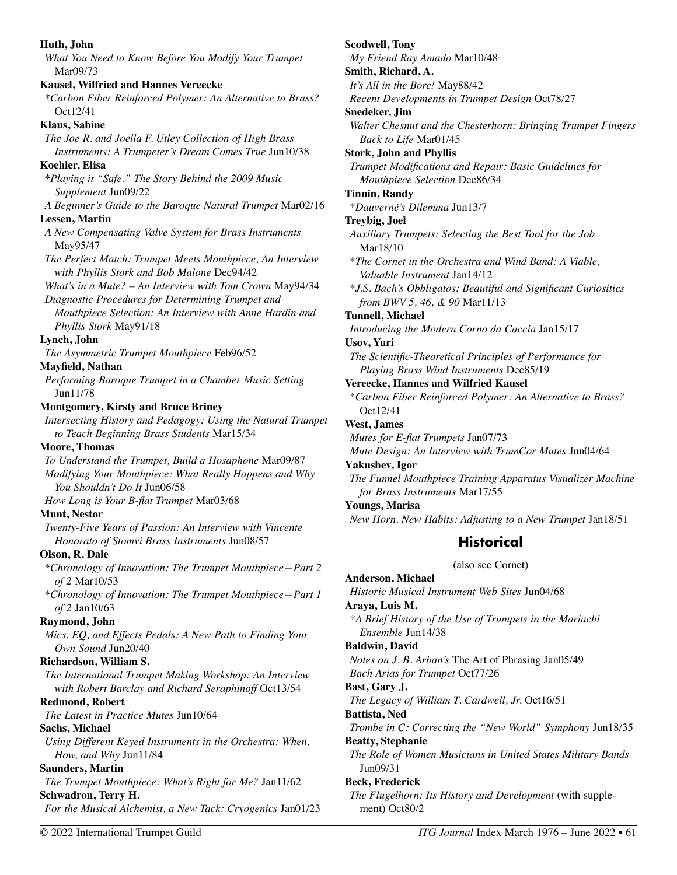| Huth, John                                                   | Scodwell,          |
|--------------------------------------------------------------|--------------------|
| What You Need to Know Before You Modify Your Trumpet         | My Frier           |
| Mar <sub>09/73</sub>                                         | Smith, Ri          |
| <b>Kausel, Wilfried and Hannes Vereecke</b>                  | It's All in        |
| *Carbon Fiber Reinforced Polymer: An Alternative to Brass?   | Recent L           |
| Oct12/41                                                     | <b>Snedeker</b>    |
| <b>Klaus</b> , Sabine                                        | Walter C           |
| The Joe R. and Joella F. Utley Collection of High Brass      | Back to            |
| Instruments: A Trumpeter's Dream Comes True Jun10/38         | Stork, Jo          |
| Koehler, Elisa                                               | Trumpet            |
| *Playing it "Safe." The Story Behind the 2009 Music          | Mouth              |
| Supplement Jun09/22                                          | Tinnin, R          |
| A Beginner's Guide to the Baroque Natural Trumpet Mar02/16   | *Dauver            |
| <b>Lessen, Martin</b>                                        | Treybig,           |
| A New Compensating Valve System for Brass Instruments        | <b>Auxiliary</b>   |
| May95/47                                                     | Mar18              |
| The Perfect Match: Trumpet Meets Mouthpiece, An Interview    | $*$ The Cor        |
| with Phyllis Stork and Bob Malone Dec94/42                   | Valuab             |
| What's in a Mute? - An Interview with Tom Crown May94/34     | $*J.S.$ Bac        |
| Diagnostic Procedures for Determining Trumpet and            | from B             |
| Mouthpiece Selection: An Interview with Anne Hardin and      | Tunnell, I         |
| Phyllis Stork May91/18                                       | Introduct          |
| Lynch, John                                                  | <b>Usov, Yun</b>   |
| The Asymmetric Trumpet Mouthpiece Feb96/52                   | The Sciet          |
| Mayfield, Nathan                                             | Playin             |
| Performing Baroque Trumpet in a Chamber Music Setting        | Vereecke           |
| Jun11/78                                                     | <i>*Carbon</i>     |
| <b>Montgomery, Kirsty and Bruce Briney</b>                   | Oct12/             |
| Intersecting History and Pedagogy: Using the Natural Trumpet | West, Jan          |
| to Teach Beginning Brass Students Mar15/34                   | Mutes fo.          |
| <b>Moore, Thomas</b>                                         | Mute De            |
| To Understand the Trumpet, Build a Hosaphone Mar09/87        | Yakushev           |
| Modifying Your Mouthpiece: What Really Happens and Why       | The Funn           |
| You Shouldn't Do It Jun06/58                                 | for Bro            |
| How Long is Your B-flat Trumpet Mar03/68                     | Youngs, l          |
| <b>Munt, Nestor</b>                                          | New Hor            |
| Twenty-Five Years of Passion: An Interview with Vincente     |                    |
| Honorato of Stomvi Brass Instruments Jun08/57                |                    |
| Olson, R. Dale                                               |                    |
| *Chronology of Innovation: The Trumpet Mouthpiece-Part 2     |                    |
| $of 2 \text{ Mar} 10/53$                                     | Anderson           |
| *Chronology of Innovation: The Trumpet Mouthpiece-Part 1     | <b>Historic</b>    |
| $of 2$ Jan $10/63$                                           | Araya, L           |
| Raymond, John                                                | *A Brief           |
| Mics, EQ, and Effects Pedals: A New Path to Finding Your     | Ensem<br>Baldwin,  |
| Own Sound Jun20/40                                           |                    |
| Richardson, William S.                                       | Notes on           |
| The International Trumpet Making Workshop: An Interview      | <b>Bach Ari</b>    |
| with Robert Barclay and Richard Seraphinoff Oct13/54         | <b>Bast, Gar</b>   |
| <b>Redmond, Robert</b>                                       | The Lego           |
| The Latest in Practice Mutes Jun10/64                        | Battista,          |
| Sachs, Michael                                               | Trombe i           |
| Using Different Keyed Instruments in the Orchestra: When,    | <b>Beatty</b> , St |
| How, and Why Jun11/84                                        | The Role           |
| <b>Saunders, Martin</b>                                      | Jun09/             |
| The Trumpet Mouthpiece: What's Right for Me? Jan11/62        | Beck, Fre          |
| Schwadron, Terry H.                                          | The Flug           |
| For the Musical Alchemist, a New Tack: Cryogenics Jan01/23   | ment)              |
|                                                              |                    |

| My Friend Ray Amado Mar10/48<br>Smith, Richard, A.<br>It's All in the Bore! May88/42<br>Recent Developments in Trumpet Design Oct78/27<br><b>Snedeker</b> , Jim<br>Walter Chesnut and the Chesterhorn: Bringing Trumpet Fingers<br>Back to Life Mar01/45<br><b>Stork, John and Phyllis</b><br>Trumpet Modifications and Repair: Basic Guidelines for<br>Mouthpiece Selection Dec86/34<br><b>Tinnin, Randy</b><br>*Dauverné's Dilemma Jun13/7<br><b>Treybig, Joel</b><br>Auxiliary Trumpets: Selecting the Best Tool for the Job<br>Mar18/10<br>*The Cornet in the Orchestra and Wind Band: A Viable,<br>Valuable Instrument Jan14/12<br>*J.S. Bach's Obbligatos: Beautiful and Significant Curiosities<br>from BWV 5, 46, & 90 Mar11/13<br><b>Tunnell, Michael</b><br>Introducing the Modern Corno da Caccia Jan15/17<br><b>Usov, Yuri</b><br>The Scientific-Theoretical Principles of Performance for<br>Playing Brass Wind Instruments Dec85/19<br>Vereecke, Hannes and Wilfried Kausel<br>*Carbon Fiber Reinforced Polymer: An Alternative to Brass?<br>Oct12/41<br>West, James<br>Mutes for E-flat Trumpets Jan07/73<br>Mute Design: An Interview with TrumCor Mutes Jun04/64<br>Yakushev, Igor<br>The Funnel Mouthpiece Training Apparatus Visualizer Machine<br>for Brass Instruments Mar17/55<br><b>Youngs, Marisa</b><br>New Horn, New Habits: Adjusting to a New Trumpet Jan18/51<br><b>Historical</b><br>(also see Cornet)<br>Anderson, Michael<br>Historic Musical Instrument Web Sites Jun04/68<br>Araya, Luis M.<br>*A Brief History of the Use of Trumpets in the Mariachi<br>Ensemble Jun14/38<br><b>Baldwin</b> , David<br>Notes on J. B. Arban's The Art of Phrasing Jan05/49<br>Bach Arias for Trumpet Oct77/26<br>Bast, Gary J.<br>The Legacy of William T. Cardwell, Jr. Oct16/51<br>Battista, Ned<br>Trombe in C: Correcting the "New World" Symphony Jun18/35<br><b>Beatty, Stephanie</b> | Scodwell, Tony |
|-----------------------------------------------------------------------------------------------------------------------------------------------------------------------------------------------------------------------------------------------------------------------------------------------------------------------------------------------------------------------------------------------------------------------------------------------------------------------------------------------------------------------------------------------------------------------------------------------------------------------------------------------------------------------------------------------------------------------------------------------------------------------------------------------------------------------------------------------------------------------------------------------------------------------------------------------------------------------------------------------------------------------------------------------------------------------------------------------------------------------------------------------------------------------------------------------------------------------------------------------------------------------------------------------------------------------------------------------------------------------------------------------------------------------------------------------------------------------------------------------------------------------------------------------------------------------------------------------------------------------------------------------------------------------------------------------------------------------------------------------------------------------------------------------------------------------------------------------------------------------------------------------------------------|----------------|
|                                                                                                                                                                                                                                                                                                                                                                                                                                                                                                                                                                                                                                                                                                                                                                                                                                                                                                                                                                                                                                                                                                                                                                                                                                                                                                                                                                                                                                                                                                                                                                                                                                                                                                                                                                                                                                                                                                                 |                |
|                                                                                                                                                                                                                                                                                                                                                                                                                                                                                                                                                                                                                                                                                                                                                                                                                                                                                                                                                                                                                                                                                                                                                                                                                                                                                                                                                                                                                                                                                                                                                                                                                                                                                                                                                                                                                                                                                                                 |                |
|                                                                                                                                                                                                                                                                                                                                                                                                                                                                                                                                                                                                                                                                                                                                                                                                                                                                                                                                                                                                                                                                                                                                                                                                                                                                                                                                                                                                                                                                                                                                                                                                                                                                                                                                                                                                                                                                                                                 |                |
|                                                                                                                                                                                                                                                                                                                                                                                                                                                                                                                                                                                                                                                                                                                                                                                                                                                                                                                                                                                                                                                                                                                                                                                                                                                                                                                                                                                                                                                                                                                                                                                                                                                                                                                                                                                                                                                                                                                 |                |
|                                                                                                                                                                                                                                                                                                                                                                                                                                                                                                                                                                                                                                                                                                                                                                                                                                                                                                                                                                                                                                                                                                                                                                                                                                                                                                                                                                                                                                                                                                                                                                                                                                                                                                                                                                                                                                                                                                                 |                |
|                                                                                                                                                                                                                                                                                                                                                                                                                                                                                                                                                                                                                                                                                                                                                                                                                                                                                                                                                                                                                                                                                                                                                                                                                                                                                                                                                                                                                                                                                                                                                                                                                                                                                                                                                                                                                                                                                                                 |                |
|                                                                                                                                                                                                                                                                                                                                                                                                                                                                                                                                                                                                                                                                                                                                                                                                                                                                                                                                                                                                                                                                                                                                                                                                                                                                                                                                                                                                                                                                                                                                                                                                                                                                                                                                                                                                                                                                                                                 |                |
|                                                                                                                                                                                                                                                                                                                                                                                                                                                                                                                                                                                                                                                                                                                                                                                                                                                                                                                                                                                                                                                                                                                                                                                                                                                                                                                                                                                                                                                                                                                                                                                                                                                                                                                                                                                                                                                                                                                 |                |
|                                                                                                                                                                                                                                                                                                                                                                                                                                                                                                                                                                                                                                                                                                                                                                                                                                                                                                                                                                                                                                                                                                                                                                                                                                                                                                                                                                                                                                                                                                                                                                                                                                                                                                                                                                                                                                                                                                                 |                |
|                                                                                                                                                                                                                                                                                                                                                                                                                                                                                                                                                                                                                                                                                                                                                                                                                                                                                                                                                                                                                                                                                                                                                                                                                                                                                                                                                                                                                                                                                                                                                                                                                                                                                                                                                                                                                                                                                                                 |                |
|                                                                                                                                                                                                                                                                                                                                                                                                                                                                                                                                                                                                                                                                                                                                                                                                                                                                                                                                                                                                                                                                                                                                                                                                                                                                                                                                                                                                                                                                                                                                                                                                                                                                                                                                                                                                                                                                                                                 |                |
|                                                                                                                                                                                                                                                                                                                                                                                                                                                                                                                                                                                                                                                                                                                                                                                                                                                                                                                                                                                                                                                                                                                                                                                                                                                                                                                                                                                                                                                                                                                                                                                                                                                                                                                                                                                                                                                                                                                 |                |
|                                                                                                                                                                                                                                                                                                                                                                                                                                                                                                                                                                                                                                                                                                                                                                                                                                                                                                                                                                                                                                                                                                                                                                                                                                                                                                                                                                                                                                                                                                                                                                                                                                                                                                                                                                                                                                                                                                                 |                |
|                                                                                                                                                                                                                                                                                                                                                                                                                                                                                                                                                                                                                                                                                                                                                                                                                                                                                                                                                                                                                                                                                                                                                                                                                                                                                                                                                                                                                                                                                                                                                                                                                                                                                                                                                                                                                                                                                                                 |                |
|                                                                                                                                                                                                                                                                                                                                                                                                                                                                                                                                                                                                                                                                                                                                                                                                                                                                                                                                                                                                                                                                                                                                                                                                                                                                                                                                                                                                                                                                                                                                                                                                                                                                                                                                                                                                                                                                                                                 |                |
|                                                                                                                                                                                                                                                                                                                                                                                                                                                                                                                                                                                                                                                                                                                                                                                                                                                                                                                                                                                                                                                                                                                                                                                                                                                                                                                                                                                                                                                                                                                                                                                                                                                                                                                                                                                                                                                                                                                 |                |
|                                                                                                                                                                                                                                                                                                                                                                                                                                                                                                                                                                                                                                                                                                                                                                                                                                                                                                                                                                                                                                                                                                                                                                                                                                                                                                                                                                                                                                                                                                                                                                                                                                                                                                                                                                                                                                                                                                                 |                |
|                                                                                                                                                                                                                                                                                                                                                                                                                                                                                                                                                                                                                                                                                                                                                                                                                                                                                                                                                                                                                                                                                                                                                                                                                                                                                                                                                                                                                                                                                                                                                                                                                                                                                                                                                                                                                                                                                                                 |                |
|                                                                                                                                                                                                                                                                                                                                                                                                                                                                                                                                                                                                                                                                                                                                                                                                                                                                                                                                                                                                                                                                                                                                                                                                                                                                                                                                                                                                                                                                                                                                                                                                                                                                                                                                                                                                                                                                                                                 |                |
|                                                                                                                                                                                                                                                                                                                                                                                                                                                                                                                                                                                                                                                                                                                                                                                                                                                                                                                                                                                                                                                                                                                                                                                                                                                                                                                                                                                                                                                                                                                                                                                                                                                                                                                                                                                                                                                                                                                 |                |
|                                                                                                                                                                                                                                                                                                                                                                                                                                                                                                                                                                                                                                                                                                                                                                                                                                                                                                                                                                                                                                                                                                                                                                                                                                                                                                                                                                                                                                                                                                                                                                                                                                                                                                                                                                                                                                                                                                                 |                |
|                                                                                                                                                                                                                                                                                                                                                                                                                                                                                                                                                                                                                                                                                                                                                                                                                                                                                                                                                                                                                                                                                                                                                                                                                                                                                                                                                                                                                                                                                                                                                                                                                                                                                                                                                                                                                                                                                                                 |                |
|                                                                                                                                                                                                                                                                                                                                                                                                                                                                                                                                                                                                                                                                                                                                                                                                                                                                                                                                                                                                                                                                                                                                                                                                                                                                                                                                                                                                                                                                                                                                                                                                                                                                                                                                                                                                                                                                                                                 |                |
|                                                                                                                                                                                                                                                                                                                                                                                                                                                                                                                                                                                                                                                                                                                                                                                                                                                                                                                                                                                                                                                                                                                                                                                                                                                                                                                                                                                                                                                                                                                                                                                                                                                                                                                                                                                                                                                                                                                 |                |
|                                                                                                                                                                                                                                                                                                                                                                                                                                                                                                                                                                                                                                                                                                                                                                                                                                                                                                                                                                                                                                                                                                                                                                                                                                                                                                                                                                                                                                                                                                                                                                                                                                                                                                                                                                                                                                                                                                                 |                |
|                                                                                                                                                                                                                                                                                                                                                                                                                                                                                                                                                                                                                                                                                                                                                                                                                                                                                                                                                                                                                                                                                                                                                                                                                                                                                                                                                                                                                                                                                                                                                                                                                                                                                                                                                                                                                                                                                                                 |                |
|                                                                                                                                                                                                                                                                                                                                                                                                                                                                                                                                                                                                                                                                                                                                                                                                                                                                                                                                                                                                                                                                                                                                                                                                                                                                                                                                                                                                                                                                                                                                                                                                                                                                                                                                                                                                                                                                                                                 |                |
|                                                                                                                                                                                                                                                                                                                                                                                                                                                                                                                                                                                                                                                                                                                                                                                                                                                                                                                                                                                                                                                                                                                                                                                                                                                                                                                                                                                                                                                                                                                                                                                                                                                                                                                                                                                                                                                                                                                 |                |
|                                                                                                                                                                                                                                                                                                                                                                                                                                                                                                                                                                                                                                                                                                                                                                                                                                                                                                                                                                                                                                                                                                                                                                                                                                                                                                                                                                                                                                                                                                                                                                                                                                                                                                                                                                                                                                                                                                                 |                |
|                                                                                                                                                                                                                                                                                                                                                                                                                                                                                                                                                                                                                                                                                                                                                                                                                                                                                                                                                                                                                                                                                                                                                                                                                                                                                                                                                                                                                                                                                                                                                                                                                                                                                                                                                                                                                                                                                                                 |                |
|                                                                                                                                                                                                                                                                                                                                                                                                                                                                                                                                                                                                                                                                                                                                                                                                                                                                                                                                                                                                                                                                                                                                                                                                                                                                                                                                                                                                                                                                                                                                                                                                                                                                                                                                                                                                                                                                                                                 |                |
|                                                                                                                                                                                                                                                                                                                                                                                                                                                                                                                                                                                                                                                                                                                                                                                                                                                                                                                                                                                                                                                                                                                                                                                                                                                                                                                                                                                                                                                                                                                                                                                                                                                                                                                                                                                                                                                                                                                 |                |
|                                                                                                                                                                                                                                                                                                                                                                                                                                                                                                                                                                                                                                                                                                                                                                                                                                                                                                                                                                                                                                                                                                                                                                                                                                                                                                                                                                                                                                                                                                                                                                                                                                                                                                                                                                                                                                                                                                                 |                |
|                                                                                                                                                                                                                                                                                                                                                                                                                                                                                                                                                                                                                                                                                                                                                                                                                                                                                                                                                                                                                                                                                                                                                                                                                                                                                                                                                                                                                                                                                                                                                                                                                                                                                                                                                                                                                                                                                                                 |                |
|                                                                                                                                                                                                                                                                                                                                                                                                                                                                                                                                                                                                                                                                                                                                                                                                                                                                                                                                                                                                                                                                                                                                                                                                                                                                                                                                                                                                                                                                                                                                                                                                                                                                                                                                                                                                                                                                                                                 |                |
|                                                                                                                                                                                                                                                                                                                                                                                                                                                                                                                                                                                                                                                                                                                                                                                                                                                                                                                                                                                                                                                                                                                                                                                                                                                                                                                                                                                                                                                                                                                                                                                                                                                                                                                                                                                                                                                                                                                 |                |
|                                                                                                                                                                                                                                                                                                                                                                                                                                                                                                                                                                                                                                                                                                                                                                                                                                                                                                                                                                                                                                                                                                                                                                                                                                                                                                                                                                                                                                                                                                                                                                                                                                                                                                                                                                                                                                                                                                                 |                |
|                                                                                                                                                                                                                                                                                                                                                                                                                                                                                                                                                                                                                                                                                                                                                                                                                                                                                                                                                                                                                                                                                                                                                                                                                                                                                                                                                                                                                                                                                                                                                                                                                                                                                                                                                                                                                                                                                                                 |                |
|                                                                                                                                                                                                                                                                                                                                                                                                                                                                                                                                                                                                                                                                                                                                                                                                                                                                                                                                                                                                                                                                                                                                                                                                                                                                                                                                                                                                                                                                                                                                                                                                                                                                                                                                                                                                                                                                                                                 |                |
|                                                                                                                                                                                                                                                                                                                                                                                                                                                                                                                                                                                                                                                                                                                                                                                                                                                                                                                                                                                                                                                                                                                                                                                                                                                                                                                                                                                                                                                                                                                                                                                                                                                                                                                                                                                                                                                                                                                 |                |
|                                                                                                                                                                                                                                                                                                                                                                                                                                                                                                                                                                                                                                                                                                                                                                                                                                                                                                                                                                                                                                                                                                                                                                                                                                                                                                                                                                                                                                                                                                                                                                                                                                                                                                                                                                                                                                                                                                                 |                |
|                                                                                                                                                                                                                                                                                                                                                                                                                                                                                                                                                                                                                                                                                                                                                                                                                                                                                                                                                                                                                                                                                                                                                                                                                                                                                                                                                                                                                                                                                                                                                                                                                                                                                                                                                                                                                                                                                                                 |                |
|                                                                                                                                                                                                                                                                                                                                                                                                                                                                                                                                                                                                                                                                                                                                                                                                                                                                                                                                                                                                                                                                                                                                                                                                                                                                                                                                                                                                                                                                                                                                                                                                                                                                                                                                                                                                                                                                                                                 |                |
|                                                                                                                                                                                                                                                                                                                                                                                                                                                                                                                                                                                                                                                                                                                                                                                                                                                                                                                                                                                                                                                                                                                                                                                                                                                                                                                                                                                                                                                                                                                                                                                                                                                                                                                                                                                                                                                                                                                 |                |
|                                                                                                                                                                                                                                                                                                                                                                                                                                                                                                                                                                                                                                                                                                                                                                                                                                                                                                                                                                                                                                                                                                                                                                                                                                                                                                                                                                                                                                                                                                                                                                                                                                                                                                                                                                                                                                                                                                                 |                |
|                                                                                                                                                                                                                                                                                                                                                                                                                                                                                                                                                                                                                                                                                                                                                                                                                                                                                                                                                                                                                                                                                                                                                                                                                                                                                                                                                                                                                                                                                                                                                                                                                                                                                                                                                                                                                                                                                                                 |                |
|                                                                                                                                                                                                                                                                                                                                                                                                                                                                                                                                                                                                                                                                                                                                                                                                                                                                                                                                                                                                                                                                                                                                                                                                                                                                                                                                                                                                                                                                                                                                                                                                                                                                                                                                                                                                                                                                                                                 |                |
|                                                                                                                                                                                                                                                                                                                                                                                                                                                                                                                                                                                                                                                                                                                                                                                                                                                                                                                                                                                                                                                                                                                                                                                                                                                                                                                                                                                                                                                                                                                                                                                                                                                                                                                                                                                                                                                                                                                 |                |
|                                                                                                                                                                                                                                                                                                                                                                                                                                                                                                                                                                                                                                                                                                                                                                                                                                                                                                                                                                                                                                                                                                                                                                                                                                                                                                                                                                                                                                                                                                                                                                                                                                                                                                                                                                                                                                                                                                                 |                |
|                                                                                                                                                                                                                                                                                                                                                                                                                                                                                                                                                                                                                                                                                                                                                                                                                                                                                                                                                                                                                                                                                                                                                                                                                                                                                                                                                                                                                                                                                                                                                                                                                                                                                                                                                                                                                                                                                                                 |                |
|                                                                                                                                                                                                                                                                                                                                                                                                                                                                                                                                                                                                                                                                                                                                                                                                                                                                                                                                                                                                                                                                                                                                                                                                                                                                                                                                                                                                                                                                                                                                                                                                                                                                                                                                                                                                                                                                                                                 |                |

*The Role of Women Musicians in United States Military Bands*   $/31$ 

### **ederick**

*The Flugelhorn: Its History and Development* (with supple-Oct80/2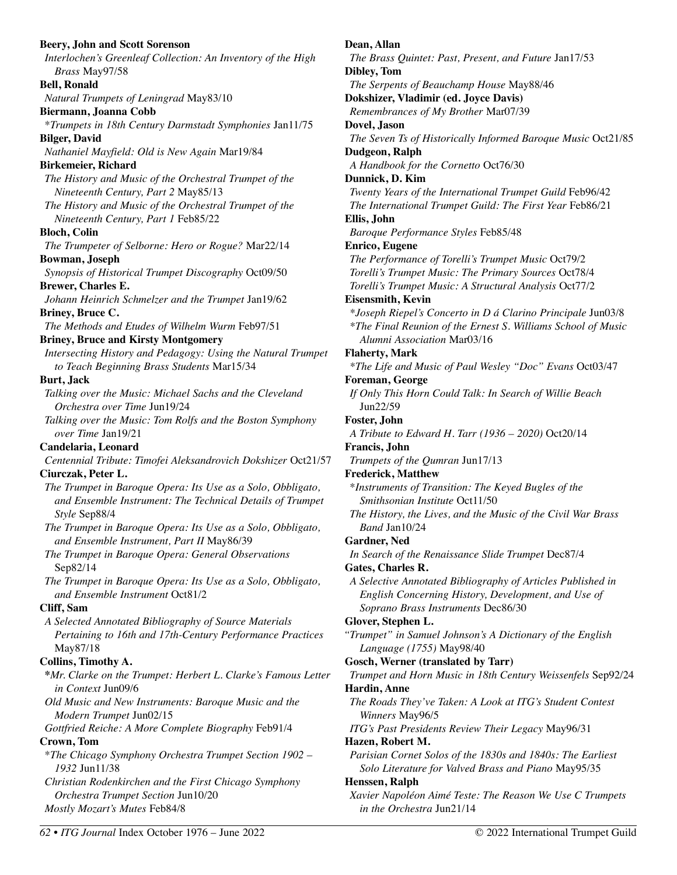**Beery, John and Scott Sorenson**  *Interlochen's Greenleaf Collection: An Inventory of the High Brass* May97/58 **Bell, Ronald**  *Natural Trumpets of Leningrad* May83/10 **Biermann, Joanna Cobb**  \**Trumpets in 18th Century Darmstadt Symphonies* Jan11/75 **Bilger, David**  *Nathaniel Mayfield: Old is New Again* Mar19/84 **Birkemeier, Richard**  *The History and Music of the Orchestral Trumpet of the Nineteenth Century, Part 2* May85/13 *The History and Music of the Orchestral Trumpet of the Nineteenth Century, Part 1* Feb85/22 **Bloch, Colin**  *The Trumpeter of Selborne: Hero or Rogue?* Mar22/14 **Bowman, Joseph**  *Synopsis of Historical Trumpet Discography* Oct09/50 **Brewer, Charles E.**  *Johann Heinrich Schmelzer and the Trumpet* Jan19/62 **Briney, Bruce C.**  *The Methods and Etudes of Wilhelm Wurm* Feb97/51 **Briney, Bruce and Kirsty Montgomery**  *Intersecting History and Pedagogy: Using the Natural Trumpet to Teach Beginning Brass Students* Mar15/34 **Burt, Jack**  *Talking over the Music: Michael Sachs and the Cleveland Orchestra over Time* Jun19/24 *Talking over the Music: Tom Rolfs and the Boston Symphony over Time* Jan19/21 **Candelaria, Leonard**  *Centennial Tribute: Timofei Aleksandrovich Dokshizer* Oct21/57 **Ciurczak, Peter L.**  *The Trumpet in Baroque Opera: Its Use as a Solo, Obbligato, and Ensemble Instrument: The Technical Details of Trumpet Style* Sep88/4 *The Trumpet in Baroque Opera: Its Use as a Solo, Obbligato, and Ensemble Instrument, Part II* May86/39 *The Trumpet in Baroque Opera: General Observations*  Sep82/14 *The Trumpet in Baroque Opera: Its Use as a Solo, Obbligato, and Ensemble Instrument* Oct81/2 **Cliff, Sam**  *A Selected Annotated Bibliography of Source Materials Pertaining to 16th and 17th-Century Performance Practices*  May87/18 **Collins, Timothy A. \****Mr. Clarke on the Trumpet: Herbert L. Clarke's Famous Letter in Context* Jun09/6 *Old Music and New Instruments: Baroque Music and the Modern Trumpet* Jun02/15 *Gottfried Reiche: A More Complete Biography* Feb91/4 **Crown, Tom**  \**The Chicago Symphony Orchestra Trumpet Section 1902 – 1932* Jun11/38 *Christian Rodenkirchen and the First Chicago Symphony Orchestra Trumpet Section* Jun10/20 *Mostly Mozart's Mutes* Feb84/8

**Dean, Allan**  *The Brass Quintet: Past, Present, and Future* Jan17/53 **Dibley, Tom**  *The Serpents of Beauchamp House* May88/46 **Dokshizer, Vladimir (ed. Joyce Davis)**  *Remembrances of My Brother* Mar07/39 **Dovel, Jason**  *The Seven Ts of Historically Informed Baroque Music* Oct21/85 **Dudgeon, Ralph**  *A Handbook for the Cornetto* Oct76/30 **Dunnick, D. Kim**  *Twenty Years of the International Trumpet Guild* Feb96/42 *The International Trumpet Guild: The First Year* Feb86/21 **Ellis, John**  *Baroque Performance Styles* Feb85/48 **Enrico, Eugene**  *The Performance of Torelli's Trumpet Music* Oct79/2 *Torelli's Trumpet Music: The Primary Sources* Oct78/4 *Torelli's Trumpet Music: A Structural Analysis* Oct77/2 **Eisensmith, Kevin**  *\*Joseph Riepel's Concerto in D á Clarino Principale* Jun03/8 *\*The Final Reunion of the Ernest S. Williams School of Music Alumni Association* Mar03/16 **Flaherty, Mark**  *\*The Life and Music of Paul Wesley "Doc" Evans* Oct03/47 **Foreman, George**  *If Only This Horn Could Talk: In Search of Willie Beach*  Jun22/59 **Foster, John**  *A Tribute to Edward H. Tarr (1936 – 2020)* Oct20/14 **Francis, John**  *Trumpets of the Qumran* Jun17/13 **Frederick, Matthew**  \**Instruments of Transition: The Keyed Bugles of the Smithsonian Institute* Oct11/50 *The History, the Lives, and the Music of the Civil War Brass Band* Jan10/24 **Gardner, Ned**  *In Search of the Renaissance Slide Trumpet* Dec87/4 **Gates, Charles R.**  *A Selective Annotated Bibliography of Articles Published in English Concerning History, Development, and Use of Soprano Brass Instruments* Dec86/30 **Glover, Stephen L.**  *"Trumpet" in Samuel Johnson's A Dictionary of the English Language (1755)* May98/40 **Gosch, Werner (translated by Tarr)**  *Trumpet and Horn Music in 18th Century Weissenfels* Sep92/24 **Hardin, Anne**  *The Roads They've Taken: A Look at ITG's Student Contest Winners* May96/5 *ITG's Past Presidents Review Their Legacy* May96/31 **Hazen, Robert M.**  *Parisian Cornet Solos of the 1830s and 1840s: The Earliest Solo Literature for Valved Brass and Piano* May95/35 **Henssen, Ralph**  *Xavier Napoléon Aimé Teste: The Reason We Use C Trumpets in the Orchestra* Jun21/14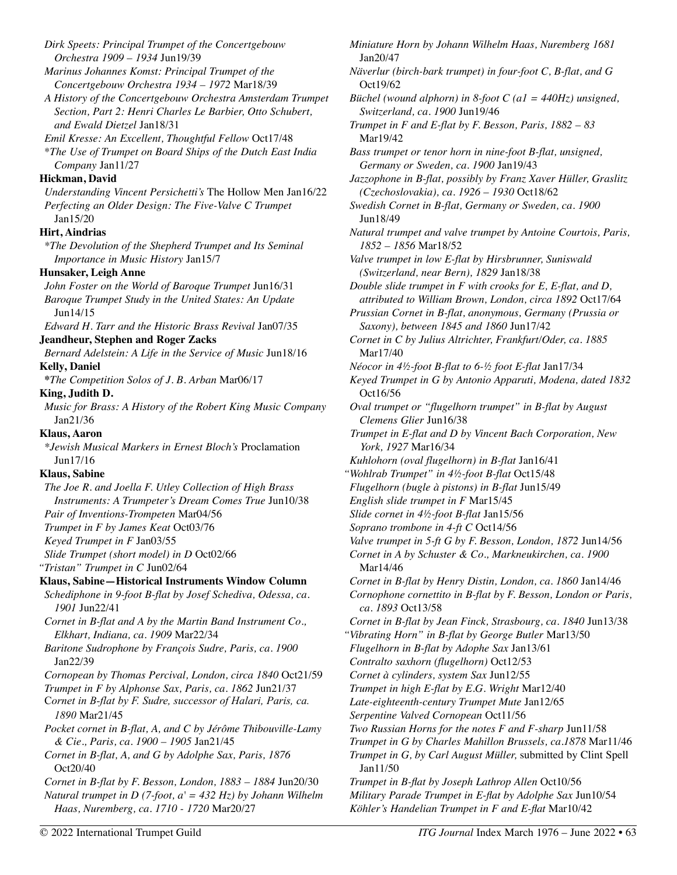*Dirk Speets: Principal Trumpet of the Concertgebouw Orchestra 1909 – 1934* Jun19/39 *Marinus Johannes Komst: Principal Trumpet of the Concertgebouw Orchestra 1934 – 1972* Mar18/39 *A History of the Concertgebouw Orchestra Amsterdam Trumpet Section, Part 2: Henri Charles Le Barbier, Otto Schubert, and Ewald Dietzel* Jan18/31 *Emil Kresse: An Excellent, Thoughtful Fellow* Oct17/48 \**The Use of Trumpet on Board Ships of the Dutch East India Company* Jan11/27 **Hickman, David**  *Understanding Vincent Persichetti's* The Hollow Men Jan16/22 *Perfecting an Older Design: The Five-Valve C Trumpet*  Jan15/20 **Hirt, Aindrias**  *\*The Devolution of the Shepherd Trumpet and Its Seminal Importance in Music History* Jan15/7 **Hunsaker, Leigh Anne**  *John Foster on the World of Baroque Trumpet* Jun16/31 *Baroque Trumpet Study in the United States: An Update*  Jun14/15 *Edward H. Tarr and the Historic Brass Revival* Jan07/35 **Jeandheur, Stephen and Roger Zacks**  *Bernard Adelstein: A Life in the Service of Music* Jun18/16 **Kelly, Daniel \****The Competition Solos of J. B. Arban* Mar06/17 **King, Judith D.**  *Music for Brass: A History of the Robert King Music Company*  Jan21/36 **Klaus, Aaron**  *\*Jewish Musical Markers in Ernest Bloch's* Proclamation Jun17/16 **Klaus, Sabine**  *The Joe R. and Joella F. Utley Collection of High Brass Instruments: A Trumpeter's Dream Comes True* Jun10/38 *Pair of Inventions-Trompeten* Mar04/56 *Trumpet in F by James Keat* Oct03/76 *Keyed Trumpet in F* Jan03/55 *Slide Trumpet (short model) in D* Oct02/66 *"Tristan" Trumpet in C* Jun02/64 **Klaus, Sabine—Historical Instruments Window Column**  *Schediphone in 9-foot B-flat by Josef Schediva, Odessa, ca. 1901* Jun22/41 *Cornet in B-flat and A by the Martin Band Instrument Co., Elkhart, Indiana, ca. 1909* Mar22/34 *Baritone Sudrophone by François Sudre, Paris, ca. 1900*  Jan22/39 *Cornopean by Thomas Percival, London, circa 1840* Oct21/59 *Trumpet in F by Alphonse Sax, Paris, ca. 1862* Jun21/37 C*ornet in B-flat by F. Sudre, successor of Halari, Paris, ca. 1890* Mar21/45 *Pocket cornet in B-flat, A, and C by Jérôme Thibouville-Lamy & Cie., Paris, ca. 1900 – 1905* Jan21/45 *Cornet in B-flat, A, and G by Adolphe Sax, Paris, 1876*  Oct20/40 *Cornet in B-flat by F. Besson, London, 1883 – 1884* Jun20/30 *Natural trumpet in D (7-foot, a' = 432 Hz) by Johann Wilhelm Haas, Nuremberg, ca. 1710 - 1720* Mar20/27 *Miniature Horn by Johann Wilhelm Haas, Nuremberg 1681*  Jan20/47 Oct19/62 Mar19/42 Jun18/49 Mar17/40 Oct16/56 Mar14/46 Jan11/50 *Köhler's Handelian Trumpet in F and E-flat* Mar10/42

*Näverlur (birch-bark trumpet) in four-foot C, B-flat, and G Büchel (wound alphorn) in 8-foot C (a1 = 440Hz) unsigned, Switzerland, ca. 1900* Jun19/46 *Trumpet in F and E-flat by F. Besson, Paris, 1882 – 83 Bass trumpet or tenor horn in nine-foot B-flat, unsigned, Germany or Sweden, ca. 1900* Jan19/43 *Jazzophone in B-flat, possibly by Franz Xaver Hüller, Graslitz (Czechoslovakia), ca. 1926 – 1930* Oct18/62 *Swedish Cornet in B-flat, Germany or Sweden, ca. 1900 Natural trumpet and valve trumpet by Antoine Courtois, Paris, 1852 – 1856* Mar18/52 *Valve trumpet in low E-flat by Hirsbrunner, Suniswald (Switzerland, near Bern), 1829* Jan18/38 *Double slide trumpet in F with crooks for E, E-flat, and D, attributed to William Brown, London, circa 1892* Oct17/64 *Prussian Cornet in B-flat, anonymous, Germany (Prussia or Saxony), between 1845 and 1860* Jun17/42 *Cornet in C by Julius Altrichter, Frankfurt/Oder, ca. 1885 Néocor in 4½-foot B-flat to 6-½ foot E-flat* Jan17/34 *Keyed Trumpet in G by Antonio Apparuti, Modena, dated 1832 Oval trumpet or "flugelhorn trumpet" in B-flat by August Clemens Glier* Jun16/38 *Trumpet in E-flat and D by Vincent Bach Corporation, New York, 1927* Mar16/34 *Kuhlohorn (oval flugelhorn) in B-flat* Jan16/41 *"Wohlrab Trumpet" in 4½-foot B-flat* Oct15/48 *Flugelhorn (bugle à pistons) in B-flat* Jun15/49 *English slide trumpet in F* Mar15/45 *Slide cornet in 4½-foot B-flat* Jan15/56 *Soprano trombone in 4-ft C* Oct14/56 *Valve trumpet in 5-ft G by F. Besson, London, 1872* Jun14/56 *Cornet in A by Schuster & Co., Markneukirchen, ca. 1900 Cornet in B-flat by Henry Distin, London, ca. 1860* Jan14/46 *Cornophone cornettito in B-flat by F. Besson, London or Paris, ca. 1893* Oct13/58 *Cornet in B-flat by Jean Finck, Strasbourg, ca. 1840* Jun13/38 *"Vibrating Horn" in B-flat by George Butler* Mar13/50 *Flugelhorn in B-flat by Adophe Sax* Jan13/61 *Contralto saxhorn (flugelhorn)* Oct12/53 *Cornet à cylinders, system Sax* Jun12/55 *Trumpet in high E-flat by E.G. Wright* Mar12/40 *Late-eighteenth-century Trumpet Mute* Jan12/65 *Serpentine Valved Cornopean* Oct11/56 *Two Russian Horns for the notes F and F-sharp* Jun11/58 *Trumpet in G by Charles Mahillon Brussels, ca.1878* Mar11/46 *Trumpet in G, by Carl August Müller,* submitted by Clint Spell *Trumpet in B-flat by Joseph Lathrop Allen* Oct10/56 *Military Parade Trumpet in E-flat by Adolphe Sax* Jun10/54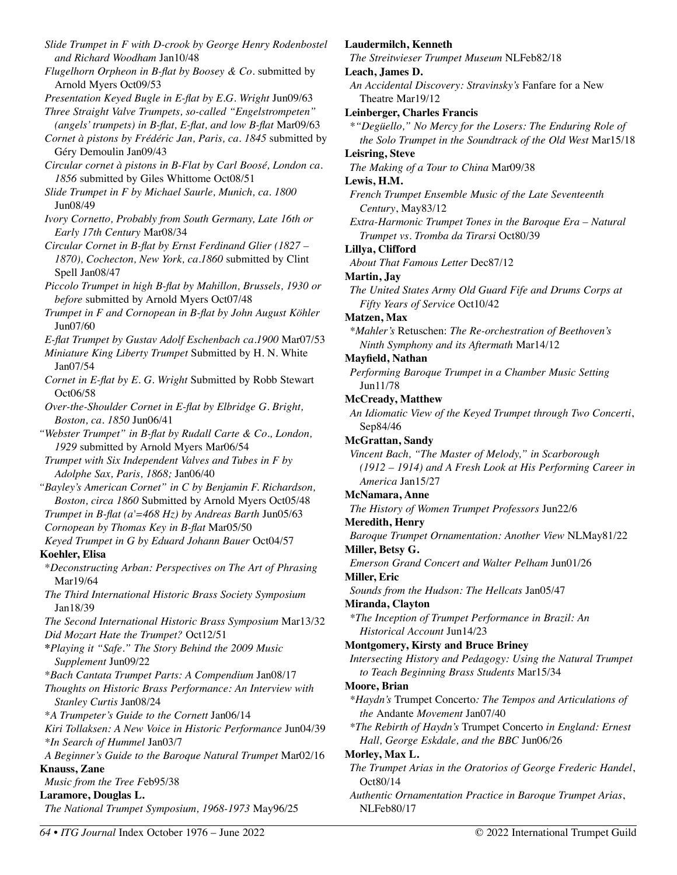*Slide Trumpet in F with D-crook by George Henry Rodenbostel and Richard Woodham* Jan10/48 *Flugelhorn Orpheon in B-flat by Boosey & Co.* submitted by Arnold Myers Oct09/53 *Presentation Keyed Bugle in E-flat by E.G. Wright* Jun09/63 *Three Straight Valve Trumpets, so-called "Engelstrompeten" (angels' trumpets) in B-flat, E-flat, and low B-flat* Mar09/63 *Cornet à pistons by Frédéric Jan, Paris, ca. 1845* submitted by Géry Demoulin Jan09/43 *Circular cornet à pistons in B-Flat by Carl Boosé, London ca. 1856* submitted by Giles Whittome Oct08/51 *Slide Trumpet in F by Michael Saurle, Munich, ca. 1800*  Jun08/49 *Ivory Cornetto, Probably from South Germany, Late 16th or Early 17th Century* Mar08/34 *Circular Cornet in B-flat by Ernst Ferdinand Glier (1827 – 1870), Cochecton, New York, ca.1860* submitted by Clint Spell Jan08/47 *Piccolo Trumpet in high B-flat by Mahillon, Brussels, 1930 or before* submitted by Arnold Myers Oct07/48 *Trumpet in F and Cornopean in B-flat by John August Köhler*  Jun07/60 *E-flat Trumpet by Gustav Adolf Eschenbach ca.1900* Mar07/53 *Miniature King Liberty Trumpet* Submitted by H. N. White Jan07/54 *Cornet in E-flat by E. G. Wright* Submitted by Robb Stewart Oct06/58 *Over-the-Shoulder Cornet in E-flat by Elbridge G. Bright, Boston, ca. 1850* Jun06/41 *"Webster Trumpet" in B-flat by Rudall Carte & Co., London, 1929* submitted by Arnold Myers Mar06/54 *Trumpet with Six Independent Valves and Tubes in F by Adolphe Sax, Paris, 1868;* Jan06/40 *"Bayley's American Cornet" in C by Benjamin F. Richardson, Boston, circa 1860* Submitted by Arnold Myers Oct05/48 *Trumpet in B-flat (a'=468 Hz) by Andreas Barth* Jun05/63 *Cornopean by Thomas Key in B-flat* Mar05/50 *Keyed Trumpet in G by Eduard Johann Bauer* Oct04/57 **Koehler, Elisa**  \**Deconstructing Arban: Perspectives on The Art of Phrasing*  Mar19/64 *The Third International Historic Brass Society Symposium*  Jan18/39 *The Second International Historic Brass Symposium* Mar13/32 *Did Mozart Hate the Trumpet?* Oct12/51 **\****Playing it "Safe." The Story Behind the 2009 Music Supplement* Jun09/22 \**Bach Cantata Trumpet Parts: A Compendium* Jan08/17 *Thoughts on Historic Brass Performance: An Interview with Stanley Curtis* Jan08/24 \**A Trumpeter's Guide to the Cornett* Jan06/14 *Kiri Tollaksen: A New Voice in Historic Performance* Jun04/39 *\*In Search of Hummel* Jan03/7 *A Beginner's Guide to the Baroque Natural Trumpet* Mar02/16 **Knauss, Zane**  *Music from the Tree F*eb95/38 **Laramore, Douglas L.**  *The National Trumpet Symposium, 1968-1973* May96/25

## **Laudermilch, Kenneth**

*The Streitwieser Trumpet Museum* NLFeb82/18

#### **Leach, James D.**

*An Accidental Discovery: Stravinsky's* Fanfare for a New Theatre Mar19/12

**Leinberger, Charles Francis** 

*\*"Degüello," No Mercy for the Losers: The Enduring Role of the Solo Trumpet in the Soundtrack of the Old West* Mar15/18

#### **Leisring, Steve**

*The Making of a Tour to China* Mar09/38

## **Lewis, H.M.**

*French Trumpet Ensemble Music of the Late Seventeenth Century*, May83/12

*Extra-Harmonic Trumpet Tones in the Baroque Era – Natural Trumpet vs. Tromba da Tirarsi* Oct80/39

### **Lillya, Clifford**

*About That Famous Letter* Dec87/12

#### **Martin, Jay**

*The United States Army Old Guard Fife and Drums Corps at Fifty Years of Service* Oct10/42

#### **Matzen, Max**

*\*Mahler's* Retuschen: *The Re-orchestration of Beethoven's Ninth Symphony and its Aftermath* Mar14/12

#### **Mayfield, Nathan**

*Performing Baroque Trumpet in a Chamber Music Setting*  Jun11/78

#### **McCready, Matthew**

*An Idiomatic View of the Keyed Trumpet through Two Concerti*, Sep84/46

#### **McGrattan, Sandy**

*Vincent Bach, "The Master of Melody," in Scarborough (1912 – 1914) and A Fresh Look at His Performing Career in America* Jan15/27

## **McNamara, Anne**

*The History of Women Trumpet Professors* Jun22/6

#### **Meredith, Henry**

*Baroque Trumpet Ornamentation: Another View* NLMay81/22 **Miller, Betsy G.** 

*Emerson Grand Concert and Walter Pelham* Jun01/26

# **Miller, Eric**

*Sounds from the Hudson: The Hellcats* Jan05/47

#### **Miranda, Clayton**

*\*The Inception of Trumpet Performance in Brazil: An Historical Account* Jun14/23

### **Montgomery, Kirsty and Bruce Briney**

*Intersecting History and Pedagogy: Using the Natural Trumpet to Teach Beginning Brass Students* Mar15/34

### **Moore, Brian**

*\*Haydn's* Trumpet Concerto*: The Tempos and Articulations of the* Andante *Movement* Jan07/40

*\*The Rebirth of Haydn's* Trumpet Concerto *in England: Ernest Hall, George Eskdale, and the BBC* Jun06/26

#### **Morley, Max L.**

*The Trumpet Arias in the Oratorios of George Frederic Handel*, Oct80/14

*Authentic Ornamentation Practice in Baroque Trumpet Arias*, NLFeb80/17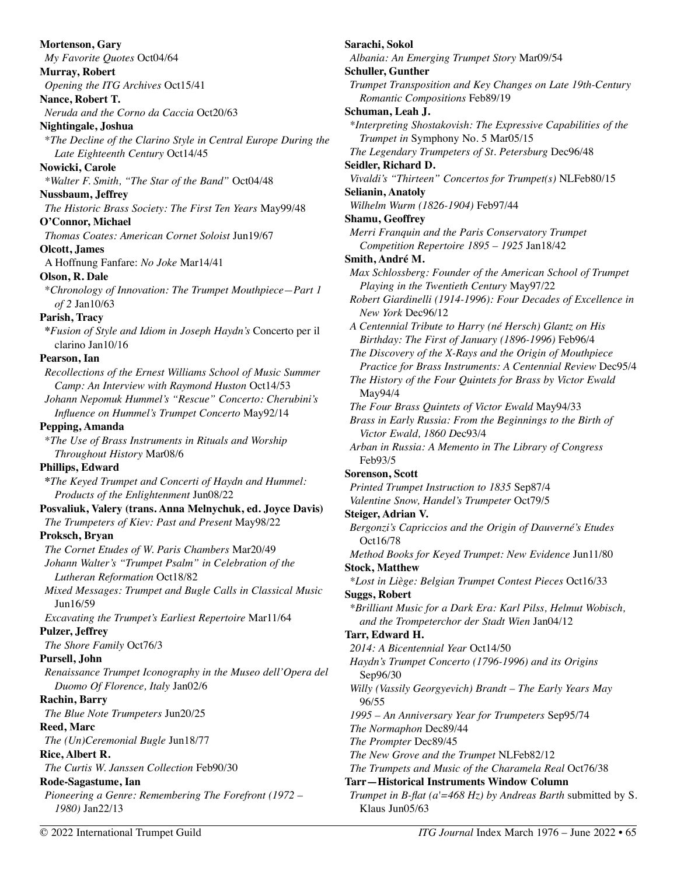**Mortenson, Gary**  *My Favorite Quotes* Oct04/64 **Murray, Robert**  *Opening the ITG Archives* Oct15/41 **Nance, Robert T.**  *Neruda and the Corno da Caccia* Oct20/63 **Nightingale, Joshua**  \**The Decline of the Clarino Style in Central Europe During the Late Eighteenth Century* Oct14/45 **Nowicki, Carole**  *\*Walter F. Smith, "The Star of the Band"* Oct04/48 **Nussbaum, Jeffrey**  *The Historic Brass Society: The First Ten Years* May99/48 **O'Connor, Michael**  *Thomas Coates: American Cornet Soloist* Jun19/67 **Olcott, James**  A Hoffnung Fanfare: *No Joke* Mar14/41 **Olson, R. Dale**  \**Chronology of Innovation: The Trumpet Mouthpiece—Part 1 of 2* Jan10/63 **Parish, Tracy \****Fusion of Style and Idiom in Joseph Haydn's* Concerto per il clarino Jan10/16 **Pearson, Ian**  *Recollections of the Ernest Williams School of Music Summer Camp: An Interview with Raymond Huston* Oct14/53 *Johann Nepomuk Hummel's "Rescue" Concerto: Cherubini's Influence on Hummel's Trumpet Concerto* May92/14 **Pepping, Amanda**  \**The Use of Brass Instruments in Rituals and Worship Throughout History* Mar08/6 **Phillips, Edward \****The Keyed Trumpet and Concerti of Haydn and Hummel: Products of the Enlightenment* Jun08/22 **Posvaliuk, Valery (trans. Anna Melnychuk, ed. Joyce Davis)**  *The Trumpeters of Kiev: Past and Present* May98/22 **Proksch, Bryan**  *The Cornet Etudes of W. Paris Chambers* Mar20/49 *Johann Walter's "Trumpet Psalm" in Celebration of the Lutheran Reformation* Oct18/82 *Mixed Messages: Trumpet and Bugle Calls in Classical Music*  Jun16/59 *Excavating the Trumpet's Earliest Repertoire* Mar11/64 **Pulzer, Jeffrey**  *The Shore Family* Oct76/3 **Pursell, John**  *Renaissance Trumpet Iconography in the Museo dell'Opera del Duomo Of Florence, Italy* Jan02/6 **Rachin, Barry**  *The Blue Note Trumpeters* Jun20/25 **Reed, Marc**  *The (Un)Ceremonial Bugle* Jun18/77 **Rice, Albert R.**  *The Curtis W. Janssen Collection* Feb90/30 **Rode-Sagastume, Ian**  *Pioneering a Genre: Remembering The Forefront (1972 – 1980)* Jan22/13

**Sarachi, Sokol**  *Albania: An Emerging Trumpet Story* Mar09/54 **Schuller, Gunther**  *Trumpet Transposition and Key Changes on Late 19th-Century Romantic Compositions* Feb89/19 **Schuman, Leah J.**  *\*Interpreting Shostakovish: The Expressive Capabilities of the Trumpet in* Symphony No. 5 Mar05/15 *The Legendary Trumpeters of St. Petersburg* Dec96/48 **Seidler, Richard D.**  *Vivaldi's "Thirteen" Concertos for Trumpet(s)* NLFeb80/15 **Selianin, Anatoly**  *Wilhelm Wurm (1826-1904)* Feb97/44 **Shamu, Geoffrey**  *Merri Franquin and the Paris Conservatory Trumpet Competition Repertoire 1895 – 1925* Jan18/42 **Smith, André M.**  *Max Schlossberg: Founder of the American School of Trumpet Playing in the Twentieth Century* May97/22 *Robert Giardinelli (1914-1996): Four Decades of Excellence in New York* Dec96/12 *A Centennial Tribute to Harry (né Hersch) Glantz on His Birthday: The First of January (1896-1996)* Feb96/4 *The Discovery of the X-Rays and the Origin of Mouthpiece Practice for Brass Instruments: A Centennial Review* Dec95/4 *The History of the Four Quintets for Brass by Victor Ewald*  May94/4 *The Four Brass Quintets of Victor Ewald* May94/33 *Brass in Early Russia: From the Beginnings to the Birth of Victor Ewald, 1860 D*ec93/4 *Arban in Russia: A Memento in The Library of Congress*  Feb93/5 **Sorenson, Scott**  *Printed Trumpet Instruction to 1835* Sep87/4 *Valentine Snow, Handel's Trumpeter* Oct79/5 **Steiger, Adrian V.**  *Bergonzi's Capriccios and the Origin of Dauverné's Etudes*  Oct16/78 *Method Books for Keyed Trumpet: New Evidence* Jun11/80 **Stock, Matthew**  *\*Lost in Liège: Belgian Trumpet Contest Pieces* Oct16/33 **Suggs, Robert**  *\*Brilliant Music for a Dark Era: Karl Pilss, Helmut Wobisch, and the Trompeterchor der Stadt Wien* Jan04/12 **Tarr, Edward H.**  *2014: A Bicentennial Year* Oct14/50 *Haydn's Trumpet Concerto (1796-1996) and its Origins*  Sep96/30 *Willy (Vassily Georgyevich) Brandt – The Early Years May*  96/55 *1995 – An Anniversary Year for Trumpeters* Sep95/74 *The Normaphon* Dec89/44 *The Prompter* Dec89/45 *The New Grove and the Trumpet* NLFeb82/12 *The Trumpets and Music of the Charamela Real* Oct76/38 **Tarr—Historical Instruments Window Column**  *Trumpet in B-flat (a'=468 Hz) by Andreas Barth* submitted by S. Klaus Jun05/63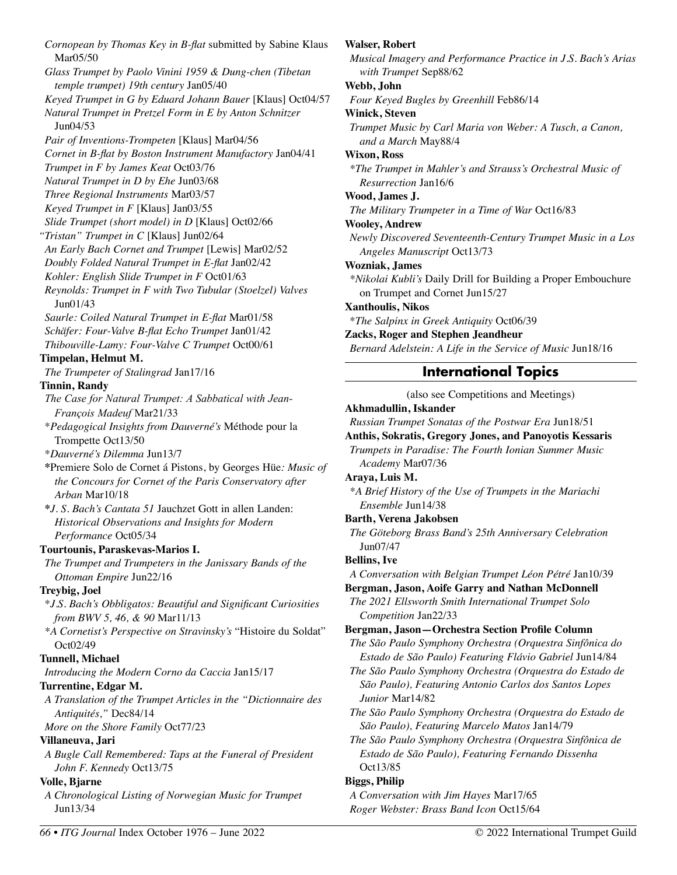*Cornopean by Thomas Key in B-flat* submitted by Sabine Klaus Mar05/50 *Glass Trumpet by Paolo Vinini 1959 & Dung-chen (Tibetan temple trumpet) 19th century* Jan05/40 *Keyed Trumpet in G by Eduard Johann Bauer* [Klaus] Oct04/57 *Natural Trumpet in Pretzel Form in E by Anton Schnitzer*  Jun04/53 *Pair of Inventions-Trompeten* [Klaus] Mar04/56 *Cornet in B-flat by Boston Instrument Manufactory* Jan04/41 *Trumpet in F by James Keat* Oct03/76 *Natural Trumpet in D by Ehe* Jun03/68 *Three Regional Instruments* Mar03/57 *Keyed Trumpet in F* [Klaus] Jan03/55 *Slide Trumpet (short model) in D* [Klaus] Oct02/66 *"Tristan" Trumpet in C* [Klaus] Jun02/64 *An Early Bach Cornet and Trumpet* [Lewis] Mar02/52 *Doubly Folded Natural Trumpet in E-flat* Jan02/42 *Kohler: English Slide Trumpet in F* Oct01/63 *Reynolds: Trumpet in F with Two Tubular (Stoelzel) Valves*  Jun01/43 *Saurle: Coiled Natural Trumpet in E-flat* Mar01/58 *Schäfer: Four-Valve B-flat Echo Trumpet* Jan01/42 *Thibouville-Lamy: Four-Valve C Trumpet* Oct00/61 **Timpelan, Helmut M.**  *The Trumpeter of Stalingrad* Jan17/16 **Tinnin, Randy**  *The Case for Natural Trumpet: A Sabbatical with Jean-François Madeuf* Mar21/33 \**Pedagogical Insights from Dauverné's* Méthode pour la Trompette Oct13/50 \**Dauverné's Dilemma* Jun13/7 **\***Premiere Solo de Cornet á Pistons, by Georges Hüe*: Music of the Concours for Cornet of the Paris Conservatory after Arban* Mar10/18 **\****J. S. Bach's Cantata 51* Jauchzet Gott in allen Landen: *Historical Observations and Insights for Modern Performance* Oct05/34 **Tourtounis, Paraskevas-Marios I.**  *The Trumpet and Trumpeters in the Janissary Bands of the Ottoman Empire* Jun22/16 **Treybig, Joel**  \**J.S. Bach's Obbligatos: Beautiful and Significant Curiosities from BWV 5, 46, & 90* Mar11/13 *\*A Cornetist's Perspective on Stravinsky's* "Histoire du Soldat" Oct02/49 **Tunnell, Michael**  *Introducing the Modern Corno da Caccia* Jan15/17 **Turrentine, Edgar M.**  *A Translation of the Trumpet Articles in the "Dictionnaire des Antiquités,"* Dec84/14 *More on the Shore Family* Oct77/23 **Villaneuva, Jari**  *A Bugle Call Remembered: Taps at the Funeral of President John F. Kennedy* Oct13/75 **Volle, Bjarne**  *A Chronological Listing of Norwegian Music for Trumpet*  Jun13/34

# **Walser, Robert**

*Musical Imagery and Performance Practice in J.S. Bach's Arias with Trumpet* Sep88/62

## **Webb, John**

*Four Keyed Bugles by Greenhill* Feb86/14

### **Winick, Steven**

*Trumpet Music by Carl Maria von Weber: A Tusch, a Canon, and a March* May88/4

### **Wixon, Ross**

*\*The Trumpet in Mahler's and Strauss's Orchestral Music of Resurrection* Jan16/6

## **Wood, James J.**

*The Military Trumpeter in a Time of War* Oct16/83

### **Wooley, Andrew**

*Newly Discovered Seventeenth-Century Trumpet Music in a Los Angeles Manuscript* Oct13/73

### **Wozniak, James**

*\*Nikolai Kubli's* Daily Drill for Building a Proper Embouchure on Trumpet and Cornet Jun15/27

### **Xanthoulis, Nikos**

\**The Salpinx in Greek Antiquity* Oct06/39

## **Zacks, Roger and Stephen Jeandheur**

*Bernard Adelstein: A Life in the Service of Music* Jun18/16

# **International Topics**

(also see Competitions and Meetings)

## **Akhmadullin, Iskander**

*Russian Trumpet Sonatas of the Postwar Era* Jun18/51

**Anthis, Sokratis, Gregory Jones, and Panoyotis Kessaris** 

*Trumpets in Paradise: The Fourth Ionian Summer Music Academy* Mar07/36

### **Araya, Luis M.**

*\*A Brief History of the Use of Trumpets in the Mariachi Ensemble* Jun14/38

### **Barth, Verena Jakobsen**

*The Göteborg Brass Band's 25th Anniversary Celebration* Jun07/47

### **Bellins, Ive**

*A Conversation with Belgian Trumpet Léon Pétré* Jan10/39

### **Bergman, Jason, Aoife Garry and Nathan McDonnell**

*The 2021 Ellsworth Smith International Trumpet Solo Competition* Jan22/33

**Bergman, Jason—Orchestra Section Profile Column** 

*The São Paulo Symphony Orchestra (Orquestra Sinfônica do Estado de São Paulo) Featuring Flávio Gabriel* Jun14/84

*The São Paulo Symphony Orchestra (Orquestra do Estado de São Paulo), Featuring Antonio Carlos dos Santos Lopes Junior* Mar14/82

*The São Paulo Symphony Orchestra (Orquestra do Estado de São Paulo), Featuring Marcelo Matos* Jan14/79

*The São Paulo Symphony Orchestra (Orquestra Sinfônica de Estado de São Paulo), Featuring Fernando Dissenha*  Oct13/85

# **Biggs, Philip**

*A Conversation with Jim Hayes* Mar17/65 *Roger Webster: Brass Band Icon* Oct15/64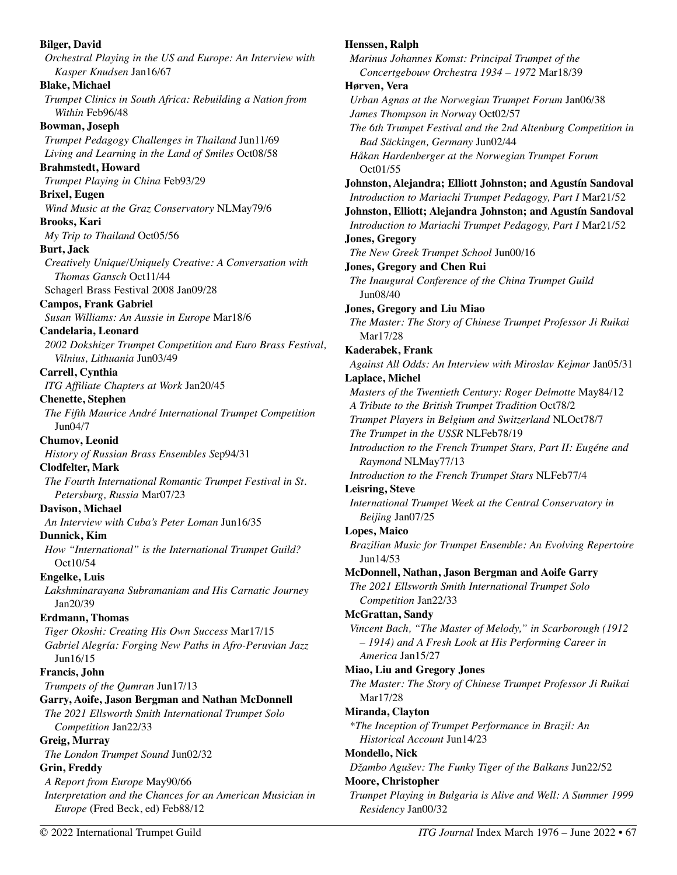**Bilger, David**  *Orchestral Playing in the US and Europe: An Interview with Kasper Knudsen* Jan16/67 **Blake, Michael**  *Trumpet Clinics in South Africa: Rebuilding a Nation from Within* Feb96/48 **Bowman, Joseph**  *Trumpet Pedagogy Challenges in Thailand* Jun11/69 *Living and Learning in the Land of Smiles* Oct08/58 **Brahmstedt, Howard**  *Trumpet Playing in China* Feb93/29 **Brixel, Eugen**  *Wind Music at the Graz Conservatory* NLMay79/6 **Brooks, Kari**  *My Trip to Thailand* Oct05/56 **Burt, Jack**  *Creatively Unique/Uniquely Creative: A Conversation with Thomas Gansch* Oct11/44 Schagerl Brass Festival 2008 Jan09/28 **Campos, Frank Gabriel**  *Susan Williams: An Aussie in Europe* Mar18/6 **Candelaria, Leonard**  *2002 Dokshizer Trumpet Competition and Euro Brass Festival, Vilnius, Lithuania* Jun03/49 **Carrell, Cynthia**  *ITG Affiliate Chapters at Work* Jan20/45 **Chenette, Stephen**  *The Fifth Maurice André International Trumpet Competition*  Jun04/7 **Chumov, Leonid**  *History of Russian Brass Ensembles S*ep94/31 **Clodfelter, Mark**  *The Fourth International Romantic Trumpet Festival in St. Petersburg, Russia* Mar07/23 **Davison, Michael**  *An Interview with Cuba's Peter Loman* Jun16/35 **Dunnick, Kim**  *How "International" is the International Trumpet Guild?*  Oct10/54 **Engelke, Luis**  *Lakshminarayana Subramaniam and His Carnatic Journey*  Jan20/39 **Erdmann, Thomas**  *Tiger Okoshi: Creating His Own Success* Mar17/15 *Gabriel Alegría: Forging New Paths in Afro-Peruvian Jazz*  Jun16/15 **Francis, John**  *Trumpets of the Qumran* Jun17/13 **Garry, Aoife, Jason Bergman and Nathan McDonnell**  *The 2021 Ellsworth Smith International Trumpet Solo Competition* Jan22/33 **Greig, Murray**  *The London Trumpet Sound* Jun02/32 **Grin, Freddy**  *A Report from Europe* May90/66 *Interpretation and the Chances for an American Musician in Europe* (Fred Beck, ed) Feb88/12

**Henssen, Ralph**  *Marinus Johannes Komst: Principal Trumpet of the Concertgebouw Orchestra 1934 – 1972* Mar18/39 **Hørven, Vera**  *Urban Agnas at the Norwegian Trumpet Forum* Jan06/38 *James Thompson in Norway* Oct02/57 *The 6th Trumpet Festival and the 2nd Altenburg Competition in Bad Säckingen, Germany* Jun02/44 *Håkan Hardenberger at the Norwegian Trumpet Forum* Oct01/55 **Johnston, Alejandra; Elliott Johnston; and Agustín Sandoval**  *Introduction to Mariachi Trumpet Pedagogy, Part I* Mar21/52 **Johnston, Elliott; Alejandra Johnston; and Agustín Sandoval**  *Introduction to Mariachi Trumpet Pedagogy, Part I* Mar21/52 **Jones, Gregory**  *The New Greek Trumpet School* Jun00/16 **Jones, Gregory and Chen Rui**  *The Inaugural Conference of the China Trumpet Guild*  Jun08/40 **Jones, Gregory and Liu Miao**  *The Master: The Story of Chinese Trumpet Professor Ji Ruikai*  Mar17/28 **Kaderabek, Frank**  *Against All Odds: An Interview with Miroslav Kejmar* Jan05/31 **Laplace, Michel**  *Masters of the Twentieth Century: Roger Delmotte* May84/12 *A Tribute to the British Trumpet Tradition* Oct78/2 *Trumpet Players in Belgium and Switzerland* NLOct78/7 *The Trumpet in the USSR* NLFeb78/19 *Introduction to the French Trumpet Stars, Part II: Eugéne and Raymond* NLMay77/13 *Introduction to the French Trumpet Stars* NLFeb77/4 **Leisring, Steve**  *International Trumpet Week at the Central Conservatory in Beijing* Jan07/25 **Lopes, Maico**  *Brazilian Music for Trumpet Ensemble: An Evolving Repertoire*  Jun14/53 **McDonnell, Nathan, Jason Bergman and Aoife Garry**  *The 2021 Ellsworth Smith International Trumpet Solo Competition* Jan22/33 **McGrattan, Sandy**  *Vincent Bach, "The Master of Melody," in Scarborough (1912 – 1914) and A Fresh Look at His Performing Career in America* Jan15/27 **Miao, Liu and Gregory Jones**  *The Master: The Story of Chinese Trumpet Professor Ji Ruikai*  Mar17/28 **Miranda, Clayton**  *\*The Inception of Trumpet Performance in Brazil: An Historical Account* Jun14/23 **Mondello, Nick**  *Džambo Agušev: The Funky Tiger of the Balkans* Jun22/52 **Moore, Christopher**  *Trumpet Playing in Bulgaria is Alive and Well: A Summer 1999 Residency* Jan00/32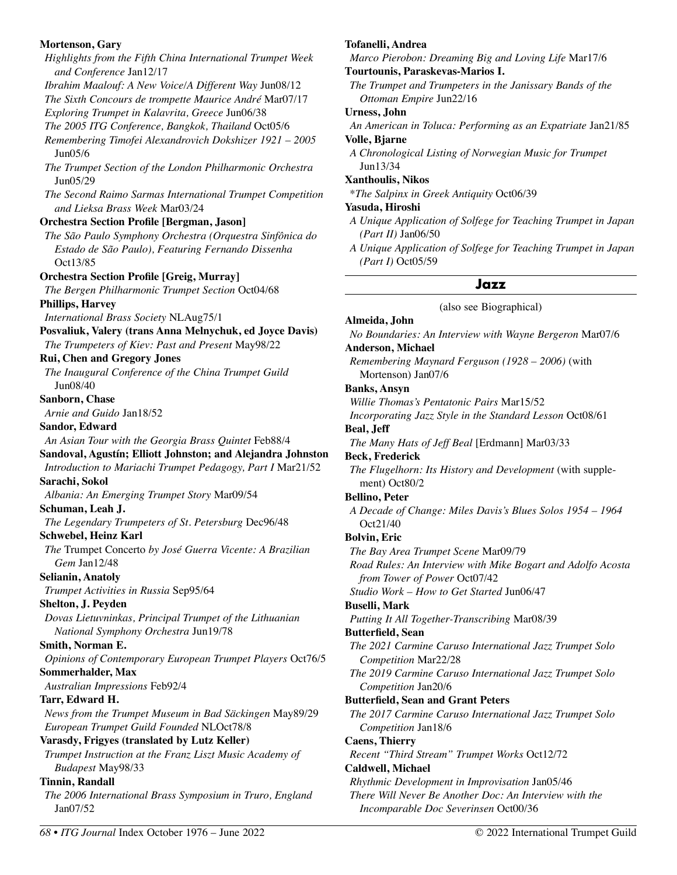### **Mortenson, Gary**

*Highlights from the Fifth China International Trumpet Week and Conference* Jan12/17 *Ibrahim Maalouf: A New Voice/A Different Way* Jun08/12 *The Sixth Concours de trompette Maurice André* Mar07/17 *Exploring Trumpet in Kalavrita, Greece* Jun06/38 *The 2005 ITG Conference, Bangkok, Thailand* Oct05/6 *Remembering Timofei Alexandrovich Dokshizer 1921 – 2005* Jun05/6 *The Trumpet Section of the London Philharmonic Orchestra* Jun05/29 *The Second Raimo Sarmas International Trumpet Competition and Lieksa Brass Week* Mar03/24 **Orchestra Section Profile [Bergman, Jason]**  *The São Paulo Symphony Orchestra (Orquestra Sinfônica do Estado de São Paulo), Featuring Fernando Dissenha*  Oct13/85 **Orchestra Section Profile [Greig, Murray]**  *The Bergen Philharmonic Trumpet Section* Oct04/68 **Phillips, Harvey**  *International Brass Society* NLAug75/1 **Posvaliuk, Valery (trans Anna Melnychuk, ed Joyce Davis)**  *The Trumpeters of Kiev: Past and Present* May98/22 **Rui, Chen and Gregory Jones**  *The Inaugural Conference of the China Trumpet Guild*  Jun08/40 **Sanborn, Chase**  *Arnie and Guido* Jan18/52 **Sandor, Edward**  *An Asian Tour with the Georgia Brass Quintet* Feb88/4 **Sandoval, Agustín; Elliott Johnston; and Alejandra Johnston**  *Introduction to Mariachi Trumpet Pedagogy, Part I* Mar21/52 **Sarachi, Sokol**  *Albania: An Emerging Trumpet Story* Mar09/54 **Schuman, Leah J.**  *The Legendary Trumpeters of St. Petersburg* Dec96/48 **Schwebel, Heinz Karl**  *The* Trumpet Concerto *by José Guerra Vicente: A Brazilian Gem* Jan12/48 **Selianin, Anatoly**  *Trumpet Activities in Russia* Sep95/64 **Shelton, J. Peyden**  *Dovas Lietuvninkas, Principal Trumpet of the Lithuanian National Symphony Orchestra* Jun19/78 **Smith, Norman E.**  *Opinions of Contemporary European Trumpet Players* Oct76/5 **Sommerhalder, Max**  *Australian Impressions* Feb92/4 **Tarr, Edward H.**  *News from the Trumpet Museum in Bad Säckingen* May89/29 *European Trumpet Guild Founded* NLOct78/8 **Varasdy, Frigyes (translated by Lutz Keller)**  *Trumpet Instruction at the Franz Liszt Music Academy of Budapest* May98/33 **Tinnin, Randall**  *The 2006 International Brass Symposium in Truro, England*  Jan07/52

# **Tofanelli, Andrea**

*Marco Pierobon: Dreaming Big and Loving Life* Mar17/6

# **Tourtounis, Paraskevas-Marios I.**

*The Trumpet and Trumpeters in the Janissary Bands of the Ottoman Empire* Jun22/16

# **Urness, John**

*An American in Toluca: Performing as an Expatriate* Jan21/85

# **Volle, Bjarne**

*A Chronological Listing of Norwegian Music for Trumpet*  Jun13/34

# **Xanthoulis, Nikos**

\**The Salpinx in Greek Antiquity* Oct06/39

# **Yasuda, Hiroshi**

- *A Unique Application of Solfege for Teaching Trumpet in Japan (Part II)* Jan06/50
- *A Unique Application of Solfege for Teaching Trumpet in Japan (Part I)* Oct05/59

# **Jazz**

(also see Biographical)

# **Almeida, John**

*No Boundaries: An Interview with Wayne Bergeron* Mar07/6

**Anderson, Michael**  *Remembering Maynard Ferguson (1928 – 2006)* (with

Mortenson) Jan07/6

# **Banks, Ansyn**

*Willie Thomas's Pentatonic Pairs* Mar15/52

*Incorporating Jazz Style in the Standard Lesson* Oct08/61

# **Beal, Jeff**

*The Many Hats of Jeff Beal* [Erdmann] Mar03/33

# **Beck, Frederick**

*The Flugelhorn: Its History and Development* (with supplement) Oct80/2

# **Bellino, Peter**

*A Decade of Change: Miles Davis's Blues Solos 1954 – 1964*  Oct21/40

# **Bolvin, Eric**

*The Bay Area Trumpet Scene* Mar09/79 *Road Rules: An Interview with Mike Bogart and Adolfo Acosta from Tower of Power* Oct07/42 *Studio Work – How to Get Started* Jun06/47

# **Buselli, Mark**

*Putting It All Together-Transcribing* Mar08/39

# **Butterfield, Sean**

*The 2021 Carmine Caruso International Jazz Trumpet Solo Competition* Mar22/28

*The 2019 Carmine Caruso International Jazz Trumpet Solo Competition* Jan20/6

# **Butterfield, Sean and Grant Peters**

*The 2017 Carmine Caruso International Jazz Trumpet Solo Competition* Jan18/6

# **Caens, Thierry**

*Recent "Third Stream" Trumpet Works* Oct12/72

# **Caldwell, Michael**

*Rhythmic Development in Improvisation* Jan05/46 *There Will Never Be Another Doc: An Interview with the Incomparable Doc Severinsen* Oct00/36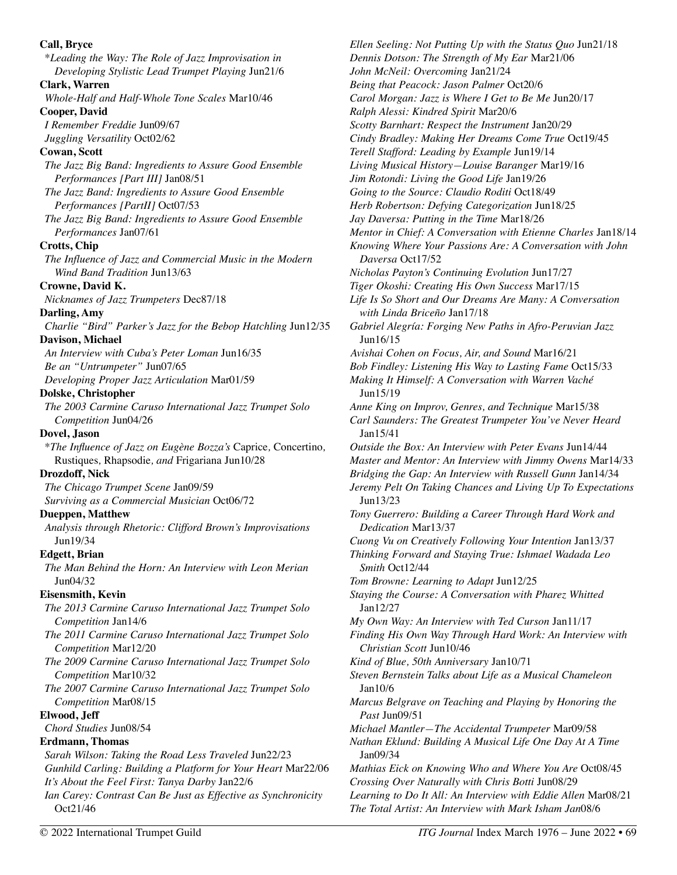| Call, Bryce<br>*Leading the Way: The Role of Jazz Improvisation in                | Ellen Seeling: Not Putting Up with the Status Quo Jun21<br>Dennis Dotson: The Strength of My Ear Mar21/06     |
|-----------------------------------------------------------------------------------|---------------------------------------------------------------------------------------------------------------|
| Developing Stylistic Lead Trumpet Playing Jun21/6                                 | John McNeil: Overcoming Jan21/24                                                                              |
| Clark, Warren<br>Whole-Half and Half-Whole Tone Scales Mar10/46                   | Being that Peacock: Jason Palmer Oct20/6<br>Carol Morgan: Jazz is Where I Get to Be Me Jun20/17               |
| <b>Cooper, David</b>                                                              | Ralph Alessi: Kindred Spirit Mar20/6                                                                          |
| I Remember Freddie Jun09/67                                                       |                                                                                                               |
|                                                                                   | Scotty Barnhart: Respect the Instrument Jan20/29                                                              |
| Juggling Versatility Oct02/62                                                     | Cindy Bradley: Making Her Dreams Come True Oct19/4<br>Terell Stafford: Leading by Example Jun19/14            |
| Cowan, Scott                                                                      |                                                                                                               |
| The Jazz Big Band: Ingredients to Assure Good Ensemble                            | Living Musical History-Louise Baranger Mar19/16                                                               |
| Performances [Part III] Jan08/51                                                  | Jim Rotondi: Living the Good Life Jan19/26                                                                    |
| The Jazz Band: Ingredients to Assure Good Ensemble                                | Going to the Source: Claudio Roditi Oct18/49                                                                  |
| Performances [PartII] Oct07/53                                                    | Herb Robertson: Defying Categorization Jun18/25                                                               |
| The Jazz Big Band: Ingredients to Assure Good Ensemble                            | Jay Daversa: Putting in the Time Mar18/26                                                                     |
| Performances Jan07/61                                                             | Mentor in Chief: A Conversation with Etienne Charles J                                                        |
| <b>Crotts, Chip</b>                                                               | Knowing Where Your Passions Are: A Conversation with                                                          |
| The Influence of Jazz and Commercial Music in the Modern                          | Daversa Oct17/52                                                                                              |
| Wind Band Tradition Jun13/63                                                      | Nicholas Payton's Continuing Evolution Jun17/27                                                               |
| Crowne, David K.                                                                  | Tiger Okoshi: Creating His Own Success Mar17/15                                                               |
| Nicknames of Jazz Trumpeters Dec87/18                                             | Life Is So Short and Our Dreams Are Many: A Conversa                                                          |
| Darling, Amy                                                                      | with Linda Briceño Jan17/18                                                                                   |
| Charlie "Bird" Parker's Jazz for the Bebop Hatchling Jun12/35                     | Gabriel Alegría: Forging New Paths in Afro-Peruvian Jo                                                        |
| Davison, Michael                                                                  | Jun16/15                                                                                                      |
| An Interview with Cuba's Peter Loman Jun16/35                                     | Avishai Cohen on Focus, Air, and Sound Mar16/21                                                               |
| Be an "Untrumpeter" Jun07/65                                                      | Bob Findley: Listening His Way to Lasting Fame Oct15/                                                         |
| Developing Proper Jazz Articulation Mar01/59                                      | Making It Himself: A Conversation with Warren Vaché                                                           |
| Dolske, Christopher                                                               | Jun15/19                                                                                                      |
| The 2003 Carmine Caruso International Jazz Trumpet Solo<br>Competition Jun04/26   | Anne King on Improv, Genres, and Technique Mar15/38<br>Carl Saunders: The Greatest Trumpeter You've Never H   |
| Dovel, Jason                                                                      | Jan15/41                                                                                                      |
| *The Influence of Jazz on Eugène Bozza's Caprice, Concertino,                     | Outside the Box: An Interview with Peter Evans Jun14/4                                                        |
| Rustiques, Rhapsodie, and Frigariana Jun10/28<br>Drozdoff, Nick                   | Master and Mentor: An Interview with Jimmy Owens M:                                                           |
|                                                                                   | Bridging the Gap: An Interview with Russell Gunn Jan14                                                        |
| The Chicago Trumpet Scene Jan09/59<br>Surviving as a Commercial Musician Oct06/72 | Jeremy Pelt On Taking Chances and Living Up To Exped<br>Jun13/23                                              |
| <b>Dueppen, Matthew</b>                                                           | Tony Guerrero: Building a Career Through Hard Work o                                                          |
| Analysis through Rhetoric: Clifford Brown's Improvisations                        | Dedication Mar13/37                                                                                           |
| Jun19/34                                                                          |                                                                                                               |
| <b>Edgett</b> , Brian                                                             | Cuong Vu on Creatively Following Your Intention Jan13.<br>Thinking Forward and Staying True: Ishmael Wadada L |
|                                                                                   |                                                                                                               |
| The Man Behind the Horn: An Interview with Leon Merian<br>Jun04/32                | Smith Oct12/44<br>Tom Browne: Learning to Adapt Jun12/25                                                      |
| <b>Eisensmith</b> , Kevin                                                         | Staying the Course: A Conversation with Pharez Whitted                                                        |
|                                                                                   | Jan12/27                                                                                                      |
| The 2013 Carmine Caruso International Jazz Trumpet Solo<br>Competition Jan14/6    | My Own Way: An Interview with Ted Curson Jan11/17                                                             |
| The 2011 Carmine Caruso International Jazz Trumpet Solo                           | Finding His Own Way Through Hard Work: An Interviev                                                           |
| Competition Mar12/20                                                              | Christian Scott Jun10/46                                                                                      |
| The 2009 Carmine Caruso International Jazz Trumpet Solo                           | Kind of Blue, 50th Anniversary Jan10/71                                                                       |
| Competition Mar10/32                                                              | Steven Bernstein Talks about Life as a Musical Chamele                                                        |
|                                                                                   | Jan10/6                                                                                                       |
| The 2007 Carmine Caruso International Jazz Trumpet Solo                           |                                                                                                               |
| Competition Mar08/15<br>Elwood, Jeff                                              | Marcus Belgrave on Teaching and Playing by Honoring<br>Past Jun09/51                                          |
| Chord Studies Jun08/54                                                            | Michael Mantler-The Accidental Trumpeter Mar09/58                                                             |
|                                                                                   |                                                                                                               |
| <b>Erdmann</b> , Thomas<br>Sarah Wilson: Taking the Road Less Traveled Jun22/23   | Nathan Eklund: Building A Musical Life One Day At A 1<br>Jan09/34                                             |
| Gunhild Carling: Building a Platform for Your Heart Mar22/06                      |                                                                                                               |
| It's About the Feel First: Tanya Darby Jan22/6                                    | Mathias Eick on Knowing Who and Where You Are Oct0<br>Crossing Over Naturally with Chris Botti Jun08/29       |
| Ian Carey: Contrast Can Be Just as Effective as Synchronicity                     | Learning to Do It All: An Interview with Eddie Allen Ma                                                       |
| Oct21/46                                                                          | The Total Artist: An Interview with Mark Isham Jan08/6                                                        |

*Ellen Seeling: Not Putting Up with the Status Quo* Jun21/18 *Dennis Dotson: The Strength of My Ear* Mar21/06 *John McNeil: Overcoming* Jan21/24 *Being that Peacock: Jason Palmer* Oct20/6 *Carol Morgan: Jazz is Where I Get to Be Me* Jun20/17 *Ralph Alessi: Kindred Spirit* Mar20/6 *Scotty Barnhart: Respect the Instrument* Jan20/29 *Cindy Bradley: Making Her Dreams Come True* Oct19/45 *Terell Stafford: Leading by Example* Jun19/14 *Living Musical History—Louise Baranger* Mar19/16 *Jim Rotondi: Living the Good Life* Jan19/26 *Going to the Source: Claudio Roditi* Oct18/49 *Herb Robertson: Defying Categorization* Jun18/25 *Jay Daversa: Putting in the Time* Mar18/26 *Mentor in Chief: A Conversation with Etienne Charles* Jan18/14 *Knowing Where Your Passions Are: A Conversation with John Nicholas Payton's Continuing Evolution* Jun17/27 *Tiger Okoshi: Creating His Own Success* Mar17/15 *Dreams Are Many: A Conversation w*<sub>17/18</sub> *New Paths in Afro-Peruvian Jazz* Air, and Sound Mar16/21 *Bob Findley: Listening His Way to Lasting Fame* Oct15/33 *Making It Himself: A Conversation with Warren Vaché Anne King on Improv, Genres, and Technique* Mar15/38 *Carl Saunders: The Greatest Trumpeter You've Never Heard Outside the Box: An Interview with Peter Evans* Jun14/44 *Master and Mentor: An Interview with Jimmy Owens* Mar14/33 *Bridging the Gap: An Interview with Russell Gunn* Jan14/34 *Ahances and Living Up To Expectations Tony Guerrero: Building a Career Through Hard Work and*  Following Your Intention Jan13/37 *Thinking Forward and Staying True: Ishmael Wadada Leo Tom Browne: Learning to Adapt* Jun12/25 *Staying the Course: A Conversation with Pharez Whitted My Own Way: An Interview with Ted Curson* Jan11/17 *Finding His Own Way Through Hard Work: An Interview with Christian Scott* Jun10/46 *Kind of Blue, 50th Anniversary* Jan10/71 *Steven Bernstein Talks about Life as a Musical Chameleon Marcus Belgrave on Teaching and Playing by Honoring the Michael Mantler—The Accidental Trumpeter* Mar09/58 *Nathan Eklund: Building A Musical Life One Day At A Time Mathias Eick on Knowing Who and Where You Are* Oct08/45 *Crossing Over Naturally with Chris Botti* Jun08/29 *Learning to Do It All: An Interview with Eddie Allen* Mar08/21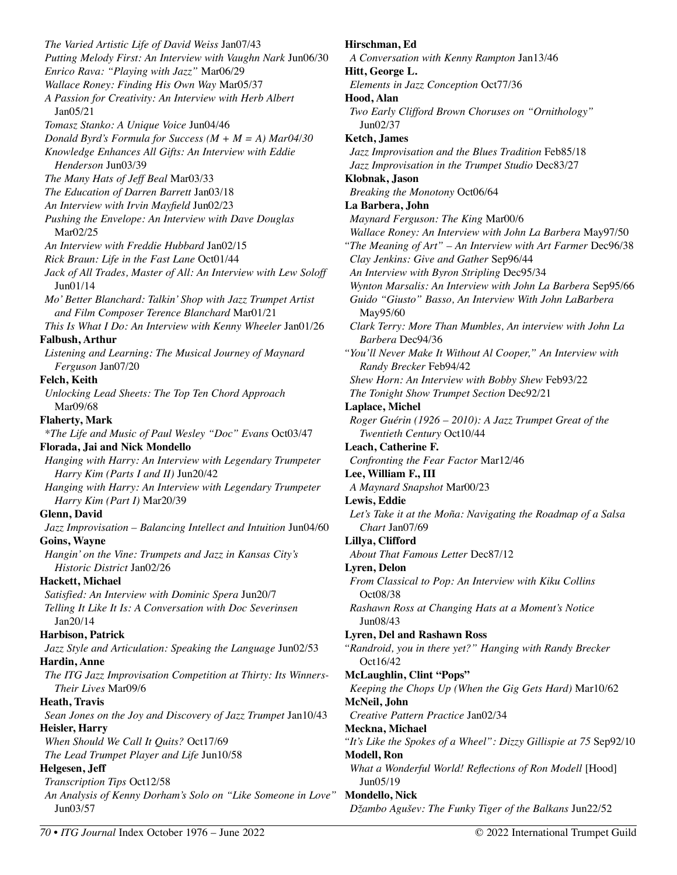*The Varied Artistic Life of David Weiss* Jan07/43 *Putting Melody First: An Interview with Vaughn Nark* Jun06/30 *Enrico Rava: "Playing with Jazz"* Mar06/29 *Wallace Roney: Finding His Own Way* Mar05/37 *A Passion for Creativity: An Interview with Herb Albert*  Jan05/21 *Tomasz Stanko: A Unique Voice* Jun04/46 *Donald Byrd's Formula for Success (M + M = A) Mar04/30 Knowledge Enhances All Gifts: An Interview with Eddie Henderson* Jun03/39 *The Many Hats of Jeff Beal* Mar03/33 *The Education of Darren Barrett* Jan03/18 *An Interview with Irvin Mayfield* Jun02/23 *Pushing the Envelope: An Interview with Dave Douglas* Mar02/25 *An Interview with Freddie Hubbard* Jan02/15 *Rick Braun: Life in the Fast Lane* Oct01/44 *Jack of All Trades, Master of All: An Interview with Lew Soloff*  Jun01/14 *Mo' Better Blanchard: Talkin' Shop with Jazz Trumpet Artist and Film Composer Terence Blanchard* Mar01/21 *This Is What I Do: An Interview with Kenny Wheeler* Jan01/26 **Falbush, Arthur**  *Listening and Learning: The Musical Journey of Maynard Ferguson* Jan07/20 **Felch, Keith**  *Unlocking Lead Sheets: The Top Ten Chord Approach*  Mar09/68 **Flaherty, Mark**  *\*The Life and Music of Paul Wesley "Doc" Evans* Oct03/47 **Florada, Jai and Nick Mondello**  *Hanging with Harry: An Interview with Legendary Trumpeter Harry Kim (Parts I and II)* Jun20/42 *Hanging with Harry: An Interview with Legendary Trumpeter Harry Kim (Part I)* Mar20/39 **Glenn, David**  *Jazz Improvisation – Balancing Intellect and Intuition* Jun04/60 **Goins, Wayne**  *Hangin' on the Vine: Trumpets and Jazz in Kansas City's Historic District* Jan02/26 **Hackett, Michael**  *Satisfied: An Interview with Dominic Spera* Jun20/7 *Telling It Like It Is: A Conversation with Doc Severinsen*  Jan20/14 **Harbison, Patrick**  *Jazz Style and Articulation: Speaking the Language* Jun02/53 **Hardin, Anne**  *The ITG Jazz Improvisation Competition at Thirty: Its Winners-Their Lives* Mar09/6 **Heath, Travis**  *Sean Jones on the Joy and Discovery of Jazz Trumpet* Jan10/43 **Heisler, Harry**  *When Should We Call It Quits?* Oct17/69 *The Lead Trumpet Player and Life* Jun10/58 **Helgesen, Jeff**  *Transcription Tips* Oct12/58 *An Analysis of Kenny Dorham's Solo on "Like Someone in Love"* **Mondello, Nick**  Jun03/57

**Hirschman, Ed**  *A Conversation with Kenny Rampton* Jan13/46 **Hitt, George L.**  *Elements in Jazz Conception* Oct77/36 **Hood, Alan**  *Two Early Clifford Brown Choruses on "Ornithology"*  Jun02/37 **Ketch, James**  *Jazz Improvisation and the Blues Tradition* Feb85/18 *Jazz Improvisation in the Trumpet Studio* Dec83/27 **Klobnak, Jason**  *Breaking the Monotony* Oct06/64 **La Barbera, John**  *Maynard Ferguson: The King* Mar00/6 *Wallace Roney: An Interview with John La Barbera* May97/50 *"The Meaning of Art" – An Interview with Art Farmer* Dec96/38 *Clay Jenkins: Give and Gather* Sep96/44 *An Interview with Byron Stripling* Dec95/34 *Wynton Marsalis: An Interview with John La Barbera* Sep95/66 *Guido "Giusto" Basso, An Interview With John LaBarbera*  May95/60 *Clark Terry: More Than Mumbles, An interview with John La Barbera* Dec94/36 *"You'll Never Make It Without Al Cooper," An Interview with Randy Brecker* Feb94/42 *Shew Horn: An Interview with Bobby Shew* Feb93/22 *The Tonight Show Trumpet Section* Dec92/21 **Laplace, Michel**  *Roger Guérin (1926 – 2010): A Jazz Trumpet Great of the Twentieth Century* Oct10/44 **Leach, Catherine F.**  *Confronting the Fear Factor* Mar12/46 **Lee, William F., III**  *A Maynard Snapshot* Mar00/23 **Lewis, Eddie**  *Let's Take it at the Moña: Navigating the Roadmap of a Salsa Chart* Jan07/69 **Lillya, Clifford**  *About That Famous Letter* Dec87/12 **Lyren, Delon**  *From Classical to Pop: An Interview with Kiku Collins*  Oct08/38 *Rashawn Ross at Changing Hats at a Moment's Notice*  Jun08/43 **Lyren, Del and Rashawn Ross**  *"Randroid, you in there yet?" Hanging with Randy Brecker*  Oct16/42 **McLaughlin, Clint "Pops"**  *Keeping the Chops Up (When the Gig Gets Hard)* Mar10/62 **McNeil, John**  *Creative Pattern Practice* Jan02/34 **Meckna, Michael**  *"It's Like the Spokes of a Wheel": Dizzy Gillispie at 75* Sep92/10 **Modell, Ron**  *What a Wonderful World! Reflections of Ron Modell* [Hood] Jun05/19

*Džambo Agušev: The Funky Tiger of the Balkans* Jun22/52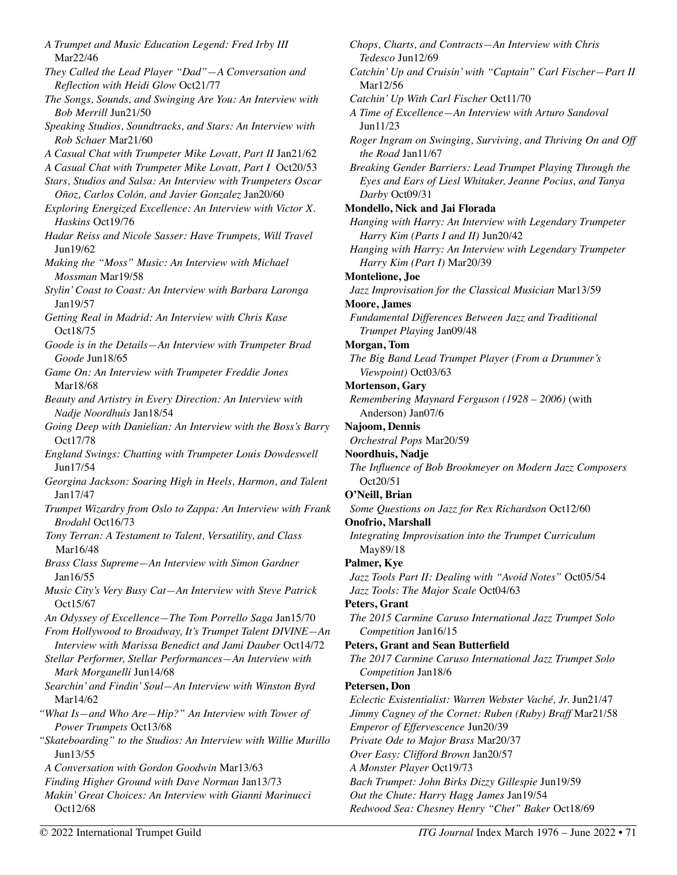*A Trumpet and Music Education Legend: Fred Irby III*  Mar22/46 *They Called the Lead Player "Dad"—A Conversation and Reflection with Heidi Glow* Oct21/77 *The Songs, Sounds, and Swinging Are You: An Interview with Bob Merrill* Jun21/50 *Speaking Studios, Soundtracks, and Stars: An Interview with Rob Schaer* Mar21/60 *A Casual Chat with Trumpeter Mike Lovatt, Part II* Jan21/62 *A Casual Chat with Trumpeter Mike Lovatt, Part I* Oct20/53 *Stars, Studios and Salsa: An Interview with Trumpeters Oscar Oñoz, Carlos Colón, and Javier Gonzalez* Jan20/60 *Exploring Energized Excellence: An Interview with Victor X. Haskins* Oct19/76 *Hadar Reiss and Nicole Sasser: Have Trumpets, Will Travel*  Jun19/62 *Making the "Moss" Music: An Interview with Michael Mossman* Mar19/58 *Stylin' Coast to Coast: An Interview with Barbara Laronga*  Jan19/57 *Getting Real in Madrid: An Interview with Chris Kase*  Oct18/75 *Goode is in the Details—An Interview with Trumpeter Brad Goode* Jun18/65 *Game On: An Interview with Trumpeter Freddie Jones*  Mar18/68 *Beauty and Artistry in Every Direction: An Interview with Nadje Noordhuis* Jan18/54 *Going Deep with Danielian: An Interview with the Boss's Barry*  Oct17/78 *England Swings: Chatting with Trumpeter Louis Dowdeswell*  Jun17/54 *Georgina Jackson: Soaring High in Heels, Harmon, and Talent*  Jan17/47 *Trumpet Wizardry from Oslo to Zappa: An Interview with Frank Brodahl* Oct16/73 *Tony Terran: A Testament to Talent, Versatility, and Class*  Mar16/48 *Brass Class Supreme—An Interview with Simon Gardner*  Jan16/55 *Music City's Very Busy Cat—An Interview with Steve Patrick*  Oct15/67 *An Odyssey of Excellence—The Tom Porrello Saga* Jan15/70 *From Hollywood to Broadway, It's Trumpet Talent DIVINE—An Interview with Marissa Benedict and Jami Dauber* Oct14/72 *Stellar Performer, Stellar Performances—An Interview with Mark Morganelli* Jun14/68 *Searchin' and Findin' Soul—An Interview with Winston Byrd*  Mar14/62 *"What Is—and Who Are—Hip?" An Interview with Tower of Power Trumpets* Oct13/68 *"Skateboarding" to the Studios: An Interview with Willie Murillo*  Jun13/55 *A Conversation with Gordon Goodwin* Mar13/63 *Finding Higher Ground with Dave Norman* Jan13/73 *Makin' Great Choices: An Interview with Gianni Marinucci*  Oct12/68

*Chops, Charts, and Contracts—An Interview with Chris Tedesco* Jun12/69 *Catchin' Up and Cruisin' with "Captain" Carl Fischer—Part II*  Mar12/56 *Catchin' Up With Carl Fischer* Oct11/70 *A Time of Excellence—An Interview with Arturo Sandoval*  Jun11/23 *Roger Ingram on Swinging, Surviving, and Thriving On and Off the Road* Jan11/67 *Breaking Gender Barriers: Lead Trumpet Playing Through the Eyes and Ears of Liesl Whitaker, Jeanne Pocius, and Tanya Darby* Oct09/31 **Mondello, Nick and Jai Florada**  *Hanging with Harry: An Interview with Legendary Trumpeter Harry Kim (Parts I and II)* Jun20/42 *Hanging with Harry: An Interview with Legendary Trumpeter Harry Kim (Part I)* Mar20/39 **Montelione, Joe**  *Jazz Improvisation for the Classical Musician* Mar13/59 **Moore, James**  *Fundamental Differences Between Jazz and Traditional Trumpet Playing* Jan09/48 **Morgan, Tom**  *The Big Band Lead Trumpet Player (From a Drummer's Viewpoint)* Oct03/63 **Mortenson, Gary**  *Remembering Maynard Ferguson (1928 – 2006)* (with Anderson) Jan07/6 **Najoom, Dennis**  *Orchestral Pops* Mar20/59 **Noordhuis, Nadje**  *The Influence of Bob Brookmeyer on Modern Jazz Composers*  Oct20/51 **O'Neill, Brian**  *Some Questions on Jazz for Rex Richardson* Oct12/60 **Onofrio, Marshall**  *Integrating Improvisation into the Trumpet Curriculum*  May89/18 **Palmer, Kye**  *Jazz Tools Part II: Dealing with "Avoid Notes"* Oct05/54 *Jazz Tools: The Major Scale* Oct04/63 **Peters, Grant**  *The 2015 Carmine Caruso International Jazz Trumpet Solo Competition* Jan16/15 **Peters, Grant and Sean Butterfield**  *The 2017 Carmine Caruso International Jazz Trumpet Solo Competition* Jan18/6 **Petersen, Don**  *Eclectic Existentialist: Warren Webster Vaché, Jr.* Jun21/47 *Jimmy Cagney of the Cornet: Ruben (Ruby) Braff* Mar21/58 *Emperor of Effervescence* Jun20/39 *Private Ode to Major Brass* Mar20/37 *Over Easy: Clifford Brown* Jan20/57 *A Monster Player* Oct19/73 *Bach Trumpet: John Birks Dizzy Gillespie* Jun19/59 *Out the Chute: Harry Hagg James* Jan19/54 *Redwood Sea: Chesney Henry "Chet" Baker* Oct18/69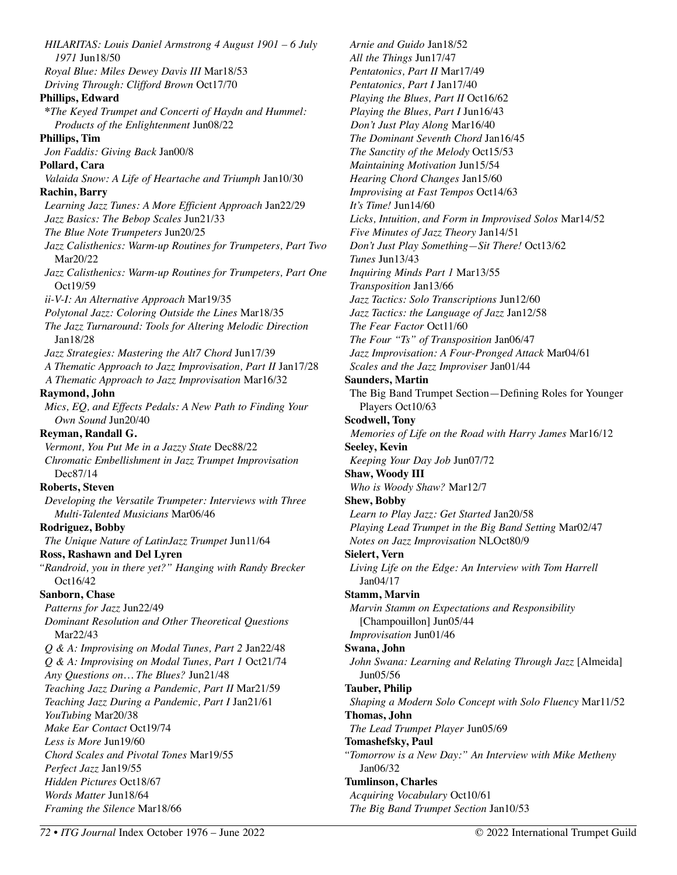*HILARITAS: Louis Daniel Armstrong 4 August 1901 – 6 July 1971* Jun18/50 *Royal Blue: Miles Dewey Davis III* Mar18/53 *Driving Through: Clifford Brown* Oct17/70 **Phillips, Edward \****The Keyed Trumpet and Concerti of Haydn and Hummel: Products of the Enlightenment* Jun08/22 **Phillips, Tim**  *Jon Faddis: Giving Back* Jan00/8 **Pollard, Cara**  *Valaida Snow: A Life of Heartache and Triumph* Jan10/30 **Rachin, Barry**  *Learning Jazz Tunes: A More Efficient Approach* Jan22/29 *Jazz Basics: The Bebop Scales* Jun21/33 *The Blue Note Trumpeters* Jun20/25 *Jazz Calisthenics: Warm-up Routines for Trumpeters, Part Two*  Mar20/22 *Jazz Calisthenics: Warm-up Routines for Trumpeters, Part One*  Oct19/59 *ii-V-I: An Alternative Approach* Mar19/35 *Polytonal Jazz: Coloring Outside the Lines* Mar18/35 *The Jazz Turnaround: Tools for Altering Melodic Direction*  Jan18/28 *Jazz Strategies: Mastering the Alt7 Chord* Jun17/39 *A Thematic Approach to Jazz Improvisation, Part II* Jan17/28 *A Thematic Approach to Jazz Improvisation* Mar16/32 **Raymond, John**  *Mics, EQ, and Effects Pedals: A New Path to Finding Your Own Sound* Jun20/40 **Reyman, Randall G.**  *Vermont, You Put Me in a Jazzy State* Dec88/22 *Chromatic Embellishment in Jazz Trumpet Improvisation*  Dec87/14 **Roberts, Steven**  *Developing the Versatile Trumpeter: Interviews with Three Multi-Talented Musicians* Mar06/46 **Rodriguez, Bobby**  *The Unique Nature of LatinJazz Trumpet* Jun11/64 **Ross, Rashawn and Del Lyren**  *"Randroid, you in there yet?" Hanging with Randy Brecker*  Oct16/42 **Sanborn, Chase**  *Patterns for Jazz* Jun22/49 *Dominant Resolution and Other Theoretical Questions*  Mar22/43 *Q & A: Improvising on Modal Tunes, Part 2* Jan22/48 *Q & A: Improvising on Modal Tunes, Part 1* Oct21/74 *Any Questions on… The Blues?* Jun21/48 *Teaching Jazz During a Pandemic, Part II* Mar21/59 *Teaching Jazz During a Pandemic, Part I* Jan21/61 *YouTubing* Mar20/38 *Make Ear Contact* Oct19/74 *Less is More* Jun19/60 *Chord Scales and Pivotal Tones* Mar19/55 *Perfect Jazz* Jan19/55 *Hidden Pictures* Oct18/67 *Words Matter* Jun18/64 *Framing the Silence* Mar18/66

*Arnie and Guido* Jan18/52 *All the Things* Jun17/47 *Pentatonics, Part II* Mar17/49 *Pentatonics, Part I* Jan17/40 *Playing the Blues, Part II* Oct16/62 *Playing the Blues, Part I* Jun16/43 *Don't Just Play Along* Mar16/40 *The Dominant Seventh Chord* Jan16/45 *The Sanctity of the Melody* Oct15/53 *Maintaining Motivation* Jun15/54 *Hearing Chord Changes* Jan15/60 *Improvising at Fast Tempos* Oct14/63 *It's Time!* Jun14/60 *Licks, Intuition, and Form in Improvised Solos* Mar14/52 *Five Minutes of Jazz Theory* Jan14/51 *Don't Just Play Something—Sit There!* Oct13/62 *Tunes* Jun13/43 *Inquiring Minds Part 1* Mar13/55 *Transposition* Jan13/66 *Jazz Tactics: Solo Transcriptions* Jun12/60 *Jazz Tactics: the Language of Jazz* Jan12/58 *The Fear Factor* Oct11/60 *The Four "Ts" of Transposition* Jan06/47 *Jazz Improvisation: A Four-Pronged Attack* Mar04/61 *Scales and the Jazz Improviser* Jan01/44 **Saunders, Martin**  The Big Band Trumpet Section—Defining Roles for Younger Players Oct10/63 **Scodwell, Tony**  *Memories of Life on the Road with Harry James* Mar16/12 **Seeley, Kevin**  *Keeping Your Day Job* Jun07/72 **Shaw, Woody III**  *Who is Woody Shaw?* Mar12/7 **Shew, Bobby**  *Learn to Play Jazz: Get Started* Jan20/58 *Playing Lead Trumpet in the Big Band Setting* Mar02/47 *Notes on Jazz Improvisation* NLOct80/9 **Sielert, Vern**  *Living Life on the Edge: An Interview with Tom Harrell*  Jan04/17 **Stamm, Marvin**  *Marvin Stamm on Expectations and Responsibility* [Champouillon] Jun05/44 *Improvisation* Jun01/46 **Swana, John**  *John Swana: Learning and Relating Through Jazz* [Almeida] Jun05/56 **Tauber, Philip**  *Shaping a Modern Solo Concept with Solo Fluency* Mar11/52 **Thomas, John**  *The Lead Trumpet Player* Jun05/69 **Tomashefsky, Paul**  *"Tomorrow is a New Day:" An Interview with Mike Metheny*  Jan06/32 **Tumlinson, Charles**  *Acquiring Vocabulary* Oct10/61 *The Big Band Trumpet Section* Jan10/53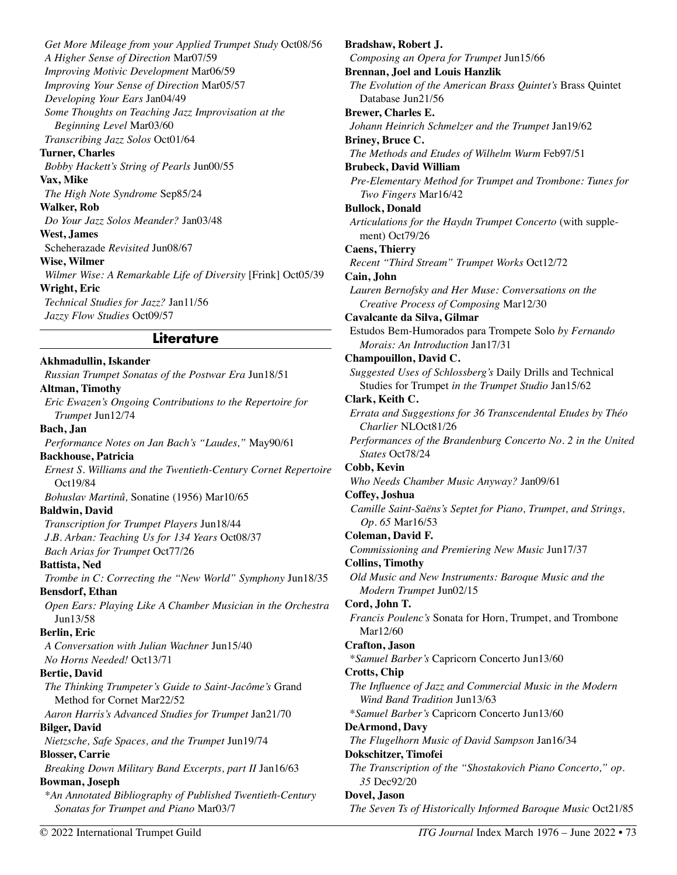*Get More Mileage from your Applied Trumpet Study* Oct08/56 *A Higher Sense of Direction* Mar07/59 *Improving Motivic Development* Mar06/59 *Improving Your Sense of Direction* Mar05/57 *Developing Your Ears* Jan04/49 *Some Thoughts on Teaching Jazz Improvisation at the Beginning Level* Mar03/60 *Transcribing Jazz Solos* Oct01/64 **Turner, Charles**  *Bobby Hackett's String of Pearls* Jun00/55 **Vax, Mike**  *The High Note Syndrome* Sep85/24 **Walker, Rob**  *Do Your Jazz Solos Meander?* Jan03/48 **West, James**  Scheherazade *Revisited* Jun08/67 **Wise, Wilmer**  *Wilmer Wise: A Remarkable Life of Diversity* [Frink] Oct05/39 **Wright, Eric**  *Technical Studies for Jazz?* Jan11/56 *Jazzy Flow Studies* Oct09/57

#### **Literature**

**Akhmadullin, Iskander**  *Russian Trumpet Sonatas of the Postwar Era* Jun18/51 **Altman, Timothy**  *Eric Ewazen's Ongoing Contributions to the Repertoire for Trumpet* Jun12/74 **Bach, Jan**  *Performance Notes on Jan Bach's "Laudes,"* May90/61 **Backhouse, Patricia**  *Ernest S. Williams and the Twentieth-Century Cornet Repertoire*  Oct19/84 *Bohuslav Martinů,* Sonatine (1956) Mar10/65 **Baldwin, David**  *Transcription for Trumpet Players* Jun18/44 *J.B. Arban: Teaching Us for 134 Years* Oct08/37 *Bach Arias for Trumpet* Oct77/26 **Battista, Ned**  *Trombe in C: Correcting the "New World" Symphony* Jun18/35 **Bensdorf, Ethan**  *Open Ears: Playing Like A Chamber Musician in the Orchestra*  Jun13/58 **Berlin, Eric**  *A Conversation with Julian Wachner* Jun15/40 *No Horns Needed!* Oct13/71 **Bertie, David**  *The Thinking Trumpeter's Guide to Saint-Jacôme's* Grand Method for Cornet Mar22/52 *Aaron Harris's Advanced Studies for Trumpet* Jan21/70 **Bilger, David**  *Nietzsche, Safe Spaces, and the Trumpet* Jun19/74 **Blosser, Carrie**  *Breaking Down Military Band Excerpts, part II* Jan16/63 **Bowman, Joseph**  *\*An Annotated Bibliography of Published Twentieth-Century Sonatas for Trumpet and Piano* Mar03/7

**Bradshaw, Robert J.**  *Composing an Opera for Trumpet* Jun15/66 **Brennan, Joel and Louis Hanzlik**  *The Evolution of the American Brass Quintet's* Brass Quintet Database Jun21/56 **Brewer, Charles E.**  *Johann Heinrich Schmelzer and the Trumpet* Jan19/62 **Briney, Bruce C.**  *The Methods and Etudes of Wilhelm Wurm* Feb97/51 **Brubeck, David William**  *Pre-Elementary Method for Trumpet and Trombone: Tunes for Two Fingers* Mar16/42 **Bullock, Donald**  *Articulations for the Haydn Trumpet Concerto* (with supplement) Oct79/26 **Caens, Thierry**  *Recent "Third Stream" Trumpet Works* Oct12/72 **Cain, John**  *Lauren Bernofsky and Her Muse: Conversations on the Creative Process of Composing* Mar12/30 **Cavalcante da Silva, Gilmar**  Estudos Bem-Humorados para Trompete Solo *by Fernando Morais: An Introduction* Jan17/31 **Champouillon, David C.**  *Suggested Uses of Schlossberg's* Daily Drills and Technical Studies for Trumpet *in the Trumpet Studio* Jan15/62 **Clark, Keith C.**  *Errata and Suggestions for 36 Transcendental Etudes by Théo Charlier* NLOct81/26 *Performances of the Brandenburg Concerto No. 2 in the United States* Oct78/24 **Cobb, Kevin**  *Who Needs Chamber Music Anyway?* Jan09/61 **Coffey, Joshua**  *Camille Saint-Saëns's Septet for Piano, Trumpet, and Strings, Op. 65* Mar16/53 **Coleman, David F.**  *Commissioning and Premiering New Music* Jun17/37 **Collins, Timothy**  *Old Music and New Instruments: Baroque Music and the Modern Trumpet* Jun02/15 **Cord, John T.**  *Francis Poulenc's* Sonata for Horn, Trumpet, and Trombone Mar12/60 **Crafton, Jason**  \**Samuel Barber's* Capricorn Concerto Jun13/60 **Crotts, Chip**  *The Influence of Jazz and Commercial Music in the Modern Wind Band Tradition* Jun13/63 \**Samuel Barber's* Capricorn Concerto Jun13/60 **DeArmond, Davy**  *The Flugelhorn Music of David Sampson* Jan16/34 **Dokschitzer, Timofei**  *The Transcription of the "Shostakovich Piano Concerto," op. 35* Dec92/20 **Dovel, Jason**  *The Seven Ts of Historically Informed Baroque Music* Oct21/85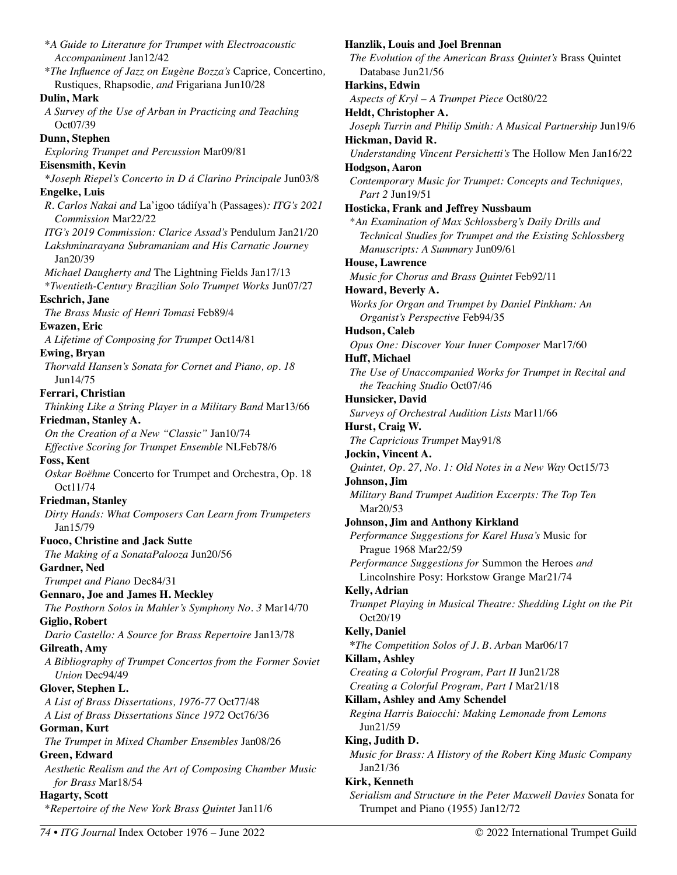\**A Guide to Literature for Trumpet with Electroacoustic Accompaniment* Jan12/42 \**The Influence of Jazz on Eugène Bozza's* Caprice*,* Concertino*,* Rustiques*,* Rhapsodie*, and* Frigariana Jun10/28 **Dulin, Mark**  *A Survey of the Use of Arban in Practicing and Teaching*  Oct07/39 **Dunn, Stephen**  *Exploring Trumpet and Percussion* Mar09/81 **Eisensmith, Kevin**  *\*Joseph Riepel's Concerto in D á Clarino Principale* Jun03/8 **Engelke, Luis**  *R. Carlos Nakai and* La'igoo tádiíya'h (Passages)*: ITG's 2021 Commission* Mar22/22 *ITG's 2019 Commission: Clarice Assad's* Pendulum Jan21/20 *Lakshminarayana Subramaniam and His Carnatic Journey*  Jan20/39 *Michael Daugherty and* The Lightning Fields Jan17/13 \**Twentieth-Century Brazilian Solo Trumpet Works* Jun07/27 **Eschrich, Jane**  *The Brass Music of Henri Tomasi* Feb89/4 **Ewazen, Eric**  *A Lifetime of Composing for Trumpet* Oct14/81 **Ewing, Bryan**  *Thorvald Hansen's Sonata for Cornet and Piano, op. 18*  Jun14/75 **Ferrari, Christian**  *Thinking Like a String Player in a Military Band* Mar13/66 **Friedman, Stanley A.**  *On the Creation of a New "Classic"* Jan10/74 *Effective Scoring for Trumpet Ensemble* NLFeb78/6 **Foss, Kent**  *Oskar Boëhme* Concerto for Trumpet and Orchestra, Op. 18 Oct11/74 **Friedman, Stanley**  *Dirty Hands: What Composers Can Learn from Trumpeters*  Jan15/79 **Fuoco, Christine and Jack Sutte**  *The Making of a SonataPalooza* Jun20/56 **Gardner, Ned**  *Trumpet and Piano* Dec84/31 **Gennaro, Joe and James H. Meckley**  *The Posthorn Solos in Mahler's Symphony No. 3* Mar14/70 **Giglio, Robert**  *Dario Castello: A Source for Brass Repertoire* Jan13/78 **Gilreath, Amy**  *A Bibliography of Trumpet Concertos from the Former Soviet Union* Dec94/49 **Glover, Stephen L.**  *A List of Brass Dissertations, 1976-77* Oct77/48 *A List of Brass Dissertations Since 1972* Oct76/36 **Gorman, Kurt**  *The Trumpet in Mixed Chamber Ensembles* Jan08/26 **Green, Edward**  *Aesthetic Realism and the Art of Composing Chamber Music for Brass* Mar18/54 **Hagarty, Scott**  \**Repertoire of the New York Brass Quintet* Jan11/6

**Hanzlik, Louis and Joel Brennan**  *The Evolution of the American Brass Quintet's* Brass Quintet Database Jun21/56 **Harkins, Edwin**  *Aspects of Kryl – A Trumpet Piece* Oct80/22 **Heldt, Christopher A.**  *Joseph Turrin and Philip Smith: A Musical Partnership* Jun19/6 **Hickman, David R.**  *Understanding Vincent Persichetti's* The Hollow Men Jan16/22 **Hodgson, Aaron**  *Contemporary Music for Trumpet: Concepts and Techniques, Part 2* Jun19/51 **Hosticka, Frank and Jeffrey Nussbaum**  \**An Examination of Max Schlossberg's Daily Drills and Technical Studies for Trumpet and the Existing Schlossberg Manuscripts: A Summary* Jun09/61 **House, Lawrence**  *Music for Chorus and Brass Quintet* Feb92/11 **Howard, Beverly A.**  *Works for Organ and Trumpet by Daniel Pinkham: An Organist's Perspective* Feb94/35 **Hudson, Caleb**  *Opus One: Discover Your Inner Composer* Mar17/60 **Huff, Michael**  *The Use of Unaccompanied Works for Trumpet in Recital and the Teaching Studio* Oct07/46 **Hunsicker, David**  *Surveys of Orchestral Audition Lists* Mar11/66 **Hurst, Craig W.**  *The Capricious Trumpet* May91/8 **Jockin, Vincent A.**  *Quintet, Op. 27, No. 1: Old Notes in a New Way* Oct15/73 **Johnson, Jim**  *Military Band Trumpet Audition Excerpts: The Top Ten*  Mar20/53 **Johnson, Jim and Anthony Kirkland**  *Performance Suggestions for Karel Husa's* Music for Prague 1968 Mar22/59 *Performance Suggestions for* Summon the Heroes *and*  Lincolnshire Posy: Horkstow Grange Mar21/74 **Kelly, Adrian**  *Trumpet Playing in Musical Theatre: Shedding Light on the Pit* Oct20/19 **Kelly, Daniel \****The Competition Solos of J. B. Arban* Mar06/17 **Killam, Ashley**  *Creating a Colorful Program, Part II* Jun21/28 *Creating a Colorful Program, Part I* Mar21/18 **Killam, Ashley and Amy Schendel**  *Regina Harris Baiocchi: Making Lemonade from Lemons*  Jun21/59 **King, Judith D.**  *Music for Brass: A History of the Robert King Music Company*  Jan21/36 **Kirk, Kenneth**  *Serialism and Structure in the Peter Maxwell Davies* Sonata for

Trumpet and Piano (1955) Jan12/72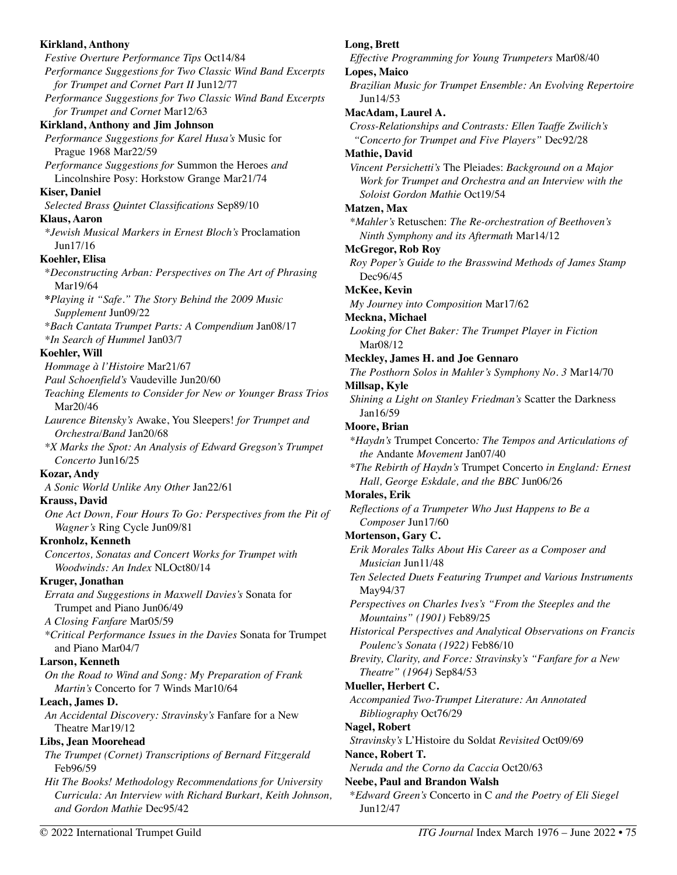**Kirkland, Anthony**  *Festive Overture Performance Tips* Oct14/84 *Performance Suggestions for Two Classic Wind Band Excerpts for Trumpet and Cornet Part II* Jun12/77 *Performance Suggestions for Two Classic Wind Band Excerpts for Trumpet and Cornet* Mar12/63 **Kirkland, Anthony and Jim Johnson**  *Performance Suggestions for Karel Husa's* Music for Prague 1968 Mar22/59 *Performance Suggestions for* Summon the Heroes *and*  Lincolnshire Posy: Horkstow Grange Mar21/74 **Kiser, Daniel**  *Selected Brass Quintet Classifications* Sep89/10 **Klaus, Aaron**  *\*Jewish Musical Markers in Ernest Bloch's* Proclamation Jun17/16 **Koehler, Elisa**  \**Deconstructing Arban: Perspectives on The Art of Phrasing*  Mar19/64 **\****Playing it "Safe." The Story Behind the 2009 Music Supplement* Jun09/22 \**Bach Cantata Trumpet Parts: A Compendium* Jan08/17 *\*In Search of Hummel* Jan03/7 **Koehler, Will**  *Hommage à l'Histoire* Mar21/67 *Paul Schoenfield's* Vaudeville Jun20/60 *Teaching Elements to Consider for New or Younger Brass Trios*  Mar20/46 *Laurence Bitensky's* Awake, You Sleepers! *for Trumpet and Orchestra/Band* Jan20/68 *\*X Marks the Spot: An Analysis of Edward Gregson's Trumpet Concerto* Jun16/25 **Kozar, Andy**  *A Sonic World Unlike Any Other* Jan22/61 **Krauss, David**  *One Act Down, Four Hours To Go: Perspectives from the Pit of Wagner's* Ring Cycle Jun09/81 **Kronholz, Kenneth**  *Concertos, Sonatas and Concert Works for Trumpet with Woodwinds: An Index* NLOct80/14 **Kruger, Jonathan**  *Errata and Suggestions in Maxwell Davies's* Sonata for Trumpet and Piano Jun06/49 *A Closing Fanfare* Mar05/59 *\*Critical Performance Issues in the Davies* Sonata for Trumpet and Piano Mar04/7 **Larson, Kenneth**  *On the Road to Wind and Song: My Preparation of Frank Martin's* Concerto for 7 Winds Mar10/64 **Leach, James D.**  *An Accidental Discovery: Stravinsky's* Fanfare for a New Theatre Mar19/12 **Libs, Jean Moorehead**  *The Trumpet (Cornet) Transcriptions of Bernard Fitzgerald*  Feb96/59 *Hit The Books! Methodology Recommendations for University Curricula: An Interview with Richard Burkart, Keith Johnson, and Gordon Mathie* Dec95/42 © 2022 International Trumpet Guild *ITG Journal* Index March 1976 – June 2022 • 75

## **Long, Brett**

*Effective Programming for Young Trumpeters* Mar08/40 **Lopes, Maico** 

*Brazilian Music for Trumpet Ensemble: An Evolving Repertoire*  Jun14/53

#### **MacAdam, Laurel A.**

*Cross-Relationships and Contrasts: Ellen Taaffe Zwilich's "Concerto for Trumpet and Five Players"* Dec92/28

#### **Mathie, David**

*Vincent Persichetti's* The Pleiades: *Background on a Major Work for Trumpet and Orchestra and an Interview with the Soloist Gordon Mathie* Oct19/54

#### **Matzen, Max**

*\*Mahler's* Retuschen: *The Re-orchestration of Beethoven's Ninth Symphony and its Aftermath* Mar14/12

#### **McGregor, Rob Roy**

*Roy Poper's Guide to the Brasswind Methods of James Stamp*  Dec96/45

## **McKee, Kevin**

*My Journey into Composition* Mar17/62

#### **Meckna, Michael**

*Looking for Chet Baker: The Trumpet Player in Fiction* Mar08/12

#### **Meckley, James H. and Joe Gennaro**

*The Posthorn Solos in Mahler's Symphony No. 3* Mar14/70 **Millsap, Kyle** 

*Shining a Light on Stanley Friedman's* Scatter the Darkness Jan16/59

## **Moore, Brian**

*\*Haydn's* Trumpet Concerto*: The Tempos and Articulations of the* Andante *Movement* Jan07/40

*\*The Rebirth of Haydn's* Trumpet Concerto *in England: Ernest Hall, George Eskdale, and the BBC* Jun06/26

## **Morales, Erik**

*Reflections of a Trumpeter Who Just Happens to Be a Composer* Jun17/60

## **Mortenson, Gary C.**

*Erik Morales Talks About His Career as a Composer and Musician* Jun11/48

*Ten Selected Duets Featuring Trumpet and Various Instruments*  May94/37

*Perspectives on Charles Ives's "From the Steeples and the Mountains" (1901)* Feb89/25

*Historical Perspectives and Analytical Observations on Francis Poulenc's Sonata (1922)* Feb86/10

*Brevity, Clarity, and Force: Stravinsky's "Fanfare for a New Theatre" (1964)* Sep84/53

## **Mueller, Herbert C.**

*Accompanied Two-Trumpet Literature: An Annotated Bibliography* Oct76/29

## **Nagel, Robert**

*Stravinsky's* L'Histoire du Soldat *Revisited* Oct09/69 **Nance, Robert T.** 

*Neruda and the Corno da Caccia* Oct20/63

# **Neebe, Paul and Brandon Walsh**

\**Edward Green's* Concerto in C *and the Poetry of Eli Siegel*  Jun12/47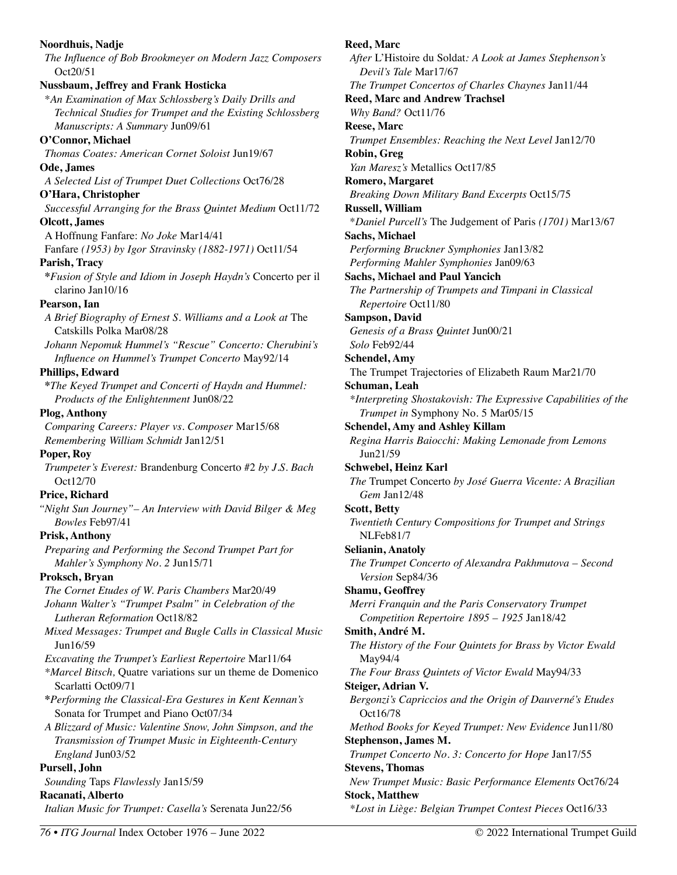## **Noordhuis, Nadje**  *The Influence of Bob Brookmeyer on Modern Jazz Composers*  Oct20/51 **Nussbaum, Jeffrey and Frank Hosticka**  \**An Examination of Max Schlossberg's Daily Drills and Technical Studies for Trumpet and the Existing Schlossberg Manuscripts: A Summary* Jun09/61 **O'Connor, Michael**  *Thomas Coates: American Cornet Soloist* Jun19/67 **Ode, James**  *A Selected List of Trumpet Duet Collections* Oct76/28 **O'Hara, Christopher**  *Successful Arranging for the Brass Quintet Medium* Oct11/72 **Olcott, James**  A Hoffnung Fanfare: *No Joke* Mar14/41 Fanfare *(1953) by Igor Stravinsky (1882-1971)* Oct11/54 **Parish, Tracy \****Fusion of Style and Idiom in Joseph Haydn's* Concerto per il clarino Jan10/16 **Pearson, Ian**  *A Brief Biography of Ernest S. Williams and a Look at* The Catskills Polka Mar08/28 *Johann Nepomuk Hummel's "Rescue" Concerto: Cherubini's Influence on Hummel's Trumpet Concerto* May92/14 **Phillips, Edward \****The Keyed Trumpet and Concerti of Haydn and Hummel: Products of the Enlightenment* Jun08/22 **Plog, Anthony**  *Comparing Careers: Player vs. Composer* Mar15/68 *Remembering William Schmidt* Jan12/51 **Poper, Roy**  *Trumpeter's Everest:* Brandenburg Concerto #2 *by J.S. Bach*  Oct12/70 **Price, Richard**  *"Night Sun Journey"– An Interview with David Bilger & Meg Bowles* Feb97/41 **Prisk, Anthony**  *Preparing and Performing the Second Trumpet Part for Mahler's Symphony No. 2* Jun15/71 **Proksch, Bryan**  *The Cornet Etudes of W. Paris Chambers* Mar20/49 *Johann Walter's "Trumpet Psalm" in Celebration of the Lutheran Reformation* Oct18/82 *Mixed Messages: Trumpet and Bugle Calls in Classical Music*  Jun16/59 *Excavating the Trumpet's Earliest Repertoire* Mar11/64 *\*Marcel Bitsch,* Quatre variations sur un theme de Domenico Scarlatti Oct09/71 **\****Performing the Classical-Era Gestures in Kent Kennan's*  Sonata for Trumpet and Piano Oct07/34 *A Blizzard of Music: Valentine Snow, John Simpson, and the Transmission of Trumpet Music in Eighteenth-Century England* Jun03/52 **Pursell, John**  *Sounding* Taps *Flawlessly* Jan15/59 **Racanati, Alberto**  *Italian Music for Trumpet: Casella's* Serenata Jun22/56

## **Reed, Marc**  *After* L'Histoire du Soldat*: A Look at James Stephenson's Devil's Tale* Mar17/67 *The Trumpet Concertos of Charles Chaynes* Jan11/44 **Reed, Marc and Andrew Trachsel**  *Why Band?* Oct11/76 **Reese, Marc**  *Trumpet Ensembles: Reaching the Next Level* Jan12/70 **Robin, Greg**  *Yan Maresz's* Metallics Oct17/85 **Romero, Margaret**  *Breaking Down Military Band Excerpts* Oct15/75 **Russell, William**  \**Daniel Purcell's* The Judgement of Paris *(1701)* Mar13/67 **Sachs, Michael**  *Performing Bruckner Symphonies* Jan13/82 *Performing Mahler Symphonies* Jan09/63 **Sachs, Michael and Paul Yancich**  *The Partnership of Trumpets and Timpani in Classical Repertoire* Oct11/80 **Sampson, David**  *Genesis of a Brass Quintet* Jun00/21 *Solo* Feb92/44 **Schendel, Amy**  The Trumpet Trajectories of Elizabeth Raum Mar21/70 **Schuman, Leah**  *\*Interpreting Shostakovish: The Expressive Capabilities of the Trumpet in* Symphony No. 5 Mar05/15 **Schendel, Amy and Ashley Killam**  *Regina Harris Baiocchi: Making Lemonade from Lemons*  Jun21/59 **Schwebel, Heinz Karl**  *The* Trumpet Concerto *by José Guerra Vicente: A Brazilian Gem* Jan12/48 **Scott, Betty**  *Twentieth Century Compositions for Trumpet and Strings*  NLFeb81/7 **Selianin, Anatoly**  *The Trumpet Concerto of Alexandra Pakhmutova – Second Version* Sep84/36 **Shamu, Geoffrey**  *Merri Franquin and the Paris Conservatory Trumpet Competition Repertoire 1895 – 1925* Jan18/42 **Smith, André M.**  *The History of the Four Quintets for Brass by Victor Ewald*  May94/4 *The Four Brass Quintets of Victor Ewald* May94/33 **Steiger, Adrian V.**  *Bergonzi's Capriccios and the Origin of Dauverné's Etudes*  Oct16/78 *Method Books for Keyed Trumpet: New Evidence* Jun11/80 **Stephenson, James M.**  *Trumpet Concerto No. 3: Concerto for Hope* Jan17/55 **Stevens, Thomas**  *New Trumpet Music: Basic Performance Elements* Oct76/24 **Stock, Matthew**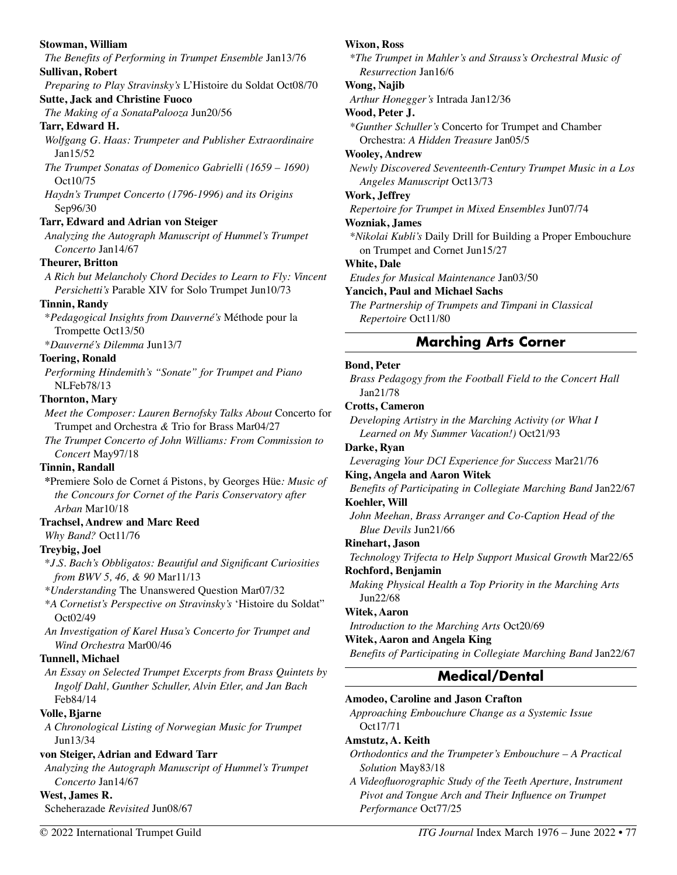#### **Stowman, William**

*The Benefits of Performing in Trumpet Ensemble* Jan13/76 **Sullivan, Robert** 

*Preparing to Play Stravinsky's* L'Histoire du Soldat Oct08/70 **Sutte, Jack and Christine Fuoco** 

*The Making of a SonataPalooza* Jun20/56

#### **Tarr, Edward H.**

- *Wolfgang G. Haas: Trumpeter and Publisher Extraordinaire* Jan15/52
- *The Trumpet Sonatas of Domenico Gabrielli (1659 1690)* Oct10/75
- *Haydn's Trumpet Concerto (1796-1996) and its Origins*  Sep96/30

#### **Tarr, Edward and Adrian von Steiger**

*Analyzing the Autograph Manuscript of Hummel's Trumpet Concerto* Jan14/67

#### **Theurer, Britton**

*A Rich but Melancholy Chord Decides to Learn to Fly: Vincent Persichetti's* Parable XIV for Solo Trumpet Jun10/73

#### **Tinnin, Randy**

\**Pedagogical Insights from Dauverné's* Méthode pour la Trompette Oct13/50

\**Dauverné's Dilemma* Jun13/7

#### **Toering, Ronald**

*Performing Hindemith's "Sonate" for Trumpet and Piano*  NLFeb78/13

#### **Thornton, Mary**

*Meet the Composer: Lauren Bernofsky Talks About* Concerto for Trumpet and Orchestra *&* Trio for Brass Mar04/27

*The Trumpet Concerto of John Williams: From Commission to Concert* May97/18

#### **Tinnin, Randall**

**\***Premiere Solo de Cornet á Pistons, by Georges Hüe*: Music of the Concours for Cornet of the Paris Conservatory after Arban* Mar10/18

#### **Trachsel, Andrew and Marc Reed**

```
Why Band? Oct11/76
```
#### **Treybig, Joel**

\**J.S. Bach's Obbligatos: Beautiful and Significant Curiosities from BWV 5, 46, & 90* Mar11/13

*\*Understanding* The Unanswered Question Mar07/32

- *\*A Cornetist's Perspective on Stravinsky's* 'Histoire du Soldat" Oct02/49
- *An Investigation of Karel Husa's Concerto for Trumpet and Wind Orchestra* Mar00/46

#### **Tunnell, Michael**

*An Essay on Selected Trumpet Excerpts from Brass Quintets by Ingolf Dahl, Gunther Schuller, Alvin Etler, and Jan Bach*  Feb84/14

## **Volle, Bjarne**

*A Chronological Listing of Norwegian Music for Trumpet*  Jun13/34

## **von Steiger, Adrian and Edward Tarr**

*Analyzing the Autograph Manuscript of Hummel's Trumpet Concerto* Jan14/67

#### **West, James R.**

Scheherazade *Revisited* Jun08/67

#### **Wixon, Ross**

*\*The Trumpet in Mahler's and Strauss's Orchestral Music of Resurrection* Jan16/6

### **Wong, Najib**

*Arthur Honegger's* Intrada Jan12/36

#### **Wood, Peter J.**

*\*Gunther Schuller's* Concerto for Trumpet and Chamber Orchestra: *A Hidden Treasure* Jan05/5

#### **Wooley, Andrew**

*Newly Discovered Seventeenth-Century Trumpet Music in a Los Angeles Manuscript* Oct13/73

#### **Work, Jeffrey**

*Repertoire for Trumpet in Mixed Ensembles* Jun07/74

#### **Wozniak, James**

*\*Nikolai Kubli's* Daily Drill for Building a Proper Embouchure on Trumpet and Cornet Jun15/27

#### **White, Dale**

*Etudes for Musical Maintenance* Jan03/50

#### **Yancich, Paul and Michael Sachs**

*The Partnership of Trumpets and Timpani in Classical Repertoire* Oct11/80

# **Marching Arts Corner**

#### **Bond, Peter**

*Brass Pedagogy from the Football Field to the Concert Hall*  Jan21/78

### **Crotts, Cameron**

*Developing Artistry in the Marching Activity (or What I Learned on My Summer Vacation!)* Oct21/93

#### **Darke, Ryan**

*Leveraging Your DCI Experience for Success* Mar21/76

## **King, Angela and Aaron Witek**

*Benefits of Participating in Collegiate Marching Band* Jan22/67 **Koehler, Will** 

*John Meehan, Brass Arranger and Co-Caption Head of the Blue Devils* Jun21/66

#### **Rinehart, Jason**

*Technology Trifecta to Help Support Musical Growth* Mar22/65 **Rochford, Benjamin** 

*Making Physical Health a Top Priority in the Marching Arts*  Jun22/68

#### **Witek, Aaron**

*Introduction to the Marching Arts* Oct20/69

#### **Witek, Aaron and Angela King**

*Benefits of Participating in Collegiate Marching Band* Jan22/67

# **Medical/Dental**

#### **Amodeo, Caroline and Jason Crafton**

*Approaching Embouchure Change as a Systemic Issue*  Oct17/71

#### **Amstutz, A. Keith**

*Orthodontics and the Trumpeter's Embouchure – A Practical Solution* May83/18

*A Videofluorographic Study of the Teeth Aperture, Instrument Pivot and Tongue Arch and Their Influence on Trumpet Performance* Oct77/25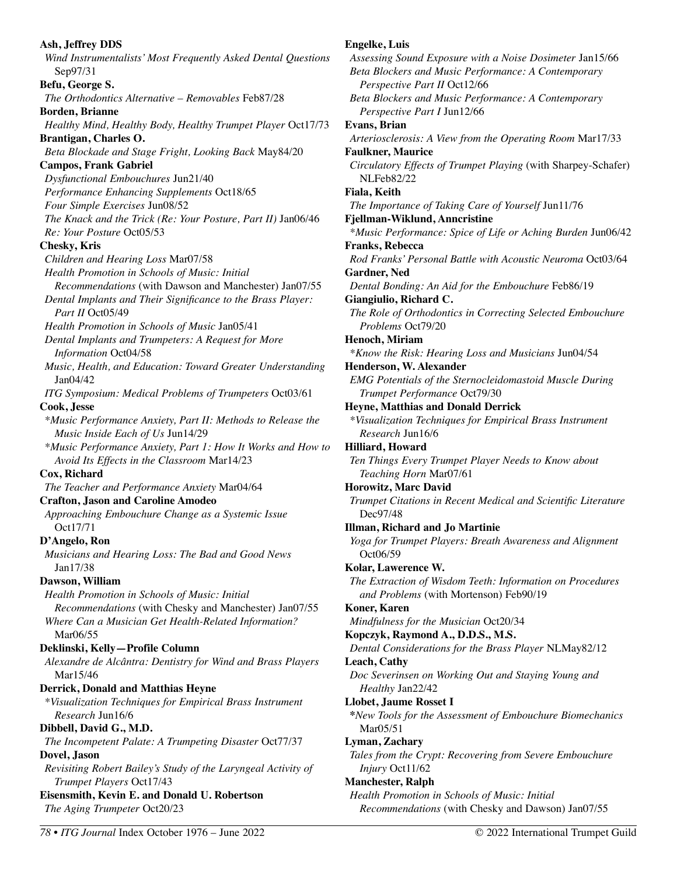**Ash, Jeffrey DDS**  *Wind Instrumentalists' Most Frequently Asked Dental Questions*  Sep97/31 **Befu, George S.**  *The Orthodontics Alternative – Removables* Feb87/28 **Borden, Brianne**  *Healthy Mind, Healthy Body, Healthy Trumpet Player* Oct17/73 **Brantigan, Charles O.**  *Beta Blockade and Stage Fright, Looking Back* May84/20 **Campos, Frank Gabriel**  *Dysfunctional Embouchures* Jun21/40 *Performance Enhancing Supplements* Oct18/65 *Four Simple Exercises* Jun08/52 *The Knack and the Trick (Re: Your Posture, Part II)* Jan06/46 *Re: Your Posture* Oct05/53 **Chesky, Kris**  *Children and Hearing Loss* Mar07/58 *Health Promotion in Schools of Music: Initial Recommendations* (with Dawson and Manchester) Jan07/55 *Dental Implants and Their Significance to the Brass Player: Part II* Oct05/49 *Health Promotion in Schools of Music* Jan05/41 *Dental Implants and Trumpeters: A Request for More Information* Oct04/58 *Music, Health, and Education: Toward Greater Understanding*  Jan04/42 *ITG Symposium: Medical Problems of Trumpeters* Oct03/61 **Cook, Jesse**  *\*Music Performance Anxiety, Part II: Methods to Release the Music Inside Each of Us* Jun14/29 *\*Music Performance Anxiety, Part 1: How It Works and How to Avoid Its Effects in the Classroom* Mar14/23 **Cox, Richard**  *The Teacher and Performance Anxiety* Mar04/64 **Crafton, Jason and Caroline Amodeo**  *Approaching Embouchure Change as a Systemic Issue*  Oct17/71 **D'Angelo, Ron**  *Musicians and Hearing Loss: The Bad and Good News*  Jan17/38 **Dawson, William**  *Health Promotion in Schools of Music: Initial Recommendations* (with Chesky and Manchester) Jan07/55 *Where Can a Musician Get Health-Related Information?*  Mar06/55 **Deklinski, Kelly—Profile Column**  *Alexandre de Alcântra: Dentistry for Wind and Brass Players*  Mar15/46 **Derrick, Donald and Matthias Heyne**  *\*Visualization Techniques for Empirical Brass Instrument Research* Jun16/6 **Dibbell, David G., M.D.**  *The Incompetent Palate: A Trumpeting Disaster* Oct77/37 **Dovel, Jason**  *Revisiting Robert Bailey's Study of the Laryngeal Activity of Trumpet Players* Oct17/43 **Eisensmith, Kevin E. and Donald U. Robertson**  *The Aging Trumpeter* Oct20/23

*Assessing Sound Exposure with a Noise Dosimeter* Jan15/66 *Beta Blockers and Music Performance: A Contemporary Perspective Part II* Oct12/66 *Beta Blockers and Music Performance: A Contemporary Perspective Part I* Jun12/66 **Evans, Brian**  *Arteriosclerosis: A View from the Operating Room* Mar17/33 **Faulkner, Maurice**  *Circulatory Effects of Trumpet Playing* (with Sharpey-Schafer) NLFeb82/22 **Fiala, Keith**  *The Importance of Taking Care of Yourself* Jun11/76 **Fjellman-Wiklund, Anncristine**  *\*Music Performance: Spice of Life or Aching Burden* Jun06/42 **Franks, Rebecca**  *Rod Franks' Personal Battle with Acoustic Neuroma* Oct03/64 **Gardner, Ned**  *Dental Bonding: An Aid for the Embouchure* Feb86/19 **Giangiulio, Richard C.**  *The Role of Orthodontics in Correcting Selected Embouchure Problems* Oct79/20 **Henoch, Miriam**  *\*Know the Risk: Hearing Loss and Musicians* Jun04/54 **Henderson, W. Alexander**  *EMG Potentials of the Sternocleidomastoid Muscle During Trumpet Performance* Oct79/30 **Heyne, Matthias and Donald Derrick**  *\*Visualization Techniques for Empirical Brass Instrument Research* Jun16/6 **Hilliard, Howard**  *Ten Things Every Trumpet Player Needs to Know about Teaching Horn* Mar07/61 **Horowitz, Marc David**  *Trumpet Citations in Recent Medical and Scientific Literature*  Dec97/48 **Illman, Richard and Jo Martinie**  *Yoga for Trumpet Players: Breath Awareness and Alignment* Oct06/59 **Kolar, Lawerence W.**  *The Extraction of Wisdom Teeth: Information on Procedures and Problems* (with Mortenson) Feb90/19 **Koner, Karen**  *Mindfulness for the Musician* Oct20/34 **Kopczyk, Raymond A., D.D.S., M.S.**  *Dental Considerations for the Brass Player* NLMay82/12 **Leach, Cathy**  *Doc Severinsen on Working Out and Staying Young and Healthy* Jan22/42 **Llobet, Jaume Rosset I \****New Tools for the Assessment of Embouchure Biomechanics* Mar05/51 **Lyman, Zachary**  *Tales from the Crypt: Recovering from Severe Embouchure Injury* Oct11/62 **Manchester, Ralph**  *Health Promotion in Schools of Music: Initial* 

*Recommendations* (with Chesky and Dawson) Jan07/55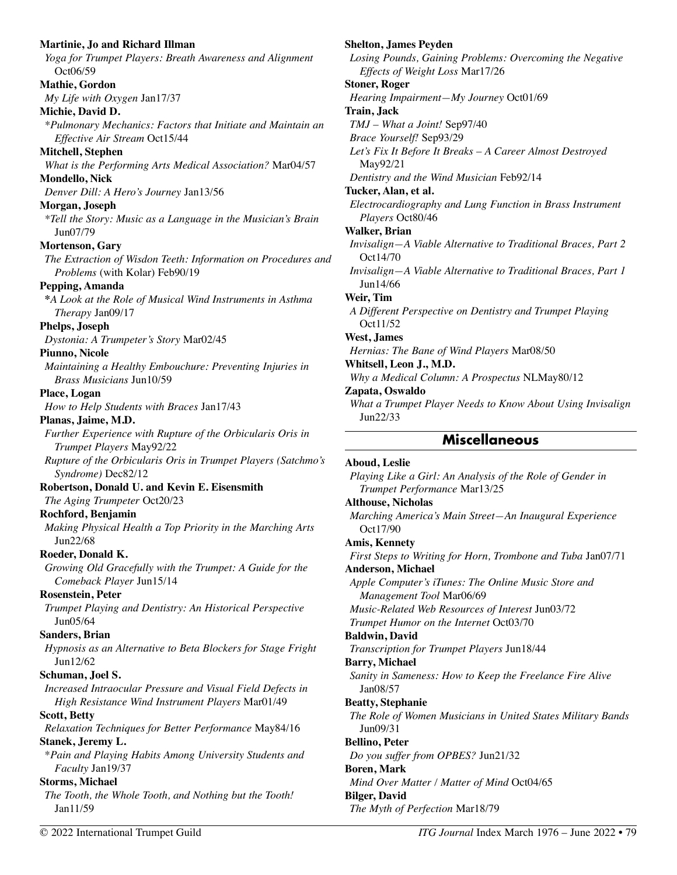| <b>Martinie, Jo and Richard Illman</b><br>Yoga for Trumpet Players: Breath Awareness and Alignment<br>Oct06/59 | <b>Shelton, James Peyden</b><br>Losing Pounds, Gaining Problems: Overcoming the Negative<br>Effects of Weight Loss Mar17/26 |
|----------------------------------------------------------------------------------------------------------------|-----------------------------------------------------------------------------------------------------------------------------|
| Mathie, Gordon                                                                                                 | <b>Stoner, Roger</b>                                                                                                        |
| My Life with Oxygen Jan17/37                                                                                   | Hearing Impairment-My Journey Oct01/69                                                                                      |
| Michie, David D.                                                                                               | Train, Jack                                                                                                                 |
| *Pulmonary Mechanics: Factors that Initiate and Maintain an                                                    | TMJ - What a Joint! Sep97/40                                                                                                |
| Effective Air Stream Oct15/44                                                                                  | Brace Yourself! Sep93/29                                                                                                    |
| Mitchell, Stephen                                                                                              | Let's Fix It Before It Breaks - A Career Almost Destroyed                                                                   |
| What is the Performing Arts Medical Association? Mar04/57                                                      | May92/21                                                                                                                    |
| Mondello, Nick                                                                                                 | Dentistry and the Wind Musician Feb92/14                                                                                    |
| Denver Dill: A Hero's Journey Jan13/56                                                                         | Tucker, Alan, et al.                                                                                                        |
|                                                                                                                | Electrocardiography and Lung Function in Brass Instrument                                                                   |
| Morgan, Joseph<br>*Tell the Story: Music as a Language in the Musician's Brain<br>Jun07/79                     | Players Oct80/46<br><b>Walker</b> , Brian                                                                                   |
|                                                                                                                |                                                                                                                             |
| Mortenson, Gary                                                                                                | Invisalign-A Viable Alternative to Traditional Braces, Part 2<br>Oct14/70                                                   |
| The Extraction of Wisdon Teeth: Information on Procedures and<br>Problems (with Kolar) Feb90/19                | Invisalign-A Viable Alternative to Traditional Braces, Part 1                                                               |
| Pepping, Amanda                                                                                                | Jun14/66                                                                                                                    |
| *A Look at the Role of Musical Wind Instruments in Asthma                                                      | Weir, Tim                                                                                                                   |
| Therapy Jan09/17                                                                                               | A Different Perspective on Dentistry and Trumpet Playing                                                                    |
| Phelps, Joseph                                                                                                 | Oct11/52                                                                                                                    |
| Dystonia: A Trumpeter's Story Mar02/45                                                                         | West, James                                                                                                                 |
| Piunno, Nicole                                                                                                 | Hernias: The Bane of Wind Players Mar08/50                                                                                  |
| Maintaining a Healthy Embouchure: Preventing Injuries in                                                       | Whitsell, Leon J., M.D.                                                                                                     |
| <i>Brass Musicians Jun10/59</i>                                                                                | Why a Medical Column: A Prospectus NLMay80/12                                                                               |
| Place, Logan                                                                                                   | Zapata, Oswaldo                                                                                                             |
| How to Help Students with Braces Jan17/43                                                                      | What a Trumpet Player Needs to Know About Using Invisalign                                                                  |
| Planas, Jaime, M.D.                                                                                            | Jun22/33                                                                                                                    |
|                                                                                                                |                                                                                                                             |
| Further Experience with Rupture of the Orbicularis Oris in<br>Trumpet Players May92/22                         | <b>Miscellaneous</b>                                                                                                        |
| Rupture of the Orbicularis Oris in Trumpet Players (Satchmo's<br>Syndrome) Dec82/12                            | Aboud, Leslie                                                                                                               |
|                                                                                                                | Playing Like a Girl: An Analysis of the Role of Gender in                                                                   |
| Robertson, Donald U. and Kevin E. Eisensmith                                                                   | Trumpet Performance Mar13/25                                                                                                |
| The Aging Trumpeter Oct20/23                                                                                   | <b>Althouse, Nicholas</b>                                                                                                   |
| Rochford, Benjamin                                                                                             | Marching America's Main Street-An Inaugural Experience                                                                      |
| Making Physical Health a Top Priority in the Marching Arts                                                     | Oct17/90                                                                                                                    |
| Jun22/68                                                                                                       | <b>Amis, Kennety</b>                                                                                                        |
| Roeder, Donald K.                                                                                              | First Steps to Writing for Horn, Trombone and Tuba Jan07/71                                                                 |
| Growing Old Gracefully with the Trumpet: A Guide for the                                                       | <b>Anderson, Michael</b>                                                                                                    |
| Comeback Player Jun15/14                                                                                       | Apple Computer's iTunes: The Online Music Store and                                                                         |
| <b>Rosenstein, Peter</b>                                                                                       | Management Tool Mar06/69                                                                                                    |
| Trumpet Playing and Dentistry: An Historical Perspective<br>Jun05/64                                           | Music-Related Web Resources of Interest Jun03/72                                                                            |
|                                                                                                                | Trumpet Humor on the Internet Oct03/70                                                                                      |
| Sanders, Brian                                                                                                 | <b>Baldwin</b> , David                                                                                                      |
| Hypnosis as an Alternative to Beta Blockers for Stage Fright                                                   | Transcription for Trumpet Players Jun18/44                                                                                  |
| Jun12/62                                                                                                       | <b>Barry, Michael</b>                                                                                                       |
| Schuman, Joel S.                                                                                               | Sanity in Sameness: How to Keep the Freelance Fire Alive                                                                    |
| Increased Intraocular Pressure and Visual Field Defects in                                                     | Jan08/57                                                                                                                    |
| High Resistance Wind Instrument Players Mar01/49                                                               | <b>Beatty, Stephanie</b>                                                                                                    |
| <b>Scott, Betty</b>                                                                                            | The Role of Women Musicians in United States Military Bands                                                                 |
| Relaxation Techniques for Better Performance May84/16                                                          | Jun09/31                                                                                                                    |
| Stanek, Jeremy L.                                                                                              | <b>Bellino, Peter</b>                                                                                                       |
| *Pain and Playing Habits Among University Students and                                                         | Do you suffer from OPBES? Jun21/32                                                                                          |
| Faculty Jan19/37                                                                                               | <b>Boren</b> , Mark                                                                                                         |
| <b>Storms, Michael</b><br>The Tooth, the Whole Tooth, and Nothing but the Tooth!                               | Mind Over Matter / Matter of Mind Oct04/65<br><b>Bilger, David</b>                                                          |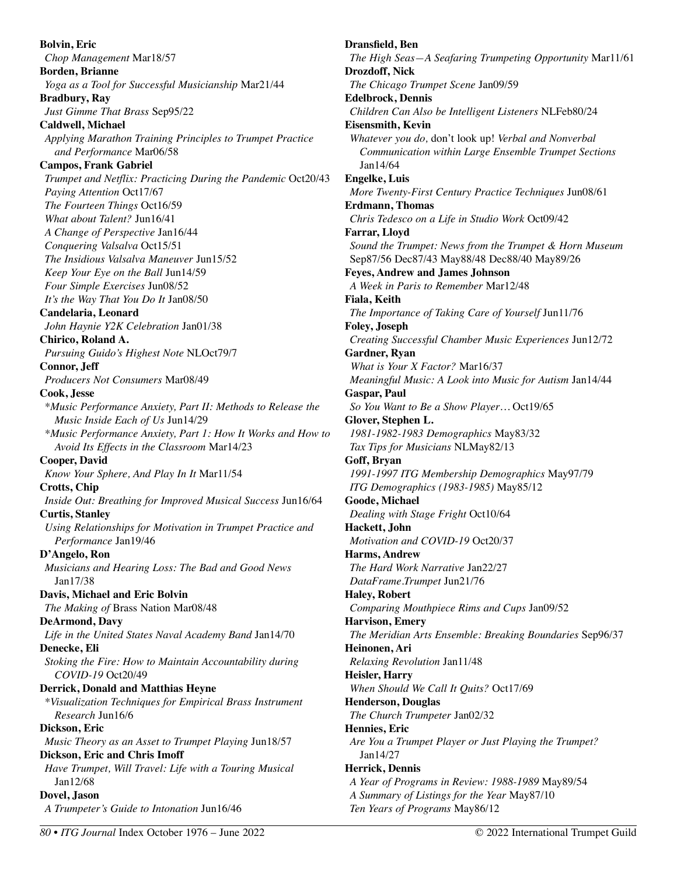**Bolvin, Eric**  *Chop Management* Mar18/57 **Borden, Brianne**  *Yoga as a Tool for Successful Musicianship* Mar21/44 **Bradbury, Ray**  *Just Gimme That Brass* Sep95/22 **Caldwell, Michael**  *Applying Marathon Training Principles to Trumpet Practice and Performance* Mar06/58 **Campos, Frank Gabriel**  *Trumpet and Netflix: Practicing During the Pandemic* Oct20/43 *Paying Attention* Oct17/67 *The Fourteen Things* Oct16/59 *What about Talent?* Jun16/41 *A Change of Perspective* Jan16/44 *Conquering Valsalva* Oct15/51 *The Insidious Valsalva Maneuver* Jun15/52 *Keep Your Eye on the Ball* Jun14/59 *Four Simple Exercises* Jun08/52 *It's the Way That You Do It* Jan08/50 **Candelaria, Leonard**  *John Haynie Y2K Celebration* Jan01/38 **Chirico, Roland A.**  *Pursuing Guido's Highest Note* NLOct79/7 **Connor, Jeff**  *Producers Not Consumers* Mar08/49 **Cook, Jesse**  *\*Music Performance Anxiety, Part II: Methods to Release the Music Inside Each of Us* Jun14/29 *\*Music Performance Anxiety, Part 1: How It Works and How to Avoid Its Effects in the Classroom* Mar14/23 **Cooper, David**  *Know Your Sphere, And Play In It* Mar11/54 **Crotts, Chip**  *Inside Out: Breathing for Improved Musical Success* Jun16/64 **Curtis, Stanley**  *Using Relationships for Motivation in Trumpet Practice and Performance* Jan19/46 **D'Angelo, Ron**  *Musicians and Hearing Loss: The Bad and Good News*  Jan17/38 **Davis, Michael and Eric Bolvin**  *The Making of* Brass Nation Mar08/48 **DeArmond, Davy**  *Life in the United States Naval Academy Band* Jan14/70 **Denecke, Eli**  *Stoking the Fire: How to Maintain Accountability during COVID-19* Oct20/49 **Derrick, Donald and Matthias Heyne**  *\*Visualization Techniques for Empirical Brass Instrument Research* Jun16/6 **Dickson, Eric**  *Music Theory as an Asset to Trumpet Playing* Jun18/57 **Dickson, Eric and Chris Imoff**  *Have Trumpet, Will Travel: Life with a Touring Musical*  Jan12/68 **Dovel, Jason**  *A Trumpeter's Guide to Intonation* Jun16/46

**Dransfield, Ben**  *The High Seas—A Seafaring Trumpeting Opportunity* Mar11/61 **Drozdoff, Nick**  *The Chicago Trumpet Scene* Jan09/59 **Edelbrock, Dennis**  *Children Can Also be Intelligent Listeners* NLFeb80/24 **Eisensmith, Kevin**  *Whatever you do,* don't look up! *Verbal and Nonverbal Communication within Large Ensemble Trumpet Sections*  Jan14/64 **Engelke, Luis**  *More Twenty-First Century Practice Techniques* Jun08/61 **Erdmann, Thomas**  *Chris Tedesco on a Life in Studio Work* Oct09/42 **Farrar, Lloyd**  *Sound the Trumpet: News from the Trumpet & Horn Museum*  Sep87/56 Dec87/43 May88/48 Dec88/40 May89/26 **Feyes, Andrew and James Johnson**  *A Week in Paris to Remember* Mar12/48 **Fiala, Keith**  *The Importance of Taking Care of Yourself* Jun11/76 **Foley, Joseph**  *Creating Successful Chamber Music Experiences* Jun12/72 **Gardner, Ryan**  *What is Your X Factor?* Mar16/37 *Meaningful Music: A Look into Music for Autism* Jan14/44 **Gaspar, Paul**  *So You Want to Be a Show Player…* Oct19/65 **Glover, Stephen L.**  *1981-1982-1983 Demographics* May83/32 *Tax Tips for Musicians* NLMay82/13 **Goff, Bryan**  *1991-1997 ITG Membership Demographics* May97/79 *ITG Demographics (1983-1985)* May85/12 **Goode, Michael**  *Dealing with Stage Fright* Oct10/64 **Hackett, John**  *Motivation and COVID-19* Oct20/37 **Harms, Andrew**  *The Hard Work Narrative* Jan22/27 *DataFrame.Trumpet* Jun21/76 **Haley, Robert**  *Comparing Mouthpiece Rims and Cups* Jan09/52 **Harvison, Emery**  *The Meridian Arts Ensemble: Breaking Boundaries* Sep96/37 **Heinonen, Ari**  *Relaxing Revolution* Jan11/48 **Heisler, Harry**  *When Should We Call It Quits?* Oct17/69 **Henderson, Douglas**  *The Church Trumpeter* Jan02/32 **Hennies, Eric**  *Are You a Trumpet Player or Just Playing the Trumpet?*  Jan14/27 **Herrick, Dennis**  *A Year of Programs in Review: 1988-1989* May89/54 *A Summary of Listings for the Year* May87/10 *Ten Years of Programs* May86/12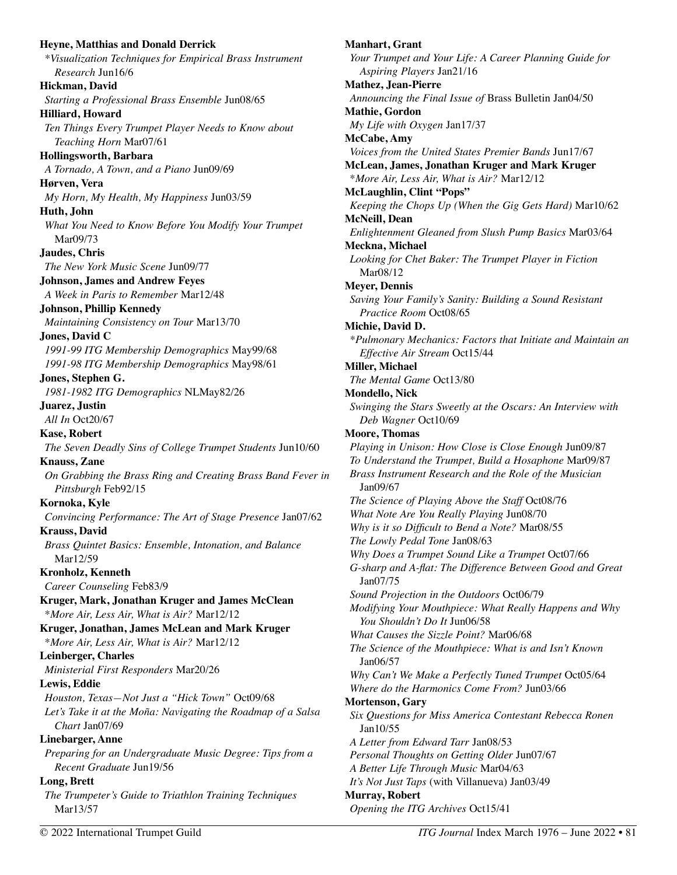**Heyne, Matthias and Donald Derrick**  *\*Visualization Techniques for Empirical Brass Instrument Research* Jun16/6 **Hickman, David**  *Starting a Professional Brass Ensemble* Jun08/65 **Hilliard, Howard**  *Ten Things Every Trumpet Player Needs to Know about Teaching Horn* Mar07/61 **Hollingsworth, Barbara**  *A Tornado, A Town, and a Piano* Jun09/69 **Hørven, Vera**  *My Horn, My Health, My Happiness* Jun03/59 **Huth, John**  *What You Need to Know Before You Modify Your Trumpet*  Mar09/73 **Jaudes, Chris**  *The New York Music Scene* Jun09/77 **Johnson, James and Andrew Feyes**  *A Week in Paris to Remember* Mar12/48 **Johnson, Phillip Kennedy**  *Maintaining Consistency on Tour* Mar13/70 **Jones, David C**  *1991-99 ITG Membership Demographics* May99/68 *1991-98 ITG Membership Demographics* May98/61 **Jones, Stephen G.**  *1981-1982 ITG Demographics* NLMay82/26 **Juarez, Justin**  *All In* Oct20/67 **Kase, Robert**  *The Seven Deadly Sins of College Trumpet Students* Jun10/60 **Knauss, Zane**  *On Grabbing the Brass Ring and Creating Brass Band Fever in Pittsburgh* Feb92/15 **Kornoka, Kyle**  *Convincing Performance: The Art of Stage Presence* Jan07/62 **Krauss, David**  *Brass Quintet Basics: Ensemble, Intonation, and Balance*  Mar12/59 **Kronholz, Kenneth**  *Career Counseling* Feb83/9 **Kruger, Mark, Jonathan Kruger and James McClean**  \**More Air, Less Air, What is Air?* Mar12/12 **Kruger, Jonathan, James McLean and Mark Kruger**  \**More Air, Less Air, What is Air?* Mar12/12 **Leinberger, Charles**  *Ministerial First Responders* Mar20/26 **Lewis, Eddie**  *Houston, Texas—Not Just a "Hick Town"* Oct09/68 *Let's Take it at the Moña: Navigating the Roadmap of a Salsa Chart* Jan07/69 **Linebarger, Anne**  *Preparing for an Undergraduate Music Degree: Tips from a Recent Graduate* Jun19/56 **Long, Brett**  *The Trumpeter's Guide to Triathlon Training Techniques*  Mar13/57

**Manhart, Grant**  *Your Trumpet and Your Life: A Career Planning Guide for Aspiring Players* Jan21/16 **Mathez, Jean-Pierre**  *Announcing the Final Issue of* Brass Bulletin Jan04/50 **Mathie, Gordon**  *My Life with Oxygen* Jan17/37 **McCabe, Amy**  *Voices from the United States Premier Bands* Jun17/67 **McLean, James, Jonathan Kruger and Mark Kruger**  \**More Air, Less Air, What is Air?* Mar12/12 **McLaughlin, Clint "Pops"**  *Keeping the Chops Up (When the Gig Gets Hard)* Mar10/62 **McNeill, Dean**  *Enlightenment Gleaned from Slush Pump Basics* Mar03/64 **Meckna, Michael**  *Looking for Chet Baker: The Trumpet Player in Fiction* Mar08/12 **Meyer, Dennis**  *Saving Your Family's Sanity: Building a Sound Resistant Practice Room* Oct08/65 **Michie, David D.**  *\*Pulmonary Mechanics: Factors that Initiate and Maintain an Effective Air Stream* Oct15/44 **Miller, Michael**  *The Mental Game* Oct13/80 **Mondello, Nick**  *Swinging the Stars Sweetly at the Oscars: An Interview with Deb Wagner* Oct10/69 **Moore, Thomas**  *Playing in Unison: How Close is Close Enough* Jun09/87 *To Understand the Trumpet, Build a Hosaphone* Mar09/87 *Brass Instrument Research and the Role of the Musician*  Jan09/67 *The Science of Playing Above the Staff* Oct08/76 *What Note Are You Really Playing* Jun08/70 *Why is it so Difficult to Bend a Note?* Mar08/55 *The Lowly Pedal Tone* Jan08/63 *Why Does a Trumpet Sound Like a Trumpet* Oct07/66 *G-sharp and A-flat: The Difference Between Good and Great* Jan07/75 *Sound Projection in the Outdoors* Oct06/79 *Modifying Your Mouthpiece: What Really Happens and Why You Shouldn't Do It* Jun06/58 *What Causes the Sizzle Point?* Mar06/68 *The Science of the Mouthpiece: What is and Isn't Known*  Jan06/57 *Why Can't We Make a Perfectly Tuned Trumpet* Oct05/64 *Where do the Harmonics Come From?* Jun03/66 **Mortenson, Gary**  *Six Questions for Miss America Contestant Rebecca Ronen*  Jan10/55 *A Letter from Edward Tarr* Jan08/53 *Personal Thoughts on Getting Older* Jun07/67 *A Better Life Through Music* Mar04/63 *It's Not Just Taps* (with Villanueva) Jan03/49 **Murray, Robert**  *Opening the ITG Archives* Oct15/41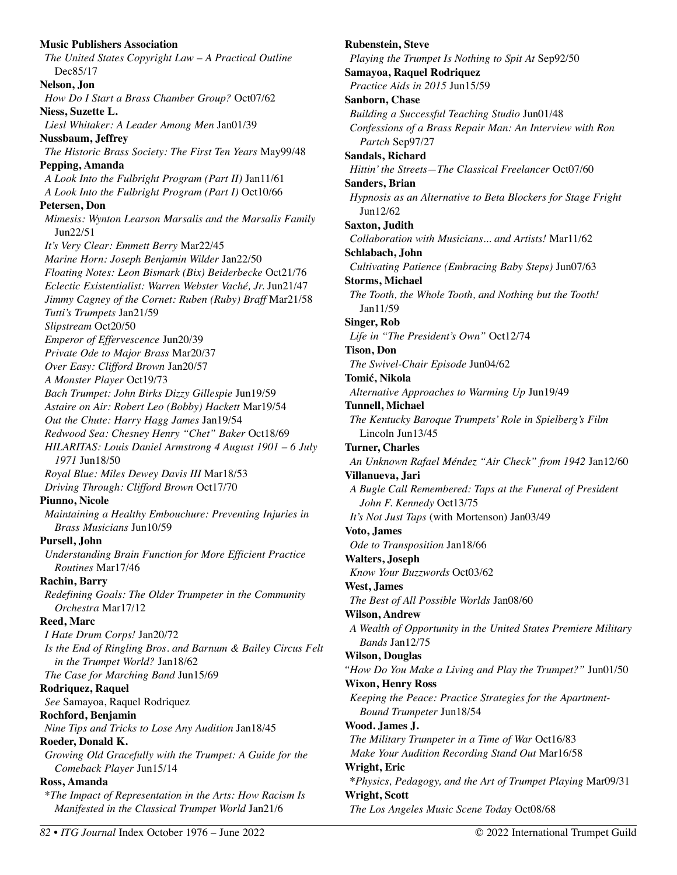**Music Publishers Association**  *The United States Copyright Law – A Practical Outline*  Dec85/17 **Nelson, Jon**  *How Do I Start a Brass Chamber Group?* Oct07/62 **Niess, Suzette L.**  *Liesl Whitaker: A Leader Among Men* Jan01/39 **Nussbaum, Jeffrey**  *The Historic Brass Society: The First Ten Years* May99/48 **Pepping, Amanda**  *A Look Into the Fulbright Program (Part II)* Jan11/61 *A Look Into the Fulbright Program (Part I)* Oct10/66 **Petersen, Don**  *Mimesis: Wynton Learson Marsalis and the Marsalis Family*  Jun22/51 *It's Very Clear: Emmett Berry* Mar22/45 *Marine Horn: Joseph Benjamin Wilder* Jan22/50 *Floating Notes: Leon Bismark (Bix) Beiderbecke* Oct21/76 *Eclectic Existentialist: Warren Webster Vaché, Jr.* Jun21/47 *Jimmy Cagney of the Cornet: Ruben (Ruby) Braff* Mar21/58 *Tutti's Trumpets* Jan21/59 *Slipstream* Oct20/50 *Emperor of Effervescence* Jun20/39 *Private Ode to Major Brass* Mar20/37 *Over Easy: Clifford Brown* Jan20/57 *A Monster Player* Oct19/73 *Bach Trumpet: John Birks Dizzy Gillespie* Jun19/59 *Astaire on Air: Robert Leo (Bobby) Hackett* Mar19/54 *Out the Chute: Harry Hagg James* Jan19/54 *Redwood Sea: Chesney Henry "Chet" Baker* Oct18/69 *HILARITAS: Louis Daniel Armstrong 4 August 1901 – 6 July 1971* Jun18/50 *Royal Blue: Miles Dewey Davis III* Mar18/53 *Driving Through: Clifford Brown* Oct17/70 **Piunno, Nicole**  *Maintaining a Healthy Embouchure: Preventing Injuries in Brass Musicians* Jun10/59 **Pursell, John**  *Understanding Brain Function for More Efficient Practice Routines* Mar17/46 **Rachin, Barry**  *Redefining Goals: The Older Trumpeter in the Community Orchestra* Mar17/12 **Reed, Marc**  *I Hate Drum Corps!* Jan20/72 *Is the End of Ringling Bros. and Barnum & Bailey Circus Felt in the Trumpet World?* Jan18/62 *The Case for Marching Band* Jun15/69 **Rodriquez, Raquel**  *See* Samayoa, Raquel Rodriquez **Rochford, Benjamin**  *Nine Tips and Tricks to Lose Any Audition* Jan18/45 **Roeder, Donald K.**  *Growing Old Gracefully with the Trumpet: A Guide for the Comeback Player* Jun15/14 **Ross, Amanda**  \**The Impact of Representation in the Arts: How Racism Is Manifested in the Classical Trumpet World* Jan21/6

**Rubenstein, Steve**  *Playing the Trumpet Is Nothing to Spit At* Sep92/50 **Samayoa, Raquel Rodriquez**  *Practice Aids in 2015* Jun15/59 **Sanborn, Chase**  *Building a Successful Teaching Studio* Jun01/48 *Confessions of a Brass Repair Man: An Interview with Ron Partch* Sep97/27 **Sandals, Richard**  *Hittin' the Streets—The Classical Freelancer* Oct07/60 **Sanders, Brian**  *Hypnosis as an Alternative to Beta Blockers for Stage Fright*  Jun12/62 **Saxton, Judith**  *Collaboration with Musicians... and Artists!* Mar11/62 **Schlabach, John**  *Cultivating Patience (Embracing Baby Steps)* Jun07/63 **Storms, Michael**  *The Tooth, the Whole Tooth, and Nothing but the Tooth!*  Jan11/59 **Singer, Rob**  *Life in "The President's Own"* Oct12/74 **Tison, Don**  *The Swivel-Chair Episode* Jun04/62 **Tomić, Nikola**  *Alternative Approaches to Warming Up* Jun19/49 **Tunnell, Michael**  *The Kentucky Baroque Trumpets' Role in Spielberg's Film*  Lincoln Jun13/45 **Turner, Charles**  *An Unknown Rafael Méndez "Air Check" from 1942* Jan12/60 **Villanueva, Jari**  *A Bugle Call Remembered: Taps at the Funeral of President John F. Kennedy* Oct13/75 *It's Not Just Taps* (with Mortenson) Jan03/49 **Voto, James**  *Ode to Transposition* Jan18/66 **Walters, Joseph**  *Know Your Buzzwords* Oct03/62 **West, James**  *The Best of All Possible Worlds* Jan08/60 **Wilson, Andrew**  *A Wealth of Opportunity in the United States Premiere Military Bands* Jan12/75 **Wilson, Douglas**  *"How Do You Make a Living and Play the Trumpet?"* Jun01/50 **Wixon, Henry Ross**  *Keeping the Peace: Practice Strategies for the Apartment-Bound Trumpeter* Jun18/54 **Wood. James J.**  *The Military Trumpeter in a Time of War* Oct16/83 *Make Your Audition Recording Stand Out* Mar16/58 **Wright, Eric \****Physics, Pedagogy, and the Art of Trumpet Playing* Mar09/31 **Wright, Scott**  *The Los Angeles Music Scene Today* Oct08/68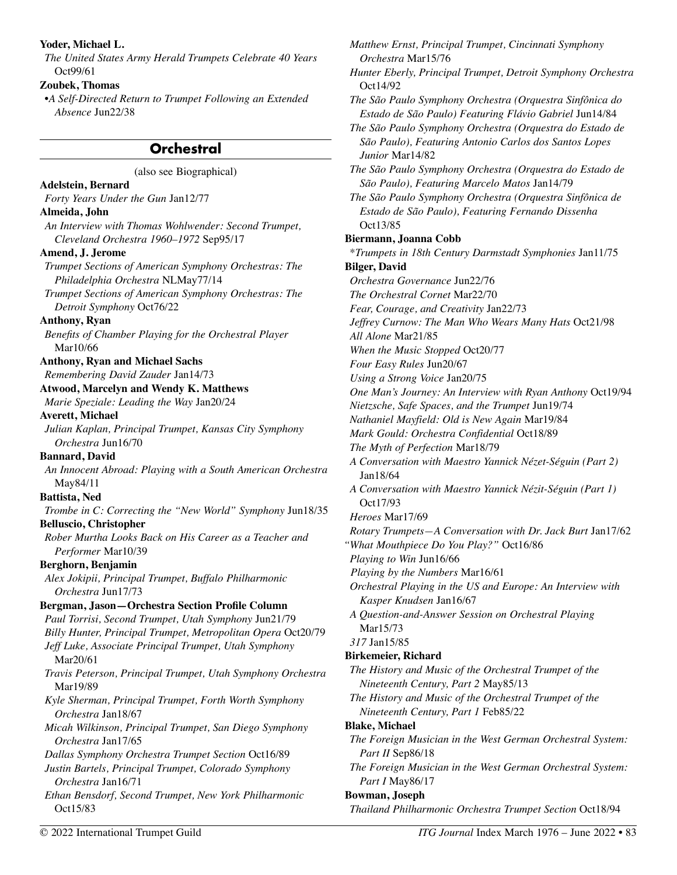#### **Yoder, Michael L.**

*The United States Army Herald Trumpets Celebrate 40 Years*  Oct99/61

#### **Zoubek, Thomas**

•*A Self-Directed Return to Trumpet Following an Extended Absence* Jun22/38

## **Orchestral**

(also see Biographical)

**Adelstein, Bernard**  *Forty Years Under the Gun* Jan12/77 **Almeida, John**  *An Interview with Thomas Wohlwender: Second Trumpet, Cleveland Orchestra 1960–1972* Sep95/17 **Amend, J. Jerome**  *Trumpet Sections of American Symphony Orchestras: The Philadelphia Orchestra* NLMay77/14 *Trumpet Sections of American Symphony Orchestras: The Detroit Symphony* Oct76/22 **Anthony, Ryan**  *Benefits of Chamber Playing for the Orchestral Player*  Mar10/66 **Anthony, Ryan and Michael Sachs**  *Remembering David Zauder* Jan14/73 **Atwood, Marcelyn and Wendy K. Matthews**  *Marie Speziale: Leading the Way* Jan20/24 **Averett, Michael**  *Julian Kaplan, Principal Trumpet, Kansas City Symphony Orchestra* Jun16/70 **Bannard, David**  *An Innocent Abroad: Playing with a South American Orchestra*  May84/11 **Battista, Ned**  *Trombe in C: Correcting the "New World" Symphony* Jun18/35 **Belluscio, Christopher**  *Rober Murtha Looks Back on His Career as a Teacher and Performer* Mar10/39 **Berghorn, Benjamin**  *Alex Jokipii, Principal Trumpet, Buffalo Philharmonic Orchestra* Jun17/73 **Bergman, Jason—Orchestra Section Profile Column**  *Paul Torrisi, Second Trumpet, Utah Symphony* Jun21/79 *Billy Hunter, Principal Trumpet, Metropolitan Opera* Oct20/79 *Jeff Luke, Associate Principal Trumpet, Utah Symphony*  Mar20/61 *Travis Peterson, Principal Trumpet, Utah Symphony Orchestra*  Mar19/89 *Kyle Sherman, Principal Trumpet, Forth Worth Symphony Orchestra* Jan18/67 *Micah Wilkinson, Principal Trumpet, San Diego Symphony Orchestra* Jan17/65 *Dallas Symphony Orchestra Trumpet Section* Oct16/89 *Justin Bartels, Principal Trumpet, Colorado Symphony Orchestra* Jan16/71 *Ethan Bensdorf, Second Trumpet, New York Philharmonic*  Oct15/83

*Matthew Ernst, Principal Trumpet, Cincinnati Symphony Orchestra* Mar15/76 *Hunter Eberly, Principal Trumpet, Detroit Symphony Orchestra*  Oct14/92 *The São Paulo Symphony Orchestra (Orquestra Sinfônica do Estado de São Paulo) Featuring Flávio Gabriel* Jun14/84 *The São Paulo Symphony Orchestra (Orquestra do Estado de São Paulo), Featuring Antonio Carlos dos Santos Lopes Junior* Mar14/82 *The São Paulo Symphony Orchestra (Orquestra do Estado de São Paulo), Featuring Marcelo Matos* Jan14/79 *The São Paulo Symphony Orchestra (Orquestra Sinfônica de Estado de São Paulo), Featuring Fernando Dissenha*  Oct13/85 **Biermann, Joanna Cobb**  \**Trumpets in 18th Century Darmstadt Symphonies* Jan11/75 **Bilger, David**  *Orchestra Governance* Jun22/76 *The Orchestral Cornet* Mar22/70 *Fear, Courage, and Creativity* Jan22/73 *Jeffrey Curnow: The Man Who Wears Many Hats* Oct21/98 *All Alone* Mar21/85 *When the Music Stopped* Oct20/77 *Four Easy Rules* Jun20/67 *Using a Strong Voice* Jan20/75 *One Man's Journey: An Interview with Ryan Anthony* Oct19/94 *Nietzsche, Safe Spaces, and the Trumpet* Jun19/74 *Nathaniel Mayfield: Old is New Again* Mar19/84 *Mark Gould: Orchestra Confidential* Oct18/89 *The Myth of Perfection* Mar18/79 *A Conversation with Maestro Yannick Nézet-Séguin (Part 2)* Jan18/64 *A Conversation with Maestro Yannick Nézit-Séguin (Part 1)*  Oct17/93 *Heroes* Mar17/69 *Rotary Trumpets—A Conversation with Dr. Jack Burt* Jan17/62 *"What Mouthpiece Do You Play?"* Oct16/86 *Playing to Win* Jun16/66 *Playing by the Numbers* Mar16/61 *Orchestral Playing in the US and Europe: An Interview with Kasper Knudsen* Jan16/67 *A Question-and-Answer Session on Orchestral Playing*  Mar15/73 *317* Jan15/85 **Birkemeier, Richard**  *The History and Music of the Orchestral Trumpet of the Nineteenth Century, Part 2* May85/13 *The History and Music of the Orchestral Trumpet of the Nineteenth Century, Part 1* Feb85/22 **Blake, Michael**  *The Foreign Musician in the West German Orchestral System: Part II* Sep86/18 *The Foreign Musician in the West German Orchestral System: Part I* May86/17 **Bowman, Joseph** 

*Thailand Philharmonic Orchestra Trumpet Section* Oct18/94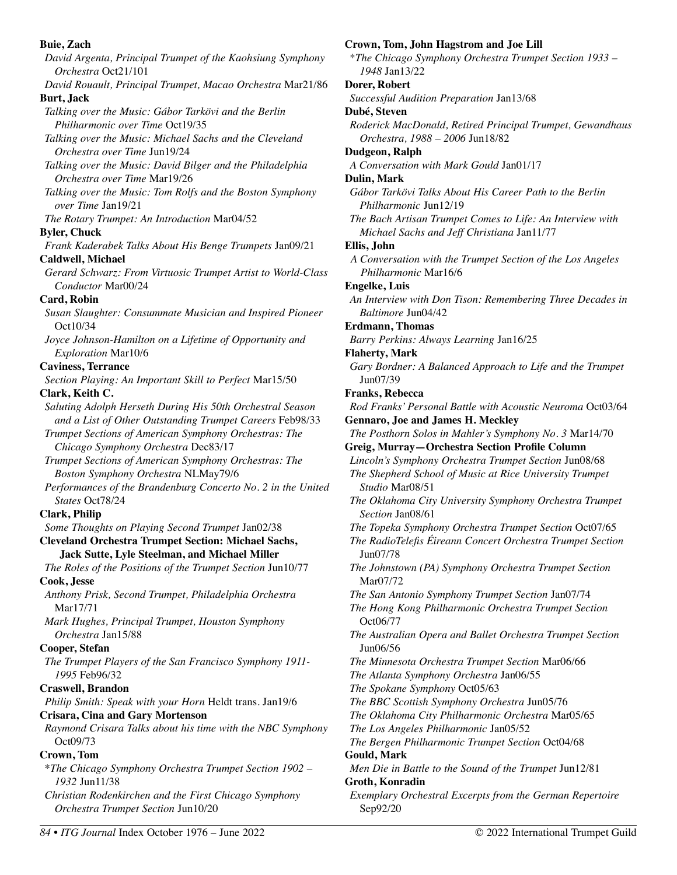**Buie, Zach**  *David Argenta, Principal Trumpet of the Kaohsiung Symphony Orchestra* Oct21/101 *David Rouault, Principal Trumpet, Macao Orchestra* Mar21/86 **Burt, Jack**  *Talking over the Music: Gábor Tarkövi and the Berlin Philharmonic over Time* Oct19/35 *Talking over the Music: Michael Sachs and the Cleveland Orchestra over Time* Jun19/24 *Talking over the Music: David Bilger and the Philadelphia Orchestra over Time* Mar19/26 *Talking over the Music: Tom Rolfs and the Boston Symphony over Time* Jan19/21 *The Rotary Trumpet: An Introduction* Mar04/52 **Byler, Chuck**  *Frank Kaderabek Talks About His Benge Trumpets* Jan09/21 **Caldwell, Michael**  *Gerard Schwarz: From Virtuosic Trumpet Artist to World-Class Conductor* Mar00/24 **Card, Robin**  *Susan Slaughter: Consummate Musician and Inspired Pioneer*  Oct10/34 *Joyce Johnson-Hamilton on a Lifetime of Opportunity and Exploration* Mar10/6 **Caviness, Terrance**  *Section Playing: An Important Skill to Perfect* Mar15/50 **Clark, Keith C.**  *Saluting Adolph Herseth During His 50th Orchestral Season and a List of Other Outstanding Trumpet Careers* Feb98/33 *Trumpet Sections of American Symphony Orchestras: The Chicago Symphony Orchestra* Dec83/17 *Trumpet Sections of American Symphony Orchestras: The Boston Symphony Orchestra* NLMay79/6 *Performances of the Brandenburg Concerto No. 2 in the United States* Oct78/24 **Clark, Philip**  *Some Thoughts on Playing Second Trumpet* Jan02/38 **Cleveland Orchestra Trumpet Section: Michael Sachs, Jack Sutte, Lyle Steelman, and Michael Miller**  *The Roles of the Positions of the Trumpet Section* Jun10/77 **Cook, Jesse**  *Anthony Prisk, Second Trumpet, Philadelphia Orchestra*  Mar17/71 *Mark Hughes, Principal Trumpet, Houston Symphony Orchestra* Jan15/88 **Cooper, Stefan**  *The Trumpet Players of the San Francisco Symphony 1911- 1995* Feb96/32 **Craswell, Brandon**  *Philip Smith: Speak with your Horn* Heldt trans. Jan19/6 **Crisara, Cina and Gary Mortenson**  *Raymond Crisara Talks about his time with the NBC Symphony*  Oct09/73 **Crown, Tom**  \**The Chicago Symphony Orchestra Trumpet Section 1902 – 1932* Jun11/38 *Christian Rodenkirchen and the First Chicago Symphony Orchestra Trumpet Section* Jun10/20

\**The Chicago Symphony Orchestra Trumpet Section 1933 – 1948* Jan13/22 **Dorer, Robert**  *Successful Audition Preparation* Jan13/68 **Dubé, Steven**  *Roderick MacDonald, Retired Principal Trumpet, Gewandhaus Orchestra, 1988 – 2006* Jun18/82 **Dudgeon, Ralph**  *A Conversation with Mark Gould* Jan01/17 **Dulin, Mark**  *Gábor Tarkövi Talks About His Career Path to the Berlin Philharmonic* Jun12/19 *The Bach Artisan Trumpet Comes to Life: An Interview with Michael Sachs and Jeff Christiana* Jan11/77 **Ellis, John**  *A Conversation with the Trumpet Section of the Los Angeles Philharmonic* Mar16/6 **Engelke, Luis**  *An Interview with Don Tison: Remembering Three Decades in Baltimore* Jun04/42 **Erdmann, Thomas**  *Barry Perkins: Always Learning* Jan16/25 **Flaherty, Mark**  *Gary Bordner: A Balanced Approach to Life and the Trumpet* Jun07/39 **Franks, Rebecca**  *Rod Franks' Personal Battle with Acoustic Neuroma* Oct03/64 **Gennaro, Joe and James H. Meckley**  *The Posthorn Solos in Mahler's Symphony No. 3* Mar14/70 **Greig, Murray—Orchestra Section Profile Column**  *Lincoln's Symphony Orchestra Trumpet Section* Jun08/68 *The Shepherd School of Music at Rice University Trumpet Studio* Mar08/51 *The Oklahoma City University Symphony Orchestra Trumpet Section* Jan08/61 *The Topeka Symphony Orchestra Trumpet Section* Oct07/65 *The RadioTelefis Éireann Concert Orchestra Trumpet Section*  Jun07/78 *The Johnstown (PA) Symphony Orchestra Trumpet Section*  Mar07/72 *The San Antonio Symphony Trumpet Section* Jan07/74 *The Hong Kong Philharmonic Orchestra Trumpet Section*  Oct06/77 *The Australian Opera and Ballet Orchestra Trumpet Section*  Jun06/56 *The Minnesota Orchestra Trumpet Section* Mar06/66 *The Atlanta Symphony Orchestra* Jan06/55 *The Spokane Symphony* Oct05/63 *The BBC Scottish Symphony Orchestra* Jun05/76 *The Oklahoma City Philharmonic Orchestra* Mar05/65 *The Los Angeles Philharmonic* Jan05/52 *The Bergen Philharmonic Trumpet Section* Oct04/68 **Gould, Mark**  *Men Die in Battle to the Sound of the Trumpet* Jun12/81 **Groth, Konradin** 

**Crown, Tom, John Hagstrom and Joe Lill**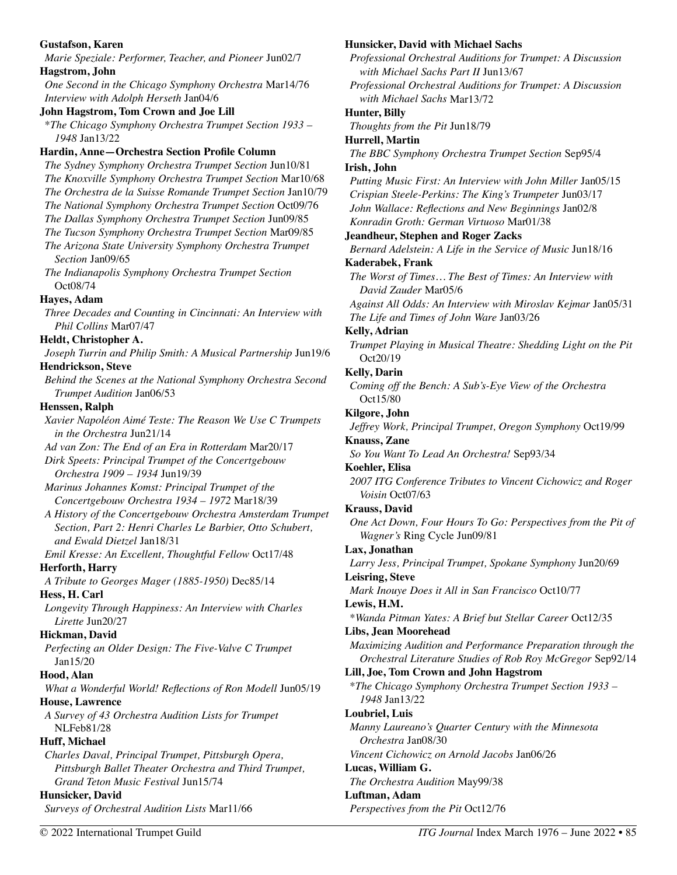| <b>Gustafson, Karen</b>                                                                                            | Hunsicker, David with Michael Sachs                                               |
|--------------------------------------------------------------------------------------------------------------------|-----------------------------------------------------------------------------------|
| Marie Speziale: Performer, Teacher, and Pioneer Jun02/7                                                            | Professional Orchestral Auditions for Trumpet: A Discussion                       |
| Hagstrom, John                                                                                                     | with Michael Sachs Part II Jun13/67                                               |
| One Second in the Chicago Symphony Orchestra Mar14/76                                                              | Professional Orchestral Auditions for Trumpet: A Discussion                       |
| Interview with Adolph Herseth Jan04/6                                                                              | with Michael Sachs Mar13/72                                                       |
| John Hagstrom, Tom Crown and Joe Lill                                                                              | <b>Hunter</b> , Billy                                                             |
| *The Chicago Symphony Orchestra Trumpet Section 1933 -                                                             | Thoughts from the Pit Jun18/79                                                    |
| 1948 Jan13/22                                                                                                      | Hurrell, Martin                                                                   |
| Hardin, Anne-Orchestra Section Profile Column                                                                      | The BBC Symphony Orchestra Trumpet Section Sep95/4                                |
| The Sydney Symphony Orchestra Trumpet Section Jun10/81                                                             | Irish, John                                                                       |
| The Knoxville Symphony Orchestra Trumpet Section Mar10/68                                                          | Putting Music First: An Interview with John Miller Jan05/15                       |
| The Orchestra de la Suisse Romande Trumpet Section Jan10/79                                                        | Crispian Steele-Perkins: The King's Trumpeter Jun03/17                            |
| The National Symphony Orchestra Trumpet Section Oct09/76<br>The Dallas Symphony Orchestra Trumpet Section Jun09/85 | John Wallace: Reflections and New Beginnings Jan02/8                              |
| The Tucson Symphony Orchestra Trumpet Section Mar09/85                                                             | Konradin Groth: German Virtuoso Mar01/38                                          |
| The Arizona State University Symphony Orchestra Trumpet                                                            | <b>Jeandheur, Stephen and Roger Zacks</b>                                         |
| Section Jan09/65                                                                                                   | Bernard Adelstein: A Life in the Service of Music Jun18/16                        |
| The Indianapolis Symphony Orchestra Trumpet Section                                                                | <b>Kaderabek, Frank</b>                                                           |
| Oct08/74                                                                                                           | The Worst of Times The Best of Times: An Interview with                           |
| Hayes, Adam                                                                                                        | David Zauder Mar05/6                                                              |
| Three Decades and Counting in Cincinnati: An Interview with                                                        | Against All Odds: An Interview with Miroslav Kejmar Jan05/31                      |
| Phil Collins Mar07/47                                                                                              | The Life and Times of John Ware Jan03/26                                          |
| Heldt, Christopher A.                                                                                              | <b>Kelly, Adrian</b>                                                              |
| Joseph Turrin and Philip Smith: A Musical Partnership Jun19/6                                                      | Trumpet Playing in Musical Theatre: Shedding Light on the Pit                     |
| <b>Hendrickson</b> , Steve                                                                                         | Oct20/19                                                                          |
| Behind the Scenes at the National Symphony Orchestra Second                                                        | <b>Kelly, Darin</b>                                                               |
| Trumpet Audition Jan06/53                                                                                          | Coming off the Bench: A Sub's-Eye View of the Orchestra<br>Oct15/80               |
| Henssen, Ralph                                                                                                     |                                                                                   |
| Xavier Napoléon Aimé Teste: The Reason We Use C Trumpets                                                           | Kilgore, John                                                                     |
| in the Orchestra Jun21/14                                                                                          | Jeffrey Work, Principal Trumpet, Oregon Symphony Oct19/99<br><b>Knauss</b> , Zane |
| Ad van Zon: The End of an Era in Rotterdam Mar20/17                                                                | So You Want To Lead An Orchestra! Sep93/34                                        |
| Dirk Speets: Principal Trumpet of the Concertgebouw                                                                | Koehler, Elisa                                                                    |
| Orchestra 1909 - 1934 Jun19/39                                                                                     | 2007 ITG Conference Tributes to Vincent Cichowicz and Roger                       |
| Marinus Johannes Komst: Principal Trumpet of the                                                                   | Voisin Oct07/63                                                                   |
| Concertgebouw Orchestra 1934 - 1972 Mar18/39                                                                       | <b>Krauss</b> , David                                                             |
| A History of the Concertgebouw Orchestra Amsterdam Trumpet                                                         | One Act Down, Four Hours To Go: Perspectives from the Pit of                      |
| Section, Part 2: Henri Charles Le Barbier, Otto Schubert,                                                          | Wagner's Ring Cycle Jun09/81                                                      |
| and Ewald Dietzel Jan18/31                                                                                         | Lax, Jonathan                                                                     |
| Emil Kresse: An Excellent, Thoughtful Fellow Oct17/48                                                              | Larry Jess, Principal Trumpet, Spokane Symphony Jun20/69                          |
| <b>Herforth, Harry</b>                                                                                             | Leisring, Steve                                                                   |
| A Tribute to Georges Mager (1885-1950) Dec85/14                                                                    | Mark Inouye Does it All in San Francisco Oct10/77                                 |
| Hess, H. Carl                                                                                                      | Lewis, H.M.                                                                       |
| Longevity Through Happiness: An Interview with Charles                                                             | *Wanda Pitman Yates: A Brief but Stellar Career Oct12/35                          |
| Lirette Jun20/27<br>Hickman, David                                                                                 | Libs, Jean Moorehead                                                              |
|                                                                                                                    | Maximizing Audition and Performance Preparation through the                       |
| Perfecting an Older Design: The Five-Valve C Trumpet<br>Jan15/20                                                   | Orchestral Literature Studies of Rob Roy McGregor Sep92/14                        |
| Hood, Alan                                                                                                         | Lill, Joe, Tom Crown and John Hagstrom                                            |
| What a Wonderful World! Reflections of Ron Modell Jun05/19                                                         | *The Chicago Symphony Orchestra Trumpet Section 1933 -                            |
| House, Lawrence                                                                                                    | 1948 Jan13/22                                                                     |
| A Survey of 43 Orchestra Audition Lists for Trumpet                                                                | Loubriel, Luis                                                                    |
| <b>NLFeb81/28</b>                                                                                                  | Manny Laureano's Quarter Century with the Minnesota                               |
| Huff, Michael                                                                                                      | <i>Orchestra</i> Jan08/30                                                         |
| Charles Daval, Principal Trumpet, Pittsburgh Opera,                                                                | Vincent Cichowicz on Arnold Jacobs Jan06/26                                       |
| Pittsburgh Ballet Theater Orchestra and Third Trumpet,                                                             | Lucas, William G.                                                                 |
| Grand Teton Music Festival Jun15/74                                                                                | The Orchestra Audition May99/38                                                   |
| Hunsicker, David                                                                                                   | Luftman, Adam                                                                     |
| Surveys of Orchestral Audition Lists Mar11/66                                                                      | Perspectives from the Pit Oct12/76                                                |
|                                                                                                                    |                                                                                   |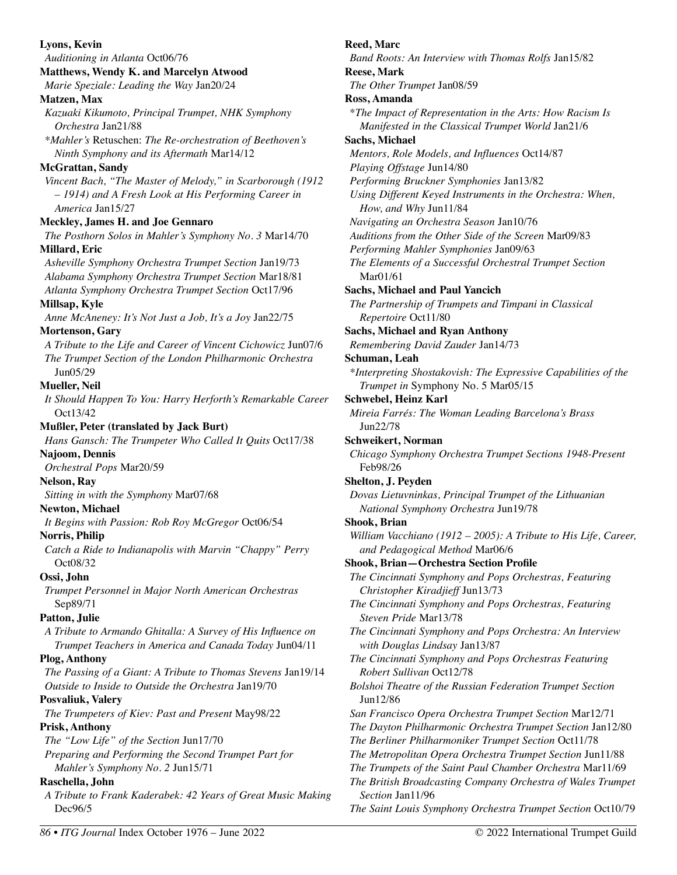| Lyons, Kevin                                                            | Reed,          |
|-------------------------------------------------------------------------|----------------|
| Auditioning in Atlanta Oct06/76                                         | Band           |
| Matthews, Wendy K. and Marcelyn Atwood                                  | <b>Reese</b>   |
| Marie Speziale: Leading the Way Jan20/24                                | The C          |
| Matzen, Max                                                             | Ross,          |
| Kazuaki Kikumoto, Principal Trumpet, NHK Symphony                       | $*The$         |
| <i>Orchestra</i> Jan21/88                                               | Ma             |
| *Mahler's Retuschen: The Re-orchestration of Beethoven's                | <b>Sachs</b>   |
| Ninth Symphony and its Aftermath Mar14/12                               | Ment           |
| McGrattan, Sandy                                                        | Playi          |
| Vincent Bach, "The Master of Melody," in Scarborough (1912              | Perfo          |
| - 1914) and A Fresh Look at His Performing Career in                    | Using          |
| America Jan15/27                                                        | Ho             |
| Meckley, James H. and Joe Gennaro                                       | Navig          |
| The Posthorn Solos in Mahler's Symphony No. 3 Mar14/70                  | Audit          |
| Millard, Eric                                                           | Perfo          |
| Asheville Symphony Orchestra Trumpet Section Jan19/73                   | The 1          |
| Alabama Symphony Orchestra Trumpet Section Mar18/81                     | Mε             |
| Atlanta Symphony Orchestra Trumpet Section Oct17/96                     | <b>Sachs</b>   |
| Millsap, Kyle                                                           | The <i>I</i>   |
| Anne McAneney: It's Not Just a Job, It's a Joy Jan22/75                 | Rej            |
| Mortenson, Gary                                                         | <b>Sachs</b>   |
| A Tribute to the Life and Career of Vincent Cichowicz Jun07/6           | Reme           |
| The Trumpet Section of the London Philharmonic Orchestra                | Schun          |
| Jun05/29                                                                | $*$ Inte       |
| <b>Mueller, Neil</b>                                                    | Tri            |
| It Should Happen To You: Harry Herforth's Remarkable Career             | Schwe          |
| Oct13/42                                                                | Mirei          |
| Mußler, Peter (translated by Jack Burt)                                 | Jur            |
| Hans Gansch: The Trumpeter Who Called It Quits Oct17/38                 | <b>Schwe</b>   |
| Najoom, Dennis                                                          | Chico          |
| Orchestral Pops Mar20/59                                                | Fel            |
| <b>Nelson</b> , Ray                                                     | <b>Shelto</b>  |
| Sitting in with the Symphony Mar07/68                                   | Dova           |
| Newton, Michael                                                         | Na             |
| It Begins with Passion: Rob Roy McGregor Oct06/54                       | Shook          |
| <b>Norris, Philip</b>                                                   | Willie         |
| Catch a Ride to Indianapolis with Marvin "Chappy" Perry                 |                |
| Oct08/32                                                                | an             |
| Ossi, John                                                              | Shook<br>The C |
|                                                                         |                |
| Trumpet Personnel in Major North American Orchestras                    | Ch<br>The C    |
| Sep89/71                                                                |                |
| Patton, Julie                                                           | Ste            |
| A Tribute to Armando Ghitalla: A Survey of His Influence on             | The C          |
| Trumpet Teachers in America and Canada Today Jun04/11                   | wit            |
| Plog, Anthony                                                           | The C          |
| The Passing of a Giant: A Tribute to Thomas Stevens Jan19/14            | Ro.            |
| Outside to Inside to Outside the Orchestra Jan19/70                     | <b>Bolsh</b>   |
| Posvaliuk, Valery                                                       | Jur            |
| The Trumpeters of Kiev: Past and Present May98/22                       | San I          |
| Prisk, Anthony                                                          | The 1          |
| The "Low Life" of the Section Jun17/70                                  | The 1          |
| Preparing and Performing the Second Trumpet Part for                    | The 1          |
| Mahler's Symphony No. 2 Jun15/71                                        | The T          |
|                                                                         | The 1          |
| Raschella, John                                                         |                |
| A Tribute to Frank Kaderabek: 42 Years of Great Music Making<br>Dec96/5 | Sec<br>The S   |

**Marc** *Band Roots: An Interview with Thomas Rolfs* Jan15/82 , Mark *The Other Trumpet* Jan08/59 **Ross, Amanda**  \**The Impact of Representation in the Arts: How Racism Is Manifested in the Classical Trumpet World* Jan21/6 **Sachs, Michael**  *Mentors, Role Models, and Influences* Oct14/87 *Playing Offstage* Jun14/80 *Performing Bruckner Symphonies* Jan13/82 *Using Different Keyed Instruments in the Orchestra: When, How, and Why* Jun11/84 *Navigating an Orchestra Season* Jan10/76 *Auditions from the Other Side of the Screen* Mar09/83 *Performing Mahler Symphonies* Jan09/63 *The Elements of a Successful Orchestral Trumpet Section*  ar01/61 **Sachs, Michael and Paul Yancich**  *The Partnership of Trumpets and Timpani in Classical Repertoire* Oct11/80 **Sachs, Michael and Ryan Anthony**  *Remembering David Zauder* Jan14/73 **Schuman, Leah**  *<i>Interpreting Shostakovish: The Expressive Capabilities of the <i>Trumpet in* Symphony No. 5 Mar05/15 **Schwebel, Heinz Karl**  *Mireia Farrés: The Woman Leading Barcelona's Brass*  122/78 **Schweikert, Norman**  *Chicago Symphony Orchestra Trumpet Sections 1948-Present*  b98/26 **Shelton, J. Peyden**  *Dovas Lietuvninkas, Principal Trumpet of the Lithuanian National Symphony Orchestra* Jun19/78 **s**, Brian *William Vacchiano (1912 – 2005): A Tribute to His Life, Career, and Pedagogical Method* Mar06/6 **Shook, Brian—Orchestra Section Profile**  *The Cincinnati Symphony and Pops Orchestras, Featuring Christopher Kiradjieff* Jun13/73 *The Cincinnati Symphony and Pops Orchestras, Featuring Steven Pride* Mar13/78 *The Cincinnati Symphony and Pops Orchestra: An Interview with Douglas Lindsay* Jan13/87 *The Cincinnati Symphony and Pops Orchestras Featuring Robert Sullivan* Oct12/78 *Bolshoi Theatre of the Russian Federation Trumpet Section*  12/86 *San Francisco Opera Orchestra Trumpet Section* Mar12/71 *The Dayton Philharmonic Orchestra Trumpet Section* Jan12/80 *The Berliner Philharmoniker Trumpet Section* Oct11/78 *The Metropolitan Opera Orchestra Trumpet Section* Jun11/88 *The Trumpets of the Saint Paul Chamber Orchestra* Mar11/69 *The British Broadcasting Company Orchestra of Wales Trumpet Section* Jan11/96 *The Saint Louis Symphony Orchestra Trumpet Section* Oct10/79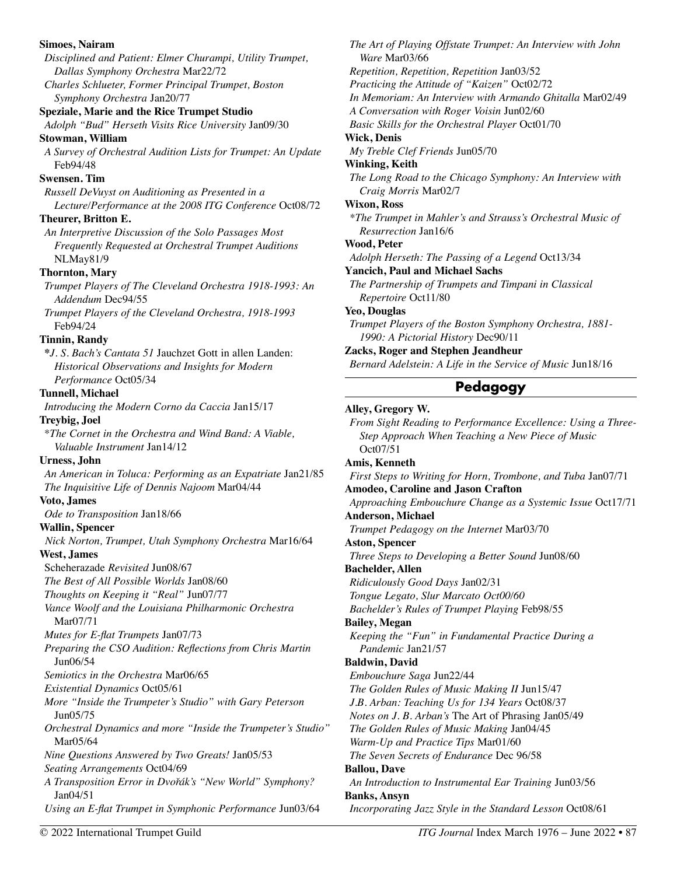| <b>Simoes, Nairam</b><br>Disciplined and Patient: Elmer Churampi, Utility Trumpet, | The Art of Playing Offstate Trumpet: An Interview with John<br>Ware Mar03/66 |
|------------------------------------------------------------------------------------|------------------------------------------------------------------------------|
| Dallas Symphony Orchestra Mar22/72                                                 | Repetition, Repetition, Repetition Jan03/52                                  |
| Charles Schlueter, Former Principal Trumpet, Boston                                | Practicing the Attitude of "Kaizen" Oct02/72                                 |
| Symphony Orchestra Jan20/77                                                        | In Memoriam: An Interview with Armando Ghitalla Mar02/49                     |
| Speziale, Marie and the Rice Trumpet Studio                                        | A Conversation with Roger Voisin Jun02/60                                    |
| Adolph "Bud" Herseth Visits Rice University Jan09/30                               | Basic Skills for the Orchestral Player Oct01/70                              |
| <b>Stowman, William</b>                                                            | <b>Wick, Denis</b>                                                           |
| A Survey of Orchestral Audition Lists for Trumpet: An Update                       | My Treble Clef Friends Jun05/70                                              |
| Feb94/48                                                                           | <b>Winking, Keith</b>                                                        |
| <b>Swensen. Tim</b>                                                                | The Long Road to the Chicago Symphony: An Interview with                     |
| Russell DeVuyst on Auditioning as Presented in a                                   | Craig Morris Mar02/7                                                         |
| Lecture/Performance at the 2008 ITG Conference Oct08/72                            | <b>Wixon, Ross</b>                                                           |
| Theurer, Britton E.                                                                | *The Trumpet in Mahler's and Strauss's Orchestral Music of                   |
| An Interpretive Discussion of the Solo Passages Most                               | Resurrection Jan16/6                                                         |
| Frequently Requested at Orchestral Trumpet Auditions                               | Wood, Peter                                                                  |
|                                                                                    | Adolph Herseth: The Passing of a Legend Oct13/34                             |
| NLMay81/9                                                                          | <b>Yancich, Paul and Michael Sachs</b>                                       |
| <b>Thornton</b> , Mary                                                             | The Partnership of Trumpets and Timpani in Classical                         |
| Trumpet Players of The Cleveland Orchestra 1918-1993: An                           | Repertoire Oct11/80                                                          |
| Addendum Dec94/55                                                                  | Yeo, Douglas                                                                 |
| Trumpet Players of the Cleveland Orchestra, 1918-1993                              | Trumpet Players of the Boston Symphony Orchestra, 1881-                      |
| Feb94/24                                                                           | 1990: A Pictorial History Dec90/11                                           |
| <b>Tinnin, Randy</b>                                                               | Zacks, Roger and Stephen Jeandheur                                           |
| *J. S. Bach's Cantata 51 Jauchzet Gott in allen Landen:                            | Bernard Adelstein: A Life in the Service of Music Jun18/16                   |
| Historical Observations and Insights for Modern                                    |                                                                              |
| Performance Oct05/34                                                               | Pedagogy                                                                     |
| <b>Tunnell, Michael</b>                                                            |                                                                              |
| Introducing the Modern Corno da Caccia Jan15/17                                    | Alley, Gregory W.                                                            |
| <b>Treybig, Joel</b>                                                               | From Sight Reading to Performance Excellence: Using a Three-                 |
| *The Cornet in the Orchestra and Wind Band: A Viable,                              | Step Approach When Teaching a New Piece of Music                             |
| Valuable Instrument Jan14/12                                                       | Oct07/51                                                                     |
| <b>Urness</b> , John                                                               | Amis, Kenneth                                                                |
| An American in Toluca: Performing as an Expatriate Jan21/85                        | First Steps to Writing for Horn, Trombone, and Tuba Jan07/71                 |
| The Inquisitive Life of Dennis Najoom Mar04/44                                     | Amodeo, Caroline and Jason Crafton                                           |
| Voto, James                                                                        | Approaching Embouchure Change as a Systemic Issue Oct17/71                   |
| Ode to Transposition Jan18/66                                                      | Anderson, Michael                                                            |
| <b>Wallin, Spencer</b>                                                             | Trumpet Pedagogy on the Internet Mar03/70                                    |
| Nick Norton, Trumpet, Utah Symphony Orchestra Mar16/64                             | <b>Aston, Spencer</b>                                                        |
| West, James                                                                        | Three Steps to Developing a Better Sound Jun08/60                            |
| Scheherazade Revisited Jun08/67                                                    | <b>Bachelder, Allen</b>                                                      |
| The Best of All Possible Worlds Jan08/60                                           | Ridiculously Good Days Jan02/31                                              |
| Thoughts on Keeping it "Real" Jun07/77                                             | Tongue Legato, Slur Marcato Oct00/60                                         |
| Vance Woolf and the Louisiana Philharmonic Orchestra                               | Bachelder's Rules of Trumpet Playing Feb98/55                                |
| Mar07/71                                                                           | <b>Bailey, Megan</b>                                                         |
| Mutes for E-flat Trumpets Jan07/73                                                 | Keeping the "Fun" in Fundamental Practice During a                           |
| Preparing the CSO Audition: Reflections from Chris Martin                          | Pandemic Jan21/57                                                            |
| Jun06/54                                                                           | <b>Baldwin</b> , David                                                       |
| Semiotics in the Orchestra Mar06/65                                                |                                                                              |
|                                                                                    | Embouchure Saga Jun22/44                                                     |
| <b>Existential Dynamics Oct05/61</b>                                               | The Golden Rules of Music Making II Jun15/47                                 |
| More "Inside the Trumpeter's Studio" with Gary Peterson                            | J.B. Arban: Teaching Us for 134 Years Oct08/37                               |
| Jun05/75                                                                           | Notes on J. B. Arban's The Art of Phrasing Jan05/49                          |
| Orchestral Dynamics and more "Inside the Trumpeter's Studio"                       | The Golden Rules of Music Making Jan04/45                                    |
| Mar05/64                                                                           | Warm-Up and Practice Tips Mar01/60                                           |
| Nine Questions Answered by Two Greats! Jan05/53                                    | The Seven Secrets of Endurance Dec 96/58                                     |
| Seating Arrangements Oct04/69                                                      | <b>Ballou</b> , Dave                                                         |
| A Transposition Error in Dvořák's "New World" Symphony?                            | An Introduction to Instrumental Ear Training Jun03/56                        |
| Jan04/51                                                                           | <b>Banks, Ansyn</b>                                                          |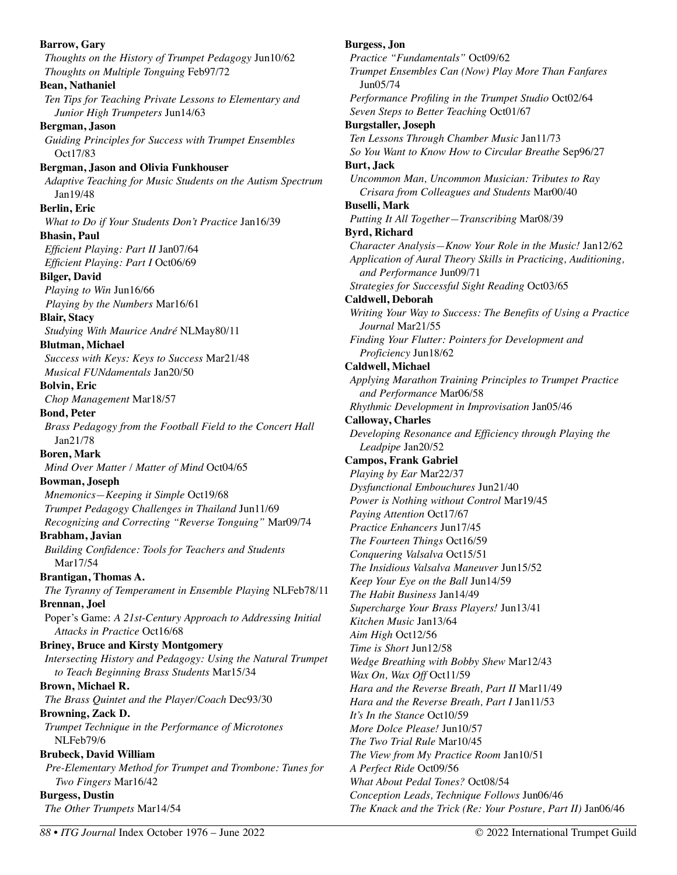**Barrow, Gary**  *Thoughts on the History of Trumpet Pedagogy* Jun10/62 *Thoughts on Multiple Tonguing* Feb97/72 **Bean, Nathaniel**  *Ten Tips for Teaching Private Lessons to Elementary and Junior High Trumpeters* Jun14/63 **Bergman, Jason**  *Guiding Principles for Success with Trumpet Ensembles*  Oct17/83 **Bergman, Jason and Olivia Funkhouser**  *Adaptive Teaching for Music Students on the Autism Spectrum*  Jan19/48 **Berlin, Eric**  *What to Do if Your Students Don't Practice* Jan16/39 **Bhasin, Paul**  *Efficient Playing: Part II* Jan07/64 *Efficient Playing: Part I* Oct06/69 **Bilger, David**  *Playing to Win* Jun16/66 *Playing by the Numbers* Mar16/61 **Blair, Stacy**  *Studying With Maurice André* NLMay80/11 **Blutman, Michael**  *Success with Keys: Keys to Success* Mar21/48 *Musical FUNdamentals* Jan20/50 **Bolvin, Eric**  *Chop Management* Mar18/57 **Bond, Peter**  *Brass Pedagogy from the Football Field to the Concert Hall*  Jan21/78 **Boren, Mark**  *Mind Over Matter / Matter of Mind* Oct04/65 **Bowman, Joseph**  *Mnemonics—Keeping it Simple* Oct19/68 *Trumpet Pedagogy Challenges in Thailand* Jun11/69 *Recognizing and Correcting "Reverse Tonguing"* Mar09/74 **Brabham, Javian**  *Building Confidence: Tools for Teachers and Students*  Mar17/54 **Brantigan, Thomas A.**  *The Tyranny of Temperament in Ensemble Playing* NLFeb78/11 **Brennan, Joel**  Poper's Game: *A 21st-Century Approach to Addressing Initial Attacks in Practice* Oct16/68 **Briney, Bruce and Kirsty Montgomery**  *Intersecting History and Pedagogy: Using the Natural Trumpet to Teach Beginning Brass Students* Mar15/34 **Brown, Michael R.**  *The Brass Quintet and the Player/Coach* Dec93/30 **Browning, Zack D.**  *Trumpet Technique in the Performance of Microtones*  NLFeb79/6 **Brubeck, David William** *Pre-Elementary Method for Trumpet and Trombone: Tunes for Two Fingers* Mar16/42 **Burgess, Dustin** *The Other Trumpets* Mar14/54 **Burgess, Jon Burt, Jack** 

*Practice "Fundamentals"* Oct09/62 *Trumpet Ensembles Can (Now) Play More Than Fanfares* Jun05/74 *Performance Profiling in the Trumpet Studio* Oct02/64 *Seven Steps to Better Teaching* Oct01/67 **Burgstaller, Joseph**  *Ten Lessons Through Chamber Music* Jan11/73 *So You Want to Know How to Circular Breathe* Sep96/27 *Uncommon Man, Uncommon Musician: Tributes to Ray Crisara from Colleagues and Students* Mar00/40 **Buselli, Mark**  *Putting It All Together—Transcribing* Mar08/39 **Byrd, Richard**  *Character Analysis—Know Your Role in the Music!* Jan12/62 *Application of Aural Theory Skills in Practicing, Auditioning, and Performance* Jun09/71 *Strategies for Successful Sight Reading* Oct03/65 **Caldwell, Deborah**  *Writing Your Way to Success: The Benefits of Using a Practice Journal* Mar21/55 *Finding Your Flutter: Pointers for Development and Proficiency* Jun18/62 **Caldwell, Michael**  *Applying Marathon Training Principles to Trumpet Practice and Performance* Mar06/58 *Rhythmic Development in Improvisation* Jan05/46 **Calloway, Charles**  *Developing Resonance and Efficiency through Playing the Leadpipe* Jan20/52 **Campos, Frank Gabriel**  *Playing by Ear* Mar22/37 *Dysfunctional Embouchures* Jun21/40 *Power is Nothing without Control* Mar19/45 *Paying Attention* Oct17/67 *Practice Enhancers* Jun17/45 *The Fourteen Things* Oct16/59 *Conquering Valsalva* Oct15/51 *The Insidious Valsalva Maneuver* Jun15/52 *Keep Your Eye on the Ball* Jun14/59 *The Habit Business* Jan14/49 *Supercharge Your Brass Players!* Jun13/41 *Kitchen Music* Jan13/64 *Aim High* Oct12/56 *Time is Short* Jun12/58 *Wedge Breathing with Bobby Shew* Mar12/43 *Wax On, Wax Off Oct11/59 Hara and the Reverse Breath, Part II* Mar11/49 *Hara and the Reverse Breath, Part I* Jan11/53 *It's In the Stance* Oct10/59 *More Dolce Please!* Jun10/57 *The Two Trial Rule* Mar10/45 *The View from My Practice Room* Jan10/51 *A Perfect Ride* Oct09/56 *What About Pedal Tones?* Oct08/54

*Conception Leads, Technique Follows* Jun06/46 *The Knack and the Trick (Re: Your Posture, Part II)* Jan06/46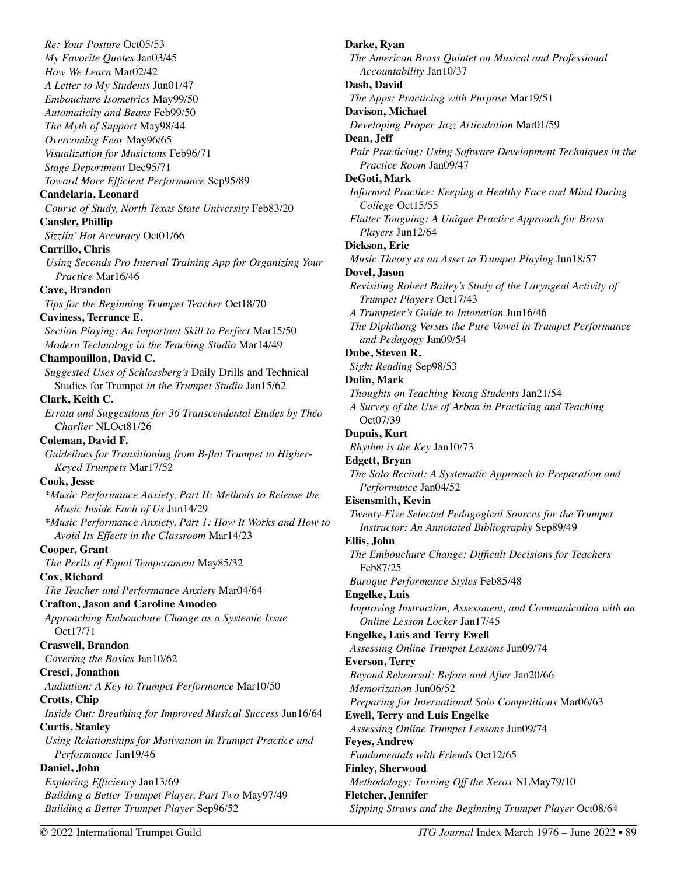*Re: Your Posture* Oct05/53 *My Favorite Quotes* Jan03/45 *How We Learn* Mar02/42 *A Letter to My Students* Jun01/47 *Embouchure Isometrics* May99/50 *Automaticity and Beans* Feb99/50 *The Myth of Support* May98/44 *Overcoming Fear* May96/65 *Visualization for Musicians* Feb96/71 *Stage Deportment* Dec95/71 *Toward More Efficient Performance* Sep95/89 **Candelaria, Leonard**  *Course of Study, North Texas State University* Feb83/20 **Cansler, Phillip**  *Sizzlin' Hot Accuracy* Oct01/66 **Carrillo, Chris**  *Using Seconds Pro Interval Training App for Organizing Your Practice* Mar16/46 **Cave, Brandon**  *Tips for the Beginning Trumpet Teacher* Oct18/70 **Caviness, Terrance E.**  *Section Playing: An Important Skill to Perfect* Mar15/50 *Modern Technology in the Teaching Studio* Mar14/49 **Champouillon, David C.**  *Suggested Uses of Schlossberg's* Daily Drills and Technical Studies for Trumpet *in the Trumpet Studio* Jan15/62 **Clark, Keith C.**  *Errata and Suggestions for 36 Transcendental Etudes by Théo Charlier* NLOct81/26 **Coleman, David F.**  *Guidelines for Transitioning from B-flat Trumpet to Higher-Keyed Trumpets* Mar17/52 **Cook, Jesse**  *\*Music Performance Anxiety, Part II: Methods to Release the Music Inside Each of Us* Jun14/29 *\*Music Performance Anxiety, Part 1: How It Works and How to Avoid Its Effects in the Classroom* Mar14/23 **Cooper, Grant**  *The Perils of Equal Temperament* May85/32 **Cox, Richard**  *The Teacher and Performance Anxiety* Mar04/64 **Crafton, Jason and Caroline Amodeo**  *Approaching Embouchure Change as a Systemic Issue*  Oct17/71 **Craswell, Brandon**  *Covering the Basics* Jan10/62 **Cresci, Jonathon**  *Audiation: A Key to Trumpet Performance* Mar10/50 **Crotts, Chip**  *Inside Out: Breathing for Improved Musical Success* Jun16/64 **Curtis, Stanley**  *Using Relationships for Motivation in Trumpet Practice and Performance* Jan19/46 **Daniel, John**  *Exploring Efficiency* Jan13/69 *Building a Better Trumpet Player, Part Two* May97/49 *Building a Better Trumpet Player* Sep96/52

**Darke, Ryan**  *The American Brass Quintet on Musical and Professional Accountability* Jan10/37 **Dash, David**  *The Apps: Practicing with Purpose* Mar19/51 **Davison, Michael**  *Developing Proper Jazz Articulation* Mar01/59 **Dean, Jeff**  *Pair Practicing: Using Software Development Techniques in the Practice Room* Jan09/47 **DeGoti, Mark**  *Informed Practice: Keeping a Healthy Face and Mind During College* Oct15/55 *Flutter Tonguing: A Unique Practice Approach for Brass Players* Jun12/64 **Dickson, Eric**  *Music Theory as an Asset to Trumpet Playing* Jun18/57 **Dovel, Jason**  *Revisiting Robert Bailey's Study of the Laryngeal Activity of Trumpet Players* Oct17/43 *A Trumpeter's Guide to Intonation* Jun16/46 *The Diphthong Versus the Pure Vowel in Trumpet Performance and Pedagogy* Jan09/54 **Dube, Steven R.**  *Sight Reading* Sep98/53 **Dulin, Mark**  *Thoughts on Teaching Young Students* Jan21/54 *A Survey of the Use of Arban in Practicing and Teaching*  Oct07/39 **Dupuis, Kurt**  *Rhythm is the Key* Jan10/73 **Edgett, Bryan**  *The Solo Recital: A Systematic Approach to Preparation and Performance* Jan04/52 **Eisensmith, Kevin**  *Twenty-Five Selected Pedagogical Sources for the Trumpet Instructor: An Annotated Bibliography* Sep89/49 **Ellis, John**  *The Embouchure Change: Difficult Decisions for Teachers*  Feb87/25 *Baroque Performance Styles* Feb85/48 **Engelke, Luis**  *Improving Instruction, Assessment, and Communication with an Online Lesson Locker* Jan17/45 **Engelke, Luis and Terry Ewell**  *Assessing Online Trumpet Lessons* Jun09/74 **Everson, Terry**  *Beyond Rehearsal: Before and After* Jan20/66 *Memorization* Jun06/52 *Preparing for International Solo Competitions* Mar06/63 **Ewell, Terry and Luis Engelke**  *Assessing Online Trumpet Lessons* Jun09/74 **Feyes, Andrew**  *Fundamentals with Friends* Oct12/65 **Finley, Sherwood**  *Methodology: Turning Off the Xerox* NLMay79/10 **Fletcher, Jennifer**  *Sipping Straws and the Beginning Trumpet Player* Oct08/64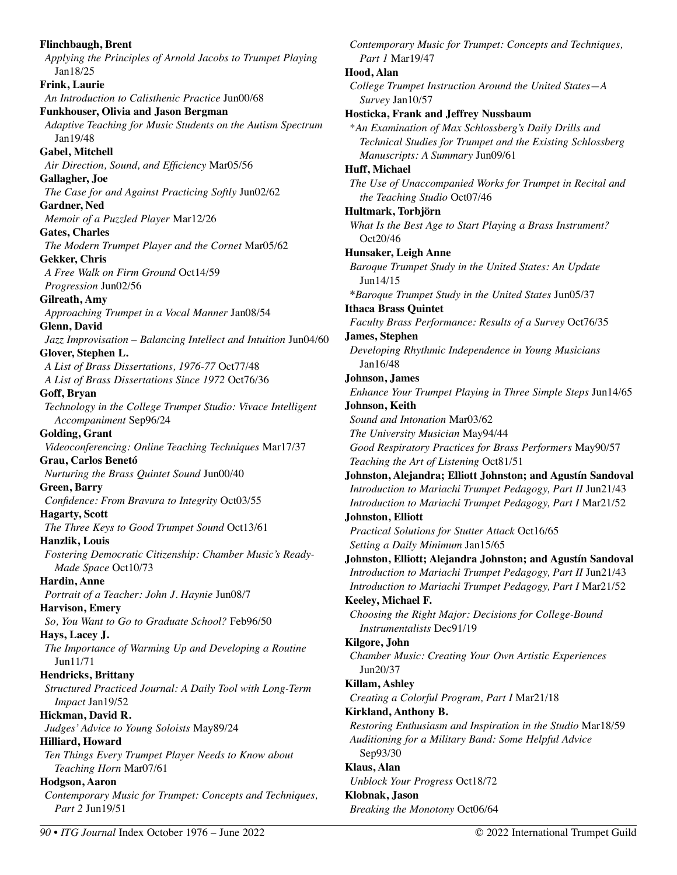**Flinchbaugh, Brent**  *Applying the Principles of Arnold Jacobs to Trumpet Playing*  Jan18/25 **Frink, Laurie**  *An Introduction to Calisthenic Practice* Jun00/68 **Funkhouser, Olivia and Jason Bergman**  *Adaptive Teaching for Music Students on the Autism Spectrum*  Jan19/48 **Gabel, Mitchell**  *Air Direction, Sound, and Efficiency* Mar05/56 **Gallagher, Joe**  *The Case for and Against Practicing Softly* Jun02/62 **Gardner, Ned**  *Memoir of a Puzzled Player* Mar12/26 **Gates, Charles**  *The Modern Trumpet Player and the Cornet* Mar05/62 **Gekker, Chris**  *A Free Walk on Firm Ground* Oct14/59 *Progression* Jun02/56 **Gilreath, Amy**  *Approaching Trumpet in a Vocal Manner* Jan08/54 **Glenn, David**  *Jazz Improvisation – Balancing Intellect and Intuition* Jun04/60 **Glover, Stephen L.**  *A List of Brass Dissertations, 1976-77* Oct77/48 *A List of Brass Dissertations Since 1972* Oct76/36 **Goff, Bryan**  *Technology in the College Trumpet Studio: Vivace Intelligent Accompaniment* Sep96/24 **Golding, Grant**  *Videoconferencing: Online Teaching Techniques* Mar17/37 **Grau, Carlos Benetó**  *Nurturing the Brass Quintet Sound* Jun00/40 **Green, Barry**  *Confidence: From Bravura to Integrity* Oct03/55 **Hagarty, Scott**  *The Three Keys to Good Trumpet Sound* Oct13/61 **Hanzlik, Louis**  *Fostering Democratic Citizenship: Chamber Music's Ready-Made Space* Oct10/73 **Hardin, Anne**  *Portrait of a Teacher: John J. Haynie* Jun08/7 **Harvison, Emery**  *So, You Want to Go to Graduate School?* Feb96/50 **Hays, Lacey J.**  *The Importance of Warming Up and Developing a Routine*  Jun11/71 **Hendricks, Brittany**  *Structured Practiced Journal: A Daily Tool with Long-Term Impact* Jan19/52 **Hickman, David R.**  *Judges' Advice to Young Soloists* May89/24 **Hilliard, Howard**  *Ten Things Every Trumpet Player Needs to Know about Teaching Horn* Mar07/61 **Hodgson, Aaron**  *Contemporary Music for Trumpet: Concepts and Techniques, Part 2* Jun19/51

*Contemporary Music for Trumpet: Concepts and Techniques, Part 1* Mar19/47 **Hood, Alan**  *College Trumpet Instruction Around the United States—A Survey* Jan10/57 **Hosticka, Frank and Jeffrey Nussbaum**  \**An Examination of Max Schlossberg's Daily Drills and Technical Studies for Trumpet and the Existing Schlossberg Manuscripts: A Summary* Jun09/61 **Huff, Michael**  *The Use of Unaccompanied Works for Trumpet in Recital and the Teaching Studio* Oct07/46 **Hultmark, Torbjörn**  *What Is the Best Age to Start Playing a Brass Instrument?*  Oct20/46 **Hunsaker, Leigh Anne**  *Baroque Trumpet Study in the United States: An Update*  Jun14/15 **\****Baroque Trumpet Study in the United States* Jun05/37 **Ithaca Brass Quintet**  *Faculty Brass Performance: Results of a Survey* Oct76/35 **James, Stephen**  *Developing Rhythmic Independence in Young Musicians*  Jan16/48 **Johnson, James**  *Enhance Your Trumpet Playing in Three Simple Steps* Jun14/65 **Johnson, Keith**  *Sound and Intonation* Mar03/62 *The University Musician* May94/44 *Good Respiratory Practices for Brass Performers* May90/57 *Teaching the Art of Listening* Oct81/51 **Johnston, Alejandra; Elliott Johnston; and Agustín Sandoval**  *Introduction to Mariachi Trumpet Pedagogy, Part II* Jun21/43 *Introduction to Mariachi Trumpet Pedagogy, Part I* Mar21/52 **Johnston, Elliott**  *Practical Solutions for Stutter Attack* Oct16/65 *Setting a Daily Minimum* Jan15/65 **Johnston, Elliott; Alejandra Johnston; and Agustín Sandoval**  *Introduction to Mariachi Trumpet Pedagogy, Part II* Jun21/43 *Introduction to Mariachi Trumpet Pedagogy, Part I* Mar21/52 **Keeley, Michael F.**  *Choosing the Right Major: Decisions for College-Bound Instrumentalists* Dec91/19 **Kilgore, John**  *Chamber Music: Creating Your Own Artistic Experiences*  Jun20/37 **Killam, Ashley**  *Creating a Colorful Program, Part I* Mar21/18 **Kirkland, Anthony B.**  *Restoring Enthusiasm and Inspiration in the Studio* Mar18/59 *Auditioning for a Military Band: Some Helpful Advice*  Sep93/30 **Klaus, Alan**  *Unblock Your Progress* Oct18/72 **Klobnak, Jason**  *Breaking the Monotony* Oct06/64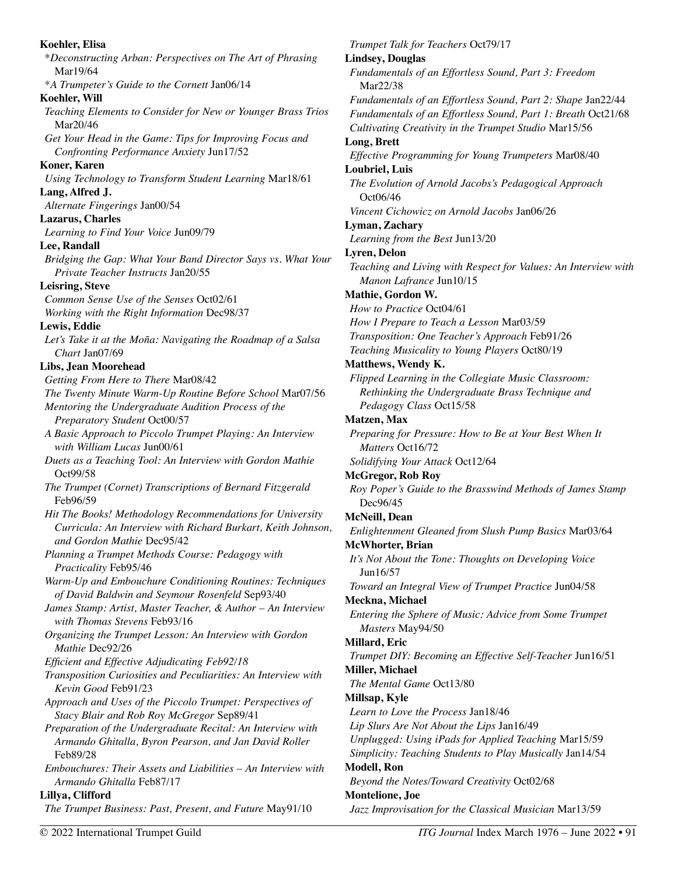**Koehler, Elisa**  \**Deconstructing Arban: Perspectives on The Art of Phrasing*  Mar19/64 \**A Trumpeter's Guide to the Cornett* Jan06/14 **Koehler, Will**  *Teaching Elements to Consider for New or Younger Brass Trios*  Mar20/46 *Get Your Head in the Game: Tips for Improving Focus and Confronting Performance Anxiety* Jun17/52 **Koner, Karen**  *Using Technology to Transform Student Learning* Mar18/61 **Lang, Alfred J.**  *Alternate Fingerings* Jan00/54 **Lazarus, Charles**  *Learning to Find Your Voice* Jun09/79 **Lee, Randall**  *Bridging the Gap: What Your Band Director Says vs. What Your Private Teacher Instructs* Jan20/55 **Leisring, Steve**  *Common Sense Use of the Senses* Oct02/61 *Working with the Right Information* Dec98/37 **Lewis, Eddie**  *Let's Take it at the Moña: Navigating the Roadmap of a Salsa Chart* Jan07/69 **Libs, Jean Moorehead**  *Getting From Here to There* Mar08/42 *The Twenty Minute Warm-Up Routine Before School* Mar07/56 *Mentoring the Undergraduate Audition Process of the Preparatory Student* Oct00/57 *A Basic Approach to Piccolo Trumpet Playing: An Interview with William Lucas* Jun00/61 *Duets as a Teaching Tool: An Interview with Gordon Mathie*  Oct99/58 *The Trumpet (Cornet) Transcriptions of Bernard Fitzgerald*  Feb96/59 *Hit The Books! Methodology Recommendations for University Curricula: An Interview with Richard Burkart, Keith Johnson, and Gordon Mathie* Dec95/42 *Planning a Trumpet Methods Course: Pedagogy with Practicality* Feb95/46 *Warm-Up and Embouchure Conditioning Routines: Techniques of David Baldwin and Seymour Rosenfeld* Sep93/40 *James Stamp: Artist, Master Teacher, & Author – An Interview with Thomas Stevens* Feb93/16 *Organizing the Trumpet Lesson: An Interview with Gordon Mathie* Dec92/26 *Efficient and Effective Adjudicating Feb92/18 Transposition Curiosities and Peculiarities: An Interview with Kevin Good* Feb91/23 *Approach and Uses of the Piccolo Trumpet: Perspectives of Stacy Blair and Rob Roy McGregor* Sep89/41 *Preparation of the Undergraduate Recital: An Interview with Armando Ghitalla, Byron Pearson, and Jan David Roller*  Feb89/28 *Embouchures: Their Assets and Liabilities – An Interview with Armando Ghitalla* Feb87/17 **Lillya, Clifford**  *The Trumpet Business: Past, Present, and Future* May91/10

*Trumpet Talk for Teachers* Oct79/17 **Lindsey, Douglas**  *Fundamentals of an Effortless Sound, Part 3: Freedom*  Mar22/38 *Fundamentals of an Effortless Sound, Part 2: Shape* Jan22/44 *Fundamentals of an Effortless Sound, Part 1: Breath* Oct21/68 *Cultivating Creativity in the Trumpet Studio* Mar15/56 **Long, Brett**  *Effective Programming for Young Trumpeters* Mar08/40 **Loubriel, Luis**  *The Evolution of Arnold Jacobs's Pedagogical Approach* Oct06/46 *Vincent Cichowicz on Arnold Jacobs* Jan06/26 **Lyman, Zachary**  *Learning from the Best* Jun13/20 **Lyren, Delon**  *Teaching and Living with Respect for Values: An Interview with Manon Lafrance* Jun10/15 **Mathie, Gordon W.**  *How to Practice* Oct04/61 *How I Prepare to Teach a Lesson* Mar03/59 *Transposition: One Teacher's Approach* Feb91/26 *Teaching Musicality to Young Players* Oct80/19 **Matthews, Wendy K.**  *Flipped Learning in the Collegiate Music Classroom: Rethinking the Undergraduate Brass Technique and Pedagogy Class* Oct15/58 **Matzen, Max**  *Preparing for Pressure: How to Be at Your Best When It Matters* Oct16/72 *Solidifying Your Attack* Oct12/64 **McGregor, Rob Roy**  *Roy Poper's Guide to the Brasswind Methods of James Stamp*  Dec96/45 **McNeill, Dean**  *Enlightenment Gleaned from Slush Pump Basics* Mar03/64 **McWhorter, Brian**  *It's Not About the Tone: Thoughts on Developing Voice*  Jun16/57 *Toward an Integral View of Trumpet Practice* Jun04/58 **Meckna, Michael**  *Entering the Sphere of Music: Advice from Some Trumpet Masters* May94/50 **Millard, Eric**  *Trumpet DIY: Becoming an Effective Self-Teacher* Jun16/51 **Miller, Michael**  *The Mental Game* Oct13/80 **Millsap, Kyle**  *Learn to Love the Process* Jan18/46 *Lip Slurs Are Not About the Lips* Jan16/49 *Unplugged: Using iPads for Applied Teaching* Mar15/59 *Simplicity: Teaching Students to Play Musically* Jan14/54 **Modell, Ron**  *Beyond the Notes/Toward Creativity* Oct02/68 **Montelione, Joe**  *Jazz Improvisation for the Classical Musician* Mar13/59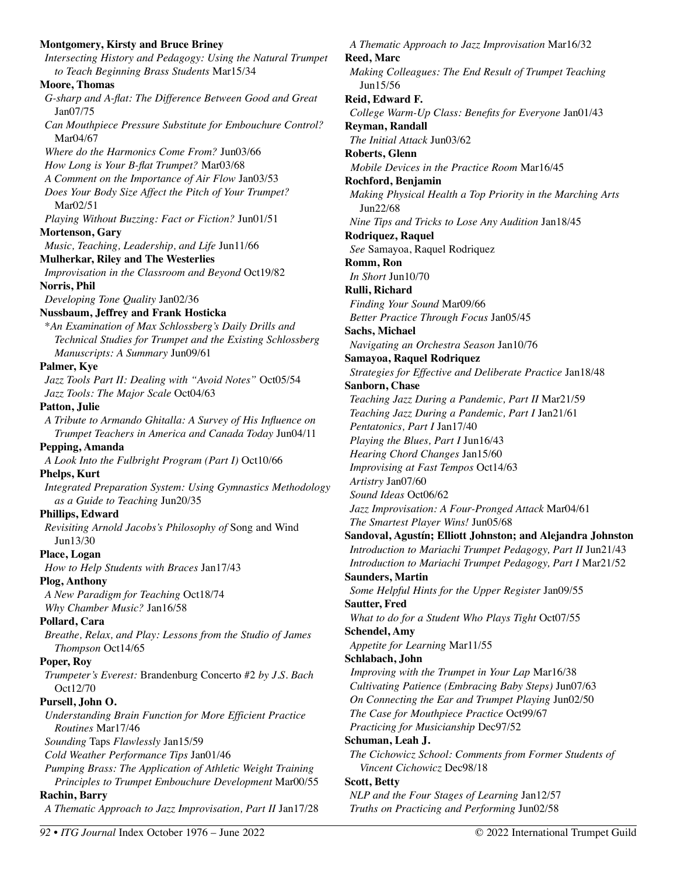## **Montgomery, Kirsty and Bruce Briney**  *Intersecting History and Pedagogy: Using the Natural Trumpet to Teach Beginning Brass Students* Mar15/34 **Moore, Thomas**  *G-sharp and A-flat: The Difference Between Good and Great* Jan07/75 *Can Mouthpiece Pressure Substitute for Embouchure Control?* Mar04/67 *Where do the Harmonics Come From?* Jun03/66 *How Long is Your B-flat Trumpet?* Mar03/68 *A Comment on the Importance of Air Flow* Jan03/53 *Does Your Body Size Affect the Pitch of Your Trumpet?* Mar02/51 *Playing Without Buzzing: Fact or Fiction?* Jun01/51 **Mortenson, Gary**  *Music, Teaching, Leadership, and Life* Jun11/66 **Mulherkar, Riley and The Westerlies**  *Improvisation in the Classroom and Beyond* Oct19/82 **Norris, Phil**  *Developing Tone Quality* Jan02/36 **Nussbaum, Jeffrey and Frank Hosticka**  \**An Examination of Max Schlossberg's Daily Drills and Technical Studies for Trumpet and the Existing Schlossberg Manuscripts: A Summary* Jun09/61 **Palmer, Kye**  *Jazz Tools Part II: Dealing with "Avoid Notes"* Oct05/54 *Jazz Tools: The Major Scale* Oct04/63 **Patton, Julie**  *A Tribute to Armando Ghitalla: A Survey of His Influence on Trumpet Teachers in America and Canada Today* Jun04/11 **Pepping, Amanda**  *A Look Into the Fulbright Program (Part I)* Oct10/66 **Phelps, Kurt**  *Integrated Preparation System: Using Gymnastics Methodology as a Guide to Teaching* Jun20/35 **Phillips, Edward**  *Revisiting Arnold Jacobs's Philosophy of* Song and Wind Jun13/30 **Place, Logan**  *How to Help Students with Braces* Jan17/43 **Plog, Anthony**  *A New Paradigm for Teaching* Oct18/74 *Why Chamber Music?* Jan16/58 **Pollard, Cara**  *Breathe, Relax, and Play: Lessons from the Studio of James Thompson* Oct14/65 **Poper, Roy**  *Trumpeter's Everest:* Brandenburg Concerto #2 *by J.S. Bach*  Oct12/70 **Pursell, John O.**  *Understanding Brain Function for More Efficient Practice Routines* Mar17/46 *Sounding* Taps *Flawlessly* Jan15/59 *Cold Weather Performance Tips* Jan01/46 *Pumping Brass: The Application of Athletic Weight Training Principles to Trumpet Embouchure Development* Mar00/55 **Rachin, Barry**  *A Thematic Approach to Jazz Improvisation, Part II* Jan17/28

*A Thematic Approach to Jazz Improvisation* Mar16/32 **Reed, Marc**  *Making Colleagues: The End Result of Trumpet Teaching*  Jun15/56 **Reid, Edward F.**  *College Warm-Up Class: Benefits for Everyone* Jan01/43 **Reyman, Randall**  *The Initial Attack* Jun03/62 **Roberts, Glenn**  *Mobile Devices in the Practice Room* Mar16/45 **Rochford, Benjamin**  *Making Physical Health a Top Priority in the Marching Arts*  Jun22/68 *Nine Tips and Tricks to Lose Any Audition* Jan18/45 **Rodriquez, Raquel**  *See* Samayoa, Raquel Rodriquez **Romm, Ron**  *In Short* Jun10/70 **Rulli, Richard**  *Finding Your Sound* Mar09/66 *Better Practice Through Focus* Jan05/45 **Sachs, Michael**  *Navigating an Orchestra Season* Jan10/76 **Samayoa, Raquel Rodriquez**  *Strategies for Effective and Deliberate Practice* Jan18/48 **Sanborn, Chase**  *Teaching Jazz During a Pandemic, Part II* Mar21/59 *Teaching Jazz During a Pandemic, Part I* Jan21/61 *Pentatonics, Part I* Jan17/40 *Playing the Blues, Part I* Jun16/43 *Hearing Chord Changes* Jan15/60 *Improvising at Fast Tempos* Oct14/63 *Artistry* Jan07/60 *Sound Ideas* Oct06/62 *Jazz Improvisation: A Four-Pronged Attack* Mar04/61 *The Smartest Player Wins!* Jun05/68 **Sandoval, Agustín; Elliott Johnston; and Alejandra Johnston**  *Introduction to Mariachi Trumpet Pedagogy, Part II* Jun21/43 *Introduction to Mariachi Trumpet Pedagogy, Part I* Mar21/52 **Saunders, Martin**  *Some Helpful Hints for the Upper Register* Jan09/55 **Sautter, Fred**  *What to do for a Student Who Plays Tight* Oct07/55 **Schendel, Amy**  *Appetite for Learning* Mar11/55 **Schlabach, John**  *Improving with the Trumpet in Your Lap* Mar16/38 *Cultivating Patience (Embracing Baby Steps)* Jun07/63 *On Connecting the Ear and Trumpet Playing* Jun02/50 *The Case for Mouthpiece Practice* Oct99/67 *Practicing for Musicianship* Dec97/52 **Schuman, Leah J.**  *The Cichowicz School: Comments from Former Students of Vincent Cichowicz* Dec98/18 **Scott, Betty**  *NLP and the Four Stages of Learning* Jan12/57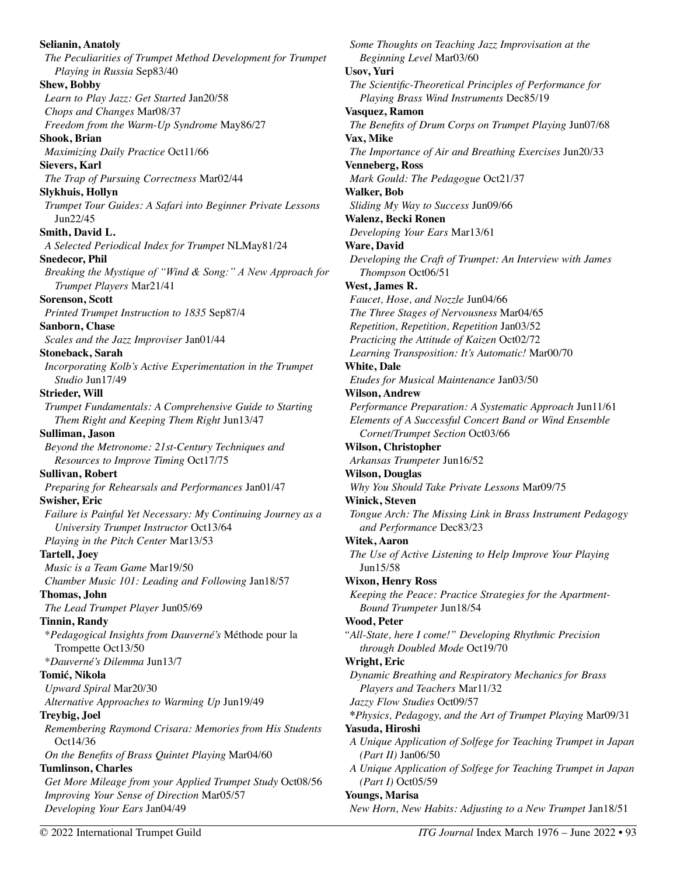**Selianin, Anatoly**  *The Peculiarities of Trumpet Method Development for Trumpet Playing in Russia* Sep83/40 **Shew, Bobby**  *Learn to Play Jazz: Get Started* Jan20/58 *Chops and Changes* Mar08/37 *Freedom from the Warm-Up Syndrome* May86/27 **Shook, Brian**  *Maximizing Daily Practice* Oct11/66 **Sievers, Karl**  *The Trap of Pursuing Correctness* Mar02/44 **Slykhuis, Hollyn**  *Trumpet Tour Guides: A Safari into Beginner Private Lessons*  Jun22/45 **Smith, David L.**  *A Selected Periodical Index for Trumpet* NLMay81/24 **Snedecor, Phil**  *Breaking the Mystique of "Wind & Song:" A New Approach for Trumpet Players* Mar21/41 **Sorenson, Scott**  *Printed Trumpet Instruction to 1835* Sep87/4 **Sanborn, Chase**  *Scales and the Jazz Improviser* Jan01/44 **Stoneback, Sarah**  *Incorporating Kolb's Active Experimentation in the Trumpet Studio* Jun17/49 **Strieder, Will**  *Trumpet Fundamentals: A Comprehensive Guide to Starting Them Right and Keeping Them Right* Jun13/47 **Sulliman, Jason**  *Beyond the Metronome: 21st-Century Techniques and Resources to Improve Timing* Oct17/75 **Sullivan, Robert**  *Preparing for Rehearsals and Performances* Jan01/47 **Swisher, Eric**  *Failure is Painful Yet Necessary: My Continuing Journey as a University Trumpet Instructor* Oct13/64 *Playing in the Pitch Center* Mar13/53 **Tartell, Joey**  *Music is a Team Game* Mar19/50 *Chamber Music 101: Leading and Following* Jan18/57 **Thomas, John**  *The Lead Trumpet Player* Jun05/69 **Tinnin, Randy**  \**Pedagogical Insights from Dauverné's* Méthode pour la Trompette Oct13/50 \**Dauverné's Dilemma* Jun13/7 **Tomić, Nikola**  *Upward Spiral* Mar20/30 *Alternative Approaches to Warming Up* Jun19/49 **Treybig, Joel**  *Remembering Raymond Crisara: Memories from His Students*  Oct14/36 *On the Benefits of Brass Quintet Playing* Mar04/60 **Tumlinson, Charles**  *Get More Mileage from your Applied Trumpet Study* Oct08/56 *Improving Your Sense of Direction* Mar05/57 *Developing Your Ears* Jan04/49

*Some Thoughts on Teaching Jazz Improvisation at the Beginning Level* Mar03/60 **Usov, Yuri**  *The Scientific-Theoretical Principles of Performance for Playing Brass Wind Instruments* Dec85/19 **Vasquez, Ramon**  *The Benefits of Drum Corps on Trumpet Playing* Jun07/68 **Vax, Mike**  *The Importance of Air and Breathing Exercises* Jun20/33 **Venneberg, Ross**  *Mark Gould: The Pedagogue* Oct21/37 **Walker, Bob**  *Sliding My Way to Success* Jun09/66 **Walenz, Becki Ronen**  *Developing Your Ears* Mar13/61 **Ware, David**  *Developing the Craft of Trumpet: An Interview with James Thompson* Oct06/51 **West, James R.**  *Faucet, Hose, and Nozzle* Jun04/66 *The Three Stages of Nervousness* Mar04/65 *Repetition, Repetition, Repetition* Jan03/52 *Practicing the Attitude of Kaizen* Oct02/72 *Learning Transposition: It's Automatic!* Mar00/70 **White, Dale**  *Etudes for Musical Maintenance* Jan03/50 **Wilson, Andrew**  *Performance Preparation: A Systematic Approach* Jun11/61 *Elements of A Successful Concert Band or Wind Ensemble Cornet/Trumpet Section* Oct03/66 **Wilson, Christopher**  *Arkansas Trumpeter* Jun16/52 **Wilson, Douglas**  *Why You Should Take Private Lessons* Mar09/75 **Winick, Steven**  *Tongue Arch: The Missing Link in Brass Instrument Pedagogy and Performance* Dec83/23 **Witek, Aaron**  *The Use of Active Listening to Help Improve Your Playing*  Jun15/58 **Wixon, Henry Ross**  *Keeping the Peace: Practice Strategies for the Apartment-Bound Trumpeter* Jun18/54 **Wood, Peter**  *"All-State, here I come!" Developing Rhythmic Precision through Doubled Mode* Oct19/70 **Wright, Eric**  *Dynamic Breathing and Respiratory Mechanics for Brass Players and Teachers* Mar11/32 *Jazzy Flow Studies* Oct09/57 **\****Physics, Pedagogy, and the Art of Trumpet Playing* Mar09/31 **Yasuda, Hiroshi**  *A Unique Application of Solfege for Teaching Trumpet in Japan (Part II)* Jan06/50 *A Unique Application of Solfege for Teaching Trumpet in Japan (Part I)* Oct05/59 **Youngs, Marisa**  *New Horn, New Habits: Adjusting to a New Trumpet* Jan18/51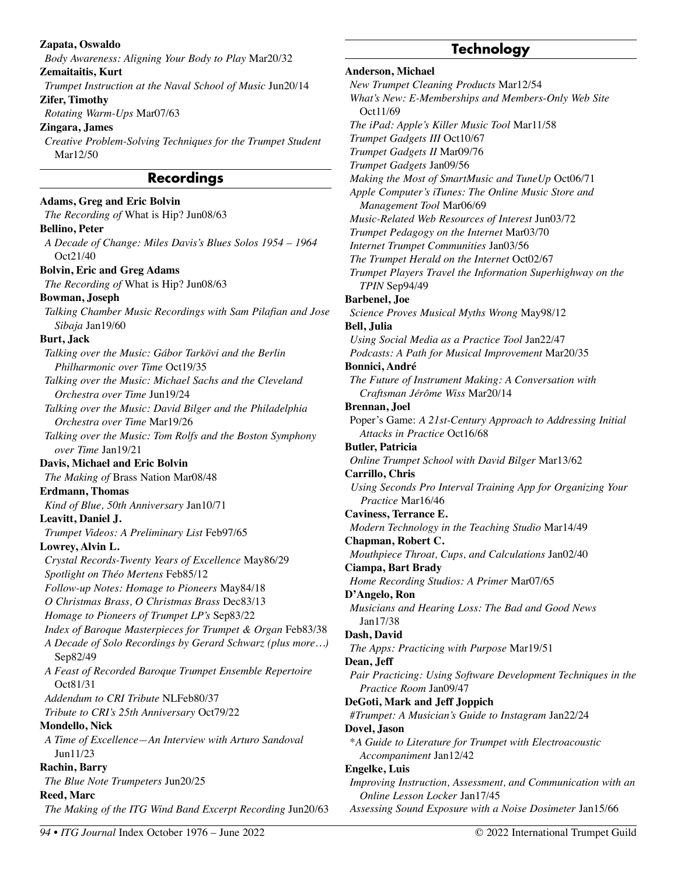*A Decade of Solo Recordings by Gerard Schwarz (plus more…)*  Sep82/49 *A Feast of Recorded Baroque Trumpet Ensemble Repertoire*  Oct81/31 *Addendum to CRI Tribute* NLFeb80/37 *Tribute to CRI's 25th Anniversary* Oct79/22 **Mondello, Nick**  *A Time of Excellence—An Interview with Arturo Sandoval*  Jun11/23 **Rachin, Barry**  *The Blue Note Trumpeters* Jun20/25 **Reed, Marc**  *The Making of the ITG Wind Band Excerpt Recording* Jun20/63 *94 • ITG Journal* Index October 1976 – June 2022 © 2022 International Trumpet Guild

**Zapata, Oswaldo** 

**Zemaitaitis, Kurt** 

*Rotating Warm-Ups* Mar07/63

**Adams, Greg and Eric Bolvin** 

**Bolvin, Eric and Greg Adams** 

*The Recording of* What is Hip? Jun08/63

*The Recording of* What is Hip? Jun08/63

*Philharmonic over Time* Oct19/35

*Orchestra over Time* Jun19/24

*Orchestra over Time* Mar19/26

*Kind of Blue, 50th Anniversary* Jan10/71

*Spotlight on Théo Mertens* Feb85/12

*Trumpet Videos: A Preliminary List* Feb97/65

*Crystal Records-Twenty Years of Excellence* May86/29

*Follow-up Notes: Homage to Pioneers* May84/18 *O Christmas Brass, O Christmas Brass* Dec83/13 *Homage to Pioneers of Trumpet LP's* Sep83/22

*over Time* Jan19/21 **Davis, Michael and Eric Bolvin**  *The Making of* Brass Nation Mar08/48

**Erdmann, Thomas** 

**Leavitt, Daniel J.** 

**Lowrey, Alvin L.** 

*Talking over the Music: Gábor Tarkövi and the Berlin* 

*Talking over the Music: Michael Sachs and the Cleveland* 

*Talking over the Music: David Bilger and the Philadelphia* 

**Zifer, Timothy** 

**Zingara, James** 

Mar12/50

**Bellino, Peter** 

Oct21/40

**Bowman, Joseph** 

**Burt, Jack** 

*Sibaja* Jan19/60

*Body Awareness: Aligning Your Body to Play* Mar20/32

*Trumpet Instruction at the Naval School of Music* Jun20/14

**Recordings** 

#### *Creative Problem-Solving Techniques for the Trumpet Student A Decade of Change: Miles Davis's Blues Solos 1954 – 1964 Talking Chamber Music Recordings with Sam Pilafian and Jose Talking over the Music: Tom Rolfs and the Boston Symphony*  **Technology Anderson, Michael**  *New Trumpet Cleaning Products* Mar12/54 *What's New: E-Memberships and Members-Only Web Site*  Oct11/69 *The iPad: Apple's Killer Music Tool* Mar11/58 *Trumpet Gadgets III* Oct10/67 *Trumpet Gadgets II* Mar09/76 *Trumpet Gadgets* Jan09/56 *Making the Most of SmartMusic and TuneUp* Oct06/71 *Apple Computer's iTunes: The Online Music Store and Management Tool* Mar06/69 *Music-Related Web Resources of Interest* Jun03/72 *Trumpet Pedagogy on the Internet* Mar03/70 *Internet Trumpet Communities* Jan03/56 *The Trumpet Herald on the Internet* Oct02/67 *Trumpet Players Travel the Information Superhighway on the TPIN* Sep94/49 **Barbenel, Joe**  *Science Proves Musical Myths Wrong* May98/12 **Bell, Julia**  *Using Social Media as a Practice Tool* Jan22/47 *Podcasts: A Path for Musical Improvement* Mar20/35 **Bonnici, André**  *The Future of Instrument Making: A Conversation with Craftsman Jérôme Wiss* Mar20/14 **Brennan, Joel**  Poper's Game: *A 21st-Century Approach to Addressing Initial Attacks in Practice* Oct16/68 **Butler, Patricia**  *Online Trumpet School with David Bilger* Mar13/62 **Carrillo, Chris**  *Using Seconds Pro Interval Training App for Organizing Your Practice* Mar16/46 **Caviness, Terrance E.**  *Modern Technology in the Teaching Studio* Mar14/49 **Chapman, Robert C. Ciampa, Bart Brady**

*Index of Baroque Masterpieces for Trumpet & Organ Feb83/38 Mouthpiece Throat, Cups, and Calculations* Jan02/40 *Home Recording Studios: A Primer* Mar07/65 **D'Angelo, Ron**  *Musicians and Hearing Loss: The Bad and Good News*  Jan17/38 **Dash, David**  *The Apps: Practicing with Purpose* Mar19/51 **Dean, Jeff**  *Pair Practicing: Using Software Development Techniques in the Practice Room* Jan09/47 **DeGoti, Mark and Jeff Joppich**  *#Trumpet: A Musician's Guide to Instagram* Jan22/24 **Dovel, Jason** 

> \**A Guide to Literature for Trumpet with Electroacoustic Accompaniment* Jan12/42

#### **Engelke, Luis**

- *Improving Instruction, Assessment, and Communication with an Online Lesson Locker* Jan17/45
- *Assessing Sound Exposure with a Noise Dosimeter* Jan15/66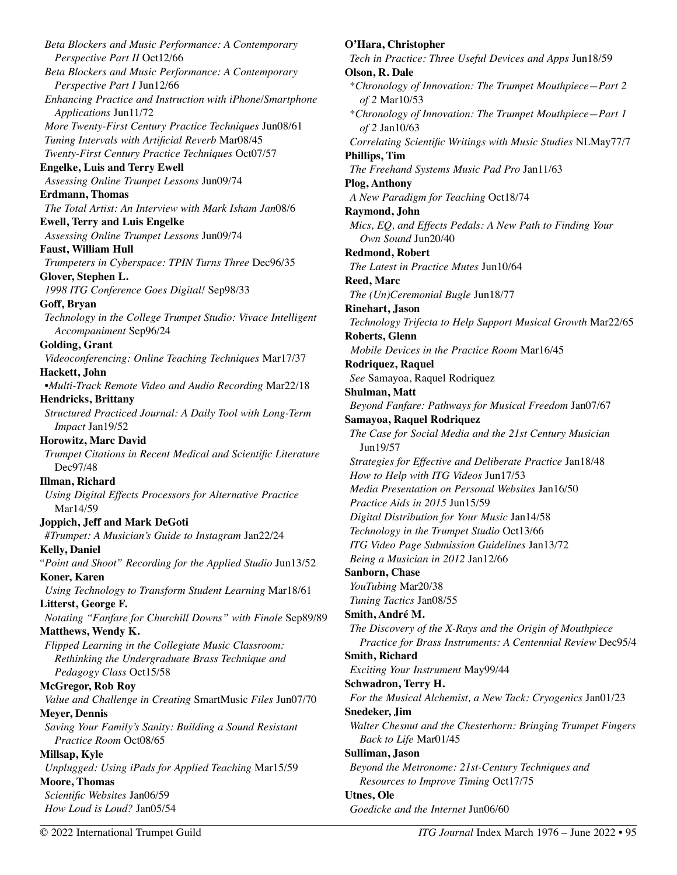*Beta Blockers and Music Performance: A Contemporary Perspective Part II* Oct12/66 *Beta Blockers and Music Performance: A Contemporary Perspective Part I* Jun12/66 *Enhancing Practice and Instruction with iPhone/Smartphone Applications* Jun11/72 *More Twenty-First Century Practice Techniques* Jun08/61 *Tuning Intervals with Artificial Reverb* Mar08/45 *Twenty-First Century Practice Techniques* Oct07/57 **Engelke, Luis and Terry Ewell**  *Assessing Online Trumpet Lessons* Jun09/74 **Erdmann, Thomas**  *The Total Artist: An Interview with Mark Isham Jan*08/6 **Ewell, Terry and Luis Engelke**  *Assessing Online Trumpet Lessons* Jun09/74 **Faust, William Hull**  *Trumpeters in Cyberspace: TPIN Turns Three* Dec96/35 **Glover, Stephen L.**  *1998 ITG Conference Goes Digital!* Sep98/33 **Goff, Bryan**  *Technology in the College Trumpet Studio: Vivace Intelligent Accompaniment* Sep96/24 **Golding, Grant**  *Videoconferencing: Online Teaching Techniques* Mar17/37 **Hackett, John**  •*Multi-Track Remote Video and Audio Recording* Mar22/18 **Hendricks, Brittany**  *Structured Practiced Journal: A Daily Tool with Long-Term Impact* Jan19/52 **Horowitz, Marc David**  *Trumpet Citations in Recent Medical and Scientific Literature*  Dec97/48 **Illman, Richard**  *Using Digital Effects Processors for Alternative Practice*  Mar14/59 **Joppich, Jeff and Mark DeGoti**  *#Trumpet: A Musician's Guide to Instagram* Jan22/24 **Kelly, Daniel**  *"Point and Shoot" Recording for the Applied Studio* Jun13/52 **Koner, Karen**  *Using Technology to Transform Student Learning* Mar18/61 **Litterst, George F.**  *Notating "Fanfare for Churchill Downs" with Finale* Sep89/89 **Matthews, Wendy K.**  *Flipped Learning in the Collegiate Music Classroom: Rethinking the Undergraduate Brass Technique and Pedagogy Class* Oct15/58 **McGregor, Rob Roy**  *Value and Challenge in Creating* SmartMusic *Files* Jun07/70 **Meyer, Dennis**  *Saving Your Family's Sanity: Building a Sound Resistant Practice Room* Oct08/65 **Millsap, Kyle**  *Unplugged: Using iPads for Applied Teaching* Mar15/59 **Moore, Thomas**  *Scientific Websites* Jan06/59 *How Loud is Loud?* Jan05/54

## **O'Hara, Christopher**  *Tech in Practice: Three Useful Devices and Apps* Jun18/59 **Olson, R. Dale**  \**Chronology of Innovation: The Trumpet Mouthpiece—Part 2 of 2* Mar10/53 \**Chronology of Innovation: The Trumpet Mouthpiece—Part 1 of 2* Jan10/63 *Correlating Scientific Writings with Music Studies* NLMay77/7 **Phillips, Tim**  *The Freehand Systems Music Pad Pro* Jan11/63 **Plog, Anthony**  *A New Paradigm for Teaching* Oct18/74 **Raymond, John**  *Mics, EQ, and Effects Pedals: A New Path to Finding Your Own Sound* Jun20/40 **Redmond, Robert**  *The Latest in Practice Mutes* Jun10/64 **Reed, Marc**  *The (Un)Ceremonial Bugle* Jun18/77 **Rinehart, Jason**  *Technology Trifecta to Help Support Musical Growth* Mar22/65 **Roberts, Glenn**  *Mobile Devices in the Practice Room* Mar16/45 **Rodriquez, Raquel**  *See* Samayoa, Raquel Rodriquez **Shulman, Matt**  *Beyond Fanfare: Pathways for Musical Freedom* Jan07/67 **Samayoa, Raquel Rodriquez**  *The Case for Social Media and the 21st Century Musician*  Jun19/57 *Strategies for Effective and Deliberate Practice* Jan18/48 *How to Help with ITG Videos* Jun17/53 *Media Presentation on Personal Websites* Jan16/50 *Practice Aids in 2015* Jun15/59 *Digital Distribution for Your Music* Jan14/58 *Technology in the Trumpet Studio* Oct13/66 *ITG Video Page Submission Guidelines* Jan13/72 *Being a Musician in 2012* Jan12/66 **Sanborn, Chase**  *YouTubing* Mar20/38 *Tuning Tactics* Jan08/55 **Smith, André M.**  *The Discovery of the X-Rays and the Origin of Mouthpiece Practice for Brass Instruments: A Centennial Review* Dec95/4 **Smith, Richard**  *Exciting Your Instrument* May99/44 **Schwadron, Terry H.**  *For the Musical Alchemist, a New Tack: Cryogenics* Jan01/23 **Snedeker, Jim**  *Walter Chesnut and the Chesterhorn: Bringing Trumpet Fingers Back to Life* Mar01/45 **Sulliman, Jason**  *Beyond the Metronome: 21st-Century Techniques and Resources to Improve Timing* Oct17/75 **Utnes, Ole**  *Goedicke and the Internet* Jun06/60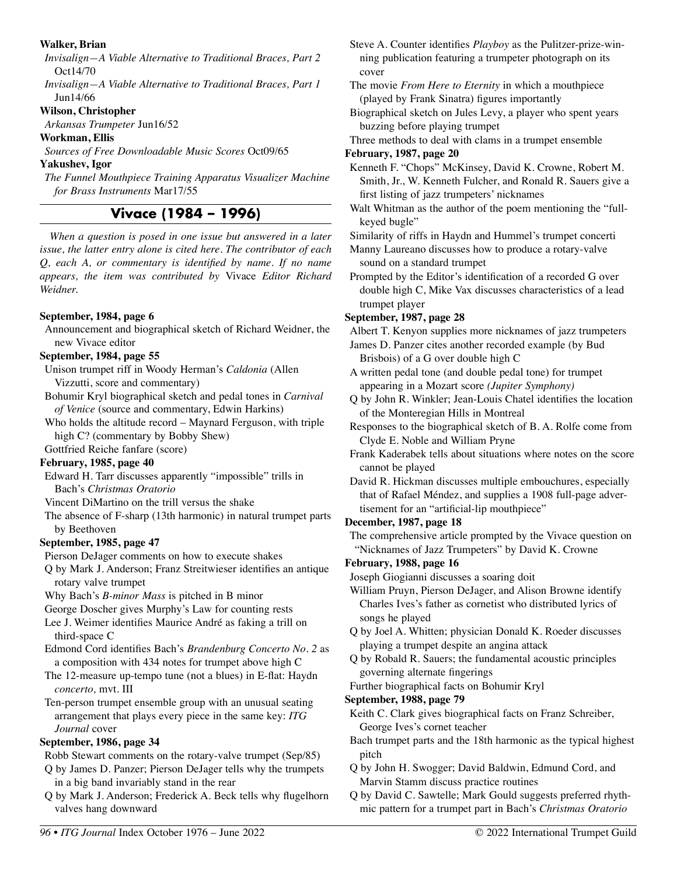#### **Walker, Brian**

*Invisalign—A Viable Alternative to Traditional Braces, Part 2*  Oct14/70

*Invisalign—A Viable Alternative to Traditional Braces, Part 1*  Jun14/66

#### **Wilson, Christopher**

*Arkansas Trumpeter* Jun16/52

#### **Workman, Ellis**

*Sources of Free Downloadable Music Scores* Oct09/65

**Yakushev, Igor** 

*The Funnel Mouthpiece Training Apparatus Visualizer Machine for Brass Instruments* Mar17/55

# **Vivace (1984 – 1996)**

*When a question is posed in one issue but answered in a later issue, the latter entry alone is cited here. The contributor of each Q, each A, or commentary is identified by name. If no name appears, the item was contributed by* Vivace *Editor Richard Weidner.* 

## **September, 1984, page 6**

Announcement and biographical sketch of Richard Weidner, the new Vivace editor

## **September, 1984, page 55**

- Unison trumpet riff in Woody Herman's *Caldonia* (Allen Vizzutti, score and commentary)
- Bohumir Kryl biographical sketch and pedal tones in *Carnival of Venice* (source and commentary, Edwin Harkins)
- Who holds the altitude record Maynard Ferguson, with triple high C? (commentary by Bobby Shew)

Gottfried Reiche fanfare (score)

## **February, 1985, page 40**

Edward H. Tarr discusses apparently "impossible" trills in Bach's *Christmas Oratorio* 

- Vincent DiMartino on the trill versus the shake
- The absence of F-sharp (13th harmonic) in natural trumpet parts by Beethoven

## **September, 1985, page 47**

Pierson DeJager comments on how to execute shakes

Q by Mark J. Anderson; Franz Streitwieser identifies an antique rotary valve trumpet

Why Bach's *B-minor Mass* is pitched in B minor

- George Doscher gives Murphy's Law for counting rests
- Lee J. Weimer identifies Maurice André as faking a trill on third-space C
- Edmond Cord identifies Bach's *Brandenburg Concerto No. 2* as a composition with 434 notes for trumpet above high C
- The 12-measure up-tempo tune (not a blues) in E-flat: Haydn *concerto,* mvt. III

Ten-person trumpet ensemble group with an unusual seating arrangement that plays every piece in the same key: *ITG Journal* cover

## **September, 1986, page 34**

Robb Stewart comments on the rotary-valve trumpet (Sep/85)

- Q by James D. Panzer; Pierson DeJager tells why the trumpets in a big band invariably stand in the rear
- Q by Mark J. Anderson; Frederick A. Beck tells why flugelhorn valves hang downward

Steve A. Counter identifies *Playboy* as the Pulitzer-prize-winning publication featuring a trumpeter photograph on its cover

The movie *From Here to Eternity* in which a mouthpiece (played by Frank Sinatra) figures importantly

Biographical sketch on Jules Levy, a player who spent years buzzing before playing trumpet

Three methods to deal with clams in a trumpet ensemble **February, 1987, page 20** 

- Kenneth F. "Chops" McKinsey, David K. Crowne, Robert M. Smith, Jr., W. Kenneth Fulcher, and Ronald R. Sauers give a first listing of jazz trumpeters' nicknames
- Walt Whitman as the author of the poem mentioning the "fullkeyed bugle"
- Similarity of riffs in Haydn and Hummel's trumpet concerti
- Manny Laureano discusses how to produce a rotary-valve sound on a standard trumpet
- Prompted by the Editor's identification of a recorded G over double high C, Mike Vax discusses characteristics of a lead trumpet player

## **September, 1987, page 28**

Albert T. Kenyon supplies more nicknames of jazz trumpeters

- James D. Panzer cites another recorded example (by Bud Brisbois) of a G over double high C
- A written pedal tone (and double pedal tone) for trumpet appearing in a Mozart score *(Jupiter Symphony)*
- Q by John R. Winkler; Jean-Louis Chatel identifies the location of the Monteregian Hills in Montreal
- Responses to the biographical sketch of B. A. Rolfe come from Clyde E. Noble and William Pryne
- Frank Kaderabek tells about situations where notes on the score cannot be played
- David R. Hickman discusses multiple embouchures, especially that of Rafael Méndez, and supplies a 1908 full-page advertisement for an "artificial-lip mouthpiece"

# **December, 1987, page 18**

The comprehensive article prompted by the Vivace question on "Nicknames of Jazz Trumpeters" by David K. Crowne

# **February, 1988, page 16**

Joseph Giogianni discusses a soaring doit

- William Pruyn, Pierson DeJager, and Alison Browne identify Charles Ives's father as cornetist who distributed lyrics of songs he played
- Q by Joel A. Whitten; physician Donald K. Roeder discusses playing a trumpet despite an angina attack
- Q by Robald R. Sauers; the fundamental acoustic principles governing alternate fingerings
- Further biographical facts on Bohumir Kryl

## **September, 1988, page 79**

- Keith C. Clark gives biographical facts on Franz Schreiber, George Ives's cornet teacher
- Bach trumpet parts and the 18th harmonic as the typical highest pitch
- Q by John H. Swogger; David Baldwin, Edmund Cord, and Marvin Stamm discuss practice routines
- Q by David C. Sawtelle; Mark Gould suggests preferred rhythmic pattern for a trumpet part in Bach's *Christmas Oratorio*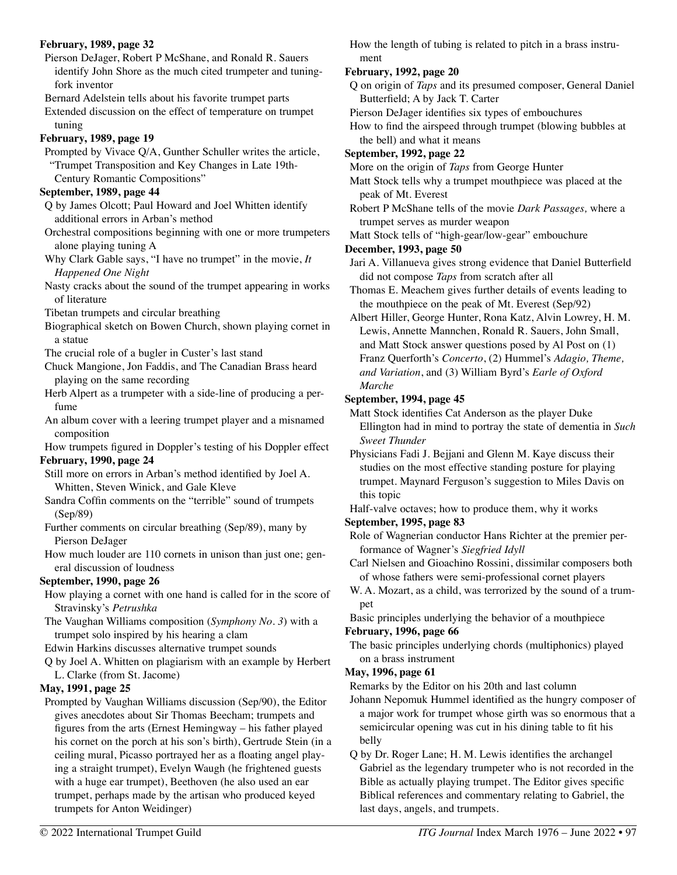#### **February, 1989, page 32**

Pierson DeJager, Robert P McShane, and Ronald R. Sauers identify John Shore as the much cited trumpeter and tuningfork inventor

Bernard Adelstein tells about his favorite trumpet parts

Extended discussion on the effect of temperature on trumpet tuning

#### **February, 1989, page 19**

Prompted by Vivace Q/A, Gunther Schuller writes the article, "Trumpet Transposition and Key Changes in Late 19th-Century Romantic Compositions"

#### **September, 1989, page 44**

Q by James Olcott; Paul Howard and Joel Whitten identify additional errors in Arban's method

- Orchestral compositions beginning with one or more trumpeters alone playing tuning A
- Why Clark Gable says, "I have no trumpet" in the movie, *It Happened One Night*
- Nasty cracks about the sound of the trumpet appearing in works of literature
- Tibetan trumpets and circular breathing
- Biographical sketch on Bowen Church, shown playing cornet in a statue
- The crucial role of a bugler in Custer's last stand
- Chuck Mangione, Jon Faddis, and The Canadian Brass heard playing on the same recording
- Herb Alpert as a trumpeter with a side-line of producing a perfume
- An album cover with a leering trumpet player and a misnamed composition

How trumpets figured in Doppler's testing of his Doppler effect

#### **February, 1990, page 24**

- Still more on errors in Arban's method identified by Joel A. Whitten, Steven Winick, and Gale Kleve
- Sandra Coffin comments on the "terrible" sound of trumpets (Sep/89)
- Further comments on circular breathing (Sep/89), many by Pierson DeJager
- How much louder are 110 cornets in unison than just one; general discussion of loudness

## **September, 1990, page 26**

How playing a cornet with one hand is called for in the score of Stravinsky's *Petrushka* 

The Vaughan Williams composition (*Symphony No. 3*) with a trumpet solo inspired by his hearing a clam

Edwin Harkins discusses alternative trumpet sounds

Q by Joel A. Whitten on plagiarism with an example by Herbert L. Clarke (from St. Jacome)

## **May, 1991, page 25**

Prompted by Vaughan Williams discussion (Sep/90), the Editor gives anecdotes about Sir Thomas Beecham; trumpets and figures from the arts (Ernest Hemingway – his father played his cornet on the porch at his son's birth), Gertrude Stein (in a ceiling mural, Picasso portrayed her as a floating angel playing a straight trumpet), Evelyn Waugh (he frightened guests with a huge ear trumpet), Beethoven (he also used an ear trumpet, perhaps made by the artisan who produced keyed trumpets for Anton Weidinger)

How the length of tubing is related to pitch in a brass instrument

#### **February, 1992, page 20**

Q on origin of *Taps* and its presumed composer, General Daniel Butterfield; A by Jack T. Carter

Pierson DeJager identifies six types of embouchures

- How to find the airspeed through trumpet (blowing bubbles at the bell) and what it means
- **September, 1992, page 22**
- More on the origin of *Taps* from George Hunter
- Matt Stock tells why a trumpet mouthpiece was placed at the peak of Mt. Everest
- Robert P McShane tells of the movie *Dark Passages,* where a trumpet serves as murder weapon
- Matt Stock tells of "high-gear/low-gear" embouchure

#### **December, 1993, page 50**

- Jari A. Villanueva gives strong evidence that Daniel Butterfield did not compose *Taps* from scratch after all
- Thomas E. Meachem gives further details of events leading to the mouthpiece on the peak of Mt. Everest (Sep/92)
- Albert Hiller, George Hunter, Rona Katz, Alvin Lowrey, H. M. Lewis, Annette Mannchen, Ronald R. Sauers, John Small, and Matt Stock answer questions posed by Al Post on (1) Franz Querforth's *Concerto*, (2) Hummel's *Adagio, Theme, and Variation*, and (3) William Byrd's *Earle of Oxford Marche*

## **September, 1994, page 45**

Matt Stock identifies Cat Anderson as the player Duke Ellington had in mind to portray the state of dementia in *Such Sweet Thunder* 

Physicians Fadi J. Bejjani and Glenn M. Kaye discuss their studies on the most effective standing posture for playing trumpet. Maynard Ferguson's suggestion to Miles Davis on this topic

Half-valve octaves; how to produce them, why it works

## **September, 1995, page 83**

- Role of Wagnerian conductor Hans Richter at the premier performance of Wagner's *Siegfried Idyll*
- Carl Nielsen and Gioachino Rossini, dissimilar composers both of whose fathers were semi-professional cornet players
- W. A. Mozart, as a child, was terrorized by the sound of a trumpet

Basic principles underlying the behavior of a mouthpiece **February, 1996, page 66** 

The basic principles underlying chords (multiphonics) played on a brass instrument

## **May, 1996, page 61**

Remarks by the Editor on his 20th and last column

- Johann Nepomuk Hummel identified as the hungry composer of a major work for trumpet whose girth was so enormous that a semicircular opening was cut in his dining table to fit his belly
- Q by Dr. Roger Lane; H. M. Lewis identifies the archangel Gabriel as the legendary trumpeter who is not recorded in the Bible as actually playing trumpet. The Editor gives specific Biblical references and commentary relating to Gabriel, the last days, angels, and trumpets.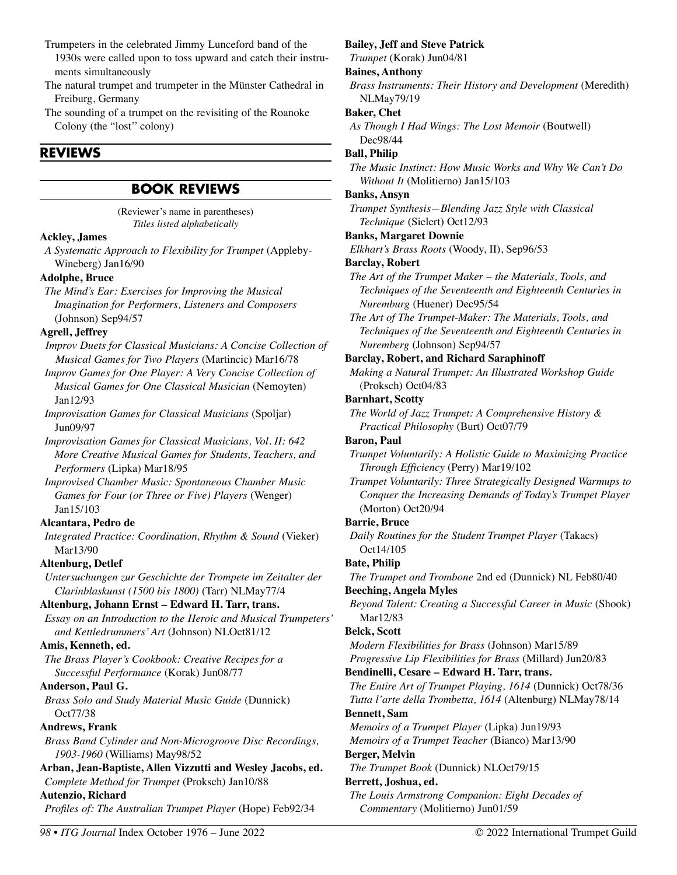- Trumpeters in the celebrated Jimmy Lunceford band of the 1930s were called upon to toss upward and catch their instruments simultaneously
- The natural trumpet and trumpeter in the Münster Cathedral in Freiburg, Germany
- The sounding of a trumpet on the revisiting of the Roanoke Colony (the "lost'' colony)

# **REVIEWS**

# **BOOK REVIEWS**

(Reviewer's name in parentheses) *Titles listed alphabetically*

## **Ackley, James**

*A Systematic Approach to Flexibility for Trumpet* (Appleby-Wineberg) Jan16/90

## **Adolphe, Bruce**

*The Mind's Ear: Exercises for Improving the Musical Imagination for Performers, Listeners and Composers*  (Johnson) Sep94/57

## **Agrell, Jeffrey**

*Improv Duets for Classical Musicians: A Concise Collection of Musical Games for Two Players* (Martincic) Mar16/78

*Improv Games for One Player: A Very Concise Collection of Musical Games for One Classical Musician* (Nemoyten) Jan12/93

*Improvisation Games for Classical Musicians* (Spoljar) Jun09/97

*Improvisation Games for Classical Musicians, Vol. II: 642 More Creative Musical Games for Students, Teachers, and Performers* (Lipka) Mar18/95

*Improvised Chamber Music: Spontaneous Chamber Music Games for Four (or Three or Five) Players* (Wenger) Jan15/103

## **Alcantara, Pedro de**

*Integrated Practice: Coordination, Rhythm & Sound* (Vieker) Mar13/90

## **Altenburg, Detlef**

*Untersuchungen zur Geschichte der Trompete im Zeitalter der Clarinblaskunst (1500 bis 1800)* (Tarr) NLMay77/4

## **Altenburg, Johann Ernst – Edward H. Tarr, trans.**

*Essay on an Introduction to the Heroic and Musical Trumpeters' and Kettledrummers' Art* (Johnson) NLOct81/12

## **Amis, Kenneth, ed.**

*The Brass Player's Cookbook: Creative Recipes for a Successful Performance* (Korak) Jun08/77

## **Anderson, Paul G.**

*Brass Solo and Study Material Music Guide* (Dunnick) Oct77/38

## **Andrews, Frank**

*Brass Band Cylinder and Non-Microgroove Disc Recordings, 1903-1960* (Williams) May98/52

**Arban, Jean-Baptiste, Allen Vizzutti and Wesley Jacobs, ed.**  *Complete Method for Trumpet* (Proksch) Jan10/88

## **Autenzio, Richard**

*Profiles of: The Australian Trumpet Player* (Hope) Feb92/34

# **Bailey, Jeff and Steve Patrick**

*Trumpet* (Korak) Jun04/81

#### **Baines, Anthony**

*Brass Instruments: Their History and Development* (Meredith) NLMay79/19

## **Baker, Chet**

*As Though I Had Wings: The Lost Memoir* (Boutwell) Dec98/44

## **Ball, Philip**

*The Music Instinct: How Music Works and Why We Can't Do Without It* (Molitierno) Jan15/103

## **Banks, Ansyn**

*Trumpet Synthesis—Blending Jazz Style with Classical Technique* (Sielert) Oct12/93

## **Banks, Margaret Downie**

*Elkhart's Brass Roots* (Woody, II), Sep96/53

## **Barclay, Robert**

*The Art of the Trumpet Maker – the Materials, Tools, and Techniques of the Seventeenth and Eighteenth Centuries in Nuremburg* (Huener) Dec95/54

*The Art of The Trumpet-Maker: The Materials, Tools, and Techniques of the Seventeenth and Eighteenth Centuries in Nuremberg* (Johnson) Sep94/57

## **Barclay, Robert, and Richard Saraphinoff**

*Making a Natural Trumpet: An Illustrated Workshop Guide*  (Proksch) Oct04/83

## **Barnhart, Scotty**

*The World of Jazz Trumpet: A Comprehensive History & Practical Philosophy* (Burt) Oct07/79

## **Baron, Paul**

*Trumpet Voluntarily: A Holistic Guide to Maximizing Practice Through Efficiency* (Perry) Mar19/102

*Trumpet Voluntarily: Three Strategically Designed Warmups to Conquer the Increasing Demands of Today's Trumpet Player*  (Morton) Oct20/94

## **Barrie, Bruce**

*Daily Routines for the Student Trumpet Player* (Takacs) Oct14/105

## **Bate, Philip**

*The Trumpet and Trombone* 2nd ed (Dunnick) NL Feb80/40 **Beeching, Angela Myles** 

*Beyond Talent: Creating a Successful Career in Music* (Shook) Mar12/83

## **Belck, Scott**

*Modern Flexibilities for Brass* (Johnson) Mar15/89 *Progressive Lip Flexibilities for Brass* (Millard) Jun20/83

**Bendinelli, Cesare – Edward H. Tarr, trans.** 

*The Entire Art of Trumpet Playing, 1614* (Dunnick) Oct78/36 *Tutta l'arte della Trombetta, 1614* (Altenburg) NLMay78/14 **Bennett, Sam** 

# *Memoirs of a Trumpet Player* (Lipka) Jun19/93

*Memoirs of a Trumpet Teacher* (Bianco) Mar13/90

# **Berger, Melvin**

*The Trumpet Book* (Dunnick) NLOct79/15

## **Berrett, Joshua, ed.**

*The Louis Armstrong Companion: Eight Decades of Commentary* (Molitierno) Jun01/59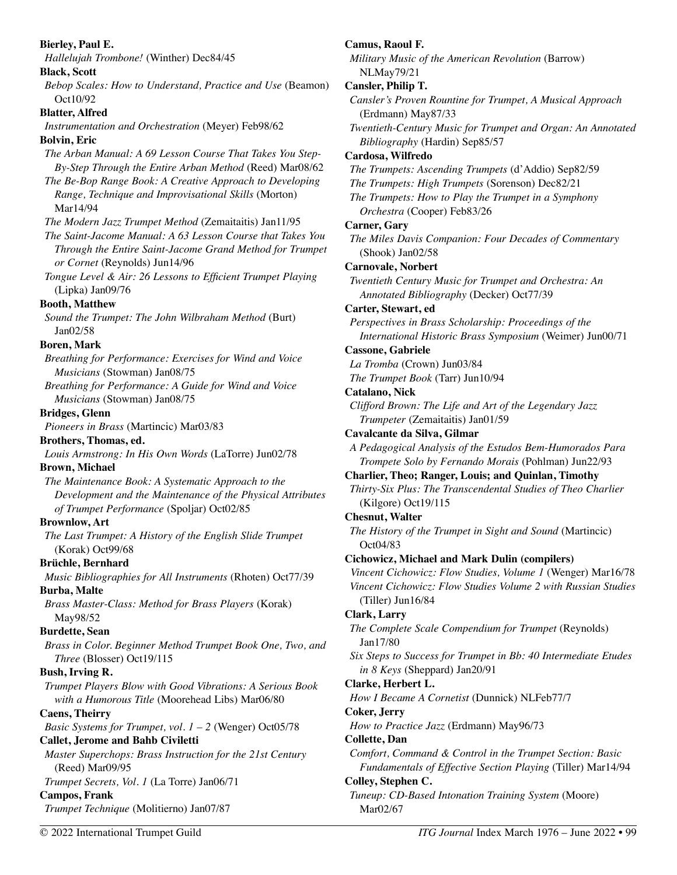| <b>Bierley, Paul E.</b>                                                               | Camus, Ra                         |
|---------------------------------------------------------------------------------------|-----------------------------------|
| Hallelujah Trombone! (Winther) Dec84/45                                               | Military M                        |
| <b>Black, Scott</b>                                                                   | NLMay <sup>®</sup>                |
| Bebop Scales: How to Understand, Practice and Use (Beamon)<br>Oct10/92                | <b>Cansler, Pl</b><br>Cansler's i |
| <b>Blatter, Alfred</b>                                                                | (Erdman                           |
| Instrumentation and Orchestration (Meyer) Feb98/62                                    | Twentieth-                        |
| <b>Bolvin</b> , Eric                                                                  | Bibliogr                          |
| The Arban Manual: A 69 Lesson Course That Takes You Step-                             | Cardosa, V                        |
| By-Step Through the Entire Arban Method (Reed) Mar08/62                               | The Trump                         |
| The Be-Bop Range Book: A Creative Approach to Developing                              | The Trump                         |
| Range, Technique and Improvisational Skills (Morton)                                  | The Trump                         |
| Mar14/94                                                                              | Orchestr                          |
| The Modern Jazz Trumpet Method (Zemaitaitis) Jan11/95                                 | Carner, Ga                        |
| The Saint-Jacome Manual: A 63 Lesson Course that Takes You                            | The Miles                         |
| Through the Entire Saint-Jacome Grand Method for Trumpet                              | (Shook)                           |
| or Cornet (Reynolds) Jun14/96                                                         | Carnovale,                        |
| Tongue Level & Air: 26 Lessons to Efficient Trumpet Playing                           | Twentieth                         |
| (Lipka) Jan09/76                                                                      | Annotate                          |
| <b>Booth, Matthew</b>                                                                 | Carter, Ste                       |
| Sound the Trumpet: The John Wilbraham Method (Burt)                                   | Perspectiv                        |
| Jan02/58                                                                              | Internati                         |
| <b>Boren, Mark</b>                                                                    | Cassone, G                        |
| Breathing for Performance: Exercises for Wind and Voice                               | La Tromba                         |
| Musicians (Stowman) Jan08/75<br>Breathing for Performance: A Guide for Wind and Voice | The Trump                         |
| Musicians (Stowman) Jan08/75                                                          | Catalano, N                       |
| <b>Bridges, Glenn</b>                                                                 | Clifford Br                       |
| Pioneers in Brass (Martincic) Mar03/83                                                | Trumpet                           |
| Brothers, Thomas, ed.                                                                 | Cavalcante                        |
| Louis Armstrong: In His Own Words (LaTorre) Jun02/78                                  | A Pedagog                         |
| <b>Brown, Michael</b>                                                                 | Trompet                           |
| The Maintenance Book: A Systematic Approach to the                                    | <b>Charlier, T</b>                |
| Development and the Maintenance of the Physical Attributes                            | Thirty-Six                        |
| of Trumpet Performance (Spoljar) Oct02/85                                             | (Kilgore                          |
| <b>Brownlow, Art</b>                                                                  | Chesnut, V                        |
| The Last Trumpet: A History of the English Slide Trumpet                              | The Histor                        |
| (Korak) Oct99/68                                                                      | Oct04/8.<br>Cichowicz,            |
| Brüchle, Bernhard                                                                     | Vincent Ci                        |
| Music Bibliographies for All Instruments (Rhoten) Oct77/39                            | Vincent Ci                        |
| <b>Burba, Malte</b>                                                                   | (Tiller) J                        |
| Brass Master-Class: Method for Brass Players (Korak)                                  | Clark, Lar                        |
| May98/52                                                                              | The Comp.                         |
| <b>Burdette, Sean</b>                                                                 | Jan17/80                          |
| Brass in Color. Beginner Method Trumpet Book One, Two, and                            | Six Steps to                      |
| Three (Blosser) Oct19/115<br>Bush, Irving R.                                          | in 8 Key                          |
| Trumpet Players Blow with Good Vibrations: A Serious Book                             | Clarke, He                        |
| with a Humorous Title (Moorehead Libs) Mar06/80                                       | How I Bec                         |
| <b>Caens, Theirry</b>                                                                 | Coker, Jeri                       |
| <i>Basic Systems for Trumpet, vol.</i> $1 - 2$ (Wenger) Oct05/78                      | How to Pr                         |
| <b>Callet, Jerome and Bahb Civiletti</b>                                              | Collette, Da                      |
| Master Superchops: Brass Instruction for the 21st Century                             | Comfort, C                        |
| (Reed) Mar09/95                                                                       | Fundam                            |
| Trumpet Secrets, Vol. 1 (La Torre) Jan06/71                                           | Colley, Step                      |
| <b>Campos, Frank</b>                                                                  | Tuneup: C                         |
| Trumpet Technique (Molitierno) Jan07/87                                               | Mar02/6                           |
|                                                                                       |                                   |

oul F. *Military Music of the American Revolution* (Barrow) 79/21 **Cansler, Philip T.**  Proven Rountine for Trumpet, A Musical Approach (m) May87/33 **Century Music for Trumpet and Organ: An Annotated** *Bibliography* (Hardin) Sep85/57 **Cardosa, Wilfredo**  *The Trumpets: Ascending Trumpets* (d'Addio) Sep82/59 *The Trumpets: High Trumpets* (Sorenson) Dec82/21 *Pets: How to Play the Trumpet in a Symphony Orchestra* (Cooper) Feb83/26  $\mathbf{r}$ **y** *The Miles Davis Companion: Four Decades of Commentary*  $Jan02/58$ **Carnovale, Norbert Century Music for Trumpet and Orchestra: An** ed Bibliography (Decker) Oct77/39 **wart, ed** *Peracering in Brass Scholarship: Proceedings of the International Historic Brass Symposium* (Weimer) Jun00/71 **Cassone, Gabriele**  *La Tromba* (Crown) Jun03/84 *The Trumpet Book* (Tarr) Jun10/94 **Nick** *Clifford Brown: The Life and Art of the Legendary Jazz Trumpeter* (Zemaitaitis) Jan01/59 **Cavalcante da Silva, Gilmar**  *A Pedagogical Analysis of the Estudos Bem-Humorados Para Trompete Solo by Fernando Morais* (Pohlman) Jun22/93 **Charlier, Theo; Ranger, Louis; and Quinlan, Timothy**  *Plus: The Transcendental Studies of Theo Charlier*  $(e)$  Oct19/115 **Valter** *The History of the Trumpet in Sight and Sound* (Martincic) Oct04/83 **Cichowicz, Michael and Mark Dulin (compilers)**  *Vincent Cichowicz: Flow Studies, Volume 1* (Wenger) Mar16/78 *Vincent Cichowicz: Flow Studies Volume 2 with Russian Studies*  Jun16/84  $\mathbf{r} \mathbf{y}$ *The Complete Scale Compendium for Trumpet* (Reynolds) Jan17/80 *Six Steps to Success for Trumpet in Bb: 40 Intermediate Etudes in 8 Keys* (Sheppard) Jan20/91 **Clarke, Herbert L.**  *How I Became A Cornetist* (Dunnick) NLFeb77/7 **Coker, Jerry**  *How to Practice Jazz* (Erdmann) May96/73 **Collette, Dan**  *Command & Control in the Trumpet Section: Basic Fundamentals of Effective Section Playing* (Tiller) Mar14/94 phen C. *Tuneup: CD-Based Intonation Training System* (Moore) i7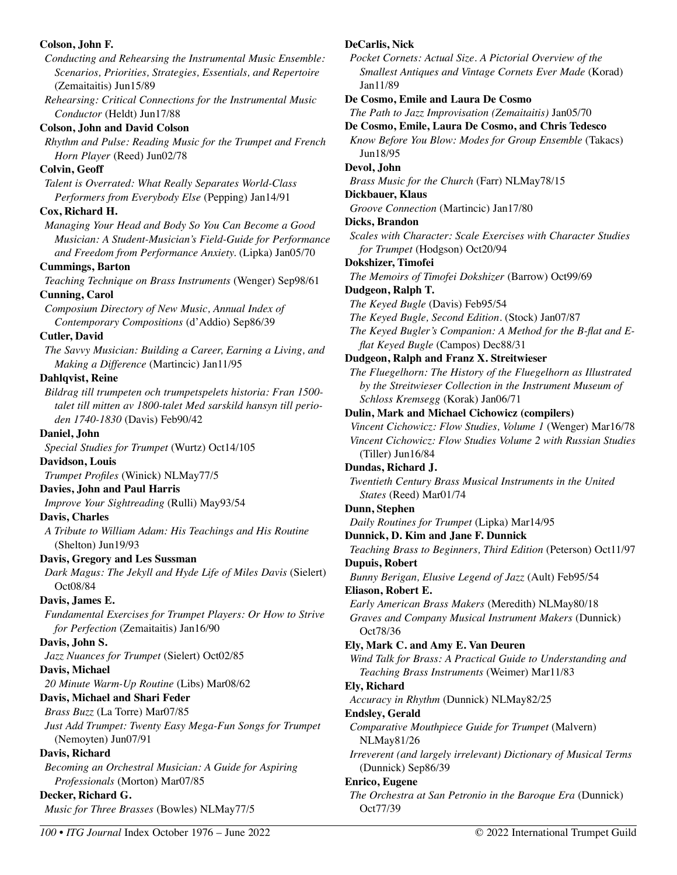#### **Colson, John F.**  *Conducting and Rehearsing the Instrumental Music Ensemble: Scenarios, Priorities, Strategies, Essentials, and Repertoire*  (Zemaitaitis) Jun15/89 *Rehearsing: Critical Connections for the Instrumental Music Conductor* (Heldt) Jun17/88 **Colson, John and David Colson**  *Rhythm and Pulse: Reading Music for the Trumpet and French Horn Player* (Reed) Jun02/78 **Colvin, Geoff**  *Talent is Overrated: What Really Separates World-Class Performers from Everybody Else* (Pepping) Jan14/91 **Cox, Richard H.**  *Managing Your Head and Body So You Can Become a Good Musician: A Student-Musician's Field-Guide for Performance and Freedom from Performance Anxiety.* (Lipka) Jan05/70 **Cummings, Barton**  *Teaching Technique on Brass Instruments* (Wenger) Sep98/61 **Cunning, Carol**  *Composium Directory of New Music, Annual Index of Contemporary Compositions* (d'Addio) Sep86/39 **Cutler, David**  *The Savvy Musician: Building a Career, Earning a Living, and Making a Difference* (Martincic) Jan11/95 **Dahlqvist, Reine**  *Bildrag till trumpeten och trumpetspelets historia: Fran 1500 talet till mitten av 1800-talet Med sarskild hansyn till perioden 1740-1830* (Davis) Feb90/42 **Daniel, John**  *Special Studies for Trumpet* (Wurtz) Oct14/105 **Davidson, Louis**  *Trumpet Profiles* (Winick) NLMay77/5 **Davies, John and Paul Harris**  *Improve Your Sightreading* (Rulli) May93/54 **Davis, Charles**  *A Tribute to William Adam: His Teachings and His Routine*  (Shelton) Jun19/93 **Davis, Gregory and Les Sussman**  *Dark Magus: The Jekyll and Hyde Life of Miles Davis* (Sielert) Oct08/84 **Davis, James E.**  *Fundamental Exercises for Trumpet Players: Or How to Strive for Perfection* (Zemaitaitis) Jan16/90 **Davis, John S.**  *Jazz Nuances for Trumpet* (Sielert) Oct02/85 **Davis, Michael**  *20 Minute Warm-Up Routine* (Libs) Mar08/62 **Davis, Michael and Shari Feder**  *Brass Buzz* (La Torre) Mar07/85 *Just Add Trumpet: Twenty Easy Mega-Fun Songs for Trumpet* (Nemoyten) Jun07/91 **Davis, Richard**  *Becoming an Orchestral Musician: A Guide for Aspiring Professionals* (Morton) Mar07/85 **Decker, Richard G.**  *Music for Three Brasses* (Bowles) NLMay77/5 **DeCarlis, Nick**  *Pocket Cornets: Actual Size. A Pictorial Overview of the Smallest Antiques and Vintage Cornets Ever Made* (Korad) Jan11/89 **De Cosmo, Emile and Laura De Cosmo**  *The Path to Jazz Improvisation (Zemaitaitis)* Jan05/70 **De Cosmo, Emile, Laura De Cosmo, and Chris Tedesco**  *Know Before You Blow: Modes for Group Ensemble* (Takacs) Jun18/95 **Devol, John**  *Brass Music for the Church* (Farr) NLMay78/15 **Dickbauer, Klaus**  *Groove Connection* (Martincic) Jan17/80 **Dicks, Brandon**  *Scales with Character: Scale Exercises with Character Studies for Trumpet* (Hodgson) Oct20/94 **Dokshizer, Timofei**  *The Memoirs of Timofei Dokshizer* (Barrow) Oct99/69 **Dudgeon, Ralph T.**  *The Keyed Bugle* (Davis) Feb95/54 *The Keyed Bugle, Second Edition*. (Stock) Jan07/87 *The Keyed Bugler's Companion: A Method for the B-flat and Eflat Keyed Bugle* (Campos) Dec88/31 **Dudgeon, Ralph and Franz X. Streitwieser**  *The Fluegelhorn: The History of the Fluegelhorn as Illustrated by the Streitwieser Collection in the Instrument Museum of Schloss Kremsegg* (Korak) Jan06/71 **Dulin, Mark and Michael Cichowicz (compilers)**  *Vincent Cichowicz: Flow Studies, Volume 1* (Wenger) Mar16/78 *Vincent Cichowicz: Flow Studies Volume 2 with Russian Studies*  (Tiller) Jun16/84 **Dundas, Richard J.**  *Twentieth Century Brass Musical Instruments in the United States* (Reed) Mar01/74 **Dunn, Stephen**  *Daily Routines for Trumpet* (Lipka) Mar14/95 **Dunnick, D. Kim and Jane F. Dunnick**  *Teaching Brass to Beginners, Third Edition* (Peterson) Oct11/97 **Dupuis, Robert**  *Bunny Berigan, Elusive Legend of Jazz* (Ault) Feb95/54 **Eliason, Robert E.**  *Early American Brass Makers* (Meredith) NLMay80/18 *Graves and Company Musical Instrument Makers* (Dunnick) Oct78/36 **Ely, Mark C. and Amy E. Van Deuren**  *Wind Talk for Brass: A Practical Guide to Understanding and Teaching Brass Instruments* (Weimer) Mar11/83 **Ely, Richard**  *Accuracy in Rhythm* (Dunnick) NLMay82/25 **Endsley, Gerald**  *Comparative Mouthpiece Guide for Trumpet* (Malvern) NLMay81/26 *Irreverent (and largely irrelevant) Dictionary of Musical Terms*  (Dunnick) Sep86/39 **Enrico, Eugene**  *The Orchestra at San Petronio in the Baroque Era* (Dunnick) Oct77/39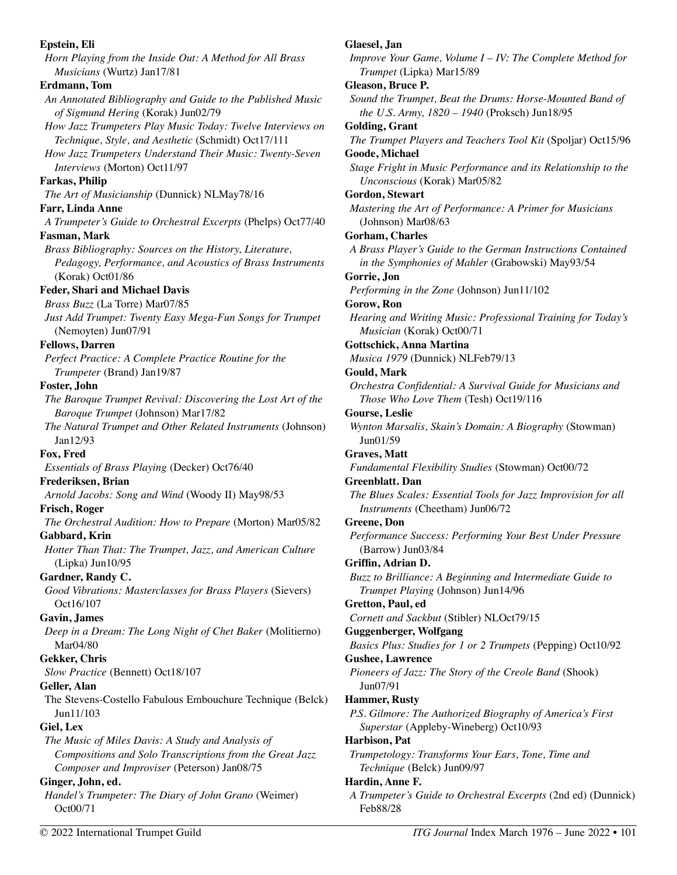**Epstein, Eli**  *Horn Playing from the Inside Out: A Method for All Brass Musicians* (Wurtz) Jan17/81 **Erdmann, Tom**  *An Annotated Bibliography and Guide to the Published Music of Sigmund Hering* (Korak) Jun02/79 *How Jazz Trumpeters Play Music Today: Twelve Interviews on Technique, Style, and Aesthetic* (Schmidt) Oct17/111 *How Jazz Trumpeters Understand Their Music: Twenty-Seven Interviews* (Morton) Oct11/97 **Farkas, Philip**  *The Art of Musicianship* (Dunnick) NLMay78/16 **Farr, Linda Anne**  *A Trumpeter's Guide to Orchestral Excerpts* (Phelps) Oct77/40 **Fasman, Mark**  *Brass Bibliography: Sources on the History, Literature, Pedagogy, Performance, and Acoustics of Brass Instruments* (Korak) Oct01/86 **Feder, Shari and Michael Davis**  *Brass Buzz* (La Torre) Mar07/85 *Just Add Trumpet: Twenty Easy Mega-Fun Songs for Trumpet* (Nemoyten) Jun07/91 **Fellows, Darren**  *Perfect Practice: A Complete Practice Routine for the Trumpeter* (Brand) Jan19/87 **Foster, John**  *The Baroque Trumpet Revival: Discovering the Lost Art of the Baroque Trumpet* (Johnson) Mar17/82 *The Natural Trumpet and Other Related Instruments* (Johnson) Jan12/93 **Fox, Fred**  *Essentials of Brass Playing* (Decker) Oct76/40 **Frederiksen, Brian**  *Arnold Jacobs: Song and Wind* (Woody II) May98/53 **Frisch, Roger**  *The Orchestral Audition: How to Prepare* (Morton) Mar05/82 **Gabbard, Krin**  *Hotter Than That: The Trumpet, Jazz, and American Culture*  (Lipka) Jun10/95 **Gardner, Randy C.**  *Good Vibrations: Masterclasses for Brass Players* (Sievers) Oct16/107 **Gavin, James**  *Deep in a Dream: The Long Night of Chet Baker* (Molitierno) Mar04/80 **Gekker, Chris**  *Slow Practice* (Bennett) Oct18/107 **Geller, Alan**  The Stevens-Costello Fabulous Embouchure Technique (Belck) Jun11/103 **Giel, Lex**  *The Music of Miles Davis: A Study and Analysis of Compositions and Solo Transcriptions from the Great Jazz Composer and Improviser* (Peterson) Jan08/75 **Ginger, John, ed.**  *Handel's Trumpeter: The Diary of John Grano* (Weimer) Oct00/71

**Glaesel, Jan**  *Improve Your Game, Volume I – IV: The Complete Method for Trumpet* (Lipka) Mar15/89 **Gleason, Bruce P.**  *Sound the Trumpet, Beat the Drums: Horse-Mounted Band of the U.S. Army, 1820 – 1940* (Proksch) Jun18/95 **Golding, Grant**  *The Trumpet Players and Teachers Tool Kit* (Spoljar) Oct15/96 **Goode, Michael**  *Stage Fright in Music Performance and its Relationship to the Unconscious* (Korak) Mar05/82 **Gordon, Stewart**  *Mastering the Art of Performance: A Primer for Musicians*  (Johnson) Mar08/63 **Gorham, Charles**  *A Brass Player's Guide to the German Instructions Contained in the Symphonies of Mahler* (Grabowski) May93/54 **Gorrie, Jon**  *Performing in the Zone* (Johnson) Jun11/102 **Gorow, Ron**  *Hearing and Writing Music: Professional Training for Today's Musician* (Korak) Oct00/71 **Gottschick, Anna Martina**  *Musica 1979* (Dunnick) NLFeb79/13 **Gould, Mark**  *Orchestra Confidential: A Survival Guide for Musicians and Those Who Love Them* (Tesh) Oct19/116 **Gourse, Leslie**  *Wynton Marsalis, Skain's Domain: A Biography* (Stowman) Jun01/59 **Graves, Matt**  *Fundamental Flexibility Studies* (Stowman) Oct00/72 **Greenblatt. Dan**  *The Blues Scales: Essential Tools for Jazz Improvision for all Instruments* (Cheetham) Jun06/72 **Greene, Don**  *Performance Success: Performing Your Best Under Pressure*  (Barrow) Jun03/84 **Griffin, Adrian D.**  *Buzz to Brilliance: A Beginning and Intermediate Guide to Trumpet Playing* (Johnson) Jun14/96 **Gretton, Paul, ed**  *Cornett and Sackbut* (Stibler) NLOct79/15 **Guggenberger, Wolfgang**  *Basics Plus: Studies for 1 or 2 Trumpets* (Pepping) Oct10/92 **Gushee, Lawrence**  *Pioneers of Jazz: The Story of the Creole Band* (Shook) Jun07/91 **Hammer, Rusty**  *P.S. Gilmore: The Authorized Biography of America's First Superstar* (Appleby-Wineberg) Oct10/93 **Harbison, Pat**  *Trumpetology: Transforms Your Ears, Tone, Time and Technique* (Belck) Jun09/97 **Hardin, Anne F.**  *A Trumpeter's Guide to Orchestral Excerpts* (2nd ed) (Dunnick) Feb88/28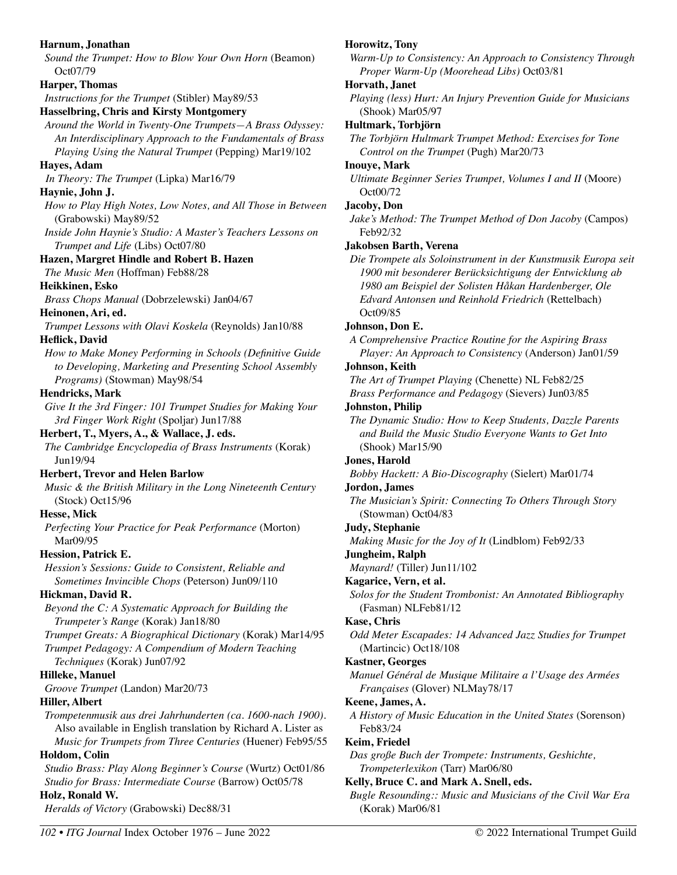#### **Harnum, Jonathan**

*Sound the Trumpet: How to Blow Your Own Horn* (Beamon) Oct07/79

#### **Harper, Thomas**

*Instructions for the Trumpet* (Stibler) May89/53

#### **Hasselbring, Chris and Kirsty Montgomery**

*Around the World in Twenty-One Trumpets—A Brass Odyssey: An Interdisciplinary Approach to the Fundamentals of Brass Playing Using the Natural Trumpet* (Pepping) Mar19/102

#### **Hayes, Adam**

*In Theory: The Trumpet* (Lipka) Mar16/79

#### **Haynie, John J.**

- *How to Play High Notes, Low Notes, and All Those in Between*  (Grabowski) May89/52
- *Inside John Haynie's Studio: A Master's Teachers Lessons on Trumpet and Life* (Libs) Oct07/80

#### **Hazen, Margret Hindle and Robert B. Hazen**

*The Music Men* (Hoffman) Feb88/28

#### **Heikkinen, Esko**

*Brass Chops Manual* (Dobrzelewski) Jan04/67

#### **Heinonen, Ari, ed.**

*Trumpet Lessons with Olavi Koskela* (Reynolds) Jan10/88 **Heflick, David** 

*How to Make Money Performing in Schools (Definitive Guide to Developing, Marketing and Presenting School Assembly Programs)* (Stowman) May98/54

#### **Hendricks, Mark**

*Give It the 3rd Finger: 101 Trumpet Studies for Making Your 3rd Finger Work Right* (Spoljar) Jun17/88

#### **Herbert, T., Myers, A., & Wallace, J. eds.**

*The Cambridge Encyclopedia of Brass Instruments* (Korak) Jun19/94

#### **Herbert, Trevor and Helen Barlow**

*Music & the British Military in the Long Nineteenth Century*  (Stock) Oct15/96

## **Hesse, Mick**

*Perfecting Your Practice for Peak Performance* (Morton) Mar09/95

#### **Hession, Patrick E.**

*Hession's Sessions: Guide to Consistent, Reliable and Sometimes Invincible Chops* (Peterson) Jun09/110

#### **Hickman, David R.**

*Beyond the C: A Systematic Approach for Building the Trumpeter's Range* (Korak) Jan18/80

*Trumpet Greats: A Biographical Dictionary* (Korak) Mar14/95

*Trumpet Pedagogy: A Compendium of Modern Teaching Techniques* (Korak) Jun07/92

## **Hilleke, Manuel**

*Groove Trumpet* (Landon) Mar20/73

#### **Hiller, Albert**

*Trompetenmusik aus drei Jahrhunderten (ca. 1600-nach 1900).*  Also available in English translation by Richard A. Lister as *Music for Trumpets from Three Centuries* (Huener) Feb95/55

#### **Holdom, Colin**

*Studio Brass: Play Along Beginner's Course* (Wurtz) Oct01/86 *Studio for Brass: Intermediate Course* (Barrow) Oct05/78 **Holz, Ronald W.** 

*Heralds of Victory* (Grabowski) Dec88/31

#### **Horowitz, Tony**

*Warm-Up to Consistency: An Approach to Consistency Through Proper Warm-Up (Moorehead Libs)* Oct03/81

#### **Horvath, Janet**

*Playing (less) Hurt: An Injury Prevention Guide for Musicians*  (Shook) Mar05/97

#### **Hultmark, Torbjörn**

*The Torbjörn Hultmark Trumpet Method: Exercises for Tone Control on the Trumpet* (Pugh) Mar20/73

#### **Inouye, Mark**

*Ultimate Beginner Series Trumpet, Volumes I and II* (Moore) Oct00/72

#### **Jacoby, Don**

*Jake's Method: The Trumpet Method of Don Jacoby* (Campos) Feb92/32

#### **Jakobsen Barth, Verena**

*Die Trompete als Soloinstrument in der Kunstmusik Europa seit 1900 mit besonderer Berücksichtigung der Entwicklung ab 1980 am Beispiel der Solisten Håkan Hardenberger, Ole Edvard Antonsen und Reinhold Friedrich* (Rettelbach) Oct09/85

#### **Johnson, Don E.**

*A Comprehensive Practice Routine for the Aspiring Brass Player: An Approach to Consistency* (Anderson) Jan01/59

#### **Johnson, Keith**

*The Art of Trumpet Playing* (Chenette) NL Feb82/25 *Brass Performance and Pedagogy* (Sievers) Jun03/85

#### **Johnston, Philip**

*The Dynamic Studio: How to Keep Students, Dazzle Parents and Build the Music Studio Everyone Wants to Get Into*  (Shook) Mar15/90

#### **Jones, Harold**

*Bobby Hackett: A Bio-Discography* (Sielert) Mar01/74

#### **Jordon, James**

*The Musician's Spirit: Connecting To Others Through Story*  (Stowman) Oct04/83

#### **Judy, Stephanie**

*Making Music for the Joy of It* (Lindblom) Feb92/33

#### **Jungheim, Ralph**

*Maynard!* (Tiller) Jun11/102

#### **Kagarice, Vern, et al.**

*Solos for the Student Trombonist: An Annotated Bibliography*  (Fasman) NLFeb81/12

#### **Kase, Chris**

*Odd Meter Escapades: 14 Advanced Jazz Studies for Trumpet*  (Martincic) Oct18/108

#### **Kastner, Georges**

*Manuel Général de Musique Militaire a l'Usage des Armées Françaises* (Glover) NLMay78/17

#### **Keene, James, A.**

*A History of Music Education in the United States* (Sorenson) Feb83/24

#### **Keim, Friedel**

*Das große Buch der Trompete: Instruments, Geshichte, Trompeterlexikon* (Tarr) Mar06/80

#### **Kelly, Bruce C. and Mark A. Snell, eds.**

*Bugle Resounding:: Music and Musicians of the Civil War Era* (Korak) Mar06/81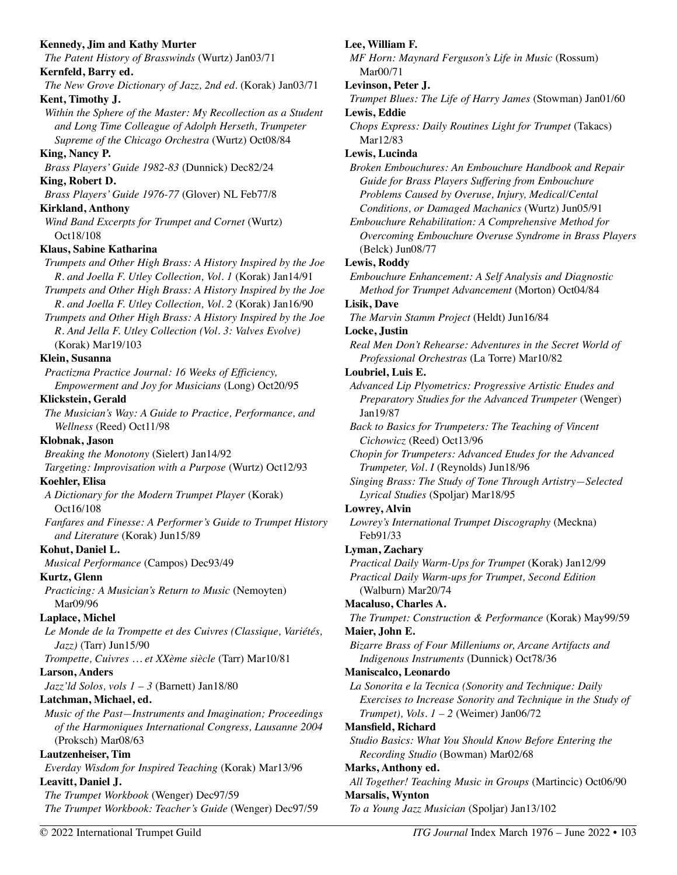| <b>Kennedy, Jim and Kathy Murter</b><br>The Patent History of Brasswinds (Wurtz) Jan03/71 | Lee, William F.<br>MF Horn: Maynard Ferguson's Life in Music (Rossum)                                      |
|-------------------------------------------------------------------------------------------|------------------------------------------------------------------------------------------------------------|
| Kernfeld, Barry ed.                                                                       | Mar00/71                                                                                                   |
| The New Grove Dictionary of Jazz, 2nd ed. (Korak) Jan03/71                                | Levinson, Peter J.                                                                                         |
| Kent, Timothy J.                                                                          | Trumpet Blues: The Life of Harry James (Stowman) Jan01/60                                                  |
| Within the Sphere of the Master: My Recollection as a Student                             | Lewis, Eddie                                                                                               |
| and Long Time Colleague of Adolph Herseth, Trumpeter                                      | Chops Express: Daily Routines Light for Trumpet (Takacs)                                                   |
| Supreme of the Chicago Orchestra (Wurtz) Oct08/84                                         | Mar12/83                                                                                                   |
| King, Nancy P.                                                                            | Lewis, Lucinda                                                                                             |
| Brass Players' Guide 1982-83 (Dunnick) Dec82/24                                           | Broken Embouchures: An Embouchure Handbook and Repair                                                      |
| King, Robert D.                                                                           | Guide for Brass Players Suffering from Embouchure<br>Problems Caused by Overuse, Injury, Medical/Cental    |
| Brass Players' Guide 1976-77 (Glover) NL Feb77/8                                          |                                                                                                            |
| <b>Kirkland, Anthony</b><br>Wind Band Excerpts for Trumpet and Cornet (Wurtz)             | Conditions, or Damaged Machanics (Wurtz) Jun05/91<br>Embouchure Rehabilitation: A Comprehensive Method for |
| Oct18/108                                                                                 | Overcoming Embouchure Overuse Syndrome in Brass Players                                                    |
| Klaus, Sabine Katharina                                                                   | (Belck) Jun08/77                                                                                           |
| Trumpets and Other High Brass: A History Inspired by the Joe                              | <b>Lewis, Roddy</b>                                                                                        |
| R. and Joella F. Utley Collection, Vol. 1 (Korak) Jan14/91                                | Embouchure Enhancement: A Self Analysis and Diagnostic                                                     |
| Trumpets and Other High Brass: A History Inspired by the Joe                              | Method for Trumpet Advancement (Morton) Oct04/84                                                           |
| R. and Joella F. Utley Collection, Vol. 2 (Korak) Jan16/90                                | <b>Lisik, Dave</b>                                                                                         |
| Trumpets and Other High Brass: A History Inspired by the Joe                              | The Marvin Stamm Project (Heldt) Jun16/84                                                                  |
| R. And Jella F. Utley Collection (Vol. 3: Valves Evolve)                                  | Locke, Justin                                                                                              |
| (Korak) Mar19/103                                                                         | Real Men Don't Rehearse: Adventures in the Secret World of                                                 |
| Klein, Susanna                                                                            | Professional Orchestras (La Torre) Mar10/82                                                                |
| Practizma Practice Journal: 16 Weeks of Efficiency,                                       | Loubriel, Luis E.                                                                                          |
| Empowerment and Joy for Musicians (Long) Oct20/95                                         | Advanced Lip Plyometrics: Progressive Artistic Etudes and                                                  |
| Klickstein, Gerald                                                                        | Preparatory Studies for the Advanced Trumpeter (Wenger)                                                    |
| The Musician's Way: A Guide to Practice, Performance, and                                 | Jan19/87                                                                                                   |
| Wellness (Reed) Oct11/98                                                                  | Back to Basics for Trumpeters: The Teaching of Vincent                                                     |
| Klobnak, Jason                                                                            | Cichowicz (Reed) Oct13/96                                                                                  |
| Breaking the Monotony (Sielert) Jan14/92                                                  | Chopin for Trumpeters: Advanced Etudes for the Advanced                                                    |
| Targeting: Improvisation with a Purpose (Wurtz) Oct12/93                                  | Trumpeter, Vol. I (Reynolds) Jun18/96                                                                      |
| Koehler, Elisa                                                                            | Singing Brass: The Study of Tone Through Artistry-Selected                                                 |
| A Dictionary for the Modern Trumpet Player (Korak)                                        | Lyrical Studies (Spoljar) Mar18/95                                                                         |
| Oct16/108                                                                                 | Lowrey, Alvin                                                                                              |
| Fanfares and Finesse: A Performer's Guide to Trumpet History                              | Lowrey's International Trumpet Discography (Meckna)                                                        |
| and Literature (Korak) Jun15/89                                                           | Feb91/33                                                                                                   |
| Kohut, Daniel L.                                                                          | Lyman, Zachary                                                                                             |
| Musical Performance (Campos) Dec93/49<br>Kurtz, Glenn                                     | Practical Daily Warm-Ups for Trumpet (Korak) Jan12/99                                                      |
|                                                                                           | Practical Daily Warm-ups for Trumpet, Second Edition<br>(Walburn) Mar20/74                                 |
| Practicing: A Musician's Return to Music (Nemoyten)<br>Mar09/96                           | Macaluso, Charles A.                                                                                       |
| Laplace, Michel                                                                           | The Trumpet: Construction & Performance (Korak) May99/59                                                   |
| Le Monde de la Trompette et des Cuivres (Classique, Variétés,                             | Maier, John E.                                                                                             |
| $Jazz$ ) (Tarr) Jun15/90                                                                  | Bizarre Brass of Four Milleniums or, Arcane Artifacts and                                                  |
| Trompette, Cuivres  et XXème siècle (Tarr) Mar10/81                                       | Indigenous Instruments (Dunnick) Oct78/36                                                                  |
| <b>Larson, Anders</b>                                                                     | Maniscalco, Leonardo                                                                                       |
| Jazz'ld Solos, vols 1 - 3 (Barnett) Jan18/80                                              | La Sonorita e la Tecnica (Sonority and Technique: Daily                                                    |
| Latchman, Michael, ed.                                                                    | Exercises to Increase Sonority and Technique in the Study of                                               |
| Music of the Past-Instruments and Imagination; Proceedings                                | Trumpet), Vols. $1 - 2$ (Weimer) Jan06/72                                                                  |
| of the Harmoniques International Congress, Lausanne 2004                                  | Mansfield, Richard                                                                                         |
| (Proksch) Mar08/63                                                                        | Studio Basics: What You Should Know Before Entering the                                                    |
| <b>Lautzenheiser, Tim</b>                                                                 | Recording Studio (Bowman) Mar02/68                                                                         |
| Everday Wisdom for Inspired Teaching (Korak) Mar13/96                                     | Marks, Anthony ed.                                                                                         |
| Leavitt, Daniel J.                                                                        | All Together! Teaching Music in Groups (Martincic) Oct06/90                                                |
| The Trumpet Workbook (Wenger) Dec97/59                                                    |                                                                                                            |
| The Trumpet Workbook: Teacher's Guide (Wenger) Dec97/59                                   | <b>Marsalis, Wynton</b><br>To a Young Jazz Musician (Spoljar) Jan13/102                                    |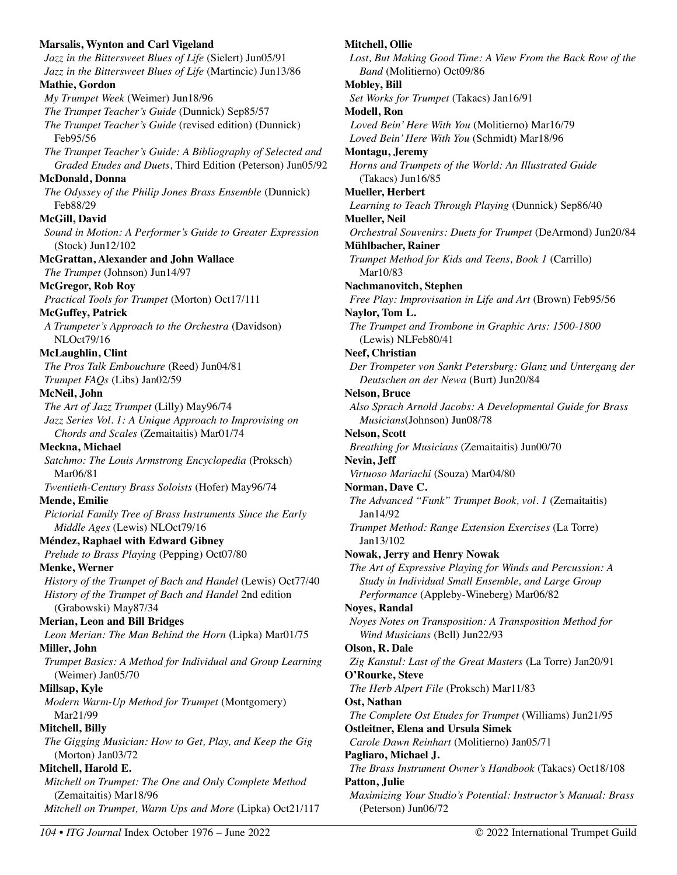**Marsalis, Wynton and Carl Vigeland**  *Jazz in the Bittersweet Blues of Life* (Sielert) Jun05/91 *Jazz in the Bittersweet Blues of Life* (Martincic) Jun13/86 **Mathie, Gordon**  *My Trumpet Week* (Weimer) Jun18/96 *The Trumpet Teacher's Guide* (Dunnick) Sep85/57 *The Trumpet Teacher's Guide* (revised edition) (Dunnick) Feb95/56 *The Trumpet Teacher's Guide: A Bibliography of Selected and Graded Etudes and Duets*, Third Edition (Peterson) Jun05/92 **McDonald, Donna**  *The Odyssey of the Philip Jones Brass Ensemble* (Dunnick) Feb88/29 **McGill, David**  *Sound in Motion: A Performer's Guide to Greater Expression* (Stock) Jun12/102 **McGrattan, Alexander and John Wallace**  *The Trumpet* (Johnson) Jun14/97 **McGregor, Rob Roy**  *Practical Tools for Trumpet* (Morton) Oct17/111 **McGuffey, Patrick**  *A Trumpeter's Approach to the Orchestra* (Davidson) NLOct79/16 **McLaughlin, Clint**  *The Pros Talk Embouchure* (Reed) Jun04/81 *Trumpet FAQs* (Libs) Jan02/59 **McNeil, John**  *The Art of Jazz Trumpet* (Lilly) May96/74 *Jazz Series Vol. 1: A Unique Approach to Improvising on Chords and Scales* (Zemaitaitis) Mar01/74 **Meckna, Michael**  *Satchmo: The Louis Armstrong Encyclopedia* (Proksch) Mar06/81 *Twentieth-Century Brass Soloists* (Hofer) May96/74 **Mende, Emilie**  *Pictorial Family Tree of Brass Instruments Since the Early Middle Ages* (Lewis) NLOct79/16 **Méndez, Raphael with Edward Gibney**  *Prelude to Brass Playing* (Pepping) Oct07/80 **Menke, Werner**  *History of the Trumpet of Bach and Handel* (Lewis) Oct77/40 *History of the Trumpet of Bach and Handel* 2nd edition (Grabowski) May87/34 **Merian, Leon and Bill Bridges**  *Leon Merian: The Man Behind the Horn* (Lipka) Mar01/75 **Miller, John**  *Trumpet Basics: A Method for Individual and Group Learning*  (Weimer) Jan05/70 **Millsap, Kyle**  *Modern Warm-Up Method for Trumpet* (Montgomery) Mar21/99 **Mitchell, Billy**  *The Gigging Musician: How to Get, Play, and Keep the Gig* (Morton) Jan03/72 **Mitchell, Harold E.**  *Mitchell on Trumpet: The One and Only Complete Method*  (Zemaitaitis) Mar18/96 *Mitchell on Trumpet, Warm Ups and More* (Lipka) Oct21/117

### **Mitchell, Ollie**  *Lost, But Making Good Time: A View From the Back Row of the Band* (Molitierno) Oct09/86 **Mobley, Bill**  *Set Works for Trumpet* (Takacs) Jan16/91 **Modell, Ron**  *Loved Bein' Here With You* (Molitierno) Mar16/79 *Loved Bein' Here With You* (Schmidt) Mar18/96 **Montagu, Jeremy**  *Horns and Trumpets of the World: An Illustrated Guide*  (Takacs) Jun16/85 **Mueller, Herbert**  *Learning to Teach Through Playing* (Dunnick) Sep86/40 **Mueller, Neil**  *Orchestral Souvenirs: Duets for Trumpet* (DeArmond) Jun20/84 **Mühlbacher, Rainer**  *Trumpet Method for Kids and Teens, Book 1* (Carrillo) Mar10/83 **Nachmanovitch, Stephen**  *Free Play: Improvisation in Life and Art* (Brown) Feb95/56 **Naylor, Tom L.**  *The Trumpet and Trombone in Graphic Arts: 1500-1800*  (Lewis) NLFeb80/41 **Neef, Christian**  *Der Trompeter von Sankt Petersburg: Glanz und Untergang der Deutschen an der Newa* (Burt) Jun20/84 **Nelson, Bruce**  *Also Sprach Arnold Jacobs: A Developmental Guide for Brass Musicians*(Johnson) Jun08/78 **Nelson, Scott**  *Breathing for Musicians* (Zemaitaitis) Jun00/70 **Nevin, Jeff**  *Virtuoso Mariachi* (Souza) Mar04/80 **Norman, Dave C.**  *The Advanced "Funk" Trumpet Book, vol. 1* (Zemaitaitis) Jan14/92 *Trumpet Method: Range Extension Exercises* (La Torre) Jan13/102 **Nowak, Jerry and Henry Nowak**  *The Art of Expressive Playing for Winds and Percussion: A Study in Individual Small Ensemble, and Large Group Performance* (Appleby-Wineberg) Mar06/82 **Noyes, Randal**  *Noyes Notes on Transposition: A Transposition Method for Wind Musicians* (Bell) Jun22/93 **Olson, R. Dale**  *Zig Kanstul: Last of the Great Masters* (La Torre) Jan20/91 **O'Rourke, Steve**  *The Herb Alpert File* (Proksch) Mar11/83 **Ost, Nathan**  *The Complete Ost Etudes for Trumpet* (Williams) Jun21/95 **Ostleitner, Elena and Ursula Simek**  *Carole Dawn Reinhart* (Molitierno) Jan05/71 **Pagliaro, Michael J.**  *The Brass Instrument Owner's Handbook* (Takacs) Oct18/108 **Patton, Julie**  *Maximizing Your Studio's Potential: Instructor's Manual: Brass*

(Peterson) Jun06/72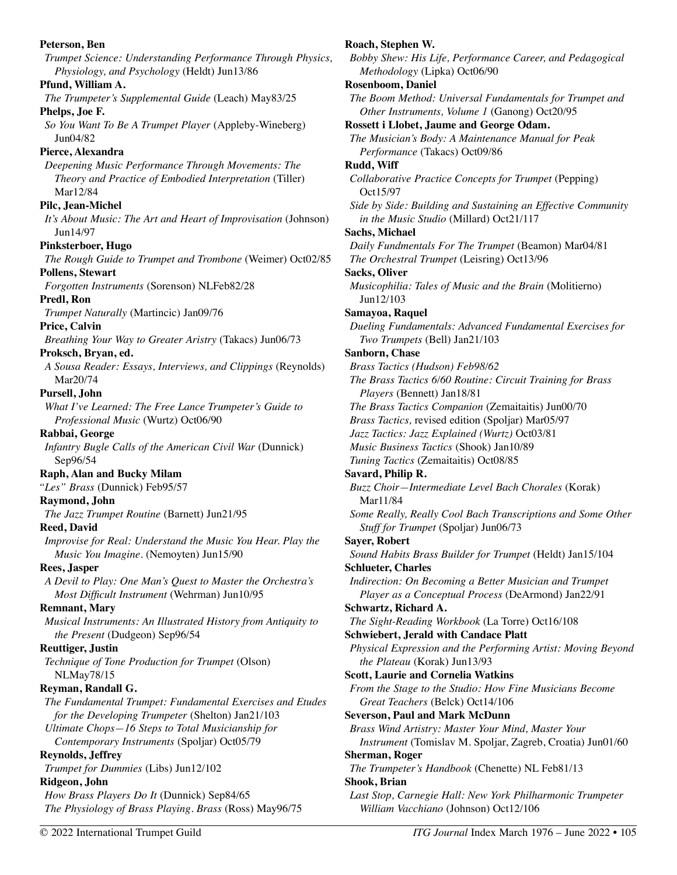**Peterson, Ben**  *Trumpet Science: Understanding Performance Through Physics, Physiology, and Psychology* (Heldt) Jun13/86 **Pfund, William A.**  *The Trumpeter's Supplemental Guide* (Leach) May83/25 **Phelps, Joe F.**  *So You Want To Be A Trumpet Player* (Appleby-Wineberg) Jun04/82 **Pierce, Alexandra**  *Deepening Music Performance Through Movements: The Theory and Practice of Embodied Interpretation* (Tiller) Mar12/84 **Pilc, Jean-Michel**  *It's About Music: The Art and Heart of Improvisation* (Johnson) Jun14/97 **Pinksterboer, Hugo**  *The Rough Guide to Trumpet and Trombone* (Weimer) Oct02/85 **Pollens, Stewart**  *Forgotten Instruments* (Sorenson) NLFeb82/28 **Predl, Ron**  *Trumpet Naturally* (Martincic) Jan09/76 **Price, Calvin**  *Breathing Your Way to Greater Aristry* (Takacs) Jun06/73 **Proksch, Bryan, ed.**  *A Sousa Reader: Essays, Interviews, and Clippings* (Reynolds) Mar20/74 **Pursell, John**  *What I've Learned: The Free Lance Trumpeter's Guide to Professional Music* (Wurtz) Oct06/90 **Rabbai, George**  *Infantry Bugle Calls of the American Civil War* (Dunnick) Sep96/54 **Raph, Alan and Bucky Milam**  *"Les" Brass* (Dunnick) Feb95/57 **Raymond, John**  *The Jazz Trumpet Routine* (Barnett) Jun21/95 **Reed, David**  *Improvise for Real: Understand the Music You Hear. Play the Music You Imagine.* (Nemoyten) Jun15/90 **Rees, Jasper**  *A Devil to Play: One Man's Quest to Master the Orchestra's Most Difficult Instrument* (Wehrman) Jun10/95 **Remnant, Mary**  *Musical Instruments: An Illustrated History from Antiquity to the Present* (Dudgeon) Sep96/54 **Reuttiger, Justin**  *Technique of Tone Production for Trumpet* (Olson) NLMay78/15 **Reyman, Randall G.**  *The Fundamental Trumpet: Fundamental Exercises and Etudes for the Developing Trumpeter* (Shelton) Jan21/103 *Ultimate Chops—16 Steps to Total Musicianship for Contemporary Instruments* (Spoljar) Oct05/79 **Reynolds, Jeffrey**  *Trumpet for Dummies* (Libs) Jun12/102 **Ridgeon, John**  *How Brass Players Do It* (Dunnick) Sep84/65 *The Physiology of Brass Playing. Brass* (Ross) May96/75 **Roach, Stephen W.**  *Bobby Shew: His Life, Performance Career, and Pedagogical Methodology* (Lipka) Oct06/90 **Rosenboom, Daniel**  *The Boom Method: Universal Fundamentals for Trumpet and Other Instruments, Volume 1* (Ganong) Oct20/95 **Rossett i Llobet, Jaume and George Odam.**  *The Musician's Body: A Maintenance Manual for Peak Performance* (Takacs) Oct09/86 **Rudd, Wiff**  *Collaborative Practice Concepts for Trumpet* (Pepping) Oct15/97 *Side by Side: Building and Sustaining an Effective Community in the Music Studio* (Millard) Oct21/117 **Sachs, Michael**  *Daily Fundmentals For The Trumpet* (Beamon) Mar04/81 *The Orchestral Trumpet* (Leisring) Oct13/96 **Sacks, Oliver**  *Musicophilia: Tales of Music and the Brain* (Molitierno) Jun12/103 **Samayoa, Raquel**  *Dueling Fundamentals: Advanced Fundamental Exercises for Two Trumpets* (Bell) Jan21/103 **Sanborn, Chase**  *Brass Tactics (Hudson) Feb98/62 The Brass Tactics 6/60 Routine: Circuit Training for Brass Players* (Bennett) Jan18/81 *The Brass Tactics Companion* (Zemaitaitis) Jun00/70 *Brass Tactics,* revised edition (Spoljar) Mar05/97 *Jazz Tactics: Jazz Explained (Wurtz)* Oct03/81 *Music Business Tactics* (Shook) Jan10/89 *Tuning Tactics* (Zemaitaitis) Oct08/85 **Savard, Philip R.**  *Buzz Choir—Intermediate Level Bach Chorales* (Korak) Mar11/84 *Some Really, Really Cool Bach Transcriptions and Some Other Stuff for Trumpet* (Spoljar) Jun06/73 **Sayer, Robert**  *Sound Habits Brass Builder for Trumpet* (Heldt) Jan15/104 **Schlueter, Charles**  *Indirection: On Becoming a Better Musician and Trumpet Player as a Conceptual Process* (DeArmond) Jan22/91 **Schwartz, Richard A.**  *The Sight-Reading Workbook* (La Torre) Oct16/108 **Schwiebert, Jerald with Candace Platt**  *Physical Expression and the Performing Artist: Moving Beyond the Plateau* (Korak) Jun13/93 **Scott, Laurie and Cornelia Watkins**  *From the Stage to the Studio: How Fine Musicians Become Great Teachers* (Belck) Oct14/106 **Severson, Paul and Mark McDunn**  *Brass Wind Artistry: Master Your Mind, Master Your Instrument* (Tomislav M. Spoljar, Zagreb, Croatia) Jun01/60 **Sherman, Roger**  *The Trumpeter's Handbook* (Chenette) NL Feb81/13 **Shook, Brian**  *Last Stop, Carnegie Hall: New York Philharmonic Trumpeter William Vacchiano* (Johnson) Oct12/106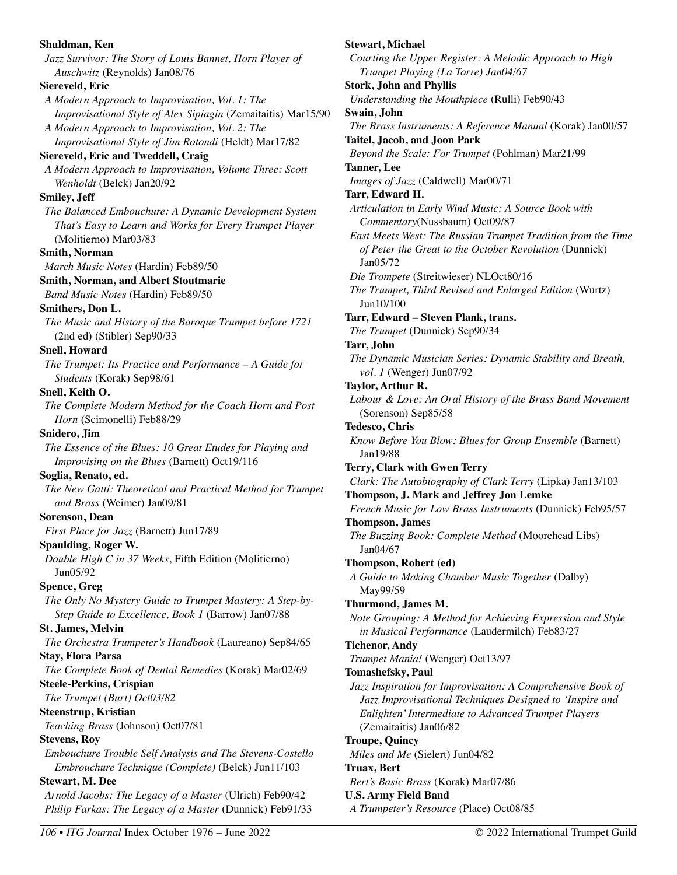**Shuldman, Ken**  *Jazz Survivor: The Story of Louis Bannet, Horn Player of Auschwitz* (Reynolds) Jan08/76 **Siereveld, Eric**  *A Modern Approach to Improvisation, Vol. 1: The Improvisational Style of Alex Sipiagin* (Zemaitaitis) Mar15/90 *A Modern Approach to Improvisation, Vol. 2: The Improvisational Style of Jim Rotondi* (Heldt) Mar17/82 **Siereveld, Eric and Tweddell, Craig**  *A Modern Approach to Improvisation, Volume Three: Scott Wenholdt* (Belck) Jan20/92 **Smiley, Jeff**  *The Balanced Embouchure: A Dynamic Development System That's Easy to Learn and Works for Every Trumpet Player* (Molitierno) Mar03/83 **Smith, Norman**  *March Music Notes* (Hardin) Feb89/50 **Smith, Norman, and Albert Stoutmarie**  *Band Music Notes* (Hardin) Feb89/50 **Smithers, Don L.**  *The Music and History of the Baroque Trumpet before 1721*  (2nd ed) (Stibler) Sep90/33 **Snell, Howard**  *The Trumpet: Its Practice and Performance – A Guide for Students* (Korak) Sep98/61 **Snell, Keith O.**  *The Complete Modern Method for the Coach Horn and Post Horn* (Scimonelli) Feb88/29 **Snidero, Jim**  *The Essence of the Blues: 10 Great Etudes for Playing and Improvising on the Blues* (Barnett) Oct19/116 **Soglia, Renato, ed.**  *The New Gatti: Theoretical and Practical Method for Trumpet and Brass* (Weimer) Jan09/81 **Sorenson, Dean**  *First Place for Jazz* (Barnett) Jun17/89 **Spaulding, Roger W.**  *Double High C in 37 Weeks*, Fifth Edition (Molitierno) Jun05/92 **Spence, Greg**  *The Only No Mystery Guide to Trumpet Mastery: A Step-by-Step Guide to Excellence, Book 1* (Barrow) Jan07/88 **St. James, Melvin**  *The Orchestra Trumpeter's Handbook* (Laureano) Sep84/65 **Stay, Flora Parsa**  *The Complete Book of Dental Remedies* (Korak) Mar02/69 **Steele-Perkins, Crispian**  *The Trumpet (Burt) Oct03/82*  **Steenstrup, Kristian**  *Teaching Brass* (Johnson) Oct07/81 **Stevens, Roy**  *Embouchure Trouble Self Analysis and The Stevens-Costello Embrouchure Technique (Complete)* (Belck) Jun11/103 **Stewart, M. Dee**  *Arnold Jacobs: The Legacy of a Master* (Ulrich) Feb90/42 *Philip Farkas: The Legacy of a Master* (Dunnick) Feb91/33

**Stewart, Michael**  *Courting the Upper Register: A Melodic Approach to High Trumpet Playing (La Torre) Jan04/67*  **Stork, John and Phyllis**  *Understanding the Mouthpiece* (Rulli) Feb90/43 **Swain, John**  *The Brass Instruments: A Reference Manual* (Korak) Jan00/57 **Taitel, Jacob, and Joon Park**  *Beyond the Scale: For Trumpet* (Pohlman) Mar21/99 **Tanner, Lee**  *Images of Jazz* (Caldwell) Mar00/71 **Tarr, Edward H.**  *Articulation in Early Wind Music: A Source Book with Commentary*(Nussbaum) Oct09/87 *East Meets West: The Russian Trumpet Tradition from the Time of Peter the Great to the October Revolution* (Dunnick) Jan05/72 *Die Trompete* (Streitwieser) NLOct80/16 *The Trumpet, Third Revised and Enlarged Edition* (Wurtz) Jun10/100 **Tarr, Edward – Steven Plank, trans.**  *The Trumpet* (Dunnick) Sep90/34 **Tarr, John**  *The Dynamic Musician Series: Dynamic Stability and Breath, vol. 1* (Wenger) Jun07/92 **Taylor, Arthur R.**  *Labour & Love: An Oral History of the Brass Band Movement*  (Sorenson) Sep85/58 **Tedesco, Chris**  *Know Before You Blow: Blues for Group Ensemble* (Barnett) Jan19/88 **Terry, Clark with Gwen Terry**  *Clark: The Autobiography of Clark Terry* (Lipka) Jan13/103 **Thompson, J. Mark and Jeffrey Jon Lemke**  *French Music for Low Brass Instruments* (Dunnick) Feb95/57 **Thompson, James**  *The Buzzing Book: Complete Method* (Moorehead Libs) Jan04/67 **Thompson, Robert (ed)**  *A Guide to Making Chamber Music Together* (Dalby) May99/59 **Thurmond, James M.**  *Note Grouping: A Method for Achieving Expression and Style in Musical Performance* (Laudermilch) Feb83/27 **Tichenor, Andy**  *Trumpet Mania!* (Wenger) Oct13/97 **Tomashefsky, Paul**  *Jazz Inspiration for Improvisation: A Comprehensive Book of Jazz Improvisational Techniques Designed to 'Inspire and Enlighten' Intermediate to Advanced Trumpet Players* (Zemaitaitis) Jan06/82 **Troupe, Quincy**  *Miles and Me* (Sielert) Jun04/82 **Truax, Bert**  *Bert's Basic Brass* (Korak) Mar07/86 **U.S. Army Field Band** 

*A Trumpeter's Resource* (Place) Oct08/85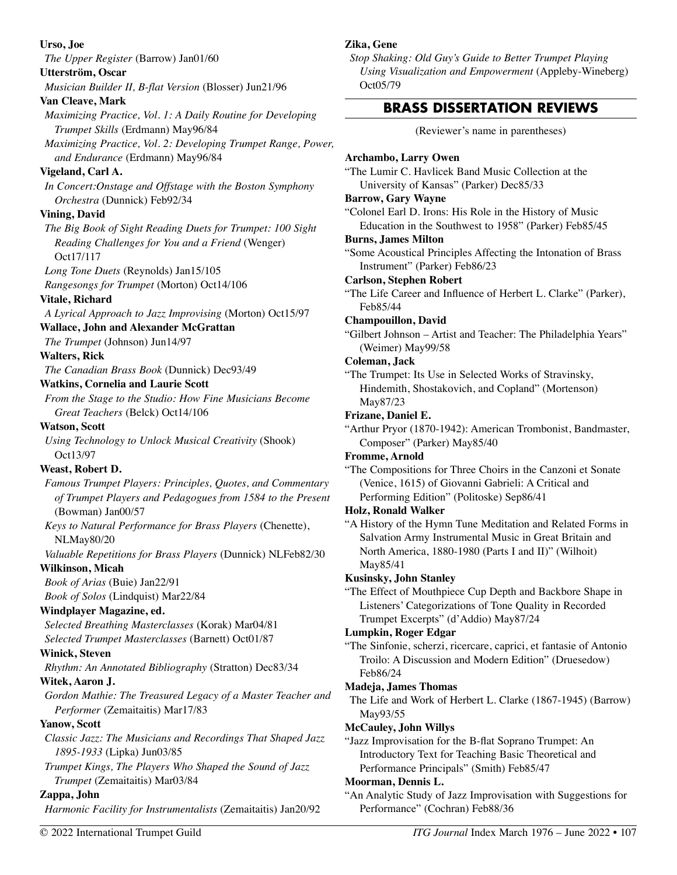**Urso, Joe**  *The Upper Register* (Barrow) Jan01/60 **Utterström, Oscar**  *Musician Builder II, B-flat Version* (Blosser) Jun21/96 **Van Cleave, Mark**  *Maximizing Practice, Vol. 1: A Daily Routine for Developing Trumpet Skills* (Erdmann) May96/84 *Maximizing Practice, Vol. 2: Developing Trumpet Range, Power, and Endurance* (Erdmann) May96/84 **Vigeland, Carl A.**  *In Concert:Onstage and Offstage with the Boston Symphony Orchestra* (Dunnick) Feb92/34 **Vining, David**  *The Big Book of Sight Reading Duets for Trumpet: 100 Sight Reading Challenges for You and a Friend* (Wenger) Oct17/117 *Long Tone Duets* (Reynolds) Jan15/105 *Rangesongs for Trumpet* (Morton) Oct14/106 **Vitale, Richard**  *A Lyrical Approach to Jazz Improvising* (Morton) Oct15/97 **Wallace, John and Alexander McGrattan**  *The Trumpet* (Johnson) Jun14/97 **Walters, Rick**  *The Canadian Brass Book* (Dunnick) Dec93/49 **Watkins, Cornelia and Laurie Scott**  *From the Stage to the Studio: How Fine Musicians Become Great Teachers* (Belck) Oct14/106 **Watson, Scott**  *Using Technology to Unlock Musical Creativity* (Shook) Oct13/97 **Weast, Robert D.**  *Famous Trumpet Players: Principles, Quotes, and Commentary of Trumpet Players and Pedagogues from 1584 to the Present*  (Bowman) Jan00/57 *Keys to Natural Performance for Brass Players* (Chenette), NLMay80/20 *Valuable Repetitions for Brass Players* (Dunnick) NLFeb82/30 **Wilkinson, Micah**  *Book of Arias* (Buie) Jan22/91 *Book of Solos* (Lindquist) Mar22/84 **Windplayer Magazine, ed.**  *Selected Breathing Masterclasses* (Korak) Mar04/81 *Selected Trumpet Masterclasses* (Barnett) Oct01/87 **Winick, Steven**  *Rhythm: An Annotated Bibliography* (Stratton) Dec83/34 **Witek, Aaron J.**  *Gordon Mathie: The Treasured Legacy of a Master Teacher and Performer* (Zemaitaitis) Mar17/83 **Yanow, Scott**  *Classic Jazz: The Musicians and Recordings That Shaped Jazz 1895-1933* (Lipka) Jun03/85 *Trumpet Kings, The Players Who Shaped the Sound of Jazz Trumpet* (Zemaitaitis) Mar03/84 **Zappa, John**  *Harmonic Facility for Instrumentalists* (Zemaitaitis) Jan20/92 **Zika, Gene**  *Stop Shaking: Old Guy's Guide to Better Trumpet Playing Using Visualization and Empowerment* (Appleby-Wineberg) Oct05/79 **BRASS DISSERTATION REVIEWS**  (Reviewer's name in parentheses) **Archambo, Larry Owen**  "The Lumir C. Havlicek Band Music Collection at the University of Kansas" (Parker) Dec85/33 **Barrow, Gary Wayne**  "Colonel Earl D. Irons: His Role in the History of Music Education in the Southwest to 1958" (Parker) Feb85/45 **Burns, James Milton**  "Some Acoustical Principles Affecting the Intonation of Brass Instrument" (Parker) Feb86/23 **Carlson, Stephen Robert**  "The Life Career and Influence of Herbert L. Clarke" (Parker), Feb85/44 **Champouillon, David**  "Gilbert Johnson – Artist and Teacher: The Philadelphia Years" (Weimer) May99/58 **Coleman, Jack**  "The Trumpet: Its Use in Selected Works of Stravinsky, Hindemith, Shostakovich, and Copland" (Mortenson) May87/23 **Frizane, Daniel E.**  "Arthur Pryor (1870-1942): American Trombonist, Bandmaster, Composer" (Parker) May85/40 **Fromme, Arnold**  "The Compositions for Three Choirs in the Canzoni et Sonate (Venice, 1615) of Giovanni Gabrieli: A Critical and Performing Edition" (Politoske) Sep86/41 **Holz, Ronald Walker**  "A History of the Hymn Tune Meditation and Related Forms in Salvation Army Instrumental Music in Great Britain and North America, 1880-1980 (Parts I and II)" (Wilhoit) May85/41 **Kusinsky, John Stanley**  "The Effect of Mouthpiece Cup Depth and Backbore Shape in Listeners' Categorizations of Tone Quality in Recorded Trumpet Excerpts" (d'Addio) May87/24 **Lumpkin, Roger Edgar**  "The Sinfonie, scherzi, ricercare, caprici, et fantasie of Antonio Troilo: A Discussion and Modern Edition" (Druesedow) Feb86/24 **Madeja, James Thomas**  The Life and Work of Herbert L. Clarke (1867-1945) (Barrow) May93/55 **McCauley, John Willys**  "Jazz Improvisation for the B-flat Soprano Trumpet: An Introductory Text for Teaching Basic Theoretical and Performance Principals" (Smith) Feb85/47 **Moorman, Dennis L.**  "An Analytic Study of Jazz Improvisation with Suggestions for Performance" (Cochran) Feb88/36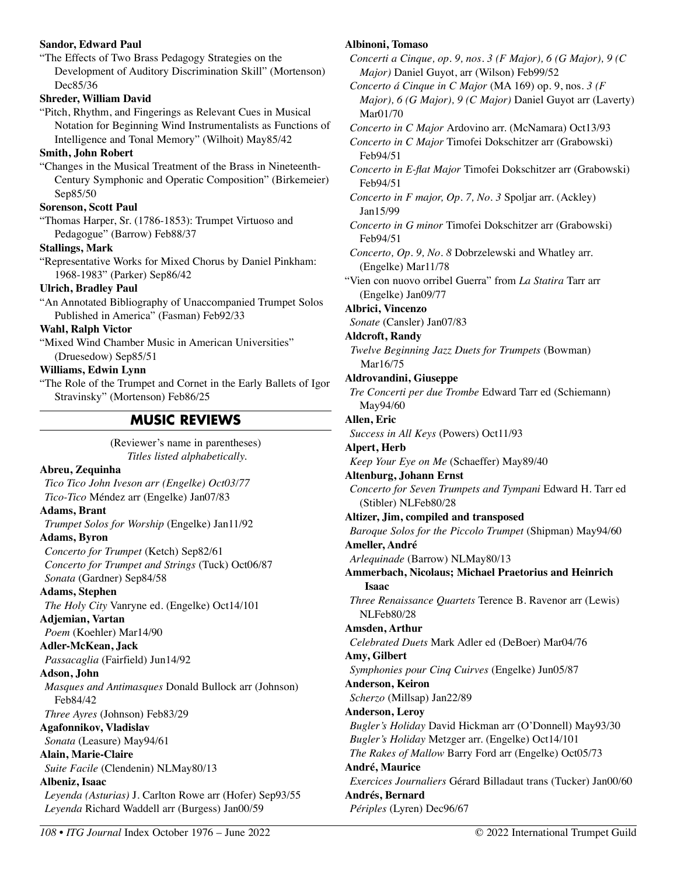#### **Sandor, Edward Paul**

"The Effects of Two Brass Pedagogy Strategies on the Development of Auditory Discrimination Skill" (Mortenson) Dec85/36

#### **Shreder, William David**

"Pitch, Rhythm, and Fingerings as Relevant Cues in Musical Notation for Beginning Wind Instrumentalists as Functions of Intelligence and Tonal Memory" (Wilhoit) May85/42

#### **Smith, John Robert**

"Changes in the Musical Treatment of the Brass in Nineteenth-Century Symphonic and Operatic Composition" (Birkemeier) Sep85/50

#### **Sorenson, Scott Paul**

"Thomas Harper, Sr. (1786-1853): Trumpet Virtuoso and Pedagogue" (Barrow) Feb88/37

#### **Stallings, Mark**

"Representative Works for Mixed Chorus by Daniel Pinkham: 1968-1983" (Parker) Sep86/42

## **Ulrich, Bradley Paul**

"An Annotated Bibliography of Unaccompanied Trumpet Solos Published in America" (Fasman) Feb92/33

#### **Wahl, Ralph Victor**

"Mixed Wind Chamber Music in American Universities" (Druesedow) Sep85/51

## **Williams, Edwin Lynn**

"The Role of the Trumpet and Cornet in the Early Ballets of Igor Stravinsky" (Mortenson) Feb86/25

# **MUSIC REVIEWS**

(Reviewer's name in parentheses) *Titles listed alphabetically.* 

## **Abreu, Zequinha**

*Tico Tico John Iveson arr (Engelke) Oct03/77 Tico-Tico* Méndez arr (Engelke) Jan07/83

# **Adams, Brant**

*Trumpet Solos for Worship* (Engelke) Jan11/92 **Adams, Byron** 

*Concerto for Trumpet* (Ketch) Sep82/61 *Concerto for Trumpet and Strings* (Tuck) Oct06/87 *Sonata* (Gardner) Sep84/58

## **Adams, Stephen**

*The Holy City* Vanryne ed. (Engelke) Oct14/101 **Adjemian, Vartan** 

*Poem* (Koehler) Mar14/90

# **Adler-McKean, Jack**

*Passacaglia* (Fairfield) Jun14/92

# **Adson, John**

*Masques and Antimasques* Donald Bullock arr (Johnson) Feb84/42

*Three Ayres* (Johnson) Feb83/29

## **Agafonnikov, Vladislav**

*Sonata* (Leasure) May94/61

## **Alain, Marie-Claire**

*Suite Facile* (Clendenin) NLMay80/13

# **Albeniz, Isaac**

*Leyenda (Asturias)* J. Carlton Rowe arr (Hofer) Sep93/55 *Leyenda* Richard Waddell arr (Burgess) Jan00/59

## **Albinoni, Tomaso**

*Concerti a Cinque, op. 9, nos. 3 (F Major), 6 (G Major), 9 (C Major)* Daniel Guyot, arr (Wilson) Feb99/52

*Concerto á Cinque in C Major* (MA 169) op. 9, nos. *3 (F Major), 6 (G Major), 9 (C Major)* Daniel Guyot arr (Laverty) Mar01/70

*Concerto in C Major* Ardovino arr. (McNamara) Oct13/93 *Concerto in C Major* Timofei Dokschitzer arr (Grabowski) Feb94/51

*Concerto in E-flat Major* Timofei Dokschitzer arr (Grabowski) Feb94/51

*Concerto in F major, Op. 7, No. 3* Spoljar arr. (Ackley) Jan15/99

*Concerto in G minor* Timofei Dokschitzer arr (Grabowski) Feb94/51

*Concerto, Op. 9, No. 8* Dobrzelewski and Whatley arr. (Engelke) Mar11/78

"Vien con nuovo orribel Guerra" from *La Statira* Tarr arr (Engelke) Jan09/77

## **Albrici, Vincenzo**

*Sonate* (Cansler) Jan07/83

#### **Aldcroft, Randy**

*Twelve Beginning Jazz Duets for Trumpets* (Bowman) Mar16/75

## **Aldrovandini, Giuseppe**

*Tre Concerti per due Trombe* Edward Tarr ed (Schiemann) May94/60

#### **Allen, Eric**

*Success in All Keys* (Powers) Oct11/93

#### **Alpert, Herb**

*Keep Your Eye on Me* (Schaeffer) May89/40

#### **Altenburg, Johann Ernst**

*Concerto for Seven Trumpets and Tympani* Edward H. Tarr ed (Stibler) NLFeb80/28

**Altizer, Jim, compiled and transposed** 

*Baroque Solos for the Piccolo Trumpet* (Shipman) May94/60 **Ameller, André** 

*Arlequinade* (Barrow) NLMay80/13

**Ammerbach, Nicolaus; Michael Praetorius and Heinrich Isaac** 

*Three Renaissance Quartets* Terence B. Ravenor arr (Lewis) NLFeb80/28

## **Amsden, Arthur**

*Celebrated Duets* Mark Adler ed (DeBoer) Mar04/76 **Amy, Gilbert** 

*Symphonies pour Cinq Cuirves* (Engelke) Jun05/87 **Anderson, Keiron** 

## *Scherzo* (Millsap) Jan22/89

**Anderson, Leroy** 

## *Bugler's Holiday* David Hickman arr (O'Donnell) May93/30 *Bugler's Holiday* Metzger arr. (Engelke) Oct14/101 *The Rakes of Mallow* Barry Ford arr (Engelke) Oct05/73

**André, Maurice**  *Exercices Journaliers* Gérard Billadaut trans (Tucker) Jan00/60 **Andrés, Bernard**  *Périples* (Lyren) Dec96/67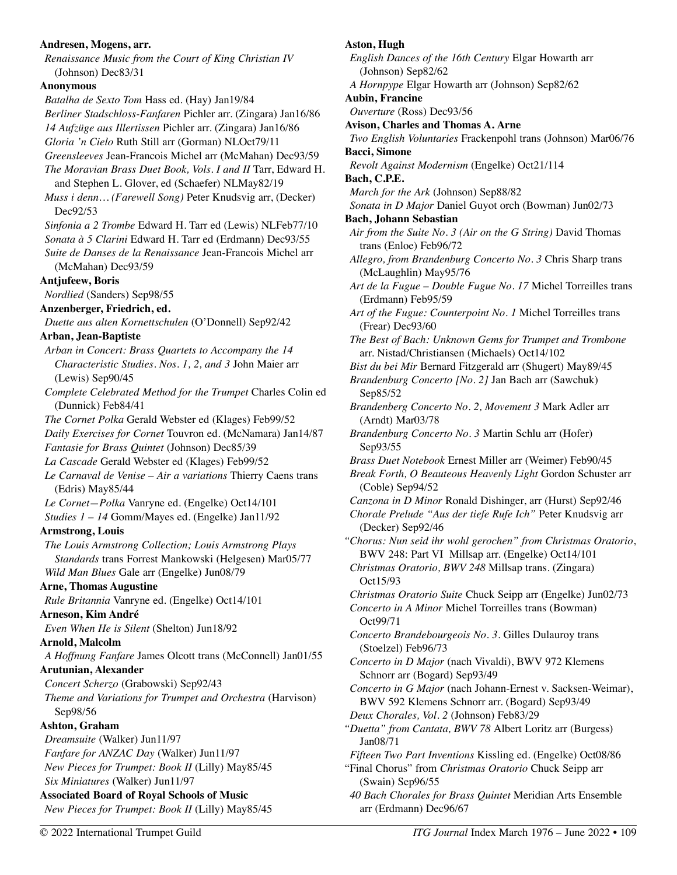#### **Andresen, Mogens, arr.**

*Renaissance Music from the Court of King Christian IV*  (Johnson) Dec83/31

#### **Anonymous**

*Batalha de Sexto Tom* Hass ed. (Hay) Jan19/84 *Berliner Stadschloss-Fanfaren* Pichler arr. (Zingara) Jan16/86 *14 Aufzüge aus Illertissen* Pichler arr. (Zingara) Jan16/86 *Gloria 'n Cielo* Ruth Still arr (Gorman) NLOct79/11 *Greensleeves* Jean-Francois Michel arr (McMahan) Dec93/59 *The Moravian Brass Duet Book, Vols. I and II* Tarr, Edward H. and Stephen L. Glover, ed (Schaefer) NLMay82/19 *Muss i denn… (Farewell Song)* Peter Knudsvig arr, (Decker) Dec92/53 *Sinfonia a 2 Trombe* Edward H. Tarr ed (Lewis) NLFeb77/10 *Sonata à 5 Clarini* Edward H. Tarr ed (Erdmann) Dec93/55 *Suite de Danses de la Renaissance* Jean-Francois Michel arr (McMahan) Dec93/59 **Antjufeew, Boris**  *Nordlied* (Sanders) Sep98/55 **Anzenberger, Friedrich, ed.**  *Duette aus alten Kornettschulen* (O'Donnell) Sep92/42 **Arban, Jean-Baptiste**  *Arban in Concert: Brass Quartets to Accompany the 14 Characteristic Studies. Nos. 1, 2, and 3* John Maier arr (Lewis) Sep90/45 *Complete Celebrated Method for the Trumpet* Charles Colin ed (Dunnick) Feb84/41 *The Cornet Polka* Gerald Webster ed (Klages) Feb99/52 *Daily Exercises for Cornet* Touvron ed. (McNamara) Jan14/87 *Fantasie for Brass Quintet* (Johnson) Dec85/39 *La Cascade* Gerald Webster ed (Klages) Feb99/52 *Le Carnaval de Venise – Air a variations* Thierry Caens trans (Edris) May85/44 *Le Cornet—Polka* Vanryne ed. (Engelke) Oct14/101 *Studies 1 – 14* Gomm/Mayes ed. (Engelke) Jan11/92 **Armstrong, Louis**  *The Louis Armstrong Collection; Louis Armstrong Plays Standards* trans Forrest Mankowski (Helgesen) Mar05/77 *Wild Man Blues* Gale arr (Engelke) Jun08/79 **Arne, Thomas Augustine**  *Rule Britannia* Vanryne ed. (Engelke) Oct14/101 **Arneson, Kim André**  *Even When He is Silent* (Shelton) Jun18/92 **Arnold, Malcolm**  *A Hoffnung Fanfare* James Olcott trans (McConnell) Jan01/55 **Arutunian, Alexander**  *Concert Scherzo* (Grabowski) Sep92/43 *Theme and Variations for Trumpet and Orchestra* (Harvison) Sep98/56 **Ashton, Graham**  *Dreamsuite* (Walker) Jun11/97 *Fanfare for ANZAC Day* (Walker) Jun11/97 *New Pieces for Trumpet: Book II* (Lilly) May85/45 *Six Miniatures* (Walker) Jun11/97 **Associated Board of Royal Schools of Music**  *New Pieces for Trumpet: Book II* (Lilly) May85/45

# **Aston, Hugh**

*English Dances of the 16th Century* Elgar Howarth arr (Johnson) Sep82/62

*A Hornpype* Elgar Howarth arr (Johnson) Sep82/62

**Aubin, Francine** 

*Ouverture* (Ross) Dec93/56

**Avison, Charles and Thomas A. Arne** 

*Two English Voluntaries* Frackenpohl trans (Johnson) Mar06/76 **Bacci, Simone** 

*Revolt Against Modernism* (Engelke) Oct21/114

**Bach, C.P.E.**  *March for the Ark* (Johnson) Sep88/82

*Sonata in D Major* Daniel Guyot orch (Bowman) Jun02/73 **Bach, Johann Sebastian** 

- *Air from the Suite No. 3 (Air on the G String)* David Thomas trans (Enloe) Feb96/72
- *Allegro, from Brandenburg Concerto No. 3* Chris Sharp trans (McLaughlin) May95/76

*Art de la Fugue – Double Fugue No. 17* Michel Torreilles trans (Erdmann) Feb95/59

*Art of the Fugue: Counterpoint No. 1* Michel Torreilles trans (Frear) Dec93/60

*The Best of Bach: Unknown Gems for Trumpet and Trombone* arr. Nistad/Christiansen (Michaels) Oct14/102

*Bist du bei Mir* Bernard Fitzgerald arr (Shugert) May89/45

*Brandenburg Concerto [No. 2]* Jan Bach arr (Sawchuk) Sep85/52

*Brandenberg Concerto No. 2, Movement 3* Mark Adler arr (Arndt) Mar03/78

- *Brandenburg Concerto No. 3* Martin Schlu arr (Hofer) Sep93/55
- *Brass Duet Notebook* Ernest Miller arr (Weimer) Feb90/45

*Break Forth, O Beauteous Heavenly Light* Gordon Schuster arr (Coble) Sep94/52

*Canzona in D Minor* Ronald Dishinger, arr (Hurst) Sep92/46

*Chorale Prelude "Aus der tiefe Rufe Ich"* Peter Knudsvig arr (Decker) Sep92/46

*"Chorus: Nun seid ihr wohl gerochen" from Christmas Oratorio*, BWV 248: Part VI Millsap arr. (Engelke) Oct14/101

*Christmas Oratorio, BWV 248* Millsap trans. (Zingara) Oct15/93

*Christmas Oratorio Suite* Chuck Seipp arr (Engelke) Jun02/73

*Concerto in A Minor* Michel Torreilles trans (Bowman) Oct99/71

*Concerto Brandebourgeois No. 3.* Gilles Dulauroy trans (Stoelzel) Feb96/73

*Concerto in D Major* (nach Vivaldi), BWV 972 Klemens Schnorr arr (Bogard) Sep93/49

*Concerto in G Major* (nach Johann-Ernest v. Sacksen-Weimar), BWV 592 Klemens Schnorr arr. (Bogard) Sep93/49 *Deux Chorales, Vol. 2* (Johnson) Feb83/29

- *"Duetta" from Cantata, BWV 78* Albert Loritz arr (Burgess) Jan08/71
- *Fifteen Two Part Inventions* Kissling ed. (Engelke) Oct08/86

"Final Chorus" from *Christmas Oratorio* Chuck Seipp arr (Swain) Sep96/55

*40 Bach Chorales for Brass Quintet* Meridian Arts Ensemble arr (Erdmann) Dec96/67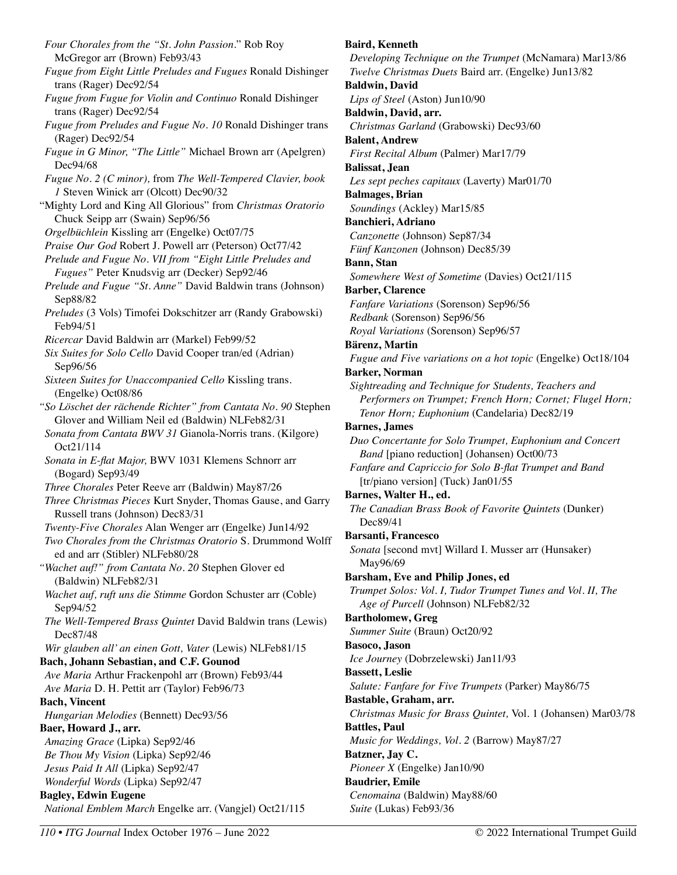*Four Chorales from the "St. John Passion*." Rob Roy McGregor arr (Brown) Feb93/43 *Fugue from Eight Little Preludes and Fugues* Ronald Dishinger trans (Rager) Dec92/54 *Fugue from Fugue for Violin and Continuo* Ronald Dishinger trans (Rager) Dec92/54 *Fugue from Preludes and Fugue No. 10* Ronald Dishinger trans (Rager) Dec92/54 *Fugue in G Minor, "The Little"* Michael Brown arr (Apelgren) Dec94/68 *Fugue No. 2 (C minor),* from *The Well-Tempered Clavier, book 1* Steven Winick arr (Olcott) Dec90/32 "Mighty Lord and King All Glorious" from *Christmas Oratorio*  Chuck Seipp arr (Swain) Sep96/56 *Orgelbüchlein* Kissling arr (Engelke) Oct07/75 *Praise Our God* Robert J. Powell arr (Peterson) Oct77/42 *Prelude and Fugue No. VII from "Eight Little Preludes and Fugues"* Peter Knudsvig arr (Decker) Sep92/46 *Prelude and Fugue "St. Anne"* David Baldwin trans (Johnson) Sep88/82 *Preludes* (3 Vols) Timofei Dokschitzer arr (Randy Grabowski) Feb94/51 *Ricercar* David Baldwin arr (Markel) Feb99/52 *Six Suites for Solo Cello* David Cooper tran/ed (Adrian) Sep96/56 *Sixteen Suites for Unaccompanied Cello* Kissling trans. (Engelke) Oct08/86 *"So Löschet der rächende Richter" from Cantata No. 90* Stephen Glover and William Neil ed (Baldwin) NLFeb82/31 *Sonata from Cantata BWV 31* Gianola-Norris trans. (Kilgore) Oct21/114 *Sonata in E-flat Major,* BWV 1031 Klemens Schnorr arr (Bogard) Sep93/49 *Three Chorales* Peter Reeve arr (Baldwin) May87/26 *Three Christmas Pieces* Kurt Snyder, Thomas Gause, and Garry Russell trans (Johnson) Dec83/31 *Twenty-Five Chorales* Alan Wenger arr (Engelke) Jun14/92 *Two Chorales from the Christmas Oratorio* S. Drummond Wolff ed and arr (Stibler) NLFeb80/28 *"Wachet auf!" from Cantata No. 20* Stephen Glover ed (Baldwin) NLFeb82/31 *Wachet auf, ruft uns die Stimme* Gordon Schuster arr (Coble) Sep94/52 *The Well-Tempered Brass Quintet* David Baldwin trans (Lewis) Dec87/48 *Wir glauben all' an einen Gott, Vater* (Lewis) NLFeb81/15 **Bach, Johann Sebastian, and C.F. Gounod**  *Ave Maria* Arthur Frackenpohl arr (Brown) Feb93/44 *Ave Maria* D. H. Pettit arr (Taylor) Feb96/73 **Bach, Vincent**  *Hungarian Melodies* (Bennett) Dec93/56 **Baer, Howard J., arr.**  *Amazing Grace* (Lipka) Sep92/46 *Be Thou My Vision* (Lipka) Sep92/46 *Jesus Paid It All* (Lipka) Sep92/47 *Wonderful Words* (Lipka) Sep92/47 **Bagley, Edwin Eugene**  *National Emblem March* Engelke arr. (Vangjel) Oct21/115

#### **Baird, Kenneth**

*Developing Technique on the Trumpet* (McNamara) Mar13/86 *Twelve Christmas Duets* Baird arr. (Engelke) Jun13/82 **Baldwin, David**  *Lips of Steel* (Aston) Jun10/90 **Baldwin, David, arr.**  *Christmas Garland* (Grabowski) Dec93/60 **Balent, Andrew**  *First Recital Album* (Palmer) Mar17/79 **Balissat, Jean**  *Les sept peches capitaux* (Laverty) Mar01/70 **Balmages, Brian**  *Soundings* (Ackley) Mar15/85 **Banchieri, Adriano**  *Canzonette* (Johnson) Sep87/34 *Fünf Kanzonen* (Johnson) Dec85/39 **Bann, Stan**  *Somewhere West of Sometime* (Davies) Oct21/115 **Barber, Clarence**  *Fanfare Variations* (Sorenson) Sep96/56 *Redbank* (Sorenson) Sep96/56 *Royal Variations* (Sorenson) Sep96/57 **Bärenz, Martin**  *Fugue and Five variations on a hot topic* (Engelke) Oct18/104 **Barker, Norman**  *Sightreading and Technique for Students, Teachers and Performers on Trumpet; French Horn; Cornet; Flugel Horn; Tenor Horn; Euphonium* (Candelaria) Dec82/19 **Barnes, James**  *Duo Concertante for Solo Trumpet, Euphonium and Concert Band* [piano reduction] (Johansen) Oct00/73 *Fanfare and Capriccio for Solo B-flat Trumpet and Band*  [tr/piano version] (Tuck) Jan01/55 **Barnes, Walter H., ed.**  *The Canadian Brass Book of Favorite Quintets* (Dunker) Dec89/41 **Barsanti, Francesco**  *Sonata* [second mvt] Willard I. Musser arr (Hunsaker) May96/69 **Barsham, Eve and Philip Jones, ed**  *Trumpet Solos: Vol. I, Tudor Trumpet Tunes and Vol. II, The Age of Purcell* (Johnson) NLFeb82/32 **Bartholomew, Greg**  *Summer Suite* (Braun) Oct20/92 **Basoco, Jason**  *Ice Journey* (Dobrzelewski) Jan11/93 **Bassett, Leslie**  *Salute: Fanfare for Five Trumpets* (Parker) May86/75 **Bastable, Graham, arr.**  *Christmas Music for Brass Quintet,* Vol. 1 (Johansen) Mar03/78 **Battles, Paul**  *Music for Weddings, Vol. 2* (Barrow) May87/27 **Batzner, Jay C.**  *Pioneer X* (Engelke) Jan10/90 **Baudrier, Emile**  *Cenomaina* (Baldwin) May88/60 *Suite* (Lukas) Feb93/36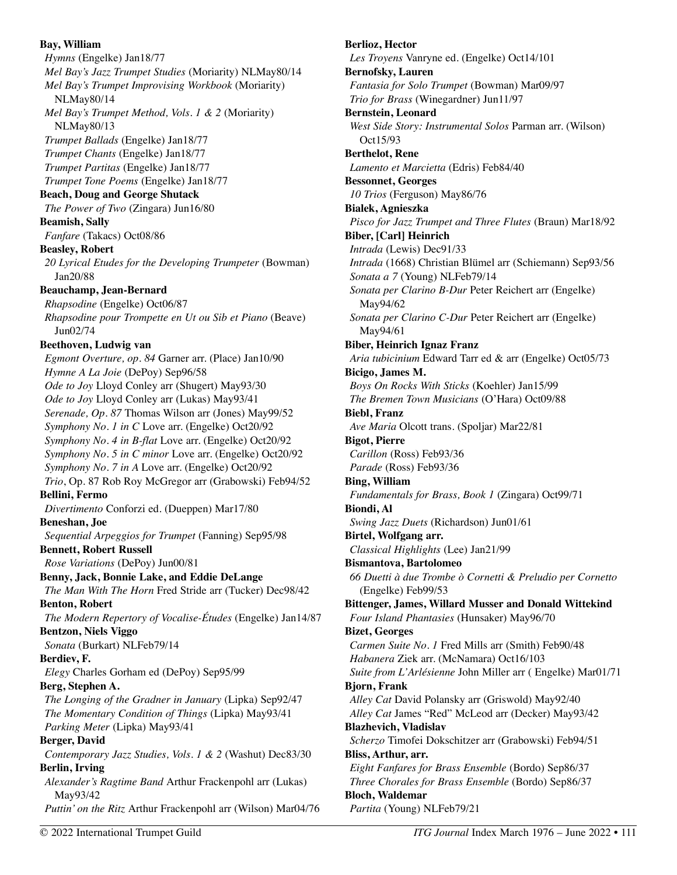**Bay, William**  *Hymns* (Engelke) Jan18/77 *Mel Bay's Jazz Trumpet Studies* (Moriarity) NLMay80/14 *Mel Bay's Trumpet Improvising Workbook* (Moriarity) NLMay80/14 *Mel Bay's Trumpet Method, Vols. 1 & 2* (Moriarity) NLMay80/13 *Trumpet Ballads* (Engelke) Jan18/77 *Trumpet Chants* (Engelke) Jan18/77 *Trumpet Partitas* (Engelke) Jan18/77 *Trumpet Tone Poems* (Engelke) Jan18/77 **Beach, Doug and George Shutack**  *The Power of Two* (Zingara) Jun16/80 **Beamish, Sally**  *Fanfare* (Takacs) Oct08/86 **Beasley, Robert**  *20 Lyrical Etudes for the Developing Trumpeter* (Bowman) Jan20/88 **Beauchamp, Jean-Bernard**  *Rhapsodine* (Engelke) Oct06/87 *Rhapsodine pour Trompette en Ut ou Sib et Piano* (Beave) Jun02/74 **Beethoven, Ludwig van**  *Egmont Overture, op. 84* Garner arr. (Place) Jan10/90 *Hymne A La Joie* (DePoy) Sep96/58 *Ode to Joy* Lloyd Conley arr (Shugert) May93/30 *Ode to Joy* Lloyd Conley arr (Lukas) May93/41 *Serenade, Op. 87* Thomas Wilson arr (Jones) May99/52 *Symphony No. 1 in C* Love arr. (Engelke) Oct20/92 *Symphony No. 4 in B-flat* Love arr. (Engelke) Oct20/92 *Symphony No. 5 in C minor* Love arr. (Engelke) Oct20/92 *Symphony No. 7 in A* Love arr. (Engelke) Oct20/92 *Trio*, Op. 87 Rob Roy McGregor arr (Grabowski) Feb94/52 **Bellini, Fermo**  *Divertimento* Conforzi ed. (Dueppen) Mar17/80 **Beneshan, Joe**  *Sequential Arpeggios for Trumpet* (Fanning) Sep95/98 **Bennett, Robert Russell**  *Rose Variations* (DePoy) Jun00/81 **Benny, Jack, Bonnie Lake, and Eddie DeLange**  *The Man With The Horn* Fred Stride arr (Tucker) Dec98/42 **Benton, Robert**  *The Modern Repertory of Vocalise-Études* (Engelke) Jan14/87 **Bentzon, Niels Viggo**  *Sonata* (Burkart) NLFeb79/14 **Berdiev, F.**  *Elegy* Charles Gorham ed (DePoy) Sep95/99 **Berg, Stephen A.**  *The Longing of the Gradner in January* (Lipka) Sep92/47 *The Momentary Condition of Things* (Lipka) May93/41 *Parking Meter* (Lipka) May93/41 **Berger, David**  *Contemporary Jazz Studies, Vols. 1 & 2* (Washut) Dec83/30 **Berlin, Irving**  *Alexander's Ragtime Band* Arthur Frackenpohl arr (Lukas) May93/42 *Puttin' on the Ritz* Arthur Frackenpohl arr (Wilson) Mar04/76

**Berlioz, Hector**  *Les Troyens* Vanryne ed. (Engelke) Oct14/101 **Bernofsky, Lauren**  *Fantasia for Solo Trumpet* (Bowman) Mar09/97 *Trio for Brass* (Winegardner) Jun11/97 **Bernstein, Leonard**  *West Side Story: Instrumental Solos* Parman arr. (Wilson) Oct15/93 **Berthelot, Rene**  *Lamento et Marcietta* (Edris) Feb84/40 **Bessonnet, Georges**  *10 Trios* (Ferguson) May86/76 **Bialek, Agnieszka** *Pisco for Jazz Trumpet and Three Flutes* (Braun) Mar18/92 **Biber, [Carl] Heinrich** *Intrada* (Lewis) Dec91/33 *Intrada* (1668) Christian Blümel arr (Schiemann) Sep93/56 *Sonata a 7* (Young) NLFeb79/14 *Sonata per Clarino B-Dur* Peter Reichert arr (Engelke) May94/62 *Sonata per Clarino C-Dur* Peter Reichert arr (Engelke) May94/61 **Biber, Heinrich Ignaz Franz**  *Aria tubicinium* Edward Tarr ed & arr (Engelke) Oct05/73 **Bicigo, James M.**  *Boys On Rocks With Sticks* (Koehler) Jan15/99 *The Bremen Town Musicians* (O'Hara) Oct09/88 **Biebl, Franz**  *Ave Maria* Olcott trans. (Spoljar) Mar22/81 **Bigot, Pierre**  *Carillon* (Ross) Feb93/36 *Parade* (Ross) Feb93/36 **Bing, William**  *Fundamentals for Brass, Book 1* (Zingara) Oct99/71 **Biondi, Al**  *Swing Jazz Duets* (Richardson) Jun01/61 **Birtel, Wolfgang arr.**  *Classical Highlights* (Lee) Jan21/99 **Bismantova, Bartolomeo**  *66 Duetti à due Trombe ò Cornetti & Preludio per Cornetto*  (Engelke) Feb99/53 **Bittenger, James, Willard Musser and Donald Wittekind**  *Four Island Phantasies* (Hunsaker) May96/70 **Bizet, Georges**  *Carmen Suite No. 1* Fred Mills arr (Smith) Feb90/48 *Habanera* Ziek arr. (McNamara) Oct16/103 *Suite from L'Arlésienne* John Miller arr ( Engelke) Mar01/71 **Bjorn, Frank**  *Alley Cat* David Polansky arr (Griswold) May92/40 *Alley Cat* James "Red" McLeod arr (Decker) May93/42 **Blazhevich, Vladislav**  *Scherzo* Timofei Dokschitzer arr (Grabowski) Feb94/51 **Bliss, Arthur, arr.**  *Eight Fanfares for Brass Ensemble* (Bordo) Sep86/37 *Three Chorales for Brass Ensemble* (Bordo) Sep86/37 **Bloch, Waldemar**  *Partita* (Young) NLFeb79/21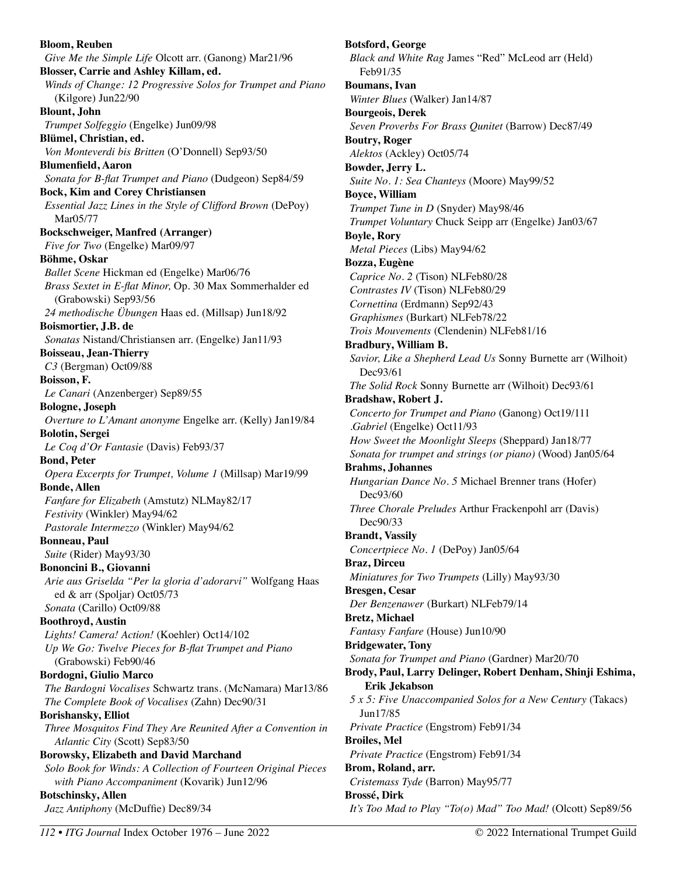**Bloom, Reuben**  *Give Me the Simple Life* Olcott arr. (Ganong) Mar21/96 **Blosser, Carrie and Ashley Killam, ed.**  *Winds of Change: 12 Progressive Solos for Trumpet and Piano*  (Kilgore) Jun22/90 **Blount, John**  *Trumpet Solfeggio* (Engelke) Jun09/98 **Blümel, Christian, ed.**  *Von Monteverdi bis Britten* (O'Donnell) Sep93/50 **Blumenfield, Aaron**  *Sonata for B-flat Trumpet and Piano* (Dudgeon) Sep84/59 **Bock, Kim and Corey Christiansen**  *Essential Jazz Lines in the Style of Clifford Brown* (DePoy) Mar05/77 **Bockschweiger, Manfred (Arranger)**  *Five for Two* (Engelke) Mar09/97 **Böhme, Oskar**  *Ballet Scene* Hickman ed (Engelke) Mar06/76 *Brass Sextet in E-flat Minor,* Op. 30 Max Sommerhalder ed (Grabowski) Sep93/56 *24 methodische Übungen* Haas ed. (Millsap) Jun18/92 **Boismortier, J.B. de**  *Sonatas* Nistand/Christiansen arr. (Engelke) Jan11/93 **Boisseau, Jean-Thierry**  *C3* (Bergman) Oct09/88 **Boisson, F.**  *Le Canari* (Anzenberger) Sep89/55 **Bologne, Joseph**  *Overture to L'Amant anonyme* Engelke arr. (Kelly) Jan19/84 **Bolotin, Sergei**  *Le Coq d'Or Fantasie* (Davis) Feb93/37 **Bond, Peter**  *Opera Excerpts for Trumpet, Volume 1* (Millsap) Mar19/99 **Bonde, Allen**  *Fanfare for Elizabeth* (Amstutz) NLMay82/17 *Festivity* (Winkler) May94/62 *Pastorale Intermezzo* (Winkler) May94/62 **Bonneau, Paul**  *Suite* (Rider) May93/30 **Bononcini B., Giovanni**  *Arie aus Griselda "Per la gloria d'adorarvi"* Wolfgang Haas ed & arr (Spoljar) Oct05/73 *Sonata* (Carillo) Oct09/88 **Boothroyd, Austin**  *Lights! Camera! Action!* (Koehler) Oct14/102 *Up We Go: Twelve Pieces for B-flat Trumpet and Piano*  (Grabowski) Feb90/46 **Bordogni, Giulio Marco**  *The Bardogni Vocalises* Schwartz trans. (McNamara) Mar13/86 *The Complete Book of Vocalises* (Zahn) Dec90/31 **Borishansky, Elliot**  *Three Mosquitos Find They Are Reunited After a Convention in Atlantic City* (Scott) Sep83/50 **Borowsky, Elizabeth and David Marchand**  *Solo Book for Winds: A Collection of Fourteen Original Pieces with Piano Accompaniment* (Kovarik) Jun12/96 **Botschinsky, Allen**  *Jazz Antiphony* (McDuffie) Dec89/34

**Botsford, George**  *Black and White Rag* James "Red" McLeod arr (Held) Feb91/35 **Boumans, Ivan**  *Winter Blues* (Walker) Jan14/87 **Bourgeois, Derek**  *Seven Proverbs For Brass Qunitet* (Barrow) Dec87/49 **Boutry, Roger**  *Alektos* (Ackley) Oct05/74 **Bowder, Jerry L.**  *Suite No. 1: Sea Chanteys* (Moore) May99/52 **Boyce, William**  *Trumpet Tune in D* (Snyder) May98/46 *Trumpet Voluntary* Chuck Seipp arr (Engelke) Jan03/67 **Boyle, Rory**  *Metal Pieces* (Libs) May94/62 **Bozza, Eugène**  *Caprice No. 2* (Tison) NLFeb80/28 *Contrastes IV* (Tison) NLFeb80/29 *Cornettina* (Erdmann) Sep92/43 *Graphismes* (Burkart) NLFeb78/22 *Trois Mouvements* (Clendenin) NLFeb81/16 **Bradbury, William B.**  *Savior, Like a Shepherd Lead Us* Sonny Burnette arr (Wilhoit) Dec93/61 *The Solid Rock* Sonny Burnette arr (Wilhoit) Dec93/61 **Bradshaw, Robert J.**  *Concerto for Trumpet and Piano* (Ganong) Oct19/111 *.Gabriel* (Engelke) Oct11/93 *How Sweet the Moonlight Sleeps* (Sheppard) Jan18/77 *Sonata for trumpet and strings (or piano)* (Wood) Jan05/64 **Brahms, Johannes**  *Hungarian Dance No. 5* Michael Brenner trans (Hofer) Dec93/60 *Three Chorale Preludes* Arthur Frackenpohl arr (Davis) Dec90/33 **Brandt, Vassily**  *Concertpiece No. 1* (DePoy) Jan05/64 **Braz, Dirceu**  *Miniatures for Two Trumpets* (Lilly) May93/30 **Bresgen, Cesar**  *Der Benzenawer* (Burkart) NLFeb79/14 **Bretz, Michael**  *Fantasy Fanfare* (House) Jun10/90 **Bridgewater, Tony**  *Sonata for Trumpet and Piano* (Gardner) Mar20/70 **Brody, Paul, Larry Delinger, Robert Denham, Shinji Eshima, Erik Jekabson**  *5 x 5: Five Unaccompanied Solos for a New Century* (Takacs) Jun17/85 *Private Practice* (Engstrom) Feb91/34 **Broiles, Mel**  *Private Practice* (Engstrom) Feb91/34 **Brom, Roland, arr.**  *Cristemass Tyde* (Barron) May95/77 **Brossé, Dirk**  *It's Too Mad to Play "To(o) Mad" Too Mad!* (Olcott) Sep89/56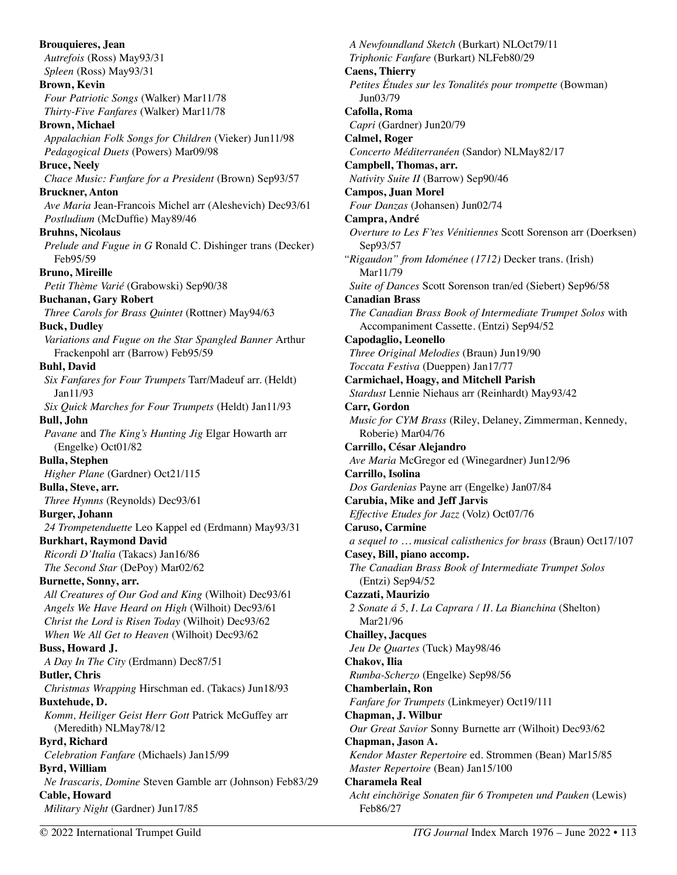**Brouquieres, Jean**  *Autrefois* (Ross) May93/31 *Spleen* (Ross) May93/31 **Brown, Kevin**  *Four Patriotic Songs* (Walker) Mar11/78 *Thirty-Five Fanfares* (Walker) Mar11/78 **Brown, Michael**  *Appalachian Folk Songs for Children* (Vieker) Jun11/98 *Pedagogical Duets* (Powers) Mar09/98 **Bruce, Neely**  *Chace Music: Funfare for a President* (Brown) Sep93/57 **Bruckner, Anton**  *Ave Maria* Jean-Francois Michel arr (Aleshevich) Dec93/61 *Postludium* (McDuffie) May89/46 **Bruhns, Nicolaus**  *Prelude and Fugue in G* Ronald C. Dishinger trans (Decker) Feb95/59 **Bruno, Mireille**  *Petit Thème Varié* (Grabowski) Sep90/38 **Buchanan, Gary Robert**  *Three Carols for Brass Quintet* (Rottner) May94/63 **Buck, Dudley**  *Variations and Fugue on the Star Spangled Banner* Arthur Frackenpohl arr (Barrow) Feb95/59 **Buhl, David**  *Six Fanfares for Four Trumpets* Tarr/Madeuf arr. (Heldt) Jan11/93 *Six Quick Marches for Four Trumpets* (Heldt) Jan11/93 **Bull, John**  *Pavane* and *The King's Hunting Jig* Elgar Howarth arr (Engelke) Oct01/82 **Bulla, Stephen**  *Higher Plane* (Gardner) Oct21/115 **Bulla, Steve, arr.**  *Three Hymns* (Reynolds) Dec93/61 **Burger, Johann**  *24 Trompetenduette* Leo Kappel ed (Erdmann) May93/31 **Burkhart, Raymond David**  *Ricordi D'Italia* (Takacs) Jan16/86 *The Second Star* (DePoy) Mar02/62 **Burnette, Sonny, arr.**  *All Creatures of Our God and King* (Wilhoit) Dec93/61 *Angels We Have Heard on High* (Wilhoit) Dec93/61 *Christ the Lord is Risen Today* (Wilhoit) Dec93/62 *When We All Get to Heaven* (Wilhoit) Dec93/62 **Buss, Howard J.**  *A Day In The City* (Erdmann) Dec87/51 **Butler, Chris**  *Christmas Wrapping* Hirschman ed. (Takacs) Jun18/93 **Buxtehude, D.**  *Komm, Heiliger Geist Herr Gott* Patrick McGuffey arr (Meredith) NLMay78/12 **Byrd, Richard**  *Celebration Fanfare* (Michaels) Jan15/99 **Byrd, William**  *Ne Irascaris, Domine* Steven Gamble arr (Johnson) Feb83/29 **Cable, Howard**  *Military Night* (Gardner) Jun17/85

*A Newfoundland Sketch* (Burkart) NLOct79/11 *Triphonic Fanfare* (Burkart) NLFeb80/29 **Caens, Thierry**  *Petites Études sur les Tonalités pour trompette* (Bowman) Jun03/79 **Cafolla, Roma**  *Capri* (Gardner) Jun20/79 **Calmel, Roger**  *Concerto Méditerranéen* (Sandor) NLMay82/17 **Campbell, Thomas, arr.**  *Nativity Suite II* (Barrow) Sep90/46 **Campos, Juan Morel**  *Four Danzas* (Johansen) Jun02/74 **Campra, André**  *Overture to Les F'tes Vénitiennes* Scott Sorenson arr (Doerksen) Sep93/57 *"Rigaudon" from Idoménee (1712)* Decker trans. (Irish) Mar11/79 *Suite of Dances* Scott Sorenson tran/ed (Siebert) Sep96/58 **Canadian Brass**  *The Canadian Brass Book of Intermediate Trumpet Solos* with Accompaniment Cassette. (Entzi) Sep94/52 **Capodaglio, Leonello**  *Three Original Melodies* (Braun) Jun19/90 *Toccata Festiva* (Dueppen) Jan17/77 **Carmichael, Hoagy, and Mitchell Parish**  *Stardust* Lennie Niehaus arr (Reinhardt) May93/42 **Carr, Gordon**  *Music for CYM Brass* (Riley, Delaney, Zimmerman, Kennedy, Roberie) Mar04/76 **Carrillo, César Alejandro**  *Ave Maria* McGregor ed (Winegardner) Jun12/96 **Carrillo, Isolina**  *Dos Gardenias* Payne arr (Engelke) Jan07/84 **Carubia, Mike and Jeff Jarvis**  *Effective Etudes for Jazz* (Volz) Oct07/76 **Caruso, Carmine**  *a sequel to … musical calisthenics for brass* (Braun) Oct17/107 **Casey, Bill, piano accomp.**  *The Canadian Brass Book of Intermediate Trumpet Solos*  (Entzi) Sep94/52 **Cazzati, Maurizio**  *2 Sonate á 5, I. La Caprara / II. La Bianchina* (Shelton) Mar21/96 **Chailley, Jacques**  *Jeu De Quartes* (Tuck) May98/46 **Chakov, Ilia**  *Rumba-Scherzo* (Engelke) Sep98/56 **Chamberlain, Ron**  *Fanfare for Trumpets* (Linkmeyer) Oct19/111 **Chapman, J. Wilbur**  *Our Great Savior* Sonny Burnette arr (Wilhoit) Dec93/62 **Chapman, Jason A.**  *Kendor Master Repertoire* ed. Strommen (Bean) Mar15/85 *Master Repertoire* (Bean) Jan15/100 **Charamela Real**  *Acht einchörige Sonaten für 6 Trompeten und Pauken* (Lewis) Feb86/27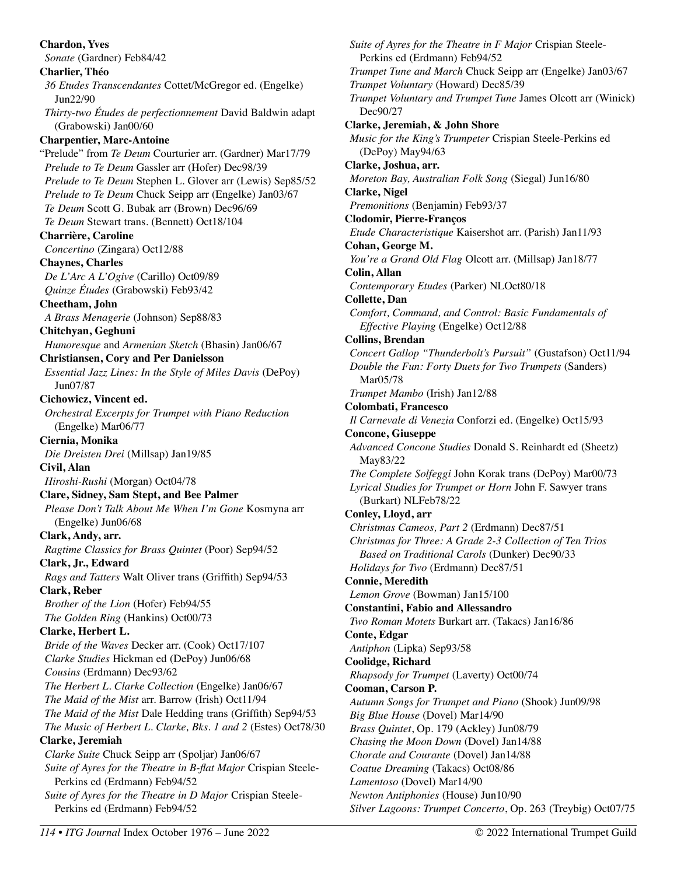**Chardon, Yves**  *Sonate* (Gardner) Feb84/42 **Charlier, Théo**  *36 Etudes Transcendantes* Cottet/McGregor ed. (Engelke) Jun22/90 *Thirty-two Études de perfectionnement* David Baldwin adapt (Grabowski) Jan00/60 **Charpentier, Marc-Antoine**  "Prelude" from *Te Deum* Courturier arr. (Gardner) Mar17/79 *Prelude to Te Deum* Gassler arr (Hofer) Dec98/39 *Prelude to Te Deum* Stephen L. Glover arr (Lewis) Sep85/52 *Prelude to Te Deum* Chuck Seipp arr (Engelke) Jan03/67 *Te Deum* Scott G. Bubak arr (Brown) Dec96/69 *Te Deum* Stewart trans. (Bennett) Oct18/104 **Charrière, Caroline**  *Concertino* (Zingara) Oct12/88 **Chaynes, Charles**  *De L'Arc A L'Ogive* (Carillo) Oct09/89 *Quinze Études* (Grabowski) Feb93/42 **Cheetham, John**  *A Brass Menagerie* (Johnson) Sep88/83 **Chitchyan, Geghuni**  *Humoresque* and *Armenian Sketch* (Bhasin) Jan06/67 **Christiansen, Cory and Per Danielsson**  *Essential Jazz Lines: In the Style of Miles Davis* (DePoy) Jun07/87 **Cichowicz, Vincent ed.**  *Orchestral Excerpts for Trumpet with Piano Reduction*  (Engelke) Mar06/77 **Ciernia, Monika**  *Die Dreisten Drei* (Millsap) Jan19/85 **Civil, Alan**  *Hiroshi-Rushi* (Morgan) Oct04/78 **Clare, Sidney, Sam Stept, and Bee Palmer**  *Please Don't Talk About Me When I'm Gone* Kosmyna arr (Engelke) Jun06/68 **Clark, Andy, arr.**  *Ragtime Classics for Brass Quintet* (Poor) Sep94/52 **Clark, Jr., Edward**  *Rags and Tatters* Walt Oliver trans (Griffith) Sep94/53 **Clark, Reber**  *Brother of the Lion* (Hofer) Feb94/55 *The Golden Ring* (Hankins) Oct00/73 **Clarke, Herbert L.**  *Bride of the Waves* Decker arr. (Cook) Oct17/107 *Clarke Studies* Hickman ed (DePoy) Jun06/68 *Cousins* (Erdmann) Dec93/62 *The Herbert L. Clarke Collection* (Engelke) Jan06/67 *The Maid of the Mist* arr. Barrow (Irish) Oct11/94 *The Maid of the Mist* Dale Hedding trans (Griffith) Sep94/53 *The Music of Herbert L. Clarke, Bks. 1 and 2* (Estes) Oct78/30 **Clarke, Jeremiah**  *Clarke Suite* Chuck Seipp arr (Spoljar) Jan06/67 *Suite of Ayres for the Theatre in B-flat Major* Crispian Steele-Perkins ed (Erdmann) Feb94/52 *Suite of Ayres for the Theatre in D Major* Crispian Steele-Perkins ed (Erdmann) Feb94/52

*Suite of Ayres for the Theatre in F Major* Crispian Steele-Perkins ed (Erdmann) Feb94/52 *Trumpet Tune and March* Chuck Seipp arr (Engelke) Jan03/67 *Trumpet Voluntary* (Howard) Dec85/39 *Trumpet Voluntary and Trumpet Tune* James Olcott arr (Winick) Dec90/27 **Clarke, Jeremiah, & John Shore**  *Music for the King's Trumpeter* Crispian Steele-Perkins ed (DePoy) May94/63 **Clarke, Joshua, arr.**  *Moreton Bay, Australian Folk Song* (Siegal) Jun16/80 **Clarke, Nigel**  *Premonitions* (Benjamin) Feb93/37 **Clodomir, Pierre-Franços**  *Etude Characteristique* Kaisershot arr. (Parish) Jan11/93 **Cohan, George M.**  *You're a Grand Old Flag* Olcott arr. (Millsap) Jan18/77 **Colin, Allan**  *Contemporary Etudes* (Parker) NLOct80/18 **Collette, Dan**  *Comfort, Command, and Control: Basic Fundamentals of Effective Playing* (Engelke) Oct12/88 **Collins, Brendan**  *Concert Gallop "Thunderbolt's Pursuit"* (Gustafson) Oct11/94 *Double the Fun: Forty Duets for Two Trumpets* (Sanders) Mar05/78 *Trumpet Mambo* (Irish) Jan12/88 **Colombati, Francesco**  *Il Carnevale di Venezia* Conforzi ed. (Engelke) Oct15/93 **Concone, Giuseppe**  *Advanced Concone Studies* Donald S. Reinhardt ed (Sheetz) May83/22 *The Complete Solfeggi* John Korak trans (DePoy) Mar00/73 *Lyrical Studies for Trumpet or Horn* John F. Sawyer trans (Burkart) NLFeb78/22 **Conley, Lloyd, arr**  *Christmas Cameos, Part 2* (Erdmann) Dec87/51 *Christmas for Three: A Grade 2-3 Collection of Ten Trios Based on Traditional Carols* (Dunker) Dec90/33 *Holidays for Two* (Erdmann) Dec87/51 **Connie, Meredith**  *Lemon Grove* (Bowman) Jan15/100 **Constantini, Fabio and Allessandro**  *Two Roman Motets* Burkart arr. (Takacs) Jan16/86 **Conte, Edgar**  *Antiphon* (Lipka) Sep93/58 **Coolidge, Richard**  *Rhapsody for Trumpet* (Laverty) Oct00/74 **Cooman, Carson P.**  *Autumn Songs for Trumpet and Piano* (Shook) Jun09/98 *Big Blue House* (Dovel) Mar14/90 *Brass Quintet*, Op. 179 (Ackley) Jun08/79 *Chasing the Moon Down* (Dovel) Jan14/88 *Chorale and Courante* (Dovel) Jan14/88 *Coatue Dreaming* (Takacs) Oct08/86 *Lamentoso* (Dovel) Mar14/90 *Newton Antiphonies* (House) Jun10/90 *Silver Lagoons: Trumpet Concerto*, Op. 263 (Treybig) Oct07/75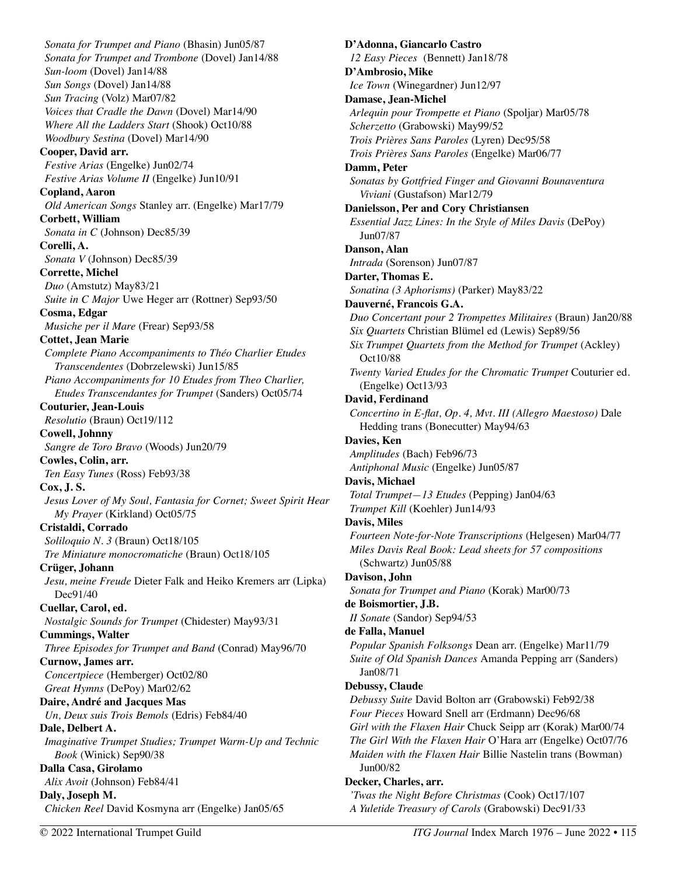*Sonata for Trumpet and Piano* (Bhasin) Jun05/87 *Sonata for Trumpet and Trombone* (Dovel) Jan14/88 *Sun-loom* (Dovel) Jan14/88 *Sun Songs* (Dovel) Jan14/88 *Sun Tracing* (Volz) Mar07/82 *Voices that Cradle the Dawn* (Dovel) Mar14/90 *Where All the Ladders Start* (Shook) Oct10/88 *Woodbury Sestina* (Dovel) Mar14/90 **Cooper, David arr.**  *Festive Arias* (Engelke) Jun02/74 *Festive Arias Volume II* (Engelke) Jun10/91 **Copland, Aaron**  *Old American Songs* Stanley arr. (Engelke) Mar17/79 **Corbett, William**  *Sonata in C* (Johnson) Dec85/39 **Corelli, A.**  *Sonata V* (Johnson) Dec85/39 **Corrette, Michel**  *Duo* (Amstutz) May83/21 *Suite in C Major* Uwe Heger arr (Rottner) Sep93/50 **Cosma, Edgar**  *Musiche per il Mare* (Frear) Sep93/58 **Cottet, Jean Marie**  *Complete Piano Accompaniments to Théo Charlier Etudes Transcendentes* (Dobrzelewski) Jun15/85 *Piano Accompaniments for 10 Etudes from Theo Charlier, Etudes Transcendantes for Trumpet* (Sanders) Oct05/74 **Couturier, Jean-Louis**  *Resolutio* (Braun) Oct19/112 **Cowell, Johnny**  *Sangre de Toro Bravo* (Woods) Jun20/79 **Cowles, Colin, arr.**  *Ten Easy Tunes* (Ross) Feb93/38 **Cox, J. S.**  *Jesus Lover of My Soul, Fantasia for Cornet; Sweet Spirit Hear My Prayer* (Kirkland) Oct05/75 **Cristaldi, Corrado**  *Soliloquio N. 3* (Braun) Oct18/105 *Tre Miniature monocromatiche* (Braun) Oct18/105 **Crüger, Johann**  *Jesu, meine Freude* Dieter Falk and Heiko Kremers arr (Lipka) Dec91/40 **Cuellar, Carol, ed.**  *Nostalgic Sounds for Trumpet* (Chidester) May93/31 **Cummings, Walter**  *Three Episodes for Trumpet and Band* (Conrad) May96/70 **Curnow, James arr.**  *Concertpiece* (Hemberger) Oct02/80 *Great Hymns* (DePoy) Mar02/62 **Daire, André and Jacques Mas**  *Un, Deux suis Trois Bemols* (Edris) Feb84/40 **Dale, Delbert A.**  *Imaginative Trumpet Studies; Trumpet Warm-Up and Technic Book* (Winick) Sep90/38 **Dalla Casa, Girolamo**  *Alix Avoit* (Johnson) Feb84/41 **Daly, Joseph M.**  *Chicken Reel* David Kosmyna arr (Engelke) Jan05/65

**D'Adonna, Giancarlo Castro**  *12 Easy Pieces* (Bennett) Jan18/78 **D'Ambrosio, Mike**  *Ice Town* (Winegardner) Jun12/97 **Damase, Jean-Michel**  *Arlequin pour Trompette et Piano* (Spoljar) Mar05/78 *Scherzetto* (Grabowski) May99/52 *Trois Prières Sans Paroles* (Lyren) Dec95/58 *Trois Prières Sans Paroles* (Engelke) Mar06/77 **Damm, Peter**  *Sonatas by Gottfried Finger and Giovanni Bounaventura Viviani* (Gustafson) Mar12/79 **Danielsson, Per and Cory Christiansen**  *Essential Jazz Lines: In the Style of Miles Davis* (DePoy) Jun07/87 **Danson, Alan**  *Intrada* (Sorenson) Jun07/87 **Darter, Thomas E.**  *Sonatina (3 Aphorisms)* (Parker) May83/22 **Dauverné, Francois G.A.**  *Duo Concertant pour 2 Trompettes Militaires* (Braun) Jan20/88 *Six Quartets* Christian Blümel ed (Lewis) Sep89/56 *Six Trumpet Quartets from the Method for Trumpet* (Ackley) Oct10/88 *Twenty Varied Etudes for the Chromatic Trumpet* Couturier ed. (Engelke) Oct13/93 **David, Ferdinand**  *Concertino in E-flat, Op. 4, Mvt. III (Allegro Maestoso)* Dale Hedding trans (Bonecutter) May94/63 **Davies, Ken**  *Amplitudes* (Bach) Feb96/73 *Antiphonal Music* (Engelke) Jun05/87 **Davis, Michael**  *Total Trumpet—13 Etudes* (Pepping) Jan04/63 *Trumpet Kill* (Koehler) Jun14/93 **Davis, Miles**  *Fourteen Note-for-Note Transcriptions* (Helgesen) Mar04/77 *Miles Davis Real Book: Lead sheets for 57 compositions* (Schwartz) Jun05/88 **Davison, John**  *Sonata for Trumpet and Piano* (Korak) Mar00/73 **de Boismortier, J.B.**  *II Sonate* (Sandor) Sep94/53 **de Falla, Manuel**  *Popular Spanish Folksongs* Dean arr. (Engelke) Mar11/79 *Suite of Old Spanish Dances* Amanda Pepping arr (Sanders) Jan08/71 **Debussy, Claude**  *Debussy Suite* David Bolton arr (Grabowski) Feb92/38 *Four Pieces* Howard Snell arr (Erdmann) Dec96/68 *Girl with the Flaxen Hair* Chuck Seipp arr (Korak) Mar00/74 *The Girl With the Flaxen Hair* O'Hara arr (Engelke) Oct07/76 *Maiden with the Flaxen Hair* Billie Nastelin trans (Bowman) Jun00/82 **Decker, Charles, arr.**  *'Twas the Night Before Christmas* (Cook) Oct17/107

*A Yuletide Treasury of Carols* (Grabowski) Dec91/33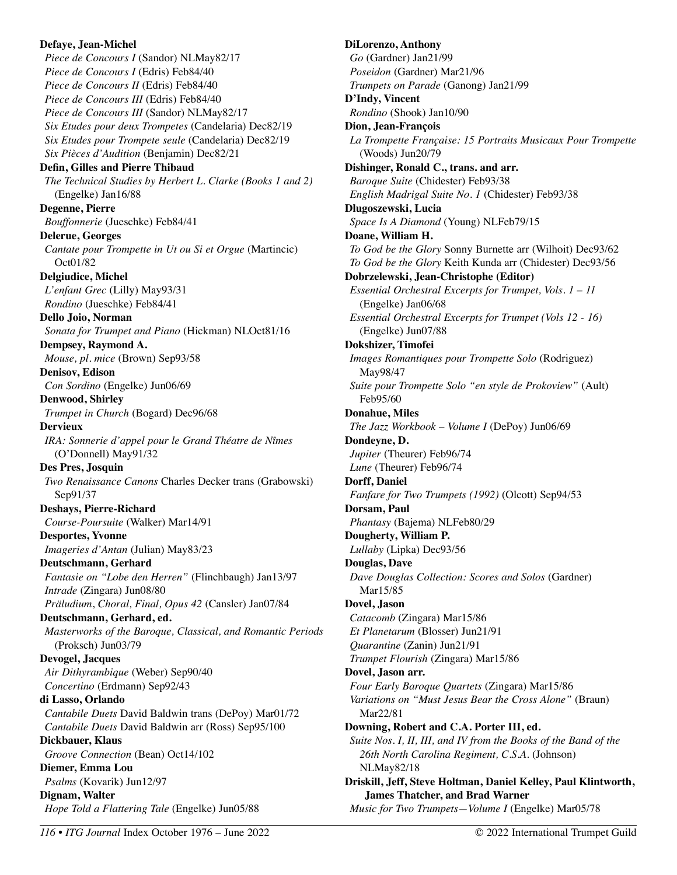**Defaye, Jean-Michel**  *Piece de Concours I* (Sandor) NLMay82/17 *Piece de Concours I* (Edris) Feb84/40 *Piece de Concours II* (Edris) Feb84/40 *Piece de Concours III* (Edris) Feb84/40 *Piece de Concours III* (Sandor) NLMay82/17 *Six Etudes pour deux Trompetes* (Candelaria) Dec82/19 *Six Etudes pour Trompete seule* (Candelaria) Dec82/19 *Six Pièces d'Audition* (Benjamin) Dec82/21 **Defin, Gilles and Pierre Thibaud**  *The Technical Studies by Herbert L. Clarke (Books 1 and 2)*  (Engelke) Jan16/88 **Degenne, Pierre**  *Bouffonnerie* (Jueschke) Feb84/41 **Delerue, Georges**  *Cantate pour Trompette in Ut ou Si et Orgue* (Martincic) Oct01/82 **Delgiudice, Michel**  *L'enfant Grec* (Lilly) May93/31 *Rondino* (Jueschke) Feb84/41 **Dello Joio, Norman**  *Sonata for Trumpet and Piano* (Hickman) NLOct81/16 **Dempsey, Raymond A.**  *Mouse, pl. mice* (Brown) Sep93/58 **Denisov, Edison**  *Con Sordino* (Engelke) Jun06/69 **Denwood, Shirley**  *Trumpet in Church* (Bogard) Dec96/68 **Dervieux**  *IRA: Sonnerie d'appel pour le Grand Théatre de Nîmes*  (O'Donnell) May91/32 **Des Pres, Josquin**  *Two Renaissance Canons* Charles Decker trans (Grabowski) Sep91/37 **Deshays, Pierre-Richard**  *Course-Poursuite* (Walker) Mar14/91 **Desportes, Yvonne**  *Imageries d'Antan* (Julian) May83/23 **Deutschmann, Gerhard**  *Fantasie on "Lobe den Herren"* (Flinchbaugh) Jan13/97 *Intrade* (Zingara) Jun08/80 *Präludium*, *Choral, Final, Opus 42* (Cansler) Jan07/84 **Deutschmann, Gerhard, ed.**  *Masterworks of the Baroque, Classical, and Romantic Periods*  (Proksch) Jun03/79 **Devogel, Jacques**  *Air Dithyrambique* (Weber) Sep90/40 *Concertino* (Erdmann) Sep92/43 **di Lasso, Orlando**  *Cantabile Duets* David Baldwin trans (DePoy) Mar01/72 *Cantabile Duets* David Baldwin arr (Ross) Sep95/100 **Dickbauer, Klaus**  *Groove Connection* (Bean) Oct14/102 **Diemer, Emma Lou**  *Psalms* (Kovarik) Jun12/97 **Dignam, Walter**  *Hope Told a Flattering Tale* (Engelke) Jun05/88

**DiLorenzo, Anthony**  *Go* (Gardner) Jan21/99 *Poseidon* (Gardner) Mar21/96 *Trumpets on Parade* (Ganong) Jan21/99 **D'Indy, Vincent**  *Rondino* (Shook) Jan10/90 **Dion, Jean-François**  *La Trompette Française: 15 Portraits Musicaux Pour Trompette*  (Woods) Jun20/79 **Dishinger, Ronald C., trans. and arr.**  *Baroque Suite* (Chidester) Feb93/38 *English Madrigal Suite No. 1* (Chidester) Feb93/38 **Dlugoszewski, Lucia**  *Space Is A Diamond* (Young) NLFeb79/15 **Doane, William H.**  *To God be the Glory* Sonny Burnette arr (Wilhoit) Dec93/62 *To God be the Glory* Keith Kunda arr (Chidester) Dec93/56 **Dobrzelewski, Jean-Christophe (Editor)**  *Essential Orchestral Excerpts for Trumpet, Vols. 1 – 11*  (Engelke) Jan06/68 *Essential Orchestral Excerpts for Trumpet (Vols 12 - 16)* (Engelke) Jun07/88 **Dokshizer, Timofei**  *Images Romantiques pour Trompette Solo* (Rodriguez) May98/47 *Suite pour Trompette Solo "en style de Prokoview"* (Ault) Feb95/60 **Donahue, Miles**  *The Jazz Workbook – Volume I* (DePoy) Jun06/69 **Dondeyne, D.**  *Jupiter* (Theurer) Feb96/74 *Lune* (Theurer) Feb96/74 **Dorff, Daniel**  *Fanfare for Two Trumpets (1992)* (Olcott) Sep94/53 **Dorsam, Paul**  *Phantasy* (Bajema) NLFeb80/29 **Dougherty, William P.**  *Lullaby* (Lipka) Dec93/56 **Douglas, Dave**  *Dave Douglas Collection: Scores and Solos* (Gardner) Mar15/85 **Dovel, Jason**  *Catacomb* (Zingara) Mar15/86 *Et Planetarum* (Blosser) Jun21/91 *Quarantine* (Zanin) Jun21/91 *Trumpet Flourish* (Zingara) Mar15/86 **Dovel, Jason arr.**  *Four Early Baroque Quartets* (Zingara) Mar15/86 *Variations on "Must Jesus Bear the Cross Alone"* (Braun) Mar22/81 **Downing, Robert and C.A. Porter III, ed.**  *Suite Nos. I, II, III, and IV from the Books of the Band of the 26th North Carolina Regiment, C.S.A.* (Johnson) NLMay82/18 **Driskill, Jeff, Steve Holtman, Daniel Kelley, Paul Klintworth, James Thatcher, and Brad Warner** 

*Music for Two Trumpets—Volume I* (Engelke) Mar05/78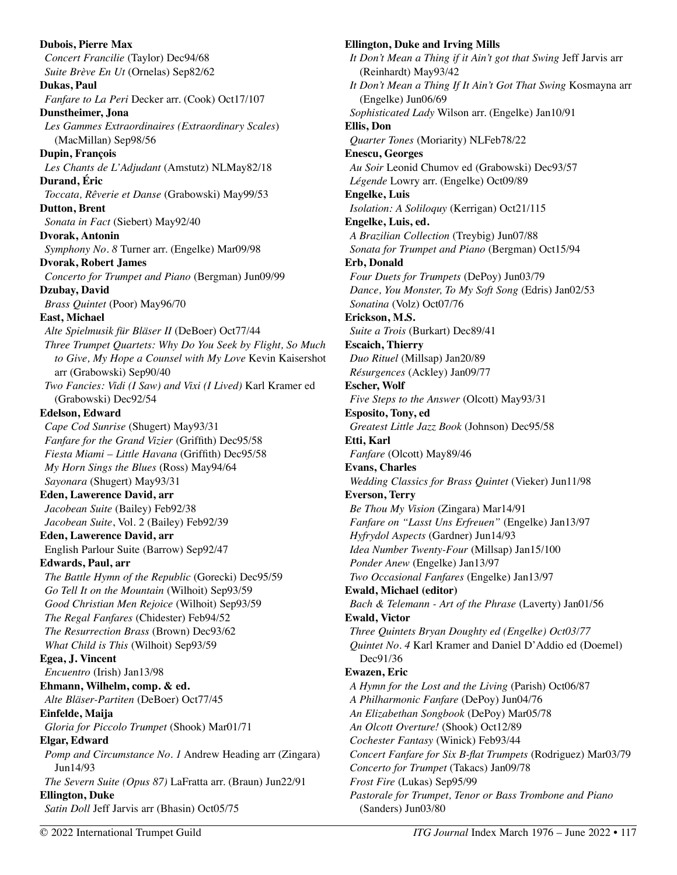**Dubois, Pierre Max**  *Concert Francilie* (Taylor) Dec94/68 *Suite Brève En Ut* (Ornelas) Sep82/62 **Dukas, Paul**  *Fanfare to La Peri* Decker arr. (Cook) Oct17/107 **Dunstheimer, Jona**  *Les Gammes Extraordinaires (Extraordinary Scales*) (MacMillan) Sep98/56 **Dupin, François**  *Les Chants de L'Adjudant* (Amstutz) NLMay82/18 **Durand, Éric**  *Toccata, Rêverie et Danse* (Grabowski) May99/53 **Dutton, Brent**  *Sonata in Fact* (Siebert) May92/40 **Dvorak, Antonin**  *Symphony No. 8* Turner arr. (Engelke) Mar09/98 **Dvorak, Robert James**  *Concerto for Trumpet and Piano* (Bergman) Jun09/99 **Dzubay, David**  *Brass Quintet* (Poor) May96/70 **East, Michael**  *Alte Spielmusik für Bläser II* (DeBoer) Oct77/44 *Three Trumpet Quartets: Why Do You Seek by Flight, So Much to Give, My Hope a Counsel with My Love* Kevin Kaisershot arr (Grabowski) Sep90/40 *Two Fancies: Vidi (I Saw) and Vixi (I Lived)* Karl Kramer ed (Grabowski) Dec92/54 **Edelson, Edward**  *Cape Cod Sunrise* (Shugert) May93/31 *Fanfare for the Grand Vizier* (Griffith) Dec95/58 *Fiesta Miami – Little Havana* (Griffith) Dec95/58 *My Horn Sings the Blues* (Ross) May94/64 *Sayonara* (Shugert) May93/31 **Eden, Lawerence David, arr**  *Jacobean Suite* (Bailey) Feb92/38 *Jacobean Suite*, Vol. 2 (Bailey) Feb92/39 **Eden, Lawerence David, arr**  English Parlour Suite (Barrow) Sep92/47 **Edwards, Paul, arr**  *The Battle Hymn of the Republic* (Gorecki) Dec95/59 *Go Tell It on the Mountain* (Wilhoit) Sep93/59 *Good Christian Men Rejoice* (Wilhoit) Sep93/59 *The Regal Fanfares* (Chidester) Feb94/52 *The Resurrection Brass* (Brown) Dec93/62 *What Child is This* (Wilhoit) Sep93/59 **Egea, J. Vincent**  *Encuentro* (Irish) Jan13/98 **Ehmann, Wilhelm, comp. & ed.**  *Alte Bläser-Partiten* (DeBoer) Oct77/45 **Einfelde, Maija**  *Gloria for Piccolo Trumpet* (Shook) Mar01/71 **Elgar, Edward**  *Pomp and Circumstance No. 1* Andrew Heading arr (Zingara) Jun14/93 *The Severn Suite (Opus 87)* LaFratta arr. (Braun) Jun22/91 **Ellington, Duke**  *Satin Doll* Jeff Jarvis arr (Bhasin) Oct05/75

**Ellington, Duke and Irving Mills**  *It Don't Mean a Thing if it Ain't got that Swing* Jeff Jarvis arr (Reinhardt) May93/42 *It Don't Mean a Thing If It Ain't Got That Swing* Kosmayna arr (Engelke) Jun06/69 *Sophisticated Lady* Wilson arr. (Engelke) Jan10/91 **Ellis, Don**  *Quarter Tones* (Moriarity) NLFeb78/22 **Enescu, Georges**  *Au Soir* Leonid Chumov ed (Grabowski) Dec93/57 *Légende* Lowry arr. (Engelke) Oct09/89 **Engelke, Luis**  *Isolation: A Soliloquy* (Kerrigan) Oct21/115 **Engelke, Luis, ed.**  *A Brazilian Collection* (Treybig) Jun07/88 *Sonata for Trumpet and Piano* (Bergman) Oct15/94 **Erb, Donald**  *Four Duets for Trumpets* (DePoy) Jun03/79 *Dance, You Monster, To My Soft Song* (Edris) Jan02/53 *Sonatina* (Volz) Oct07/76 **Erickson, M.S.**  *Suite a Trois* (Burkart) Dec89/41 **Escaich, Thierry**  *Duo Rituel* (Millsap) Jan20/89 *Résurgences* (Ackley) Jan09/77 **Escher, Wolf**  *Five Steps to the Answer* (Olcott) May93/31 **Esposito, Tony, ed**  *Greatest Little Jazz Book* (Johnson) Dec95/58 **Etti, Karl**  *Fanfare* (Olcott) May89/46 **Evans, Charles**  *Wedding Classics for Brass Quintet* (Vieker) Jun11/98 **Everson, Terry**  *Be Thou My Vision* (Zingara) Mar14/91 *Fanfare on "Lasst Uns Erfreuen"* (Engelke) Jan13/97 *Hyfrydol Aspects* (Gardner) Jun14/93 *Idea Number Twenty-Four* (Millsap) Jan15/100 *Ponder Anew* (Engelke) Jan13/97 *Two Occasional Fanfares* (Engelke) Jan13/97 **Ewald, Michael (editor)**  *Bach & Telemann - Art of the Phrase* (Laverty) Jan01/56 **Ewald, Victor**  *Three Quintets Bryan Doughty ed (Engelke) Oct03/77 Quintet No. 4* Karl Kramer and Daniel D'Addio ed (Doemel) Dec91/36 **Ewazen, Eric**  *A Hymn for the Lost and the Living* (Parish) Oct06/87 *A Philharmonic Fanfare* (DePoy) Jun04/76 *An Elizabethan Songbook* (DePoy) Mar05/78 *An Olcott Overture!* (Shook) Oct12/89 *Cochester Fantasy* (Winick) Feb93/44 *Concert Fanfare for Six B-flat Trumpets* (Rodriguez) Mar03/79 *Concerto for Trumpet* (Takacs) Jan09/78 *Frost Fire* (Lukas) Sep95/99 *Pastorale for Trumpet, Tenor or Bass Trombone and Piano*  (Sanders) Jun03/80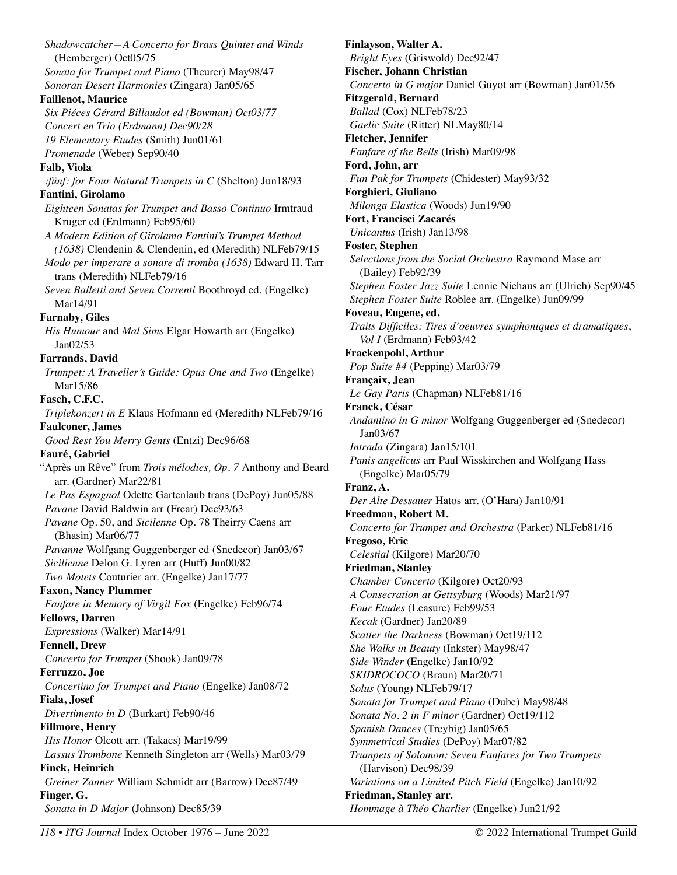*Shadowcatcher—A Concerto for Brass Quintet and Winds* (Hemberger) Oct05/75 *Sonata for Trumpet and Piano* (Theurer) May98/47 *Sonoran Desert Harmonies* (Zingara) Jan05/65 **Faillenot, Maurice**  *Six Piéces Gérard Billaudot ed (Bowman) Oct03/77 Concert en Trio (Erdmann) Dec90/28 19 Elementary Etudes* (Smith) Jun01/61 *Promenade* (Weber) Sep90/40 **Falb, Viola**  *:fünf: for Four Natural Trumpets in C* (Shelton) Jun18/93 **Fantini, Girolamo**  *Eighteen Sonatas for Trumpet and Basso Continuo* Irmtraud Kruger ed (Erdmann) Feb95/60 *A Modern Edition of Girolamo Fantini's Trumpet Method (1638)* Clendenin & Clendenin, ed (Meredith) NLFeb79/15 *Modo per imperare a sonare di tromba (1638)* Edward H. Tarr trans (Meredith) NLFeb79/16 *Seven Balletti and Seven Correnti* Boothroyd ed. (Engelke) Mar14/91 **Farnaby, Giles**  *His Humour* and *Mal Sims* Elgar Howarth arr (Engelke) Jan02/53 **Farrands, David**  *Trumpet: A Traveller's Guide: Opus One and Two* (Engelke) Mar15/86 **Fasch, C.F.C.**  *Triplekonzert in E* Klaus Hofmann ed (Meredith) NLFeb79/16 **Faulconer, James**  *Good Rest You Merry Gents* (Entzi) Dec96/68 **Fauré, Gabriel**  "Après un Rêve" from *Trois mélodies, Op. 7* Anthony and Beard arr. (Gardner) Mar22/81 *Le Pas Espagnol* Odette Gartenlaub trans (DePoy) Jun05/88 *Pavane* David Baldwin arr (Frear) Dec93/63 *Pavane* Op. 50, and *Sicilenne* Op. 78 Theirry Caens arr (Bhasin) Mar06/77 *Pavanne* Wolfgang Guggenberger ed (Snedecor) Jan03/67 *Sicilienne* Delon G. Lyren arr (Huff) Jun00/82 *Two Motets* Couturier arr. (Engelke) Jan17/77 **Faxon, Nancy Plummer**  *Fanfare in Memory of Virgil Fox* (Engelke) Feb96/74 **Fellows, Darren**  *Expressions* (Walker) Mar14/91 **Fennell, Drew**  *Concerto for Trumpet* (Shook) Jan09/78 **Ferruzzo, Joe**  *Concertino for Trumpet and Piano* (Engelke) Jan08/72 **Fiala, Josef**  *Divertimento in D* (Burkart) Feb90/46 **Fillmore, Henry**  *His Honor* Olcott arr. (Takacs) Mar19/99 *Lassus Trombone* Kenneth Singleton arr (Wells) Mar03/79 **Finck, Heinrich**  *Greiner Zanner* William Schmidt arr (Barrow) Dec87/49 **Finger, G.**  *Sonata in D Major* (Johnson) Dec85/39

**Finlayson, Walter A.**  *Bright Eyes* (Griswold) Dec92/47 **Fischer, Johann Christian**  *Concerto in G major* Daniel Guyot arr (Bowman) Jan01/56 **Fitzgerald, Bernard**  *Ballad* (Cox) NLFeb78/23 *Gaelic Suite* (Ritter) NLMay80/14 **Fletcher, Jennifer**  *Fanfare of the Bells* (Irish) Mar09/98 **Ford, John, arr**  *Fun Pak for Trumpets* (Chidester) May93/32 **Forghieri, Giuliano**  *Milonga Elastica* (Woods) Jun19/90 **Fort, Francisci Zacarés**  *Unicantus* (Irish) Jan13/98 **Foster, Stephen**  *Selections from the Social Orchestra* Raymond Mase arr (Bailey) Feb92/39 *Stephen Foster Jazz Suite* Lennie Niehaus arr (Ulrich) Sep90/45 *Stephen Foster Suite* Roblee arr. (Engelke) Jun09/99 **Foveau, Eugene, ed.**  *Traits Difficiles: Tires d'oeuvres symphoniques et dramatiques*, *Vol I* (Erdmann) Feb93/42 **Frackenpohl, Arthur**  *Pop Suite #4* (Pepping) Mar03/79 **Françaix, Jean**  *Le Gay Paris* (Chapman) NLFeb81/16 **Franck, César**  *Andantino in G minor* Wolfgang Guggenberger ed (Snedecor) Jan03/67 *Intrada* (Zingara) Jan15/101 *Panis angelicus* arr Paul Wisskirchen and Wolfgang Hass (Engelke) Mar05/79 **Franz, A.**  *Der Alte Dessauer* Hatos arr. (O'Hara) Jan10/91 **Freedman, Robert M.**  *Concerto for Trumpet and Orchestra* (Parker) NLFeb81/16 **Fregoso, Eric**  *Celestial* (Kilgore) Mar20/70 **Friedman, Stanley**  *Chamber Concerto* (Kilgore) Oct20/93 *A Consecration at Gettsyburg* (Woods) Mar21/97 *Four Etudes* (Leasure) Feb99/53 *Kecak* (Gardner) Jan20/89 *Scatter the Darkness* (Bowman) Oct19/112 *She Walks in Beauty* (Inkster) May98/47 *Side Winder* (Engelke) Jan10/92 *SKIDROCOCO* (Braun) Mar20/71 *Solus* (Young) NLFeb79/17 *Sonata for Trumpet and Piano* (Dube) May98/48 *Sonata No. 2 in F minor* (Gardner) Oct19/112 *Spanish Dances* (Treybig) Jan05/65 *Symmetrical Studies* (DePoy) Mar07/82 *Trumpets of Solomon: Seven Fanfares for Two Trumpets*  (Harvison) Dec98/39 *Variations on a Limited Pitch Field* (Engelke) Jan10/92 **Friedman, Stanley arr.**  *Hommage à Théo Charlier* (Engelke) Jun21/92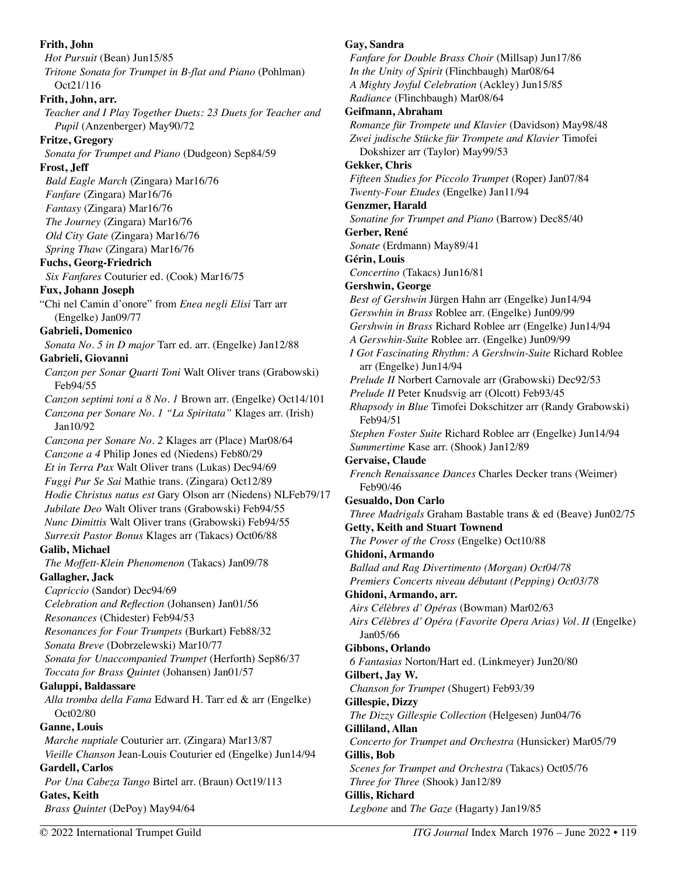**Frith, John**  *Hot Pursuit* (Bean) Jun15/85 *Tritone Sonata for Trumpet in B-flat and Piano* (Pohlman) Oct21/116 **Frith, John, arr.**  *Teacher and I Play Together Duets: 23 Duets for Teacher and Pupil* (Anzenberger) May90/72 **Fritze, Gregory**  *Sonata for Trumpet and Piano* (Dudgeon) Sep84/59 **Frost, Jeff**  *Bald Eagle March* (Zingara) Mar16/76 *Fanfare* (Zingara) Mar16/76 *Fantasy* (Zingara) Mar16/76 *The Journey* (Zingara) Mar16/76 *Old City Gate* (Zingara) Mar16/76 *Spring Thaw* (Zingara) Mar16/76 **Fuchs, Georg-Friedrich**  *Six Fanfares* Couturier ed. (Cook) Mar16/75 **Fux, Johann Joseph**  "Chi nel Camin d'onore" from *Enea negli Elisi* Tarr arr (Engelke) Jan09/77 **Gabrieli, Domenico**  *Sonata No. 5 in D major* Tarr ed. arr. (Engelke) Jan12/88 **Gabrieli, Giovanni**  *Canzon per Sonar Quarti Toni* Walt Oliver trans (Grabowski) Feb94/55 *Canzon septimi toni a 8 No. 1* Brown arr. (Engelke) Oct14/101 *Canzona per Sonare No. 1 "La Spiritata"* Klages arr. (Irish) Jan10/92 *Canzona per Sonare No. 2* Klages arr (Place) Mar08/64 *Canzone a 4* Philip Jones ed (Niedens) Feb80/29 *Et in Terra Pax* Walt Oliver trans (Lukas) Dec94/69 *Fuggi Pur Se Sai* Mathie trans. (Zingara) Oct12/89 *Hodie Christus natus est* Gary Olson arr (Niedens) NLFeb79/17 *Jubilate Deo* Walt Oliver trans (Grabowski) Feb94/55 *Nunc Dimittis* Walt Oliver trans (Grabowski) Feb94/55 *Surrexit Pastor Bonus* Klages arr (Takacs) Oct06/88 **Galib, Michael**  *The Moffett-Klein Phenomenon* (Takacs) Jan09/78 **Gallagher, Jack**  *Capriccio* (Sandor) Dec94/69 *Celebration and Reflection* (Johansen) Jan01/56 *Resonances* (Chidester) Feb94/53 *Resonances for Four Trumpets* (Burkart) Feb88/32 *Sonata Breve* (Dobrzelewski) Mar10/77 *Sonata for Unaccompanied Trumpet* (Herforth) Sep86/37 *Toccata for Brass Quintet* (Johansen) Jan01/57 **Galuppi, Baldassare**  *Alla tromba della Fama* Edward H. Tarr ed & arr (Engelke) Oct02/80 **Ganne, Louis**  *Marche nuptiale* Couturier arr. (Zingara) Mar13/87 *Vieille Chanson* Jean-Louis Couturier ed (Engelke) Jun14/94 **Gardell, Carlos**  *Por Una Cabeza Tango* Birtel arr. (Braun) Oct19/113 **Gates, Keith**  *Brass Quintet* (DePoy) May94/64

**Gay, Sandra** 

*Fanfare for Double Brass Choir* (Millsap) Jun17/86 *In the Unity of Spirit* (Flinchbaugh) Mar08/64 *A Mighty Joyful Celebration* (Ackley) Jun15/85 *Radiance* (Flinchbaugh) Mar08/64 **Geifmann, Abraham**  *Romanze für Trompete und Klavier* (Davidson) May98/48 *Zwei judische Stücke für Trompete and Klavier* Timofei Dokshizer arr (Taylor) May99/53 **Gekker, Chris**  *Fifteen Studies for Piccolo Trumpet* (Roper) Jan07/84 *Twenty-Four Etudes* (Engelke) Jan11/94 **Genzmer, Harald**  *Sonatine for Trumpet and Piano* (Barrow) Dec85/40 **Gerber, René**  *Sonate* (Erdmann) May89/41 **Gérin, Louis**  *Concertino* (Takacs) Jun16/81 **Gershwin, George**  *Best of Gershwin* Jürgen Hahn arr (Engelke) Jun14/94 *Gerswhin in Brass* Roblee arr. (Engelke) Jun09/99 *Gershwin in Brass* Richard Roblee arr (Engelke) Jun14/94 *A Gerswhin-Suite* Roblee arr. (Engelke) Jun09/99 *I Got Fascinating Rhythm: A Gershwin-Suite* Richard Roblee arr (Engelke) Jun14/94 *Prelude II* Norbert Carnovale arr (Grabowski) Dec92/53 *Prelude II* Peter Knudsvig arr (Olcott) Feb93/45 *Rhapsody in Blue* Timofei Dokschitzer arr (Randy Grabowski) Feb94/51 *Stephen Foster Suite* Richard Roblee arr (Engelke) Jun14/94 *Summertime* Kase arr. (Shook) Jan12/89 **Gervaise, Claude**  *French Renaissance Dances* Charles Decker trans (Weimer) Feb90/46 **Gesualdo, Don Carlo**  *Three Madrigals* Graham Bastable trans & ed (Beave) Jun02/75 **Getty, Keith and Stuart Townend**  *The Power of the Cross* (Engelke) Oct10/88 **Ghidoni, Armando**  *Ballad and Rag Divertimento (Morgan) Oct04/78 Premiers Concerts niveau débutant (Pepping) Oct03/78* **Ghidoni, Armando, arr.**  *Airs Célèbres d' Opéras* (Bowman) Mar02/63 *Airs Célèbres d' Opéra (Favorite Opera Arias) Vol. II* (Engelke) Jan05/66 **Gibbons, Orlando**  *6 Fantasias* Norton/Hart ed. (Linkmeyer) Jun20/80 **Gilbert, Jay W.**  *Chanson for Trumpet* (Shugert) Feb93/39 **Gillespie, Dizzy**  *The Dizzy Gillespie Collection* (Helgesen) Jun04/76 **Gilliland, Allan**  *Concerto for Trumpet and Orchestra* (Hunsicker) Mar05/79 **Gillis, Bob**  *Scenes for Trumpet and Orchestra* (Takacs) Oct05/76 *Three for Three* (Shook) Jan12/89 **Gillis, Richard**  *Legbone* and *The Gaze* (Hagarty) Jan19/85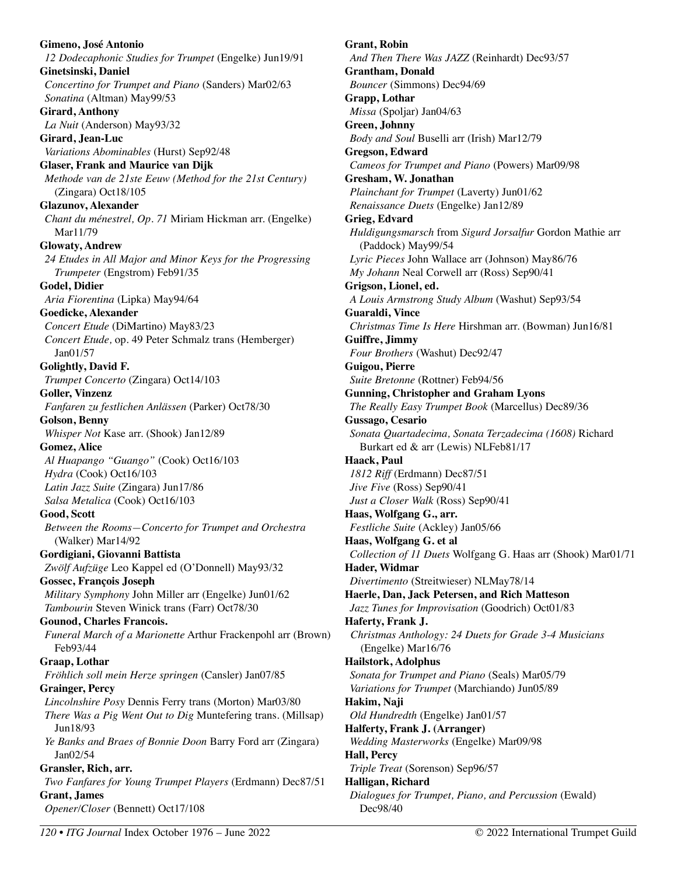**Gimeno, José Antonio**  *12 Dodecaphonic Studies for Trumpet* (Engelke) Jun19/91 **Ginetsinski, Daniel**  *Concertino for Trumpet and Piano* (Sanders) Mar02/63 *Sonatina* (Altman) May99/53 **Girard, Anthony**  *La Nuit* (Anderson) May93/32 **Girard, Jean-Luc**  *Variations Abominables* (Hurst) Sep92/48 **Glaser, Frank and Maurice van Dijk**  *Methode van de 21ste Eeuw (Method for the 21st Century)*  (Zingara) Oct18/105 **Glazunov, Alexander**  *Chant du ménestrel, Op. 71* Miriam Hickman arr. (Engelke) Mar11/79 **Glowaty, Andrew**  *24 Etudes in All Major and Minor Keys for the Progressing Trumpeter* (Engstrom) Feb91/35 **Godel, Didier**  *Aria Fiorentina* (Lipka) May94/64 **Goedicke, Alexander**  *Concert Etude* (DiMartino) May83/23 *Concert Etude,* op. 49 Peter Schmalz trans (Hemberger) Jan01/57 **Golightly, David F.**  *Trumpet Concerto* (Zingara) Oct14/103 **Goller, Vinzenz**  *Fanfaren zu festlichen Anlässen* (Parker) Oct78/30 **Golson, Benny**  *Whisper Not* Kase arr. (Shook) Jan12/89 **Gomez, Alice**  *Al Huapango "Guango"* (Cook) Oct16/103 *Hydra* (Cook) Oct16/103 *Latin Jazz Suite* (Zingara) Jun17/86 *Salsa Metalica* (Cook) Oct16/103 **Good, Scott**  *Between the Rooms—Concerto for Trumpet and Orchestra* (Walker) Mar14/92 **Gordigiani, Giovanni Battista**  *Zwölf Aufzüge* Leo Kappel ed (O'Donnell) May93/32 **Gossec, François Joseph**  *Military Symphony* John Miller arr (Engelke) Jun01/62 *Tambourin* Steven Winick trans (Farr) Oct78/30 **Gounod, Charles Francois.**  *Funeral March of a Marionette* Arthur Frackenpohl arr (Brown) Feb93/44 **Graap, Lothar**  *Fröhlich soll mein Herze springen* (Cansler) Jan07/85 **Grainger, Percy**  *Lincolnshire Posy* Dennis Ferry trans (Morton) Mar03/80 *There Was a Pig Went Out to Dig* Muntefering trans. (Millsap) Jun18/93 *Ye Banks and Braes of Bonnie Doon* Barry Ford arr (Zingara) Jan02/54 **Gransler, Rich, arr.**  *Two Fanfares for Young Trumpet Players* (Erdmann) Dec87/51 **Grant, James**  *Opener/Closer* (Bennett) Oct17/108

**Grant, Robin**  *And Then There Was JAZZ* (Reinhardt) Dec93/57 **Grantham, Donald**  *Bouncer* (Simmons) Dec94/69 **Grapp, Lothar**  *Missa* (Spoljar) Jan04/63 **Green, Johnny**  *Body and Soul* Buselli arr (Irish) Mar12/79 **Gregson, Edward**  *Cameos for Trumpet and Piano* (Powers) Mar09/98 **Gresham, W. Jonathan**  *Plainchant for Trumpet* (Laverty) Jun01/62 *Renaissance Duets* (Engelke) Jan12/89 **Grieg, Edvard**  *Huldigungsmarsch* from *Sigurd Jorsalfur* Gordon Mathie arr (Paddock) May99/54 *Lyric Pieces* John Wallace arr (Johnson) May86/76 *My Johann* Neal Corwell arr (Ross) Sep90/41 **Grigson, Lionel, ed.**  *A Louis Armstrong Study Album* (Washut) Sep93/54 **Guaraldi, Vince**  *Christmas Time Is Here* Hirshman arr. (Bowman) Jun16/81 **Guiffre, Jimmy**  *Four Brothers* (Washut) Dec92/47 **Guigou, Pierre**  *Suite Bretonne* (Rottner) Feb94/56 **Gunning, Christopher and Graham Lyons**  *The Really Easy Trumpet Book* (Marcellus) Dec89/36 **Gussago, Cesario**  *Sonata Quartadecima, Sonata Terzadecima (1608)* Richard Burkart ed & arr (Lewis) NLFeb81/17 **Haack, Paul**  *1812 Riff* (Erdmann) Dec87/51 *Jive Five* (Ross) Sep90/41 *Just a Closer Walk* (Ross) Sep90/41 **Haas, Wolfgang G., arr.**  *Festliche Suite* (Ackley) Jan05/66 **Haas, Wolfgang G. et al**  *Collection of 11 Duets* Wolfgang G. Haas arr (Shook) Mar01/71 **Hader, Widmar**  *Divertimento* (Streitwieser) NLMay78/14 **Haerle, Dan, Jack Petersen, and Rich Matteson**  *Jazz Tunes for Improvisation* (Goodrich) Oct01/83 **Haferty, Frank J.**  *Christmas Anthology: 24 Duets for Grade 3-4 Musicians*  (Engelke) Mar16/76 **Hailstork, Adolphus**  *Sonata for Trumpet and Piano* (Seals) Mar05/79 *Variations for Trumpet* (Marchiando) Jun05/89 **Hakim, Naji**  *Old Hundredth* (Engelke) Jan01/57 **Halferty, Frank J. (Arranger)**  *Wedding Masterworks* (Engelke) Mar09/98 **Hall, Percy**  *Triple Treat* (Sorenson) Sep96/57 **Halligan, Richard**  *Dialogues for Trumpet, Piano, and Percussion* (Ewald) Dec98/40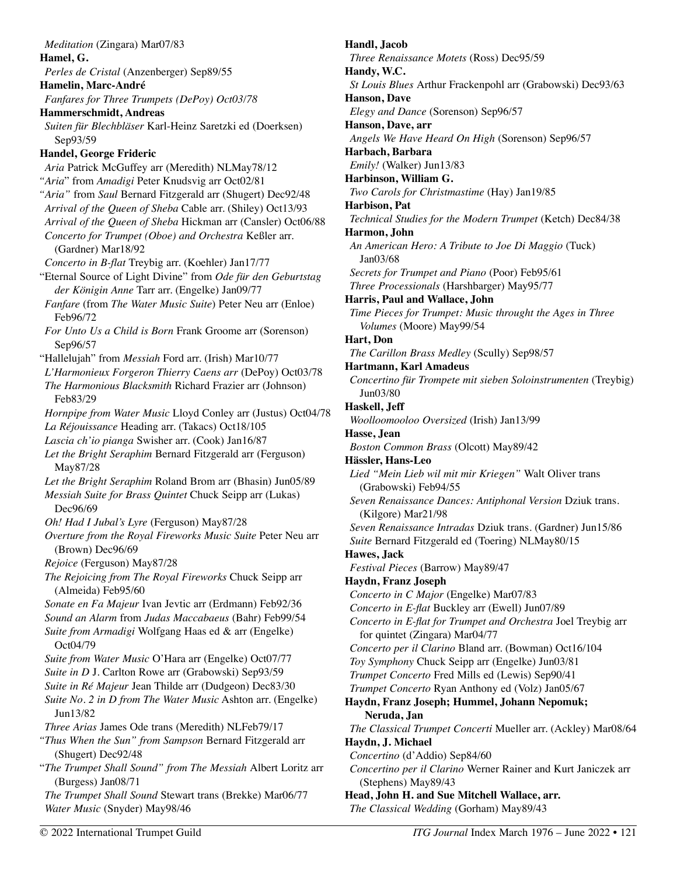*Meditation* (Zingara) Mar07/83 **Hamel, G.**  *Perles de Cristal* (Anzenberger) Sep89/55 **Hamelin, Marc-André**  *Fanfares for Three Trumpets (DePoy) Oct03/78* **Hammerschmidt, Andreas**  *Suiten für Blechbläser* Karl-Heinz Saretzki ed (Doerksen) Sep93/59 **Handel, George Frideric**  *Aria* Patrick McGuffey arr (Meredith) NLMay78/12 *"Aria*" from *Amadigi* Peter Knudsvig arr Oct02/81 *"Aria"* from *Saul* Bernard Fitzgerald arr (Shugert) Dec92/48 *Arrival of the Queen of Sheba* Cable arr. (Shiley) Oct13/93 *Arrival of the Queen of Sheba* Hickman arr (Cansler) Oct06/88 *Concerto for Trumpet (Oboe) and Orchestra* Keßler arr. (Gardner) Mar18/92 *Concerto in B-flat* Treybig arr. (Koehler) Jan17/77 "Eternal Source of Light Divine" from *Ode für den Geburtstag der Königin Anne* Tarr arr. (Engelke) Jan09/77 *Fanfare* (from *The Water Music Suite*) Peter Neu arr (Enloe) Feb96/72 *For Unto Us a Child is Born* Frank Groome arr (Sorenson) Sep96/57 "Hallelujah" from *Messiah* Ford arr. (Irish) Mar10/77 *L'Harmonieux Forgeron Thierry Caens arr* (DePoy) Oct03/78 *The Harmonious Blacksmith* Richard Frazier arr (Johnson) Feb83/29 *Hornpipe from Water Music* Lloyd Conley arr (Justus) Oct04/78 *La Réjouissance* Heading arr. (Takacs) Oct18/105 *Lascia ch'io pianga* Swisher arr. (Cook) Jan16/87 *Let the Bright Seraphim* Bernard Fitzgerald arr (Ferguson) May87/28 *Let the Bright Seraphim* Roland Brom arr (Bhasin) Jun05/89 *Messiah Suite for Brass Quintet* Chuck Seipp arr (Lukas) Dec96/69 *Oh! Had I Jubal's Lyre* (Ferguson) May87/28 *Overture from the Royal Fireworks Music Suite* Peter Neu arr (Brown) Dec96/69 *Rejoice* (Ferguson) May87/28 *The Rejoicing from The Royal Fireworks* Chuck Seipp arr (Almeida) Feb95/60 *Sonate en Fa Majeur* Ivan Jevtic arr (Erdmann) Feb92/36 *Sound an Alarm* from *Judas Maccabaeus* (Bahr) Feb99/54 *Suite from Armadigi* Wolfgang Haas ed & arr (Engelke) Oct04/79 *Suite from Water Music* O'Hara arr (Engelke) Oct07/77 *Suite in D* J. Carlton Rowe arr (Grabowski) Sep93/59 *Suite in Ré Majeur* Jean Thilde arr (Dudgeon) Dec83/30 *Suite No. 2 in D from The Water Music* Ashton arr. (Engelke) Jun13/82 *Three Arias* James Ode trans (Meredith) NLFeb79/17 *"Thus When the Sun" from Sampson* Bernard Fitzgerald arr (Shugert) Dec92/48 "*The Trumpet Shall Sound" from The Messiah* Albert Loritz arr (Burgess) Jan08/71 *The Trumpet Shall Sound* Stewart trans (Brekke) Mar06/77 *Water Music* (Snyder) May98/46

**Handl, Jacob**  *Three Renaissance Motets* (Ross) Dec95/59 **Handy, W.C.**  *St Louis Blues* Arthur Frackenpohl arr (Grabowski) Dec93/63 **Hanson, Dave**  *Elegy and Dance* (Sorenson) Sep96/57 **Hanson, Dave, arr**  *Angels We Have Heard On High* (Sorenson) Sep96/57 **Harbach, Barbara**  *Emily!* (Walker) Jun13/83 **Harbinson, William G.**  *Two Carols for Christmastime* (Hay) Jan19/85 **Harbison, Pat**  *Technical Studies for the Modern Trumpet* (Ketch) Dec84/38 **Harmon, John**  *An American Hero: A Tribute to Joe Di Maggio* (Tuck) Jan03/68 *Secrets for Trumpet and Piano* (Poor) Feb95/61 *Three Processionals* (Harshbarger) May95/77 **Harris, Paul and Wallace, John**  *Time Pieces for Trumpet: Music throught the Ages in Three Volumes* (Moore) May99/54 **Hart, Don**  *The Carillon Brass Medley* (Scully) Sep98/57 **Hartmann, Karl Amadeus**  *Concertino für Trompete mit sieben Soloinstrumenten* (Treybig) Jun03/80 **Haskell, Jeff**  *Woolloomooloo Oversized* (Irish) Jan13/99 **Hasse, Jean**  *Boston Common Brass* (Olcott) May89/42 **Hässler, Hans-Leo**  *Lied "Mein Lieb wil mit mir Kriegen"* Walt Oliver trans (Grabowski) Feb94/55 *Seven Renaissance Dances: Antiphonal Version* Dziuk trans. (Kilgore) Mar21/98 *Seven Renaissance Intradas* Dziuk trans. (Gardner) Jun15/86 *Suite* Bernard Fitzgerald ed (Toering) NLMay80/15 **Hawes, Jack**  *Festival Pieces* (Barrow) May89/47 **Haydn, Franz Joseph**  *Concerto in C Major* (Engelke) Mar07/83 *Concerto in E-flat* Buckley arr (Ewell) Jun07/89 *Concerto in E-flat for Trumpet and Orchestra* Joel Treybig arr for quintet (Zingara) Mar04/77 *Concerto per il Clarino* Bland arr. (Bowman) Oct16/104 *Toy Symphony* Chuck Seipp arr (Engelke) Jun03/81 *Trumpet Concerto* Fred Mills ed (Lewis) Sep90/41 *Trumpet Concerto* Ryan Anthony ed (Volz) Jan05/67 **Haydn, Franz Joseph; Hummel, Johann Nepomuk; Neruda, Jan**  *The Classical Trumpet Concerti* Mueller arr. (Ackley) Mar08/64 **Haydn, J. Michael**  *Concertino* (d'Addio) Sep84/60 *Concertino per il Clarino* Werner Rainer and Kurt Janiczek arr (Stephens) May89/43

**Head, John H. and Sue Mitchell Wallace, arr.** 

*The Classical Wedding* (Gorham) May89/43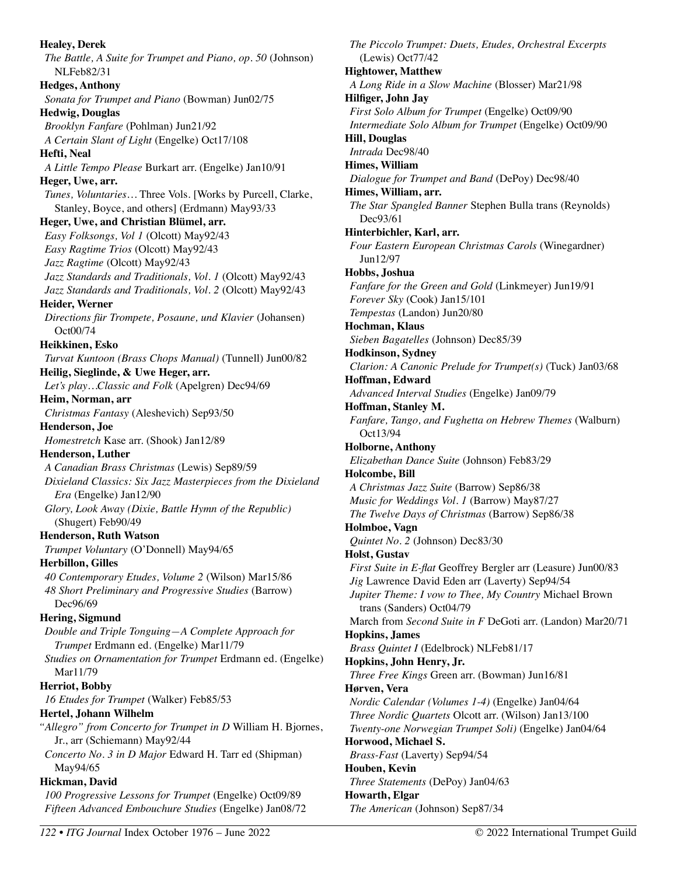**Healey, Derek**  *The Battle, A Suite for Trumpet and Piano, op. 50* (Johnson) NLFeb82/31 **Hedges, Anthony**  *Sonata for Trumpet and Piano* (Bowman) Jun02/75 **Hedwig, Douglas**  *Brooklyn Fanfare* (Pohlman) Jun21/92 *A Certain Slant of Light* (Engelke) Oct17/108 **Hefti, Neal**  *A Little Tempo Please* Burkart arr. (Engelke) Jan10/91 **Heger, Uwe, arr.**  *Tunes, Voluntaries…* Three Vols. [Works by Purcell, Clarke, Stanley, Boyce, and others] (Erdmann) May93/33 **Heger, Uwe, and Christian Blümel, arr.**  *Easy Folksongs, Vol 1* (Olcott) May92/43 *Easy Ragtime Trios* (Olcott) May92/43 *Jazz Ragtime* (Olcott) May92/43 *Jazz Standards and Traditionals, Vol. 1* (Olcott) May92/43 *Jazz Standards and Traditionals, Vol. 2* (Olcott) May92/43 **Heider, Werner**  *Directions für Trompete, Posaune, und Klavier* (Johansen) Oct00/74 **Heikkinen, Esko**  *Turvat Kuntoon (Brass Chops Manual)* (Tunnell) Jun00/82 **Heilig, Sieglinde, & Uwe Heger, arr.**  *Let's play…Classic and Folk* (Apelgren) Dec94/69 **Heim, Norman, arr**  *Christmas Fantasy* (Aleshevich) Sep93/50 **Henderson, Joe**  *Homestretch* Kase arr. (Shook) Jan12/89 **Henderson, Luther**  *A Canadian Brass Christmas* (Lewis) Sep89/59 *Dixieland Classics: Six Jazz Masterpieces from the Dixieland Era* (Engelke) Jan12/90 *Glory, Look Away (Dixie, Battle Hymn of the Republic)*  (Shugert) Feb90/49 **Henderson, Ruth Watson**  *Trumpet Voluntary* (O'Donnell) May94/65 **Herbillon, Gilles**  *40 Contemporary Etudes, Volume 2* (Wilson) Mar15/86 *48 Short Preliminary and Progressive Studies* (Barrow) Dec96/69 **Hering, Sigmund**  *Double and Triple Tonguing—A Complete Approach for Trumpet* Erdmann ed. (Engelke) Mar11/79 *Studies on Ornamentation for Trumpet* Erdmann ed. (Engelke) Mar11/79 **Herriot, Bobby**  *16 Etudes for Trumpet* (Walker) Feb85/53 **Hertel, Johann Wilhelm**  *"Allegro" from Concerto for Trumpet in D* William H. Bjornes, Jr., arr (Schiemann) May92/44 *Concerto No. 3 in D Major* Edward H. Tarr ed (Shipman) May94/65 **Hickman, David**  *100 Progressive Lessons for Trumpet* (Engelke) Oct09/89

*The Piccolo Trumpet: Duets, Etudes, Orchestral Excerpts*  (Lewis) Oct77/42 **Hightower, Matthew**  *A Long Ride in a Slow Machine* (Blosser) Mar21/98 **Hilfiger, John Jay**  *First Solo Album for Trumpet* (Engelke) Oct09/90 *Intermediate Solo Album for Trumpet* (Engelke) Oct09/90 **Hill, Douglas**  *Intrada* Dec98/40 **Himes, William**  *Dialogue for Trumpet and Band* (DePoy) Dec98/40 **Himes, William, arr.**  *The Star Spangled Banner* Stephen Bulla trans (Reynolds) Dec93/61 **Hinterbichler, Karl, arr.**  *Four Eastern European Christmas Carols* (Winegardner) Jun12/97 **Hobbs, Joshua**  *Fanfare for the Green and Gold* (Linkmeyer) Jun19/91 *Forever Sky* (Cook) Jan15/101 *Tempestas* (Landon) Jun20/80 **Hochman, Klaus**  *Sieben Bagatelles* (Johnson) Dec85/39 **Hodkinson, Sydney**  *Clarion: A Canonic Prelude for Trumpet(s)* (Tuck) Jan03/68 **Hoffman, Edward**  *Advanced Interval Studies* (Engelke) Jan09/79 **Hoffman, Stanley M.**  *Fanfare, Tango, and Fughetta on Hebrew Themes* (Walburn) Oct13/94 **Holborne, Anthony**  *Elizabethan Dance Suite* (Johnson) Feb83/29 **Holcombe, Bill**  *A Christmas Jazz Suite* (Barrow) Sep86/38 *Music for Weddings Vol. 1* (Barrow) May87/27 *The Twelve Days of Christmas* (Barrow) Sep86/38 **Holmboe, Vagn**  *Quintet No. 2* (Johnson) Dec83/30 **Holst, Gustav**  *First Suite in E-flat* Geoffrey Bergler arr (Leasure) Jun00/83 *Jig* Lawrence David Eden arr (Laverty) Sep94/54 *Jupiter Theme: I vow to Thee, My Country* Michael Brown trans (Sanders) Oct04/79 March from *Second Suite in F* DeGoti arr. (Landon) Mar20/71 **Hopkins, James**  *Brass Quintet I* (Edelbrock) NLFeb81/17 **Hopkins, John Henry, Jr.**  *Three Free Kings* Green arr. (Bowman) Jun16/81 **Hørven, Vera**  *Nordic Calendar (Volumes 1-4)* (Engelke) Jan04/64 *Three Nordic Quartets* Olcott arr. (Wilson) Jan13/100 *Twenty-one Norwegian Trumpet Soli)* (Engelke) Jan04/64 **Horwood, Michael S.**  *Brass-Fast* (Laverty) Sep94/54 **Houben, Kevin**  *Three Statements* (DePoy) Jan04/63 **Howarth, Elgar**  *The American* (Johnson) Sep87/34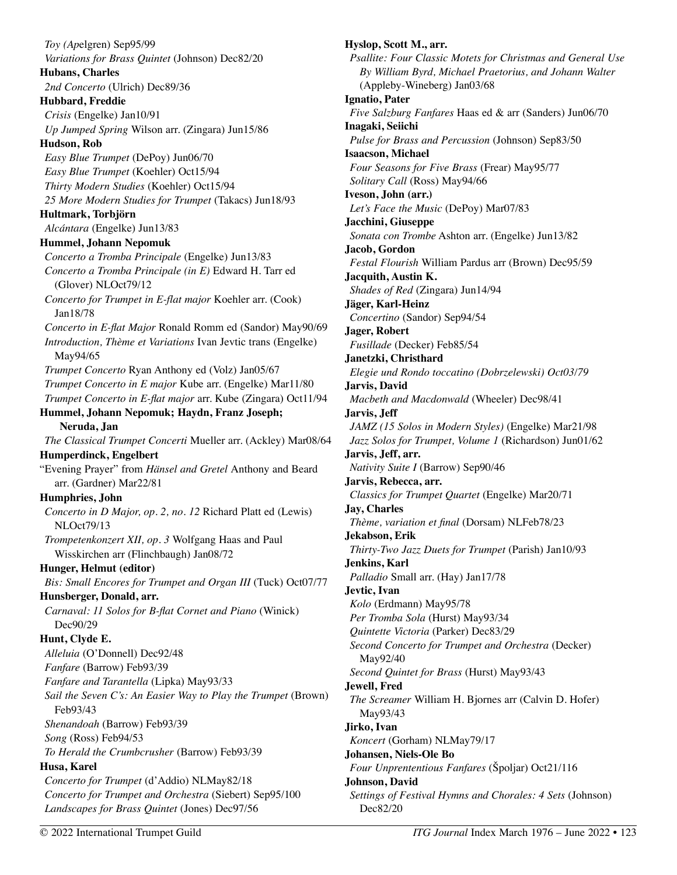*Toy (Ap*elgren) Sep95/99 *Variations for Brass Quintet* (Johnson) Dec82/20 **Hubans, Charles**  *2nd Concerto* (Ulrich) Dec89/36 **Hubbard, Freddie**  *Crisis* (Engelke) Jan10/91 *Up Jumped Spring* Wilson arr. (Zingara) Jun15/86 **Hudson, Rob**  *Easy Blue Trumpet* (DePoy) Jun06/70 *Easy Blue Trumpet* (Koehler) Oct15/94 *Thirty Modern Studies* (Koehler) Oct15/94 *25 More Modern Studies for Trumpet* (Takacs) Jun18/93 **Hultmark, Torbjörn**  *Alcántara* (Engelke) Jun13/83 **Hummel, Johann Nepomuk**  *Concerto a Tromba Principale* (Engelke) Jun13/83 *Concerto a Tromba Principale (in E)* Edward H. Tarr ed (Glover) NLOct79/12 *Concerto for Trumpet in E-flat major* Koehler arr. (Cook) Jan18/78 *Concerto in E-flat Major* Ronald Romm ed (Sandor) May90/69 *Introduction, Thème et Variations* Ivan Jevtic trans (Engelke) May94/65 *Trumpet Concerto* Ryan Anthony ed (Volz) Jan05/67 *Trumpet Concerto in E major* Kube arr. (Engelke) Mar11/80 *Trumpet Concerto in E-flat major* arr. Kube (Zingara) Oct11/94 **Hummel, Johann Nepomuk; Haydn, Franz Joseph; Neruda, Jan**  *The Classical Trumpet Concerti* Mueller arr. (Ackley) Mar08/64 **Humperdinck, Engelbert**  "Evening Prayer" from *Hänsel and Gretel* Anthony and Beard arr. (Gardner) Mar22/81 **Humphries, John**  *Concerto in D Major, op. 2, no. 12* Richard Platt ed (Lewis) NLOct79/13 *Trompetenkonzert XII, op. 3* Wolfgang Haas and Paul Wisskirchen arr (Flinchbaugh) Jan08/72 **Hunger, Helmut (editor)**  *Bis: Small Encores for Trumpet and Organ III* (Tuck) Oct07/77 **Hunsberger, Donald, arr.**  *Carnaval: 11 Solos for B-flat Cornet and Piano* (Winick) Dec90/29 **Hunt, Clyde E.**  *Alleluia* (O'Donnell) Dec92/48 *Fanfare* (Barrow) Feb93/39 *Fanfare and Tarantella* (Lipka) May93/33 *Sail the Seven C's: An Easier Way to Play the Trumpet (Brown)* Feb93/43 *Shenandoah* (Barrow) Feb93/39 *Song* (Ross) Feb94/53 *To Herald the Crumbcrusher* (Barrow) Feb93/39 **Husa, Karel**  *Concerto for Trumpet* (d'Addio) NLMay82/18 *Concerto for Trumpet and Orchestra* (Siebert) Sep95/100 *Landscapes for Brass Quintet* (Jones) Dec97/56

**Hyslop, Scott M., arr.**  *Psallite: Four Classic Motets for Christmas and General Use By William Byrd, Michael Praetorius, and Johann Walter*  (Appleby-Wineberg) Jan03/68 **Ignatio, Pater**  *Five Salzburg Fanfares* Haas ed & arr (Sanders) Jun06/70 **Inagaki, Seiichi**  *Pulse for Brass and Percussion* (Johnson) Sep83/50 **Isaacson, Michael**  *Four Seasons for Five Brass* (Frear) May95/77 *Solitary Call* (Ross) May94/66 **Iveson, John (arr.)**  *Let's Face the Music* (DePoy) Mar07/83 **Jacchini, Giuseppe**  *Sonata con Trombe* Ashton arr. (Engelke) Jun13/82 **Jacob, Gordon**  *Festal Flourish* William Pardus arr (Brown) Dec95/59 **Jacquith, Austin K.**  *Shades of Red* (Zingara) Jun14/94 **Jäger, Karl-Heinz**  *Concertino* (Sandor) Sep94/54 **Jager, Robert**  *Fusillade* (Decker) Feb85/54 **Janetzki, Christhard**  *Elegie und Rondo toccatino (Dobrzelewski) Oct03/79* **Jarvis, David**  *Macbeth and Macdonwald* (Wheeler) Dec98/41 **Jarvis, Jeff**  *JAMZ (15 Solos in Modern Styles)* (Engelke) Mar21/98 *Jazz Solos for Trumpet, Volume 1* (Richardson) Jun01/62 **Jarvis, Jeff, arr.**  *Nativity Suite I* (Barrow) Sep90/46 **Jarvis, Rebecca, arr.**  *Classics for Trumpet Quartet* (Engelke) Mar20/71 **Jay, Charles**  *Thème, variation et final* (Dorsam) NLFeb78/23 **Jekabson, Erik**  *Thirty-Two Jazz Duets for Trumpet* (Parish) Jan10/93 **Jenkins, Karl**  *Palladio* Small arr. (Hay) Jan17/78 **Jevtic, Ivan**  *Kolo* (Erdmann) May95/78 *Per Tromba Sola* (Hurst) May93/34 *Quintette Victoria* (Parker) Dec83/29 *Second Concerto for Trumpet and Orchestra* (Decker) May92/40 *Second Quintet for Brass* (Hurst) May93/43 **Jewell, Fred**  *The Screamer* William H. Bjornes arr (Calvin D. Hofer) May93/43 **Jirko, Ivan**  *Koncert* (Gorham) NLMay79/17 **Johansen, Niels-Ole Bo**  *Four Unprententious Fanfares* (Špoljar) Oct21/116 **Johnson, David**  *Settings of Festival Hymns and Chorales: 4 Sets* (Johnson) Dec82/20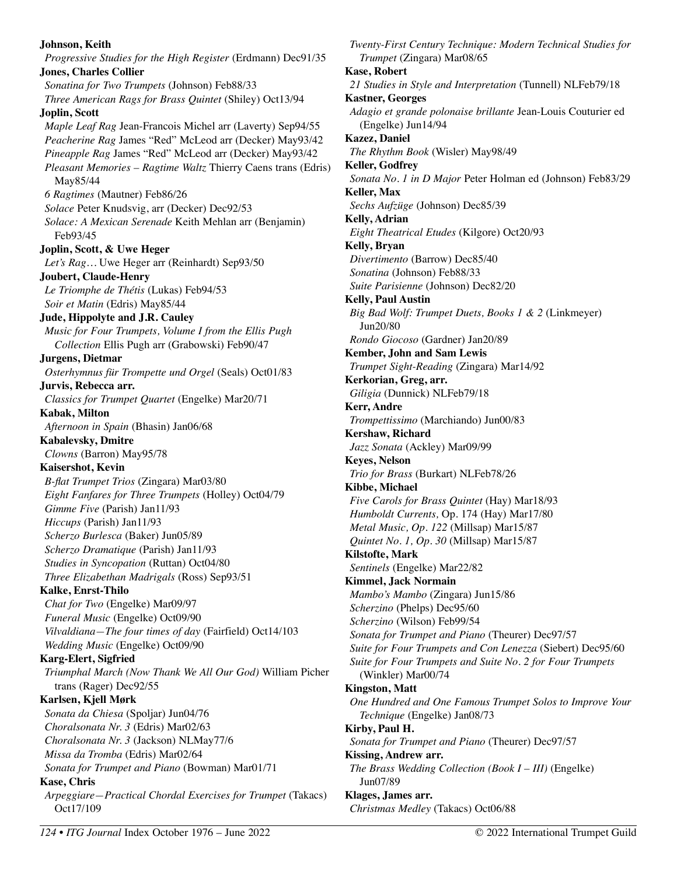# **Johnson, Keith**  *Progressive Studies for the High Register* (Erdmann) Dec91/35 **Jones, Charles Collier**  *Sonatina for Two Trumpets* (Johnson) Feb88/33 *Three American Rags for Brass Quintet* (Shiley) Oct13/94 **Joplin, Scott**  *Maple Leaf Rag* Jean-Francois Michel arr (Laverty) Sep94/55 *Peacherine Rag* James "Red" McLeod arr (Decker) May93/42 *Pineapple Rag* James "Red" McLeod arr (Decker) May93/42 *Pleasant Memories – Ragtime Waltz* Thierry Caens trans (Edris) May85/44 *6 Ragtimes* (Mautner) Feb86/26 *Solace* Peter Knudsvig, arr (Decker) Dec92/53 *Solace: A Mexican Serenade* Keith Mehlan arr (Benjamin) Feb93/45 **Joplin, Scott, & Uwe Heger**  *Let's Rag…* Uwe Heger arr (Reinhardt) Sep93/50 **Joubert, Claude-Henry**  *Le Triomphe de Thétis* (Lukas) Feb94/53 *Soir et Matin* (Edris) May85/44 **Jude, Hippolyte and J.R. Cauley**  *Music for Four Trumpets, Volume I from the Ellis Pugh Collection* Ellis Pugh arr (Grabowski) Feb90/47 **Jurgens, Dietmar**  *Osterhymnus für Trompette und Orgel* (Seals) Oct01/83 **Jurvis, Rebecca arr.**  *Classics for Trumpet Quartet* (Engelke) Mar20/71 **Kabak, Milton**  *Afternoon in Spain* (Bhasin) Jan06/68 **Kabalevsky, Dmitre**  *Clowns* (Barron) May95/78 **Kaisershot, Kevin**  *B-flat Trumpet Trios* (Zingara) Mar03/80 *Eight Fanfares for Three Trumpets* (Holley) Oct04/79 *Gimme Five* (Parish) Jan11/93 *Hiccups* (Parish) Jan11/93 *Scherzo Burlesca* (Baker) Jun05/89 *Scherzo Dramatique* (Parish) Jan11/93 *Studies in Syncopation* (Ruttan) Oct04/80 *Three Elizabethan Madrigals* (Ross) Sep93/51 **Kalke, Enrst-Thilo**  *Chat for Two* (Engelke) Mar09/97 *Funeral Music* (Engelke) Oct09/90 *Vilvaldiana—The four times of day* (Fairfield) Oct14/103 *Wedding Music* (Engelke) Oct09/90 **Karg-Elert, Sigfried**  *Triumphal March (Now Thank We All Our God)* William Picher trans (Rager) Dec92/55 **Karlsen, Kjell Mørk**  *Sonata da Chiesa* (Spoljar) Jun04/76 *Choralsonata Nr. 3* (Edris) Mar02/63 *Choralsonata Nr. 3* (Jackson) NLMay77/6 *Missa da Tromba* (Edris) Mar02/64 *Sonata for Trumpet and Piano* (Bowman) Mar01/71 **Kase, Chris**  *Arpeggiare—Practical Chordal Exercises for Trumpet* (Takacs) Oct17/109

*Twenty-First Century Technique: Modern Technical Studies for Trumpet* (Zingara) Mar08/65 **Kase, Robert**  *21 Studies in Style and Interpretation* (Tunnell) NLFeb79/18 **Kastner, Georges**  *Adagio et grande polonaise brillante* Jean-Louis Couturier ed (Engelke) Jun14/94 **Kazez, Daniel**  *The Rhythm Book* (Wisler) May98/49 **Keller, Godfrey**  *Sonata No. 1 in D Major* Peter Holman ed (Johnson) Feb83/29 **Keller, Max**  *Sechs Aufzüge* (Johnson) Dec85/39 **Kelly, Adrian**  *Eight Theatrical Etudes* (Kilgore) Oct20/93 **Kelly, Bryan**  *Divertimento* (Barrow) Dec85/40 *Sonatina* (Johnson) Feb88/33 *Suite Parisienne* (Johnson) Dec82/20 **Kelly, Paul Austin**  *Big Bad Wolf: Trumpet Duets, Books 1 & 2* (Linkmeyer) Jun20/80 *Rondo Giocoso* (Gardner) Jan20/89 **Kember, John and Sam Lewis**  *Trumpet Sight-Reading* (Zingara) Mar14/92 **Kerkorian, Greg, arr.**  *Giligia* (Dunnick) NLFeb79/18 **Kerr, Andre**  *Trompettissimo* (Marchiando) Jun00/83 **Kershaw, Richard**  *Jazz Sonata* (Ackley) Mar09/99 **Keyes, Nelson**  *Trio for Brass* (Burkart) NLFeb78/26 **Kibbe, Michael**  *Five Carols for Brass Quintet* (Hay) Mar18/93 *Humboldt Currents,* Op. 174 (Hay) Mar17/80 *Metal Music, Op. 122* (Millsap) Mar15/87 *Quintet No. 1, Op. 30* (Millsap) Mar15/87 **Kilstofte, Mark**  *Sentinels* (Engelke) Mar22/82 **Kimmel, Jack Normain**  *Mambo's Mambo* (Zingara) Jun15/86 *Scherzino* (Phelps) Dec95/60 *Scherzino* (Wilson) Feb99/54 *Sonata for Trumpet and Piano* (Theurer) Dec97/57 *Suite for Four Trumpets and Con Lenezza* (Siebert) Dec95/60 *Suite for Four Trumpets and Suite No. 2 for Four Trumpets*  (Winkler) Mar00/74 **Kingston, Matt**  *One Hundred and One Famous Trumpet Solos to Improve Your Technique* (Engelke) Jan08/73 **Kirby, Paul H.**  *Sonata for Trumpet and Piano* (Theurer) Dec97/57 **Kissing, Andrew arr.**  *The Brass Wedding Collection (Book I – III)* (Engelke) Jun07/89 **Klages, James arr.**  *Christmas Medley* (Takacs) Oct06/88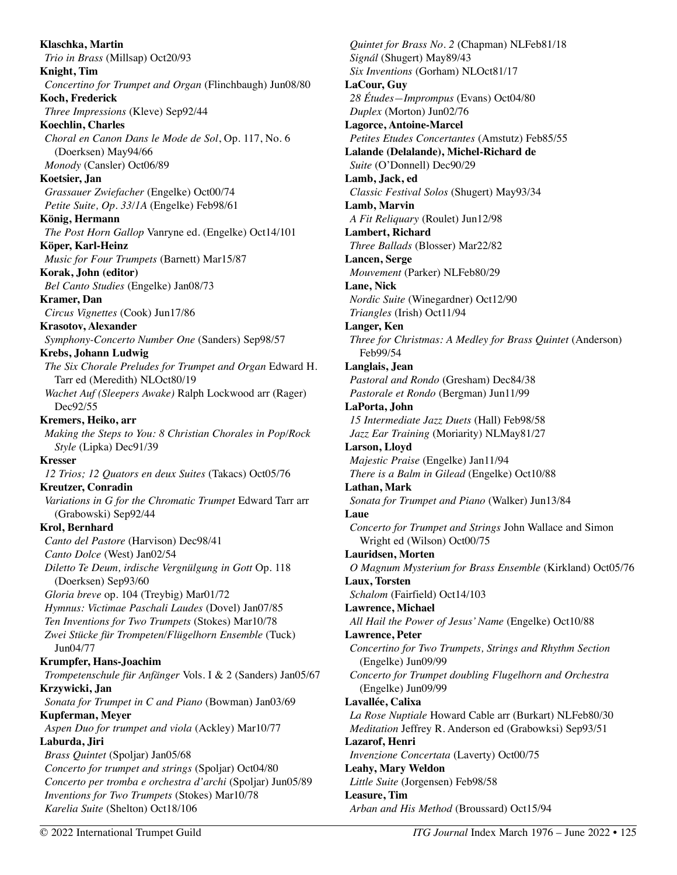**Klaschka, Martin**  *Trio in Brass* (Millsap) Oct20/93 **Knight, Tim**  *Concertino for Trumpet and Organ* (Flinchbaugh) Jun08/80 **Koch, Frederick**  *Three Impressions* (Kleve) Sep92/44 **Koechlin, Charles**  *Choral en Canon Dans le Mode de Sol*, Op. 117, No. 6 (Doerksen) May94/66 *Monody* (Cansler) Oct06/89 **Koetsier, Jan**  *Grassauer Zwiefacher* (Engelke) Oct00/74 *Petite Suite, Op. 33/1A* (Engelke) Feb98/61 **König, Hermann**  *The Post Horn Gallop* Vanryne ed. (Engelke) Oct14/101 **Köper, Karl-Heinz**  *Music for Four Trumpets* (Barnett) Mar15/87 **Korak, John (editor)**  *Bel Canto Studies* (Engelke) Jan08/73 **Kramer, Dan**  *Circus Vignettes* (Cook) Jun17/86 **Krasotov, Alexander**  *Symphony-Concerto Number One* (Sanders) Sep98/57 **Krebs, Johann Ludwig**  *The Six Chorale Preludes for Trumpet and Organ* Edward H. Tarr ed (Meredith) NLOct80/19 *Wachet Auf (Sleepers Awake)* Ralph Lockwood arr (Rager) Dec92/55 **Kremers, Heiko, arr**  *Making the Steps to You: 8 Christian Chorales in Pop/Rock Style* (Lipka) Dec91/39 **Kresser**  *12 Trios; 12 Quators en deux Suites* (Takacs) Oct05/76 **Kreutzer, Conradin**  *Variations in G for the Chromatic Trumpet* Edward Tarr arr (Grabowski) Sep92/44 **Krol, Bernhard**  *Canto del Pastore* (Harvison) Dec98/41 *Canto Dolce* (West) Jan02/54 *Diletto Te Deum, irdische Vergnülgung in Gott* Op. 118 (Doerksen) Sep93/60 *Gloria breve* op. 104 (Treybig) Mar01/72 *Hymnus: Victimae Paschali Laudes* (Dovel) Jan07/85 *Ten Inventions for Two Trumpets* (Stokes) Mar10/78 *Zwei Stücke für Trompeten/Flügelhorn Ensemble* (Tuck) Jun04/77 **Krumpfer, Hans-Joachim**  *Trompetenschule für Anfänger* Vols. I & 2 (Sanders) Jan05/67 **Krzywicki, Jan**  *Sonata for Trumpet in C and Piano* (Bowman) Jan03/69 **Kupferman, Meyer**  *Aspen Duo for trumpet and viola* (Ackley) Mar10/77 **Laburda, Jiri**  *Brass Quintet* (Spoljar) Jan05/68 *Concerto for trumpet and strings* (Spoljar) Oct04/80 *Concerto per tromba e orchestra d'archi* (Spoljar) Jun05/89 *Inventions for Two Trumpets* (Stokes) Mar10/78 *Karelia Suite* (Shelton) Oct18/106

*Quintet for Brass No. 2* (Chapman) NLFeb81/18 *Signál* (Shugert) May89/43 *Six Inventions* (Gorham) NLOct81/17 **LaCour, Guy**  *28 Études—Imprompus* (Evans) Oct04/80 *Duplex* (Morton) Jun02/76 **Lagorce, Antoine-Marcel**  *Petites Etudes Concertantes* (Amstutz) Feb85/55 **Lalande (Delalande), Michel-Richard de**  *Suite* (O'Donnell) Dec90/29 **Lamb, Jack, ed**  *Classic Festival Solos* (Shugert) May93/34 **Lamb, Marvin**  *A Fit Reliquary* (Roulet) Jun12/98 **Lambert, Richard**  *Three Ballads* (Blosser) Mar22/82 **Lancen, Serge**  *Mouvement* (Parker) NLFeb80/29 **Lane, Nick**  *Nordic Suite* (Winegardner) Oct12/90 *Triangles* (Irish) Oct11/94 **Langer, Ken**  *Three for Christmas: A Medley for Brass Quintet (Anderson)* Feb99/54 **Langlais, Jean**  *Pastoral and Rondo* (Gresham) Dec84/38 *Pastorale et Rondo* (Bergman) Jun11/99 **LaPorta, John**  *15 Intermediate Jazz Duets* (Hall) Feb98/58 *Jazz Ear Training* (Moriarity) NLMay81/27 **Larson, Lloyd**  *Majestic Praise* (Engelke) Jan11/94 *There is a Balm in Gilead* (Engelke) Oct10/88 **Lathan, Mark**  *Sonata for Trumpet and Piano* (Walker) Jun13/84 **Laue**  *Concerto for Trumpet and Strings* John Wallace and Simon Wright ed (Wilson) Oct00/75 **Lauridsen, Morten**  *O Magnum Mysterium for Brass Ensemble* (Kirkland) Oct05/76 **Laux, Torsten**  *Schalom* (Fairfield) Oct14/103 **Lawrence, Michael**  *All Hail the Power of Jesus' Name* (Engelke) Oct10/88 **Lawrence, Peter**  *Concertino for Two Trumpets, Strings and Rhythm Section*  (Engelke) Jun09/99 *Concerto for Trumpet doubling Flugelhorn and Orchestra*  (Engelke) Jun09/99 **Lavallée, Calixa**  *La Rose Nuptiale* Howard Cable arr (Burkart) NLFeb80/30 *Meditation* Jeffrey R. Anderson ed (Grabowksi) Sep93/51 **Lazarof, Henri**  *Invenzione Concertata* (Laverty) Oct00/75 **Leahy, Mary Weldon**  *Little Suite* (Jorgensen) Feb98/58 **Leasure, Tim**  *Arban and His Method* (Broussard) Oct15/94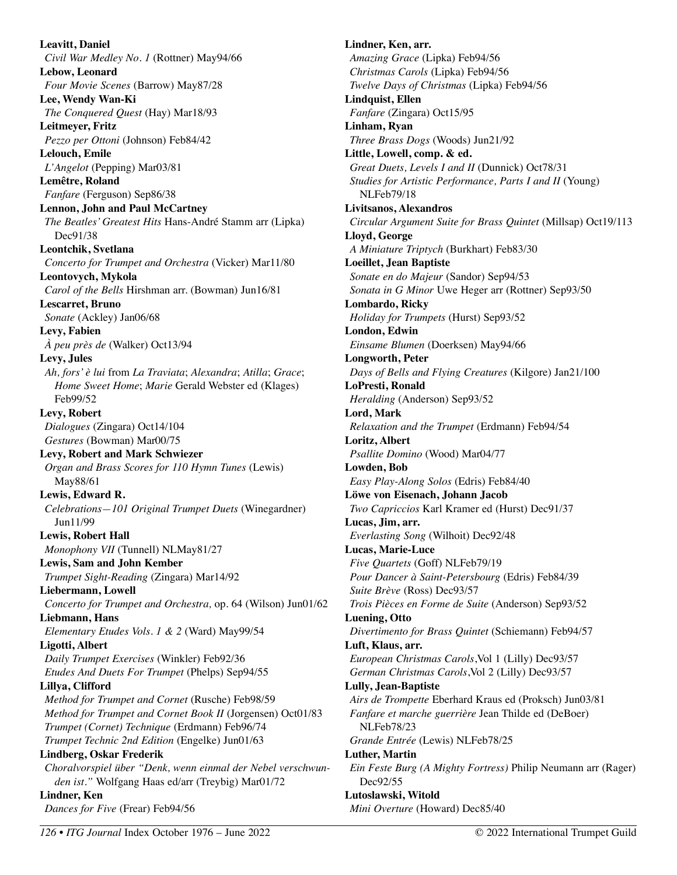**Leavitt, Daniel**  *Civil War Medley No. 1* (Rottner) May94/66 **Lebow, Leonard**  *Four Movie Scenes* (Barrow) May87/28 **Lee, Wendy Wan-Ki**  *The Conquered Quest* (Hay) Mar18/93 **Leitmeyer, Fritz**  *Pezzo per Ottoni* (Johnson) Feb84/42 **Lelouch, Emile**  *L'Angelot* (Pepping) Mar03/81 **Lemêtre, Roland**  *Fanfare* (Ferguson) Sep86/38 **Lennon, John and Paul McCartney**  *The Beatles' Greatest Hits* Hans-André Stamm arr (Lipka) Dec91/38 **Leontchik, Svetlana**  *Concerto for Trumpet and Orchestra* (Vicker) Mar11/80 **Leontovych, Mykola**  *Carol of the Bells* Hirshman arr. (Bowman) Jun16/81 **Lescarret, Bruno**  *Sonate* (Ackley) Jan06/68 **Levy, Fabien**  *À peu près de* (Walker) Oct13/94 **Levy, Jules**  *Ah, fors' è lui* from *La Traviata*; *Alexandra*; *Atilla*; *Grace*; *Home Sweet Home*; *Marie* Gerald Webster ed (Klages) Feb99/52 **Levy, Robert**  *Dialogues* (Zingara) Oct14/104 *Gestures* (Bowman) Mar00/75 **Levy, Robert and Mark Schwiezer**  *Organ and Brass Scores for 110 Hymn Tunes* (Lewis) May88/61 **Lewis, Edward R.**  *Celebrations—101 Original Trumpet Duets* (Winegardner) Jun11/99 **Lewis, Robert Hall**  *Monophony VII* (Tunnell) NLMay81/27 **Lewis, Sam and John Kember**  *Trumpet Sight-Reading* (Zingara) Mar14/92 **Liebermann, Lowell**  *Concerto for Trumpet and Orchestra,* op. 64 (Wilson) Jun01/62 **Liebmann, Hans**  *Elementary Etudes Vols. 1 & 2* (Ward) May99/54 **Ligotti, Albert**  *Daily Trumpet Exercises* (Winkler) Feb92/36 *Etudes And Duets For Trumpet* (Phelps) Sep94/55 **Lillya, Clifford**  *Method for Trumpet and Cornet* (Rusche) Feb98/59 *Method for Trumpet and Cornet Book II* (Jorgensen) Oct01/83 *Trumpet (Cornet) Technique* (Erdmann) Feb96/74 *Trumpet Technic 2nd Edition* (Engelke) Jun01/63 **Lindberg, Oskar Frederik**  *Choralvorspiel über "Denk, wenn einmal der Nebel verschwunden ist."* Wolfgang Haas ed/arr (Treybig) Mar01/72 **Lindner, Ken**  *Dances for Five* (Frear) Feb94/56

**Lindner, Ken, arr.**  *Amazing Grace* (Lipka) Feb94/56 *Christmas Carols* (Lipka) Feb94/56 *Twelve Days of Christmas* (Lipka) Feb94/56 **Lindquist, Ellen**  *Fanfare* (Zingara) Oct15/95 **Linham, Ryan**  *Three Brass Dogs* (Woods) Jun21/92 **Little, Lowell, comp. & ed.**  *Great Duets, Levels I and II* (Dunnick) Oct78/31 *Studies for Artistic Performance, Parts I and II* (Young) NLFeb79/18 **Livitsanos, Alexandros**  *Circular Argument Suite for Brass Quintet* (Millsap) Oct19/113 **Lloyd, George**  *A Miniature Triptych* (Burkhart) Feb83/30 **Loeillet, Jean Baptiste**  *Sonate en do Majeur* (Sandor) Sep94/53 *Sonata in G Minor* Uwe Heger arr (Rottner) Sep93/50 **Lombardo, Ricky**  *Holiday for Trumpets* (Hurst) Sep93/52 **London, Edwin**  *Einsame Blumen* (Doerksen) May94/66 **Longworth, Peter**  *Days of Bells and Flying Creatures* (Kilgore) Jan21/100 **LoPresti, Ronald**  *Heralding* (Anderson) Sep93/52 **Lord, Mark**  *Relaxation and the Trumpet* (Erdmann) Feb94/54 **Loritz, Albert**  *Psallite Domino* (Wood) Mar04/77 **Lowden, Bob**  *Easy Play-Along Solos* (Edris) Feb84/40 **Löwe von Eisenach, Johann Jacob**  *Two Capriccios* Karl Kramer ed (Hurst) Dec91/37 **Lucas, Jim, arr.**  *Everlasting Song* (Wilhoit) Dec92/48 **Lucas, Marie-Luce**  *Five Quartets* (Goff) NLFeb79/19 *Pour Dancer à Saint-Petersbourg* (Edris) Feb84/39 *Suite Brève* (Ross) Dec93/57 *Trois Pièces en Forme de Suite* (Anderson) Sep93/52 **Luening, Otto**  *Divertimento for Brass Quintet* (Schiemann) Feb94/57 **Luft, Klaus, arr.**  *European Christmas Carols*,Vol 1 (Lilly) Dec93/57 *German Christmas Carols*,Vol 2 (Lilly) Dec93/57 **Lully, Jean-Baptiste**  *Airs de Trompette* Eberhard Kraus ed (Proksch) Jun03/81 *Fanfare et marche guerrière* Jean Thilde ed (DeBoer) NLFeb78/23 *Grande Entrée* (Lewis) NLFeb78/25 **Luther, Martin**  *Ein Feste Burg (A Mighty Fortress)* Philip Neumann arr (Rager) Dec92/55 **Lutoslawski, Witold** 

*Mini Overture* (Howard) Dec85/40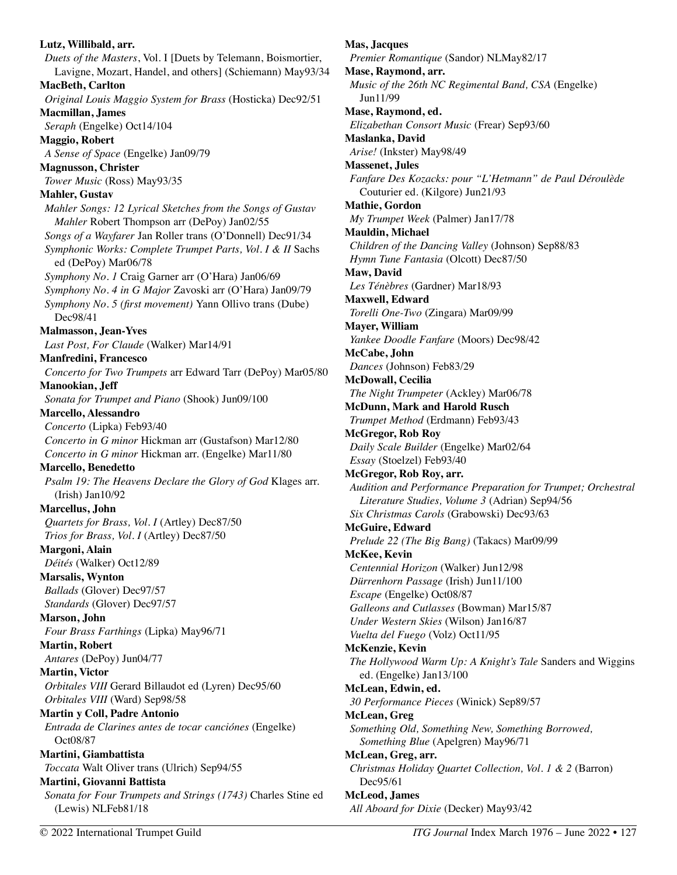**Lutz, Willibald, arr.**  *Duets of the Masters*, Vol. I [Duets by Telemann, Boismortier, Lavigne, Mozart, Handel, and others] (Schiemann) May93/34 **MacBeth, Carlton**  *Original Louis Maggio System for Brass* (Hosticka) Dec92/51 **Macmillan, James**  *Seraph* (Engelke) Oct14/104 **Maggio, Robert**  *A Sense of Space* (Engelke) Jan09/79 **Magnusson, Christer**  *Tower Music* (Ross) May93/35 **Mahler, Gustav**  *Mahler Songs: 12 Lyrical Sketches from the Songs of Gustav Mahler* Robert Thompson arr (DePoy) Jan02/55 *Songs of a Wayfarer* Jan Roller trans (O'Donnell) Dec91/34 *Symphonic Works: Complete Trumpet Parts, Vol. I & II* Sachs ed (DePoy) Mar06/78 *Symphony No. 1* Craig Garner arr (O'Hara) Jan06/69 *Symphony No. 4 in G Major* Zavoski arr (O'Hara) Jan09/79 *Symphony No. 5 (first movement)* Yann Ollivo trans (Dube) Dec98/41 **Malmasson, Jean-Yves**  *Last Post, For Claude* (Walker) Mar14/91 **Manfredini, Francesco**  *Concerto for Two Trumpets* arr Edward Tarr (DePoy) Mar05/80 **Manookian, Jeff**  *Sonata for Trumpet and Piano* (Shook) Jun09/100 **Marcello, Alessandro**  *Concerto* (Lipka) Feb93/40 *Concerto in G minor* Hickman arr (Gustafson) Mar12/80 *Concerto in G minor* Hickman arr. (Engelke) Mar11/80 **Marcello, Benedetto**  *Psalm 19: The Heavens Declare the Glory of God* Klages arr. (Irish) Jan10/92 **Marcellus, John**  *Quartets for Brass, Vol. I* (Artley) Dec87/50 *Trios for Brass, Vol. I* (Artley) Dec87/50 **Margoni, Alain**  *Déités* (Walker) Oct12/89 **Marsalis, Wynton**  *Ballads* (Glover) Dec97/57 *Standards* (Glover) Dec97/57 **Marson, John**  *Four Brass Farthings* (Lipka) May96/71 **Martin, Robert**  *Antares* (DePoy) Jun04/77 **Martin, Victor**  *Orbitales VIII* Gerard Billaudot ed (Lyren) Dec95/60 *Orbitales VIII* (Ward) Sep98/58 **Martin y Coll, Padre Antonio**  *Entrada de Clarines antes de tocar canciónes* (Engelke) Oct08/87 **Martini, Giambattista**  *Toccata* Walt Oliver trans (Ulrich) Sep94/55 **Martini, Giovanni Battista**  *Sonata for Four Trumpets and Strings (1743)* Charles Stine ed (Lewis) NLFeb81/18

**Mas, Jacques**  *Premier Romantique* (Sandor) NLMay82/17 **Mase, Raymond, arr.**  *Music of the 26th NC Regimental Band, CSA* (Engelke) Jun11/99 **Mase, Raymond, ed.**  *Elizabethan Consort Music* (Frear) Sep93/60 **Maslanka, David**  *Arise!* (Inkster) May98/49 **Massenet, Jules**  *Fanfare Des Kozacks: pour "L'Hetmann" de Paul Déroulède*  Couturier ed. (Kilgore) Jun21/93 **Mathie, Gordon**  *My Trumpet Week* (Palmer) Jan17/78 **Mauldin, Michael**  *Children of the Dancing Valley* (Johnson) Sep88/83 *Hymn Tune Fantasia* (Olcott) Dec87/50 **Maw, David**  *Les Ténèbres* (Gardner) Mar18/93 **Maxwell, Edward**  *Torelli One-Two* (Zingara) Mar09/99 **Mayer, William**  *Yankee Doodle Fanfare* (Moors) Dec98/42 **McCabe, John**  *Dances* (Johnson) Feb83/29 **McDowall, Cecilia**  *The Night Trumpeter* (Ackley) Mar06/78 **McDunn, Mark and Harold Rusch**  *Trumpet Method* (Erdmann) Feb93/43 **McGregor, Rob Roy**  *Daily Scale Builder* (Engelke) Mar02/64 *Essay* (Stoelzel) Feb93/40 **McGregor, Rob Roy, arr.**  *Audition and Performance Preparation for Trumpet; Orchestral Literature Studies, Volume 3* (Adrian) Sep94/56 *Six Christmas Carols* (Grabowski) Dec93/63 **McGuire, Edward**  *Prelude 22 (The Big Bang)* (Takacs) Mar09/99 **McKee, Kevin**  *Centennial Horizon* (Walker) Jun12/98 *Dürrenhorn Passage* (Irish) Jun11/100 *Escape* (Engelke) Oct08/87 *Galleons and Cutlasses* (Bowman) Mar15/87 *Under Western Skies* (Wilson) Jan16/87 *Vuelta del Fuego* (Volz) Oct11/95 **McKenzie, Kevin**  *The Hollywood Warm Up: A Knight's Tale* Sanders and Wiggins ed. (Engelke) Jan13/100 **McLean, Edwin, ed.**  *30 Performance Pieces* (Winick) Sep89/57 **McLean, Greg**  *Something Old, Something New, Something Borrowed, Something Blue* (Apelgren) May96/71 **McLean, Greg, arr.**  *Christmas Holiday Quartet Collection, Vol. 1 & 2* (Barron) Dec95/61 **McLeod, James**  *All Aboard for Dixie* (Decker) May93/42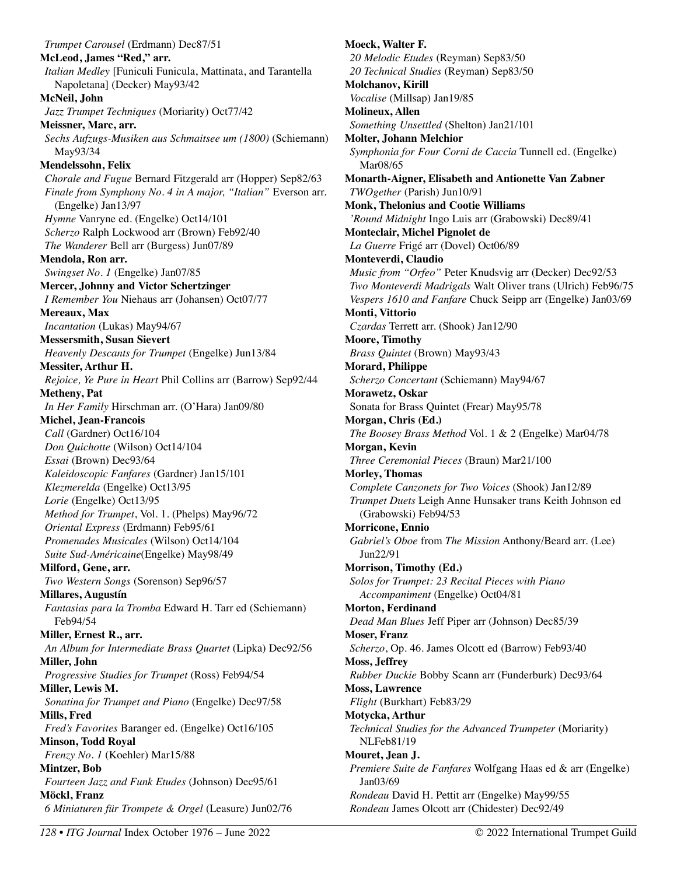*Trumpet Carousel* (Erdmann) Dec87/51 **McLeod, James "Red," arr.**  *Italian Medley* [Funiculi Funicula, Mattinata, and Tarantella Napoletana] (Decker) May93/42 **McNeil, John**  *Jazz Trumpet Techniques* (Moriarity) Oct77/42 **Meissner, Marc, arr.**  *Sechs Aufzugs-Musiken aus Schmaitsee um (1800)* (Schiemann) May93/34 **Mendelssohn, Felix**  *Chorale and Fugue* Bernard Fitzgerald arr (Hopper) Sep82/63 *Finale from Symphony No. 4 in A major, "Italian"* Everson arr. (Engelke) Jan13/97 *Hymne* Vanryne ed. (Engelke) Oct14/101 *Scherzo* Ralph Lockwood arr (Brown) Feb92/40 *The Wanderer* Bell arr (Burgess) Jun07/89 **Mendola, Ron arr.**  *Swingset No. 1* (Engelke) Jan07/85 **Mercer, Johnny and Victor Schertzinger**  *I Remember You* Niehaus arr (Johansen) Oct07/77 **Mereaux, Max**  *Incantation* (Lukas) May94/67 **Messersmith, Susan Sievert**  *Heavenly Descants for Trumpet* (Engelke) Jun13/84 **Messiter, Arthur H.**  *Rejoice, Ye Pure in Heart* Phil Collins arr (Barrow) Sep92/44 **Metheny, Pat**  *In Her Family* Hirschman arr. (O'Hara) Jan09/80 **Michel, Jean-Francois**  *Call* (Gardner) Oct16/104 *Don Quichotte* (Wilson) Oct14/104 *Essai* (Brown) Dec93/64 *Kaleidoscopic Fanfares* (Gardner) Jan15/101 *Klezmerelda* (Engelke) Oct13/95 *Lorie* (Engelke) Oct13/95 *Method for Trumpet*, Vol. 1. (Phelps) May96/72 *Oriental Express* (Erdmann) Feb95/61 *Promenades Musicales* (Wilson) Oct14/104 *Suite Sud-Américaine*(Engelke) May98/49 **Milford, Gene, arr.**  *Two Western Songs* (Sorenson) Sep96/57 **Millares, Augustín**  *Fantasias para la Tromba* Edward H. Tarr ed (Schiemann) Feb94/54 **Miller, Ernest R., arr.**  *An Album for Intermediate Brass Quartet* (Lipka) Dec92/56 **Miller, John**  *Progressive Studies for Trumpet* (Ross) Feb94/54 **Miller, Lewis M.**  *Sonatina for Trumpet and Piano* (Engelke) Dec97/58 **Mills, Fred**  *Fred's Favorites* Baranger ed. (Engelke) Oct16/105 **Minson, Todd Royal**  *Frenzy No. 1* (Koehler) Mar15/88 **Mintzer, Bob**  *Fourteen Jazz and Funk Etudes* (Johnson) Dec95/61 **Möckl, Franz**  *6 Miniaturen für Trompete & Orgel* (Leasure) Jun02/76

**Moeck, Walter F.**  *20 Melodic Etudes* (Reyman) Sep83/50 *20 Technical Studies* (Reyman) Sep83/50 **Molchanov, Kirill**  *Vocalise* (Millsap) Jan19/85 **Molineux, Allen**  *Something Unsettled* (Shelton) Jan21/101 **Molter, Johann Melchior**  *Symphonia for Four Corni de Caccia* Tunnell ed. (Engelke) Mar08/65 **Monarth-Aigner, Elisabeth and Antionette Van Zabner**  *TWOgether* (Parish) Jun10/91 **Monk, Thelonius and Cootie Williams**  *'Round Midnight* Ingo Luis arr (Grabowski) Dec89/41 **Monteclair, Michel Pignolet de**  *La Guerre* Frigé arr (Dovel) Oct06/89 **Monteverdi, Claudio**  *Music from "Orfeo"* Peter Knudsvig arr (Decker) Dec92/53 *Two Monteverdi Madrigals* Walt Oliver trans (Ulrich) Feb96/75 *Vespers 1610 and Fanfare* Chuck Seipp arr (Engelke) Jan03/69 **Monti, Vittorio**  *Czardas* Terrett arr. (Shook) Jan12/90 **Moore, Timothy**  *Brass Quintet* (Brown) May93/43 **Morard, Philippe**  *Scherzo Concertant* (Schiemann) May94/67 **Morawetz, Oskar**  Sonata for Brass Quintet (Frear) May95/78 **Morgan, Chris (Ed.)**  *The Boosey Brass Method* Vol. 1 & 2 (Engelke) Mar04/78 **Morgan, Kevin**  *Three Ceremonial Pieces* (Braun) Mar21/100 **Morley, Thomas**  *Complete Canzonets for Two Voices* (Shook) Jan12/89 *Trumpet Duets* Leigh Anne Hunsaker trans Keith Johnson ed (Grabowski) Feb94/53 **Morricone, Ennio**  *Gabriel's Oboe* from *The Mission* Anthony/Beard arr. (Lee) Jun22/91 **Morrison, Timothy (Ed.)**  *Solos for Trumpet: 23 Recital Pieces with Piano Accompaniment* (Engelke) Oct04/81 **Morton, Ferdinand**  *Dead Man Blues* Jeff Piper arr (Johnson) Dec85/39 **Moser, Franz**  *Scherzo*, Op. 46. James Olcott ed (Barrow) Feb93/40 **Moss, Jeffrey**  *Rubber Duckie* Bobby Scann arr (Funderburk) Dec93/64 **Moss, Lawrence**  *Flight* (Burkhart) Feb83/29 **Motycka, Arthur**  *Technical Studies for the Advanced Trumpeter* (Moriarity) NLFeb81/19 **Mouret, Jean J.**  *Premiere Suite de Fanfares* Wolfgang Haas ed & arr (Engelke) Jan03/69 *Rondeau* David H. Pettit arr (Engelke) May99/55 *Rondeau* James Olcott arr (Chidester) Dec92/49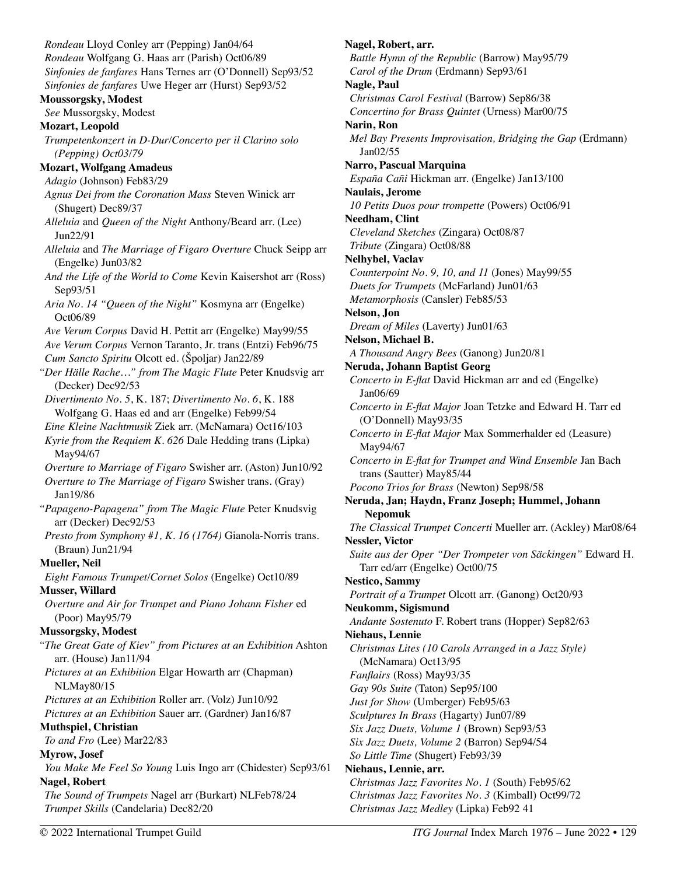*Rondeau* Lloyd Conley arr (Pepping) Jan04/64 *Rondeau* Wolfgang G. Haas arr (Parish) Oct06/89 *Sinfonies de fanfares* Hans Ternes arr (O'Donnell) Sep93/52 *Sinfonies de fanfares* Uwe Heger arr (Hurst) Sep93/52 **Moussorgsky, Modest**  *See* Mussorgsky, Modest **Mozart, Leopold**  *Trumpetenkonzert in D-Dur/Concerto per il Clarino solo (Pepping) Oct03/79* **Mozart, Wolfgang Amadeus**  *Adagio* (Johnson) Feb83/29 *Agnus Dei from the Coronation Mass* Steven Winick arr (Shugert) Dec89/37 *Alleluia* and *Queen of the Night* Anthony/Beard arr. (Lee) Jun22/91 *Alleluia* and *The Marriage of Figaro Overture* Chuck Seipp arr (Engelke) Jun03/82 *And the Life of the World to Come* Kevin Kaisershot arr (Ross) Sep93/51 *Aria No. 14 "Queen of the Night"* Kosmyna arr (Engelke) Oct06/89 *Ave Verum Corpus* David H. Pettit arr (Engelke) May99/55 *Ave Verum Corpus* Vernon Taranto, Jr. trans (Entzi) Feb96/75 *Cum Sancto Spiritu* Olcott ed. (Špoljar) Jan22/89 *"Der Hälle Rache…" from The Magic Flute* Peter Knudsvig arr (Decker) Dec92/53 *Divertimento No. 5*, K. 187; *Divertimento No. 6*, K. 188 Wolfgang G. Haas ed and arr (Engelke) Feb99/54 *Eine Kleine Nachtmusik* Ziek arr. (McNamara) Oct16/103 *Kyrie from the Requiem K. 626* Dale Hedding trans (Lipka) May94/67 *Overture to Marriage of Figaro* Swisher arr. (Aston) Jun10/92 *Overture to The Marriage of Figaro* Swisher trans. (Gray) Jan19/86 *"Papageno-Papagena" from The Magic Flute* Peter Knudsvig arr (Decker) Dec92/53 *Presto from Symphony #1, K. 16 (1764)* Gianola-Norris trans. (Braun) Jun21/94 **Mueller, Neil**  *Eight Famous Trumpet/Cornet Solos* (Engelke) Oct10/89 **Musser, Willard**  *Overture and Air for Trumpet and Piano Johann Fisher* ed (Poor) May95/79 **Mussorgsky, Modest**  *"The Great Gate of Kiev" from Pictures at an Exhibition* Ashton arr. (House) Jan11/94 *Pictures at an Exhibition* Elgar Howarth arr (Chapman) NLMay80/15 *Pictures at an Exhibition* Roller arr. (Volz) Jun10/92 *Pictures at an Exhibition* Sauer arr. (Gardner) Jan16/87 **Muthspiel, Christian**  *To and Fro* (Lee) Mar22/83 **Myrow, Josef**  *You Make Me Feel So Young* Luis Ingo arr (Chidester) Sep93/61 **Nagel, Robert**  *The Sound of Trumpets* Nagel arr (Burkart) NLFeb78/24 *Trumpet Skills* (Candelaria) Dec82/20

**Nagel, Robert, arr.**  *Battle Hymn of the Republic* (Barrow) May95/79 *Carol of the Drum* (Erdmann) Sep93/61 **Nagle, Paul**  *Christmas Carol Festival* (Barrow) Sep86/38 *Concertino for Brass Quintet* (Urness) Mar00/75 **Narin, Ron**  *Mel Bay Presents Improvisation, Bridging the Gap* (Erdmann) Jan02/55 **Narro, Pascual Marquina**  *España Cañi* Hickman arr. (Engelke) Jan13/100 **Naulais, Jerome**  *10 Petits Duos pour trompette* (Powers) Oct06/91 **Needham, Clint**  *Cleveland Sketches* (Zingara) Oct08/87 *Tribute* (Zingara) Oct08/88 **Nelhybel, Vaclav**  *Counterpoint No. 9, 10, and 11* (Jones) May99/55 *Duets for Trumpets* (McFarland) Jun01/63 *Metamorphosis* (Cansler) Feb85/53 **Nelson, Jon**  *Dream of Miles* (Laverty) Jun01/63 **Nelson, Michael B.**  *A Thousand Angry Bees* (Ganong) Jun20/81 **Neruda, Johann Baptist Georg**  *Concerto in E-flat* David Hickman arr and ed (Engelke) Jan06/69 *Concerto in E-flat Major* Joan Tetzke and Edward H. Tarr ed (O'Donnell) May93/35 *Concerto in E-flat Major* Max Sommerhalder ed (Leasure) May94/67 *Concerto in E-flat for Trumpet and Wind Ensemble* Jan Bach trans (Sautter) May85/44 *Pocono Trios for Brass* (Newton) Sep98/58 **Neruda, Jan; Haydn, Franz Joseph; Hummel, Johann Nepomuk**  *The Classical Trumpet Concerti* Mueller arr. (Ackley) Mar08/64 **Nessler, Victor**  *Suite aus der Oper "Der Trompeter von Säckingen"* Edward H. Tarr ed/arr (Engelke) Oct00/75 **Nestico, Sammy**  *Portrait of a Trumpet* Olcott arr. (Ganong) Oct20/93 **Neukomm, Sigismund**  *Andante Sostenuto* F. Robert trans (Hopper) Sep82/63 **Niehaus, Lennie**  *Christmas Lites (10 Carols Arranged in a Jazz Style)*  (McNamara) Oct13/95 *Fanflairs* (Ross) May93/35 *Gay 90s Suite* (Taton) Sep95/100 *Just for Show* (Umberger) Feb95/63 *Sculptures In Brass* (Hagarty) Jun07/89 *Six Jazz Duets, Volume 1* (Brown) Sep93/53 *Six Jazz Duets, Volume 2* (Barron) Sep94/54 *So Little Time* (Shugert) Feb93/39 **Niehaus, Lennie, arr.**  *Christmas Jazz Favorites No. 1* (South) Feb95/62 *Christmas Jazz Favorites No. 3* (Kimball) Oct99/72 *Christmas Jazz Medley* (Lipka) Feb92 41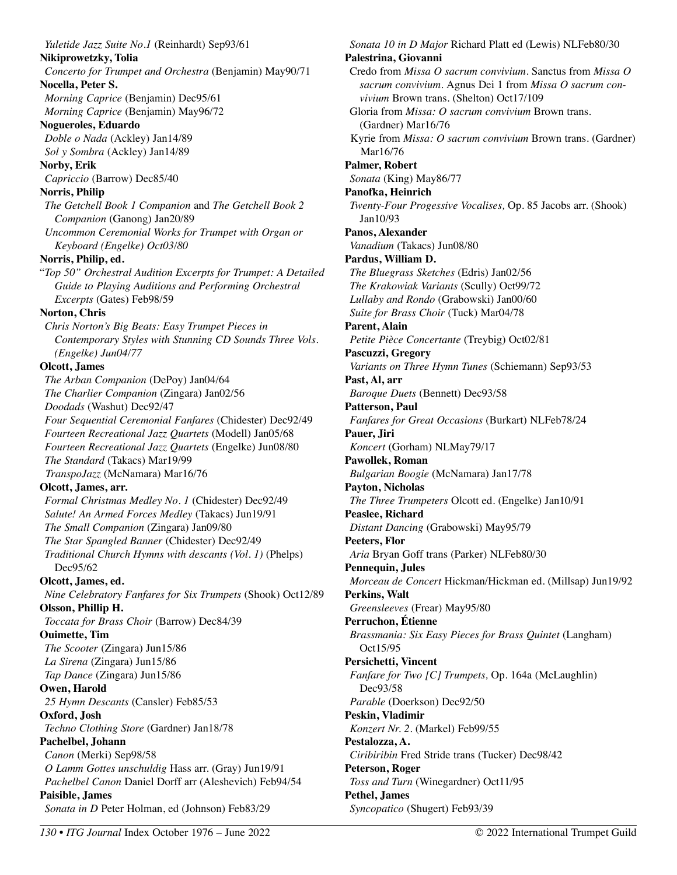*Yuletide Jazz Suite No.1* (Reinhardt) Sep93/61 **Nikiprowetzky, Tolia**  *Concerto for Trumpet and Orchestra* (Benjamin) May90/71 **Nocella, Peter S.**  *Morning Caprice* (Benjamin) Dec95/61 *Morning Caprice* (Benjamin) May96/72 **Nogueroles, Eduardo**  *Doble o Nada* (Ackley) Jan14/89 *Sol y Sombra* (Ackley) Jan14/89 **Norby, Erik**  *Capriccio* (Barrow) Dec85/40 **Norris, Philip**  *The Getchell Book 1 Companion* and *The Getchell Book 2 Companion* (Ganong) Jan20/89 *Uncommon Ceremonial Works for Trumpet with Organ or Keyboard (Engelke) Oct03/80* **Norris, Philip, ed.**  "*Top 50" Orchestral Audition Excerpts for Trumpet: A Detailed Guide to Playing Auditions and Performing Orchestral Excerpts* (Gates) Feb98/59 **Norton, Chris**  *Chris Norton's Big Beats: Easy Trumpet Pieces in Contemporary Styles with Stunning CD Sounds Three Vols. (Engelke) Jun04/77*  **Olcott, James**  *The Arban Companion* (DePoy) Jan04/64 *The Charlier Companion* (Zingara) Jan02/56 *Doodads* (Washut) Dec92/47 *Four Sequential Ceremonial Fanfares* (Chidester) Dec92/49 *Fourteen Recreational Jazz Quartets* (Modell) Jan05/68 *Fourteen Recreational Jazz Quartets* (Engelke) Jun08/80 *The Standard* (Takacs) Mar19/99 *TranspoJazz* (McNamara) Mar16/76 **Olcott, James, arr.**  *Formal Christmas Medley No. 1* (Chidester) Dec92/49 *Salute! An Armed Forces Medley* (Takacs) Jun19/91 *The Small Companion* (Zingara) Jan09/80 *The Star Spangled Banner* (Chidester) Dec92/49 *Traditional Church Hymns with descants (Vol. 1)* (Phelps) Dec95/62 **Olcott, James, ed.**  *Nine Celebratory Fanfares for Six Trumpets* (Shook) Oct12/89 **Olsson, Phillip H.**  *Toccata for Brass Choir* (Barrow) Dec84/39 **Ouimette, Tim**  *The Scooter* (Zingara) Jun15/86 *La Sirena* (Zingara) Jun15/86 *Tap Dance* (Zingara) Jun15/86 **Owen, Harold**  *25 Hymn Descants* (Cansler) Feb85/53 **Oxford, Josh**  *Techno Clothing Store* (Gardner) Jan18/78 **Pachelbel, Johann**  *Canon* (Merki) Sep98/58 *O Lamm Gottes unschuldig* Hass arr. (Gray) Jun19/91 *Pachelbel Canon* Daniel Dorff arr (Aleshevich) Feb94/54 **Paisible, James**  *Sonata in D* Peter Holman, ed (Johnson) Feb83/29

*Sonata 10 in D Major* Richard Platt ed (Lewis) NLFeb80/30 **Palestrina, Giovanni**  Credo from *Missa O sacrum convivium.* Sanctus from *Missa O sacrum convivium.* Agnus Dei 1 from *Missa O sacrum convivium* Brown trans. (Shelton) Oct17/109 Gloria from *Missa: O sacrum convivium* Brown trans. (Gardner) Mar16/76 Kyrie from *Missa: O sacrum convivium* Brown trans. (Gardner) Mar16/76 **Palmer, Robert**  *Sonata* (King) May86/77 **Panofka, Heinrich** *Twenty-Four Progessive Vocalises,* Op. 85 Jacobs arr. (Shook) Jan10/93 **Panos, Alexander** *Vanadium* (Takacs) Jun08/80 **Pardus, William D.** *The Bluegrass Sketches* (Edris) Jan02/56 *The Krakowiak Variants* (Scully) Oct99/72 *Lullaby and Rondo* (Grabowski) Jan00/60 *Suite for Brass Choir* (Tuck) Mar04/78 **Parent, Alain**  *Petite Pièce Concertante* (Treybig) Oct02/81 **Pascuzzi, Gregory**  *Variants on Three Hymn Tunes* (Schiemann) Sep93/53 **Past, Al, arr**  *Baroque Duets* (Bennett) Dec93/58 **Patterson, Paul**  *Fanfares for Great Occasions* (Burkart) NLFeb78/24 **Pauer, Jiri**  *Koncert* (Gorham) NLMay79/17 **Pawollek, Roman**  *Bulgarian Boogie* (McNamara) Jan17/78 **Payton, Nicholas**  *The Three Trumpeters* Olcott ed. (Engelke) Jan10/91 **Peaslee, Richard**  *Distant Dancing* (Grabowski) May95/79 **Peeters, Flor**  *Aria* Bryan Goff trans (Parker) NLFeb80/30 **Pennequin, Jules**  *Morceau de Concert* Hickman/Hickman ed. (Millsap) Jun19/92 **Perkins, Walt**  *Greensleeves* (Frear) May95/80 **Perruchon, Étienne**  *Brassmania: Six Easy Pieces for Brass Quintet* (Langham) Oct15/95 **Persichetti, Vincent**  *Fanfare for Two [C] Trumpets,* Op. 164a (McLaughlin) Dec93/58 *Parable* (Doerkson) Dec92/50 **Peskin, Vladimir**  *Konzert Nr. 2.* (Markel) Feb99/55 **Pestalozza, A.**  *Ciribiribin* Fred Stride trans (Tucker) Dec98/42 **Peterson, Roger**  *Toss and Turn* (Winegardner) Oct11/95 **Pethel, James**  *Syncopatico* (Shugert) Feb93/39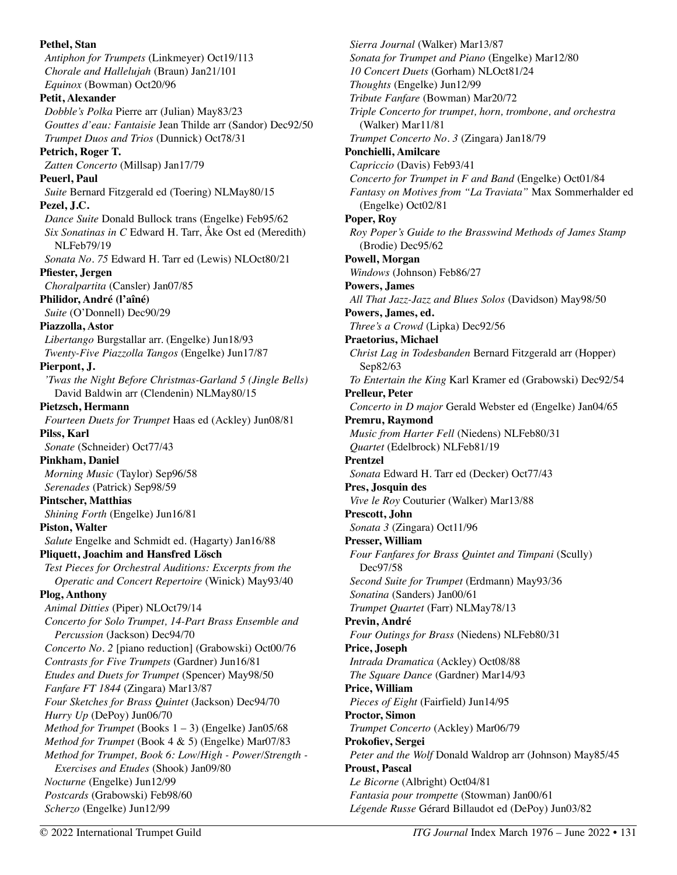**Pethel, Stan**  *Antiphon for Trumpets* (Linkmeyer) Oct19/113 *Chorale and Hallelujah* (Braun) Jan21/101 *Equinox* (Bowman) Oct20/96 **Petit, Alexander**  *Dobble's Polka* Pierre arr (Julian) May83/23 *Gouttes d'eau: Fantaisie* Jean Thilde arr (Sandor) Dec92/50 *Trumpet Duos and Trios* (Dunnick) Oct78/31 **Petrich, Roger T.**  *Zatten Concerto* (Millsap) Jan17/79 **Peuerl, Paul**  *Suite* Bernard Fitzgerald ed (Toering) NLMay80/15 **Pezel, J.C.**  *Dance Suite* Donald Bullock trans (Engelke) Feb95/62 *Six Sonatinas in C* Edward H. Tarr, Åke Ost ed (Meredith) NLFeb79/19 *Sonata No. 75* Edward H. Tarr ed (Lewis) NLOct80/21 **Pfiester, Jergen**  *Choralpartita* (Cansler) Jan07/85 **Philidor, André (l'aîné)**  *Suite* (O'Donnell) Dec90/29 **Piazzolla, Astor**  *Libertango* Burgstallar arr. (Engelke) Jun18/93 *Twenty-Five Piazzolla Tangos* (Engelke) Jun17/87 **Pierpont, J.**  *'Twas the Night Before Christmas-Garland 5 (Jingle Bells)*  David Baldwin arr (Clendenin) NLMay80/15 **Pietzsch, Hermann**  *Fourteen Duets for Trumpet* Haas ed (Ackley) Jun08/81 **Pilss, Karl**  *Sonate* (Schneider) Oct77/43 **Pinkham, Daniel**  *Morning Music* (Taylor) Sep96/58 *Serenades* (Patrick) Sep98/59 **Pintscher, Matthias**  *Shining Forth* (Engelke) Jun16/81 **Piston, Walter**  *Salute* Engelke and Schmidt ed. (Hagarty) Jan16/88 **Pliquett, Joachim and Hansfred Lösch**  *Test Pieces for Orchestral Auditions: Excerpts from the Operatic and Concert Repertoire* (Winick) May93/40 **Plog, Anthony**  *Animal Ditties* (Piper) NLOct79/14 *Concerto for Solo Trumpet, 14-Part Brass Ensemble and Percussion* (Jackson) Dec94/70 *Concerto No. 2* [piano reduction] (Grabowski) Oct00/76 *Contrasts for Five Trumpets* (Gardner) Jun16/81 *Etudes and Duets for Trumpet* (Spencer) May98/50 *Fanfare FT 1844* (Zingara) Mar13/87 *Four Sketches for Brass Quintet* (Jackson) Dec94/70 *Hurry Up* (DePoy) Jun06/70 *Method for Trumpet* (Books 1 – 3) (Engelke) Jan05/68 *Method for Trumpet* (Book 4 & 5) (Engelke) Mar07/83 *Method for Trumpet, Book 6: Low/High - Power/Strength - Exercises and Etudes* (Shook) Jan09/80 *Nocturne* (Engelke) Jun12/99 *Postcards* (Grabowski) Feb98/60 *Scherzo* (Engelke) Jun12/99

*Sierra Journal* (Walker) Mar13/87 *Sonata for Trumpet and Piano* (Engelke) Mar12/80 *10 Concert Duets* (Gorham) NLOct81/24 *Thoughts* (Engelke) Jun12/99 *Tribute Fanfare* (Bowman) Mar20/72 *Triple Concerto for trumpet, horn, trombone, and orchestra* (Walker) Mar11/81 *Trumpet Concerto No. 3* (Zingara) Jan18/79 **Ponchielli, Amilcare**  *Capriccio* (Davis) Feb93/41 *Concerto for Trumpet in F and Band* (Engelke) Oct01/84 *Fantasy on Motives from "La Traviata"* Max Sommerhalder ed (Engelke) Oct02/81 **Poper, Roy**  *Roy Poper's Guide to the Brasswind Methods of James Stamp*  (Brodie) Dec95/62 **Powell, Morgan**  *Windows* (Johnson) Feb86/27 **Powers, James**  *All That Jazz-Jazz and Blues Solos* (Davidson) May98/50 **Powers, James, ed.**  *Three's a Crowd* (Lipka) Dec92/56 **Praetorius, Michael**  *Christ Lag in Todesbanden* Bernard Fitzgerald arr (Hopper) Sep82/63 *To Entertain the King* Karl Kramer ed (Grabowski) Dec92/54 **Prelleur, Peter**  *Concerto in D major* Gerald Webster ed (Engelke) Jan04/65 **Premru, Raymond**  *Music from Harter Fell* (Niedens) NLFeb80/31 *Quartet* (Edelbrock) NLFeb81/19 **Prentzel**  *Sonata* Edward H. Tarr ed (Decker) Oct77/43 **Pres, Josquin des**  *Vive le Roy* Couturier (Walker) Mar13/88 **Prescott, John**  *Sonata 3* (Zingara) Oct11/96 **Presser, William**  *Four Fanfares for Brass Quintet and Timpani* (Scully) Dec97/58 *Second Suite for Trumpet* (Erdmann) May93/36 *Sonatina* (Sanders) Jan00/61 *Trumpet Quartet* (Farr) NLMay78/13 **Previn, André**  *Four Outings for Brass* (Niedens) NLFeb80/31 **Price, Joseph**  *Intrada Dramatica* (Ackley) Oct08/88 *The Square Dance* (Gardner) Mar14/93 **Price, William**  *Pieces of Eight* (Fairfield) Jun14/95 **Proctor, Simon**  *Trumpet Concerto* (Ackley) Mar06/79 **Prokofiev, Sergei**  *Peter and the Wolf* Donald Waldrop arr (Johnson) May85/45 **Proust, Pascal**  *Le Bicorne* (Albright) Oct04/81 *Fantasia pour trompette* (Stowman) Jan00/61 *Légende Russe* Gérard Billaudot ed (DePoy) Jun03/82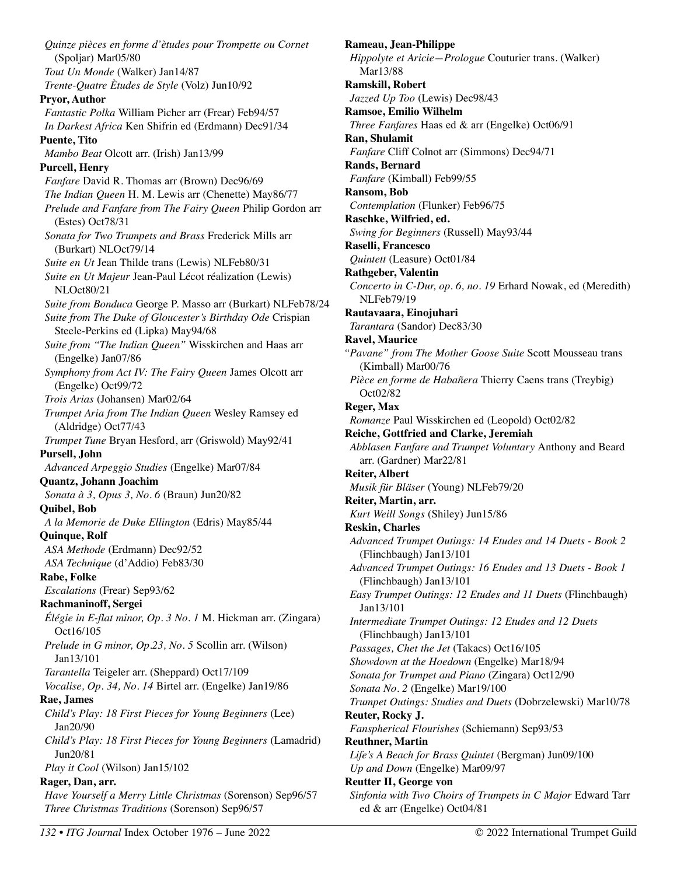*Quinze pièces en forme d'ètudes pour Trompette ou Cornet*  (Spoljar) Mar05/80 *Tout Un Monde* (Walker) Jan14/87 *Trente-Quatre Ètudes de Style* (Volz) Jun10/92 **Pryor, Author**  *Fantastic Polka* William Picher arr (Frear) Feb94/57 *In Darkest Africa* Ken Shifrin ed (Erdmann) Dec91/34 **Puente, Tito**  *Mambo Beat* Olcott arr. (Irish) Jan13/99 **Purcell, Henry**  *Fanfare* David R. Thomas arr (Brown) Dec96/69 *The Indian Queen* H. M. Lewis arr (Chenette) May86/77 *Prelude and Fanfare from The Fairy Queen* Philip Gordon arr (Estes) Oct78/31 *Sonata for Two Trumpets and Brass* Frederick Mills arr (Burkart) NLOct79/14 *Suite en Ut* Jean Thilde trans (Lewis) NLFeb80/31 *Suite en Ut Majeur* Jean-Paul Lécot réalization (Lewis) NLOct80/21 *Suite from Bonduca* George P. Masso arr (Burkart) NLFeb78/24 *Suite from The Duke of Gloucester's Birthday Ode* Crispian Steele-Perkins ed (Lipka) May94/68 *Suite from "The Indian Queen"* Wisskirchen and Haas arr (Engelke) Jan07/86 *Symphony from Act IV: The Fairy Queen* James Olcott arr (Engelke) Oct99/72 *Trois Arias* (Johansen) Mar02/64 *Trumpet Aria from The Indian Queen* Wesley Ramsey ed (Aldridge) Oct77/43 *Trumpet Tune* Bryan Hesford, arr (Griswold) May92/41 **Pursell, John**  *Advanced Arpeggio Studies* (Engelke) Mar07/84 **Quantz, Johann Joachim**  *Sonata à 3, Opus 3, No. 6* (Braun) Jun20/82 **Quibel, Bob**  *A la Memorie de Duke Ellington* (Edris) May85/44 **Quinque, Rolf**  *ASA Methode* (Erdmann) Dec92/52 *ASA Technique* (d'Addio) Feb83/30 **Rabe, Folke**  *Escalations* (Frear) Sep93/62 **Rachmaninoff, Sergei**  *Élégie in E-flat minor, Op. 3 No. 1* M. Hickman arr. (Zingara) Oct16/105 *Prelude in G minor, Op.23, No. 5* Scollin arr. (Wilson) Jan13/101 *Tarantella* Teigeler arr. (Sheppard) Oct17/109 *Vocalise, Op. 34, No. 14* Birtel arr. (Engelke) Jan19/86 **Rae, James**  *Child's Play: 18 First Pieces for Young Beginners* (Lee) Jan20/90 *Child's Play: 18 First Pieces for Young Beginners* (Lamadrid) Jun20/81 *Play it Cool* (Wilson) Jan15/102 **Rager, Dan, arr.**  *Have Yourself a Merry Little Christmas* (Sorenson) Sep96/57 *Three Christmas Traditions* (Sorenson) Sep96/57

**Rameau, Jean-Philippe**  *Hippolyte et Aricie—Prologue* Couturier trans. (Walker) Mar13/88 **Ramskill, Robert**  *Jazzed Up Too* (Lewis) Dec98/43 **Ramsoe, Emilio Wilhelm**  *Three Fanfares* Haas ed & arr (Engelke) Oct06/91 **Ran, Shulamit**  *Fanfare* Cliff Colnot arr (Simmons) Dec94/71 **Rands, Bernard**  *Fanfare* (Kimball) Feb99/55 **Ransom, Bob**  *Contemplation* (Flunker) Feb96/75 **Raschke, Wilfried, ed.**  *Swing for Beginners* (Russell) May93/44 **Raselli, Francesco**  *Quintett* (Leasure) Oct01/84 **Rathgeber, Valentin**  *Concerto in C-Dur, op. 6, no. 19* Erhard Nowak, ed (Meredith) NLFeb79/19 **Rautavaara, Einojuhari**  *Tarantara* (Sandor) Dec83/30 **Ravel, Maurice**  *"Pavane" from The Mother Goose Suite* Scott Mousseau trans (Kimball) Mar00/76 *Pièce en forme de Habañera* Thierry Caens trans (Treybig) Oct02/82 **Reger, Max**  *Romanze* Paul Wisskirchen ed (Leopold) Oct02/82 **Reiche, Gottfried and Clarke, Jeremiah**  *Abblasen Fanfare and Trumpet Voluntary* Anthony and Beard arr. (Gardner) Mar22/81 **Reiter, Albert**  *Musik für Bläser* (Young) NLFeb79/20 **Reiter, Martin, arr.**  *Kurt Weill Songs* (Shiley) Jun15/86 **Reskin, Charles**  *Advanced Trumpet Outings: 14 Etudes and 14 Duets - Book 2*  (Flinchbaugh) Jan13/101 *Advanced Trumpet Outings: 16 Etudes and 13 Duets - Book 1* (Flinchbaugh) Jan13/101 *Easy Trumpet Outings: 12 Etudes and 11 Duets* (Flinchbaugh) Jan13/101 *Intermediate Trumpet Outings: 12 Etudes and 12 Duets* (Flinchbaugh) Jan13/101 *Passages, Chet the Jet* (Takacs) Oct16/105 *Showdown at the Hoedown* (Engelke) Mar18/94 *Sonata for Trumpet and Piano* (Zingara) Oct12/90 *Sonata No. 2* (Engelke) Mar19/100 *Trumpet Outings: Studies and Duets* (Dobrzelewski) Mar10/78 **Reuter, Rocky J.**  *Fanspherical Flourishes* (Schiemann) Sep93/53 **Reuthner, Martin**  *Life's A Beach for Brass Quintet* (Bergman) Jun09/100 *Up and Down* (Engelke) Mar09/97 **Reutter II, George von**  *Sinfonia with Two Choirs of Trumpets in C Major* Edward Tarr ed & arr (Engelke) Oct04/81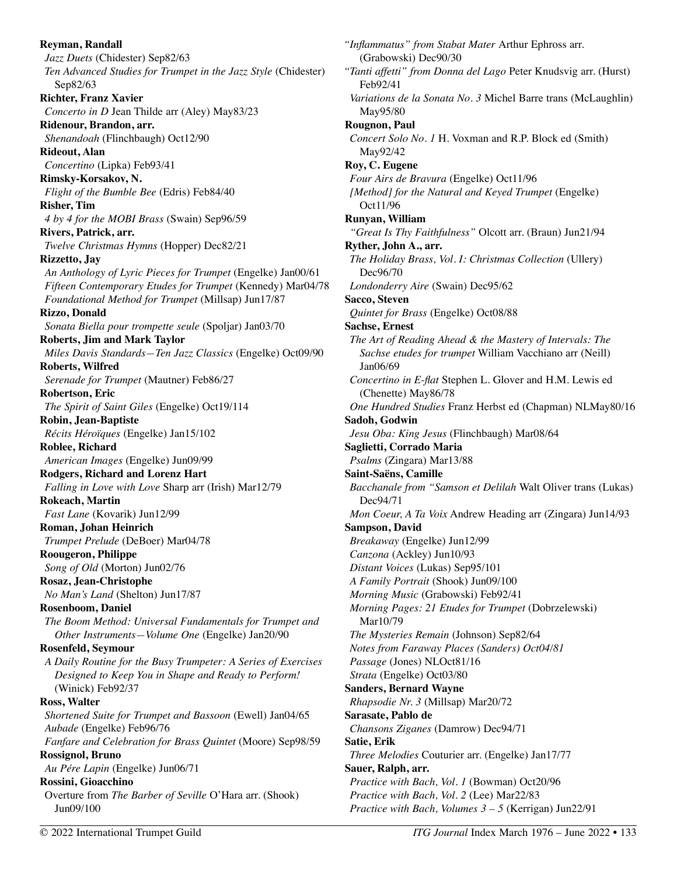**Reyman, Randall**  *Jazz Duets* (Chidester) Sep82/63 *Ten Advanced Studies for Trumpet in the Jazz Style* (Chidester) Sep82/63 **Richter, Franz Xavier**  *Concerto in D* Jean Thilde arr (Aley) May83/23 **Ridenour, Brandon, arr.**  *Shenandoah* (Flinchbaugh) Oct12/90 **Rideout, Alan**  *Concertino* (Lipka) Feb93/41 **Rimsky-Korsakov, N.**  *Flight of the Bumble Bee* (Edris) Feb84/40 **Risher, Tim**  *4 by 4 for the MOBI Brass* (Swain) Sep96/59 **Rivers, Patrick, arr.**  *Twelve Christmas Hymns* (Hopper) Dec82/21 **Rizzetto, Jay**  *An Anthology of Lyric Pieces for Trumpet* (Engelke) Jan00/61 *Fifteen Contemporary Etudes for Trumpet* (Kennedy) Mar04/78 *Foundational Method for Trumpet* (Millsap) Jun17/87 **Rizzo, Donald**  *Sonata Biella pour trompette seule* (Spoljar) Jan03/70 **Roberts, Jim and Mark Taylor**  *Miles Davis Standards—Ten Jazz Classics* (Engelke) Oct09/90 **Roberts, Wilfred**  *Serenade for Trumpet* (Mautner) Feb86/27 **Robertson, Eric**  *The Spirit of Saint Giles* (Engelke) Oct19/114 **Robin, Jean-Baptiste**  *Récits Héroïques* (Engelke) Jan15/102 **Roblee, Richard**  *American Images* (Engelke) Jun09/99 **Rodgers, Richard and Lorenz Hart**  *Falling in Love with Love* Sharp arr (Irish) Mar12/79 **Rokeach, Martin**  *Fast Lane* (Kovarik) Jun12/99 **Roman, Johan Heinrich**  *Trumpet Prelude* (DeBoer) Mar04/78 **Roougeron, Philippe**  *Song of Old* (Morton) Jun02/76 **Rosaz, Jean-Christophe**  *No Man's Land* (Shelton) Jun17/87 **Rosenboom, Daniel**  *The Boom Method: Universal Fundamentals for Trumpet and Other Instruments—Volume One* (Engelke) Jan20/90 **Rosenfeld, Seymour**  *A Daily Routine for the Busy Trumpeter: A Series of Exercises Designed to Keep You in Shape and Ready to Perform!*  (Winick) Feb92/37 **Ross, Walter**  *Shortened Suite for Trumpet and Bassoon* (Ewell) Jan04/65 *Aubade* (Engelke) Feb96/76 *Fanfare and Celebration for Brass Quintet* (Moore) Sep98/59 **Rossignol, Bruno**  *Au Pére Lapin* (Engelke) Jun06/71 **Rossini, Gioacchino**  Overture from *The Barber of Seville* O'Hara arr. (Shook) Jun09/100

*"Inflammatus" from Stabat Mater* Arthur Ephross arr. (Grabowski) Dec90/30 *"Tanti affetti" from Donna del Lago* Peter Knudsvig arr. (Hurst) Feb92/41 *Variations de la Sonata No. 3* Michel Barre trans (McLaughlin) May95/80 **Rougnon, Paul**  *Concert Solo No. 1* H. Voxman and R.P. Block ed (Smith) May92/42 **Roy, C. Eugene**  *Four Airs de Bravura* (Engelke) Oct11/96 *[Method] for the Natural and Keyed Trumpet* (Engelke) Oct11/96 **Runyan, William**  *"Great Is Thy Faithfulness"* Olcott arr. (Braun) Jun21/94 **Ryther, John A., arr.**  *The Holiday Brass, Vol. I: Christmas Collection* (Ullery) Dec96/70 *Londonderry Aire* (Swain) Dec95/62 **Sacco, Steven**  *Quintet for Brass* (Engelke) Oct08/88 **Sachse, Ernest**  *The Art of Reading Ahead & the Mastery of Intervals: The Sachse etudes for trumpet* William Vacchiano arr (Neill) Jan06/69 *Concertino in E-flat* Stephen L. Glover and H.M. Lewis ed (Chenette) May86/78 *One Hundred Studies* Franz Herbst ed (Chapman) NLMay80/16 **Sadoh, Godwin**  *Jesu Oba: King Jesus* (Flinchbaugh) Mar08/64 **Saglietti, Corrado Maria**  *Psalms* (Zingara) Mar13/88 **Saint-Saëns, Camille**  *Bacchanale from "Samson et Delilah* Walt Oliver trans (Lukas) Dec94/71 *Mon Coeur, A Ta Voix* Andrew Heading arr (Zingara) Jun14/93 **Sampson, David**  *Breakaway* (Engelke) Jun12/99 *Canzona* (Ackley) Jun10/93 *Distant Voices* (Lukas) Sep95/101 *A Family Portrait* (Shook) Jun09/100 *Morning Music* (Grabowski) Feb92/41 *Morning Pages: 21 Etudes for Trumpet* (Dobrzelewski) Mar10/79 *The Mysteries Remain* (Johnson) Sep82/64 *Notes from Faraway Places (Sanders) Oct04/81 Passage* (Jones) NLOct81/16 *Strata* (Engelke) Oct03/80 **Sanders, Bernard Wayne**  *Rhapsodie Nr. 3* (Millsap) Mar20/72 **Sarasate, Pablo de**  *Chansons Ziganes* (Damrow) Dec94/71 **Satie, Erik**  *Three Melodies* Couturier arr. (Engelke) Jan17/77 **Sauer, Ralph, arr.**  *Practice with Bach, Vol. 1* (Bowman) Oct20/96 *Practice with Bach, Vol. 2* (Lee) Mar22/83 *Practice with Bach, Volumes 3 – 5* (Kerrigan) Jun22/91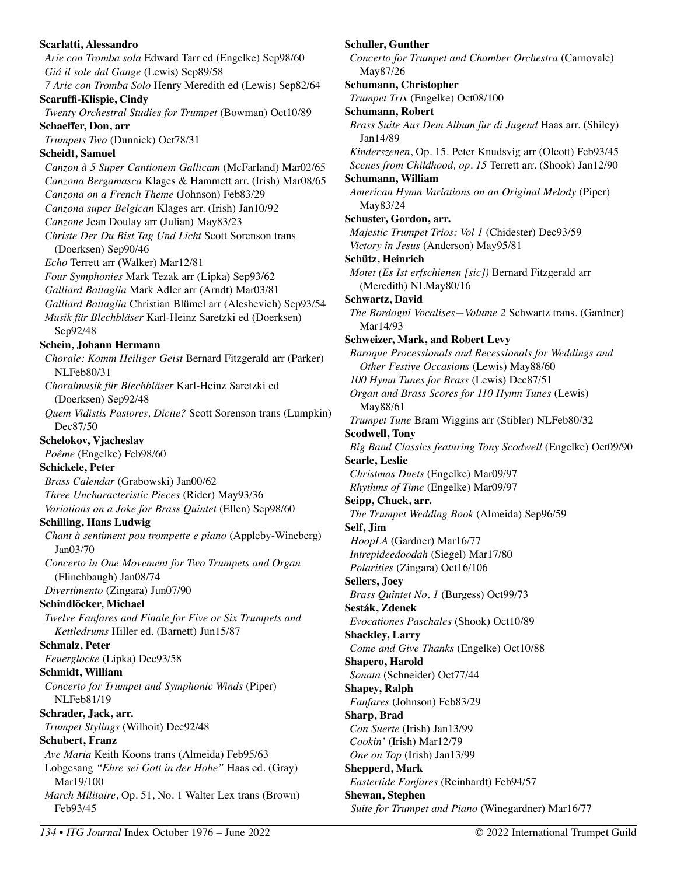**Scarlatti, Alessandro**  *Arie con Tromba sola* Edward Tarr ed (Engelke) Sep98/60 *Giá il sole dal Gange* (Lewis) Sep89/58 *7 Arie con Tromba Solo* Henry Meredith ed (Lewis) Sep82/64 **Scaruffi-Klispie, Cindy**  *Twenty Orchestral Studies for Trumpet* (Bowman) Oct10/89 **Schaeffer, Don, arr**  *Trumpets Two* (Dunnick) Oct78/31 **Scheidt, Samuel**  *Canzon à 5 Super Cantionem Gallicam* (McFarland) Mar02/65 *Canzona Bergamasca* Klages & Hammett arr. (Irish) Mar08/65 *Canzona on a French Theme* (Johnson) Feb83/29 *Canzona super Belgican* Klages arr. (Irish) Jan10/92 *Canzone* Jean Doulay arr (Julian) May83/23 *Christe Der Du Bist Tag Und Licht* Scott Sorenson trans (Doerksen) Sep90/46 *Echo* Terrett arr (Walker) Mar12/81 *Four Symphonies* Mark Tezak arr (Lipka) Sep93/62 *Galliard Battaglia* Mark Adler arr (Arndt) Mar03/81 *Galliard Battaglia* Christian Blümel arr (Aleshevich) Sep93/54 *Musik für Blechbläser* Karl-Heinz Saretzki ed (Doerksen) Sep92/48 **Schein, Johann Hermann**  *Chorale: Komm Heiliger Geist* Bernard Fitzgerald arr (Parker) NLFeb80/31 *Choralmusik für Blechbläser* Karl-Heinz Saretzki ed (Doerksen) Sep92/48 *Quem Vidistis Pastores, Dicite?* Scott Sorenson trans (Lumpkin) Dec87/50 **Schelokov, Vjacheslav**  *Poême* (Engelke) Feb98/60 **Schickele, Peter**  *Brass Calendar* (Grabowski) Jan00/62 *Three Uncharacteristic Pieces* (Rider) May93/36 *Variations on a Joke for Brass Quintet* (Ellen) Sep98/60 **Schilling, Hans Ludwig**  *Chant à sentiment pou trompette e piano* (Appleby-Wineberg) Jan03/70 *Concerto in One Movement for Two Trumpets and Organ* (Flinchbaugh) Jan08/74 *Divertimento* (Zingara) Jun07/90 **Schindlöcker, Michael**  *Twelve Fanfares and Finale for Five or Six Trumpets and Kettledrums* Hiller ed. (Barnett) Jun15/87 **Schmalz, Peter**  *Feuerglocke* (Lipka) Dec93/58 **Schmidt, William**  *Concerto for Trumpet and Symphonic Winds* (Piper) NLFeb81/19 **Schrader, Jack, arr.**  *Trumpet Stylings* (Wilhoit) Dec92/48 **Schubert, Franz**  *Ave Maria* Keith Koons trans (Almeida) Feb95/63 Lobgesang *"Ehre sei Gott in der Hohe"* Haas ed. (Gray) Mar19/100 *March Militaire*, Op. 51, No. 1 Walter Lex trans (Brown) Feb93/45

**Schuller, Gunther**  *Concerto for Trumpet and Chamber Orchestra* (Carnovale) May87/26 **Schumann, Christopher**  *Trumpet Trix* (Engelke) Oct08/100 **Schumann, Robert**  *Brass Suite Aus Dem Album für di Jugend* Haas arr. (Shiley) Jan14/89 *Kinderszenen*, Op. 15. Peter Knudsvig arr (Olcott) Feb93/45 *Scenes from Childhood, op. 15* Terrett arr. (Shook) Jan12/90 **Schumann, William**  *American Hymn Variations on an Original Melody* (Piper) May83/24 **Schuster, Gordon, arr.**  *Majestic Trumpet Trios: Vol 1* (Chidester) Dec93/59 *Victory in Jesus* (Anderson) May95/81 **Schütz, Heinrich**  *Motet (Es Ist erfschienen [sic])* Bernard Fitzgerald arr (Meredith) NLMay80/16 **Schwartz, David**  *The Bordogni Vocalises—Volume 2* Schwartz trans. (Gardner) Mar14/93 **Schweizer, Mark, and Robert Levy**  *Baroque Processionals and Recessionals for Weddings and Other Festive Occasions* (Lewis) May88/60 *100 Hymn Tunes for Brass* (Lewis) Dec87/51 *Organ and Brass Scores for 110 Hymn Tunes* (Lewis) May88/61 *Trumpet Tune* Bram Wiggins arr (Stibler) NLFeb80/32 **Scodwell, Tony**  *Big Band Classics featuring Tony Scodwell* (Engelke) Oct09/90 **Searle, Leslie**  *Christmas Duets* (Engelke) Mar09/97 *Rhythms of Time* (Engelke) Mar09/97 **Seipp, Chuck, arr.**  *The Trumpet Wedding Book* (Almeida) Sep96/59 **Self, Jim**  *HoopLA* (Gardner) Mar16/77 *Intrepideedoodah* (Siegel) Mar17/80 *Polarities* (Zingara) Oct16/106 **Sellers, Joey**  *Brass Quintet No. 1* (Burgess) Oct99/73 **Sesták, Zdenek**  *Evocationes Paschales* (Shook) Oct10/89 **Shackley, Larry**  *Come and Give Thanks* (Engelke) Oct10/88 **Shapero, Harold**  *Sonata* (Schneider) Oct77/44 **Shapey, Ralph**  *Fanfares* (Johnson) Feb83/29 **Sharp, Brad**  *Con Suerte* (Irish) Jan13/99 *Cookin'* (Irish) Mar12/79 *One on Top* (Irish) Jan13/99 **Shepperd, Mark**  *Eastertide Fanfares* (Reinhardt) Feb94/57 **Shewan, Stephen**  *Suite for Trumpet and Piano* (Winegardner) Mar16/77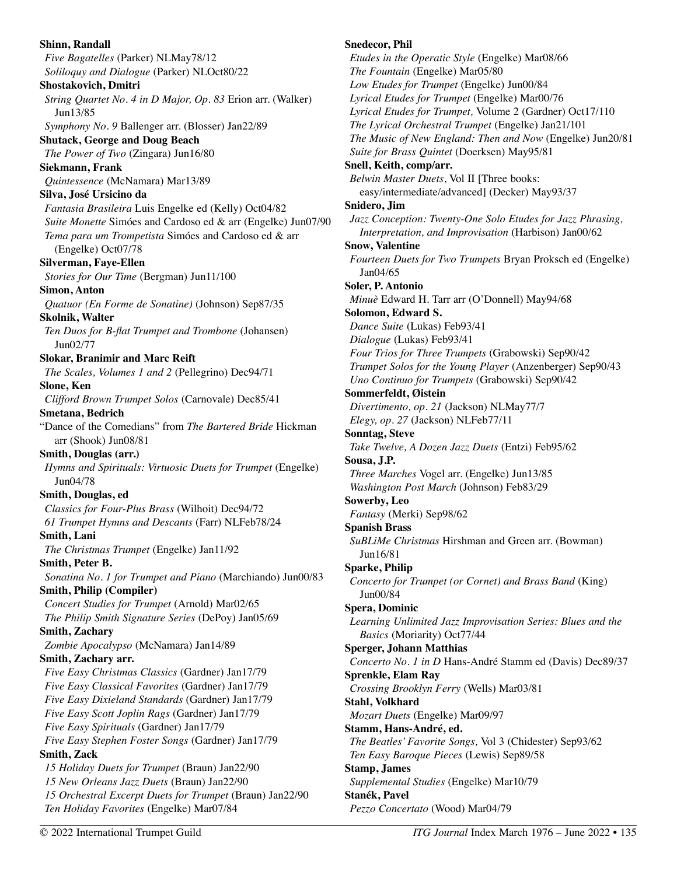**Shinn, Randall**  *Five Bagatelles* (Parker) NLMay78/12 *Soliloquy and Dialogue* (Parker) NLOct80/22 **Shostakovich, Dmitri**  *String Quartet No. 4 in D Major, Op. 83* Erion arr. (Walker) Jun13/85 *Symphony No. 9* Ballenger arr. (Blosser) Jan22/89 **Shutack, George and Doug Beach**  *The Power of Two* (Zingara) Jun16/80 **Siekmann, Frank**  *Quintessence* (McNamara) Mar13/89 **Silva, José Ursicino da**  *Fantasia Brasileira* Luis Engelke ed (Kelly) Oct04/82 *Suite Monette* Simóes and Cardoso ed & arr (Engelke) Jun07/90 *Tema para um Trompetista* Simóes and Cardoso ed & arr (Engelke) Oct07/78 **Silverman, Faye-Ellen**  *Stories for Our Time* (Bergman) Jun11/100 **Simon, Anton**  *Quatuor (En Forme de Sonatine)* (Johnson) Sep87/35 **Skolnik, Walter**  *Ten Duos for B-flat Trumpet and Trombone* (Johansen) Jun02/77 **Slokar, Branimir and Marc Reift**  *The Scales, Volumes 1 and 2* (Pellegrino) Dec94/71 **Slone, Ken**  *Clifford Brown Trumpet Solos* (Carnovale) Dec85/41 **Smetana, Bedrich**  "Dance of the Comedians" from *The Bartered Bride* Hickman arr (Shook) Jun08/81 **Smith, Douglas (arr.)**  *Hymns and Spirituals: Virtuosic Duets for Trumpet* (Engelke) Jun04/78 **Smith, Douglas, ed**  *Classics for Four-Plus Brass* (Wilhoit) Dec94/72 *61 Trumpet Hymns and Descants* (Farr) NLFeb78/24 **Smith, Lani**  *The Christmas Trumpet* (Engelke) Jan11/92 **Smith, Peter B.**  *Sonatina No. 1 for Trumpet and Piano* (Marchiando) Jun00/83 **Smith, Philip (Compiler)**  *Concert Studies for Trumpet* (Arnold) Mar02/65 *The Philip Smith Signature Series* (DePoy) Jan05/69 **Smith, Zachary**  *Zombie Apocalypso* (McNamara) Jan14/89 **Smith, Zachary arr.**  *Five Easy Christmas Classics* (Gardner) Jan17/79 *Five Easy Classical Favorites* (Gardner) Jan17/79 *Five Easy Dixieland Standards* (Gardner) Jan17/79 *Five Easy Scott Joplin Rags* (Gardner) Jan17/79 *Five Easy Spirituals* (Gardner) Jan17/79 *Five Easy Stephen Foster Songs* (Gardner) Jan17/79 **Smith, Zack**  *15 Holiday Duets for Trumpet* (Braun) Jan22/90 *15 New Orleans Jazz Duets* (Braun) Jan22/90 *15 Orchestral Excerpt Duets for Trumpet* (Braun) Jan22/90 *Ten Holiday Favorites* (Engelke) Mar07/84

**Snedecor, Phil**  *Etudes in the Operatic Style* (Engelke) Mar08/66 *The Fountain* (Engelke) Mar05/80 *Low Etudes for Trumpet* (Engelke) Jun00/84 *Lyrical Etudes for Trumpet* (Engelke) Mar00/76 *Lyrical Etudes for Trumpet,* Volume 2 (Gardner) Oct17/110 *The Lyrical Orchestral Trumpet* (Engelke) Jan21/101 *The Music of New England: Then and Now* (Engelke) Jun20/81 *Suite for Brass Quintet* (Doerksen) May95/81 **Snell, Keith, comp/arr.**  *Belwin Master Duets*, Vol II [Three books: easy/intermediate/advanced] (Decker) May93/37 **Snidero, Jim**  *Jazz Conception: Twenty-One Solo Etudes for Jazz Phrasing, Interpretation, and Improvisation* (Harbison) Jan00/62 **Snow, Valentine**  *Fourteen Duets for Two Trumpets* Bryan Proksch ed (Engelke) Jan04/65 **Soler, P. Antonio**  *Minuè* Edward H. Tarr arr (O'Donnell) May94/68 **Solomon, Edward S.**  *Dance Suite* (Lukas) Feb93/41 *Dialogue* (Lukas) Feb93/41 *Four Trios for Three Trumpets* (Grabowski) Sep90/42 *Trumpet Solos for the Young Player* (Anzenberger) Sep90/43 *Uno Continuo for Trumpets* (Grabowski) Sep90/42 **Sommerfeldt, Øistein**  *Divertimento, op. 21* (Jackson) NLMay77/7 *Elegy, op. 27* (Jackson) NLFeb77/11 **Sonntag, Steve**  *Take Twelve, A Dozen Jazz Duets* (Entzi) Feb95/62 **Sousa, J.P.**  *Three Marches* Vogel arr. (Engelke) Jun13/85 *Washington Post March* (Johnson) Feb83/29 **Sowerby, Leo**  *Fantasy* (Merki) Sep98/62 **Spanish Brass**  *SuBLiMe Christmas* Hirshman and Green arr. (Bowman) Jun16/81 **Sparke, Philip**  *Concerto for Trumpet (or Cornet) and Brass Band* (King) Jun00/84 **Spera, Dominic**  *Learning Unlimited Jazz Improvisation Series: Blues and the Basics* (Moriarity) Oct77/44 **Sperger, Johann Matthias**  *Concerto No. 1 in D* Hans-André Stamm ed (Davis) Dec89/37 **Sprenkle, Elam Ray**  *Crossing Brooklyn Ferry* (Wells) Mar03/81 **Stahl, Volkhard**  *Mozart Duets* (Engelke) Mar09/97 **Stamm, Hans-André, ed.**  *The Beatles' Favorite Songs,* Vol 3 (Chidester) Sep93/62 *Ten Easy Baroque Pieces* (Lewis) Sep89/58 **Stamp, James**  *Supplemental Studies* (Engelke) Mar10/79 **Stanék, Pavel**  *Pezzo Concertato* (Wood) Mar04/79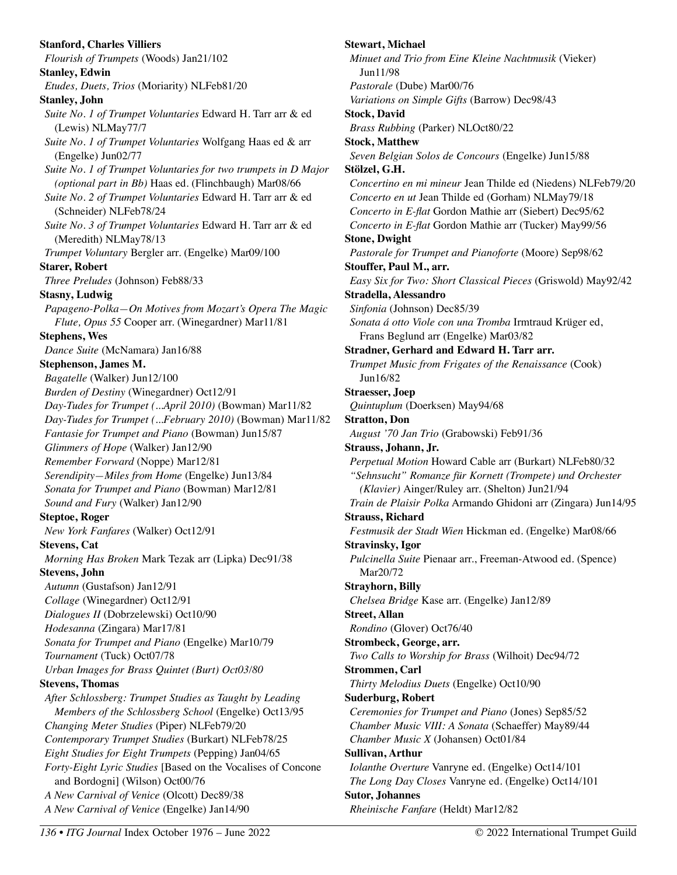**Stanford, Charles Villiers**  *Flourish of Trumpets* (Woods) Jan21/102 **Stanley, Edwin**  *Etudes, Duets, Trios* (Moriarity) NLFeb81/20 **Stanley, John**  *Suite No. 1 of Trumpet Voluntaries* Edward H. Tarr arr & ed (Lewis) NLMay77/7 *Suite No. 1 of Trumpet Voluntaries* Wolfgang Haas ed & arr (Engelke) Jun02/77 *Suite No. 1 of Trumpet Voluntaries for two trumpets in D Major (optional part in Bb)* Haas ed. (Flinchbaugh) Mar08/66 *Suite No. 2 of Trumpet Voluntaries* Edward H. Tarr arr & ed (Schneider) NLFeb78/24 *Suite No. 3 of Trumpet Voluntaries* Edward H. Tarr arr & ed (Meredith) NLMay78/13 *Trumpet Voluntary* Bergler arr. (Engelke) Mar09/100 **Starer, Robert**  *Three Preludes* (Johnson) Feb88/33 **Stasny, Ludwig**  *Papageno-Polka—On Motives from Mozart's Opera The Magic Flute, Opus 55* Cooper arr. (Winegardner) Mar11/81 **Stephens, Wes**  *Dance Suite* (McNamara) Jan16/88 **Stephenson, James M.**  *Bagatelle* (Walker) Jun12/100 *Burden of Destiny* (Winegardner) Oct12/91 *Day-Tudes for Trumpet (...April 2010)* (Bowman) Mar11/82 *Day-Tudes for Trumpet (...February 2010)* (Bowman) Mar11/82 *Fantasie for Trumpet and Piano* (Bowman) Jun15/87 *Glimmers of Hope* (Walker) Jan12/90 *Remember Forward* (Noppe) Mar12/81 *Serendipity—Miles from Home* (Engelke) Jun13/84 *Sonata for Trumpet and Piano* (Bowman) Mar12/81 *Sound and Fury* (Walker) Jan12/90 **Steptoe, Roger**  *New York Fanfares* (Walker) Oct12/91 **Stevens, Cat**  *Morning Has Broken* Mark Tezak arr (Lipka) Dec91/38 **Stevens, John**  *Autumn* (Gustafson) Jan12/91 *Collage* (Winegardner) Oct12/91 *Dialogues II* (Dobrzelewski) Oct10/90 *Hodesanna* (Zingara) Mar17/81 *Sonata for Trumpet and Piano* (Engelke) Mar10/79 *Tournament* (Tuck) Oct07/78 *Urban Images for Brass Quintet (Burt) Oct03/80*  **Stevens, Thomas**  *After Schlossberg: Trumpet Studies as Taught by Leading Members of the Schlossberg School* (Engelke) Oct13/95 *Changing Meter Studies* (Piper) NLFeb79/20 *Contemporary Trumpet Studies* (Burkart) NLFeb78/25 *Eight Studies for Eight Trumpets* (Pepping) Jan04/65 *Forty-Eight Lyric Studies* [Based on the Vocalises of Concone and Bordogni] (Wilson) Oct00/76 *A New Carnival of Venice* (Olcott) Dec89/38 *A New Carnival of Venice* (Engelke) Jan14/90

**Stewart, Michael**  *Minuet and Trio from Eine Kleine Nachtmusik* (Vieker) Jun11/98 *Pastorale* (Dube) Mar00/76 *Variations on Simple Gifts* (Barrow) Dec98/43 **Stock, David**  *Brass Rubbing* (Parker) NLOct80/22 **Stock, Matthew**  *Seven Belgian Solos de Concours* (Engelke) Jun15/88 **Stölzel, G.H.**  *Concertino en mi mineur* Jean Thilde ed (Niedens) NLFeb79/20 *Concerto en ut* Jean Thilde ed (Gorham) NLMay79/18 *Concerto in E-flat* Gordon Mathie arr (Siebert) Dec95/62 *Concerto in E-flat* Gordon Mathie arr (Tucker) May99/56 **Stone, Dwight**  *Pastorale for Trumpet and Pianoforte* (Moore) Sep98/62 **Stouffer, Paul M., arr.**  *Easy Six for Two: Short Classical Pieces* (Griswold) May92/42 **Stradella, Alessandro**  *Sinfonia* (Johnson) Dec85/39 *Sonata á otto Viole con una Tromba* Irmtraud Krüger ed, Frans Beglund arr (Engelke) Mar03/82 **Stradner, Gerhard and Edward H. Tarr arr.**  *Trumpet Music from Frigates of the Renaissance* (Cook) Jun16/82 **Straesser, Joep**  *Quintuplum* (Doerksen) May94/68 **Stratton, Don**  *August '70 Jan Trio* (Grabowski) Feb91/36 **Strauss, Johann, Jr.**  *Perpetual Motion* Howard Cable arr (Burkart) NLFeb80/32 *"Sehnsucht" Romanze für Kornett (Trompete) und Orchester (Klavier)* Ainger/Ruley arr. (Shelton) Jun21/94 *Train de Plaisir Polka* Armando Ghidoni arr (Zingara) Jun14/95 **Strauss, Richard**  *Festmusik der Stadt Wien* Hickman ed. (Engelke) Mar08/66 **Stravinsky, Igor**  *Pulcinella Suite* Pienaar arr., Freeman-Atwood ed. (Spence) Mar20/72 **Strayhorn, Billy**  *Chelsea Bridge* Kase arr. (Engelke) Jan12/89 **Street, Allan**  *Rondino* (Glover) Oct76/40 **Strombeck, George, arr.**  *Two Calls to Worship for Brass* (Wilhoit) Dec94/72 **Strommen, Carl**  *Thirty Melodius Duets* (Engelke) Oct10/90 **Suderburg, Robert**  *Ceremonies for Trumpet and Piano* (Jones) Sep85/52 *Chamber Music VIII: A Sonata* (Schaeffer) May89/44 *Chamber Music X* (Johansen) Oct01/84 **Sullivan, Arthur**  *Iolanthe Overture* Vanryne ed. (Engelke) Oct14/101 *The Long Day Closes* Vanryne ed. (Engelke) Oct14/101 **Sutor, Johannes**  *Rheinische Fanfare* (Heldt) Mar12/82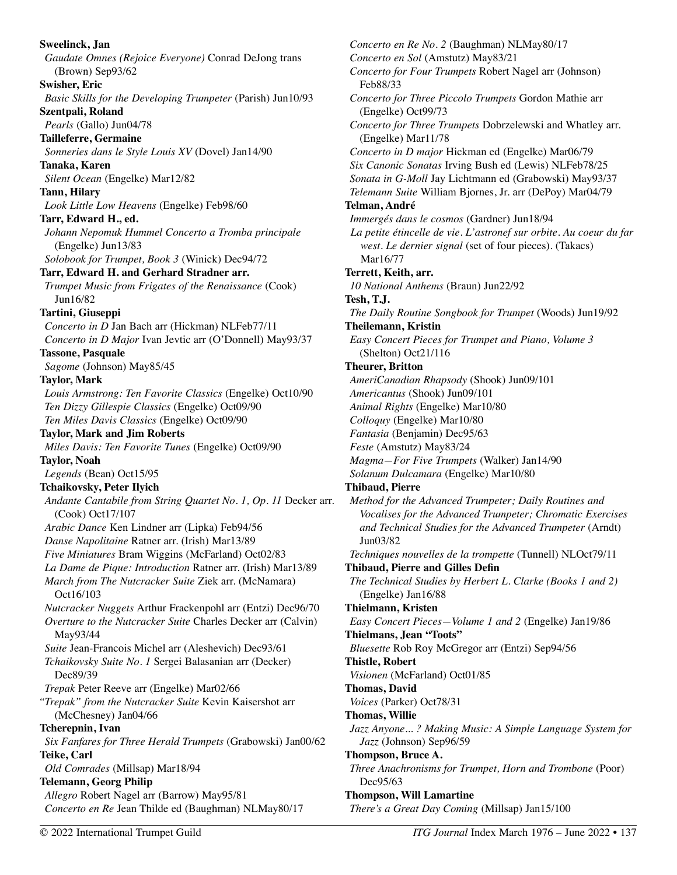**Sweelinck, Jan**  *Gaudate Omnes (Rejoice Everyone)* Conrad DeJong trans (Brown) Sep93/62 **Swisher, Eric**  *Basic Skills for the Developing Trumpeter* (Parish) Jun10/93 **Szentpali, Roland**  *Pearls* (Gallo) Jun04/78 **Tailleferre, Germaine**  *Sonneries dans le Style Louis XV* (Dovel) Jan14/90 **Tanaka, Karen**  *Silent Ocean* (Engelke) Mar12/82 **Tann, Hilary**  *Look Little Low Heavens* (Engelke) Feb98/60 **Tarr, Edward H., ed.**  *Johann Nepomuk Hummel Concerto a Tromba principale* (Engelke) Jun13/83 *Solobook for Trumpet, Book 3* (Winick) Dec94/72 **Tarr, Edward H. and Gerhard Stradner arr.**  *Trumpet Music from Frigates of the Renaissance* (Cook) Jun16/82 **Tartini, Giuseppi**  *Concerto in D* Jan Bach arr (Hickman) NLFeb77/11 *Concerto in D Major* Ivan Jevtic arr (O'Donnell) May93/37 **Tassone, Pasquale**  *Sagome* (Johnson) May85/45 **Taylor, Mark**  *Louis Armstrong: Ten Favorite Classics* (Engelke) Oct10/90 *Ten Dizzy Gillespie Classics* (Engelke) Oct09/90 *Ten Miles Davis Classics* (Engelke) Oct09/90 **Taylor, Mark and Jim Roberts**  *Miles Davis: Ten Favorite Tunes* (Engelke) Oct09/90 **Taylor, Noah**  *Legends* (Bean) Oct15/95 **Tchaikovsky, Peter Ilyich**  *Andante Cantabile from String Quartet No. 1, Op. 11* Decker arr. (Cook) Oct17/107 *Arabic Dance* Ken Lindner arr (Lipka) Feb94/56 *Danse Napolitaine* Ratner arr. (Irish) Mar13/89 *Five Miniatures* Bram Wiggins (McFarland) Oct02/83 *La Dame de Pique: Introduction* Ratner arr. (Irish) Mar13/89 *March from The Nutcracker Suite* Ziek arr. (McNamara) Oct16/103 *Nutcracker Nuggets* Arthur Frackenpohl arr (Entzi) Dec96/70 *Overture to the Nutcracker Suite* Charles Decker arr (Calvin) May93/44 *Suite* Jean-Francois Michel arr (Aleshevich) Dec93/61 *Tchaikovsky Suite No. 1* Sergei Balasanian arr (Decker) Dec89/39 *Trepak* Peter Reeve arr (Engelke) Mar02/66 *"Trepak" from the Nutcracker Suite* Kevin Kaisershot arr (McChesney) Jan04/66 **Tcherepnin, Ivan**  *Six Fanfares for Three Herald Trumpets* (Grabowski) Jan00/62 **Teike, Carl** *Old Comrades* (Millsap) Mar18/94 **Telemann, Georg Philip** *Allegro* Robert Nagel arr (Barrow) May95/81 *Concerto en Re* Jean Thilde ed (Baughman) NLMay80/17

*Concerto en Re No. 2* (Baughman) NLMay80/17 *Concerto en Sol* (Amstutz) May83/21 *Concerto for Four Trumpets* Robert Nagel arr (Johnson) Feb88/33 *Concerto for Three Piccolo Trumpets* Gordon Mathie arr (Engelke) Oct99/73 *Concerto for Three Trumpets* Dobrzelewski and Whatley arr. (Engelke) Mar11/78 *Concerto in D major* Hickman ed (Engelke) Mar06/79 *Six Canonic Sonatas* Irving Bush ed (Lewis) NLFeb78/25 *Sonata in G-Moll* Jay Lichtmann ed (Grabowski) May93/37 *Telemann Suite* William Bjornes, Jr. arr (DePoy) Mar04/79 **Telman, André**  *Immergés dans le cosmos* (Gardner) Jun18/94 *La petite étincelle de vie. L'astronef sur orbite. Au coeur du far west. Le dernier signal* (set of four pieces)*.* (Takacs) Mar16/77 **Terrett, Keith, arr.**  *10 National Anthems* (Braun) Jun22/92 **Tesh, T.J.**  *The Daily Routine Songbook for Trumpet* (Woods) Jun19/92 **Theilemann, Kristin**  *Easy Concert Pieces for Trumpet and Piano, Volume 3*  (Shelton) Oct21/116 **Theurer, Britton**  *AmeriCanadian Rhapsody* (Shook) Jun09/101 *Americantus* (Shook) Jun09/101 *Animal Rights* (Engelke) Mar10/80 *Colloquy* (Engelke) Mar10/80 *Fantasia* (Benjamin) Dec95/63 *Feste* (Amstutz) May83/24 *Magma—For Five Trumpets* (Walker) Jan14/90 *Solanum Dulcamara* (Engelke) Mar10/80 **Thibaud, Pierre**  *Method for the Advanced Trumpeter; Daily Routines and Vocalises for the Advanced Trumpeter; Chromatic Exercises and Technical Studies for the Advanced Trumpeter* (Arndt) Jun03/82 *Techniques nouvelles de la trompette* (Tunnell) NLOct79/11 **Thibaud, Pierre and Gilles Defin**  *The Technical Studies by Herbert L. Clarke (Books 1 and 2)*  (Engelke) Jan16/88 **Thielmann, Kristen**  *Easy Concert Pieces—Volume 1 and 2* (Engelke) Jan19/86 **Thielmans, Jean "Toots"**  *Bluesette* Rob Roy McGregor arr (Entzi) Sep94/56 **Thistle, Robert**  *Visionen* (McFarland) Oct01/85 **Thomas, David**  *Voices* (Parker) Oct78/31 **Thomas, Willie**  *Jazz Anyone... ? Making Music: A Simple Language System for Jazz* (Johnson) Sep96/59 **Thompson, Bruce A.**  *Three Anachronisms for Trumpet, Horn and Trombone* (Poor) Dec95/63 **Thompson, Will Lamartine**  *There's a Great Day Coming* (Millsap) Jan15/100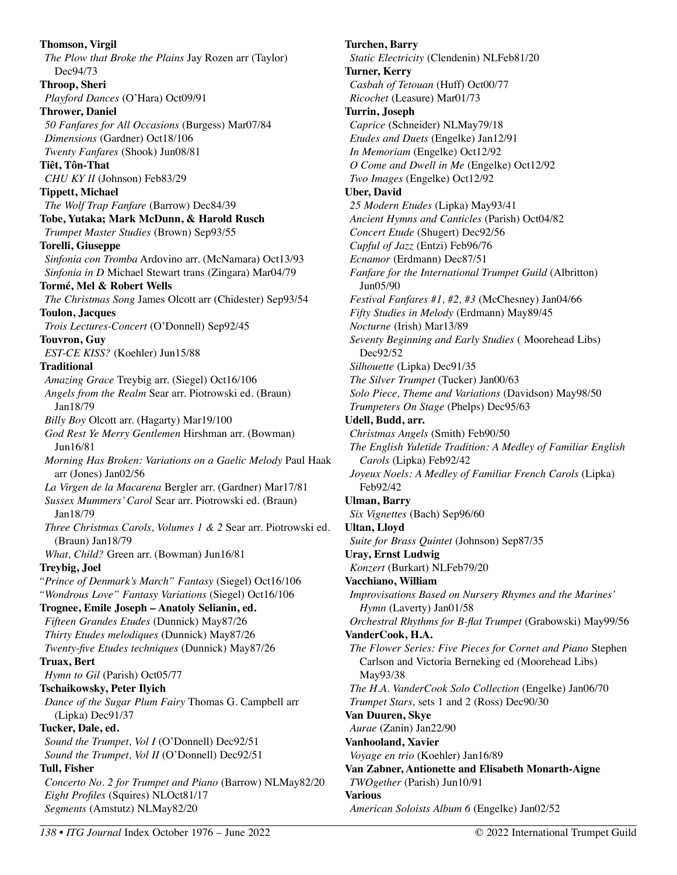**Thomson, Virgil**  *The Plow that Broke the Plains* Jay Rozen arr (Taylor) Dec94/73 **Throop, Sheri**  *Playford Dances* (O'Hara) Oct09/91 **Thrower, Daniel**  *50 Fanfares for All Occasions* (Burgess) Mar07/84 *Dimensions* (Gardner) Oct18/106 *Twenty Fanfares* (Shook) Jun08/81 **Tiêt, Tôn-That**  *CHU KY II* (Johnson) Feb83/29 **Tippett, Michael**  *The Wolf Trap Fanfare* (Barrow) Dec84/39 **Tobe, Yutaka; Mark McDunn, & Harold Rusch**  *Trumpet Master Studies* (Brown) Sep93/55 **Torelli, Giuseppe**  *Sinfonia con Tromba* Ardovino arr. (McNamara) Oct13/93 *Sinfonia in D* Michael Stewart trans (Zingara) Mar04/79 **Tormé, Mel & Robert Wells**  *The Christmas Song* James Olcott arr (Chidester) Sep93/54 **Toulon, Jacques**  *Trois Lectures-Concert* (O'Donnell) Sep92/45 **Touvron, Guy**  *EST-CE KISS?* (Koehler) Jun15/88 **Traditional**  *Amazing Grace* Treybig arr. (Siegel) Oct16/106 *Angels from the Realm* Sear arr. Piotrowski ed. (Braun) Jan18/79 *Billy Boy* Olcott arr. (Hagarty) Mar19/100 *God Rest Ye Merry Gentlemen* Hirshman arr. (Bowman) Jun16/81 *Morning Has Broken: Variations on a Gaelic Melody* Paul Haak arr (Jones) Jan02/56 *La Virgen de la Macarena* Bergler arr. (Gardner) Mar17/81 *Sussex Mummers' Carol* Sear arr. Piotrowski ed. (Braun) Jan18/79 *Three Christmas Carols, Volumes 1 & 2* Sear arr. Piotrowski ed. (Braun) Jan18/79 *What, Child?* Green arr. (Bowman) Jun16/81 **Treybig, Joel**  *"Prince of Denmark's March" Fantasy* (Siegel) Oct16/106 *"Wondrous Love" Fantasy Variations* (Siegel) Oct16/106 **Trognee, Emile Joseph – Anatoly Selianin, ed.**  *Fifteen Grandes Etudes* (Dunnick) May87/26 *Thirty Etudes melodiques* (Dunnick) May87/26 *Twenty-five Etudes techniques* (Dunnick) May87/26 **Truax, Bert**  *Hymn to Gil* (Parish) Oct05/77 **Tschaikowsky, Peter Ilyich**  *Dance of the Sugar Plum Fairy* Thomas G. Campbell arr (Lipka) Dec91/37 **Tucker, Dale, ed.**  *Sound the Trumpet, Vol I* (O'Donnell) Dec92/51 *Sound the Trumpet, Vol II* (O'Donnell) Dec92/51 **Tull, Fisher**  *Concerto No. 2 for Trumpet and Piano* (Barrow) NLMay82/20 *Eight Profiles* (Squires) NLOct81/17 *Segments* (Amstutz) NLMay82/20

**Turchen, Barry**  *Static Electricity* (Clendenin) NLFeb81/20 **Turner, Kerry**  *Casbah of Tetouan* (Huff) Oct00/77 *Ricochet* (Leasure) Mar01/73 **Turrin, Joseph**  *Caprice* (Schneider) NLMay79/18 *Etudes and Duets* (Engelke) Jan12/91 *In Memoriam* (Engelke) Oct12/92 *O Come and Dwell in Me* (Engelke) Oct12/92 *Two Images* (Engelke) Oct12/92 **Uber, David**  *25 Modern Etudes* (Lipka) May93/41 *Ancient Hymns and Canticles* (Parish) Oct04/82 *Concert Etude* (Shugert) Dec92/56 *Cupful of Jazz* (Entzi) Feb96/76 *Ecnamor* (Erdmann) Dec87/51 *Fanfare for the International Trumpet Guild* (Albritton) Jun05/90 *Festival Fanfares #1, #2, #3* (McChesney) Jan04/66 *Fifty Studies in Melody* (Erdmann) May89/45 *Nocturne* (Irish) Mar13/89 *Seventy Beginning and Early Studies* ( Moorehead Libs) Dec92/52 *Silhouette* (Lipka) Dec91/35 *The Silver Trumpet* (Tucker) Jan00/63 *Solo Piece, Theme and Variations* (Davidson) May98/50 *Trumpeters On Stage* (Phelps) Dec95/63 **Udell, Budd, arr.**  *Christmas Angels* (Smith) Feb90/50 *The English Yuletide Tradition: A Medley of Familiar English Carols* (Lipka) Feb92/42 *Joyeux Noels: A Medley of Familiar French Carols* (Lipka) Feb92/42 **Ulman, Barry**  *Six Vignettes* (Bach) Sep96/60 **Ultan, Lloyd**  *Suite for Brass Quintet* (Johnson) Sep87/35 **Uray, Ernst Ludwig**  *Konzert* (Burkart) NLFeb79/20 **Vacchiano, William**  *Improvisations Based on Nursery Rhymes and the Marines' Hymn* (Laverty) Jan01/58 *Orchestral Rhythms for B-flat Trumpet* (Grabowski) May99/56 **VanderCook, H.A.**  *The Flower Series: Five Pieces for Cornet and Piano* Stephen Carlson and Victoria Berneking ed (Moorehead Libs) May93/38 *The H.A. VanderCook Solo Collection* (Engelke) Jan06/70 *Trumpet Stars,* sets 1 and 2 (Ross) Dec90/30 **Van Duuren, Skye**  *Aurae* (Zanin) Jan22/90 **Vanhooland, Xavier**  *Voyage en trio* (Koehler) Jan16/89 **Van Zabner, Antionette and Elisabeth Monarth-Aigne**  *TWOgether* (Parish) Jun10/91 **Various**  *American Soloists Album 6* (Engelke) Jan02/52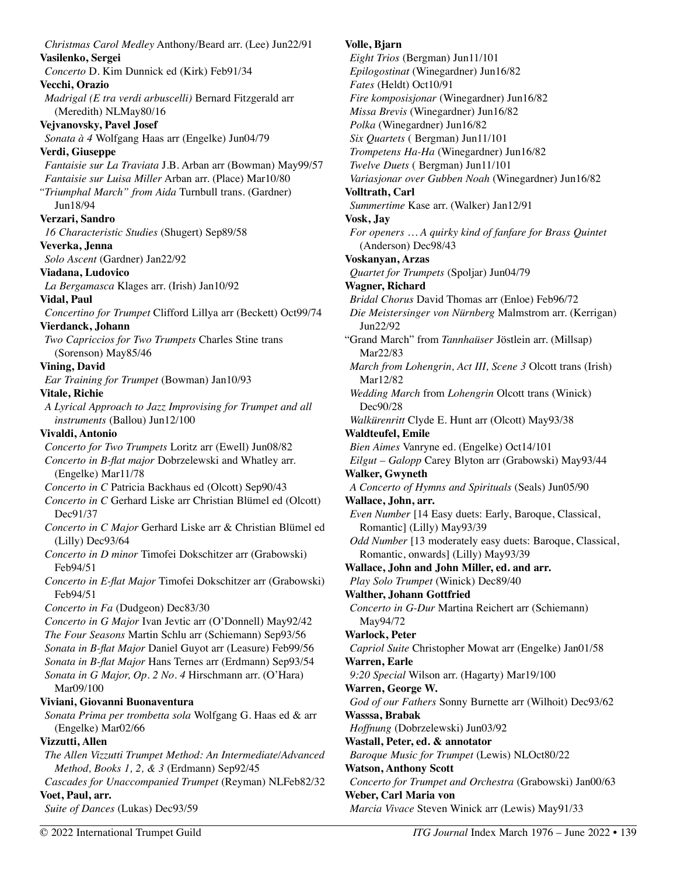*Christmas Carol Medley* Anthony/Beard arr. (Lee) Jun22/91 **Vasilenko, Sergei**  *Concerto* D. Kim Dunnick ed (Kirk) Feb91/34 **Vecchi, Orazio**  *Madrigal (E tra verdi arbuscelli)* Bernard Fitzgerald arr (Meredith) NLMay80/16 **Vejvanovsky, Pavel Josef**  *Sonata à 4* Wolfgang Haas arr (Engelke) Jun04/79 **Verdi, Giuseppe**  *Fantaisie sur La Traviata* J.B. Arban arr (Bowman) May99/57 *Fantaisie sur Luisa Miller* Arban arr. (Place) Mar10/80 *"Triumphal March" from Aida* Turnbull trans. (Gardner) Jun18/94 **Verzari, Sandro**  *16 Characteristic Studies* (Shugert) Sep89/58 **Veverka, Jenna**  *Solo Ascent* (Gardner) Jan22/92 **Viadana, Ludovico**  *La Bergamasca* Klages arr. (Irish) Jan10/92 **Vidal, Paul**  *Concertino for Trumpet* Clifford Lillya arr (Beckett) Oct99/74 **Vierdanck, Johann**  *Two Capriccios for Two Trumpets* Charles Stine trans (Sorenson) May85/46 **Vining, David**  *Ear Training for Trumpet* (Bowman) Jan10/93 **Vitale, Richie**  *A Lyrical Approach to Jazz Improvising for Trumpet and all instruments* (Ballou) Jun12/100 **Vivaldi, Antonio**  *Concerto for Two Trumpets* Loritz arr (Ewell) Jun08/82 *Concerto in B-flat major* Dobrzelewski and Whatley arr. (Engelke) Mar11/78 *Concerto in C* Patricia Backhaus ed (Olcott) Sep90/43 *Concerto in C* Gerhard Liske arr Christian Blümel ed (Olcott) Dec91/37 *Concerto in C Major* Gerhard Liske arr & Christian Blümel ed (Lilly) Dec93/64 *Concerto in D minor* Timofei Dokschitzer arr (Grabowski) Feb94/51 *Concerto in E-flat Major* Timofei Dokschitzer arr (Grabowski) Feb94/51 *Concerto in Fa* (Dudgeon) Dec83/30 *Concerto in G Major* Ivan Jevtic arr (O'Donnell) May92/42 *The Four Seasons* Martin Schlu arr (Schiemann) Sep93/56 *Sonata in B-flat Major* Daniel Guyot arr (Leasure) Feb99/56 *Sonata in B-flat Major* Hans Ternes arr (Erdmann) Sep93/54 *Sonata in G Major, Op. 2 No. 4* Hirschmann arr. (O'Hara) Mar09/100 **Viviani, Giovanni Buonaventura**  *Sonata Prima per trombetta sola* Wolfgang G. Haas ed & arr (Engelke) Mar02/66 **Vizzutti, Allen**  *The Allen Vizzutti Trumpet Method: An Intermediate/Advanced Method, Books 1, 2, & 3* (Erdmann) Sep92/45 *Cascades for Unaccompanied Trumpet* (Reyman) NLFeb82/32 **Voet, Paul, arr.**  *Suite of Dances* (Lukas) Dec93/59

# **Volle, Bjarn**

*Eight Trios* (Bergman) Jun11/101 *Epilogostinat* (Winegardner) Jun16/82 *Fates* (Heldt) Oct10/91 *Fire komposisjonar* (Winegardner) Jun16/82 *Missa Brevis* (Winegardner) Jun16/82 *Polka* (Winegardner) Jun16/82 *Six Quartets* ( Bergman) Jun11/101 *Trompetens Ha-Ha* (Winegardner) Jun16/82 *Twelve Duets* ( Bergman) Jun11/101 *Variasjonar over Gubben Noah* (Winegardner) Jun16/82 **Volltrath, Carl**  *Summertime* Kase arr. (Walker) Jan12/91 **Vosk, Jay**  *For openers … A quirky kind of fanfare for Brass Quintet*  (Anderson) Dec98/43 **Voskanyan, Arzas**  *Quartet for Trumpets* (Spoljar) Jun04/79 **Wagner, Richard**  *Bridal Chorus* David Thomas arr (Enloe) Feb96/72 *Die Meistersinger von Nürnberg* Malmstrom arr. (Kerrigan) Jun22/92 "Grand March" from *Tannhaüser* Jöstlein arr. (Millsap) Mar22/83 *March from Lohengrin, Act III, Scene 3* Olcott trans (Irish) Mar12/82 *Wedding March* from *Lohengrin* Olcott trans (Winick) Dec90/28 *Walkürenritt* Clyde E. Hunt arr (Olcott) May93/38 **Waldteufel, Emile**  *Bien Aimes* Vanryne ed. (Engelke) Oct14/101 *Eilgut – Galopp* Carey Blyton arr (Grabowski) May93/44 **Walker, Gwyneth**  *A Concerto of Hymns and Spirituals* (Seals) Jun05/90 **Wallace, John, arr.**  *Even Number* [14 Easy duets: Early, Baroque, Classical, Romantic] (Lilly) May93/39 *Odd Number* [13 moderately easy duets: Baroque, Classical, Romantic, onwards] (Lilly) May93/39 **Wallace, John and John Miller, ed. and arr.**  *Play Solo Trumpet* (Winick) Dec89/40 **Walther, Johann Gottfried**  *Concerto in G-Dur* Martina Reichert arr (Schiemann) May94/72 **Warlock, Peter**  *Capriol Suite* Christopher Mowat arr (Engelke) Jan01/58 **Warren, Earle**  *9:20 Special* Wilson arr. (Hagarty) Mar19/100 **Warren, George W.**  *God of our Fathers* Sonny Burnette arr (Wilhoit) Dec93/62 **Wasssa, Brabak**  *Hoffnung* (Dobrzelewski) Jun03/92 **Wastall, Peter, ed. & annotator**  *Baroque Music for Trumpet* (Lewis) NLOct80/22 **Watson, Anthony Scott**  *Concerto for Trumpet and Orchestra* (Grabowski) Jan00/63 **Weber, Carl Maria von**  *Marcia Vivace* Steven Winick arr (Lewis) May91/33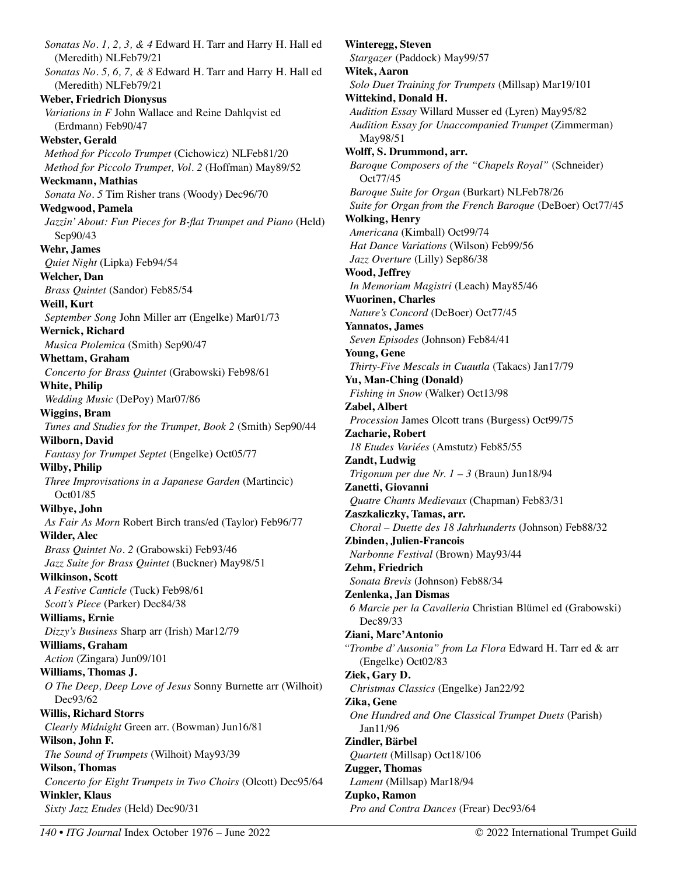*Sonatas No. 1, 2, 3, & 4* Edward H. Tarr and Harry H. Hall ed (Meredith) NLFeb79/21 *Sonatas No. 5, 6, 7, & 8* Edward H. Tarr and Harry H. Hall ed (Meredith) NLFeb79/21 **Weber, Friedrich Dionysus**  *Variations in F* John Wallace and Reine Dahlqvist ed (Erdmann) Feb90/47 **Webster, Gerald**  *Method for Piccolo Trumpet* (Cichowicz) NLFeb81/20 *Method for Piccolo Trumpet, Vol. 2* (Hoffman) May89/52 **Weckmann, Mathias**  *Sonata No. 5* Tim Risher trans (Woody) Dec96/70 **Wedgwood, Pamela**  *Jazzin' About: Fun Pieces for B-flat Trumpet and Piano* (Held) Sep90/43 **Wehr, James**  *Quiet Night* (Lipka) Feb94/54 **Welcher, Dan**  *Brass Quintet* (Sandor) Feb85/54 **Weill, Kurt**  *September Song* John Miller arr (Engelke) Mar01/73 **Wernick, Richard**  *Musica Ptolemica* (Smith) Sep90/47 **Whettam, Graham**  *Concerto for Brass Quintet* (Grabowski) Feb98/61 **White, Philip**  *Wedding Music* (DePoy) Mar07/86 **Wiggins, Bram**  *Tunes and Studies for the Trumpet, Book 2* (Smith) Sep90/44 **Wilborn, David**  *Fantasy for Trumpet Septet* (Engelke) Oct05/77 **Wilby, Philip**  *Three Improvisations in a Japanese Garden* (Martincic) Oct01/85 **Wilbye, John**  *As Fair As Morn* Robert Birch trans/ed (Taylor) Feb96/77 **Wilder, Alec**  *Brass Quintet No. 2* (Grabowski) Feb93/46 *Jazz Suite for Brass Quintet* (Buckner) May98/51 **Wilkinson, Scott**  *A Festive Canticle* (Tuck) Feb98/61 *Scott's Piece* (Parker) Dec84/38 **Williams, Ernie**  *Dizzy's Business* Sharp arr (Irish) Mar12/79 **Williams, Graham**  *Action* (Zingara) Jun09/101 **Williams, Thomas J.**  *O The Deep, Deep Love of Jesus* Sonny Burnette arr (Wilhoit) Dec93/62 **Willis, Richard Storrs**  *Clearly Midnight* Green arr. (Bowman) Jun16/81 **Wilson, John F.**  *The Sound of Trumpets* (Wilhoit) May93/39 **Wilson, Thomas**  *Concerto for Eight Trumpets in Two Choirs* (Olcott) Dec95/64 **Winkler, Klaus**  *Sixty Jazz Etudes* (Held) Dec90/31

**Winteregg, Steven**  *Stargazer* (Paddock) May99/57 **Witek, Aaron**  *Solo Duet Training for Trumpets* (Millsap) Mar19/101 **Wittekind, Donald H.**  *Audition Essay* Willard Musser ed (Lyren) May95/82 *Audition Essay for Unaccompanied Trumpet* (Zimmerman) May98/51 **Wolff, S. Drummond, arr.**  *Baroque Composers of the "Chapels Royal"* (Schneider) Oct77/45 *Baroque Suite for Organ* (Burkart) NLFeb78/26 *Suite for Organ from the French Baroque* (DeBoer) Oct77/45 **Wolking, Henry**  *Americana* (Kimball) Oct99/74 *Hat Dance Variations* (Wilson) Feb99/56 *Jazz Overture* (Lilly) Sep86/38 **Wood, Jeffrey**  *In Memoriam Magistri* (Leach) May85/46 **Wuorinen, Charles**  *Nature's Concord* (DeBoer) Oct77/45 **Yannatos, James**  *Seven Episodes* (Johnson) Feb84/41 **Young, Gene**  *Thirty-Five Mescals in Cuautla* (Takacs) Jan17/79 **Yu, Man-Ching (Donald)**  *Fishing in Snow* (Walker) Oct13/98 **Zabel, Albert**  *Procession* James Olcott trans (Burgess) Oct99/75 **Zacharie, Robert**  *18 Etudes Variées* (Amstutz) Feb85/55 **Zandt, Ludwig**  *Trigonum per due Nr. 1 – 3* (Braun) Jun18/94 **Zanetti, Giovanni**  *Quatre Chants Medievaux* (Chapman) Feb83/31 **Zaszkaliczky, Tamas, arr.**  *Choral – Duette des 18 Jahrhunderts* (Johnson) Feb88/32 **Zbinden, Julien-Francois**  *Narbonne Festival* (Brown) May93/44 **Zehm, Friedrich**  *Sonata Brevis* (Johnson) Feb88/34 **Zenlenka, Jan Dismas**  *6 Marcie per la Cavalleria* Christian Blümel ed (Grabowski) Dec89/33 **Ziani, Marc'Antonio**  *"Trombe d' Ausonia" from La Flora* Edward H. Tarr ed & arr (Engelke) Oct02/83 **Ziek, Gary D.**  *Christmas Classics* (Engelke) Jan22/92 **Zika, Gene**  *One Hundred and One Classical Trumpet Duets* (Parish) Jan11/96 **Zindler, Bärbel**  *Quartett* (Millsap) Oct18/106 **Zugger, Thomas**  *Lament* (Millsap) Mar18/94 **Zupko, Ramon**  *Pro and Contra Dances* (Frear) Dec93/64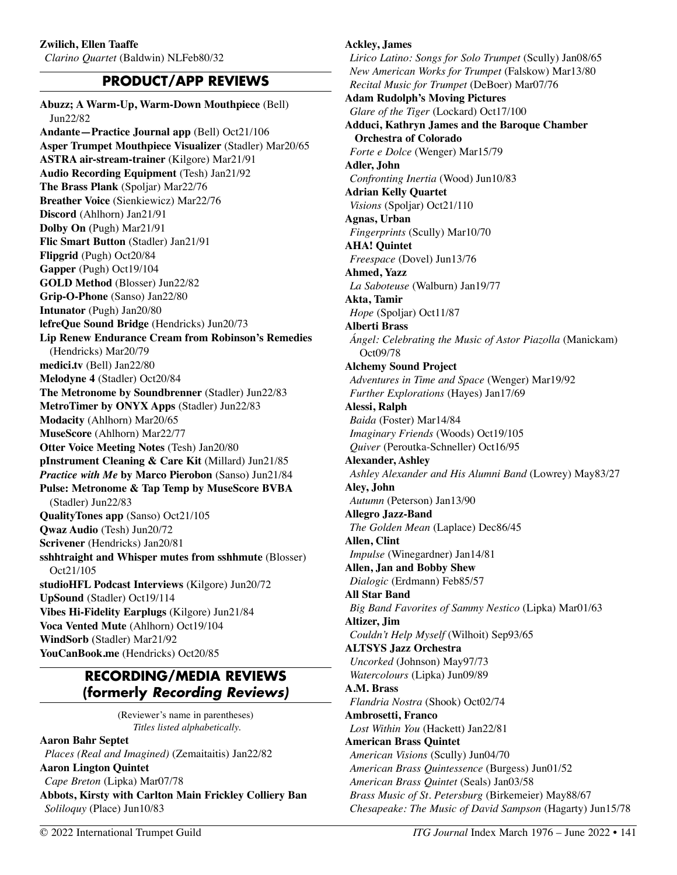# **PRODUCT/APP REVIEWS**

**Abuzz; A Warm-Up, Warm-Down Mouthpiece** (Bell) Jun22/82 **Andante—Practice Journal app** (Bell) Oct21/106 **Asper Trumpet Mouthpiece Visualizer** (Stadler) Mar20/65 **ASTRA air-stream-trainer** (Kilgore) Mar21/91 **Audio Recording Equipment** (Tesh) Jan21/92 **The Brass Plank** (Spoljar) Mar22/76 **Breather Voice** (Sienkiewicz) Mar22/76 **Discord** (Ahlhorn) Jan21/91 **Dolby On** (Pugh) Mar21/91 **Flic Smart Button** (Stadler) Jan21/91 **Flipgrid** (Pugh) Oct20/84 **Gapper** (Pugh) Oct19/104 **GOLD Method** (Blosser) Jun22/82 **Grip-O-Phone** (Sanso) Jan22/80 **Intunator** (Pugh) Jan20/80 **lefreQue Sound Bridge** (Hendricks) Jun20/73 **Lip Renew Endurance Cream from Robinson's Remedies**  (Hendricks) Mar20/79 **medici.tv** (Bell) Jan22/80 **Melodyne 4** (Stadler) Oct20/84 **The Metronome by Soundbrenner** (Stadler) Jun22/83 **MetroTimer by ONYX Apps** (Stadler) Jun22/83 **Modacity** (Ahlhorn) Mar20/65 **MuseScore** (Ahlhorn) Mar22/77 **Otter Voice Meeting Notes** (Tesh) Jan20/80 **pInstrument Cleaning & Care Kit** (Millard) Jun21/85 *Practice with Me* **by Marco Pierobon** (Sanso) Jun21/84 **Pulse: Metronome & Tap Temp by MuseScore BVBA**  (Stadler) Jun22/83 **QualityTones app** (Sanso) Oct21/105 **Qwaz Audio** (Tesh) Jun20/72 **Scrivener** (Hendricks) Jan20/81 **sshhtraight and Whisper mutes from sshhmute** (Blosser) Oct21/105 **studioHFL Podcast Interviews** (Kilgore) Jun20/72 **UpSound** (Stadler) Oct19/114 **Vibes Hi-Fidelity Earplugs** (Kilgore) Jun21/84 **Voca Vented Mute** (Ahlhorn) Oct19/104 **WindSorb** (Stadler) Mar21/92 **YouCanBook.me** (Hendricks) Oct20/85

# **RECORDING/MEDIA REVIEWS (formerly** *Recording Reviews)*

(Reviewer's name in parentheses) *Titles listed alphabetically.*

#### **Aaron Bahr Septet**

*Places (Real and Imagined)* (Zemaitaitis) Jan22/82 **Aaron Lington Quintet** 

*Cape Breton* (Lipka) Mar07/78 **Abbots, Kirsty with Carlton Main Frickley Colliery Ban**  *Soliloquy* (Place) Jun10/83

# **Ackley, James**

*Lirico Latino: Songs for Solo Trumpet* (Scully) Jan08/65 *New American Works for Trumpet* (Falskow) Mar13/80 *Recital Music for Trumpet* (DeBoer) Mar07/76 **Adam Rudolph's Moving Pictures**  *Glare of the Tiger* (Lockard) Oct17/100 **Adduci, Kathryn James and the Baroque Chamber Orchestra of Colorado**  *Forte e Dolce* (Wenger) Mar15/79 **Adler, John**  *Confronting Inertia* (Wood) Jun10/83 **Adrian Kelly Quartet**  *Visions* (Spoljar) Oct21/110 **Agnas, Urban**  *Fingerprints* (Scully) Mar10/70 **AHA! Quintet**  *Freespace* (Dovel) Jun13/76 **Ahmed, Yazz**  *La Saboteuse* (Walburn) Jan19/77 **Akta, Tamir**  *Hope* (Spoljar) Oct11/87 **Alberti Brass**  *Ángel: Celebrating the Music of Astor Piazolla* (Manickam) Oct09/78 **Alchemy Sound Project**  *Adventures in Time and Space* (Wenger) Mar19/92 *Further Explorations* (Hayes) Jan17/69 **Alessi, Ralph**  *Baida* (Foster) Mar14/84 *Imaginary Friends* (Woods) Oct19/105 *Quiver* (Peroutka-Schneller) Oct16/95 **Alexander, Ashley**  *Ashley Alexander and His Alumni Band* (Lowrey) May83/27 **Aley, John**  *Autumn* (Peterson) Jan13/90 **Allegro Jazz-Band**  *The Golden Mean* (Laplace) Dec86/45 **Allen, Clint**  *Impulse* (Winegardner) Jan14/81 **Allen, Jan and Bobby Shew**  *Dialogic* (Erdmann) Feb85/57 **All Star Band**  *Big Band Favorites of Sammy Nestico* (Lipka) Mar01/63 **Altizer, Jim**  *Couldn't Help Myself* (Wilhoit) Sep93/65 **ALTSYS Jazz Orchestra**  *Uncorked* (Johnson) May97/73 *Watercolours* (Lipka) Jun09/89 **A.M. Brass**  *Flandria Nostra* (Shook) Oct02/74 **Ambrosetti, Franco**  *Lost Within You* (Hackett) Jan22/81 **American Brass Quintet**  *American Visions* (Scully) Jun04/70 *American Brass Quintessence* (Burgess) Jun01/52 *American Brass Quintet* (Seals) Jan03/58 *Brass Music of St. Petersburg* (Birkemeier) May88/67 *Chesapeake: The Music of David Sampson* (Hagarty) Jun15/78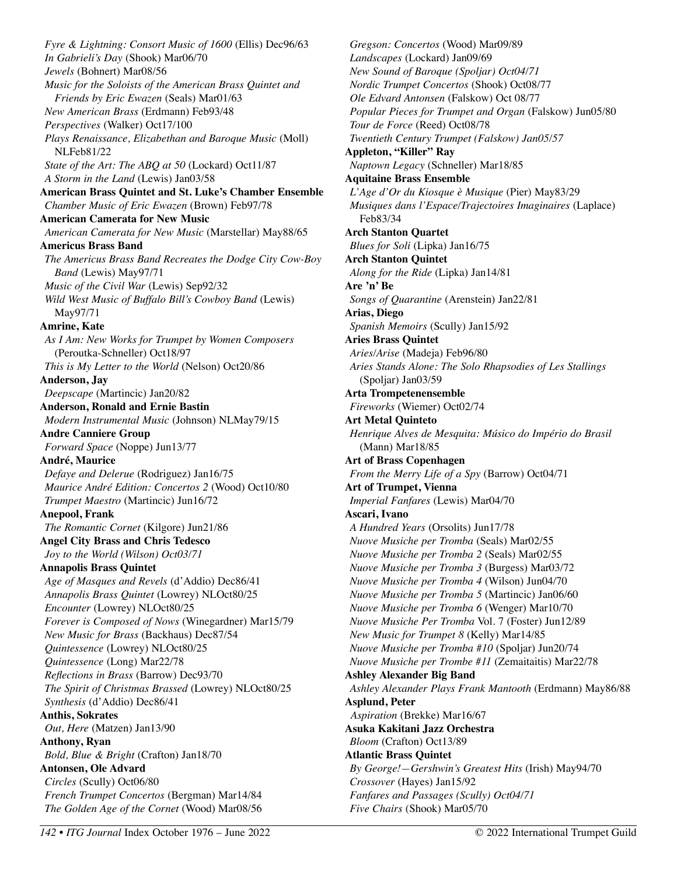*Fyre & Lightning: Consort Music of 1600* (Ellis) Dec96/63 *In Gabrieli's Day* (Shook) Mar06/70 *Jewels* (Bohnert) Mar08/56 *Music for the Soloists of the American Brass Quintet and Friends by Eric Ewazen* (Seals) Mar01/63 *New American Brass* (Erdmann) Feb93/48 *Perspectives* (Walker) Oct17/100 *Plays Renaissance, Elizabethan and Baroque Music* (Moll) NLFeb81/22 *State of the Art: The ABQ at 50* (Lockard) Oct11/87 *A Storm in the Land* (Lewis) Jan03/58 **American Brass Quintet and St. Luke's Chamber Ensemble**  *Chamber Music of Eric Ewazen* (Brown) Feb97/78 **American Camerata for New Music**  *American Camerata for New Music* (Marstellar) May88/65 **Americus Brass Band**  *The Americus Brass Band Recreates the Dodge City Cow-Boy Band* (Lewis) May97/71 *Music of the Civil War* (Lewis) Sep92/32 *Wild West Music of Buffalo Bill's Cowboy Band* (Lewis) May97/71 **Amrine, Kate**  *As I Am: New Works for Trumpet by Women Composers*  (Peroutka-Schneller) Oct18/97 *This is My Letter to the World* (Nelson) Oct20/86 **Anderson, Jay**  *Deepscape* (Martincic) Jan20/82 **Anderson, Ronald and Ernie Bastin**  *Modern Instrumental Music* (Johnson) NLMay79/15 **Andre Canniere Group**  *Forward Space* (Noppe) Jun13/77 **André, Maurice**  *Defaye and Delerue* (Rodriguez) Jan16/75 *Maurice André Edition: Concertos 2* (Wood) Oct10/80 *Trumpet Maestro* (Martincic) Jun16/72 **Anepool, Frank**  *The Romantic Cornet* (Kilgore) Jun21/86 **Angel City Brass and Chris Tedesco**  *Joy to the World (Wilson) Oct03/71* **Annapolis Brass Quintet**  *Age of Masques and Revels* (d'Addio) Dec86/41 *Annapolis Brass Quintet* (Lowrey) NLOct80/25 *Encounter* (Lowrey) NLOct80/25 *Forever is Composed of Nows* (Winegardner) Mar15/79 *New Music for Brass* (Backhaus) Dec87/54 *Quintessence* (Lowrey) NLOct80/25 *Quintessence* (Long) Mar22/78 *Reflections in Brass* (Barrow) Dec93/70 *The Spirit of Christmas Brassed* (Lowrey) NLOct80/25 *Synthesis* (d'Addio) Dec86/41 **Anthis, Sokrates**  *Out, Here* (Matzen) Jan13/90 **Anthony, Ryan**  *Bold, Blue & Bright* (Crafton) Jan18/70 **Antonsen, Ole Advard**  *Circles* (Scully) Oct06/80 *French Trumpet Concertos* (Bergman) Mar14/84 *The Golden Age of the Cornet* (Wood) Mar08/56

*Gregson: Concertos* (Wood) Mar09/89 *Landscapes* (Lockard) Jan09/69 *New Sound of Baroque (Spoljar) Oct04/71 Nordic Trumpet Concertos* (Shook) Oct08/77 *Ole Edvard Antonsen* (Falskow) Oct 08/77 *Popular Pieces for Trumpet and Organ* (Falskow) Jun05/80 *Tour de Force* (Reed) Oct08/78 *Twentieth Century Trumpet (Falskow) Jan05/57* **Appleton, "Killer" Ray**  *Naptown Legacy* (Schneller) Mar18/85 **Aquitaine Brass Ensemble**  *L'Age d'Or du Kiosque è Musique* (Pier) May83/29 *Musiques dans l'Espace/Trajectoires Imaginaires* (Laplace) Feb83/34 **Arch Stanton Quartet**  *Blues for Soli* (Lipka) Jan16/75 **Arch Stanton Quintet**  *Along for the Ride* (Lipka) Jan14/81 **Are 'n' Be**  *Songs of Quarantine* (Arenstein) Jan22/81 **Arias, Diego**  *Spanish Memoirs* (Scully) Jan15/92 **Aries Brass Quintet**  *Aries/Arise* (Madeja) Feb96/80 *Aries Stands Alone: The Solo Rhapsodies of Les Stallings* (Spoljar) Jan03/59 **Arta Trompetenensemble**  *Fireworks* (Wiemer) Oct02/74 **Art Metal Quinteto**  *Henrique Alves de Mesquita: Músico do Império do Brasil*  (Mann) Mar18/85 **Art of Brass Copenhagen**  *From the Merry Life of a Spy* (Barrow) Oct04/71 **Art of Trumpet, Vienna**  *Imperial Fanfares* (Lewis) Mar04/70 **Ascari, Ivano** *A Hundred Years* (Orsolits) Jun17/78 *Nuove Musiche per Tromba* (Seals) Mar02/55 *Nuove Musiche per Tromba 2* (Seals) Mar02/55 *Nuove Musiche per Tromba 3* (Burgess) Mar03/72 *Nuove Musiche per Tromba 4* (Wilson) Jun04/70 *Nuove Musiche per Tromba 5* (Martincic) Jan06/60 *Nuove Musiche per Tromba 6* (Wenger) Mar10/70 *Nuove Musiche Per Tromba* Vol. 7 (Foster) Jun12/89 *New Music for Trumpet 8* (Kelly) Mar14/85 *Nuove Musiche per Tromba #10* (Spoljar) Jun20/74 *Nuove Musiche per Trombe #11* (Zemaitaitis) Mar22/78 **Ashley Alexander Big Band**  *Ashley Alexander Plays Frank Mantooth* (Erdmann) May86/88 **Asplund, Peter**  *Aspiration* (Brekke) Mar16/67 **Asuka Kakitani Jazz Orchestra**  *Bloom* (Crafton) Oct13/89 **Atlantic Brass Quintet**  *By George!—Gershwin's Greatest Hits* (Irish) May94/70 *Crossover* (Hayes) Jan15/92 *Fanfares and Passages (Scully) Oct04/71 Five Chairs* (Shook) Mar05/70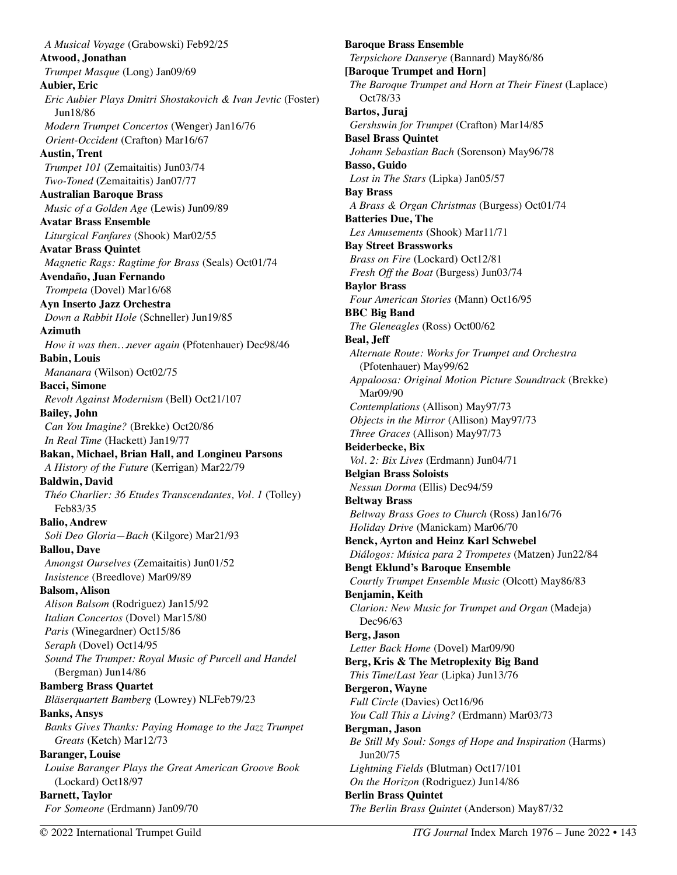*A Musical Voyage* (Grabowski) Feb92/25 **Atwood, Jonathan**  *Trumpet Masque* (Long) Jan09/69 **Aubier, Eric**  *Eric Aubier Plays Dmitri Shostakovich & Ivan Jevtic* (Foster) Jun18/86 *Modern Trumpet Concertos* (Wenger) Jan16/76 *Orient-Occident* (Crafton) Mar16/67 **Austin, Trent**  *Trumpet 101* (Zemaitaitis) Jun03/74 *Two-Toned* **(**Zemaitaitis) Jan07/77 **Australian Baroque Brass**  *Music of a Golden Age* (Lewis) Jun09/89 **Avatar Brass Ensemble**  *Liturgical Fanfares* (Shook) Mar02/55 **Avatar Brass Quintet**  *Magnetic Rags: Ragtime for Brass* (Seals) Oct01/74 **Avendaño, Juan Fernando**  *Trompeta* (Dovel) Mar16/68 **Ayn Inserto Jazz Orchestra**  *Down a Rabbit Hole* (Schneller) Jun19/85 **Azimuth**  *How it was then…never again* (Pfotenhauer) Dec98/46 **Babin, Louis**  *Mananara* (Wilson) Oct02/75 **Bacci, Simone**  *Revolt Against Modernism* (Bell) Oct21/107 **Bailey, John**  *Can You Imagine?* (Brekke) Oct20/86 *In Real Time* (Hackett) Jan19/77 **Bakan, Michael, Brian Hall, and Longineu Parsons**  *A History of the Future* (Kerrigan) Mar22/79 **Baldwin, David**  *Théo Charlier: 36 Etudes Transcendantes, Vol. 1* (Tolley) Feb83/35 **Balio, Andrew**  *Soli Deo Gloria—Bach* (Kilgore) Mar21/93 **Ballou, Dave**  *Amongst Ourselves* (Zemaitaitis) Jun01/52 *Insistence* (Breedlove) Mar09/89 **Balsom, Alison**  *Alison Balsom* (Rodriguez) Jan15/92 *Italian Concertos* (Dovel) Mar15/80 *Paris* (Winegardner) Oct15/86 *Seraph* (Dovel) Oct14/95 *Sound The Trumpet: Royal Music of Purcell and Handel* (Bergman) Jun14/86 **Bamberg Brass Quartet**  *Bläserquartett Bamberg* (Lowrey) NLFeb79/23 **Banks, Ansys**  *Banks Gives Thanks: Paying Homage to the Jazz Trumpet Greats* (Ketch) Mar12/73 **Baranger, Louise**  *Louise Baranger Plays the Great American Groove Book*  (Lockard) Oct18/97 **Barnett, Taylor**  *For Someone* (Erdmann) Jan09/70

**Baroque Brass Ensemble**  *Terpsichore Danserye* (Bannard) May86/86 **[Baroque Trumpet and Horn]**  *The Baroque Trumpet and Horn at Their Finest* (Laplace) Oct78/33 **Bartos, Juraj**  *Gershswin for Trumpet* (Crafton) Mar14/85 **Basel Brass Quintet**  *Johann Sebastian Bach* (Sorenson) May96/78 **Basso, Guido**  *Lost in The Stars* (Lipka) Jan05/57 **Bay Brass**  *A Brass & Organ Christmas* (Burgess) Oct01/74 **Batteries Due, The**  *Les Amusements* (Shook) Mar11/71 **Bay Street Brassworks**  *Brass on Fire* (Lockard) Oct12/81 *Fresh Off the Boat* (Burgess) Jun03/74 **Baylor Brass**  *Four American Stories* (Mann) Oct16/95 **BBC Big Band**  *The Gleneagles* (Ross) Oct00/62 **Beal, Jeff**  *Alternate Route: Works for Trumpet and Orchestra*  (Pfotenhauer) May99/62 *Appaloosa: Original Motion Picture Soundtrack* (Brekke) Mar09/90 *Contemplations* (Allison) May97/73 *Objects in the Mirror* (Allison) May97/73 *Three Graces* (Allison) May97/73 **Beiderbecke, Bix**  *Vol. 2: Bix Lives* (Erdmann) Jun04/71 **Belgian Brass Soloists**  *Nessun Dorma* (Ellis) Dec94/59 **Beltway Brass**  *Beltway Brass Goes to Church* (Ross) Jan16/76 *Holiday Drive* (Manickam) Mar06/70 **Benck, Ayrton and Heinz Karl Schwebel**  *Diálogos: Música para 2 Trompetes* (Matzen) Jun22/84 **Bengt Eklund's Baroque Ensemble**  *Courtly Trumpet Ensemble Music* (Olcott) May86/83 **Benjamin, Keith**  *Clarion: New Music for Trumpet and Organ* (Madeja) Dec96/63 **Berg, Jason**  *Letter Back Home* (Dovel) Mar09/90 **Berg, Kris & The Metroplexity Big Band**  *This Time/Last Year* (Lipka) Jun13/76 **Bergeron, Wayne**  *Full Circle* (Davies) Oct16/96 *You Call This a Living?* (Erdmann) Mar03/73 **Bergman, Jason**  *Be Still My Soul: Songs of Hope and Inspiration* (Harms) Jun20/75 *Lightning Fields* (Blutman) Oct17/101 *On the Horizon* (Rodriguez) Jun14/86 **Berlin Brass Quintet**  *The Berlin Brass Quintet* (Anderson) May87/32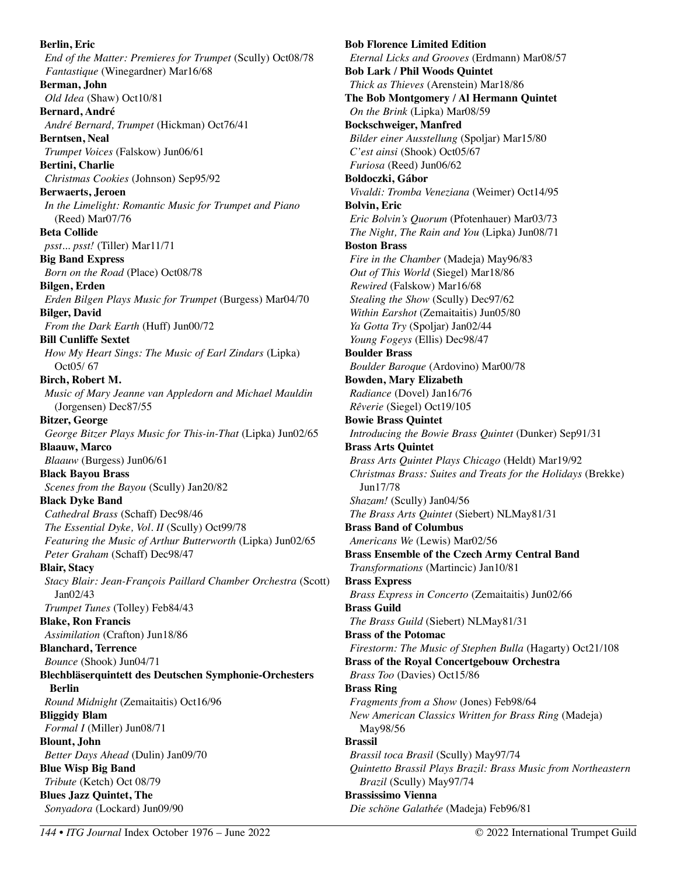**Berlin, Eric**  *End of the Matter: Premieres for Trumpet* (Scully) Oct08/78 *Fantastique* (Winegardner) Mar16/68 **Berman, John**  *Old Idea* (Shaw) Oct10/81 **Bernard, André**  *André Bernard, Trumpet* (Hickman) Oct76/41 **Berntsen, Neal**  *Trumpet Voices* (Falskow) Jun06/61 **Bertini, Charlie**  *Christmas Cookies* (Johnson) Sep95/92 **Berwaerts, Jeroen**  *In the Limelight: Romantic Music for Trumpet and Piano* (Reed) Mar07/76 **Beta Collide**  *psst... psst!* (Tiller) Mar11/71 **Big Band Express**  *Born on the Road* (Place) Oct08/78 **Bilgen, Erden**  *Erden Bilgen Plays Music for Trumpet* (Burgess) Mar04/70 **Bilger, David**  *From the Dark Earth* (Huff) Jun00/72 **Bill Cunliffe Sextet**  *How My Heart Sings: The Music of Earl Zindars* (Lipka) Oct05/ 67 **Birch, Robert M.**  *Music of Mary Jeanne van Appledorn and Michael Mauldin*  (Jorgensen) Dec87/55 **Bitzer, George**  *George Bitzer Plays Music for This-in-That* (Lipka) Jun02/65 **Blaauw, Marco**  *Blaauw* (Burgess) Jun06/61 **Black Bayou Brass**  *Scenes from the Bayou* (Scully) Jan20/82 **Black Dyke Band**  *Cathedral Brass* (Schaff) Dec98/46 *The Essential Dyke, Vol. II* (Scully) Oct99/78 *Featuring the Music of Arthur Butterworth* (Lipka) Jun02/65 *Peter Graham* (Schaff) Dec98/47 **Blair, Stacy**  *Stacy Blair: Jean-François Paillard Chamber Orchestra* (Scott) Jan02/43 *Trumpet Tunes* (Tolley) Feb84/43 **Blake, Ron Francis**  *Assimilation* (Crafton) Jun18/86 **Blanchard, Terrence**  *Bounce* (Shook) Jun04/71 **Blechbläserquintett des Deutschen Symphonie-Orchesters Berlin**  *Round Midnight* (Zemaitaitis) Oct16/96 **Bliggidy Blam**  *Formal I* (Miller) Jun08/71 **Blount, John**  *Better Days Ahead* (Dulin) Jan09/70 **Blue Wisp Big Band**  *Tribute* (Ketch) Oct 08/79 **Blues Jazz Quintet, The**  *Sonyadora* (Lockard) Jun09/90

**Bob Florence Limited Edition**  *Eternal Licks and Grooves* (Erdmann) Mar08/57 **Bob Lark / Phil Woods Quintet**  *Thick as Thieves* (Arenstein) Mar18/86 **The Bob Montgomery / Al Hermann Quintet**  *On the Brink* (Lipka) Mar08/59 **Bockschweiger, Manfred**  *Bilder einer Ausstellung* (Spoljar) Mar15/80 *C'est ainsi* (Shook) Oct05/67 *Furiosa* (Reed) Jun06/62 **Boldoczki, Gábor**  *Vivaldi: Tromba Veneziana* (Weimer) Oct14/95 **Bolvin, Eric**  *Eric Bolvin's Quorum* (Pfotenhauer) Mar03/73 *The Night, The Rain and You* (Lipka) Jun08/71 **Boston Brass**  *Fire in the Chamber* (Madeja) May96/83 *Out of This World* (Siegel) Mar18/86 *Rewired* (Falskow) Mar16/68 *Stealing the Show* (Scully) Dec97/62 *Within Earshot* (Zemaitaitis) Jun05/80 *Ya Gotta Try* (Spoljar) Jan02/44 *Young Fogeys* (Ellis) Dec98/47 **Boulder Brass**  *Boulder Baroque* (Ardovino) Mar00/78 **Bowden, Mary Elizabeth**  *Radiance* (Dovel) Jan16/76 *Rêverie* (Siegel) Oct19/105 **Bowie Brass Quintet**  *Introducing the Bowie Brass Quintet* (Dunker) Sep91/31 **Brass Arts Quintet**  *Brass Arts Quintet Plays Chicago* (Heldt) Mar19/92 *Christmas Brass: Suites and Treats for the Holidays* (Brekke) Jun17/78 *Shazam!* (Scully) Jan04/56 *The Brass Arts Quintet* (Siebert) NLMay81/31 **Brass Band of Columbus**  *Americans We* (Lewis) Mar02/56 **Brass Ensemble of the Czech Army Central Band**  *Transformations* (Martincic) Jan10/81 **Brass Express**  *Brass Express in Concerto* (Zemaitaitis) Jun02/66 **Brass Guild**  *The Brass Guild* (Siebert) NLMay81/31 **Brass of the Potomac**  *Firestorm: The Music of Stephen Bulla* (Hagarty) Oct21/108 **Brass of the Royal Concertgebouw Orchestra**  *Brass Too* (Davies) Oct15/86 **Brass Ring**  *Fragments from a Show* (Jones) Feb98/64 *New American Classics Written for Brass Ring* (Madeja) May98/56 **Brassil**  *Brassil toca Brasil* (Scully) May97/74 *Quintetto Brassil Plays Brazil: Brass Music from Northeastern Brazil* (Scully) May97/74 **Brassissimo Vienna**  *Die schöne Galathée* (Madeja) Feb96/81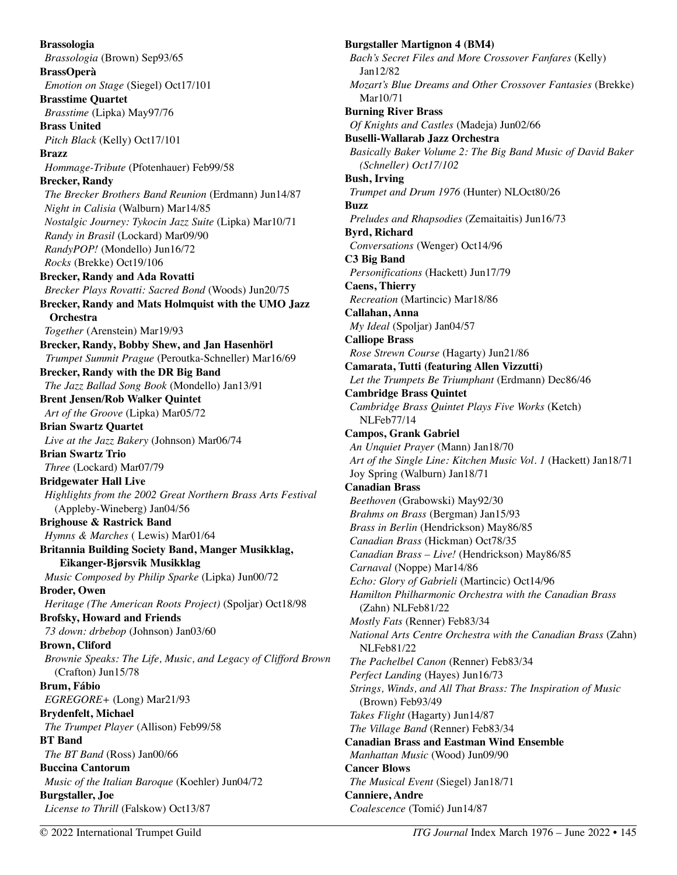**Brassologia**  *Brassologia* (Brown) Sep93/65 **BrassOperà**  *Emotion on Stage* (Siegel) Oct17/101 **Brasstime Quartet**  *Brasstime* (Lipka) May97/76 **Brass United**  *Pitch Black* (Kelly) Oct17/101 **Brazz**  *Hommage-Tribute* (Pfotenhauer) Feb99/58 **Brecker, Randy**  *The Brecker Brothers Band Reunion* (Erdmann) Jun14/87 *Night in Calisia* (Walburn) Mar14/85 *Nostalgic Journey: Tykocin Jazz Suite* (Lipka) Mar10/71 *Randy in Brasil* (Lockard) Mar09/90 *RandyPOP!* (Mondello) Jun16/72 *Rocks* (Brekke) Oct19/106 **Brecker, Randy and Ada Rovatti**  *Brecker Plays Rovatti: Sacred Bond* (Woods) Jun20/75 **Brecker, Randy and Mats Holmquist with the UMO Jazz Orchestra**  *Together* (Arenstein) Mar19/93 **Brecker, Randy, Bobby Shew, and Jan Hasenhörl**  *Trumpet Summit Prague* (Peroutka-Schneller) Mar16/69 **Brecker, Randy with the DR Big Band**  *The Jazz Ballad Song Book* (Mondello) Jan13/91 **Brent Jensen/Rob Walker Quintet**  *Art of the Groove* (Lipka) Mar05/72 **Brian Swartz Quartet**  *Live at the Jazz Bakery* (Johnson) Mar06/74 **Brian Swartz Trio**  *Three* (Lockard) Mar07/79 **Bridgewater Hall Live**  *Highlights from the 2002 Great Northern Brass Arts Festival*  (Appleby-Wineberg) Jan04/56 **Brighouse & Rastrick Band**  *Hymns & Marches* ( Lewis) Mar01/64 **Britannia Building Society Band, Manger Musikklag, Eikanger-Bjørsvik Musikklag**  *Music Composed by Philip Sparke* (Lipka) Jun00/72 **Broder, Owen**  *Heritage (The American Roots Project)* (Spoljar) Oct18/98 **Brofsky, Howard and Friends**  *73 down: drbebop* (Johnson) Jan03/60 **Brown, Cliford**  *Brownie Speaks: The Life, Music, and Legacy of Clifford Brown*  (Crafton) Jun15/78 **Brum, Fábio**  *EGREGORE+* (Long) Mar21/93 **Brydenfelt, Michael**  *The Trumpet Player* (Allison) Feb99/58 **BT Band**  *The BT Band* (Ross) Jan00/66 **Buccina Cantorum**  *Music of the Italian Baroque* (Koehler) Jun04/72 **Burgstaller, Joe**  *License to Thrill* (Falskow) Oct13/87

**Burgstaller Martignon 4 (BM4)**  *Bach's Secret Files and More Crossover Fanfares* (Kelly) Jan12/82 *Mozart's Blue Dreams and Other Crossover Fantasies (Brekke)* Mar10/71 **Burning River Brass**  *Of Knights and Castles* (Madeja) Jun02/66 **Buselli-Wallarab Jazz Orchestra**  *Basically Baker Volume 2: The Big Band Music of David Baker (Schneller) Oct17/102*  **Bush, Irving**  *Trumpet and Drum 1976* (Hunter) NLOct80/26 **Buzz**  *Preludes and Rhapsodies* (Zemaitaitis) Jun16/73 **Byrd, Richard**  *Conversations* (Wenger) Oct14/96 **C3 Big Band**  *Personifications* (Hackett) Jun17/79 **Caens, Thierry**  *Recreation* (Martincic) Mar18/86 **Callahan, Anna**  *My Ideal* (Spoljar) Jan04/57 **Calliope Brass**  *Rose Strewn Course* (Hagarty) Jun21/86 **Camarata, Tutti (featuring Allen Vizzutti)**  *Let the Trumpets Be Triumphant* (Erdmann) Dec86/46 **Cambridge Brass Quintet**  *Cambridge Brass Quintet Plays Five Works* (Ketch) NLFeb77/14 **Campos, Grank Gabriel**  *An Unquiet Prayer* (Mann) Jan18/70 *Art of the Single Line: Kitchen Music Vol. 1* (Hackett) Jan18/71 Joy Spring (Walburn) Jan18/71 **Canadian Brass**  *Beethoven* (Grabowski) May92/30 *Brahms on Brass* (Bergman) Jan15/93 *Brass in Berlin* (Hendrickson) May86/85 *Canadian Brass* (Hickman) Oct78/35 *Canadian Brass – Live!* (Hendrickson) May86/85 *Carnaval* (Noppe) Mar14/86 *Echo: Glory of Gabrieli* (Martincic) Oct14/96 *Hamilton Philharmonic Orchestra with the Canadian Brass*  (Zahn) NLFeb81/22 *Mostly Fats* (Renner) Feb83/34 *National Arts Centre Orchestra with the Canadian Brass* (Zahn) NLFeb81/22 *The Pachelbel Canon* (Renner) Feb83/34 *Perfect Landing* (Hayes) Jun16/73 *Strings, Winds, and All That Brass: The Inspiration of Music*  (Brown) Feb93/49 *Takes Flight* (Hagarty) Jun14/87 *The Village Band* (Renner) Feb83/34 **Canadian Brass and Eastman Wind Ensemble**  *Manhattan Music* (Wood) Jun09/90 **Cancer Blows**  *The Musical Event* (Siegel) Jan18/71 **Canniere, Andre**  *Coalescence* (Tomić) Jun14/87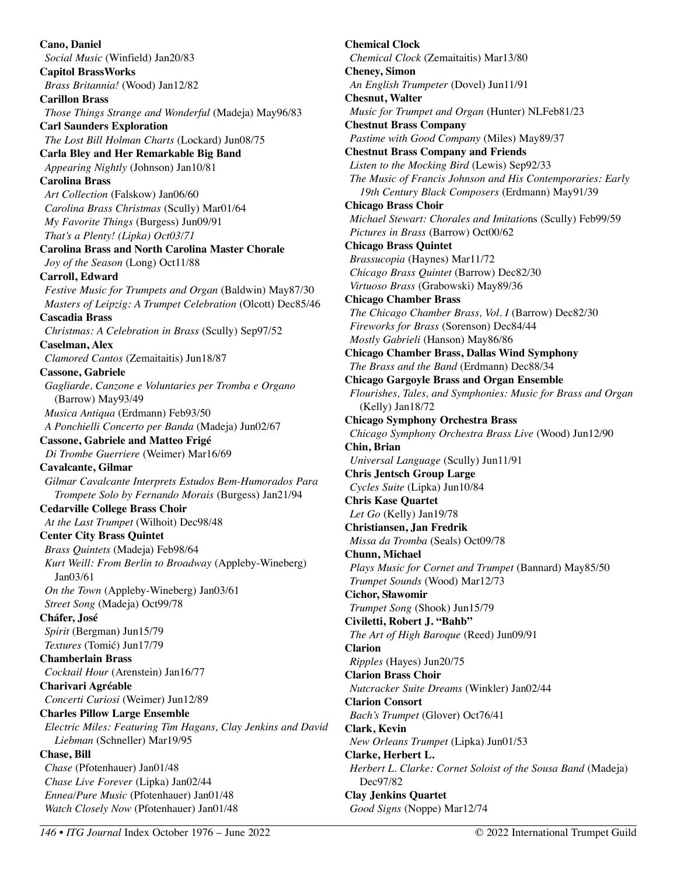**Cano, Daniel**  *Social Music* (Winfield) Jan20/83 **Capitol BrassWorks**  *Brass Britannia!* (Wood) Jan12/82 **Carillon Brass**  *Those Things Strange and Wonderful* (Madeja) May96/83 **Carl Saunders Exploration**  *The Lost Bill Holman Charts* (Lockard) Jun08/75 **Carla Bley and Her Remarkable Big Band**  *Appearing Nightly* (Johnson) Jan10/81 **Carolina Brass**  *Art Collection* (Falskow) Jan06/60 *Carolina Brass Christmas* (Scully) Mar01/64 *My Favorite Things* (Burgess) Jun09/91 *That's a Plenty! (Lipka) Oct03/71* **Carolina Brass and North Carolina Master Chorale**  *Joy of the Season* (Long) Oct11/88 **Carroll, Edward**  *Festive Music for Trumpets and Organ* (Baldwin) May87/30 *Masters of Leipzig: A Trumpet Celebration* (Olcott) Dec85/46 **Cascadia Brass**  *Christmas: A Celebration in Brass* (Scully) Sep97/52 **Caselman, Alex**  *Clamored Cantos* (Zemaitaitis) Jun18/87 **Cassone, Gabriele**  *Gagliarde, Canzone e Voluntaries per Tromba e Organo*  (Barrow) May93/49 *Musica Antiqua* (Erdmann) Feb93/50 *A Ponchielli Concerto per Banda* (Madeja) Jun02/67 **Cassone, Gabriele and Matteo Frigé**  *Di Trombe Guerriere* (Weimer) Mar16/69 **Cavalcante, Gilmar**  *Gilmar Cavalcante Interprets Estudos Bem-Humorados Para Trompete Solo by Fernando Morais* (Burgess) Jan21/94 **Cedarville College Brass Choir**  *At the Last Trumpet* (Wilhoit) Dec98/48 **Center City Brass Quintet**  *Brass Quintets* (Madeja) Feb98/64 *Kurt Weill: From Berlin to Broadway* (Appleby-Wineberg) Jan03/61 *On the Town* (Appleby-Wineberg) Jan03/61 *Street Song* (Madeja) Oct99/78 **Cháfer, José**  *Spirit* (Bergman) Jun15/79 *Textures* (Tomić) Jun17/79 **Chamberlain Brass**  *Cocktail Hour* (Arenstein) Jan16/77 **Charivari Agréable**  *Concerti Curiosi* (Weimer) Jun12/89 **Charles Pillow Large Ensemble**  *Electric Miles: Featuring Tim Hagans, Clay Jenkins and David Liebman* (Schneller) Mar19/95 **Chase, Bill**  *Chase* (Pfotenhauer) Jan01/48 *Chase Live Forever* (Lipka) Jan02/44 *Ennea/Pure Music* (Pfotenhauer) Jan01/48 *Watch Closely Now* (Pfotenhauer) Jan01/48

**Chemical Clock**  *Chemical Clock* (Zemaitaitis) Mar13/80 **Cheney, Simon**  *An English Trumpeter* (Dovel) Jun11/91 **Chesnut, Walter**  *Music for Trumpet and Organ* (Hunter) NLFeb81/23 **Chestnut Brass Company**  *Pastime with Good Company* (Miles) May89/37 **Chestnut Brass Company and Friends**  *Listen to the Mocking Bird* (Lewis) Sep92/33 *The Music of Francis Johnson and His Contemporaries: Early 19th Century Black Composers* (Erdmann) May91/39 **Chicago Brass Choir**  *Michael Stewart: Chorales and Imitatio*ns (Scully) Feb99/59 *Pictures in Brass* (Barrow) Oct00/62 **Chicago Brass Quintet**  *Brassucopia* (Haynes) Mar11/72 *Chicago Brass Quintet* (Barrow) Dec82/30 *Virtuoso Brass* (Grabowski) May89/36 **Chicago Chamber Brass**  *The Chicago Chamber Brass, Vol. I* (Barrow) Dec82/30 *Fireworks for Brass* (Sorenson) Dec84/44 *Mostly Gabrieli* (Hanson) May86/86 **Chicago Chamber Brass, Dallas Wind Symphony**  *The Brass and the Band* (Erdmann) Dec88/34 **Chicago Gargoyle Brass and Organ Ensemble**  *Flourishes, Tales, and Symphonies: Music for Brass and Organ*  (Kelly) Jan18/72 **Chicago Symphony Orchestra Brass**  *Chicago Symphony Orchestra Brass Live* (Wood) Jun12/90 **Chin, Brian**  *Universal Language* (Scully) Jun11/91 **Chris Jentsch Group Large**  *Cycles Suite* (Lipka) Jun10/84 **Chris Kase Quartet**  *Let Go* (Kelly) Jan19/78 **Christiansen, Jan Fredrik**  *Missa da Tromba* (Seals) Oct09/78 **Chunn, Michael**  *Plays Music for Cornet and Trumpet* (Bannard) May85/50 *Trumpet Sounds* (Wood) Mar12/73 **Cichor, Sławomir**  *Trumpet Song* (Shook) Jun15/79 **Civiletti, Robert J. "Bahb"**  *The Art of High Baroque* (Reed) Jun09/91 **Clarion**  *Ripples* (Hayes) Jun20/75 **Clarion Brass Choir**  *Nutcracker Suite Dreams* (Winkler) Jan02/44 **Clarion Consort**  *Bach's Trumpet* (Glover) Oct76/41 **Clark, Kevin**  *New Orleans Trumpet* (Lipka) Jun01/53 **Clarke, Herbert L.**  *Herbert L. Clarke: Cornet Soloist of the Sousa Band* (Madeja) Dec97/82 **Clay Jenkins Quartet** 

*Good Signs* (Noppe) Mar12/74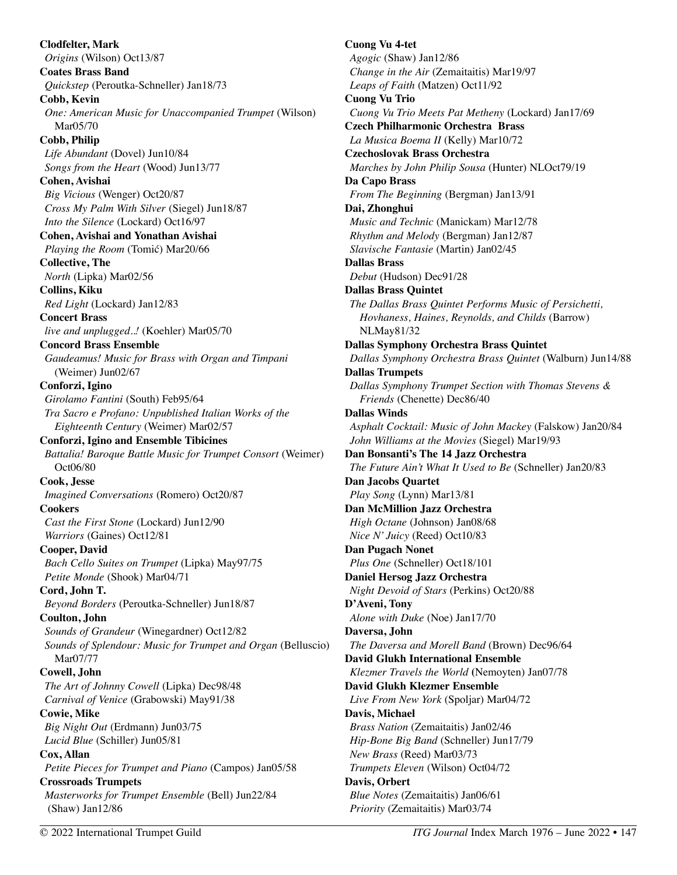**Clodfelter, Mark**  *Origins* (Wilson) Oct13/87 **Coates Brass Band**  *Quickstep* (Peroutka-Schneller) Jan18/73 **Cobb, Kevin**  *One: American Music for Unaccompanied Trumpet* (Wilson) Mar05/70 **Cobb, Philip**  *Life Abundant* (Dovel) Jun10/84 *Songs from the Heart* (Wood) Jun13/77 **Cohen, Avishai**  *Big Vicious* (Wenger) Oct20/87 *Cross My Palm With Silver* (Siegel) Jun18/87 *Into the Silence* (Lockard) Oct16/97 **Cohen, Avishai and Yonathan Avishai**  *Playing the Room* (Tomić) Mar20/66 **Collective, The**  *North* (Lipka) Mar02/56 **Collins, Kiku**  *Red Light* (Lockard) Jan12/83 **Concert Brass**  *live and unplugged..!* (Koehler) Mar05/70 **Concord Brass Ensemble**  *Gaudeamus! Music for Brass with Organ and Timpani* (Weimer) Jun02/67 **Conforzi, Igino**  *Girolamo Fantini* (South) Feb95/64 *Tra Sacro e Profano: Unpublished Italian Works of the Eighteenth Century* (Weimer) Mar02/57 **Conforzi, Igino and Ensemble Tibicines**  *Battalia! Baroque Battle Music for Trumpet Consort* (Weimer) Oct06/80 **Cook, Jesse** *Imagined Conversations* (Romero) Oct20/87 **Cookers** *Cast the First Stone* (Lockard) Jun12/90 *Warriors* (Gaines) Oct12/81 **Cooper, David** *Bach Cello Suites on Trumpet* (Lipka) May97/75 *Petite Monde* (Shook) Mar04/71 **Cord, John T.** *Beyond Borders* (Peroutka-Schneller) Jun18/87 **Coulton, John**  *Sounds of Grandeur* (Winegardner) Oct12/82 *Sounds of Splendour: Music for Trumpet and Organ (Belluscio)* Mar07/77 **Cowell, John**  *The Art of Johnny Cowell* (Lipka) Dec98/48 *Carnival of Venice* (Grabowski) May91/38 **Cowie, Mike**  *Big Night Out* (Erdmann) Jun03/75 *Lucid Blue* (Schiller) Jun05/81 **Cox, Allan**  *Petite Pieces for Trumpet and Piano* (Campos) Jan05/58 **Crossroads Trumpets**  *Masterworks for Trumpet Ensemble* (Bell) Jun22/84 (Shaw) Jan12/86

**Cuong Vu 4-tet**  *Agogic* (Shaw) Jan12/86 *Change in the Air* (Zemaitaitis) Mar19/97 *Leaps of Faith* (Matzen) Oct11/92 **Cuong Vu Trio**  *Cuong Vu Trio Meets Pat Metheny* (Lockard) Jan17/69 **Czech Philharmonic Orchestra Brass**  *La Musica Boema II* (Kelly) Mar10/72 **Czechoslovak Brass Orchestra**  *Marches by John Philip Sousa* (Hunter) NLOct79/19 **Da Capo Brass**  *From The Beginning* (Bergman) Jan13/91 **Dai, Zhonghui**  *Music and Technic* (Manickam) Mar12/78 *Rhythm and Melody* (Bergman) Jan12/87 *Slavische Fantasie* (Martin) Jan02/45 **Dallas Brass**  *Debut* (Hudson) Dec91/28 **Dallas Brass Quintet**  *The Dallas Brass Quintet Performs Music of Persichetti, Hovhaness, Haines, Reynolds, and Childs* (Barrow) NLMay81/32 **Dallas Symphony Orchestra Brass Quintet**  *Dallas Symphony Orchestra Brass Quintet* (Walburn) Jun14/88 **Dallas Trumpets**  *Dallas Symphony Trumpet Section with Thomas Stevens & Friends* (Chenette) Dec86/40 **Dallas Winds**  *Asphalt Cocktail: Music of John Mackey* (Falskow) Jan20/84 *John Williams at the Movies* (Siegel) Mar19/93 **Dan Bonsanti's The 14 Jazz Orchestra**  *The Future Ain't What It Used to Be* (Schneller) Jan20/83 **Dan Jacobs Quartet**  *Play Song* (Lynn) Mar13/81 **Dan McMillion Jazz Orchestra**  *High Octane* (Johnson) Jan08/68 *Nice N' Juicy* (Reed) Oct10/83 **Dan Pugach Nonet**  *Plus One* (Schneller) Oct18/101 **Daniel Hersog Jazz Orchestra**  *Night Devoid of Stars* (Perkins) Oct20/88 **D'Aveni, Tony**  *Alone with Duke* (Noe) Jan17/70 **Daversa, John**  *The Daversa and Morell Band* (Brown) Dec96/64 **David Glukh International Ensemble** *Klezmer Travels the World* **(**Nemoyten) Jan07/78 **David Glukh Klezmer Ensemble** *Live From New York* (Spoljar) Mar04/72 **Davis, Michael**  *Brass Nation* (Zemaitaitis) Jan02/46 *Hip-Bone Big Band* (Schneller) Jun17/79 *New Brass* (Reed) Mar03/73 *Trumpets Eleven* (Wilson) Oct04/72 **Davis, Orbert**  *Blue Notes* (Zemaitaitis) Jan06/61 *Priority* (Zemaitaitis) Mar03/74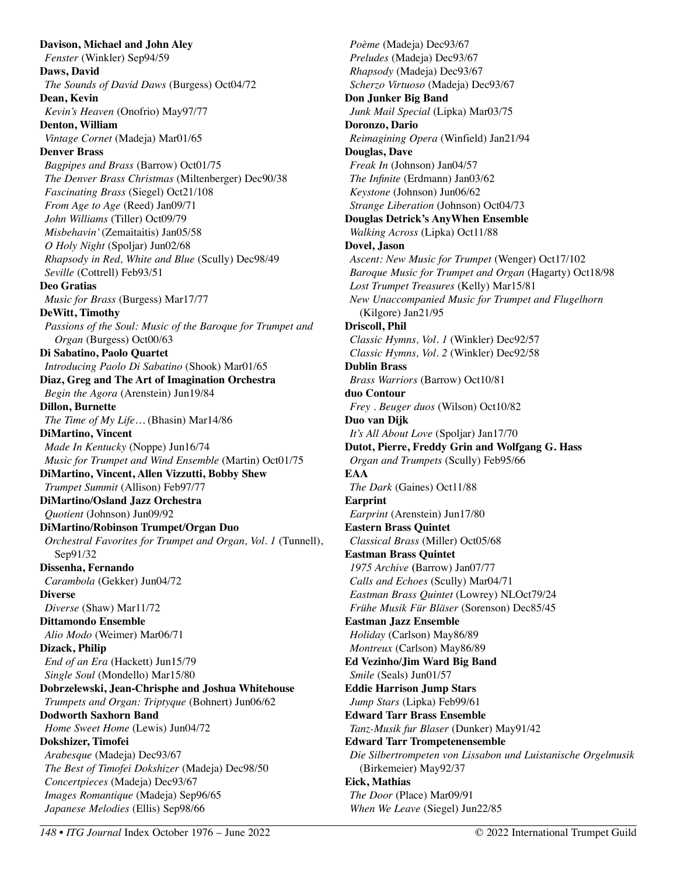**Davison, Michael and John Aley**  *Fenster* (Winkler) Sep94/59 **Daws, David**  *The Sounds of David Daws* (Burgess) Oct04/72 **Dean, Kevin**  *Kevin's Heaven* (Onofrio) May97/77 **Denton, William**  *Vintage Cornet* (Madeja) Mar01/65 **Denver Brass**  *Bagpipes and Brass* (Barrow) Oct01/75 *The Denver Brass Christmas* (Miltenberger) Dec90/38 *Fascinating Brass* (Siegel) Oct21/108 *From Age to Age* (Reed) Jan09/71 *John Williams* (Tiller) Oct09/79 *Misbehavin'* (Zemaitaitis) Jan05/58 *O Holy Night* (Spoljar) Jun02/68 *Rhapsody in Red, White and Blue* (Scully) Dec98/49 *Seville* (Cottrell) Feb93/51 **Deo Gratias**  *Music for Brass* (Burgess) Mar17/77 **DeWitt, Timothy**  *Passions of the Soul: Music of the Baroque for Trumpet and Organ* (Burgess) Oct00/63 **Di Sabatino, Paolo Quartet**  *Introducing Paolo Di Sabatino* (Shook) Mar01/65 **Diaz, Greg and The Art of Imagination Orchestra**  *Begin the Agora* (Arenstein) Jun19/84 **Dillon, Burnette**  *The Time of My Life…* (Bhasin) Mar14/86 **DiMartino, Vincent**  *Made In Kentucky* (Noppe) Jun16/74 *Music for Trumpet and Wind Ensemble* (Martin) Oct01/75 **DiMartino, Vincent, Allen Vizzutti, Bobby Shew**  *Trumpet Summit* (Allison) Feb97/77 **DiMartino/Osland Jazz Orchestra**  *Quotient* (Johnson) Jun09/92 **DiMartino/Robinson Trumpet/Organ Duo**  *Orchestral Favorites for Trumpet and Organ, Vol. 1* (Tunnell), Sep91/32 **Dissenha, Fernando**  *Carambola* (Gekker) Jun04/72 **Diverse**  *Diverse* (Shaw) Mar11/72 **Dittamondo Ensemble**  *Alio Modo* (Weimer) Mar06/71 **Dizack, Philip**  *End of an Era* (Hackett) Jun15/79 *Single Soul* (Mondello) Mar15/80 **Dobrzelewski, Jean-Chrisphe and Joshua Whitehouse**  *Trumpets and Organ: Triptyque* (Bohnert) Jun06/62 **Dodworth Saxhorn Band**  *Home Sweet Home* (Lewis) Jun04/72 **Dokshizer, Timofei**  *Arabesque* (Madeja) Dec93/67 *The Best of Timofei Dokshizer* (Madeja) Dec98/50 *Concertpieces* (Madeja) Dec93/67 *Images Romantique* (Madeja) Sep96/65 *Japanese Melodies* (Ellis) Sep98/66

*Poème* (Madeja) Dec93/67 *Preludes* (Madeja) Dec93/67 *Rhapsody* (Madeja) Dec93/67 *Scherzo Virtuoso* (Madeja) Dec93/67 **Don Junker Big Band**  *Junk Mail Special* (Lipka) Mar03/75 **Doronzo, Dario**  *Reimagining Opera* (Winfield) Jan21/94 **Douglas, Dave**  *Freak In* (Johnson) Jan04/57 *The Infinite* (Erdmann) Jan03/62 *Keystone* (Johnson) Jun06/62 *Strange Liberation* (Johnson) Oct04/73 **Douglas Detrick's AnyWhen Ensemble**  *Walking Across* (Lipka) Oct11/88 **Dovel, Jason**  *Ascent: New Music for Trumpet* (Wenger) Oct17/102 *Baroque Music for Trumpet and Organ* (Hagarty) Oct18/98 *Lost Trumpet Treasures* (Kelly) Mar15/81 *New Unaccompanied Music for Trumpet and Flugelhorn*  (Kilgore) Jan21/95 **Driscoll, Phil**  *Classic Hymns, Vol. 1* (Winkler) Dec92/57 *Classic Hymns, Vol. 2* (Winkler) Dec92/58 **Dublin Brass**  *Brass Warriors* (Barrow) Oct10/81 **duo Contour**  *Frey . Beuger duos* (Wilson) Oct10/82 **Duo van Dijk**  *It's All About Love* (Spoljar) Jan17/70 **Dutot, Pierre, Freddy Grin and Wolfgang G. Hass**  *Organ and Trumpets* (Scully) Feb95/66 **EAA**  *The Dark* (Gaines) Oct11/88 **Earprint**  *Earprint* (Arenstein) Jun17/80 **Eastern Brass Quintet**  *Classical Brass* (Miller) Oct05/68 **Eastman Brass Quintet**  *1975 Archive* **(**Barrow) Jan07/77 *Calls and Echoes* (Scully) Mar04/71 *Eastman Brass Quintet* (Lowrey) NLOct79/24 *Frühe Musik Für Bläser* (Sorenson) Dec85/45 **Eastman Jazz Ensemble**  *Holiday* (Carlson) May86/89 *Montreux* (Carlson) May86/89 **Ed Vezinho/Jim Ward Big Band**  *Smile* (Seals) Jun01/57 **Eddie Harrison Jump Stars**  *Jump Stars* (Lipka) Feb99/61 **Edward Tarr Brass Ensemble**  *Tanz-Musik fur Blaser* (Dunker) May91/42 **Edward Tarr Trompetenensemble**  *Die Silbertrompeten von Lissabon und Luistanische Orgelmusik*  (Birkemeier) May92/37 **Eick, Mathias**  *The Door* (Place) Mar09/91 *When We Leave* (Siegel) Jun22/85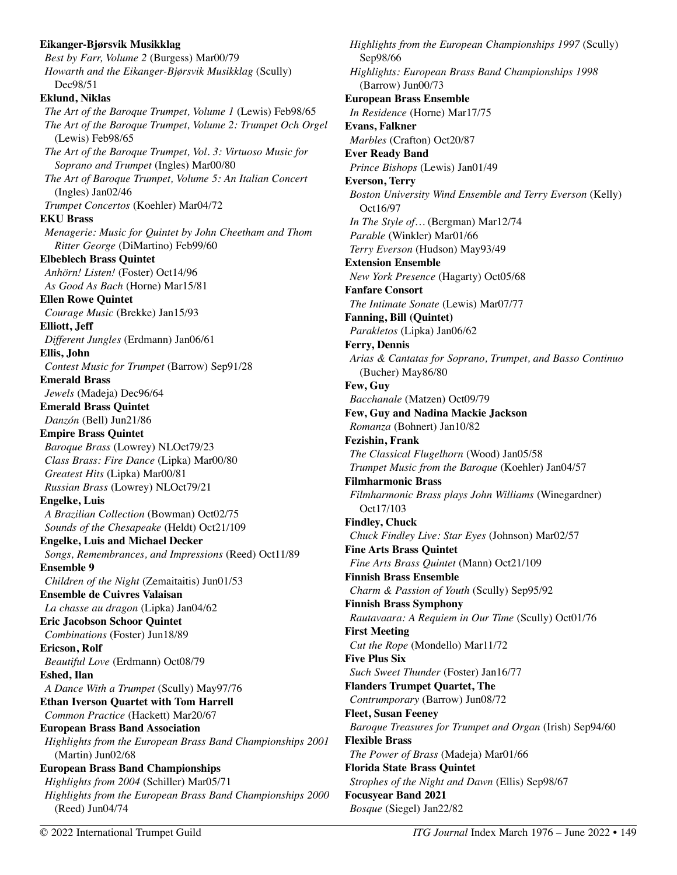#### **Eikanger-Bjørsvik Musikklag**  *Best by Farr, Volume 2* (Burgess) Mar00/79 *Howarth and the Eikanger-Bjørsvik Musikklag* (Scully) Dec98/51 **Eklund, Niklas** *The Art of the Baroque Trumpet, Volume 1* (Lewis) Feb98/65 *The Art of the Baroque Trumpet, Volume 2: Trumpet Och Orgel*  (Lewis) Feb98/65 *The Art of the Baroque Trumpet, Vol. 3: Virtuoso Music for Soprano and Trumpet* (Ingles) Mar00/80 *The Art of Baroque Trumpet, Volume 5: An Italian Concert* (Ingles) Jan02/46 *Trumpet Concertos* (Koehler) Mar04/72 **EKU Brass**  *Menagerie: Music for Quintet by John Cheetham and Thom Ritter George* (DiMartino) Feb99/60 **Elbeblech Brass Quintet**  *Anhörn! Listen!* (Foster) Oct14/96 *As Good As Bach* (Horne) Mar15/81 **Ellen Rowe Quintet**  *Courage Music* (Brekke) Jan15/93 **Elliott, Jeff**  *Different Jungles* (Erdmann) Jan06/61 **Ellis, John**  *Contest Music for Trumpet* (Barrow) Sep91/28 **Emerald Brass**  *Jewels* (Madeja) Dec96/64 **Emerald Brass Quintet**  *Danzón* (Bell) Jun21/86 **Empire Brass Quintet**  *Baroque Brass* (Lowrey) NLOct79/23 *Class Brass: Fire Dance* (Lipka) Mar00/80 *Greatest Hits* (Lipka) Mar00/81 *Russian Brass* (Lowrey) NLOct79/21 **Engelke, Luis**  *A Brazilian Collection* (Bowman) Oct02/75 *Sounds of the Chesapeake* (Heldt) Oct21/109 **Engelke, Luis and Michael Decker**  *Songs, Remembrances, and Impressions* (Reed) Oct11/89 **Ensemble 9**  *Children of the Night* (Zemaitaitis) Jun01/53 **Ensemble de Cuivres Valaisan**  *La chasse au dragon* (Lipka) Jan04/62 **Eric Jacobson Schoor Quintet**  *Combinations* (Foster) Jun18/89 **Ericson, Rolf**  *Beautiful Love* (Erdmann) Oct08/79 **Eshed, Ilan**  *A Dance With a Trumpet* (Scully) May97/76 **Ethan Iverson Quartet with Tom Harrell**  *Common Practice* (Hackett) Mar20/67 **European Brass Band Association**  *Highlights from the European Brass Band Championships 2001*  (Martin) Jun02/68 **European Brass Band Championships**  *Highlights from 2004* (Schiller) Mar05/71 *Highlights from the European Brass Band Championships 2000*  (Reed) Jun04/74

*Highlights from the European Championships 1997* (Scully) Sep98/66 *Highlights: European Brass Band Championships 1998*  (Barrow) Jun00/73 **European Brass Ensemble**  *In Residence* (Horne) Mar17/75 **Evans, Falkner**  *Marbles* (Crafton) Oct20/87 **Ever Ready Band**  *Prince Bishops* (Lewis) Jan01/49 **Everson, Terry**  *Boston University Wind Ensemble and Terry Everson* (Kelly) Oct16/97 *In The Style of…* (Bergman) Mar12/74 *Parable* (Winkler) Mar01/66 *Terry Everson* (Hudson) May93/49 **Extension Ensemble**  *New York Presence* (Hagarty) Oct05/68 **Fanfare Consort**  *The Intimate Sonate* (Lewis) Mar07/77 **Fanning, Bill (Quintet)**  *Parakletos* (Lipka) Jan06/62 **Ferry, Dennis**  *Arias & Cantatas for Soprano, Trumpet, and Basso Continuo*  (Bucher) May86/80 **Few, Guy**  *Bacchanale* (Matzen) Oct09/79 **Few, Guy and Nadina Mackie Jackson**  *Romanza* (Bohnert) Jan10/82 **Fezishin, Frank**  *The Classical Flugelhorn* (Wood) Jan05/58 *Trumpet Music from the Baroque* (Koehler) Jan04/57 **Filmharmonic Brass**  *Filmharmonic Brass plays John Williams* (Winegardner) Oct17/103 **Findley, Chuck**  *Chuck Findley Live: Star Eyes* (Johnson) Mar02/57 **Fine Arts Brass Quintet**  *Fine Arts Brass Quintet* (Mann) Oct21/109 **Finnish Brass Ensemble**  *Charm & Passion of Youth* (Scully) Sep95/92 **Finnish Brass Symphony**  *Rautavaara: A Requiem in Our Time* (Scully) Oct01/76 **First Meeting**  *Cut the Rope* (Mondello) Mar11/72 **Five Plus Six**  *Such Sweet Thunder* (Foster) Jan16/77 **Flanders Trumpet Quartet, The**  *Contrumporary* (Barrow) Jun08/72 **Fleet, Susan Feeney**  *Baroque Treasures for Trumpet and Organ* (Irish) Sep94/60 **Flexible Brass**  *The Power of Brass* (Madeja) Mar01/66 **Florida State Brass Quintet**  *Strophes of the Night and Dawn* (Ellis) Sep98/67 **Focusyear Band 2021**  *Bosque* (Siegel) Jan22/82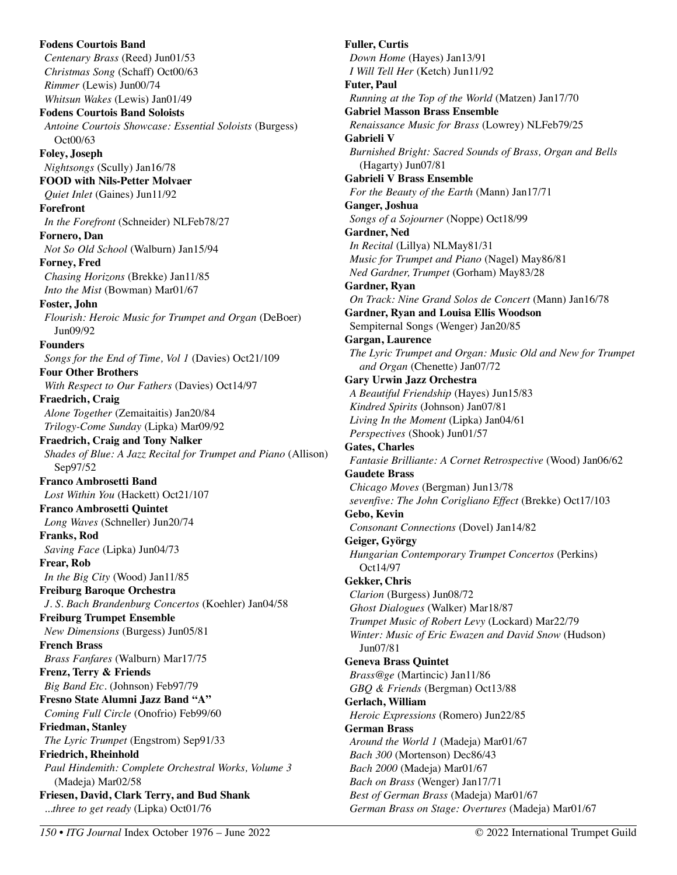**Fodens Courtois Band**  *Centenary Brass* (Reed) Jun01/53 *Christmas Song* (Schaff) Oct00/63 *Rimmer* (Lewis) Jun00/74 *Whitsun Wakes* (Lewis) Jan01/49 **Fodens Courtois Band Soloists**  *Antoine Courtois Showcase: Essential Soloists* (Burgess) Oct00/63 **Foley, Joseph**  *Nightsongs* (Scully) Jan16/78 **FOOD with Nils-Petter Molvaer**  *Quiet Inlet* (Gaines) Jun11/92 **Forefront**  *In the Forefront* (Schneider) NLFeb78/27 **Fornero, Dan**  *Not So Old School* (Walburn) Jan15/94 **Forney, Fred**  *Chasing Horizons* (Brekke) Jan11/85 *Into the Mist* (Bowman) Mar01/67 **Foster, John**  *Flourish: Heroic Music for Trumpet and Organ* (DeBoer) Jun09/92 **Founders**  *Songs for the End of Time, Vol 1* (Davies) Oct21/109 **Four Other Brothers**  *With Respect to Our Fathers* (Davies) Oct14/97 **Fraedrich, Craig**  *Alone Together* (Zemaitaitis) Jan20/84 *Trilogy-Come Sunday* (Lipka) Mar09/92 **Fraedrich, Craig and Tony Nalker**  *Shades of Blue: A Jazz Recital for Trumpet and Piano* (Allison) Sep97/52 **Franco Ambrosetti Band**  *Lost Within You* (Hackett) Oct21/107 **Franco Ambrosetti Quintet**  *Long Waves* (Schneller) Jun20/74 **Franks, Rod**  *Saving Face* (Lipka) Jun04/73 **Frear, Rob**  *In the Big City* (Wood) Jan11/85 **Freiburg Baroque Orchestra**  *J. S. Bach Brandenburg Concertos* (Koehler) Jan04/58 **Freiburg Trumpet Ensemble**  *New Dimensions* (Burgess) Jun05/81 **French Brass**  *Brass Fanfares* (Walburn) Mar17/75 **Frenz, Terry & Friends**  *Big Band Etc.* (Johnson) Feb97/79 **Fresno State Alumni Jazz Band "A"**  *Coming Full Circle* (Onofrio) Feb99/60 **Friedman, Stanley**  *The Lyric Trumpet* (Engstrom) Sep91/33 **Friedrich, Rheinhold**  *Paul Hindemith: Complete Orchestral Works, Volume 3* (Madeja) Mar02/58 **Friesen, David, Clark Terry, and Bud Shank**  *...three to get ready* (Lipka) Oct01/76

**Fuller, Curtis**  *Down Home* (Hayes) Jan13/91 *I Will Tell Her* (Ketch) Jun11/92 **Futer, Paul**  *Running at the Top of the World* (Matzen) Jan17/70 **Gabriel Masson Brass Ensemble**  *Renaissance Music for Brass* (Lowrey) NLFeb79/25 **Gabrieli V**  *Burnished Bright: Sacred Sounds of Brass, Organ and Bells* (Hagarty) Jun07/81 **Gabrieli V Brass Ensemble**  *For the Beauty of the Earth* (Mann) Jan17/71 **Ganger, Joshua**  *Songs of a Sojourner* (Noppe) Oct18/99 **Gardner, Ned**  *In Recital* (Lillya) NLMay81/31 *Music for Trumpet and Piano* (Nagel) May86/81 *Ned Gardner, Trumpet* (Gorham) May83/28 **Gardner, Ryan**  *On Track: Nine Grand Solos de Concert* (Mann) Jan16/78 **Gardner, Ryan and Louisa Ellis Woodson**  Sempiternal Songs (Wenger) Jan20/85 **Gargan, Laurence**  *The Lyric Trumpet and Organ: Music Old and New for Trumpet and Organ* (Chenette) Jan07/72 **Gary Urwin Jazz Orchestra**  *A Beautiful Friendship* (Hayes) Jun15/83 *Kindred Spirits* (Johnson) Jan07/81 *Living In the Moment* (Lipka) Jan04/61 *Perspectives* (Shook) Jun01/57 **Gates, Charles**  *Fantasie Brilliante: A Cornet Retrospective* (Wood) Jan06/62 **Gaudete Brass**  *Chicago Moves* (Bergman) Jun13/78 *sevenfive: The John Corigliano Effect* (Brekke) Oct17/103 **Gebo, Kevin**  *Consonant Connections* (Dovel) Jan14/82 **Geiger, György**  *Hungarian Contemporary Trumpet Concertos* (Perkins) Oct14/97 **Gekker, Chris**  *Clarion* (Burgess) Jun08/72 *Ghost Dialogues* (Walker) Mar18/87 *Trumpet Music of Robert Levy* (Lockard) Mar22/79 *Winter: Music of Eric Ewazen and David Snow* (Hudson) Jun07/81 **Geneva Brass Quintet**  *Brass@ge* (Martincic) Jan11/86 *GBQ & Friends* (Bergman) Oct13/88 **Gerlach, William**  *Heroic Expressions* (Romero) Jun22/85 **German Brass**  *Around the World 1* (Madeja) Mar01/67 *Bach 300* (Mortenson) Dec86/43 *Bach 2000* (Madeja) Mar01/67 *Bach on Brass* (Wenger) Jan17/71 *Best of German Brass* (Madeja) Mar01/67 *German Brass on Stage: Overtures* (Madeja) Mar01/67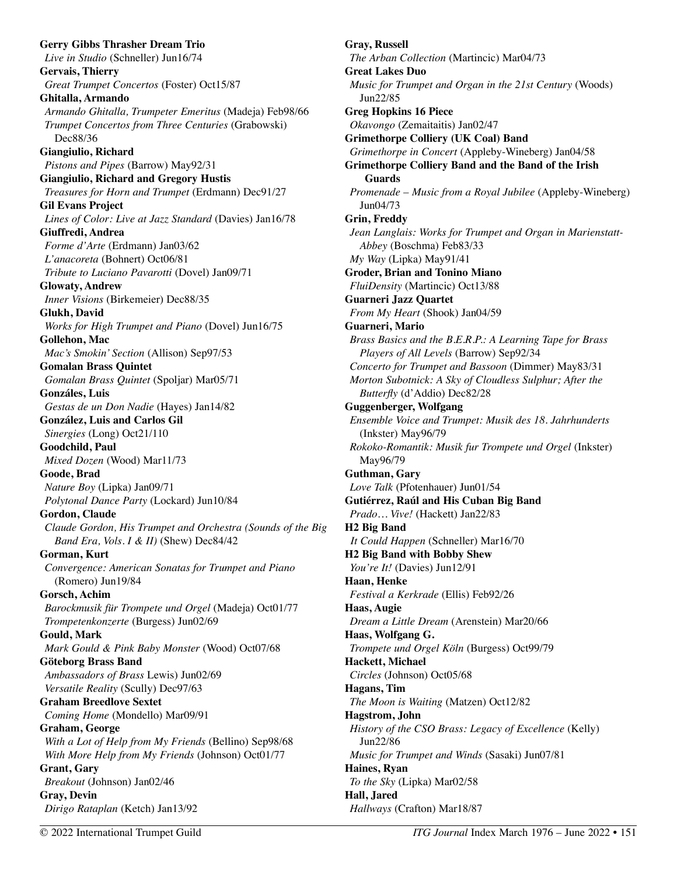**Gerry Gibbs Thrasher Dream Trio**  *Live in Studio* (Schneller) Jun16/74 **Gervais, Thierry**  *Great Trumpet Concertos* (Foster) Oct15/87 **Ghitalla, Armando**  *Armando Ghitalla, Trumpeter Emeritus* (Madeja) Feb98/66 *Trumpet Concertos from Three Centuries* (Grabowski) Dec88/36 **Giangiulio, Richard**  *Pistons and Pipes* (Barrow) May92/31 **Giangiulio, Richard and Gregory Hustis**  *Treasures for Horn and Trumpet* (Erdmann) Dec91/27 **Gil Evans Project**  *Lines of Color: Live at Jazz Standard* (Davies) Jan16/78 **Giuffredi, Andrea**  *Forme d'Arte* (Erdmann) Jan03/62 *L'anacoreta* (Bohnert) Oct06/81 *Tribute to Luciano Pavarotti* (Dovel) Jan09/71 **Glowaty, Andrew**  *Inner Visions* (Birkemeier) Dec88/35 **Glukh, David**  *Works for High Trumpet and Piano* (Dovel) Jun16/75 **Gollehon, Mac**  *Mac's Smokin' Section* (Allison) Sep97/53 **Gomalan Brass Quintet**  *Gomalan Brass Quintet* (Spoljar) Mar05/71 **Gonzáles, Luis**  *Gestas de un Don Nadie* (Hayes) Jan14/82 **González, Luis and Carlos Gil**  *Sinergies* (Long) Oct21/110 **Goodchild, Paul**  *Mixed Dozen* (Wood) Mar11/73 **Goode, Brad**  *Nature Boy* (Lipka) Jan09/71 *Polytonal Dance Party* (Lockard) Jun10/84 **Gordon, Claude**  *Claude Gordon, His Trumpet and Orchestra (Sounds of the Big Band Era, Vols. I & II)* (Shew) Dec84/42 **Gorman, Kurt**  *Convergence: American Sonatas for Trumpet and Piano*  (Romero) Jun19/84 **Gorsch, Achim**  *Barockmusik für Trompete und Orgel* (Madeja) Oct01/77 *Trompetenkonzerte* (Burgess) Jun02/69 **Gould, Mark**  *Mark Gould & Pink Baby Monster* (Wood) Oct07/68 **Göteborg Brass Band**  *Ambassadors of Brass* Lewis) Jun02/69 *Versatile Reality* (Scully) Dec97/63 **Graham Breedlove Sextet**  *Coming Home* (Mondello) Mar09/91 **Graham, George**  *With a Lot of Help from My Friends* (Bellino) Sep98/68 *With More Help from My Friends* (Johnson) Oct01/77 **Grant, Gary**  *Breakout* (Johnson) Jan02/46 **Gray, Devin**  *Dirigo Rataplan* (Ketch) Jan13/92

**Gray, Russell**  *The Arban Collection* (Martincic) Mar04/73 **Great Lakes Duo**  *Music for Trumpet and Organ in the 21st Century* (Woods) Jun22/85 **Greg Hopkins 16 Piece**  *Okavongo* (Zemaitaitis) Jan02/47 **Grimethorpe Colliery (UK Coal) Band**  *Grimethorpe in Concert* (Appleby-Wineberg) Jan04/58 **Grimethorpe Colliery Band and the Band of the Irish Guards**  *Promenade – Music from a Royal Jubilee* (Appleby-Wineberg) Jun04/73 **Grin, Freddy**  *Jean Langlais: Works for Trumpet and Organ in Marienstatt-Abbey* (Boschma) Feb83/33 *My Way* (Lipka) May91/41 **Groder, Brian and Tonino Miano**  *FluiDensity* (Martincic) Oct13/88 **Guarneri Jazz Quartet**  *From My Heart* (Shook) Jan04/59 **Guarneri, Mario**  *Brass Basics and the B.E.R.P.: A Learning Tape for Brass Players of All Levels* (Barrow) Sep92/34 *Concerto for Trumpet and Bassoon* (Dimmer) May83/31 *Morton Subotnick: A Sky of Cloudless Sulphur; After the Butterfly* (d'Addio) Dec82/28 **Guggenberger, Wolfgang**  *Ensemble Voice and Trumpet: Musik des 18. Jahrhunderts*  (Inkster) May96/79 *Rokoko-Romantik: Musik fur Trompete und Orgel* (Inkster) May96/79 **Guthman, Gary**  *Love Talk* (Pfotenhauer) Jun01/54 **Gutiérrez, Raúl and His Cuban Big Band**  *Prado… Vive!* (Hackett) Jan22/83 **H2 Big Band**  *It Could Happen* (Schneller) Mar16/70 **H2 Big Band with Bobby Shew**  *You're It!* (Davies) Jun12/91 **Haan, Henke**  *Festival a Kerkrade* (Ellis) Feb92/26 **Haas, Augie**  *Dream a Little Dream* (Arenstein) Mar20/66 **Haas, Wolfgang G.**  *Trompete und Orgel Köln* (Burgess) Oct99/79 **Hackett, Michael**  *Circles* (Johnson) Oct05/68 **Hagans, Tim**  *The Moon is Waiting* (Matzen) Oct12/82 **Hagstrom, John**  *History of the CSO Brass: Legacy of Excellence* (Kelly) Jun22/86 *Music for Trumpet and Winds* (Sasaki) Jun07/81 **Haines, Ryan**  *To the Sky* (Lipka) Mar02/58 **Hall, Jared**  *Hallways* (Crafton) Mar18/87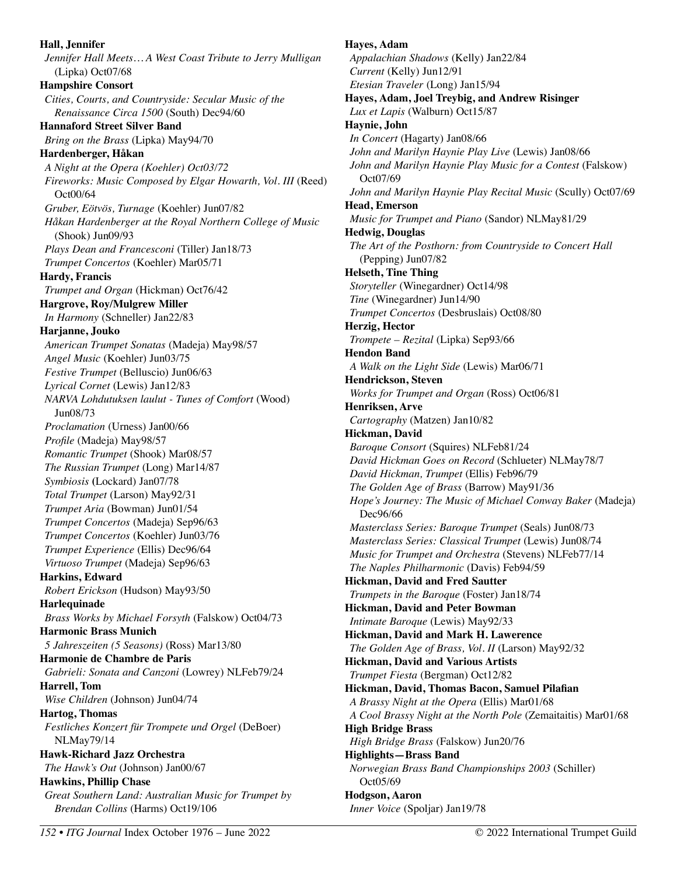**Hall, Jennifer**  *Jennifer Hall Meets… A West Coast Tribute to Jerry Mulligan* (Lipka) Oct07/68 **Hampshire Consort**  *Cities, Courts, and Countryside: Secular Music of the Renaissance Circa 1500* (South) Dec94/60 **Hannaford Street Silver Band**  *Bring on the Brass* (Lipka) May94/70 **Hardenberger, Håkan**  *A Night at the Opera (Koehler) Oct03/72 Fireworks: Music Composed by Elgar Howarth, Vol. III (Reed)* Oct00/64 *Gruber, Eötvös, Turnage* (Koehler) Jun07/82 *Håkan Hardenberger at the Royal Northern College of Music*  (Shook) Jun09/93 *Plays Dean and Francesconi* (Tiller) Jan18/73 *Trumpet Concertos* (Koehler) Mar05/71 **Hardy, Francis**  *Trumpet and Organ* (Hickman) Oct76/42 **Hargrove, Roy/Mulgrew Miller**  *In Harmony* (Schneller) Jan22/83 **Harjanne, Jouko**  *American Trumpet Sonatas* (Madeja) May98/57 *Angel Music* (Koehler) Jun03/75 *Festive Trumpet* (Belluscio) Jun06/63 *Lyrical Cornet* (Lewis) Jan12/83 *NARVA Lohdutuksen laulut - Tunes of Comfort* (Wood) Jun08/73 *Proclamation* (Urness) Jan00/66 *Profile* (Madeja) May98/57 *Romantic Trumpet* (Shook) Mar08/57 *The Russian Trumpet* (Long) Mar14/87 *Symbiosis* **(**Lockard) Jan07/78 *Total Trumpet* (Larson) May92/31 *Trumpet Aria* (Bowman) Jun01/54 *Trumpet Concertos* (Madeja) Sep96/63 *Trumpet Concertos* (Koehler) Jun03/76 *Trumpet Experience* (Ellis) Dec96/64 *Virtuoso Trumpet* (Madeja) Sep96/63 **Harkins, Edward**  *Robert Erickson* (Hudson) May93/50 **Harlequinade**  *Brass Works by Michael Forsyth* (Falskow) Oct04/73 **Harmonic Brass Munich**  *5 Jahreszeiten (5 Seasons)* (Ross) Mar13/80 **Harmonie de Chambre de Paris**  *Gabrieli: Sonata and Canzoni* (Lowrey) NLFeb79/24 **Harrell, Tom**  *Wise Children* (Johnson) Jun04/74 **Hartog, Thomas**  *Festliches Konzert für Trompete und Orgel* (DeBoer) NLMay79/14 **Hawk-Richard Jazz Orchestra**  *The Hawk's Out* (Johnson) Jan00/67 **Hawkins, Phillip Chase**  *Great Southern Land: Australian Music for Trumpet by Brendan Collins* (Harms) Oct19/106

**Hayes, Adam**  *Appalachian Shadows* (Kelly) Jan22/84 *Current* (Kelly) Jun12/91 *Etesian Traveler* (Long) Jan15/94 **Hayes, Adam, Joel Treybig, and Andrew Risinger**  *Lux et Lapis* (Walburn) Oct15/87 **Haynie, John**  *In Concert* (Hagarty) Jan08/66 *John and Marilyn Haynie Play Live* (Lewis) Jan08/66 *John and Marilyn Haynie Play Music for a Contest* (Falskow) Oct07/69 *John and Marilyn Haynie Play Recital Music* (Scully) Oct07/69 **Head, Emerson**  *Music for Trumpet and Piano* (Sandor) NLMay81/29 **Hedwig, Douglas**  *The Art of the Posthorn: from Countryside to Concert Hall*  (Pepping) Jun07/82 **Helseth, Tine Thing**  *Storyteller* (Winegardner) Oct14/98 *Tine* (Winegardner) Jun14/90 *Trumpet Concertos* (Desbruslais) Oct08/80 **Herzig, Hector**  *Trompete – Rezital* (Lipka) Sep93/66 **Hendon Band**  *A Walk on the Light Side* (Lewis) Mar06/71 **Hendrickson, Steven**  *Works for Trumpet and Organ* (Ross) Oct06/81 **Henriksen, Arve**  *Cartography* (Matzen) Jan10/82 **Hickman, David**  *Baroque Consort* (Squires) NLFeb81/24 *David Hickman Goes on Record* (Schlueter) NLMay78/7 *David Hickman, Trumpet* (Ellis) Feb96/79 *The Golden Age of Brass* (Barrow) May91/36 *Hope's Journey: The Music of Michael Conway Baker* (Madeja) Dec96/66 *Masterclass Series: Baroque Trumpet* (Seals) Jun08/73 *Masterclass Series: Classical Trumpet* (Lewis) Jun08/74 *Music for Trumpet and Orchestra* (Stevens) NLFeb77/14 *The Naples Philharmonic* (Davis) Feb94/59 **Hickman, David and Fred Sautter**  *Trumpets in the Baroque* (Foster) Jan18/74 **Hickman, David and Peter Bowman**  *Intimate Baroque* (Lewis) May92/33 **Hickman, David and Mark H. Lawerence**  *The Golden Age of Brass, Vol. II* (Larson) May92/32 **Hickman, David and Various Artists**  *Trumpet Fiesta* (Bergman) Oct12/82 **Hickman, David, Thomas Bacon, Samuel Pilafian**  *A Brassy Night at the Opera* (Ellis) Mar01/68 *A Cool Brassy Night at the North Pole* (Zemaitaitis) Mar01/68 **High Bridge Brass**  *High Bridge Brass* (Falskow) Jun20/76 **Highlights—Brass Band**  *Norwegian Brass Band Championships 2003* (Schiller) Oct05/69 **Hodgson, Aaron**  *Inner Voice* (Spoljar) Jan19/78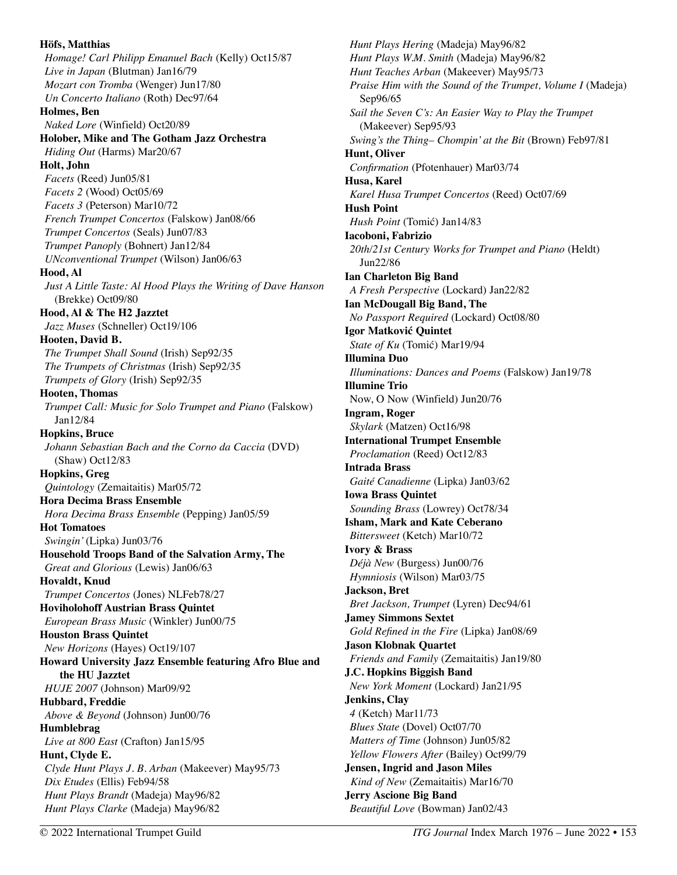**Höfs, Matthias**  *Homage! Carl Philipp Emanuel Bach* (Kelly) Oct15/87 *Live in Japan* (Blutman) Jan16/79 *Mozart con Tromba* (Wenger) Jun17/80 *Un Concerto Italiano* (Roth) Dec97/64 **Holmes, Ben**  *Naked Lore* (Winfield) Oct20/89 **Holober, Mike and The Gotham Jazz Orchestra**  *Hiding Out* (Harms) Mar20/67 **Holt, John**  *Facets* (Reed) Jun05/81 *Facets 2* (Wood) Oct05/69 *Facets 3* (Peterson) Mar10/72 *French Trumpet Concertos* (Falskow) Jan08/66 *Trumpet Concertos* (Seals) Jun07/83 *Trumpet Panoply* (Bohnert) Jan12/84 *UNconventional Trumpet* (Wilson) Jan06/63 **Hood, Al**  *Just A Little Taste: Al Hood Plays the Writing of Dave Hanson*  (Brekke) Oct09/80 **Hood, Al & The H2 Jazztet**  *Jazz Muses* (Schneller) Oct19/106 **Hooten, David B.**  *The Trumpet Shall Sound* (Irish) Sep92/35 *The Trumpets of Christmas* (Irish) Sep92/35 *Trumpets of Glory* (Irish) Sep92/35 **Hooten, Thomas**  *Trumpet Call: Music for Solo Trumpet and Piano* (Falskow) Jan12/84 **Hopkins, Bruce**  *Johann Sebastian Bach and the Corno da Caccia* (DVD) (Shaw) Oct12/83 **Hopkins, Greg**  *Quintology* (Zemaitaitis) Mar05/72 **Hora Decima Brass Ensemble**  *Hora Decima Brass Ensemble* (Pepping) Jan05/59 **Hot Tomatoes**  *Swingin'* (Lipka) Jun03/76 **Household Troops Band of the Salvation Army, The**  *Great and Glorious* (Lewis) Jan06/63 **Hovaldt, Knud**  *Trumpet Concertos* (Jones) NLFeb78/27 **Hoviholohoff Austrian Brass Quintet**  *European Brass Music* (Winkler) Jun00/75 **Houston Brass Quintet**  *New Horizons* (Hayes) Oct19/107 **Howard University Jazz Ensemble featuring Afro Blue and the HU Jazztet**  *HUJE 2007* (Johnson) Mar09/92 **Hubbard, Freddie**  *Above & Beyond* (Johnson) Jun00/76 **Humblebrag**  *Live at 800 East* (Crafton) Jan15/95 **Hunt, Clyde E.**  *Clyde Hunt Plays J. B. Arban* (Makeever) May95/73 *Dix Etudes* (Ellis) Feb94/58 *Hunt Plays Brandt* (Madeja) May96/82 *Hunt Plays Clarke* (Madeja) May96/82

*Hunt Plays Hering* (Madeja) May96/82 *Hunt Plays W.M. Smith* (Madeja) May96/82 *Hunt Teaches Arban* (Makeever) May95/73 *Praise Him with the Sound of the Trumpet, Volume I (Madeja)* Sep96/65 *Sail the Seven C's: An Easier Way to Play the Trumpet*  (Makeever) Sep95/93 *Swing's the Thing– Chompin' at the Bit* (Brown) Feb97/81 **Hunt, Oliver**  *Confirmation* (Pfotenhauer) Mar03/74 **Husa, Karel**  *Karel Husa Trumpet Concertos* (Reed) Oct07/69 **Hush Point**  *Hush Point* (Tomić) Jan14/83 **Iacoboni, Fabrizio**  *20th/21st Century Works for Trumpet and Piano* (Heldt) Jun22/86 **Ian Charleton Big Band**  *A Fresh Perspective* (Lockard) Jan22/82 **Ian McDougall Big Band, The**  *No Passport Required* (Lockard) Oct08/80 **Igor Matković Quintet**  *State of Ku* (Tomić) Mar19/94 **Illumina Duo**  *Illuminations: Dances and Poems* (Falskow) Jan19/78 **Illumine Trio**  Now, O Now (Winfield) Jun20/76 **Ingram, Roger**  *Skylark* (Matzen) Oct16/98 **International Trumpet Ensemble**  *Proclamation* (Reed) Oct12/83 **Intrada Brass**  *Gaité Canadienne* (Lipka) Jan03/62 **Iowa Brass Quintet**  *Sounding Brass* (Lowrey) Oct78/34 **Isham, Mark and Kate Ceberano**  *Bittersweet* (Ketch) Mar10/72 **Ivory & Brass**  *Déjà New* (Burgess) Jun00/76 *Hymniosis* (Wilson) Mar03/75 **Jackson, Bret**  *Bret Jackson, Trumpet* (Lyren) Dec94/61 **Jamey Simmons Sextet**  *Gold Refined in the Fire* (Lipka) Jan08/69 **Jason Klobnak Quartet**  *Friends and Family* (Zemaitaitis) Jan19/80 **J.C. Hopkins Biggish Band**  *New York Moment* (Lockard) Jan21/95 **Jenkins, Clay**  *4* (Ketch) Mar11/73 *Blues State* (Dovel) Oct07/70 *Matters of Time* (Johnson) Jun05/82 *Yellow Flowers After* (Bailey) Oct99/79 **Jensen, Ingrid and Jason Miles**  *Kind of New* (Zemaitaitis) Mar16/70 **Jerry Ascione Big Band**  *Beautiful Love* (Bowman) Jan02/43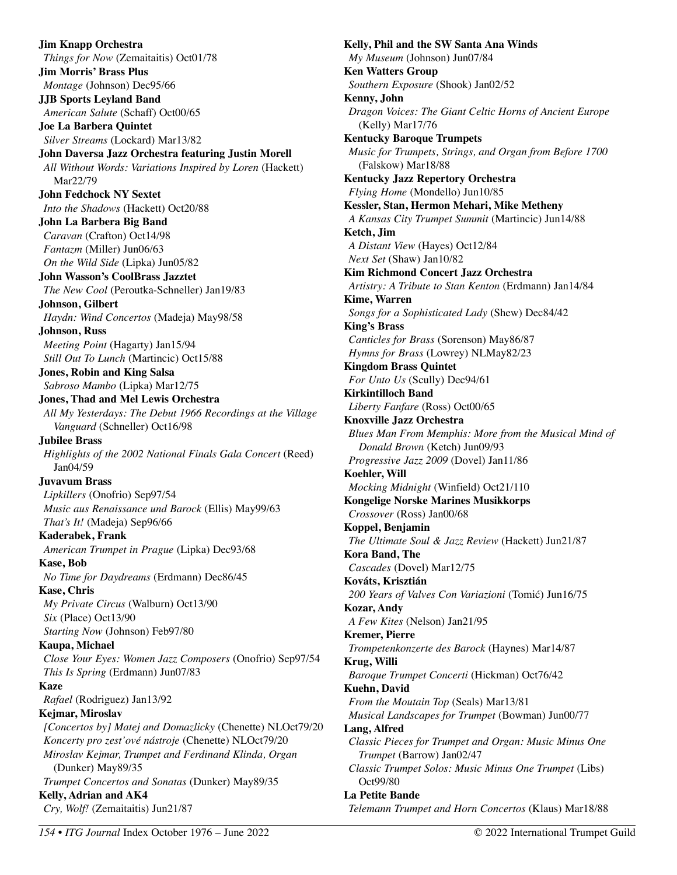**Jim Knapp Orchestra**  *Things for Now* (Zemaitaitis) Oct01/78 **Jim Morris' Brass Plus**  *Montage* (Johnson) Dec95/66 **JJB Sports Leyland Band**  *American Salute* (Schaff) Oct00/65 **Joe La Barbera Quintet**  *Silver Streams* (Lockard) Mar13/82 **John Daversa Jazz Orchestra featuring Justin Morell**  *All Without Words: Variations Inspired by Loren* (Hackett) Mar22/79 **John Fedchock NY Sextet**  *Into the Shadows* (Hackett) Oct20/88 **John La Barbera Big Band**  *Caravan* (Crafton) Oct14/98 *Fantazm* (Miller) Jun06/63 *On the Wild Side* (Lipka) Jun05/82 **John Wasson's CoolBrass Jazztet**  *The New Cool* (Peroutka-Schneller) Jan19/83 **Johnson, Gilbert**  *Haydn: Wind Concertos* (Madeja) May98/58 **Johnson, Russ**  *Meeting Point* (Hagarty) Jan15/94 *Still Out To Lunch* (Martincic) Oct15/88 **Jones, Robin and King Salsa**  *Sabroso Mambo* (Lipka) Mar12/75 **Jones, Thad and Mel Lewis Orchestra**  *All My Yesterdays: The Debut 1966 Recordings at the Village Vanguard* (Schneller) Oct16/98 **Jubilee Brass**  *Highlights of the 2002 National Finals Gala Concert* (Reed) Jan04/59 **Juvavum Brass**  *Lipkillers* (Onofrio) Sep97/54 *Music aus Renaissance und Barock* (Ellis) May99/63 *That's It!* (Madeja) Sep96/66 **Kaderabek, Frank**  *American Trumpet in Prague* (Lipka) Dec93/68 **Kase, Bob**  *No Time for Daydreams* (Erdmann) Dec86/45 **Kase, Chris**  *My Private Circus* (Walburn) Oct13/90 *Six* (Place) Oct13/90 *Starting Now* (Johnson) Feb97/80 **Kaupa, Michael**  *Close Your Eyes: Women Jazz Composers* (Onofrio) Sep97/54 *This Is Spring* (Erdmann) Jun07/83 **Kaze**  *Rafael* (Rodriguez) Jan13/92 **Kejmar, Miroslav**  *[Concertos by] Matej and Domazlicky* (Chenette) NLOct79/20 *Koncerty pro zest'ové nástroje* (Chenette) NLOct79/20 *Miroslav Kejmar, Trumpet and Ferdinand Klinda, Organ*  (Dunker) May89/35 *Trumpet Concertos and Sonatas* (Dunker) May89/35 **Kelly, Adrian and AK4**  *Cry, Wolf!* (Zemaitaitis) Jun21/87

**Kelly, Phil and the SW Santa Ana Winds**  *My Museum* (Johnson) Jun07/84 **Ken Watters Group**  *Southern Exposure* (Shook) Jan02/52 **Kenny, John**  *Dragon Voices: The Giant Celtic Horns of Ancient Europe*  (Kelly) Mar17/76 **Kentucky Baroque Trumpets**  *Music for Trumpets, Strings, and Organ from Before 1700*  (Falskow) Mar18/88 **Kentucky Jazz Repertory Orchestra**  *Flying Home* (Mondello) Jun10/85 **Kessler, Stan, Hermon Mehari, Mike Metheny**  *A Kansas City Trumpet Summit* (Martincic) Jun14/88 **Ketch, Jim**  *A Distant View* (Hayes) Oct12/84 *Next Set* (Shaw) Jan10/82 **Kim Richmond Concert Jazz Orchestra**  *Artistry: A Tribute to Stan Kenton* (Erdmann) Jan14/84 **Kime, Warren**  *Songs for a Sophisticated Lady* (Shew) Dec84/42 **King's Brass**  *Canticles for Brass* (Sorenson) May86/87 *Hymns for Brass* (Lowrey) NLMay82/23 **Kingdom Brass Quintet**  *For Unto Us* (Scully) Dec94/61 **Kirkintilloch Band**  *Liberty Fanfare* (Ross) Oct00/65 **Knoxville Jazz Orchestra**  *Blues Man From Memphis: More from the Musical Mind of Donald Brown* (Ketch) Jun09/93 *Progressive Jazz 2009* (Dovel) Jan11/86 **Koehler, Will**  *Mocking Midnight* (Winfield) Oct21/110 **Kongelige Norske Marines Musikkorps**  *Crossover* (Ross) Jan00/68 **Koppel, Benjamin**  *The Ultimate Soul & Jazz Review* (Hackett) Jun21/87 **Kora Band, The**  *Cascades* (Dovel) Mar12/75 **Kováts, Krisztián**  *200 Years of Valves Con Variazioni* (Tomić) Jun16/75 **Kozar, Andy**  *A Few Kites* (Nelson) Jan21/95 **Kremer, Pierre**  *Trompetenkonzerte des Barock* (Haynes) Mar14/87 **Krug, Willi**  *Baroque Trumpet Concerti* (Hickman) Oct76/42 **Kuehn, David**  *From the Moutain Top* (Seals) Mar13/81 *Musical Landscapes for Trumpet* (Bowman) Jun00/77 **Lang, Alfred**  *Classic Pieces for Trumpet and Organ: Music Minus One Trumpet* (Barrow) Jan02/47 *Classic Trumpet Solos: Music Minus One Trumpet* (Libs) Oct99/80 **La Petite Bande** 

*Telemann Trumpet and Horn Concertos* (Klaus) Mar18/88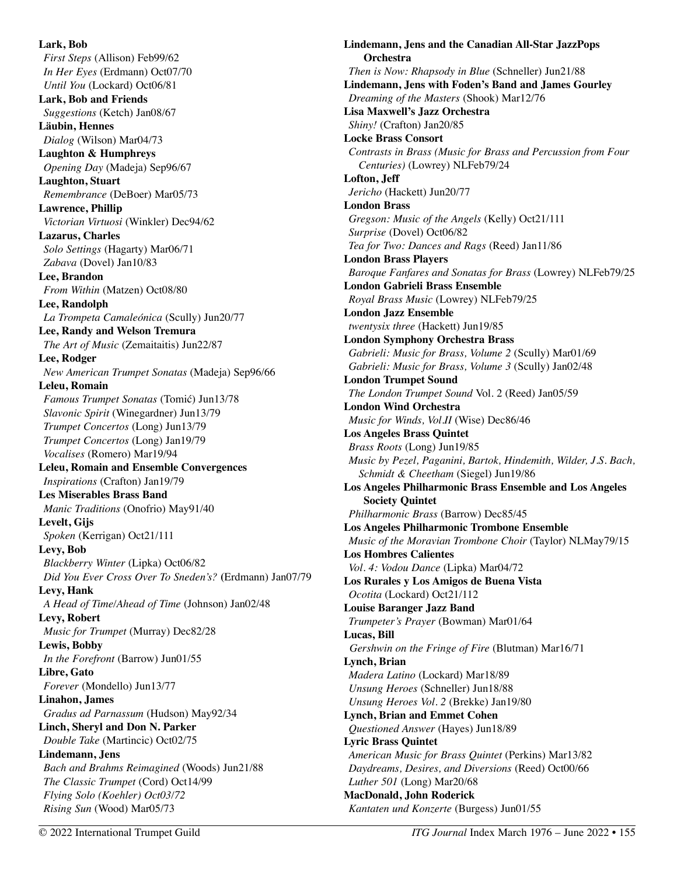**Lark, Bob**  *First Steps* (Allison) Feb99/62 *In Her Eyes* (Erdmann) Oct07/70 *Until You* (Lockard) Oct06/81 **Lark, Bob and Friends**  *Suggestions* (Ketch) Jan08/67 **Läubin, Hennes**  *Dialog* (Wilson) Mar04/73 **Laughton & Humphreys**  *Opening Day* (Madeja) Sep96/67 **Laughton, Stuart**  *Remembrance* (DeBoer) Mar05/73 **Lawrence, Phillip**  *Victorian Virtuosi* (Winkler) Dec94/62 **Lazarus, Charles**  *Solo Settings* (Hagarty) Mar06/71 *Zabava* (Dovel) Jan10/83 **Lee, Brandon**  *From Within* (Matzen) Oct08/80 **Lee, Randolph**  *La Trompeta Camaleónica* (Scully) Jun20/77 **Lee, Randy and Welson Tremura**  *The Art of Music* (Zemaitaitis) Jun22/87 **Lee, Rodger**  *New American Trumpet Sonatas* (Madeja) Sep96/66 **Leleu, Romain**  *Famous Trumpet Sonatas* (Tomić) Jun13/78 *Slavonic Spirit* (Winegardner) Jun13/79 *Trumpet Concertos* (Long) Jun13/79 *Trumpet Concertos* (Long) Jan19/79 *Vocalises* (Romero) Mar19/94 **Leleu, Romain and Ensemble Convergences**  *Inspirations* (Crafton) Jan19/79 **Les Miserables Brass Band**  *Manic Traditions* (Onofrio) May91/40 **Levelt, Gijs**  *Spoken* (Kerrigan) Oct21/111 **Levy, Bob**  *Blackberry Winter* (Lipka) Oct06/82 *Did You Ever Cross Over To Sneden's?* **(**Erdmann) Jan07/79 **Levy, Hank**  *A Head of Time/Ahead of Time* (Johnson) Jan02/48 **Levy, Robert**  *Music for Trumpet* (Murray) Dec82/28 **Lewis, Bobby**  *In the Forefront* (Barrow) Jun01/55 **Libre, Gato**  *Forever* (Mondello) Jun13/77 **Linahon, James**  *Gradus ad Parnassum* (Hudson) May92/34 **Linch, Sheryl and Don N. Parker**  *Double Take* (Martincic) Oct02/75 **Lindemann, Jens**  *Bach and Brahms Reimagined* (Woods) Jun21/88 *The Classic Trumpet* (Cord) Oct14/99 *Flying Solo (Koehler) Oct03/72 Rising Sun* (Wood) Mar05/73

**Lindemann, Jens and the Canadian All-Star JazzPops Orchestra**  *Then is Now: Rhapsody in Blue* (Schneller) Jun21/88 **Lindemann, Jens with Foden's Band and James Gourley**  *Dreaming of the Masters* (Shook) Mar12/76 **Lisa Maxwell's Jazz Orchestra**  *Shiny!* (Crafton) Jan20/85 **Locke Brass Consort**  *Contrasts in Brass (Music for Brass and Percussion from Four Centuries)* (Lowrey) NLFeb79/24 **Lofton, Jeff**  *Jericho* (Hackett) Jun20/77 **London Brass**  *Gregson: Music of the Angels* (Kelly) Oct21/111 *Surprise* (Dovel) Oct06/82 *Tea for Two: Dances and Rags* (Reed) Jan11/86 **London Brass Players**  *Baroque Fanfares and Sonatas for Brass* (Lowrey) NLFeb79/25 **London Gabrieli Brass Ensemble**  *Royal Brass Music* (Lowrey) NLFeb79/25 **London Jazz Ensemble**  *twentysix three* (Hackett) Jun19/85 **London Symphony Orchestra Brass**  *Gabrieli: Music for Brass, Volume 2* (Scully) Mar01/69 *Gabrieli: Music for Brass, Volume 3* (Scully) Jan02/48 **London Trumpet Sound**  *The London Trumpet Sound* Vol. 2 (Reed) Jan05/59 **London Wind Orchestra**  *Music for Winds, Vol.II* (Wise) Dec86/46 **Los Angeles Brass Quintet**  *Brass Roots* (Long) Jun19/85 *Music by Pezel, Paganini, Bartok, Hindemith, Wilder, J.S. Bach, Schmidt & Cheetham* (Siegel) Jun19/86 **Los Angeles Philharmonic Brass Ensemble and Los Angeles Society Quintet**  *Philharmonic Brass* (Barrow) Dec85/45 **Los Angeles Philharmonic Trombone Ensemble**  *Music of the Moravian Trombone Choir* (Taylor) NLMay79/15 **Los Hombres Calientes**  *Vol. 4: Vodou Dance* (Lipka) Mar04/72 **Los Rurales y Los Amigos de Buena Vista**  *Ocotita* (Lockard) Oct21/112 **Louise Baranger Jazz Band**  *Trumpeter's Prayer* (Bowman) Mar01/64 **Lucas, Bill**  *Gershwin on the Fringe of Fire* (Blutman) Mar16/71 **Lynch, Brian**  *Madera Latino* (Lockard) Mar18/89 *Unsung Heroes* (Schneller) Jun18/88 *Unsung Heroes Vol. 2* (Brekke) Jan19/80 **Lynch, Brian and Emmet Cohen**  *Questioned Answer* (Hayes) Jun18/89 **Lyric Brass Quintet**  *American Music for Brass Quintet* (Perkins) Mar13/82 *Daydreams, Desires, and Diversions* (Reed) Oct00/66 *Luther 501* (Long) Mar20/68 **MacDonald, John Roderick**  *Kantaten und Konzerte* (Burgess) Jun01/55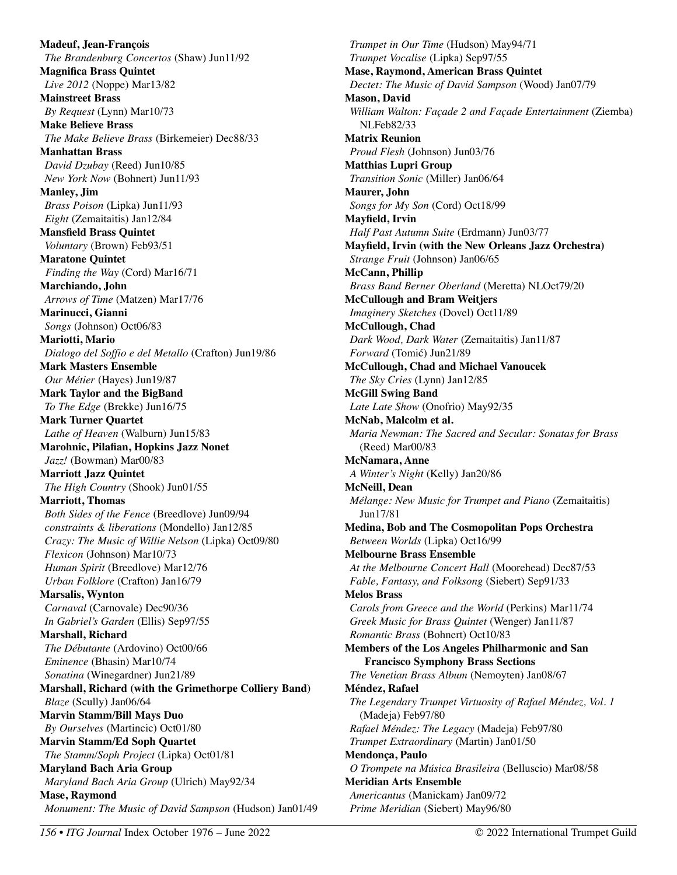**Madeuf, Jean-François**  *The Brandenburg Concertos* (Shaw) Jun11/92 **Magnifica Brass Quintet**  *Live 2012* (Noppe) Mar13/82 **Mainstreet Brass**  *By Request* (Lynn) Mar10/73 **Make Believe Brass**  *The Make Believe Brass* (Birkemeier) Dec88/33 **Manhattan Brass**  *David Dzubay* (Reed) Jun10/85 *New York Now* (Bohnert) Jun11/93 **Manley, Jim**  *Brass Poison* (Lipka) Jun11/93 *Eight* (Zemaitaitis) Jan12/84 **Mansfield Brass Quintet**  *Voluntary* (Brown) Feb93/51 **Maratone Quintet**  *Finding the Way* (Cord) Mar16/71 **Marchiando, John**  *Arrows of Time* (Matzen) Mar17/76 **Marinucci, Gianni**  *Songs* (Johnson) Oct06/83 **Mariotti, Mario**  *Dialogo del Soffio e del Metallo* (Crafton) Jun19/86 **Mark Masters Ensemble**  *Our Métier* (Hayes) Jun19/87 **Mark Taylor and the BigBand**  *To The Edge* (Brekke) Jun16/75 **Mark Turner Quartet**  *Lathe of Heaven* (Walburn) Jun15/83 **Marohnic, Pilafian, Hopkins Jazz Nonet**  *Jazz!* (Bowman) Mar00/83 **Marriott Jazz Quintet**  *The High Country* (Shook) Jun01/55 **Marriott, Thomas**  *Both Sides of the Fence* (Breedlove) Jun09/94 *constraints & liberations* (Mondello) Jan12/85 *Crazy: The Music of Willie Nelson* (Lipka) Oct09/80 *Flexicon* (Johnson) Mar10/73 *Human Spirit* (Breedlove) Mar12/76 *Urban Folklore* (Crafton) Jan16/79 **Marsalis, Wynton**  *Carnaval* (Carnovale) Dec90/36 *In Gabriel's Garden* (Ellis) Sep97/55 **Marshall, Richard**  *The Débutante* (Ardovino) Oct00/66 *Eminence* (Bhasin) Mar10/74 *Sonatina* (Winegardner) Jun21/89 **Marshall, Richard (with the Grimethorpe Colliery Band)**  *Blaze* (Scully) Jan06/64 **Marvin Stamm/Bill Mays Duo**  *By Ourselves* (Martincic) Oct01/80 **Marvin Stamm/Ed Soph Quartet**  *The Stamm/Soph Project* (Lipka) Oct01/81 **Maryland Bach Aria Group**  *Maryland Bach Aria Group* (Ulrich) May92/34 **Mase, Raymond**  *Monument: The Music of David Sampson* (Hudson) Jan01/49

*Trumpet in Our Time* (Hudson) May94/71 *Trumpet Vocalise* (Lipka) Sep97/55 **Mase, Raymond, American Brass Quintet**  *Dectet: The Music of David Sampson* (Wood) Jan07/79 **Mason, David**  *William Walton: Façade 2 and Façade Entertainment* (Ziemba) NLFeb82/33 **Matrix Reunion**  *Proud Flesh* (Johnson) Jun03/76 **Matthias Lupri Group**  *Transition Sonic* (Miller) Jan06/64 **Maurer, John**  *Songs for My Son* (Cord) Oct18/99 **Mayfield, Irvin**  *Half Past Autumn Suite* (Erdmann) Jun03/77 **Mayfield, Irvin (with the New Orleans Jazz Orchestra)**  *Strange Fruit* (Johnson) Jan06/65 **McCann, Phillip**  *Brass Band Berner Oberland* (Meretta) NLOct79/20 **McCullough and Bram Weitjers**  *Imaginery Sketches* (Dovel) Oct11/89 **McCullough, Chad**  *Dark Wood, Dark Water* (Zemaitaitis) Jan11/87 *Forward* (Tomić) Jun21/89 **McCullough, Chad and Michael Vanoucek**  *The Sky Cries* (Lynn) Jan12/85 **McGill Swing Band**  *Late Late Show* (Onofrio) May92/35 **McNab, Malcolm et al.**  *Maria Newman: The Sacred and Secular: Sonatas for Brass*  (Reed) Mar00/83 **McNamara, Anne**  *A Winter's Night* (Kelly) Jan20/86 **McNeill, Dean**  *Mélange: New Music for Trumpet and Piano* (Zemaitaitis) Jun17/81 **Medina, Bob and The Cosmopolitan Pops Orchestra**  *Between Worlds* (Lipka) Oct16/99 **Melbourne Brass Ensemble**  *At the Melbourne Concert Hall* (Moorehead) Dec87/53 *Fable, Fantasy, and Folksong* (Siebert) Sep91/33 **Melos Brass**  *Carols from Greece and the World* (Perkins) Mar11/74 *Greek Music for Brass Quintet* (Wenger) Jan11/87 *Romantic Brass* (Bohnert) Oct10/83 **Members of the Los Angeles Philharmonic and San Francisco Symphony Brass Sections**  *The Venetian Brass Album* (Nemoyten) Jan08/67 **Méndez, Rafael**  *The Legendary Trumpet Virtuosity of Rafael Méndez, Vol. 1*  (Madeja) Feb97/80 *Rafael Méndez: The Legacy* (Madeja) Feb97/80 *Trumpet Extraordinary* (Martin) Jan01/50 **Mendonça, Paulo**  *O Trompete na Música Brasileira* (Belluscio) Mar08/58 **Meridian Arts Ensemble**  *Americantus* (Manickam) Jan09/72 *Prime Meridian* (Siebert) May96/80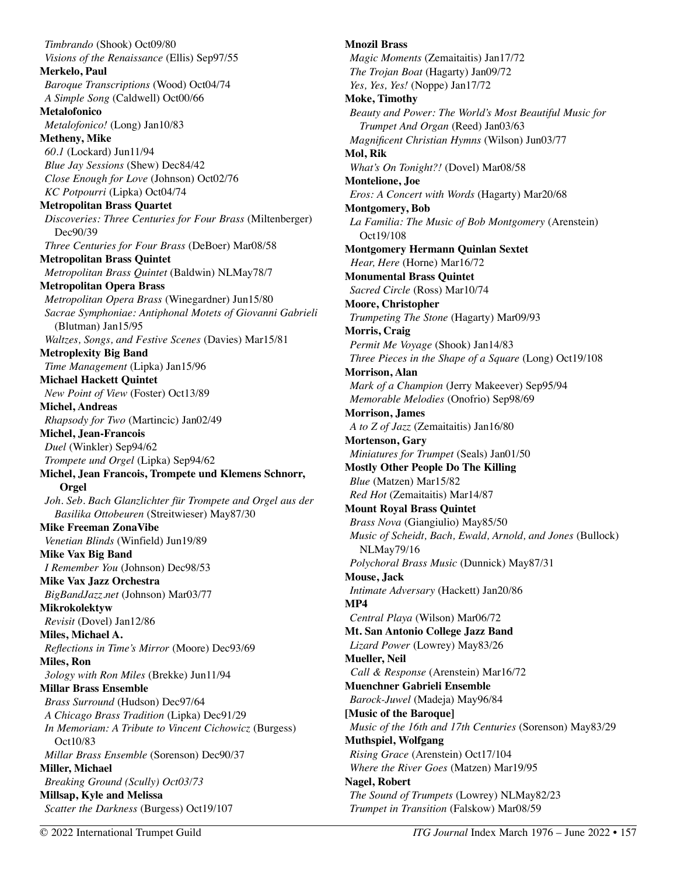*Timbrando* (Shook) Oct09/80 *Visions of the Renaissance* (Ellis) Sep97/55 **Merkelo, Paul**  *Baroque Transcriptions* (Wood) Oct04/74 *A Simple Song* (Caldwell) Oct00/66 **Metalofonico**  *Metalofonico!* (Long) Jan10/83 **Metheny, Mike**  *60.1* (Lockard) Jun11/94 *Blue Jay Sessions* (Shew) Dec84/42 *Close Enough for Love* (Johnson) Oct02/76 *KC Potpourri* (Lipka) Oct04/74 **Metropolitan Brass Quartet**  *Discoveries: Three Centuries for Four Brass* (Miltenberger) Dec90/39 *Three Centuries for Four Brass* (DeBoer) Mar08/58 **Metropolitan Brass Quintet**  *Metropolitan Brass Quintet* (Baldwin) NLMay78/7 **Metropolitan Opera Brass**  *Metropolitan Opera Brass* (Winegardner) Jun15/80 *Sacrae Symphoniae: Antiphonal Motets of Giovanni Gabrieli*  (Blutman) Jan15/95 *Waltzes, Songs, and Festive Scenes* (Davies) Mar15/81 **Metroplexity Big Band**  *Time Management* (Lipka) Jan15/96 **Michael Hackett Quintet**  *New Point of View* (Foster) Oct13/89 **Michel, Andreas**  *Rhapsody for Two* (Martincic) Jan02/49 **Michel, Jean-Francois**  *Duel* (Winkler) Sep94/62 *Trompete und Orgel* (Lipka) Sep94/62 **Michel, Jean Francois, Trompete und Klemens Schnorr, Orgel**  *Joh. Seb. Bach Glanzlichter für Trompete and Orgel aus der Basilika Ottobeuren* (Streitwieser) May87/30 **Mike Freeman ZonaVibe**  *Venetian Blinds* (Winfield) Jun19/89 **Mike Vax Big Band**  *I Remember You* (Johnson) Dec98/53 **Mike Vax Jazz Orchestra**  *BigBandJazz.net* (Johnson) Mar03/77 **Mikrokolektyw**  *Revisit* (Dovel) Jan12/86 **Miles, Michael A.**  *Reflections in Time's Mirror* (Moore) Dec93/69 **Miles, Ron**  *3ology with Ron Miles* (Brekke) Jun11/94 **Millar Brass Ensemble**  *Brass Surround* (Hudson) Dec97/64 *A Chicago Brass Tradition* (Lipka) Dec91/29 *In Memoriam: A Tribute to Vincent Cichowicz* (Burgess) Oct10/83 *Millar Brass Ensemble* (Sorenson) Dec90/37 **Miller, Michael**  *Breaking Ground (Scully) Oct03/73*  **Millsap, Kyle and Melissa**  *Scatter the Darkness* (Burgess) Oct19/107

**Mnozil Brass**  *Magic Moments* (Zemaitaitis) Jan17/72 *The Trojan Boat* (Hagarty) Jan09/72 *Yes, Yes, Yes!* (Noppe) Jan17/72 **Moke, Timothy**  *Beauty and Power: The World's Most Beautiful Music for Trumpet And Organ* (Reed) Jan03/63 *Magnificent Christian Hymns* (Wilson) Jun03/77 **Mol, Rik**  *What's On Tonight?!* (Dovel) Mar08/58 **Montelione, Joe**  *Eros: A Concert with Words* (Hagarty) Mar20/68 **Montgomery, Bob**  *La Familia: The Music of Bob Montgomery* (Arenstein) Oct19/108 **Montgomery Hermann Quinlan Sextet**  *Hear, Here* (Horne) Mar16/72 **Monumental Brass Quintet**  *Sacred Circle* (Ross) Mar10/74 **Moore, Christopher**  *Trumpeting The Stone* (Hagarty) Mar09/93 **Morris, Craig**  *Permit Me Voyage* (Shook) Jan14/83 *Three Pieces in the Shape of a Square* (Long) Oct19/108 **Morrison, Alan**  *Mark of a Champion* (Jerry Makeever) Sep95/94 *Memorable Melodies* (Onofrio) Sep98/69 **Morrison, James**  *A to Z of Jazz* (Zemaitaitis) Jan16/80 **Mortenson, Gary**  *Miniatures for Trumpet* (Seals) Jan01/50 **Mostly Other People Do The Killing**  *Blue* (Matzen) Mar15/82 *Red Hot* (Zemaitaitis) Mar14/87 **Mount Royal Brass Quintet**  *Brass Nova* (Giangiulio) May85/50 *Music of Scheidt, Bach, Ewald, Arnold, and Jones* (Bullock) NLMay79/16 *Polychoral Brass Music* (Dunnick) May87/31 **Mouse, Jack**  *Intimate Adversary* (Hackett) Jan20/86 **MP4**  *Central Playa* (Wilson) Mar06/72 **Mt. San Antonio College Jazz Band**  *Lizard Power* (Lowrey) May83/26 **Mueller, Neil**  *Call & Response* (Arenstein) Mar16/72 **Muenchner Gabrieli Ensemble**  *Barock-Juwel* (Madeja) May96/84 **[Music of the Baroque]**  *Music of the 16th and 17th Centuries* (Sorenson) May83/29 **Muthspiel, Wolfgang**  *Rising Grace* (Arenstein) Oct17/104 *Where the River Goes* (Matzen) Mar19/95 **Nagel, Robert**  *The Sound of Trumpets* (Lowrey) NLMay82/23 *Trumpet in Transition* (Falskow) Mar08/59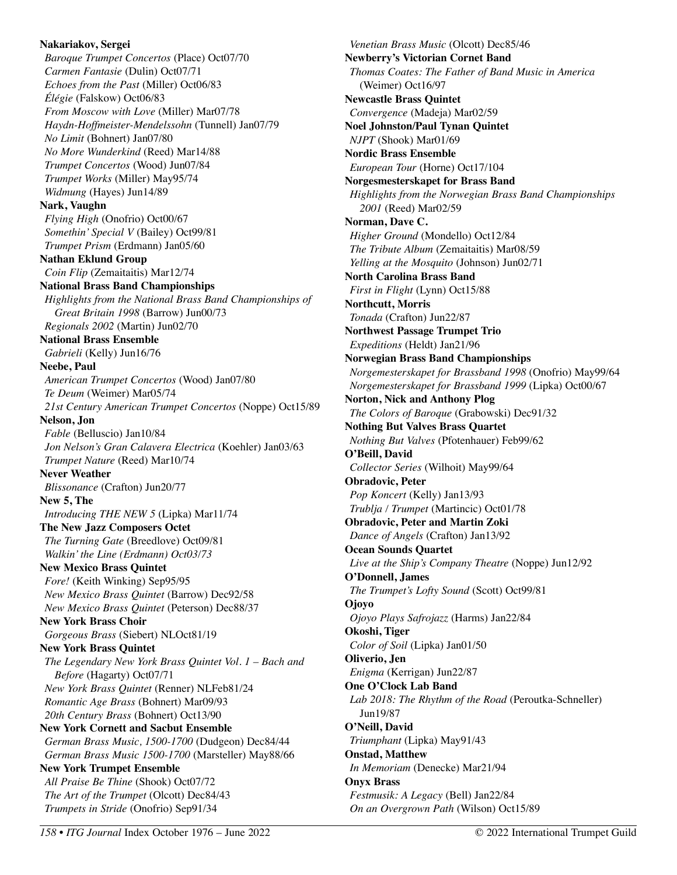**Nakariakov, Sergei**  *Baroque Trumpet Concertos* (Place) Oct07/70 *Carmen Fantasie* (Dulin) Oct07/71 *Echoes from the Past* (Miller) Oct06/83 *Élégie* (Falskow) Oct06/83 *From Moscow with Love* (Miller) Mar07/78 *Haydn-Hoffmeister-Mendelssohn* (Tunnell) Jan07/79 *No Limit* (Bohnert) Jan07/80 *No More Wunderkind* (Reed) Mar14/88 *Trumpet Concertos* (Wood) Jun07/84 *Trumpet Works* (Miller) May95/74 *Widmung* (Hayes) Jun14/89 **Nark, Vaughn**  *Flying High* (Onofrio) Oct00/67 *Somethin' Special V* (Bailey) Oct99/81 *Trumpet Prism* (Erdmann) Jan05/60 **Nathan Eklund Group** *Coin Flip* (Zemaitaitis) Mar12/74 **National Brass Band Championships**  *Highlights from the National Brass Band Championships of Great Britain 1998* (Barrow) Jun00/73 *Regionals 2002* (Martin) Jun02/70 **National Brass Ensemble**  *Gabrieli* (Kelly) Jun16/76 **Neebe, Paul**  *American Trumpet Concertos* (Wood) Jan07/80 *Te Deum* (Weimer) Mar05/74 *21st Century American Trumpet Concertos* (Noppe) Oct15/89 **Nelson, Jon**  *Fable* (Belluscio) Jan10/84 *Jon Nelson's Gran Calavera Electrica* (Koehler) Jan03/63 *Trumpet Nature* (Reed) Mar10/74 **Never Weather**  *Blissonance* (Crafton) Jun20/77 **New 5, The**  *Introducing THE NEW 5* (Lipka) Mar11/74 **The New Jazz Composers Octet**  *The Turning Gate* (Breedlove) Oct09/81 *Walkin' the Line (Erdmann) Oct03/73*  **New Mexico Brass Quintet**  *Fore!* (Keith Winking) Sep95/95 *New Mexico Brass Quintet* (Barrow) Dec92/58 *New Mexico Brass Quintet* (Peterson) Dec88/37 **New York Brass Choir**  *Gorgeous Brass* (Siebert) NLOct81/19 **New York Brass Quintet**  *The Legendary New York Brass Quintet Vol. 1 – Bach and Before* (Hagarty) Oct07/71 *New York Brass Quintet* (Renner) NLFeb81/24 *Romantic Age Brass* (Bohnert) Mar09/93 *20th Century Brass* (Bohnert) Oct13/90 **New York Cornett and Sacbut Ensemble**  *German Brass Music, 1500-1700* (Dudgeon) Dec84/44 *German Brass Music 1500-1700* (Marsteller) May88/66 **New York Trumpet Ensemble**  *All Praise Be Thine* (Shook) Oct07/72 *The Art of the Trumpet* (Olcott) Dec84/43 *Trumpets in Stride* (Onofrio) Sep91/34

*Venetian Brass Music* (Olcott) Dec85/46 **Newberry's Victorian Cornet Band**  *Thomas Coates: The Father of Band Music in America*  (Weimer) Oct16/97 **Newcastle Brass Quintet**  *Convergence* (Madeja) Mar02/59 **Noel Johnston/Paul Tynan Quintet**  *NJPT* (Shook) Mar01/69 **Nordic Brass Ensemble**  *European Tour* (Horne) Oct17/104 **Norgesmesterskapet for Brass Band**  *Highlights from the Norwegian Brass Band Championships 2001* (Reed) Mar02/59 **Norman, Dave C.**  *Higher Ground* (Mondello) Oct12/84 *The Tribute Album* (Zemaitaitis) Mar08/59 *Yelling at the Mosquito* (Johnson) Jun02/71 **North Carolina Brass Band**  *First in Flight* (Lynn) Oct15/88 **Northcutt, Morris**  *Tonada* (Crafton) Jun22/87 **Northwest Passage Trumpet Trio**  *Expeditions* (Heldt) Jan21/96 **Norwegian Brass Band Championships**  *Norgemesterskapet for Brassband 1998* (Onofrio) May99/64 *Norgemesterskapet for Brassband 1999* (Lipka) Oct00/67 **Norton, Nick and Anthony Plog**  *The Colors of Baroque* (Grabowski) Dec91/32 **Nothing But Valves Brass Quartet**  *Nothing But Valves* (Pfotenhauer) Feb99/62 **O'Beill, David**  *Collector Series* (Wilhoit) May99/64 **Obradovic, Peter**  *Pop Koncert* (Kelly) Jan13/93 *Trublja / Trumpet* (Martincic) Oct01/78 **Obradovic, Peter and Martin Zoki**  *Dance of Angels* (Crafton) Jan13/92 **Ocean Sounds Quartet**  *Live at the Ship's Company Theatre* (Noppe) Jun12/92 **O'Donnell, James**  *The Trumpet's Lofty Sound* (Scott) Oct99/81 **Ojoyo**  *Ojoyo Plays Safrojazz* (Harms) Jan22/84 **Okoshi, Tiger**  *Color of Soil* (Lipka) Jan01/50 **Oliverio, Jen**  *Enigma* (Kerrigan) Jun22/87 **One O'Clock Lab Band**  *Lab 2018: The Rhythm of the Road* (Peroutka-Schneller) Jun19/87 **O'Neill, David**  *Triumphant* (Lipka) May91/43 **Onstad, Matthew**  *In Memoriam* (Denecke) Mar21/94 **Onyx Brass**  *Festmusik: A Legacy* (Bell) Jan22/84 *On an Overgrown Path* (Wilson) Oct15/89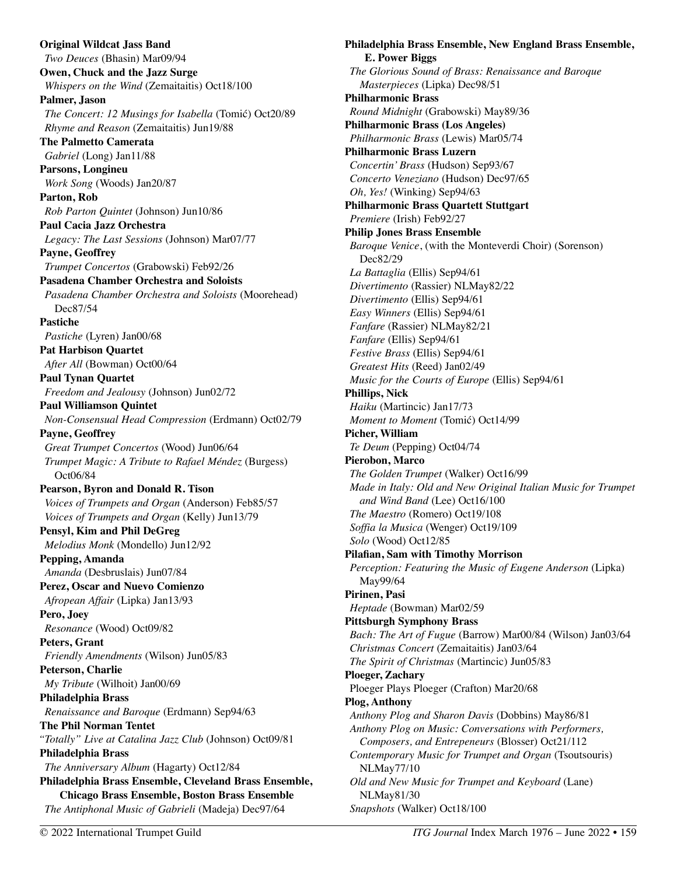**Original Wildcat Jass Band**  *Two Deuces* (Bhasin) Mar09/94 **Owen, Chuck and the Jazz Surge**  *Whispers on the Wind* (Zemaitaitis) Oct18/100 **Palmer, Jason**  *The Concert: 12 Musings for Isabella* (Tomić) Oct20/89 *Rhyme and Reason* (Zemaitaitis) Jun19/88 **The Palmetto Camerata**  *Gabriel* (Long) Jan11/88 **Parsons, Longineu**  *Work Song* (Woods) Jan20/87 **Parton, Rob**  *Rob Parton Quintet* (Johnson) Jun10/86 **Paul Cacia Jazz Orchestra**  *Legacy: The Last Sessions* (Johnson) Mar07/77 **Payne, Geoffrey**  *Trumpet Concertos* (Grabowski) Feb92/26 **Pasadena Chamber Orchestra and Soloists**  *Pasadena Chamber Orchestra and Soloists* (Moorehead) Dec87/54 **Pastiche**  *Pastiche* (Lyren) Jan00/68 **Pat Harbison Quartet**  *After All* (Bowman) Oct00/64 **Paul Tynan Quartet**  *Freedom and Jealousy* (Johnson) Jun02/72 **Paul Williamson Quintet**  *Non-Consensual Head Compression* (Erdmann) Oct02/79 **Payne, Geoffrey**  *Great Trumpet Concertos* (Wood) Jun06/64 *Trumpet Magic: A Tribute to Rafael Méndez* (Burgess) Oct06/84 **Pearson, Byron and Donald R. Tison**  *Voices of Trumpets and Organ* (Anderson) Feb85/57 *Voices of Trumpets and Organ* (Kelly) Jun13/79 **Pensyl, Kim and Phil DeGreg**  *Melodius Monk* (Mondello) Jun12/92 **Pepping, Amanda**  *Amanda* (Desbruslais) Jun07/84 **Perez, Oscar and Nuevo Comienzo**  *Afropean Affair* (Lipka) Jan13/93 **Pero, Joey**  *Resonance* (Wood) Oct09/82 **Peters, Grant**  *Friendly Amendments* (Wilson) Jun05/83 **Peterson, Charlie**  *My Tribute* (Wilhoit) Jan00/69 **Philadelphia Brass**  *Renaissance and Baroque* (Erdmann) Sep94/63 **The Phil Norman Tentet**  *"Totally" Live at Catalina Jazz Club* (Johnson) Oct09/81 **Philadelphia Brass**  *The Anniversary Album* (Hagarty) Oct12/84 **Philadelphia Brass Ensemble, Cleveland Brass Ensemble, Chicago Brass Ensemble, Boston Brass Ensemble**  *The Antiphonal Music of Gabrieli* (Madeja) Dec97/64

**Philadelphia Brass Ensemble, New England Brass Ensemble, E. Power Biggs**  *The Glorious Sound of Brass: Renaissance and Baroque Masterpieces* (Lipka) Dec98/51 **Philharmonic Brass**  *Round Midnight* (Grabowski) May89/36 **Philharmonic Brass (Los Angeles)**  *Philharmonic Brass* (Lewis) Mar05/74 **Philharmonic Brass Luzern**  *Concertin' Brass* (Hudson) Sep93/67 *Concerto Veneziano* (Hudson) Dec97/65 *Oh, Yes!* (Winking) Sep94/63 **Philharmonic Brass Quartett Stuttgart**  *Premiere* (Irish) Feb92/27 **Philip Jones Brass Ensemble**  *Baroque Venice*, (with the Monteverdi Choir) (Sorenson) Dec82/29 *La Battaglia* (Ellis) Sep94/61 *Divertimento* (Rassier) NLMay82/22 *Divertimento* (Ellis) Sep94/61 *Easy Winners* (Ellis) Sep94/61 *Fanfare* (Rassier) NLMay82/21 *Fanfare* (Ellis) Sep94/61 *Festive Brass* (Ellis) Sep94/61 *Greatest Hits* (Reed) Jan02/49 *Music for the Courts of Europe* (Ellis) Sep94/61 **Phillips, Nick**  *Haiku* (Martincic) Jan17/73 *Moment to Moment* (Tomić) Oct14/99 **Picher, William**  *Te Deum* (Pepping) Oct04/74 **Pierobon, Marco**  *The Golden Trumpet* (Walker) Oct16/99 *Made in Italy: Old and New Original Italian Music for Trumpet and Wind Band* (Lee) Oct16/100 *The Maestro* (Romero) Oct19/108 *Soffia la Musica* (Wenger) Oct19/109 *Solo* (Wood) Oct12/85 **Pilafian, Sam with Timothy Morrison**  *Perception: Featuring the Music of Eugene Anderson* (Lipka) May99/64 **Pirinen, Pasi**  *Heptade* (Bowman) Mar02/59 **Pittsburgh Symphony Brass**  *Bach: The Art of Fugue* (Barrow) Mar00/84 (Wilson) Jan03/64 *Christmas Concert* (Zemaitaitis) Jan03/64 *The Spirit of Christmas* (Martincic) Jun05/83 **Ploeger, Zachary**  Ploeger Plays Ploeger (Crafton) Mar20/68 **Plog, Anthony**  *Anthony Plog and Sharon Davis* (Dobbins) May86/81 *Anthony Plog on Music: Conversations with Performers, Composers, and Entrepeneurs* (Blosser) Oct21/112 *Contemporary Music for Trumpet and Organ* (Tsoutsouris) NLMay77/10 *Old and New Music for Trumpet and Keyboard* (Lane) NLMay81/30 *Snapshots* (Walker) Oct18/100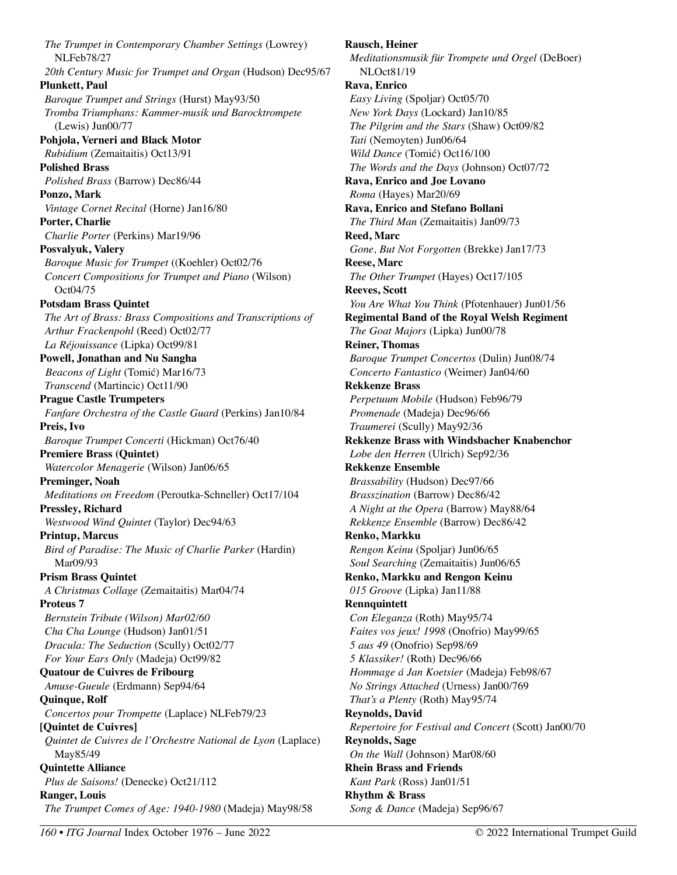*The Trumpet in Contemporary Chamber Settings* (Lowrey) NLFeb78/27 *20th Century Music for Trumpet and Organ* (Hudson) Dec95/67 **Plunkett, Paul**  *Baroque Trumpet and Strings* (Hurst) May93/50 *Tromba Triumphans: Kammer-musik und Barocktrompete*  (Lewis) Jun00/77 **Pohjola, Verneri and Black Motor**  *Rubidium* (Zemaitaitis) Oct13/91 **Polished Brass**  *Polished Brass* (Barrow) Dec86/44 **Ponzo, Mark**  *Vintage Cornet Recital* (Horne) Jan16/80 **Porter, Charlie**  *Charlie Porter* (Perkins) Mar19/96 **Posvalyuk, Valery**  *Baroque Music for Trumpet* ((Koehler) Oct02/76 *Concert Compositions for Trumpet and Piano* (Wilson) Oct04/75 **Potsdam Brass Quintet**  *The Art of Brass: Brass Compositions and Transcriptions of Arthur Frackenpohl* (Reed) Oct02/77 *La Réjouissance* (Lipka) Oct99/81 **Powell, Jonathan and Nu Sangha**  *Beacons of Light* (Tomić) Mar16/73 *Transcend* (Martincic) Oct11/90 **Prague Castle Trumpeters**  *Fanfare Orchestra of the Castle Guard* (Perkins) Jan10/84 **Preis, Ivo**  *Baroque Trumpet Concerti* (Hickman) Oct76/40 **Premiere Brass (Quintet)**  *Watercolor Menagerie* (Wilson) Jan06/65 **Preminger, Noah**  *Meditations on Freedom* (Peroutka-Schneller) Oct17/104 **Pressley, Richard**  *Westwood Wind Quintet* (Taylor) Dec94/63 **Printup, Marcus**  *Bird of Paradise: The Music of Charlie Parker* (Hardin) Mar09/93 **Prism Brass Quintet**  *A Christmas Collage* (Zemaitaitis) Mar04/74 **Proteus 7**  *Bernstein Tribute (Wilson) Mar02/60 Cha Cha Lounge* (Hudson) Jan01/51 *Dracula: The Seduction* (Scully) Oct02/77 *For Your Ears Only* (Madeja) Oct99/82 **Quatour de Cuivres de Fribourg**  *Amuse-Gueule* (Erdmann) Sep94/64 **Quinque, Rolf**  *Concertos pour Trompette* (Laplace) NLFeb79/23 **[Quintet de Cuivres]**  *Quintet de Cuivres de l'Orchestre National de Lyon* (Laplace) May85/49 **Quintette Alliance**  *Plus de Saisons!* (Denecke) Oct21/112 **Ranger, Louis**  *The Trumpet Comes of Age: 1940-1980* (Madeja) May98/58

**Rausch, Heiner**  *Meditationsmusik für Trompete und Orgel* (DeBoer) NLOct81/19 **Rava, Enrico**  *Easy Living* (Spoljar) Oct05/70 *New York Days* (Lockard) Jan10/85 *The Pilgrim and the Stars* (Shaw) Oct09/82 *Tati* (Nemoyten) Jun06/64 *Wild Dance* (Tomić) Oct16/100 *The Words and the Days* (Johnson) Oct07/72 **Rava, Enrico and Joe Lovano**  *Roma* (Hayes) Mar20/69 **Rava, Enrico and Stefano Bollani**  *The Third Man* (Zemaitaitis) Jan09/73 **Reed, Marc**  *Gone, But Not Forgotten* (Brekke) Jan17/73 **Reese, Marc**  *The Other Trumpet* (Hayes) Oct17/105 **Reeves, Scott**  *You Are What You Think* (Pfotenhauer) Jun01/56 **Regimental Band of the Royal Welsh Regiment**  *The Goat Majors* (Lipka) Jun00/78 **Reiner, Thomas**  *Baroque Trumpet Concertos* (Dulin) Jun08/74 *Concerto Fantastico* (Weimer) Jan04/60 **Rekkenze Brass**  *Perpetuum Mobile* (Hudson) Feb96/79 *Promenade* (Madeja) Dec96/66 *Traumerei* (Scully) May92/36 **Rekkenze Brass with Windsbacher Knabenchor**  *Lobe den Herren* (Ulrich) Sep92/36 **Rekkenze Ensemble**  *Brassability* (Hudson) Dec97/66 *Brasszination* (Barrow) Dec86/42 *A Night at the Opera* (Barrow) May88/64 *Rekkenze Ensemble* (Barrow) Dec86/42 **Renko, Markku**  *Rengon Keinu* (Spoljar) Jun06/65 *Soul Searching* (Zemaitaitis) Jun06/65 **Renko, Markku and Rengon Keinu**  *015 Groove* (Lipka) Jan11/88 **Rennquintett**  *Con Eleganza* (Roth) May95/74 *Faites vos jeux! 1998* (Onofrio) May99/65 *5 aus 49* (Onofrio) Sep98/69 *5 Klassiker!* (Roth) Dec96/66 *Hommage á Jan Koetsier* (Madeja) Feb98/67 *No Strings Attached* (Urness) Jan00/769 *That's a Plenty* (Roth) May95/74 **Reynolds, David**  *Repertoire for Festival and Concert* (Scott) Jan00/70 **Reynolds, Sage**  *On the Wall* (Johnson) Mar08/60 **Rhein Brass and Friends**  *Kant Park* (Ross) Jan01/51 **Rhythm & Brass**  *Song & Dance* (Madeja) Sep96/67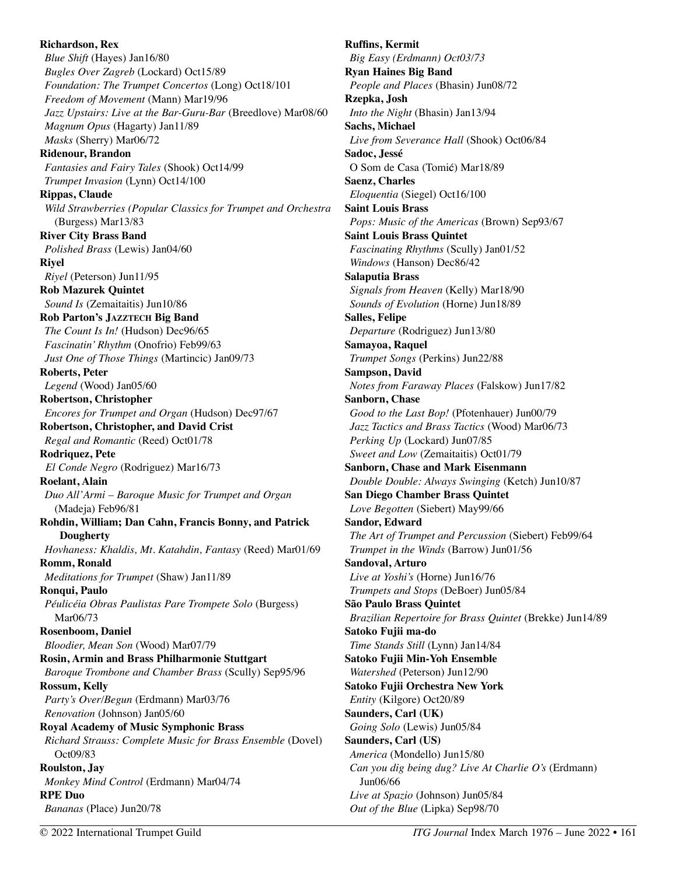**Richardson, Rex**  *Blue Shift* (Hayes) Jan16/80 *Bugles Over Zagreb* (Lockard) Oct15/89 *Foundation: The Trumpet Concertos* (Long) Oct18/101 *Freedom of Movement* (Mann) Mar19/96 *Jazz Upstairs: Live at the Bar-Guru-Bar* (Breedlove) Mar08/60 *Magnum Opus* (Hagarty) Jan11/89 *Masks* (Sherry) Mar06/72 **Ridenour, Brandon**  *Fantasies and Fairy Tales* (Shook) Oct14/99 *Trumpet Invasion* (Lynn) Oct14/100 **Rippas, Claude**  *Wild Strawberries (Popular Classics for Trumpet and Orchestra*  (Burgess) Mar13/83 **River City Brass Band**  *Polished Brass* (Lewis) Jan04/60 **Riyel**  *Riyel* (Peterson) Jun11/95 **Rob Mazurek Quintet**  *Sound Is* (Zemaitaitis) Jun10/86 **Rob Parton's JAZZTECH Big Band**  *The Count Is In!* (Hudson) Dec96/65 *Fascinatin' Rhythm* (Onofrio) Feb99/63 *Just One of Those Things* (Martincic) Jan09/73 **Roberts, Peter**  *Legend* (Wood) Jan05/60 **Robertson, Christopher**  *Encores for Trumpet and Organ* (Hudson) Dec97/67 **Robertson, Christopher, and David Crist**  *Regal and Romantic* (Reed) Oct01/78 **Rodriquez, Pete**  *El Conde Negro* (Rodriguez) Mar16/73 **Roelant, Alain**  *Duo All'Armi – Baroque Music for Trumpet and Organ*  (Madeja) Feb96/81 **Rohdin, William; Dan Cahn, Francis Bonny, and Patrick Dougherty**  *Hovhaness: Khaldis, Mt. Katahdin, Fantasy* (Reed) Mar01/69 **Romm, Ronald**  *Meditations for Trumpet* (Shaw) Jan11/89 **Ronqui, Paulo**  *Péulicéia Obras Paulistas Pare Trompete Solo* (Burgess) Mar06/73 **Rosenboom, Daniel**  *Bloodier, Mean Son* (Wood) Mar07/79 **Rosin, Armin and Brass Philharmonie Stuttgart**  *Baroque Trombone and Chamber Brass* (Scully) Sep95/96 **Rossum, Kelly**  *Party's Over/Begun* (Erdmann) Mar03/76 *Renovation* (Johnson) Jan05/60 **Royal Academy of Music Symphonic Brass**  *Richard Strauss: Complete Music for Brass Ensemble* (Dovel) Oct09/83 **Roulston, Jay**  *Monkey Mind Control* (Erdmann) Mar04/74 **RPE Duo**  *Bananas* (Place) Jun20/78

**Ruffins, Kermit**  *Big Easy (Erdmann) Oct03/73*  **Ryan Haines Big Band**  *People and Places* (Bhasin) Jun08/72 **Rzepka, Josh**  *Into the Night* (Bhasin) Jan13/94 **Sachs, Michael**  *Live from Severance Hall* (Shook) Oct06/84 **Sadoc, Jessé**  O Som de Casa (Tomić) Mar18/89 **Saenz, Charles**  *Eloquentia* (Siegel) Oct16/100 **Saint Louis Brass**  *Pops: Music of the Americas* (Brown) Sep93/67 **Saint Louis Brass Quintet**  *Fascinating Rhythms* (Scully) Jan01/52 *Windows* (Hanson) Dec86/42 **Salaputia Brass**  *Signals from Heaven* (Kelly) Mar18/90 *Sounds of Evolution* (Horne) Jun18/89 **Salles, Felipe**  *Departure* (Rodriguez) Jun13/80 **Samayoa, Raquel**  *Trumpet Songs* (Perkins) Jun22/88 **Sampson, David**  *Notes from Faraway Places* (Falskow) Jun17/82 **Sanborn, Chase**  *Good to the Last Bop!* (Pfotenhauer) Jun00/79 *Jazz Tactics and Brass Tactics* (Wood) Mar06/73 *Perking Up* (Lockard) Jun07/85 *Sweet and Low* (Zemaitaitis) Oct01/79 **Sanborn, Chase and Mark Eisenmann**  *Double Double: Always Swinging* (Ketch) Jun10/87 **San Diego Chamber Brass Quintet**  *Love Begotten* (Siebert) May99/66 **Sandor, Edward**  *The Art of Trumpet and Percussion* (Siebert) Feb99/64 *Trumpet in the Winds* (Barrow) Jun01/56 **Sandoval, Arturo**  *Live at Yoshi's* (Horne) Jun16/76 *Trumpets and Stops* (DeBoer) Jun05/84 **São Paulo Brass Quintet**  *Brazilian Repertoire for Brass Quintet* (Brekke) Jun14/89 **Satoko Fujii ma-do**  *Time Stands Still* (Lynn) Jan14/84 **Satoko Fujii Min-Yoh Ensemble**  *Watershed* (Peterson) Jun12/90 **Satoko Fujii Orchestra New York**  *Entity* (Kilgore) Oct20/89 **Saunders, Carl (UK)**  *Going Solo* (Lewis) Jun05/84 **Saunders, Carl (US)**  *America* (Mondello) Jun15/80 *Can you dig being dug? Live At Charlie O's* (Erdmann) Jun06/66 *Live at Spazio* (Johnson) Jun05/84

*Out of the Blue* (Lipka) Sep98/70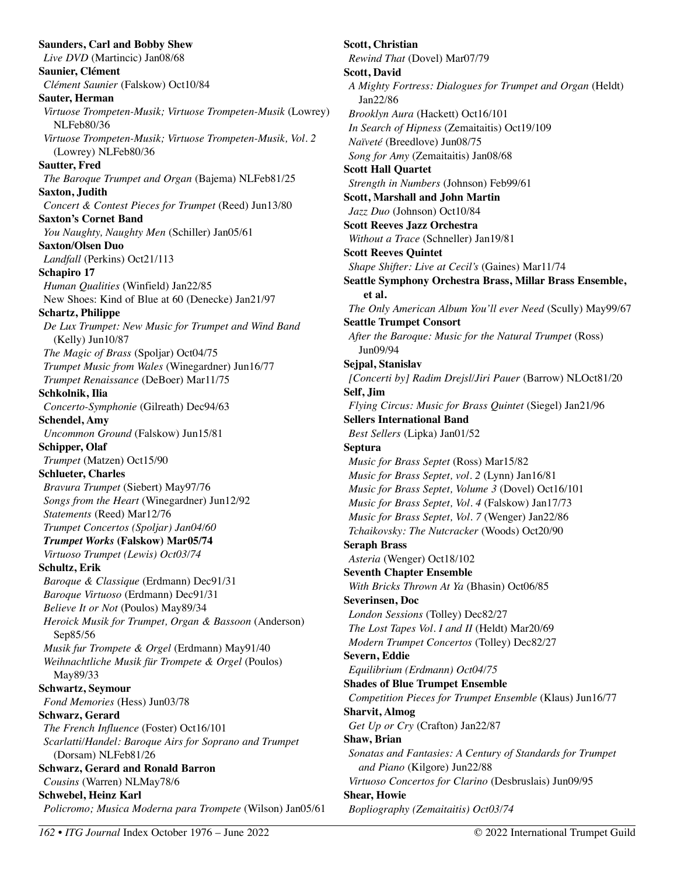**Saunders, Carl and Bobby Shew**  *Live DVD* (Martincic) Jan08/68 **Saunier, Clément**  *Clément Saunier* (Falskow) Oct10/84 **Sauter, Herman**  *Virtuose Trompeten-Musik; Virtuose Trompeten-Musik* (Lowrey) NLFeb80/36 *Virtuose Trompeten-Musik; Virtuose Trompeten-Musik, Vol. 2*  (Lowrey) NLFeb80/36 **Sautter, Fred**  *The Baroque Trumpet and Organ* (Bajema) NLFeb81/25 **Saxton, Judith**  *Concert & Contest Pieces for Trumpet* (Reed) Jun13/80 **Saxton's Cornet Band**  *You Naughty, Naughty Men* (Schiller) Jan05/61 **Saxton/Olsen Duo**  *Landfall* (Perkins) Oct21/113 **Schapiro 17**  *Human Qualities* (Winfield) Jan22/85 New Shoes: Kind of Blue at 60 (Denecke) Jan21/97 **Schartz, Philippe**  *De Lux Trumpet: New Music for Trumpet and Wind Band*  (Kelly) Jun10/87 *The Magic of Brass* (Spoljar) Oct04/75 *Trumpet Music from Wales* (Winegardner) Jun16/77 *Trumpet Renaissance* (DeBoer) Mar11/75 **Schkolnik, Ilia**  *Concerto-Symphonie* (Gilreath) Dec94/63 **Schendel, Amy**  *Uncommon Ground* (Falskow) Jun15/81 **Schipper, Olaf**  *Trumpet* (Matzen) Oct15/90 **Schlueter, Charles**  *Bravura Trumpet* (Siebert) May97/76 *Songs from the Heart* (Winegardner) Jun12/92 *Statements* (Reed) Mar12/76 *Trumpet Concertos (Spoljar) Jan04/60 Trumpet Works* **(Falskow) Mar05/74** *Virtuoso Trumpet (Lewis) Oct03/74*  **Schultz, Erik**  *Baroque & Classique* (Erdmann) Dec91/31 *Baroque Virtuoso* (Erdmann) Dec91/31 *Believe It or Not* (Poulos) May89/34 *Heroick Musik for Trumpet, Organ & Bassoon* (Anderson) Sep85/56 *Musik fur Trompete & Orgel* (Erdmann) May91/40 *Weihnachtliche Musik für Trompete & Orgel* (Poulos) May89/33 **Schwartz, Seymour**  *Fond Memories* (Hess) Jun03/78 **Schwarz, Gerard**  *The French Influence* (Foster) Oct16/101 *Scarlatti/Handel: Baroque Airs for Soprano and Trumpet*  (Dorsam) NLFeb81/26 **Schwarz, Gerard and Ronald Barron**  *Cousins* (Warren) NLMay78/6 **Schwebel, Heinz Karl**  *Policromo; Musica Moderna para Trompete* (Wilson) Jan05/61

**Scott, Christian**  *Rewind That* (Dovel) Mar07/79 **Scott, David**  *A Mighty Fortress: Dialogues for Trumpet and Organ* (Heldt) Jan22/86 *Brooklyn Aura* (Hackett) Oct16/101 *In Search of Hipness* (Zemaitaitis) Oct19/109 *Naïveté* (Breedlove) Jun08/75 *Song for Amy* (Zemaitaitis) Jan08/68 **Scott Hall Quartet**  *Strength in Numbers* (Johnson) Feb99/61 **Scott, Marshall and John Martin**  *Jazz Duo* (Johnson) Oct10/84 **Scott Reeves Jazz Orchestra**  *Without a Trace* (Schneller) Jan19/81 **Scott Reeves Quintet**  *Shape Shifter: Live at Cecil's* (Gaines) Mar11/74 **Seattle Symphony Orchestra Brass, Millar Brass Ensemble, et al.**  *The Only American Album You'll ever Need* (Scully) May99/67 **Seattle Trumpet Consort**  *After the Baroque: Music for the Natural Trumpet* (Ross) Jun09/94 **Sejpal, Stanislav**  *[Concerti by] Radim Drejsl/Jiri Pauer* (Barrow) NLOct81/20 **Self, Jim**  *Flying Circus: Music for Brass Quintet* (Siegel) Jan21/96 **Sellers International Band**  *Best Sellers* (Lipka) Jan01/52 **Septura**  *Music for Brass Septet* (Ross) Mar15/82 *Music for Brass Septet, vol. 2* (Lynn) Jan16/81 *Music for Brass Septet, Volume 3* (Dovel) Oct16/101 *Music for Brass Septet, Vol. 4* (Falskow) Jan17/73 *Music for Brass Septet, Vol. 7* (Wenger) Jan22/86 *Tchaikovsky: The Nutcracker* (Woods) Oct20/90 **Seraph Brass**  *Asteria* (Wenger) Oct18/102 **Seventh Chapter Ensemble**  *With Bricks Thrown At Ya* (Bhasin) Oct06/85 **Severinsen, Doc**  *London Sessions* (Tolley) Dec82/27 *The Lost Tapes Vol. I and II* (Heldt) Mar20/69 *Modern Trumpet Concertos* (Tolley) Dec82/27 **Severn, Eddie**  *Equilibrium (Erdmann) Oct04/75*  **Shades of Blue Trumpet Ensemble**  *Competition Pieces for Trumpet Ensemble* (Klaus) Jun16/77 **Sharvit, Almog**  *Get Up or Cry* (Crafton) Jan22/87 **Shaw, Brian**  *Sonatas and Fantasies: A Century of Standards for Trumpet and Piano* (Kilgore) Jun22/88 *Virtuoso Concertos for Clarino* (Desbruslais) Jun09/95 **Shear, Howie**  *Bopliography (Zemaitaitis) Oct03/74*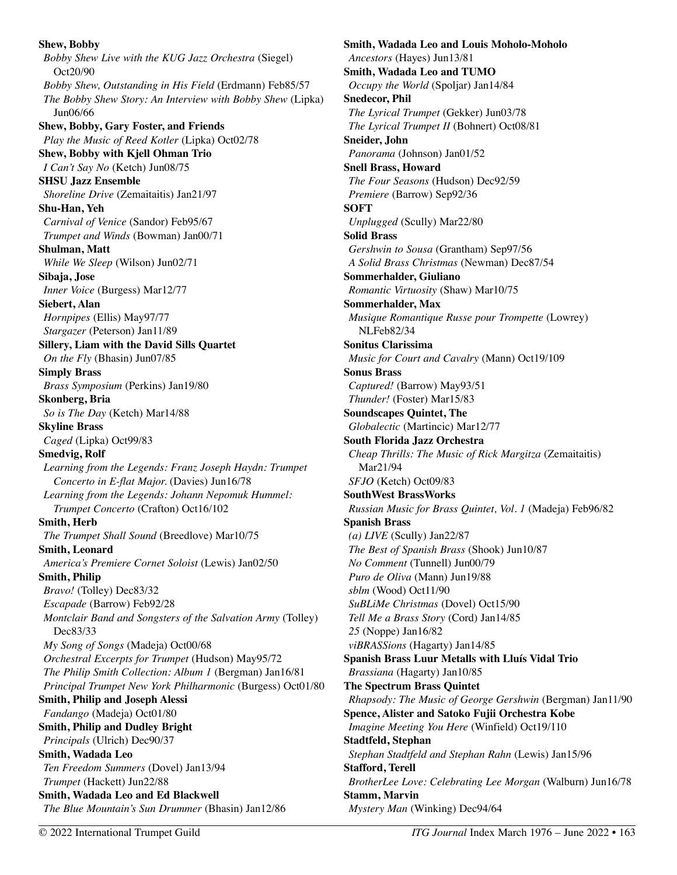**Shew, Bobby**  *Bobby Shew Live with the KUG Jazz Orchestra* (Siegel) Oct20/90 *Bobby Shew, Outstanding in His Field* (Erdmann) Feb85/57 *The Bobby Shew Story: An Interview with Bobby Shew* (Lipka) Jun06/66 **Shew, Bobby, Gary Foster, and Friends**  *Play the Music of Reed Kotler* (Lipka) Oct02/78 **Shew, Bobby with Kjell Ohman Trio**  *I Can't Say No* (Ketch) Jun08/75 **SHSU Jazz Ensemble**  *Shoreline Drive* (Zemaitaitis) Jan21/97 **Shu-Han, Yeh**  *Carnival of Venice* (Sandor) Feb95/67 *Trumpet and Winds* (Bowman) Jan00/71 **Shulman, Matt**  *While We Sleep* (Wilson) Jun02/71 **Sibaja, Jose**  *Inner Voice* (Burgess) Mar12/77 **Siebert, Alan**  *Hornpipes* (Ellis) May97/77 *Stargazer* (Peterson) Jan11/89 **Sillery, Liam with the David Sills Quartet**  *On the Fly* (Bhasin) Jun07/85 **Simply Brass**  *Brass Symposium* (Perkins) Jan19/80 **Skonberg, Bria**  *So is The Day* (Ketch) Mar14/88 **Skyline Brass**  *Caged* (Lipka) Oct99/83 **Smedvig, Rolf**  *Learning from the Legends: Franz Joseph Haydn: Trumpet Concerto in E-flat Major.* (Davies) Jun16/78 *Learning from the Legends: Johann Nepomuk Hummel: Trumpet Concerto* (Crafton) Oct16/102 **Smith, Herb**  *The Trumpet Shall Sound* (Breedlove) Mar10/75 **Smith, Leonard**  *America's Premiere Cornet Soloist* (Lewis) Jan02/50 **Smith, Philip**  *Bravo!* (Tolley) Dec83/32 *Escapade* (Barrow) Feb92/28 *Montclair Band and Songsters of the Salvation Army* (Tolley) Dec83/33 *My Song of Songs* (Madeja) Oct00/68 *Orchestral Excerpts for Trumpet* (Hudson) May95/72 *The Philip Smith Collection: Album 1* (Bergman) Jan16/81 *Principal Trumpet New York Philharmonic* (Burgess) Oct01/80 **Smith, Philip and Joseph Alessi**  *Fandango* (Madeja) Oct01/80 **Smith, Philip and Dudley Bright**  *Principals* (Ulrich) Dec90/37 **Smith, Wadada Leo**  *Ten Freedom Summers* (Dovel) Jan13/94 *Trumpet* (Hackett) Jun22/88 **Smith, Wadada Leo and Ed Blackwell**  *The Blue Mountain's Sun Drummer* (Bhasin) Jan12/86

**Smith, Wadada Leo and Louis Moholo-Moholo**  *Ancestors* (Hayes) Jun13/81 **Smith, Wadada Leo and TUMO**  *Occupy the World* (Spoljar) Jan14/84 **Snedecor, Phil**  *The Lyrical Trumpet* (Gekker) Jun03/78 *The Lyrical Trumpet II* (Bohnert) Oct08/81 **Sneider, John**  *Panorama* (Johnson) Jan01/52 **Snell Brass, Howard**  *The Four Seasons* (Hudson) Dec92/59 *Premiere* (Barrow) Sep92/36 **SOFT**  *Unplugged* (Scully) Mar22/80 **Solid Brass**  *Gershwin to Sousa* (Grantham) Sep97/56 *A Solid Brass Christmas* (Newman) Dec87/54 **Sommerhalder, Giuliano**  *Romantic Virtuosity* (Shaw) Mar10/75 **Sommerhalder, Max**  *Musique Romantique Russe pour Trompette* (Lowrey) NLFeb82/34 **Sonitus Clarissima**  *Music for Court and Cavalry* (Mann) Oct19/109 **Sonus Brass**  *Captured!* (Barrow) May93/51 *Thunder!* (Foster) Mar15/83 **Soundscapes Quintet, The**  *Globalectic* (Martincic) Mar12/77 **South Florida Jazz Orchestra**  *Cheap Thrills: The Music of Rick Margitza* (Zemaitaitis) Mar21/94 *SFJO* (Ketch) Oct09/83 **SouthWest BrassWorks**  *Russian Music for Brass Quintet, Vol. 1* (Madeja) Feb96/82 **Spanish Brass**  *(a) LIVE* (Scully) Jan22/87 *The Best of Spanish Brass* (Shook) Jun10/87 *No Comment* (Tunnell) Jun00/79 *Puro de Oliva* (Mann) Jun19/88 *sblm* (Wood) Oct11/90 *SuBLiMe Christmas* (Dovel) Oct15/90 *Tell Me a Brass Story* (Cord) Jan14/85 *25* (Noppe) Jan16/82 *viBRASSions* (Hagarty) Jan14/85 **Spanish Brass Luur Metalls with Lluís Vidal Trio**  *Brassiana* (Hagarty) Jan10/85 **The Spectrum Brass Quintet**  *Rhapsody: The Music of George Gershwin* (Bergman) Jan11/90 **Spence, Alister and Satoko Fujii Orchestra Kobe**  *Imagine Meeting You Here* (Winfield) Oct19/110 **Stadtfeld, Stephan**  *Stephan Stadtfeld and Stephan Rahn* (Lewis) Jan15/96 **Stafford, Terell**  *BrotherLee Love: Celebrating Lee Morgan* (Walburn) Jun16/78 **Stamm, Marvin**  *Mystery Man* (Winking) Dec94/64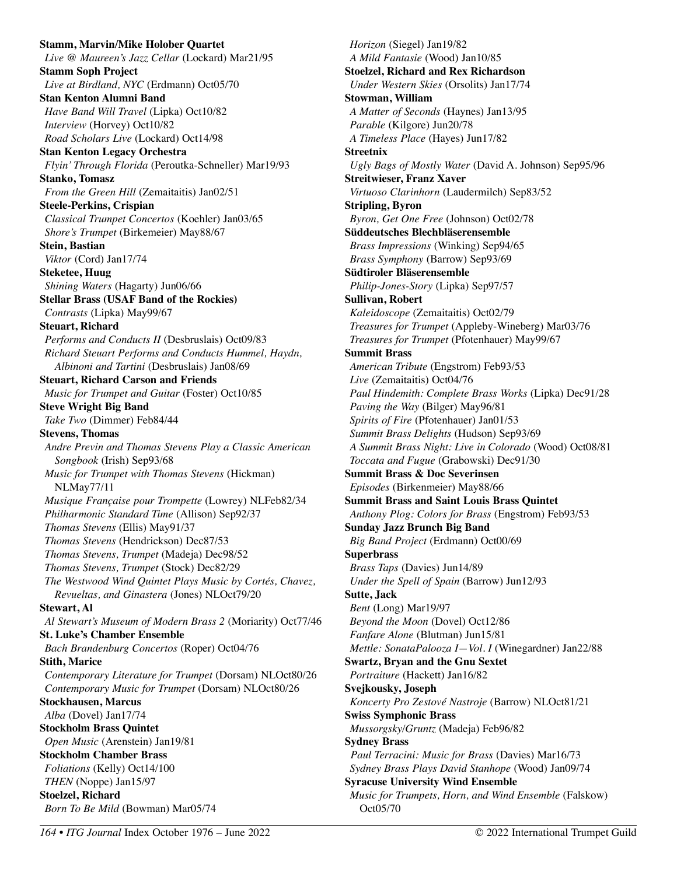**Stamm, Marvin/Mike Holober Quartet**  *Live @ Maureen's Jazz Cellar* (Lockard) Mar21/95 **Stamm Soph Project**  *Live at Birdland, NYC* (Erdmann) Oct05/70 **Stan Kenton Alumni Band**  *Have Band Will Travel* (Lipka) Oct10/82 *Interview* (Horvey) Oct10/82 *Road Scholars Live* (Lockard) Oct14/98 **Stan Kenton Legacy Orchestra**  *Flyin' Through Florida* (Peroutka-Schneller) Mar19/93 **Stanko, Tomasz**  *From the Green Hill* (Zemaitaitis) Jan02/51 **Steele-Perkins, Crispian**  *Classical Trumpet Concertos* (Koehler) Jan03/65 *Shore's Trumpet* (Birkemeier) May88/67 **Stein, Bastian**  *Viktor* (Cord) Jan17/74 **Steketee, Huug**  *Shining Waters* (Hagarty) Jun06/66 **Stellar Brass (USAF Band of the Rockies)**  *Contrasts* (Lipka) May99/67 **Steuart, Richard**  *Performs and Conducts II* (Desbruslais) Oct09/83 *Richard Steuart Performs and Conducts Hummel, Haydn, Albinoni and Tartini* (Desbruslais) Jan08/69 **Steuart, Richard Carson and Friends**  *Music for Trumpet and Guitar* (Foster) Oct10/85 **Steve Wright Big Band**  *Take Two* (Dimmer) Feb84/44 **Stevens, Thomas**  *Andre Previn and Thomas Stevens Play a Classic American Songbook* (Irish) Sep93/68 *Music for Trumpet with Thomas Stevens* (Hickman) NLMay77/11 *Musique Française pour Trompette* (Lowrey) NLFeb82/34 *Philharmonic Standard Time* (Allison) Sep92/37 *Thomas Stevens* (Ellis) May91/37 *Thomas Stevens* (Hendrickson) Dec87/53 *Thomas Stevens, Trumpet* (Madeja) Dec98/52 *Thomas Stevens, Trumpet* (Stock) Dec82/29 *The Westwood Wind Quintet Plays Music by Cortés, Chavez, Revueltas, and Ginastera* (Jones) NLOct79/20 **Stewart, Al**  *Al Stewart's Museum of Modern Brass 2* (Moriarity) Oct77/46 **St. Luke's Chamber Ensemble**  *Bach Brandenburg Concertos* (Roper) Oct04/76 **Stith, Marice**  *Contemporary Literature for Trumpet* (Dorsam) NLOct80/26 *Contemporary Music for Trumpet* (Dorsam) NLOct80/26 **Stockhausen, Marcus**  *Alba* (Dovel) Jan17/74 **Stockholm Brass Quintet**  *Open Music* (Arenstein) Jan19/81 **Stockholm Chamber Brass**  *Foliations* (Kelly) Oct14/100 *THEN* (Noppe) Jan15/97 **Stoelzel, Richard**  *Born To Be Mild* (Bowman) Mar05/74

*Horizon* (Siegel) Jan19/82 *A Mild Fantasie* (Wood) Jan10/85 **Stoelzel, Richard and Rex Richardson**  *Under Western Skies* (Orsolits) Jan17/74 **Stowman, William**  *A Matter of Seconds* (Haynes) Jan13/95 *Parable* (Kilgore) Jun20/78 *A Timeless Place* (Hayes) Jun17/82 **Streetnix**  *Ugly Bags of Mostly Water* (David A. Johnson) Sep95/96 **Streitwieser, Franz Xaver**  *Virtuoso Clarinhorn* (Laudermilch) Sep83/52 **Stripling, Byron**  *Byron, Get One Free* (Johnson) Oct02/78 **Süddeutsches Blechbläserensemble**  *Brass Impressions* (Winking) Sep94/65 *Brass Symphony* (Barrow) Sep93/69 **Südtiroler Bläserensemble**  *Philip-Jones-Story* (Lipka) Sep97/57 **Sullivan, Robert**  *Kaleidoscope* (Zemaitaitis) Oct02/79 *Treasures for Trumpet* (Appleby-Wineberg) Mar03/76 *Treasures for Trumpet* (Pfotenhauer) May99/67 **Summit Brass**  *American Tribute* (Engstrom) Feb93/53 *Live* (Zemaitaitis) Oct04/76 *Paul Hindemith: Complete Brass Works* (Lipka) Dec91/28 *Paving the Way* (Bilger) May96/81 *Spirits of Fire* (Pfotenhauer) Jan01/53 *Summit Brass Delights* (Hudson) Sep93/69 *A Summit Brass Night: Live in Colorado* (Wood) Oct08/81 *Toccata and Fugue* (Grabowski) Dec91/30 **Summit Brass & Doc Severinsen**  *Episodes* (Birkenmeier) May88/66 **Summit Brass and Saint Louis Brass Quintet**  *Anthony Plog: Colors for Brass* (Engstrom) Feb93/53 **Sunday Jazz Brunch Big Band**  *Big Band Project* (Erdmann) Oct00/69 **Superbrass**  *Brass Taps* (Davies) Jun14/89 *Under the Spell of Spain* (Barrow) Jun12/93 **Sutte, Jack**  *Bent* (Long) Mar19/97 *Beyond the Moon* (Dovel) Oct12/86 *Fanfare Alone* (Blutman) Jun15/81 *Mettle: SonataPalooza I—Vol. I* (Winegardner) Jan22/88 **Swartz, Bryan and the Gnu Sextet**  *Portraiture* (Hackett) Jan16/82 **Svejkousky, Joseph**  *Koncerty Pro Zestové Nastroje* (Barrow) NLOct81/21 **Swiss Symphonic Brass**  *Mussorgsky/Gruntz* (Madeja) Feb96/82 **Sydney Brass**  *Paul Terracini: Music for Brass* (Davies) Mar16/73 *Sydney Brass Plays David Stanhope* (Wood) Jan09/74 **Syracuse University Wind Ensemble**  *Music for Trumpets, Horn, and Wind Ensemble* (Falskow) Oct05/70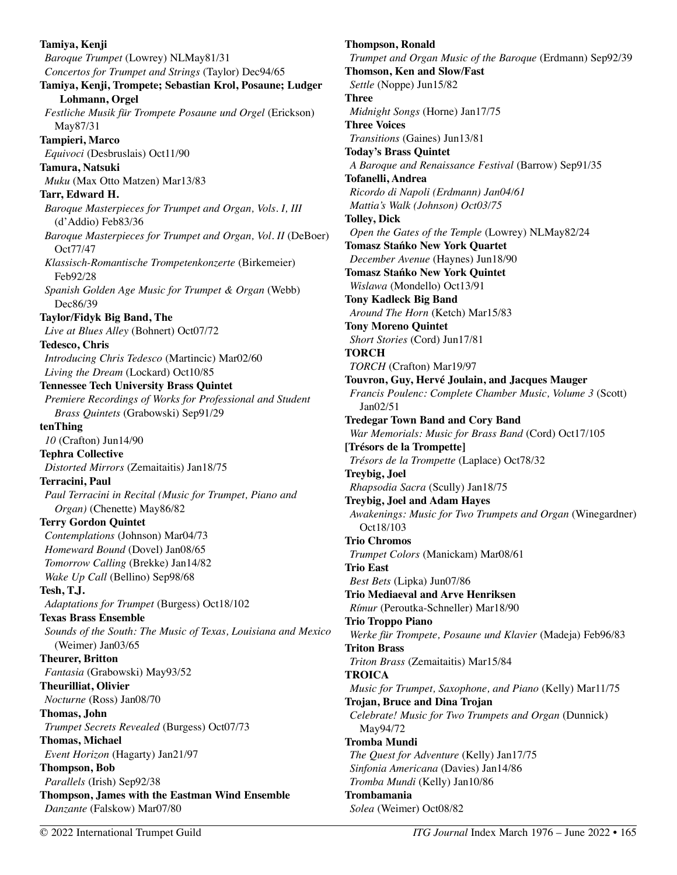**Tamiya, Kenji**  *Baroque Trumpet* (Lowrey) NLMay81/31 *Concertos for Trumpet and Strings* (Taylor) Dec94/65 **Tamiya, Kenji, Trompete; Sebastian Krol, Posaune; Ludger Lohmann, Orgel**  *Festliche Musik für Trompete Posaune und Orgel* (Erickson) May87/31 **Tampieri, Marco**  *Equivoci* (Desbruslais) Oct11/90 **Tamura, Natsuki**  *Muku* (Max Otto Matzen) Mar13/83 **Tarr, Edward H.**  *Baroque Masterpieces for Trumpet and Organ, Vols. I, III*  (d'Addio) Feb83/36 *Baroque Masterpieces for Trumpet and Organ, Vol. II* (DeBoer) Oct77/47 *Klassisch-Romantische Trompetenkonzerte* (Birkemeier) Feb92/28 *Spanish Golden Age Music for Trumpet & Organ* (Webb) Dec86/39 **Taylor/Fidyk Big Band, The**  *Live at Blues Alley* (Bohnert) Oct07/72 **Tedesco, Chris**  *Introducing Chris Tedesco* (Martincic) Mar02/60 *Living the Dream* (Lockard) Oct10/85 **Tennessee Tech University Brass Quintet**  *Premiere Recordings of Works for Professional and Student Brass Quintets* (Grabowski) Sep91/29 **tenThing**  *10* (Crafton) Jun14/90 **Tephra Collective**  *Distorted Mirrors* (Zemaitaitis) Jan18/75 **Terracini, Paul**  *Paul Terracini in Recital (Music for Trumpet, Piano and Organ)* (Chenette) May86/82 **Terry Gordon Quintet**  *Contemplations* (Johnson) Mar04/73 *Homeward Bound* (Dovel) Jan08/65 *Tomorrow Calling* (Brekke) Jan14/82 *Wake Up Call* (Bellino) Sep98/68 **Tesh, T.J.**  *Adaptations for Trumpet* (Burgess) Oct18/102 **Texas Brass Ensemble**  *Sounds of the South: The Music of Texas, Louisiana and Mexico*  (Weimer) Jan03/65 **Theurer, Britton**  *Fantasia* (Grabowski) May93/52 **Theurilliat, Olivier**  *Nocturne* (Ross) Jan08/70 **Thomas, John**  *Trumpet Secrets Revealed* (Burgess) Oct07/73 **Thomas, Michael**  *Event Horizon* (Hagarty) Jan21/97 **Thompson, Bob**  *Parallels* (Irish) Sep92/38 **Thompson, James with the Eastman Wind Ensemble**  *Danzante* (Falskow) Mar07/80

**Thompson, Ronald**  *Trumpet and Organ Music of the Baroque* (Erdmann) Sep92/39 **Thomson, Ken and Slow/Fast**  *Settle* (Noppe) Jun15/82 **Three**  *Midnight Songs* (Horne) Jan17/75 **Three Voices**  *Transitions* (Gaines) Jun13/81 **Today's Brass Quintet**  *A Baroque and Renaissance Festival* (Barrow) Sep91/35 **Tofanelli, Andrea**  *Ricordo di Napoli (Erdmann) Jan04/61 Mattia's Walk (Johnson) Oct03/75*  **Tolley, Dick**  *Open the Gates of the Temple* (Lowrey) NLMay82/24 **Tomasz Stańko New York Quartet**  *December Avenue* (Haynes) Jun18/90 **Tomasz Stańko New York Quintet**  *Wislawa* (Mondello) Oct13/91 **Tony Kadleck Big Band**  *Around The Horn* (Ketch) Mar15/83 **Tony Moreno Quintet**  *Short Stories* (Cord) Jun17/81 **TORCH**  *TORCH* (Crafton) Mar19/97 **Touvron, Guy, Hervé Joulain, and Jacques Mauger**  *Francis Poulenc: Complete Chamber Music, Volume 3* (Scott) Jan02/51 **Tredegar Town Band and Cory Band**  *War Memorials: Music for Brass Band* (Cord) Oct17/105 **[Trésors de la Trompette]**  *Trésors de la Trompette* (Laplace) Oct78/32 **Treybig, Joel**  *Rhapsodia Sacra* (Scully) Jan18/75 **Treybig, Joel and Adam Hayes**  *Awakenings: Music for Two Trumpets and Organ* (Winegardner) Oct18/103 **Trio Chromos**  *Trumpet Colors* (Manickam) Mar08/61 **Trio East**  *Best Bets* (Lipka) Jun07/86 **Trio Mediaeval and Arve Henriksen**  *Rímur* (Peroutka-Schneller) Mar18/90 **Trio Troppo Piano**  *Werke für Trompete, Posaune und Klavier* (Madeja) Feb96/83 **Triton Brass**  *Triton Brass* (Zemaitaitis) Mar15/84 **TROICA**  *Music for Trumpet, Saxophone, and Piano* (Kelly) Mar11/75 **Trojan, Bruce and Dina Trojan**  *Celebrate! Music for Two Trumpets and Organ* (Dunnick) May94/72 **Tromba Mundi**  *The Quest for Adventure* (Kelly) Jan17/75 *Sinfonia Americana* (Davies) Jan14/86 *Tromba Mundi* (Kelly) Jan10/86 **Trombamania**  *Solea* (Weimer) Oct08/82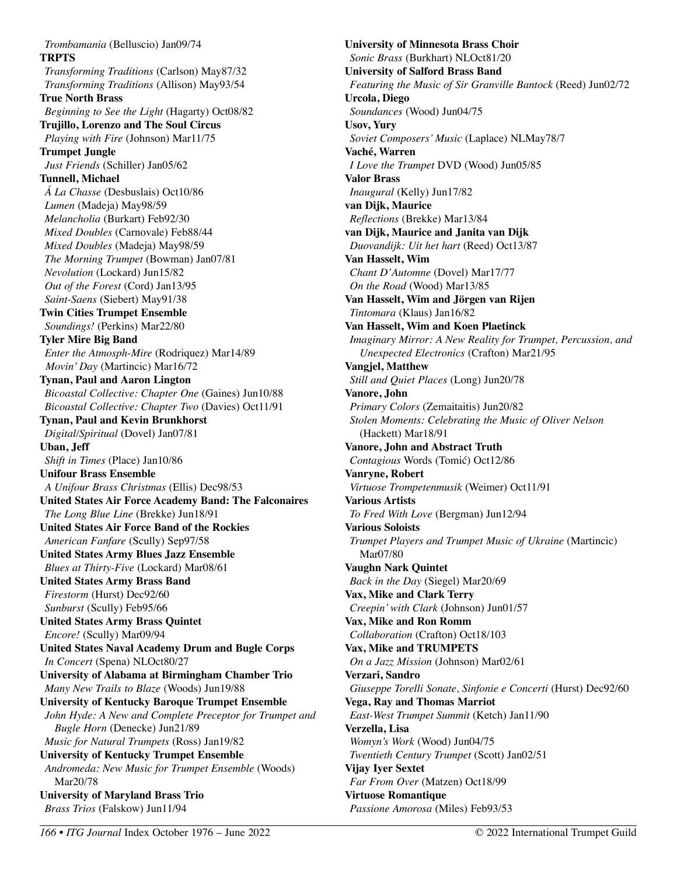*Trombamania* (Belluscio) Jan09/74 **TRPTS**  *Transforming Traditions* (Carlson) May87/32 *Transforming Traditions* (Allison) May93/54 **True North Brass**  *Beginning to See the Light* (Hagarty) Oct08/82 **Trujillo, Lorenzo and The Soul Circus**  *Playing with Fire* (Johnson) Mar11/75 **Trumpet Jungle**  *Just Friends* (Schiller) Jan05/62 **Tunnell, Michael**  *Á La Chasse* (Desbuslais) Oct10/86 *Lumen* (Madeja) May98/59 *Melancholia* (Burkart) Feb92/30 *Mixed Doubles* (Carnovale) Feb88/44 *Mixed Doubles* (Madeja) May98/59 *The Morning Trumpet* (Bowman) Jan07/81 *Nevolution* (Lockard) Jun15/82 *Out of the Forest* (Cord) Jan13/95 *Saint-Saens* (Siebert) May91/38 **Twin Cities Trumpet Ensemble**  *Soundings!* (Perkins) Mar22/80 **Tyler Mire Big Band**  *Enter the Atmosph-Mire* (Rodriquez) Mar14/89 *Movin' Day* (Martincic) Mar16/72 **Tynan, Paul and Aaron Lington**  *Bicoastal Collective: Chapter One* (Gaines) Jun10/88 *Bicoastal Collective: Chapter Two* (Davies) Oct11/91 **Tynan, Paul and Kevin Brunkhorst**  *Digital/Spiritual* (Dovel) Jan07/81 **Uban, Jeff**  *Shift in Times* (Place) Jan10/86 **Unifour Brass Ensemble**  *A Unifour Brass Christmas* (Ellis) Dec98/53 **United States Air Force Academy Band: The Falconaires**  *The Long Blue Line* (Brekke) Jun18/91 **United States Air Force Band of the Rockies**  *American Fanfare* (Scully) Sep97/58 **United States Army Blues Jazz Ensemble**  *Blues at Thirty-Five* (Lockard) Mar08/61 **United States Army Brass Band**  *Firestorm* (Hurst) Dec92/60 *Sunburst* (Scully) Feb95/66 **United States Army Brass Quintet**  *Encore!* (Scully) Mar09/94 **United States Naval Academy Drum and Bugle Corps**  *In Concert* (Spena) NLOct80/27 **University of Alabama at Birmingham Chamber Trio**  *Many New Trails to Blaze* (Woods) Jun19/88 **University of Kentucky Baroque Trumpet Ensemble**  *John Hyde: A New and Complete Preceptor for Trumpet and Bugle Horn* (Denecke) Jun21/89 *Music for Natural Trumpets* (Ross) Jan19/82 **University of Kentucky Trumpet Ensemble**  *Andromeda: New Music for Trumpet Ensemble* (Woods) Mar20/78 **University of Maryland Brass Trio**  *Brass Trios* (Falskow) Jun11/94

**University of Minnesota Brass Choir**  *Sonic Brass* (Burkhart) NLOct81/20 **University of Salford Brass Band**  *Featuring the Music of Sir Granville Bantock* (Reed) Jun02/72 **Urcola, Diego**  *Soundances* (Wood) Jun04/75 **Usov, Yury**  *Soviet Composers' Music* (Laplace) NLMay78/7 **Vaché, Warren**  *I Love the Trumpet* DVD (Wood) Jun05/85 **Valor Brass**  *Inaugural* (Kelly) Jun17/82 **van Dijk, Maurice**  *Reflections* (Brekke) Mar13/84 **van Dijk, Maurice and Janita van Dijk**  *Duovandijk: Uit het hart* (Reed) Oct13/87 **Van Hasselt, Wim**  *Chant D'Automne* (Dovel) Mar17/77 *On the Road* (Wood) Mar13/85 **Van Hasselt, Wim and Jörgen van Rijen**  *Tintomara* (Klaus) Jan16/82 **Van Hasselt, Wim and Koen Plaetinck**  *Imaginary Mirror: A New Reality for Trumpet, Percussion, and Unexpected Electronics* (Crafton) Mar21/95 **Vangjel, Matthew**  *Still and Quiet Places* (Long) Jun20/78 **Vanore, John**  *Primary Colors* (Zemaitaitis) Jun20/82 *Stolen Moments: Celebrating the Music of Oliver Nelson*  (Hackett) Mar18/91 **Vanore, John and Abstract Truth**  *Contagious* Words (Tomić) Oct12/86 **Vanryne, Robert**  *Virtuose Trompetenmusik* (Weimer) Oct11/91 **Various Artists**  *To Fred With Love* (Bergman) Jun12/94 **Various Soloists**  *Trumpet Players and Trumpet Music of Ukraine* (Martincic) Mar07/80 **Vaughn Nark Quintet**  *Back in the Day* (Siegel) Mar20/69 **Vax, Mike and Clark Terry**  *Creepin' with Clark* (Johnson) Jun01/57 **Vax, Mike and Ron Romm**  *Collaboration* (Crafton) Oct18/103 **Vax, Mike and TRUMPETS**  *On a Jazz Mission* (Johnson) Mar02/61 **Verzari, Sandro**  *Giuseppe Torelli Sonate, Sinfonie e Concerti* (Hurst) Dec92/60 **Vega, Ray and Thomas Marriot**  *East-West Trumpet Summit* (Ketch) Jan11/90 **Verzella, Lisa**  *Womyn's Work* (Wood) Jun04/75 *Twentieth Century Trumpet* (Scott) Jan02/51 **Vijay Iyer Sextet**  *Far From Over* (Matzen) Oct18/99 **Virtuose Romantique**  *Passione Amorosa* (Miles) Feb93/53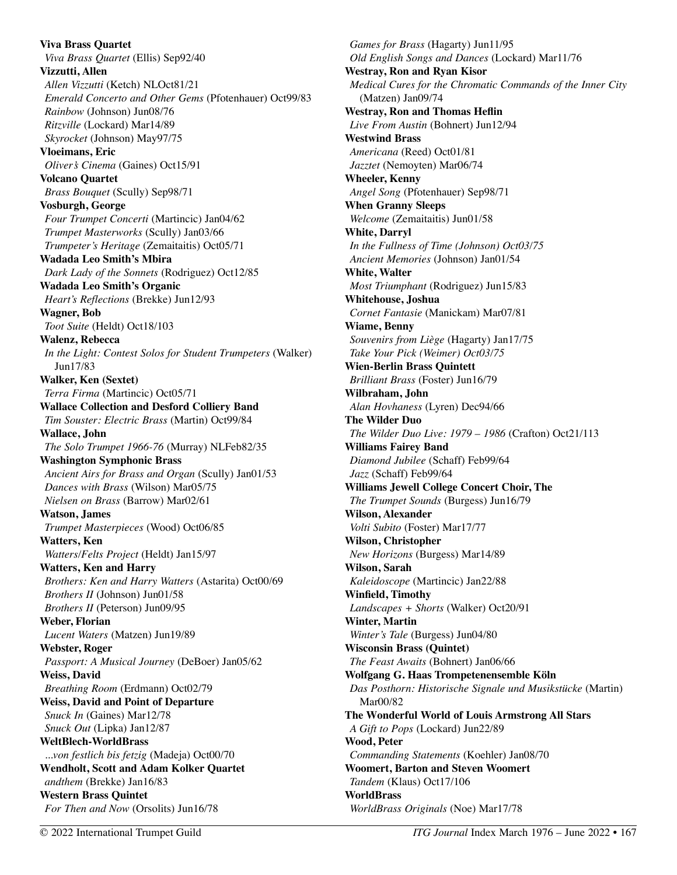**Viva Brass Quartet**  *Viva Brass Quartet* (Ellis) Sep92/40 **Vizzutti, Allen**  *Allen Vizzutti* (Ketch) NLOct81/21 *Emerald Concerto and Other Gems* (Pfotenhauer) Oct99/83 *Rainbow* (Johnson) Jun08/76 *Ritzville* (Lockard) Mar14/89 *Skyrocket* (Johnson) May97/75 **Vloeimans, Eric**  *Oliver's Cinema* (Gaines) Oct15/91 **Volcano Quartet**  *Brass Bouquet* (Scully) Sep98/71 **Vosburgh, George**  *Four Trumpet Concerti* (Martincic) Jan04/62 *Trumpet Masterworks* (Scully) Jan03/66 *Trumpeter's Heritage* (Zemaitaitis) Oct05/71 **Wadada Leo Smith's Mbira**  *Dark Lady of the Sonnets* (Rodriguez) Oct12/85 **Wadada Leo Smith's Organic**  *Heart's Reflections* (Brekke) Jun12/93 **Wagner, Bob**  *Toot Suite* (Heldt) Oct18/103 **Walenz, Rebecca**  *In the Light: Contest Solos for Student Trumpeters* (Walker) Jun17/83 **Walker, Ken (Sextet)**  *Terra Firma* (Martincic) Oct05/71 **Wallace Collection and Desford Colliery Band**  *Tim Souster: Electric Brass* (Martin) Oct99/84 **Wallace, John**  *The Solo Trumpet 1966-76* (Murray) NLFeb82/35 **Washington Symphonic Brass**  *Ancient Airs for Brass and Organ* (Scully) Jan01/53 *Dances with Brass* (Wilson) Mar05/75 *Nielsen on Brass* (Barrow) Mar02/61 **Watson, James**  *Trumpet Masterpieces* (Wood) Oct06/85 **Watters, Ken**  *Watters/Felts Project* (Heldt) Jan15/97 **Watters, Ken and Harry**  *Brothers: Ken and Harry Watters* (Astarita) Oct00/69 *Brothers II* (Johnson) Jun01/58 *Brothers II* (Peterson) Jun09/95 **Weber, Florian**  *Lucent Waters* (Matzen) Jun19/89 **Webster, Roger**  *Passport: A Musical Journey* (DeBoer) Jan05/62 **Weiss, David**  *Breathing Room* (Erdmann) Oct02/79 **Weiss, David and Point of Departure**  *Snuck In* (Gaines) Mar12/78 *Snuck Out* (Lipka) Jan12/87 **WeltBlech-WorldBrass**  *...von festlich bis fetzig* (Madeja) Oct00/70 **Wendholt, Scott and Adam Kolker Quartet**  *andthem* (Brekke) Jan16/83 **Western Brass Quintet**  *For Then and Now* (Orsolits) Jun16/78

*Games for Brass* (Hagarty) Jun11/95 *Old English Songs and Dances* (Lockard) Mar11/76 **Westray, Ron and Ryan Kisor**  *Medical Cures for the Chromatic Commands of the Inner City*  (Matzen) Jan09/74 **Westray, Ron and Thomas Heflin**  *Live From Austin* (Bohnert) Jun12/94 **Westwind Brass**  *Americana* (Reed) Oct01/81 *Jazztet* (Nemoyten) Mar06/74 **Wheeler, Kenny**  *Angel Song* (Pfotenhauer) Sep98/71 **When Granny Sleeps**  *Welcome* (Zemaitaitis) Jun01/58 **White, Darryl**  *In the Fullness of Time (Johnson) Oct03/75 Ancient Memories* (Johnson) Jan01/54 **White, Walter**  *Most Triumphant* (Rodriguez) Jun15/83 **Whitehouse, Joshua**  *Cornet Fantasie* (Manickam) Mar07/81 **Wiame, Benny**  *Souvenirs from Liège* (Hagarty) Jan17/75 *Take Your Pick (Weimer) Oct03/75*  **Wien-Berlin Brass Quintett**  *Brilliant Brass* (Foster) Jun16/79 **Wilbraham, John**  *Alan Hovhaness* (Lyren) Dec94/66 **The Wilder Duo**  *The Wilder Duo Live: 1979 – 1986* (Crafton) Oct21/113 **Williams Fairey Band**  *Diamond Jubilee* (Schaff) Feb99/64 *Jazz* (Schaff) Feb99/64 **Williams Jewell College Concert Choir, The**  *The Trumpet Sounds* (Burgess) Jun16/79 **Wilson, Alexander**  *Volti Subito* (Foster) Mar17/77 **Wilson, Christopher**  *New Horizons* (Burgess) Mar14/89 **Wilson, Sarah**  *Kaleidoscope* (Martincic) Jan22/88 **Winfield, Timothy**  *Landscapes + Shorts* (Walker) Oct20/91 **Winter, Martin**  *Winter's Tale* (Burgess) Jun04/80 **Wisconsin Brass (Quintet)**  *The Feast Awaits* (Bohnert) Jan06/66 **Wolfgang G. Haas Trompetenensemble Köln**  *Das Posthorn: Historische Signale und Musikstücke* (Martin) Mar00/82 **The Wonderful World of Louis Armstrong All Stars**  *A Gift to Pops* (Lockard) Jun22/89 **Wood, Peter**  *Commanding Statements* (Koehler) Jan08/70 **Woomert, Barton and Steven Woomert**  *Tandem* (Klaus) Oct17/106 **WorldBrass**  *WorldBrass Originals* (Noe) Mar17/78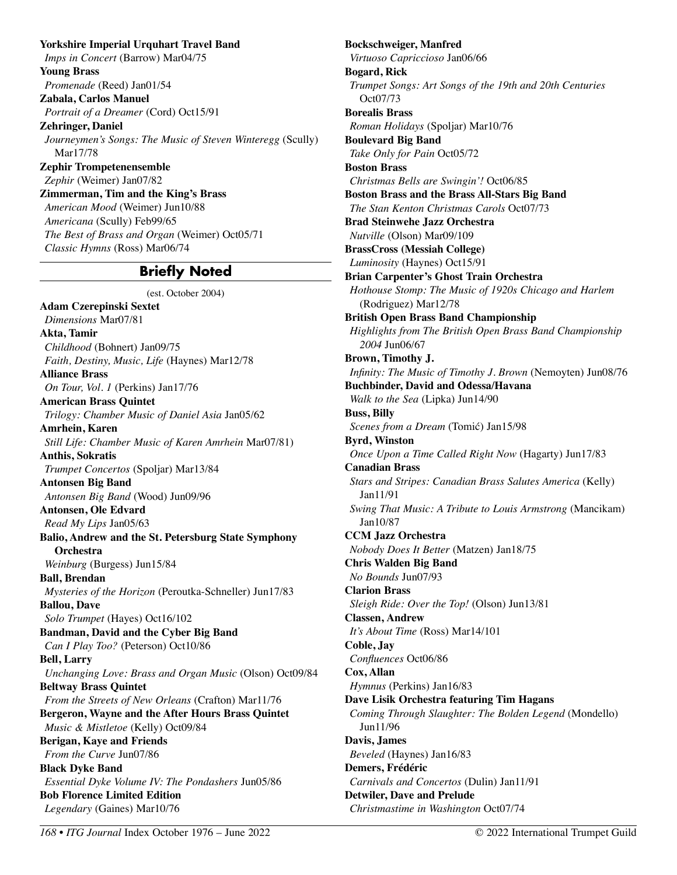**Yorkshire Imperial Urquhart Travel Band**  *Imps in Concert* (Barrow) Mar04/75 **Young Brass**  *Promenade* (Reed) Jan01/54 **Zabala, Carlos Manuel**  *Portrait of a Dreamer* (Cord) Oct15/91 **Zehringer, Daniel**  *Journeymen's Songs: The Music of Steven Winteregg* (Scully) Mar17/78 **Zephir Trompetenensemble**  *Zephir* (Weimer) Jan07/82 **Zimmerman, Tim and the King's Brass**  *American Mood* (Weimer) Jun10/88 *Americana* (Scully) Feb99/65 *The Best of Brass and Organ* (Weimer) Oct05/71 *Classic Hymns* (Ross) Mar06/74

### **Briefly Noted**

(est. October 2004)

**Adam Czerepinski Sextet**  *Dimensions* Mar07/81 **Akta, Tamir**  *Childhood* (Bohnert) Jan09/75 *Faith, Destiny, Music, Life* (Haynes) Mar12/78 **Alliance Brass**  *On Tour, Vol. 1* (Perkins) Jan17/76 **American Brass Quintet**  *Trilogy: Chamber Music of Daniel Asia* Jan05/62 **Amrhein, Karen**  *Still Life: Chamber Music of Karen Amrhein* Mar07/81) **Anthis, Sokratis**  *Trumpet Concertos* (Spoljar) Mar13/84 **Antonsen Big Band**  *Antonsen Big Band* (Wood) Jun09/96 **Antonsen, Ole Edvard**  *Read My Lips* Jan05/63 **Balio, Andrew and the St. Petersburg State Symphony Orchestra**  *Weinburg* (Burgess) Jun15/84 **Ball, Brendan**  *Mysteries of the Horizon* (Peroutka-Schneller) Jun17/83 **Ballou, Dave**  *Solo Trumpet* (Hayes) Oct16/102 **Bandman, David and the Cyber Big Band**  *Can I Play Too?* (Peterson) Oct10/86 **Bell, Larry**  *Unchanging Love: Brass and Organ Music* (Olson) Oct09/84 **Beltway Brass Quintet**  *From the Streets of New Orleans* (Crafton) Mar11/76 **Bergeron, Wayne and the After Hours Brass Quintet**  *Music & Mistletoe* (Kelly) Oct09/84 **Berigan, Kaye and Friends**  *From the Curve* Jun07/86 **Black Dyke Band**  *Essential Dyke Volume IV: The Pondashers* Jun05/86 **Bob Florence Limited Edition**  *Legendary* (Gaines) Mar10/76

**Bockschweiger, Manfred**  *Virtuoso Capriccioso* Jan06/66 **Bogard, Rick**  *Trumpet Songs: Art Songs of the 19th and 20th Centuries*  Oct07/73 **Borealis Brass**  *Roman Holidays* (Spoljar) Mar10/76 **Boulevard Big Band**  *Take Only for Pain* Oct05/72 **Boston Brass**  *Christmas Bells are Swingin'!* Oct06/85 **Boston Brass and the Brass All-Stars Big Band**  *The Stan Kenton Christmas Carols* Oct07/73 **Brad Steinwehe Jazz Orchestra**  *Nutville* (Olson) Mar09/109 **BrassCross (Messiah College)**  *Luminosity* (Haynes) Oct15/91 **Brian Carpenter's Ghost Train Orchestra**  *Hothouse Stomp: The Music of 1920s Chicago and Harlem* (Rodriguez) Mar12/78 **British Open Brass Band Championship**  *Highlights from The British Open Brass Band Championship 2004* Jun06/67 **Brown, Timothy J.**  *Infinity: The Music of Timothy J. Brown* (Nemoyten) Jun08/76 **Buchbinder, David and Odessa/Havana**  *Walk to the Sea* (Lipka) Jun14/90 **Buss, Billy**  *Scenes from a Dream* (Tomić) Jan15/98 **Byrd, Winston**  *Once Upon a Time Called Right Now* (Hagarty) Jun17/83 **Canadian Brass**  *Stars and Stripes: Canadian Brass Salutes America* (Kelly) Jan11/91 *Swing That Music: A Tribute to Louis Armstrong* (Mancikam) Jan10/87 **CCM Jazz Orchestra**  *Nobody Does It Better* (Matzen) Jan18/75 **Chris Walden Big Band**  *No Bounds* Jun07/93 **Clarion Brass**  *Sleigh Ride: Over the Top!* (Olson) Jun13/81 **Classen, Andrew**  *It's About Time* (Ross) Mar14/101 **Coble, Jay**  *Confluences* Oct06/86 **Cox, Allan**  *Hymnus* (Perkins) Jan16/83 **Dave Lisik Orchestra featuring Tim Hagans**  *Coming Through Slaughter: The Bolden Legend* (Mondello) Jun11/96 **Davis, James**  *Beveled* (Haynes) Jan16/83 **Demers, Frédéric**  *Carnivals and Concertos* (Dulin) Jan11/91 **Detwiler, Dave and Prelude**  *Christmastime in Washington* Oct07/74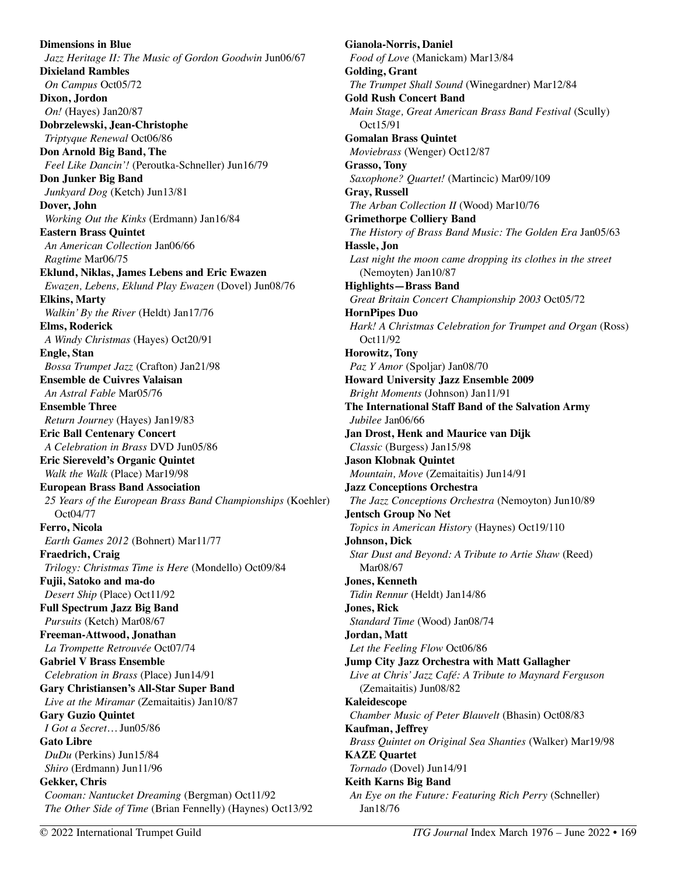**Dimensions in Blue**  *Jazz Heritage II: The Music of Gordon Goodwin* Jun06/67 **Dixieland Rambles**  *On Campus* Oct05/72 **Dixon, Jordon**  *On!* (Hayes) Jan20/87 **Dobrzelewski, Jean-Christophe**  *Triptyque Renewal* Oct06/86 **Don Arnold Big Band, The**  *Feel Like Dancin'!* (Peroutka-Schneller) Jun16/79 **Don Junker Big Band**  *Junkyard Dog* (Ketch) Jun13/81 **Dover, John**  *Working Out the Kinks* (Erdmann) Jan16/84 **Eastern Brass Quintet**  *An American Collection* Jan06/66 *Ragtime* Mar06/75 **Eklund, Niklas, James Lebens and Eric Ewazen**  *Ewazen, Lebens, Eklund Play Ewazen* (Dovel) Jun08/76 **Elkins, Marty**  *Walkin' By the River* (Heldt) Jan17/76 **Elms, Roderick**  *A Windy Christmas* (Hayes) Oct20/91 **Engle, Stan**  *Bossa Trumpet Jazz* (Crafton) Jan21/98 **Ensemble de Cuivres Valaisan**  *An Astral Fable* Mar05/76 **Ensemble Three**  *Return Journey* (Hayes) Jan19/83 **Eric Ball Centenary Concert**  *A Celebration in Brass* DVD Jun05/86 **Eric Siereveld's Organic Quintet**  *Walk the Walk* (Place) Mar19/98 **European Brass Band Association**  *25 Years of the European Brass Band Championships* (Koehler) Oct04/77 **Ferro, Nicola**  *Earth Games 2012* (Bohnert) Mar11/77 **Fraedrich, Craig**  *Trilogy: Christmas Time is Here* (Mondello) Oct09/84 **Fujii, Satoko and ma-do**  *Desert Ship* (Place) Oct11/92 **Full Spectrum Jazz Big Band**  *Pursuits* (Ketch) Mar08/67 **Freeman-Attwood, Jonathan**  *La Trompette Retrouvée* Oct07/74 **Gabriel V Brass Ensemble**  *Celebration in Brass* (Place) Jun14/91 **Gary Christiansen's All-Star Super Band**  *Live at the Miramar* (Zemaitaitis) Jan10/87 **Gary Guzio Quintet**  *I Got a Secret…* Jun05/86 **Gato Libre**  *DuDu* (Perkins) Jun15/84 *Shiro* (Erdmann) Jun11/96 **Gekker, Chris**  *Cooman: Nantucket Dreaming* (Bergman) Oct11/92 *The Other Side of Time* (Brian Fennelly) (Haynes) Oct13/92

**Gianola-Norris, Daniel**  *Food of Love* (Manickam) Mar13/84 **Golding, Grant**  *The Trumpet Shall Sound* (Winegardner) Mar12/84 **Gold Rush Concert Band**  *Main Stage, Great American Brass Band Festival (Scully)* Oct15/91 **Gomalan Brass Quintet**  *Moviebrass* (Wenger) Oct12/87 **Grasso, Tony**  *Saxophone? Quartet!* (Martincic) Mar09/109 **Gray, Russell**  *The Arban Collection II* (Wood) Mar10/76 **Grimethorpe Colliery Band**  *The History of Brass Band Music: The Golden Era* Jan05/63 **Hassle, Jon**  Last night the moon came dropping its clothes in the street (Nemoyten) Jan10/87 **Highlights—Brass Band**  *Great Britain Concert Championship 2003* Oct05/72 **HornPipes Duo**  *Hark! A Christmas Celebration for Trumpet and Organ (Ross)* Oct11/92 **Horowitz, Tony**  *Paz Y Amor* (Spoljar) Jan08/70 **Howard University Jazz Ensemble 2009**  *Bright Moments* (Johnson) Jan11/91 **The International Staff Band of the Salvation Army**  *Jubilee* Jan06/66 **Jan Drost, Henk and Maurice van Dijk**  *Classic* (Burgess) Jan15/98 **Jason Klobnak Quintet**  *Mountain, Move* (Zemaitaitis) Jun14/91 **Jazz Conceptions Orchestra**  *The Jazz Conceptions Orchestra* (Nemoyton) Jun10/89 **Jentsch Group No Net**  *Topics in American History* (Haynes) Oct19/110 **Johnson, Dick**  *Star Dust and Beyond: A Tribute to Artie Shaw* (Reed) Mar08/67 **Jones, Kenneth**  *Tidin Rennur* (Heldt) Jan14/86 **Jones, Rick**  *Standard Time* (Wood) Jan08/74 **Jordan, Matt**  *Let the Feeling Flow* Oct06/86 **Jump City Jazz Orchestra with Matt Gallagher**  *Live at Chris' Jazz Café: A Tribute to Maynard Ferguson* (Zemaitaitis) Jun08/82 **Kaleidescope**  *Chamber Music of Peter Blauvelt* (Bhasin) Oct08/83 **Kaufman, Jeffrey**  *Brass Quintet on Original Sea Shanties* (Walker) Mar19/98 **KAZE Quartet**  *Tornado* (Dovel) Jun14/91 **Keith Karns Big Band**  *An Eye on the Future: Featuring Rich Perry* (Schneller) Jan18/76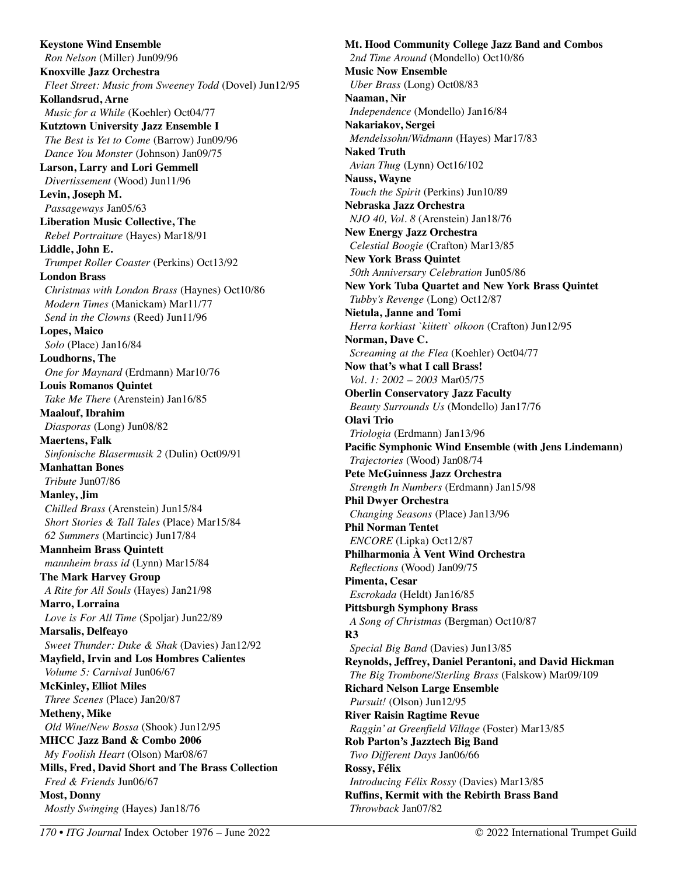**Keystone Wind Ensemble**  *Ron Nelson* (Miller) Jun09/96 **Knoxville Jazz Orchestra**  *Fleet Street: Music from Sweeney Todd* (Dovel) Jun12/95 **Kollandsrud, Arne**  *Music for a While* (Koehler) Oct04/77 **Kutztown University Jazz Ensemble I**  *The Best is Yet to Come* (Barrow) Jun09/96 *Dance You Monster* (Johnson) Jan09/75 **Larson, Larry and Lori Gemmell**  *Divertissement* (Wood) Jun11/96 **Levin, Joseph M.**  *Passageways* Jan05/63 **Liberation Music Collective, The**  *Rebel Portraiture* (Hayes) Mar18/91 **Liddle, John E.**  *Trumpet Roller Coaster* (Perkins) Oct13/92 **London Brass**  *Christmas with London Brass* (Haynes) Oct10/86 *Modern Times* (Manickam) Mar11/77 *Send in the Clowns* (Reed) Jun11/96 **Lopes, Maico**  *Solo* (Place) Jan16/84 **Loudhorns, The**  *One for Maynard* (Erdmann) Mar10/76 **Louis Romanos Quintet**  *Take Me There* (Arenstein) Jan16/85 **Maalouf, Ibrahim**  *Diasporas* (Long) Jun08/82 **Maertens, Falk**  *Sinfonische Blasermusik 2* (Dulin) Oct09/91 **Manhattan Bones**  *Tribute* Jun07/86 **Manley, Jim**  *Chilled Brass* (Arenstein) Jun15/84 *Short Stories & Tall Tales* (Place) Mar15/84 *62 Summers* (Martincic) Jun17/84 **Mannheim Brass Quintett**  *mannheim brass id* (Lynn) Mar15/84 **The Mark Harvey Group**  *A Rite for All Souls* (Hayes) Jan21/98 **Marro, Lorraina**  *Love is For All Time* (Spoljar) Jun22/89 **Marsalis, Delfeayo**  *Sweet Thunder: Duke & Shak* (Davies) Jan12/92 **Mayfield, Irvin and Los Hombres Calientes**  *Volume 5: Carnival* Jun06/67 **McKinley, Elliot Miles**  *Three Scenes* (Place) Jan20/87 **Metheny, Mike**  *Old Wine/New Bossa* (Shook) Jun12/95 **MHCC Jazz Band & Combo 2006**  *My Foolish Heart* (Olson) Mar08/67 **Mills, Fred, David Short and The Brass Collection**  *Fred & Friends* Jun06/67 **Most, Donny**  *Mostly Swinging* (Hayes) Jan18/76

**Mt. Hood Community College Jazz Band and Combos**  *2nd Time Around* (Mondello) Oct10/86 **Music Now Ensemble**  *Uber Brass* (Long) Oct08/83 **Naaman, Nir**  *Independence* (Mondello) Jan16/84 **Nakariakov, Sergei**  *Mendelssohn/Widmann* (Hayes) Mar17/83 **Naked Truth**  *Avian Thug* (Lynn) Oct16/102 **Nauss, Wayne**  *Touch the Spirit* (Perkins) Jun10/89 **Nebraska Jazz Orchestra**  *NJO 40, Vol. 8* (Arenstein) Jan18/76 **New Energy Jazz Orchestra**  *Celestial Boogie* (Crafton) Mar13/85 **New York Brass Quintet**  *50th Anniversary Celebration* Jun05/86 **New York Tuba Quartet and New York Brass Quintet**  *Tubby's Revenge* (Long) Oct12/87 **Nietula, Janne and Tomi**  *Herra korkiast `kiitett` olkoon* (Crafton) Jun12/95 **Norman, Dave C.**  *Screaming at the Flea* (Koehler) Oct04/77 **Now that's what I call Brass!**  *Vol. 1: 2002 – 2003* Mar05/75 **Oberlin Conservatory Jazz Faculty**  *Beauty Surrounds Us* (Mondello) Jan17/76 **Olavi Trio**  *Triologia* (Erdmann) Jan13/96 **Pacific Symphonic Wind Ensemble (with Jens Lindemann)**  *Trajectories* (Wood) Jan08/74 **Pete McGuinness Jazz Orchestra**  *Strength In Numbers* (Erdmann) Jan15/98 **Phil Dwyer Orchestra**  *Changing Seasons* (Place) Jan13/96 **Phil Norman Tentet**  *ENCORE* (Lipka) Oct12/87 **Philharmonia À Vent Wind Orchestra**  *Reflections* (Wood) Jan09/75 **Pimenta, Cesar**  *Escrokada* (Heldt) Jan16/85 **Pittsburgh Symphony Brass**  *A Song of Christmas* (Bergman) Oct10/87 **R3**  *Special Big Band* (Davies) Jun13/85 **Reynolds, Jeffrey, Daniel Perantoni, and David Hickman**  *The Big Trombone/Sterling Brass* (Falskow) Mar09/109 **Richard Nelson Large Ensemble**  *Pursuit!* (Olson) Jun12/95 **River Raisin Ragtime Revue**  *Raggin' at Greenfield Village* (Foster) Mar13/85 **Rob Parton's Jazztech Big Band**  *Two Different Days* Jan06/66 **Rossy, Félix**  *Introducing Félix Rossy* (Davies) Mar13/85 **Ruffins, Kermit with the Rebirth Brass Band**  *Throwback* Jan07/82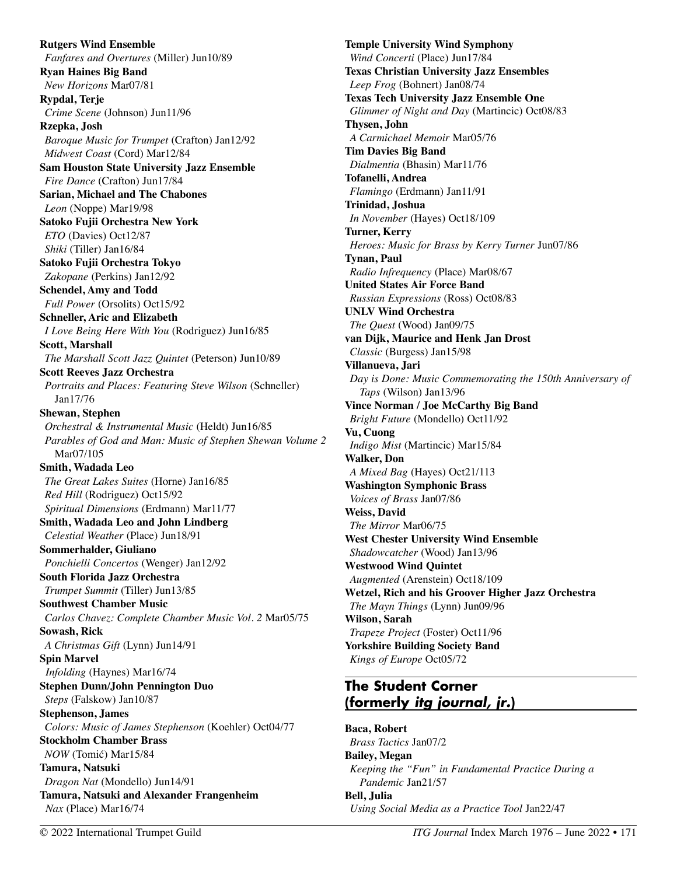**Rutgers Wind Ensemble**  *Fanfares and Overtures* (Miller) Jun10/89 **Ryan Haines Big Band**  *New Horizons* Mar07/81 **Rypdal, Terje**  *Crime Scene* (Johnson) Jun11/96 **Rzepka, Josh**  *Baroque Music for Trumpet* (Crafton) Jan12/92 *Midwest Coast* (Cord) Mar12/84 **Sam Houston State University Jazz Ensemble**  *Fire Dance* (Crafton) Jun17/84 **Sarian, Michael and The Chabones**  *Leon* (Noppe) Mar19/98 **Satoko Fujii Orchestra New York**  *ETO* (Davies) Oct12/87 *Shiki* (Tiller) Jan16/84 **Satoko Fujii Orchestra Tokyo**  *Zakopane* (Perkins) Jan12/92 **Schendel, Amy and Todd**  *Full Power* (Orsolits) Oct15/92 **Schneller, Aric and Elizabeth**  *I Love Being Here With You* (Rodriguez) Jun16/85 **Scott, Marshall**  *The Marshall Scott Jazz Quintet* (Peterson) Jun10/89 **Scott Reeves Jazz Orchestra**  *Portraits and Places: Featuring Steve Wilson* (Schneller) Jan17/76 **Shewan, Stephen**  *Orchestral & Instrumental Music* (Heldt) Jun16/85 *Parables of God and Man: Music of Stephen Shewan Volume 2* Mar07/105 **Smith, Wadada Leo**  *The Great Lakes Suites* (Horne) Jan16/85 *Red Hill* (Rodriguez) Oct15/92 *Spiritual Dimensions* (Erdmann) Mar11/77 **Smith, Wadada Leo and John Lindberg**  *Celestial Weather* (Place) Jun18/91 **Sommerhalder, Giuliano**  *Ponchielli Concertos* (Wenger) Jan12/92 **South Florida Jazz Orchestra**  *Trumpet Summit* (Tiller) Jun13/85 **Southwest Chamber Music**  *Carlos Chavez: Complete Chamber Music Vol. 2* Mar05/75 **Sowash, Rick**  *A Christmas Gift* (Lynn) Jun14/91 **Spin Marvel**  *Infolding* (Haynes) Mar16/74 **Stephen Dunn/John Pennington Duo**  *Steps* (Falskow) Jan10/87 **Stephenson, James**  *Colors: Music of James Stephenson* (Koehler) Oct04/77 **Stockholm Chamber Brass**  *NOW* (Tomić) Mar15/84 **Tamura, Natsuki**  *Dragon Nat* (Mondello) Jun14/91 **Tamura, Natsuki and Alexander Frangenheim**  *Nax* (Place) Mar16/74

**Temple University Wind Symphony**  *Wind Concerti* (Place) Jun17/84 **Texas Christian University Jazz Ensembles**  *Leep Frog* (Bohnert) Jan08/74 **Texas Tech University Jazz Ensemble One**  *Glimmer of Night and Day* (Martincic) Oct08/83 **Thysen, John**  *A Carmichael Memoir* Mar05/76 **Tim Davies Big Band**  *Dialmentia* (Bhasin) Mar11/76 **Tofanelli, Andrea**  *Flamingo* (Erdmann) Jan11/91 **Trinidad, Joshua**  *In November* (Hayes) Oct18/109 **Turner, Kerry**  *Heroes: Music for Brass by Kerry Turner* Jun07/86 **Tynan, Paul**  *Radio Infrequency* (Place) Mar08/67 **United States Air Force Band**  *Russian Expressions* (Ross) Oct08/83 **UNLV Wind Orchestra**  *The Quest* (Wood) Jan09/75 **van Dijk, Maurice and Henk Jan Drost**  *Classic* (Burgess) Jan15/98 **Villanueva, Jari**  *Day is Done: Music Commemorating the 150th Anniversary of Taps* (Wilson) Jan13/96 **Vince Norman / Joe McCarthy Big Band**  *Bright Future* (Mondello) Oct11/92 **Vu, Cuong**  *Indigo Mist* (Martincic) Mar15/84 **Walker, Don**  *A Mixed Bag* (Hayes) Oct21/113 **Washington Symphonic Brass**  *Voices of Brass* Jan07/86 **Weiss, David**  *The Mirror* Mar06/75 **West Chester University Wind Ensemble**  *Shadowcatcher* (Wood) Jan13/96 **Westwood Wind Quintet**  *Augmented* (Arenstein) Oct18/109 **Wetzel, Rich and his Groover Higher Jazz Orchestra**  *The Mayn Things* (Lynn) Jun09/96 **Wilson, Sarah**  *Trapeze Project* (Foster) Oct11/96 **Yorkshire Building Society Band**  *Kings of Europe* Oct05/72

## **The Student Corner (formerly** *itg journal, jr.***)**

**Baca, Robert**  *Brass Tactics* Jan07/2 **Bailey, Megan**  *Keeping the "Fun" in Fundamental Practice During a Pandemic* Jan21/57 **Bell, Julia**  *Using Social Media as a Practice Tool* Jan22/47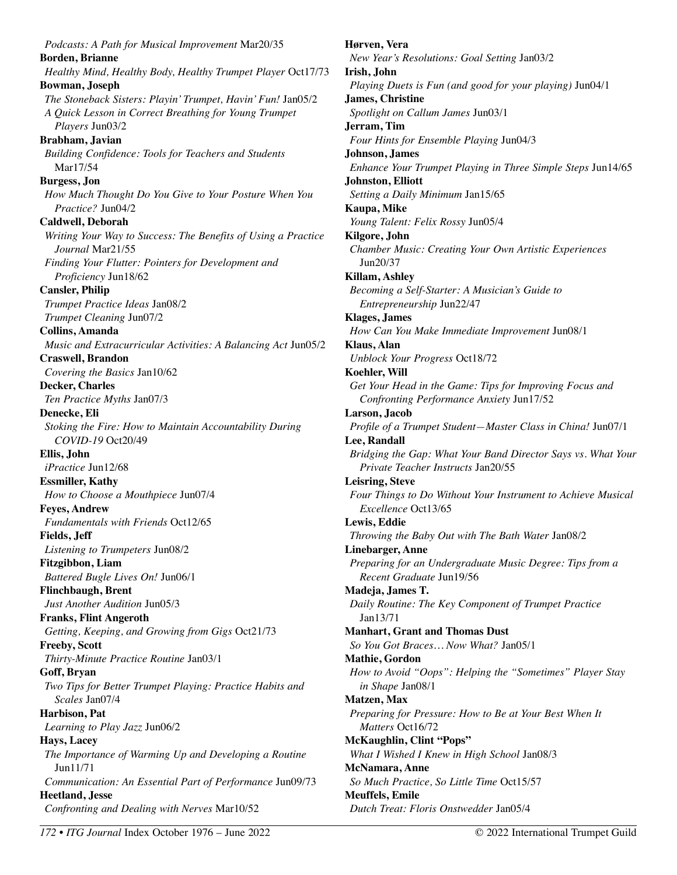*Podcasts: A Path for Musical Improvement* Mar20/35 **Borden, Brianne**  *Healthy Mind, Healthy Body, Healthy Trumpet Player* Oct17/73 **Bowman, Joseph**  *The Stoneback Sisters: Playin' Trumpet, Havin' Fun!* Jan05/2 *A Quick Lesson in Correct Breathing for Young Trumpet Players* Jun03/2 **Brabham, Javian**  *Building Confidence: Tools for Teachers and Students*  Mar17/54 **Burgess, Jon**  *How Much Thought Do You Give to Your Posture When You Practice?* Jun04/2 **Caldwell, Deborah**  *Writing Your Way to Success: The Benefits of Using a Practice Journal* Mar21/55 *Finding Your Flutter: Pointers for Development and Proficiency* Jun18/62 **Cansler, Philip**  *Trumpet Practice Ideas* Jan08/2 *Trumpet Cleaning* Jun07/2 **Collins, Amanda**  *Music and Extracurricular Activities: A Balancing Act* Jun05/2 **Craswell, Brandon**  *Covering the Basics* Jan10/62 **Decker, Charles**  *Ten Practice Myths* Jan07/3 **Denecke, Eli**  *Stoking the Fire: How to Maintain Accountability During COVID-19* Oct20/49 **Ellis, John**  *iPractice* Jun12/68 **Essmiller, Kathy**  *How to Choose a Mouthpiece* Jun07/4 **Feyes, Andrew**  *Fundamentals with Friends* Oct12/65 **Fields, Jeff**  *Listening to Trumpeters* Jun08/2 **Fitzgibbon, Liam**  *Battered Bugle Lives On!* Jun06/1 **Flinchbaugh, Brent**  *Just Another Audition* Jun05/3 **Franks, Flint Angeroth**  *Getting, Keeping, and Growing from Gigs* Oct21/73 **Freeby, Scott**  *Thirty-Minute Practice Routine* Jan03/1 **Goff, Bryan**  *Two Tips for Better Trumpet Playing: Practice Habits and Scales* Jan07/4 **Harbison, Pat**  *Learning to Play Jazz* Jun06/2 **Hays, Lacey**  *The Importance of Warming Up and Developing a Routine*  Jun11/71 *Communication: An Essential Part of Performance* Jun09/73 **Heetland, Jesse**  *Confronting and Dealing with Nerves* Mar10/52

**Hørven, Vera**  *New Year's Resolutions: Goal Setting* Jan03/2 **Irish, John**  *Playing Duets is Fun (and good for your playing)* Jun04/1 **James, Christine**  *Spotlight on Callum James* Jun03/1 **Jerram, Tim**  *Four Hints for Ensemble Playing* Jun04/3 **Johnson, James**  *Enhance Your Trumpet Playing in Three Simple Steps* Jun14/65 **Johnston, Elliott**  *Setting a Daily Minimum* Jan15/65 **Kaupa, Mike**  *Young Talent: Felix Rossy* Jun05/4 **Kilgore, John**  *Chamber Music: Creating Your Own Artistic Experiences*  Jun20/37 **Killam, Ashley**  *Becoming a Self-Starter: A Musician's Guide to Entrepreneurship* Jun22/47 **Klages, James**  *How Can You Make Immediate Improvement* Jun08/1 **Klaus, Alan**  *Unblock Your Progress* Oct18/72 **Koehler, Will**  *Get Your Head in the Game: Tips for Improving Focus and Confronting Performance Anxiety* Jun17/52 **Larson, Jacob**  *Profile of a Trumpet Student—Master Class in China!* Jun07/1 **Lee, Randall**  *Bridging the Gap: What Your Band Director Says vs. What Your Private Teacher Instructs* Jan20/55 **Leisring, Steve**  *Four Things to Do Without Your Instrument to Achieve Musical Excellence* Oct13/65 **Lewis, Eddie**  *Throwing the Baby Out with The Bath Water* Jan08/2 **Linebarger, Anne**  *Preparing for an Undergraduate Music Degree: Tips from a Recent Graduate* Jun19/56 **Madeja, James T.**  *Daily Routine: The Key Component of Trumpet Practice*  Jan13/71 **Manhart, Grant and Thomas Dust**  *So You Got Braces… Now What?* Jan05/1 **Mathie, Gordon**  *How to Avoid "Oops": Helping the "Sometimes" Player Stay in Shape* Jan08/1 **Matzen, Max**  *Preparing for Pressure: How to Be at Your Best When It Matters* Oct16/72 **McKaughlin, Clint "Pops"**  *What I Wished I Knew in High School* Jan08/3 **McNamara, Anne**  *So Much Practice, So Little Time* Oct15/57 **Meuffels, Emile**  *Dutch Treat: Floris Onstwedder* Jan05/4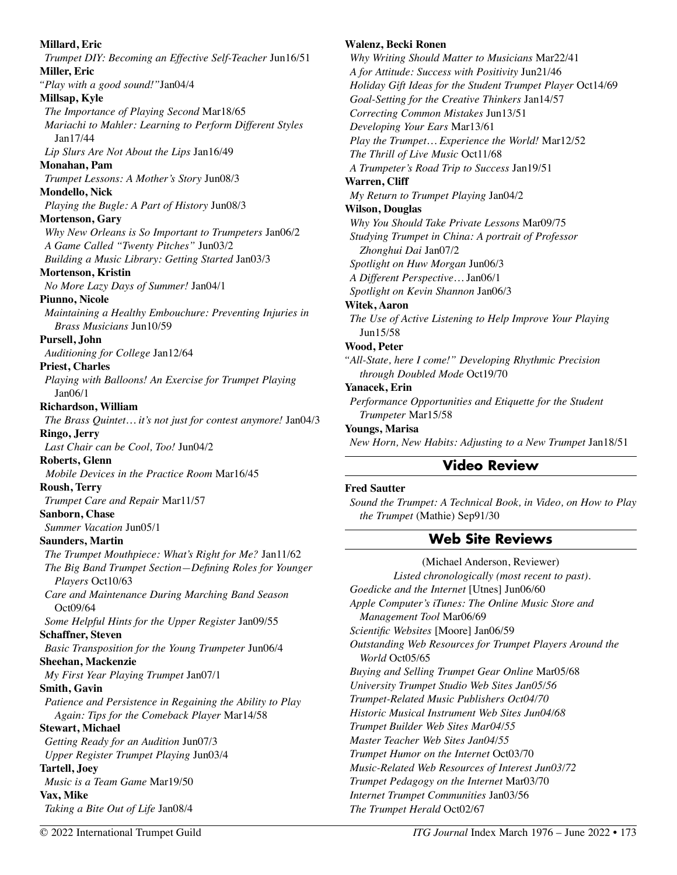**Millard, Eric**  *Trumpet DIY: Becoming an Effective Self-Teacher* Jun16/51 **Miller, Eric**  *"Play with a good sound!"*Jan04/4 **Millsap, Kyle**  *The Importance of Playing Second* Mar18/65 *Mariachi to Mahler: Learning to Perform Different Styles*  Jan17/44 *Lip Slurs Are Not About the Lips* Jan16/49 **Monahan, Pam** *Trumpet Lessons: A Mother's Story* Jun08/3 **Mondello, Nick** *Playing the Bugle: A Part of History* Jun08/3 **Mortenson, Gary** *Why New Orleans is So Important to Trumpeters* Jan06/2 *A Game Called "Twenty Pitches"* Jun03/2 *Building a Music Library: Getting Started* Jan03/3 **Mortenson, Kristin** *No More Lazy Days of Summer!* Jan04/1 **Piunno, Nicole**  *Maintaining a Healthy Embouchure: Preventing Injuries in Brass Musicians* Jun10/59 **Pursell, John**  *Auditioning for College* Jan12/64 **Priest, Charles**  *Playing with Balloons! An Exercise for Trumpet Playing* Jan06/1 **Richardson, William** *The Brass Quintet… it's not just for contest anymore!* Jan04/3 **Ringo, Jerry**  *Last Chair can be Cool, Too!* Jun04/2 **Roberts, Glenn**  *Mobile Devices in the Practice Room* Mar16/45 **Roush, Terry**  *Trumpet Care and Repair* Mar11/57 **Sanborn, Chase**  *Summer Vacation* Jun05/1 **Saunders, Martin**  *The Trumpet Mouthpiece: What's Right for Me?* Jan11/62 *The Big Band Trumpet Section—Defining Roles for Younger Players* Oct10/63 *Care and Maintenance During Marching Band Season*  Oct09/64 *Some Helpful Hints for the Upper Register* Jan09/55 **Schaffner, Steven**  *Basic Transposition for the Young Trumpeter* Jun06/4 **Sheehan, Mackenzie**  *My First Year Playing Trumpet* Jan07/1 **Smith, Gavin**  *Patience and Persistence in Regaining the Ability to Play Again: Tips for the Comeback Player* Mar14/58 **Stewart, Michael**  *Getting Ready for an Audition* Jun07/3 *Upper Register Trumpet Playing* Jun03/4 **Tartell, Joey**  *Music is a Team Game* Mar19/50 **Vax, Mike**  *Taking a Bite Out of Life* Jan08/4

#### **Walenz, Becki Ronen**

*Why Writing Should Matter to Musicians* Mar22/41 *A for Attitude: Success with Positivity* Jun21/46 *Holiday Gift Ideas for the Student Trumpet Player* Oct14/69 *Goal-Setting for the Creative Thinkers* Jan14/57 *Correcting Common Mistakes* Jun13/51 *Developing Your Ears* Mar13/61 *Play the Trumpet… Experience the World!* Mar12/52 *The Thrill of Live Music* Oct11/68 *A Trumpeter's Road Trip to Success* Jan19/51 **Warren, Cliff**  *My Return to Trumpet Playing* Jan04/2 **Wilson, Douglas**  *Why You Should Take Private Lessons* Mar09/75 *Studying Trumpet in China: A portrait of Professor Zhonghui Dai* Jan07/2 *Spotlight on Huw Morgan* Jun06/3 *A Different Perspective…* Jan06/1 *Spotlight on Kevin Shannon* Jan06/3 **Witek, Aaron**  *The Use of Active Listening to Help Improve Your Playing*  Jun15/58 **Wood, Peter**  *"All-State, here I come!" Developing Rhythmic Precision through Doubled Mode* Oct19/70 **Yanacek, Erin**  *Performance Opportunities and Etiquette for the Student Trumpeter* Mar15/58 **Youngs, Marisa** 

*New Horn, New Habits: Adjusting to a New Trumpet* Jan18/51

## **Video Review**

#### **Fred Sautter**

*Sound the Trumpet: A Technical Book, in Video, on How to Play the Trumpet* (Mathie) Sep91/30

## **Web Site Reviews**

(Michael Anderson, Reviewer) *Listed chronologically (most recent to past). Goedicke and the Internet* [Utnes] Jun06/60 *Apple Computer's iTunes: The Online Music Store and Management Tool* Mar06/69 *Scientific Websites* [Moore] Jan06/59 *Outstanding Web Resources for Trumpet Players Around the World* Oct05/65 *Buying and Selling Trumpet Gear Online* Mar05/68 *University Trumpet Studio Web Sites Jan05/56 Trumpet-Related Music Publishers Oct04/70 Historic Musical Instrument Web Sites Jun04/68 Trumpet Builder Web Sites Mar04/55 Master Teacher Web Sites Jan04/55 Trumpet Humor on the Internet* Oct03/70 *Music-Related Web Resources of Interest Jun03/72 Trumpet Pedagogy on the Internet* Mar03/70 *Internet Trumpet Communities* Jan03/56 *The Trumpet Herald* Oct02/67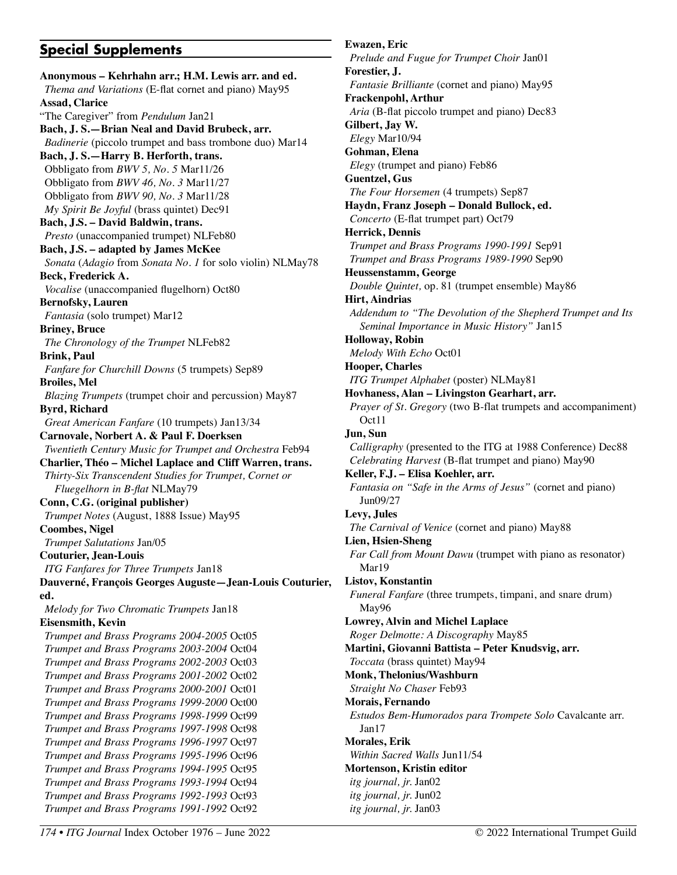## **Special Supplements**

**Anonymous – Kehrhahn arr.; H.M. Lewis arr. and ed.**  *Thema and Variations* (E-flat cornet and piano) May95 **Assad, Clarice**  "The Caregiver" from *Pendulum* Jan21 **Bach, J. S.—Brian Neal and David Brubeck, arr.**  *Badinerie* (piccolo trumpet and bass trombone duo) Mar14 **Bach, J. S.—Harry B. Herforth, trans.**  Obbligato from *BWV 5, No. 5* Mar11/26 Obbligato from *BWV 46, No. 3* Mar11/27 Obbligato from *BWV 90, No. 3* Mar11/28 *My Spirit Be Joyful* (brass quintet) Dec91 **Bach, J.S. – David Baldwin, trans.**  *Presto* (unaccompanied trumpet) NLFeb80 **Bach, J.S. – adapted by James McKee**  *Sonata* (*Adagio* from *Sonata No. 1* for solo violin) NLMay78 **Beck, Frederick A.**  *Vocalise* (unaccompanied flugelhorn) Oct80 **Bernofsky, Lauren**  *Fantasia* (solo trumpet) Mar12 **Briney, Bruce**  *The Chronology of the Trumpet* NLFeb82 **Brink, Paul**  *Fanfare for Churchill Downs* (5 trumpets) Sep89 **Broiles, Mel**  *Blazing Trumpets* (trumpet choir and percussion) May87 **Byrd, Richard**  *Great American Fanfare* (10 trumpets) Jan13/34 **Carnovale, Norbert A. & Paul F. Doerksen**  *Twentieth Century Music for Trumpet and Orchestra* Feb94 **Charlier, Théo – Michel Laplace and Cliff Warren, trans.**  *Thirty-Six Transcendent Studies for Trumpet, Cornet or Fluegelhorn in B-flat* NLMay79 **Conn, C.G. (original publisher)**  *Trumpet Notes* (August, 1888 Issue) May95 **Coombes, Nigel**  *Trumpet Salutations* Jan/05 **Couturier, Jean-Louis**  *ITG Fanfares for Three Trumpets* Jan18 **Dauverné, François Georges Auguste—Jean-Louis Couturier, ed.**  *Melody for Two Chromatic Trumpets* Jan18 **Eisensmith, Kevin**  *Trumpet and Brass Programs 2004-2005* Oct05 *Trumpet and Brass Programs 2003-2004* Oct04 *Trumpet and Brass Programs 2002-2003* Oct03 *Trumpet and Brass Programs 2001-2002* Oct02 *Trumpet and Brass Programs 2000-2001* Oct01 *Trumpet and Brass Programs 1999-2000* Oct00 *Trumpet and Brass Programs 1998-1999* Oct99 *Trumpet and Brass Programs 1997-1998* Oct98 *Trumpet and Brass Programs 1996-1997* Oct97 *Trumpet and Brass Programs 1995-1996* Oct96 *Trumpet and Brass Programs 1994-1995* Oct95 *Trumpet and Brass Programs 1993-1994* Oct94 *Trumpet and Brass Programs 1992-1993* Oct93 *Trumpet and Brass Programs 1991-1992* Oct92

**Ewazen, Eric**  *Prelude and Fugue for Trumpet Choir* Jan01 **Forestier, J.**  *Fantasie Brilliante* (cornet and piano) May95 **Frackenpohl, Arthur**  *Aria* (B-flat piccolo trumpet and piano) Dec83 **Gilbert, Jay W.**  *Elegy* Mar10/94 **Gohman, Elena**  *Elegy* (trumpet and piano) Feb86 **Guentzel, Gus**  *The Four Horsemen* (4 trumpets) Sep87 **Haydn, Franz Joseph – Donald Bullock, ed.**  *Concerto* (E-flat trumpet part) Oct79 **Herrick, Dennis**  *Trumpet and Brass Programs 1990-1991* Sep91 *Trumpet and Brass Programs 1989-1990* Sep90 **Heussenstamm, George**  *Double Quintet,* op. 81 (trumpet ensemble) May86 **Hirt, Aindrias**  *Addendum to "The Devolution of the Shepherd Trumpet and Its Seminal Importance in Music History"* Jan15 **Holloway, Robin**  *Melody With Echo* Oct01 **Hooper, Charles**  *ITG Trumpet Alphabet* (poster) NLMay81 **Hovhaness, Alan – Livingston Gearhart, arr.**  *Prayer of St. Gregory* (two B-flat trumpets and accompaniment) Oct11 **Jun, Sun**  *Calligraphy* (presented to the ITG at 1988 Conference) Dec88 *Celebrating Harvest* (B-flat trumpet and piano) May90 **Keller, F.J. – Elisa Koehler, arr.**  *Fantasia on "Safe in the Arms of Jesus"* (cornet and piano) Jun09/27 **Levy, Jules**  *The Carnival of Venice* (cornet and piano) May88 **Lien, Hsien-Sheng**  *Far Call from Mount Dawu* (trumpet with piano as resonator) Mar19 **Listov, Konstantin**  *Funeral Fanfare* (three trumpets, timpani, and snare drum) May96 **Lowrey, Alvin and Michel Laplace**  *Roger Delmotte: A Discography* May85 **Martini, Giovanni Battista – Peter Knudsvig, arr.**  *Toccata* (brass quintet) May94 **Monk, Thelonius/Washburn**  *Straight No Chaser* Feb93 **Morais, Fernando**  *Estudos Bem-Humorados para Trompete Solo* Cavalcante arr. Jan17 **Morales, Erik**  *Within Sacred Walls* Jun11/54 **Mortenson, Kristin editor**  *itg journal, jr.* Jan02 *itg journal, jr.* Jun02 *itg journal, jr.* Jan03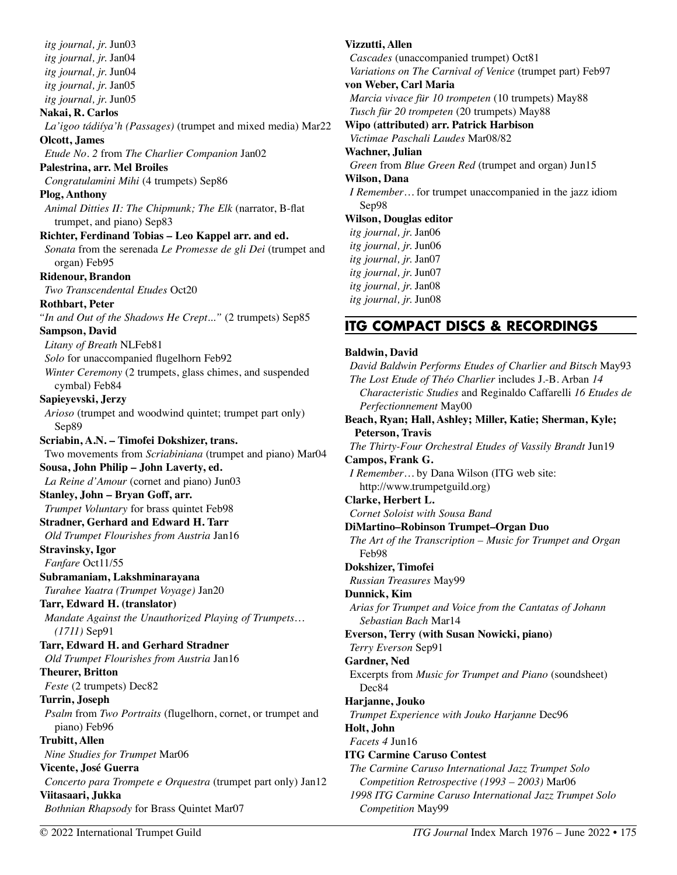*itg journal, jr.* Jun03 *itg journal, jr.* Jan04 *itg journal, jr.* Jun04 *itg journal, jr.* Jan05 *itg journal, jr.* Jun05 **Nakai, R. Carlos**  *La'igoo tádiíya'h (Passages)* (trumpet and mixed media) Mar22 **Olcott, James**  *Etude No. 2* from *The Charlier Companion* Jan02 **Palestrina, arr. Mel Broiles**  *Congratulamini Mihi* (4 trumpets) Sep86 **Plog, Anthony**  *Animal Ditties II: The Chipmunk; The Elk* (narrator, B-flat trumpet, and piano) Sep83 **Richter, Ferdinand Tobias – Leo Kappel arr. and ed.**  *Sonata* from the serenada *Le Promesse de gli Dei* (trumpet and organ) Feb95 **Ridenour, Brandon**  *Two Transcendental Etudes* Oct20 **Rothbart, Peter**  *"In and Out of the Shadows He Crept..."* (2 trumpets) Sep85 **Sampson, David**  *Litany of Breath* NLFeb81 *Solo* for unaccompanied flugelhorn Feb92 *Winter Ceremony* (2 trumpets, glass chimes, and suspended cymbal) Feb84 **Sapieyevski, Jerzy**  *Arioso* (trumpet and woodwind quintet; trumpet part only) Sep89 **Scriabin, A.N. – Timofei Dokshizer, trans.**  Two movements from *Scriabiniana* (trumpet and piano) Mar04 **Sousa, John Philip – John Laverty, ed.**  *La Reine d'Amour* (cornet and piano) Jun03 **Stanley, John – Bryan Goff, arr.**  *Trumpet Voluntary* for brass quintet Feb98 **Stradner, Gerhard and Edward H. Tarr**  *Old Trumpet Flourishes from Austria* Jan16 **Stravinsky, Igor**  *Fanfare* Oct11/55 **Subramaniam, Lakshminarayana**  *Turahee Yaatra (Trumpet Voyage)* Jan20 **Tarr, Edward H. (translator)**  *Mandate Against the Unauthorized Playing of Trumpets… (1711)* Sep91 **Tarr, Edward H. and Gerhard Stradner**  *Old Trumpet Flourishes from Austria* Jan16 **Theurer, Britton**  *Feste* (2 trumpets) Dec82 **Turrin, Joseph**  *Psalm* from *Two Portraits* (flugelhorn, cornet, or trumpet and piano) Feb96 **Trubitt, Allen**  *Nine Studies for Trumpet* Mar06 **Vicente, José Guerra**  *Concerto para Trompete e Orquestra* (trumpet part only) Jan12 **Viitasaari, Jukka**  *Bothnian Rhapsody* for Brass Quintet Mar07

**Vizzutti, Allen**  *Cascades* (unaccompanied trumpet) Oct81 *Variations on The Carnival of Venice* (trumpet part) Feb97 **von Weber, Carl Maria**  *Marcia vivace für 10 trompeten* (10 trumpets) May88 *Tusch für 20 trompeten* (20 trumpets) May88 **Wipo (attributed) arr. Patrick Harbison**  *Victimae Paschali Laudes* Mar08/82 **Wachner, Julian**  *Green* from *Blue Green Red* (trumpet and organ) Jun15 **Wilson, Dana**  *I Remember…* for trumpet unaccompanied in the jazz idiom Sep98 **Wilson, Douglas editor**  *itg journal, jr.* Jan06 *itg journal, jr.* Jun06 *itg journal, jr.* Jan07 *itg journal, jr.* Jun07 *itg journal, jr.* Jan08

## **ITG COMPACT DISCS & RECORDINGS**

#### **Baldwin, David**

*itg journal, jr.* Jun08

*Competition* May99

*David Baldwin Performs Etudes of Charlier and Bitsch* May93 *The Lost Etude of Théo Charlier* includes J.-B. Arban *14 Characteristic Studies* and Reginaldo Caffarelli *16 Etudes de Perfectionnement* May00 **Beach, Ryan; Hall, Ashley; Miller, Katie; Sherman, Kyle; Peterson, Travis**  *The Thirty-Four Orchestral Etudes of Vassily Brandt* Jun19 **Campos, Frank G.**  *I Remember…* by Dana Wilson (ITG web site: http://www.trumpetguild.org) **Clarke, Herbert L.**  *Cornet Soloist with Sousa Band*  **DiMartino–Robinson Trumpet–Organ Duo**  *The Art of the Transcription – Music for Trumpet and Organ*  Feb98 **Dokshizer, Timofei**  *Russian Treasures* May99 **Dunnick, Kim**  *Arias for Trumpet and Voice from the Cantatas of Johann Sebastian Bach* Mar14 **Everson, Terry (with Susan Nowicki, piano)**  *Terry Everson* Sep91 **Gardner, Ned**  Excerpts from *Music for Trumpet and Piano* (soundsheet) Dec84 **Harjanne, Jouko**  *Trumpet Experience with Jouko Harjanne* Dec96 **Holt, John**  *Facets 4* Jun16 **ITG Carmine Caruso Contest**  *The Carmine Caruso International Jazz Trumpet Solo Competition Retrospective (1993 – 2003)* Mar06 *1998 ITG Carmine Caruso International Jazz Trumpet Solo*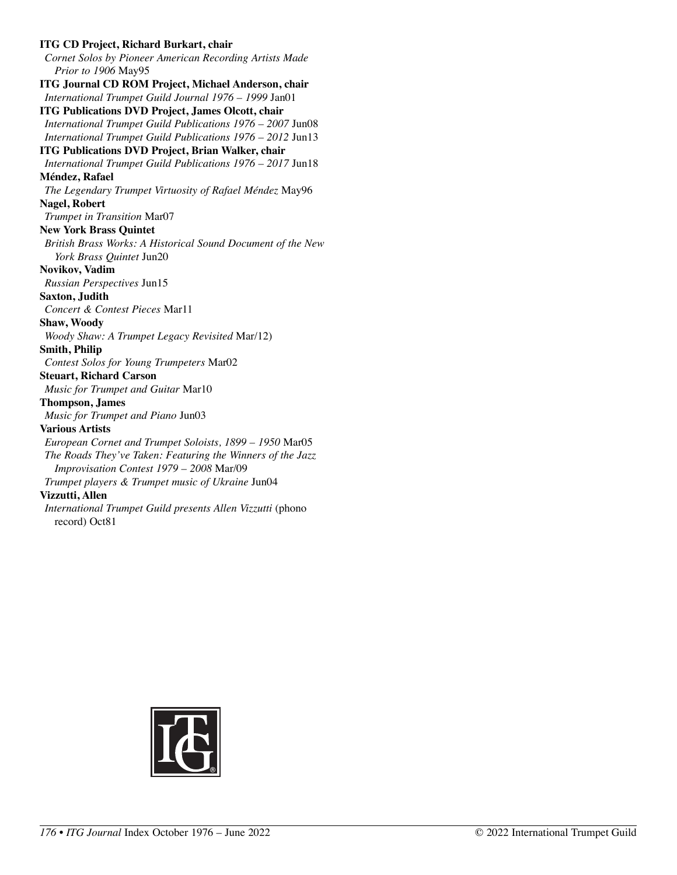#### **ITG CD Project, Richard Burkart, chair**  *Cornet Solos by Pioneer American Recording Artists Made Prior to 1906* May95 **ITG Journal CD ROM Project, Michael Anderson, chair**  *International Trumpet Guild Journal 1976 – 1999* Jan01 **ITG Publications DVD Project, James Olcott, chair**  *International Trumpet Guild Publications 1976 – 2007* Jun08 *International Trumpet Guild Publications 1976 – 2012* Jun13 **ITG Publications DVD Project, Brian Walker, chair**  *International Trumpet Guild Publications 1976 – 2017* Jun18 **Méndez, Rafael**  *The Legendary Trumpet Virtuosity of Rafael Méndez* May96 **Nagel, Robert**  *Trumpet in Transition* Mar07 **New York Brass Quintet**  *British Brass Works: A Historical Sound Document of the New York Brass Quintet* Jun20 **Novikov, Vadim**  *Russian Perspectives* Jun15 **Saxton, Judith**  *Concert & Contest Pieces* Mar11 **Shaw, Woody**  *Woody Shaw: A Trumpet Legacy Revisited* Mar/12) **Smith, Philip**  *Contest Solos for Young Trumpeters* Mar02 **Steuart, Richard Carson**  *Music for Trumpet and Guitar* Mar10 **Thompson, James**  *Music for Trumpet and Piano* Jun03 **Various Artists**  *European Cornet and Trumpet Soloists, 1899 – 1950* Mar05 *The Roads They've Taken: Featuring the Winners of the Jazz Improvisation Contest 1979 – 2008* Mar/09 *Trumpet players & Trumpet music of Ukraine* Jun04 **Vizzutti, Allen**  *International Trumpet Guild presents Allen Vizzutti* (phono record) Oct81

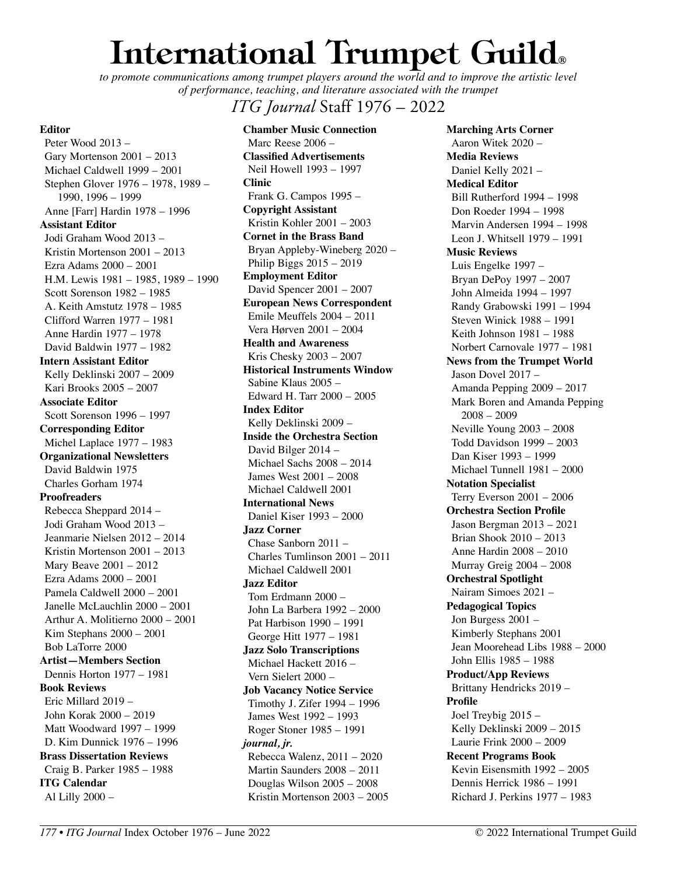# **International Trumpet Guild®**

to promote communications among trumpet players around the world and to improve the artistic level *of performance, teaching, and literature associated with the trumpet* 

## *ITG Journal* Staff 1976 – 2022

**Editor** 

Peter Wood 2013 – Gary Mortenson 2001 – 2013 Michael Caldwell 1999 – 2001 Stephen Glover 1976 – 1978, 1989 – 1990, 1996 – 1999 Anne [Farr] Hardin 1978 – 1996 **Assistant Editor**  Jodi Graham Wood 2013 – Kristin Mortenson 2001 – 2013 Ezra Adams 2000 – 2001 H.M. Lewis 1981 – 1985, 1989 – 1990 Scott Sorenson 1982 – 1985 A. Keith Amstutz 1978 – 1985 Clifford Warren 1977 – 1981 Anne Hardin 1977 – 1978 David Baldwin 1977 – 1982 **Intern Assistant Editor**  Kelly Deklinski 2007 – 2009 Kari Brooks 2005 – 2007 **Associate Editor**  Scott Sorenson 1996 – 1997 **Corresponding Editor**  Michel Laplace 1977 – 1983 **Organizational Newsletters**  David Baldwin 1975 Charles Gorham 1974 **Proofreaders**  Rebecca Sheppard 2014 – Jodi Graham Wood 2013 – Jeanmarie Nielsen 2012 – 2014 Kristin Mortenson 2001 – 2013 Mary Beave 2001 – 2012 Ezra Adams 2000 – 2001 Pamela Caldwell 2000 – 2001 Janelle McLauchlin 2000 – 2001 Arthur A. Molitierno 2000 – 2001 Kim Stephans 2000 – 2001 Bob LaTorre 2000 **Artist—Members Section**  Dennis Horton 1977 – 1981 **Book Reviews**  Eric Millard 2019 – John Korak 2000 – 2019 Matt Woodward 1997 – 1999 D. Kim Dunnick 1976 – 1996 **Brass Dissertation Reviews**  Craig B. Parker 1985 – 1988 **ITG Calendar**  Al Lilly 2000 –

**Chamber Music Connection**  Marc Reese 2006 – **Classified Advertisements**  Neil Howell 1993 – 1997 **Clinic**  Frank G. Campos 1995 – **Copyright Assistant**  Kristin Kohler 2001 – 2003 **Cornet in the Brass Band**  Bryan Appleby-Wineberg 2020 – Philip Biggs 2015 – 2019 **Employment Editor**  David Spencer 2001 – 2007 **European News Correspondent**  Emile Meuffels 2004 – 2011 Vera Hørven 2001 – 2004 **Health and Awareness**  Kris Chesky 2003 – 2007 **Historical Instruments Window**  Sabine Klaus 2005 – Edward H. Tarr 2000 – 2005 **Index Editor**  Kelly Deklinski 2009 – **Inside the Orchestra Section**  David Bilger 2014 – Michael Sachs 2008 – 2014 James West 2001 – 2008 Michael Caldwell 2001 **International News**  Daniel Kiser 1993 – 2000 **Jazz Corner**  Chase Sanborn 2011 – Charles Tumlinson 2001 – 2011 Michael Caldwell 2001 **Jazz Editor**  Tom Erdmann 2000 – John La Barbera 1992 – 2000 Pat Harbison 1990 – 1991 George Hitt 1977 – 1981 **Jazz Solo Transcriptions**  Michael Hackett 2016 – Vern Sielert 2000 – **Job Vacancy Notice Service**  Timothy J. Zifer 1994 – 1996 James West 1992 – 1993 Roger Stoner 1985 – 1991 *journal, jr.* Rebecca Walenz, 2011 – 2020 Martin Saunders 2008 – 2011 Douglas Wilson 2005 – 2008 Kristin Mortenson 2003 – 2005

**Marching Arts Corner**  Aaron Witek 2020 – **Media Reviews**  Daniel Kelly 2021 – **Medical Editor**  Bill Rutherford 1994 – 1998 Don Roeder 1994 – 1998 Marvin Andersen 1994 – 1998 Leon J. Whitsell 1979 – 1991 **Music Reviews**  Luis Engelke 1997 – Bryan DePoy 1997 – 2007 John Almeida 1994 – 1997 Randy Grabowski 1991 – 1994 Steven Winick 1988 – 1991 Keith Johnson 1981 – 1988 Norbert Carnovale 1977 – 1981 **News from the Trumpet World**  Jason Dovel 2017 – Amanda Pepping 2009 – 2017 Mark Boren and Amanda Pepping 2008 – 2009 Neville Young 2003 – 2008 Todd Davidson 1999 – 2003 Dan Kiser 1993 – 1999 Michael Tunnell 1981 – 2000 **Notation Specialist**  Terry Everson 2001 – 2006 **Orchestra Section Profile**  Jason Bergman 2013 – 2021 Brian Shook 2010 – 2013 Anne Hardin 2008 – 2010 Murray Greig 2004 – 2008 **Orchestral Spotlight**  Nairam Simoes 2021 – **Pedagogical Topics**  Jon Burgess 2001 – Kimberly Stephans 2001 Jean Moorehead Libs 1988 – 2000 John Ellis 1985 – 1988 **Product/App Reviews**  Brittany Hendricks 2019 – **Profile**  Joel Treybig 2015 – Kelly Deklinski 2009 – 2015 Laurie Frink 2000 – 2009 **Recent Programs Book**  Kevin Eisensmith 1992 – 2005 Dennis Herrick 1986 – 1991 Richard J. Perkins 1977 – 1983